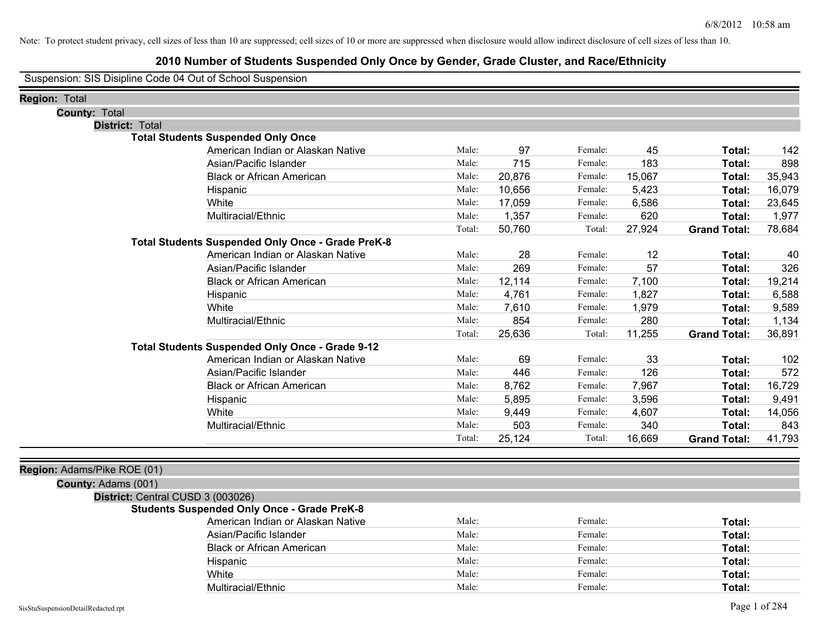#### **2010 Number of Students Suspended Only Once by Gender, Grade Cluster, and Race/Ethnicity**

Suspension: SIS Disipline Code 04 Out of School Suspension

| Region: Total                     |                                                    |        |        |         |        |                     |        |
|-----------------------------------|----------------------------------------------------|--------|--------|---------|--------|---------------------|--------|
| <b>County: Total</b>              |                                                    |        |        |         |        |                     |        |
| <b>District: Total</b>            |                                                    |        |        |         |        |                     |        |
|                                   | <b>Total Students Suspended Only Once</b>          |        |        |         |        |                     |        |
|                                   | American Indian or Alaskan Native                  | Male:  | 97     | Female: | 45     | Total:              | 142    |
|                                   | Asian/Pacific Islander                             | Male:  | 715    | Female: | 183    | Total:              | 898    |
|                                   | <b>Black or African American</b>                   | Male:  | 20,876 | Female: | 15,067 | Total:              | 35,943 |
|                                   | Hispanic                                           | Male:  | 10,656 | Female: | 5,423  | Total:              | 16,079 |
|                                   | White                                              | Male:  | 17,059 | Female: | 6,586  | Total:              | 23,645 |
|                                   | Multiracial/Ethnic                                 | Male:  | 1,357  | Female: | 620    | Total:              | 1,977  |
|                                   |                                                    | Total: | 50,760 | Total:  | 27,924 | <b>Grand Total:</b> | 78,684 |
|                                   | Total Students Suspended Only Once - Grade PreK-8  |        |        |         |        |                     |        |
|                                   | American Indian or Alaskan Native                  | Male:  | 28     | Female: | 12     | Total:              | 40     |
|                                   | Asian/Pacific Islander                             | Male:  | 269    | Female: | 57     | Total:              | 326    |
|                                   | <b>Black or African American</b>                   | Male:  | 12,114 | Female: | 7,100  | Total:              | 19,214 |
|                                   | Hispanic                                           | Male:  | 4,761  | Female: | 1,827  | Total:              | 6,588  |
|                                   | White                                              | Male:  | 7,610  | Female: | 1,979  | Total:              | 9,589  |
|                                   | Multiracial/Ethnic                                 | Male:  | 854    | Female: | 280    | Total:              | 1,134  |
|                                   |                                                    | Total: | 25,636 | Total:  | 11,255 | <b>Grand Total:</b> | 36,891 |
|                                   | Total Students Suspended Only Once - Grade 9-12    |        |        |         |        |                     |        |
|                                   | American Indian or Alaskan Native                  | Male:  | 69     | Female: | 33     | Total:              | 102    |
|                                   | Asian/Pacific Islander                             | Male:  | 446    | Female: | 126    | Total:              | 572    |
|                                   | <b>Black or African American</b>                   | Male:  | 8,762  | Female: | 7,967  | Total:              | 16,729 |
|                                   | Hispanic                                           | Male:  | 5,895  | Female: | 3,596  | Total:              | 9,491  |
|                                   | White                                              | Male:  | 9,449  | Female: | 4,607  | Total:              | 14,056 |
|                                   | Multiracial/Ethnic                                 | Male:  | 503    | Female: | 340    | Total:              | 843    |
|                                   |                                                    | Total: | 25,124 | Total:  | 16,669 | <b>Grand Total:</b> | 41,793 |
|                                   |                                                    |        |        |         |        |                     |        |
| Region: Adams/Pike ROE (01)       |                                                    |        |        |         |        |                     |        |
| County: Adams (001)               |                                                    |        |        |         |        |                     |        |
| District: Central CUSD 3 (003026) |                                                    |        |        |         |        |                     |        |
|                                   | <b>Students Suspended Only Once - Grade PreK-8</b> |        |        |         |        |                     |        |

| American Indian or Alaskan Native | Male: | Female: | Total: |
|-----------------------------------|-------|---------|--------|
| Asian/Pacific Islander            | Male: | Female: | Total: |
| <b>Black or African American</b>  | Male: | Female: | Total: |
| Hispanic                          | Male: | Female: | Total: |
| White                             | Male: | Female: | Total: |
| Multiracial/Ethnic                | Male: | Female: | Total: |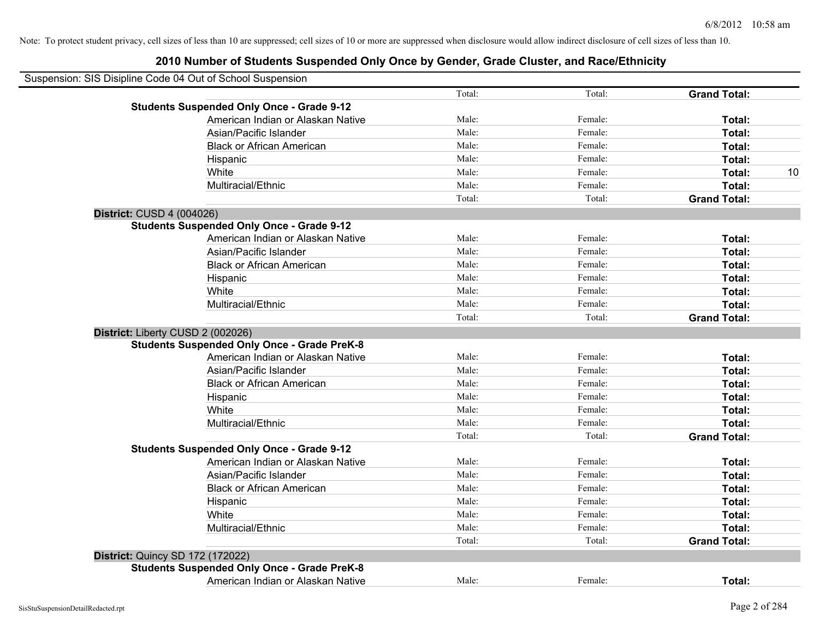|                           | Suspension: SIS Disipline Code 04 Out of School Suspension |        |         |                     |
|---------------------------|------------------------------------------------------------|--------|---------|---------------------|
|                           |                                                            | Total: | Total:  | <b>Grand Total:</b> |
|                           | <b>Students Suspended Only Once - Grade 9-12</b>           |        |         |                     |
|                           | American Indian or Alaskan Native                          | Male:  | Female: | Total:              |
|                           | Asian/Pacific Islander                                     | Male:  | Female: | Total:              |
|                           | <b>Black or African American</b>                           | Male:  | Female: | Total:              |
|                           | Hispanic                                                   | Male:  | Female: | Total:              |
|                           | White                                                      | Male:  | Female: | Total:<br>10        |
|                           | Multiracial/Ethnic                                         | Male:  | Female: | Total:              |
|                           |                                                            | Total: | Total:  | <b>Grand Total:</b> |
| District: CUSD 4 (004026) |                                                            |        |         |                     |
|                           | <b>Students Suspended Only Once - Grade 9-12</b>           |        |         |                     |
|                           | American Indian or Alaskan Native                          | Male:  | Female: | Total:              |
|                           | Asian/Pacific Islander                                     | Male:  | Female: | Total:              |
|                           | <b>Black or African American</b>                           | Male:  | Female: | Total:              |
|                           | Hispanic                                                   | Male:  | Female: | Total:              |
|                           | White                                                      | Male:  | Female: | Total:              |
|                           | Multiracial/Ethnic                                         | Male:  | Female: | Total:              |
|                           |                                                            | Total: | Total:  | <b>Grand Total:</b> |
|                           | District: Liberty CUSD 2 (002026)                          |        |         |                     |
|                           | <b>Students Suspended Only Once - Grade PreK-8</b>         |        |         |                     |
|                           | American Indian or Alaskan Native                          | Male:  | Female: | Total:              |
|                           | Asian/Pacific Islander                                     | Male:  | Female: | Total:              |
|                           | <b>Black or African American</b>                           | Male:  | Female: | Total:              |
|                           | Hispanic                                                   | Male:  | Female: | Total:              |
|                           | White                                                      | Male:  | Female: | Total:              |
|                           | Multiracial/Ethnic                                         | Male:  | Female: | Total:              |
|                           |                                                            | Total: | Total:  | <b>Grand Total:</b> |
|                           | <b>Students Suspended Only Once - Grade 9-12</b>           |        |         |                     |
|                           | American Indian or Alaskan Native                          | Male:  | Female: | Total:              |
|                           | Asian/Pacific Islander                                     | Male:  | Female: | Total:              |
|                           | <b>Black or African American</b>                           | Male:  | Female: | Total:              |
|                           | Hispanic                                                   | Male:  | Female: | Total:              |
|                           | White                                                      | Male:  | Female: | Total:              |
|                           | Multiracial/Ethnic                                         | Male:  | Female: | Total:              |
|                           |                                                            | Total: | Total:  | <b>Grand Total:</b> |
|                           | District: Quincy SD 172 (172022)                           |        |         |                     |
|                           | <b>Students Suspended Only Once - Grade PreK-8</b>         |        |         |                     |
|                           | American Indian or Alaskan Native                          | Male:  | Female: | Total:              |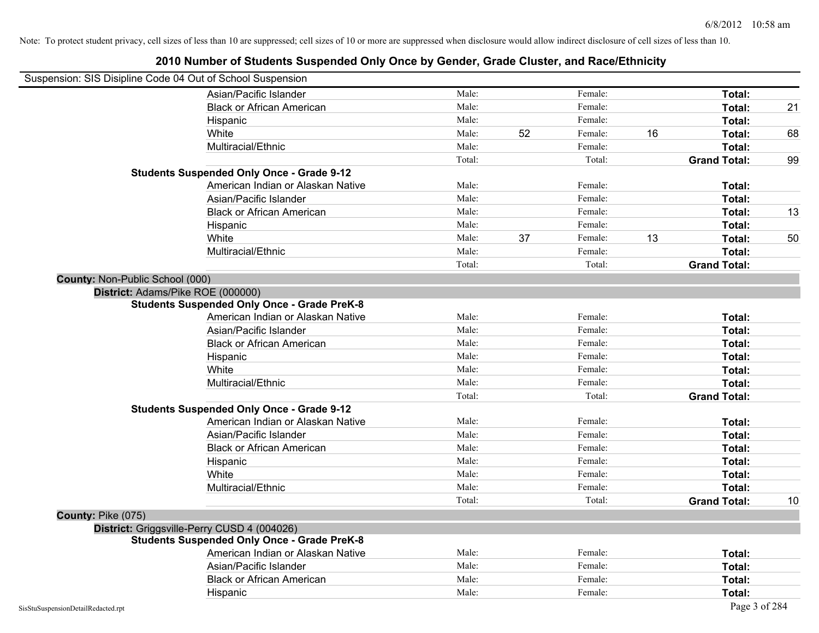| Suspension: SIS Disipline Code 04 Out of School Suspension |                                                    |        |    |         |    |                     |    |
|------------------------------------------------------------|----------------------------------------------------|--------|----|---------|----|---------------------|----|
|                                                            | Asian/Pacific Islander                             | Male:  |    | Female: |    | Total:              |    |
|                                                            | <b>Black or African American</b>                   | Male:  |    | Female: |    | Total:              | 21 |
|                                                            | Hispanic                                           | Male:  |    | Female: |    | Total:              |    |
|                                                            | White                                              | Male:  | 52 | Female: | 16 | Total:              | 68 |
|                                                            | Multiracial/Ethnic                                 | Male:  |    | Female: |    | Total:              |    |
|                                                            |                                                    | Total: |    | Total:  |    | <b>Grand Total:</b> | 99 |
|                                                            | <b>Students Suspended Only Once - Grade 9-12</b>   |        |    |         |    |                     |    |
|                                                            | American Indian or Alaskan Native                  | Male:  |    | Female: |    | Total:              |    |
|                                                            | Asian/Pacific Islander                             | Male:  |    | Female: |    | Total:              |    |
|                                                            | <b>Black or African American</b>                   | Male:  |    | Female: |    | Total:              | 13 |
|                                                            | Hispanic                                           | Male:  |    | Female: |    | Total:              |    |
|                                                            | White                                              | Male:  | 37 | Female: | 13 | Total:              | 50 |
|                                                            | Multiracial/Ethnic                                 | Male:  |    | Female: |    | Total:              |    |
|                                                            |                                                    | Total: |    | Total:  |    | <b>Grand Total:</b> |    |
| County: Non-Public School (000)                            |                                                    |        |    |         |    |                     |    |
|                                                            | District: Adams/Pike ROE (000000)                  |        |    |         |    |                     |    |
|                                                            | <b>Students Suspended Only Once - Grade PreK-8</b> |        |    |         |    |                     |    |
|                                                            | American Indian or Alaskan Native                  | Male:  |    | Female: |    | Total:              |    |
|                                                            | Asian/Pacific Islander                             | Male:  |    | Female: |    | Total:              |    |
|                                                            | <b>Black or African American</b>                   | Male:  |    | Female: |    | Total:              |    |
|                                                            | Hispanic                                           | Male:  |    | Female: |    | Total:              |    |
|                                                            | White                                              | Male:  |    | Female: |    | Total:              |    |
|                                                            | Multiracial/Ethnic                                 | Male:  |    | Female: |    | Total:              |    |
|                                                            |                                                    | Total: |    | Total:  |    | <b>Grand Total:</b> |    |
|                                                            | <b>Students Suspended Only Once - Grade 9-12</b>   |        |    |         |    |                     |    |
|                                                            | American Indian or Alaskan Native                  | Male:  |    | Female: |    | Total:              |    |
|                                                            | Asian/Pacific Islander                             | Male:  |    | Female: |    | Total:              |    |
|                                                            | <b>Black or African American</b>                   | Male:  |    | Female: |    | Total:              |    |
|                                                            | Hispanic                                           | Male:  |    | Female: |    | Total:              |    |
|                                                            | White                                              | Male:  |    | Female: |    | Total:              |    |
|                                                            | Multiracial/Ethnic                                 | Male:  |    | Female: |    | Total:              |    |
|                                                            |                                                    | Total: |    | Total:  |    | <b>Grand Total:</b> | 10 |
| County: Pike (075)                                         |                                                    |        |    |         |    |                     |    |
|                                                            | District: Griggsville-Perry CUSD 4 (004026)        |        |    |         |    |                     |    |
|                                                            | <b>Students Suspended Only Once - Grade PreK-8</b> |        |    |         |    |                     |    |
|                                                            | American Indian or Alaskan Native                  | Male:  |    | Female: |    | Total:              |    |
|                                                            | Asian/Pacific Islander                             | Male:  |    | Female: |    | Total:              |    |
|                                                            | <b>Black or African American</b>                   | Male:  |    | Female: |    | Total:              |    |
|                                                            | Hispanic                                           | Male:  |    | Female: |    | Total:              |    |
| SisStuSuspensionDetailRedacted.rpt                         |                                                    |        |    |         |    | Page 3 of 284       |    |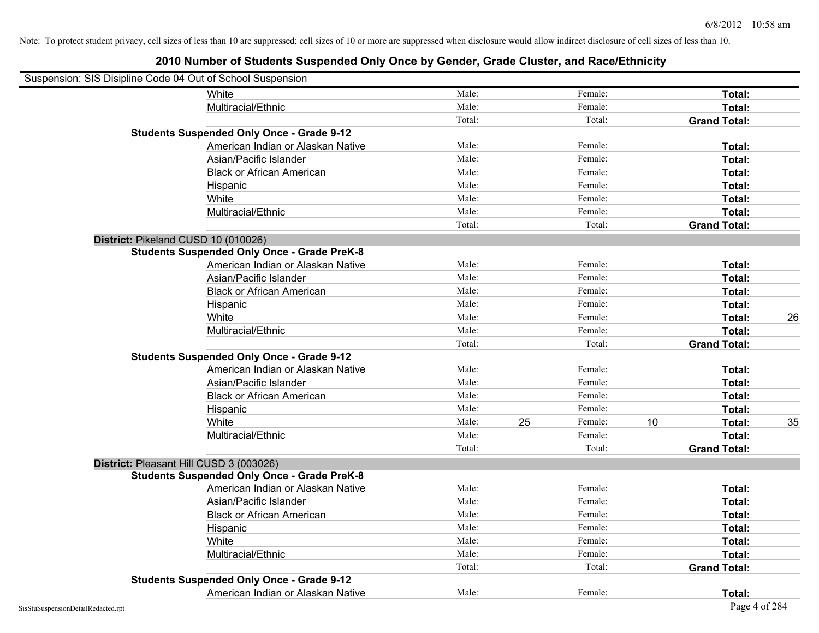| Suspension: SIS Disipline Code 04 Out of School Suspension |                                                    |        |    |         |    |                     |    |
|------------------------------------------------------------|----------------------------------------------------|--------|----|---------|----|---------------------|----|
|                                                            | White                                              | Male:  |    | Female: |    | Total:              |    |
|                                                            | Multiracial/Ethnic                                 | Male:  |    | Female: |    | Total:              |    |
|                                                            |                                                    | Total: |    | Total:  |    | <b>Grand Total:</b> |    |
|                                                            | <b>Students Suspended Only Once - Grade 9-12</b>   |        |    |         |    |                     |    |
|                                                            | American Indian or Alaskan Native                  | Male:  |    | Female: |    | Total:              |    |
|                                                            | Asian/Pacific Islander                             | Male:  |    | Female: |    | Total:              |    |
|                                                            | <b>Black or African American</b>                   | Male:  |    | Female: |    | Total:              |    |
|                                                            | Hispanic                                           | Male:  |    | Female: |    | Total:              |    |
|                                                            | White                                              | Male:  |    | Female: |    | Total:              |    |
|                                                            | Multiracial/Ethnic                                 | Male:  |    | Female: |    | Total:              |    |
|                                                            |                                                    | Total: |    | Total:  |    | <b>Grand Total:</b> |    |
|                                                            | District: Pikeland CUSD 10 (010026)                |        |    |         |    |                     |    |
|                                                            | <b>Students Suspended Only Once - Grade PreK-8</b> |        |    |         |    |                     |    |
|                                                            | American Indian or Alaskan Native                  | Male:  |    | Female: |    | Total:              |    |
|                                                            | Asian/Pacific Islander                             | Male:  |    | Female: |    | Total:              |    |
|                                                            | <b>Black or African American</b>                   | Male:  |    | Female: |    | Total:              |    |
|                                                            | Hispanic                                           | Male:  |    | Female: |    | Total:              |    |
|                                                            | White                                              | Male:  |    | Female: |    | Total:              | 26 |
|                                                            | Multiracial/Ethnic                                 | Male:  |    | Female: |    | Total:              |    |
|                                                            |                                                    | Total: |    | Total:  |    | <b>Grand Total:</b> |    |
|                                                            | <b>Students Suspended Only Once - Grade 9-12</b>   |        |    |         |    |                     |    |
|                                                            | American Indian or Alaskan Native                  | Male:  |    | Female: |    | Total:              |    |
|                                                            | Asian/Pacific Islander                             | Male:  |    | Female: |    | Total:              |    |
|                                                            | <b>Black or African American</b>                   | Male:  |    | Female: |    | Total:              |    |
|                                                            | Hispanic                                           | Male:  |    | Female: |    | Total:              |    |
|                                                            | White                                              | Male:  | 25 | Female: | 10 | Total:              | 35 |
|                                                            | Multiracial/Ethnic                                 | Male:  |    | Female: |    | Total:              |    |
|                                                            |                                                    | Total: |    | Total:  |    | <b>Grand Total:</b> |    |
|                                                            | District: Pleasant Hill CUSD 3 (003026)            |        |    |         |    |                     |    |
|                                                            | <b>Students Suspended Only Once - Grade PreK-8</b> |        |    |         |    |                     |    |
|                                                            | American Indian or Alaskan Native                  | Male:  |    | Female: |    | Total:              |    |
|                                                            | Asian/Pacific Islander                             | Male:  |    | Female: |    | Total:              |    |
|                                                            | <b>Black or African American</b>                   | Male:  |    | Female: |    | Total:              |    |
|                                                            | Hispanic                                           | Male:  |    | Female: |    | Total:              |    |
|                                                            | White                                              | Male:  |    | Female: |    | Total:              |    |
|                                                            | Multiracial/Ethnic                                 | Male:  |    | Female: |    | Total:              |    |
|                                                            |                                                    | Total: |    | Total:  |    | <b>Grand Total:</b> |    |
|                                                            | <b>Students Suspended Only Once - Grade 9-12</b>   |        |    |         |    |                     |    |
|                                                            | American Indian or Alaskan Native                  | Male:  |    | Female: |    | Total:              |    |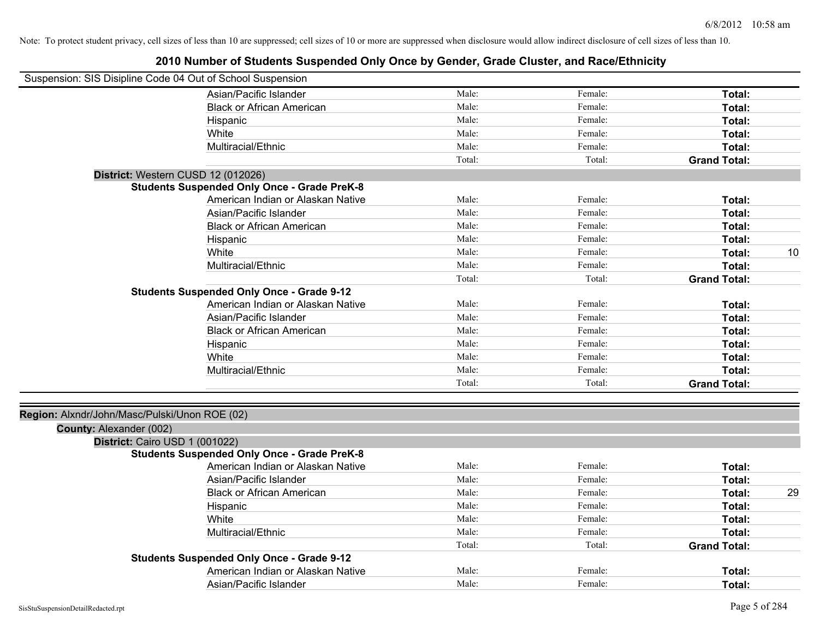| Suspension: SIS Disipline Code 04 Out of School Suspension |                                                    |        |         |                     |    |
|------------------------------------------------------------|----------------------------------------------------|--------|---------|---------------------|----|
|                                                            | Asian/Pacific Islander                             | Male:  | Female: | Total:              |    |
|                                                            | <b>Black or African American</b>                   | Male:  | Female: | Total:              |    |
|                                                            | Hispanic                                           | Male:  | Female: | Total:              |    |
|                                                            | White                                              | Male:  | Female: | Total:              |    |
|                                                            | Multiracial/Ethnic                                 | Male:  | Female: | Total:              |    |
|                                                            |                                                    | Total: | Total:  | <b>Grand Total:</b> |    |
|                                                            | District: Western CUSD 12 (012026)                 |        |         |                     |    |
|                                                            | <b>Students Suspended Only Once - Grade PreK-8</b> |        |         |                     |    |
|                                                            | American Indian or Alaskan Native                  | Male:  | Female: | Total:              |    |
|                                                            | Asian/Pacific Islander                             | Male:  | Female: | Total:              |    |
|                                                            | <b>Black or African American</b>                   | Male:  | Female: | Total:              |    |
|                                                            | Hispanic                                           | Male:  | Female: | Total:              |    |
|                                                            | White                                              | Male:  | Female: | Total:              | 10 |
|                                                            | Multiracial/Ethnic                                 | Male:  | Female: | Total:              |    |
|                                                            |                                                    | Total: | Total:  | <b>Grand Total:</b> |    |
|                                                            | <b>Students Suspended Only Once - Grade 9-12</b>   |        |         |                     |    |
|                                                            | American Indian or Alaskan Native                  | Male:  | Female: | Total:              |    |
|                                                            | Asian/Pacific Islander                             | Male:  | Female: | Total:              |    |
|                                                            | <b>Black or African American</b>                   | Male:  | Female: | Total:              |    |
|                                                            | Hispanic                                           | Male:  | Female: | Total:              |    |
|                                                            | White                                              | Male:  | Female: | Total:              |    |
|                                                            | Multiracial/Ethnic                                 | Male:  | Female: | Total:              |    |
|                                                            |                                                    | Total: | Total:  | <b>Grand Total:</b> |    |
| Region: Alxndr/John/Masc/Pulski/Unon ROE (02)              |                                                    |        |         |                     |    |
| County: Alexander (002)                                    |                                                    |        |         |                     |    |
| District: Cairo USD 1 (001022)                             |                                                    |        |         |                     |    |
|                                                            | <b>Students Suspended Only Once - Grade PreK-8</b> |        |         |                     |    |
|                                                            | American Indian or Alaskan Native                  | Male:  | Female: | Total:              |    |
|                                                            | Asian/Pacific Islander                             | Male:  | Female: | Total:              |    |
|                                                            | <b>Black or African American</b>                   | Male:  | Female: | Total:              | 29 |
|                                                            | Hispanic                                           | Male:  | Female: | Total:              |    |
|                                                            | White                                              | Male:  | Female: | Total:              |    |
|                                                            | Multiracial/Ethnic                                 | Male:  | Female: | Total:              |    |
|                                                            |                                                    | Total: | Total:  | <b>Grand Total:</b> |    |
|                                                            | <b>Students Suspended Only Once - Grade 9-12</b>   |        |         |                     |    |
|                                                            | American Indian or Alaskan Native                  | Male:  | Female: | Total:              |    |
|                                                            | Asian/Pacific Islander                             | Male:  | Female: | Total:              |    |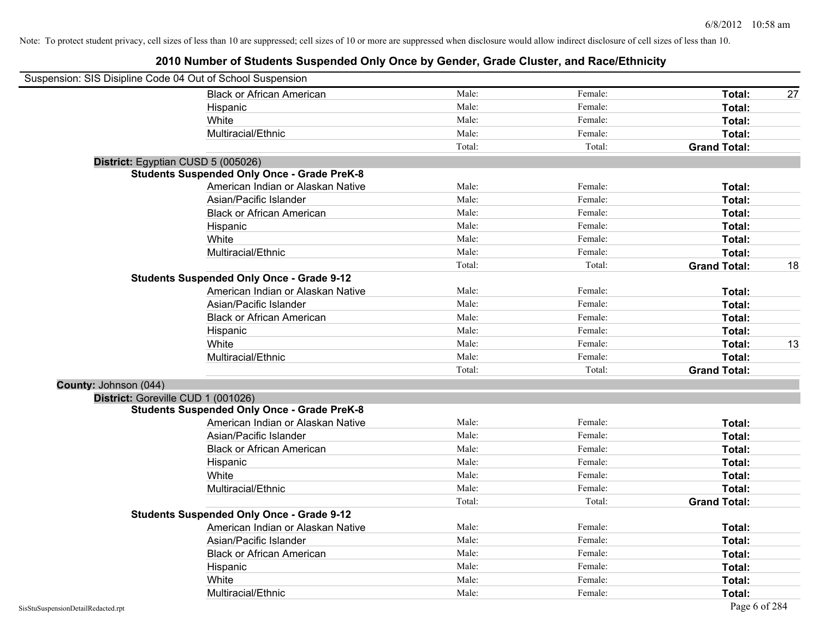| Suspension: SIS Disipline Code 04 Out of School Suspension |                                                    |        |         |                     |    |
|------------------------------------------------------------|----------------------------------------------------|--------|---------|---------------------|----|
|                                                            | <b>Black or African American</b>                   | Male:  | Female: | Total:              | 27 |
|                                                            | Hispanic                                           | Male:  | Female: | Total:              |    |
|                                                            | White                                              | Male:  | Female: | Total:              |    |
|                                                            | Multiracial/Ethnic                                 | Male:  | Female: | Total:              |    |
|                                                            |                                                    | Total: | Total:  | <b>Grand Total:</b> |    |
| District: Egyptian CUSD 5 (005026)                         |                                                    |        |         |                     |    |
|                                                            | <b>Students Suspended Only Once - Grade PreK-8</b> |        |         |                     |    |
|                                                            | American Indian or Alaskan Native                  | Male:  | Female: | Total:              |    |
|                                                            | Asian/Pacific Islander                             | Male:  | Female: | Total:              |    |
|                                                            | <b>Black or African American</b>                   | Male:  | Female: | Total:              |    |
|                                                            | Hispanic                                           | Male:  | Female: | Total:              |    |
|                                                            | White                                              | Male:  | Female: | Total:              |    |
|                                                            | Multiracial/Ethnic                                 | Male:  | Female: | Total:              |    |
|                                                            |                                                    | Total: | Total:  | <b>Grand Total:</b> | 18 |
|                                                            | <b>Students Suspended Only Once - Grade 9-12</b>   |        |         |                     |    |
|                                                            | American Indian or Alaskan Native                  | Male:  | Female: | Total:              |    |
|                                                            | Asian/Pacific Islander                             | Male:  | Female: | Total:              |    |
|                                                            | <b>Black or African American</b>                   | Male:  | Female: | Total:              |    |
|                                                            | Hispanic                                           | Male:  | Female: | Total:              |    |
|                                                            | White                                              | Male:  | Female: | Total:              | 13 |
|                                                            | Multiracial/Ethnic                                 | Male:  | Female: | Total:              |    |
|                                                            |                                                    | Total: | Total:  | <b>Grand Total:</b> |    |
| County: Johnson (044)                                      |                                                    |        |         |                     |    |
| District: Goreville CUD 1 (001026)                         |                                                    |        |         |                     |    |
|                                                            | <b>Students Suspended Only Once - Grade PreK-8</b> |        |         |                     |    |
|                                                            | American Indian or Alaskan Native                  | Male:  | Female: | Total:              |    |
|                                                            | Asian/Pacific Islander                             | Male:  | Female: | Total:              |    |
|                                                            | <b>Black or African American</b>                   | Male:  | Female: | Total:              |    |
|                                                            | Hispanic                                           | Male:  | Female: | Total:              |    |
|                                                            | White                                              | Male:  | Female: | Total:              |    |
|                                                            | Multiracial/Ethnic                                 | Male:  | Female: | Total:              |    |
|                                                            |                                                    | Total: | Total:  | <b>Grand Total:</b> |    |
|                                                            | <b>Students Suspended Only Once - Grade 9-12</b>   |        |         |                     |    |
|                                                            | American Indian or Alaskan Native                  | Male:  | Female: | Total:              |    |
|                                                            | Asian/Pacific Islander                             | Male:  | Female: | Total:              |    |
|                                                            | <b>Black or African American</b>                   | Male:  | Female: | Total:              |    |
|                                                            | Hispanic                                           | Male:  | Female: | Total:              |    |
|                                                            | White                                              | Male:  | Female: | Total:              |    |
|                                                            | Multiracial/Ethnic                                 | Male:  | Female: | Total:              |    |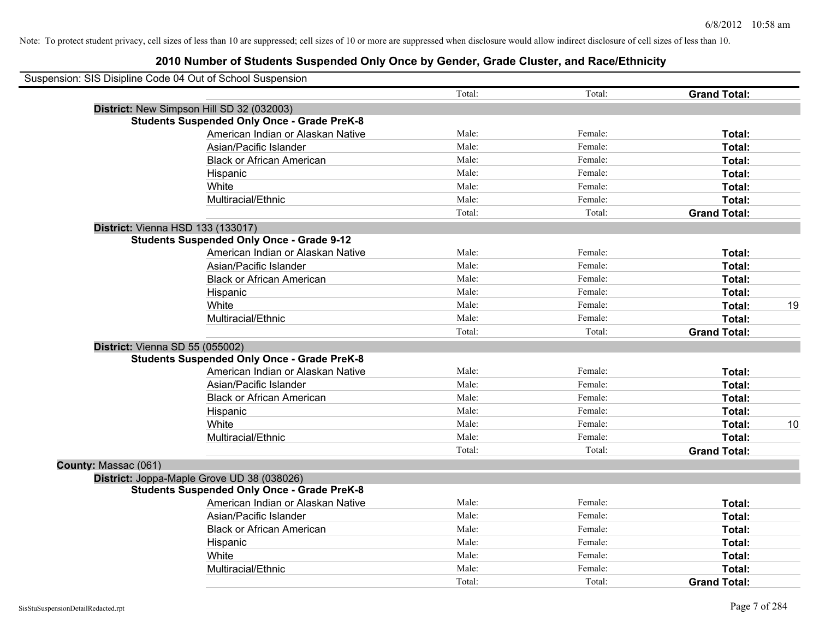| Suspension: SIS Disipline Code 04 Out of School Suspension |                                   |        |         |                     |    |
|------------------------------------------------------------|-----------------------------------|--------|---------|---------------------|----|
|                                                            |                                   | Total: | Total:  | <b>Grand Total:</b> |    |
| District: New Simpson Hill SD 32 (032003)                  |                                   |        |         |                     |    |
| <b>Students Suspended Only Once - Grade PreK-8</b>         |                                   |        |         |                     |    |
|                                                            | American Indian or Alaskan Native | Male:  | Female: | Total:              |    |
| Asian/Pacific Islander                                     |                                   | Male:  | Female: | Total:              |    |
|                                                            | <b>Black or African American</b>  | Male:  | Female: | Total:              |    |
| Hispanic                                                   |                                   | Male:  | Female: | Total:              |    |
| White                                                      |                                   | Male:  | Female: | Total:              |    |
| Multiracial/Ethnic                                         |                                   | Male:  | Female: | Total:              |    |
|                                                            |                                   | Total: | Total:  | <b>Grand Total:</b> |    |
| District: Vienna HSD 133 (133017)                          |                                   |        |         |                     |    |
| <b>Students Suspended Only Once - Grade 9-12</b>           |                                   |        |         |                     |    |
|                                                            | American Indian or Alaskan Native | Male:  | Female: | Total:              |    |
| Asian/Pacific Islander                                     |                                   | Male:  | Female: | Total:              |    |
|                                                            | <b>Black or African American</b>  | Male:  | Female: | Total:              |    |
| Hispanic                                                   |                                   | Male:  | Female: | Total:              |    |
| White                                                      |                                   | Male:  | Female: | Total:              | 19 |
| Multiracial/Ethnic                                         |                                   | Male:  | Female: | Total:              |    |
|                                                            |                                   | Total: | Total:  | <b>Grand Total:</b> |    |
| District: Vienna SD 55 (055002)                            |                                   |        |         |                     |    |
| <b>Students Suspended Only Once - Grade PreK-8</b>         |                                   |        |         |                     |    |
|                                                            | American Indian or Alaskan Native | Male:  | Female: | Total:              |    |
| Asian/Pacific Islander                                     |                                   | Male:  | Female: | Total:              |    |
|                                                            | <b>Black or African American</b>  | Male:  | Female: | Total:              |    |
| Hispanic                                                   |                                   | Male:  | Female: | Total:              |    |
| White                                                      |                                   | Male:  | Female: | Total:              | 10 |
| Multiracial/Ethnic                                         |                                   | Male:  | Female: | Total:              |    |
|                                                            |                                   | Total: | Total:  | <b>Grand Total:</b> |    |
| County: Massac (061)                                       |                                   |        |         |                     |    |
| District: Joppa-Maple Grove UD 38 (038026)                 |                                   |        |         |                     |    |
| <b>Students Suspended Only Once - Grade PreK-8</b>         |                                   |        |         |                     |    |
|                                                            | American Indian or Alaskan Native | Male:  | Female: | Total:              |    |
| Asian/Pacific Islander                                     |                                   | Male:  | Female: | Total:              |    |
|                                                            | <b>Black or African American</b>  | Male:  | Female: | Total:              |    |
| Hispanic                                                   |                                   | Male:  | Female: | Total:              |    |
| White                                                      |                                   | Male:  | Female: | Total:              |    |
| Multiracial/Ethnic                                         |                                   | Male:  | Female: | Total:              |    |
|                                                            |                                   | Total: | Total:  | <b>Grand Total:</b> |    |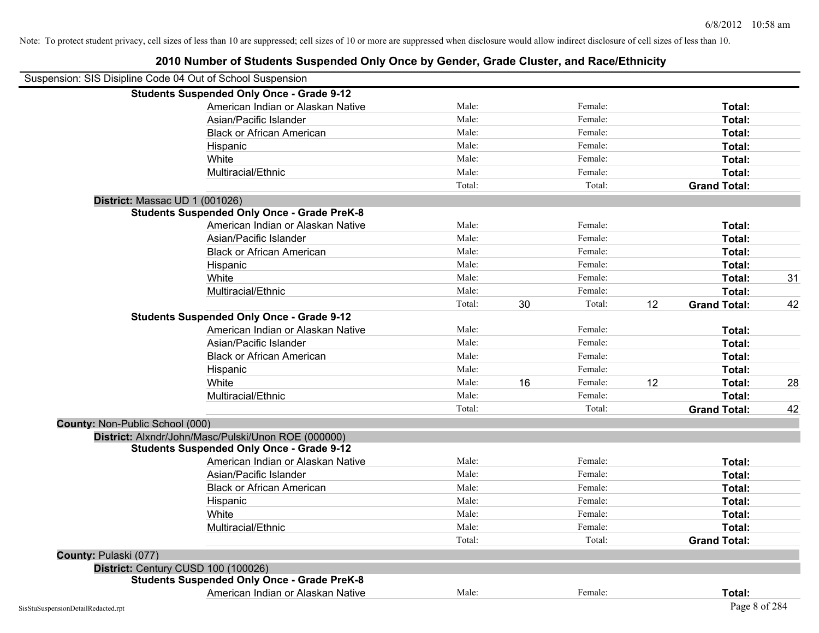| 2010 Number of Students Suspended Only Once by Gender, Grade Cluster, and Race/Ethnicity |  |
|------------------------------------------------------------------------------------------|--|
|------------------------------------------------------------------------------------------|--|

|                                 | Suspension: SIS Disipline Code 04 Out of School Suspension |        |    |         |    |                     |    |
|---------------------------------|------------------------------------------------------------|--------|----|---------|----|---------------------|----|
|                                 | <b>Students Suspended Only Once - Grade 9-12</b>           |        |    |         |    |                     |    |
|                                 | American Indian or Alaskan Native                          | Male:  |    | Female: |    | Total:              |    |
|                                 | Asian/Pacific Islander                                     | Male:  |    | Female: |    | Total:              |    |
|                                 | <b>Black or African American</b>                           | Male:  |    | Female: |    | Total:              |    |
|                                 | Hispanic                                                   | Male:  |    | Female: |    | Total:              |    |
|                                 | White                                                      | Male:  |    | Female: |    | Total:              |    |
|                                 | Multiracial/Ethnic                                         | Male:  |    | Female: |    | Total:              |    |
|                                 |                                                            | Total: |    | Total:  |    | <b>Grand Total:</b> |    |
|                                 | District: Massac UD 1 (001026)                             |        |    |         |    |                     |    |
|                                 | <b>Students Suspended Only Once - Grade PreK-8</b>         |        |    |         |    |                     |    |
|                                 | American Indian or Alaskan Native                          | Male:  |    | Female: |    | Total:              |    |
|                                 | Asian/Pacific Islander                                     | Male:  |    | Female: |    | Total:              |    |
|                                 | <b>Black or African American</b>                           | Male:  |    | Female: |    | Total:              |    |
|                                 | Hispanic                                                   | Male:  |    | Female: |    | Total:              |    |
|                                 | White                                                      | Male:  |    | Female: |    | Total:              | 31 |
|                                 | Multiracial/Ethnic                                         | Male:  |    | Female: |    | Total:              |    |
|                                 |                                                            | Total: | 30 | Total:  | 12 | <b>Grand Total:</b> | 42 |
|                                 | <b>Students Suspended Only Once - Grade 9-12</b>           |        |    |         |    |                     |    |
|                                 | American Indian or Alaskan Native                          | Male:  |    | Female: |    | Total:              |    |
|                                 | Asian/Pacific Islander                                     | Male:  |    | Female: |    | Total:              |    |
|                                 | <b>Black or African American</b>                           | Male:  |    | Female: |    | Total:              |    |
|                                 | Hispanic                                                   | Male:  |    | Female: |    | Total:              |    |
|                                 | White                                                      | Male:  | 16 | Female: | 12 | Total:              | 28 |
|                                 | Multiracial/Ethnic                                         | Male:  |    | Female: |    | Total:              |    |
|                                 |                                                            | Total: |    | Total:  |    | <b>Grand Total:</b> | 42 |
| County: Non-Public School (000) |                                                            |        |    |         |    |                     |    |
|                                 | District: Alxndr/John/Masc/Pulski/Unon ROE (000000)        |        |    |         |    |                     |    |
|                                 | <b>Students Suspended Only Once - Grade 9-12</b>           |        |    |         |    |                     |    |
|                                 | American Indian or Alaskan Native                          | Male:  |    | Female: |    | Total:              |    |
|                                 | Asian/Pacific Islander                                     | Male:  |    | Female: |    | Total:              |    |
|                                 | <b>Black or African American</b>                           | Male:  |    | Female: |    | Total:              |    |
|                                 | Hispanic                                                   | Male:  |    | Female: |    | Total:              |    |
|                                 | White                                                      | Male:  |    | Female: |    | Total:              |    |
|                                 | Multiracial/Ethnic                                         | Male:  |    | Female: |    | Total:              |    |
|                                 |                                                            | Total: |    | Total:  |    | <b>Grand Total:</b> |    |
| County: Pulaski (077)           |                                                            |        |    |         |    |                     |    |
|                                 | District: Century CUSD 100 (100026)                        |        |    |         |    |                     |    |
|                                 | <b>Students Suspended Only Once - Grade PreK-8</b>         |        |    |         |    |                     |    |
|                                 | American Indian or Alaskan Native                          | Male:  |    | Female: |    | Total:              |    |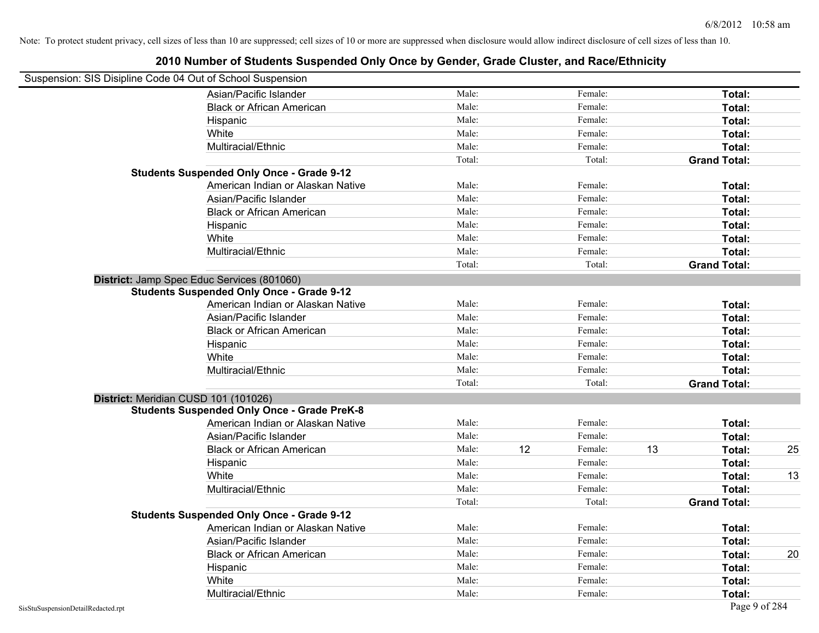| Suspension: SIS Disipline Code 04 Out of School Suspension |        |    |         |    |                     |    |
|------------------------------------------------------------|--------|----|---------|----|---------------------|----|
| Asian/Pacific Islander                                     | Male:  |    | Female: |    | Total:              |    |
| <b>Black or African American</b>                           | Male:  |    | Female: |    | Total:              |    |
| Hispanic                                                   | Male:  |    | Female: |    | Total:              |    |
| White                                                      | Male:  |    | Female: |    | Total:              |    |
| Multiracial/Ethnic                                         | Male:  |    | Female: |    | Total:              |    |
|                                                            | Total: |    | Total:  |    | <b>Grand Total:</b> |    |
| <b>Students Suspended Only Once - Grade 9-12</b>           |        |    |         |    |                     |    |
| American Indian or Alaskan Native                          | Male:  |    | Female: |    | Total:              |    |
| Asian/Pacific Islander                                     | Male:  |    | Female: |    | Total:              |    |
| <b>Black or African American</b>                           | Male:  |    | Female: |    | Total:              |    |
| Hispanic                                                   | Male:  |    | Female: |    | Total:              |    |
| White                                                      | Male:  |    | Female: |    | Total:              |    |
| Multiracial/Ethnic                                         | Male:  |    | Female: |    | Total:              |    |
|                                                            | Total: |    | Total:  |    | <b>Grand Total:</b> |    |
| District: Jamp Spec Educ Services (801060)                 |        |    |         |    |                     |    |
| <b>Students Suspended Only Once - Grade 9-12</b>           |        |    |         |    |                     |    |
| American Indian or Alaskan Native                          | Male:  |    | Female: |    | Total:              |    |
| Asian/Pacific Islander                                     | Male:  |    | Female: |    | Total:              |    |
| <b>Black or African American</b>                           | Male:  |    | Female: |    | Total:              |    |
| Hispanic                                                   | Male:  |    | Female: |    | Total:              |    |
| White                                                      | Male:  |    | Female: |    | Total:              |    |
| Multiracial/Ethnic                                         | Male:  |    | Female: |    | Total:              |    |
|                                                            | Total: |    | Total:  |    | <b>Grand Total:</b> |    |
| District: Meridian CUSD 101 (101026)                       |        |    |         |    |                     |    |
| <b>Students Suspended Only Once - Grade PreK-8</b>         |        |    |         |    |                     |    |
| American Indian or Alaskan Native                          | Male:  |    | Female: |    | Total:              |    |
| Asian/Pacific Islander                                     | Male:  |    | Female: |    | Total:              |    |
| <b>Black or African American</b>                           | Male:  | 12 | Female: | 13 | Total:              | 25 |
| Hispanic                                                   | Male:  |    | Female: |    | Total:              |    |
| White                                                      | Male:  |    | Female: |    | Total:              | 13 |
| Multiracial/Ethnic                                         | Male:  |    | Female: |    | Total:              |    |
|                                                            | Total: |    | Total:  |    | <b>Grand Total:</b> |    |
| <b>Students Suspended Only Once - Grade 9-12</b>           |        |    |         |    |                     |    |
| American Indian or Alaskan Native                          | Male:  |    | Female: |    | Total:              |    |
| Asian/Pacific Islander                                     | Male:  |    | Female: |    | Total:              |    |
| <b>Black or African American</b>                           | Male:  |    | Female: |    | Total:              | 20 |
| Hispanic                                                   | Male:  |    | Female: |    | Total:              |    |
| White                                                      | Male:  |    | Female: |    | Total:              |    |
| Multiracial/Ethnic                                         | Male:  |    | Female: |    | Total:              |    |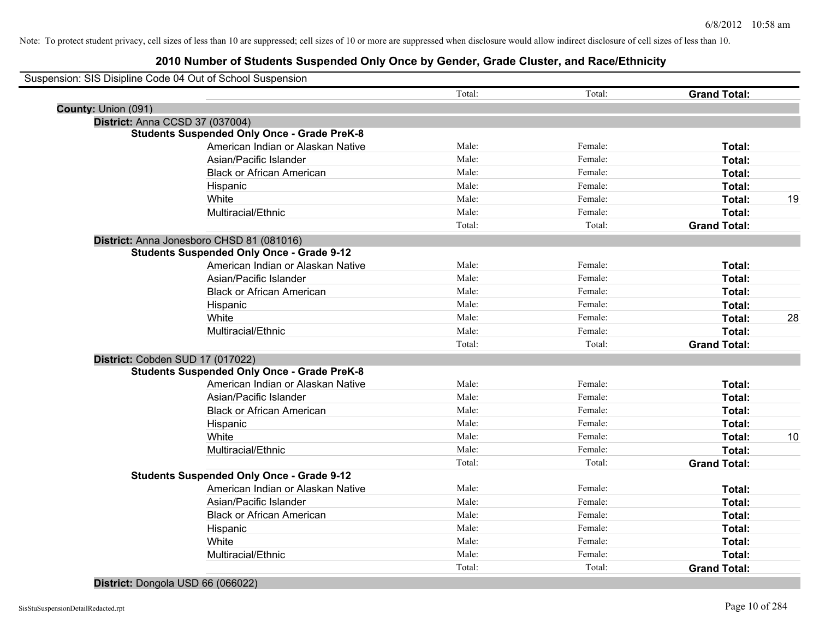|                                 | Suspension: SIS Disipline Code 04 Out of School Suspension |        |         |                     |    |
|---------------------------------|------------------------------------------------------------|--------|---------|---------------------|----|
|                                 |                                                            | Total: | Total:  | <b>Grand Total:</b> |    |
| County: Union (091)             |                                                            |        |         |                     |    |
| District: Anna CCSD 37 (037004) |                                                            |        |         |                     |    |
|                                 | <b>Students Suspended Only Once - Grade PreK-8</b>         |        |         |                     |    |
|                                 | American Indian or Alaskan Native                          | Male:  | Female: | Total:              |    |
|                                 | Asian/Pacific Islander                                     | Male:  | Female: | Total:              |    |
|                                 | <b>Black or African American</b>                           | Male:  | Female: | Total:              |    |
|                                 | Hispanic                                                   | Male:  | Female: | Total:              |    |
|                                 | White                                                      | Male:  | Female: | Total:              | 19 |
|                                 | Multiracial/Ethnic                                         | Male:  | Female: | Total:              |    |
|                                 |                                                            | Total: | Total:  | <b>Grand Total:</b> |    |
|                                 | District: Anna Jonesboro CHSD 81 (081016)                  |        |         |                     |    |
|                                 | <b>Students Suspended Only Once - Grade 9-12</b>           |        |         |                     |    |
|                                 | American Indian or Alaskan Native                          | Male:  | Female: | Total:              |    |
|                                 | Asian/Pacific Islander                                     | Male:  | Female: | Total:              |    |
|                                 | <b>Black or African American</b>                           | Male:  | Female: | Total:              |    |
|                                 | Hispanic                                                   | Male:  | Female: | Total:              |    |
|                                 | White                                                      | Male:  | Female: | Total:              | 28 |
|                                 | Multiracial/Ethnic                                         | Male:  | Female: | Total:              |    |
|                                 |                                                            | Total: | Total:  | <b>Grand Total:</b> |    |
|                                 | District: Cobden SUD 17 (017022)                           |        |         |                     |    |
|                                 | <b>Students Suspended Only Once - Grade PreK-8</b>         |        |         |                     |    |
|                                 | American Indian or Alaskan Native                          | Male:  | Female: | Total:              |    |
|                                 | Asian/Pacific Islander                                     | Male:  | Female: | Total:              |    |
|                                 | <b>Black or African American</b>                           | Male:  | Female: | Total:              |    |
|                                 | Hispanic                                                   | Male:  | Female: | Total:              |    |
|                                 | White                                                      | Male:  | Female: | Total:              | 10 |
|                                 | Multiracial/Ethnic                                         | Male:  | Female: | Total:              |    |
|                                 |                                                            | Total: | Total:  | <b>Grand Total:</b> |    |
|                                 | <b>Students Suspended Only Once - Grade 9-12</b>           |        |         |                     |    |
|                                 | American Indian or Alaskan Native                          | Male:  | Female: | Total:              |    |
|                                 | Asian/Pacific Islander                                     | Male:  | Female: | Total:              |    |
|                                 | <b>Black or African American</b>                           | Male:  | Female: | Total:              |    |
|                                 | Hispanic                                                   | Male:  | Female: | Total:              |    |
|                                 | White                                                      | Male:  | Female: | Total:              |    |
|                                 | Multiracial/Ethnic                                         | Male:  | Female: | Total:              |    |
|                                 |                                                            | Total: | Total:  | <b>Grand Total:</b> |    |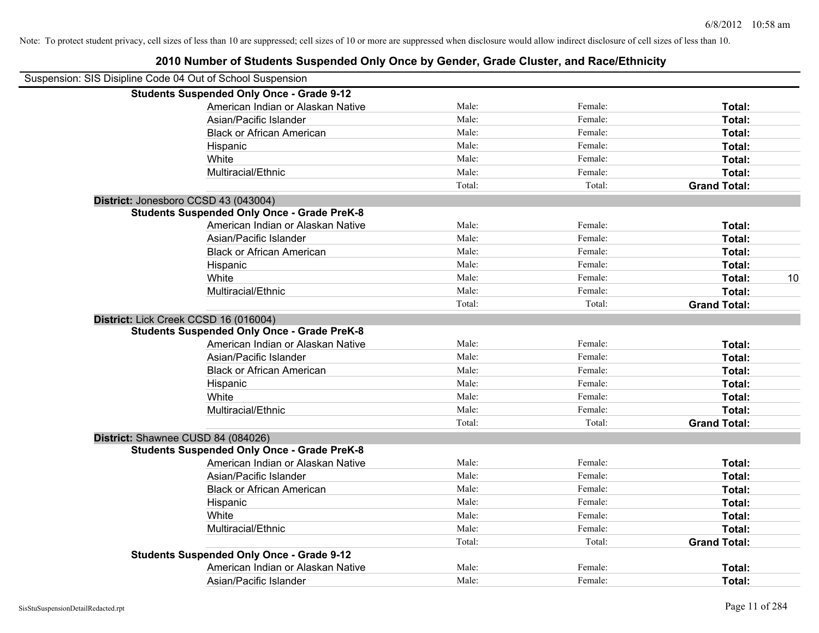| Suspension: SIS Disipline Code 04 Out of School Suspension |                                                    |        |         |                     |    |
|------------------------------------------------------------|----------------------------------------------------|--------|---------|---------------------|----|
|                                                            | <b>Students Suspended Only Once - Grade 9-12</b>   |        |         |                     |    |
|                                                            | American Indian or Alaskan Native                  | Male:  | Female: | Total:              |    |
|                                                            | Asian/Pacific Islander                             | Male:  | Female: | Total:              |    |
|                                                            | <b>Black or African American</b>                   | Male:  | Female: | Total:              |    |
|                                                            | Hispanic                                           | Male:  | Female: | Total:              |    |
|                                                            | White                                              | Male:  | Female: | Total:              |    |
|                                                            | Multiracial/Ethnic                                 | Male:  | Female: | Total:              |    |
|                                                            |                                                    | Total: | Total:  | <b>Grand Total:</b> |    |
| District: Jonesboro CCSD 43 (043004)                       |                                                    |        |         |                     |    |
|                                                            | <b>Students Suspended Only Once - Grade PreK-8</b> |        |         |                     |    |
|                                                            | American Indian or Alaskan Native                  | Male:  | Female: | Total:              |    |
|                                                            | Asian/Pacific Islander                             | Male:  | Female: | Total:              |    |
|                                                            | <b>Black or African American</b>                   | Male:  | Female: | Total:              |    |
|                                                            | Hispanic                                           | Male:  | Female: | Total:              |    |
|                                                            | White                                              | Male:  | Female: | Total:              | 10 |
|                                                            | Multiracial/Ethnic                                 | Male:  | Female: | Total:              |    |
|                                                            |                                                    | Total: | Total:  | <b>Grand Total:</b> |    |
| District: Lick Creek CCSD 16 (016004)                      |                                                    |        |         |                     |    |
|                                                            | <b>Students Suspended Only Once - Grade PreK-8</b> |        |         |                     |    |
|                                                            | American Indian or Alaskan Native                  | Male:  | Female: | Total:              |    |
|                                                            | Asian/Pacific Islander                             | Male:  | Female: | Total:              |    |
|                                                            | <b>Black or African American</b>                   | Male:  | Female: | Total:              |    |
|                                                            | Hispanic                                           | Male:  | Female: | Total:              |    |
|                                                            | White                                              | Male:  | Female: | Total:              |    |
|                                                            | Multiracial/Ethnic                                 | Male:  | Female: | Total:              |    |
|                                                            |                                                    | Total: | Total:  | <b>Grand Total:</b> |    |
| District: Shawnee CUSD 84 (084026)                         |                                                    |        |         |                     |    |
|                                                            | <b>Students Suspended Only Once - Grade PreK-8</b> |        |         |                     |    |
|                                                            | American Indian or Alaskan Native                  | Male:  | Female: | Total:              |    |
|                                                            | Asian/Pacific Islander                             | Male:  | Female: | Total:              |    |
|                                                            | <b>Black or African American</b>                   | Male:  | Female: | Total:              |    |
|                                                            | Hispanic                                           | Male:  | Female: | Total:              |    |
|                                                            | White                                              | Male:  | Female: | Total:              |    |
|                                                            | Multiracial/Ethnic                                 | Male:  | Female: | Total:              |    |
|                                                            |                                                    | Total: | Total:  | <b>Grand Total:</b> |    |
|                                                            | <b>Students Suspended Only Once - Grade 9-12</b>   |        |         |                     |    |
|                                                            | American Indian or Alaskan Native                  | Male:  | Female: | Total:              |    |
|                                                            | Asian/Pacific Islander                             | Male:  | Female: | Total:              |    |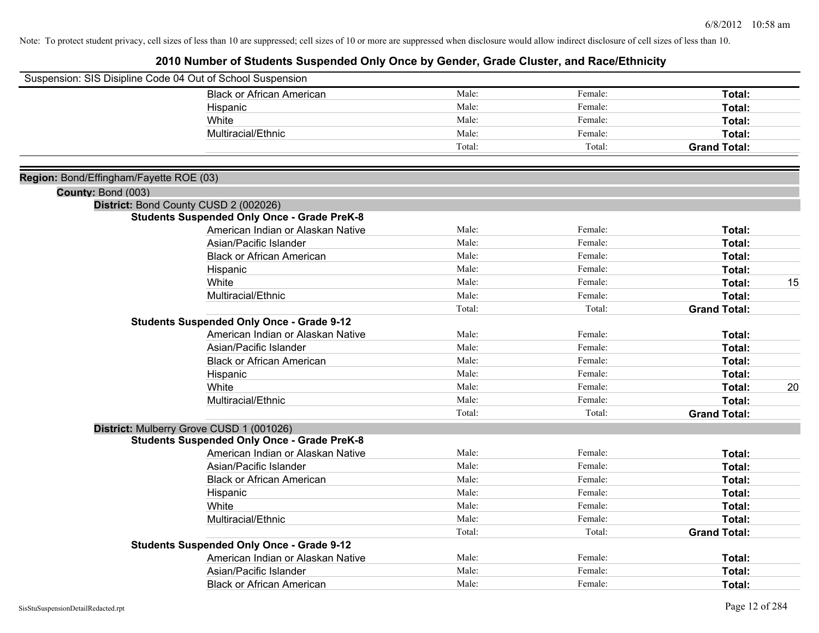|                                         | Suspension: SIS Disipline Code 04 Out of School Suspension |        |         |                     |    |
|-----------------------------------------|------------------------------------------------------------|--------|---------|---------------------|----|
|                                         | <b>Black or African American</b>                           | Male:  | Female: | Total:              |    |
|                                         | Hispanic                                                   | Male:  | Female: | Total:              |    |
|                                         | White                                                      | Male:  | Female: | Total:              |    |
|                                         | Multiracial/Ethnic                                         | Male:  | Female: | Total:              |    |
|                                         |                                                            | Total: | Total:  | <b>Grand Total:</b> |    |
| Region: Bond/Effingham/Fayette ROE (03) |                                                            |        |         |                     |    |
| County: Bond (003)                      |                                                            |        |         |                     |    |
|                                         | District: Bond County CUSD 2 (002026)                      |        |         |                     |    |
|                                         | <b>Students Suspended Only Once - Grade PreK-8</b>         |        |         |                     |    |
|                                         | American Indian or Alaskan Native                          | Male:  | Female: | Total:              |    |
|                                         | Asian/Pacific Islander                                     | Male:  | Female: | Total:              |    |
|                                         | <b>Black or African American</b>                           | Male:  | Female: | Total:              |    |
|                                         | Hispanic                                                   | Male:  | Female: | Total:              |    |
|                                         | White                                                      | Male:  | Female: | Total:              | 15 |
|                                         | Multiracial/Ethnic                                         | Male:  | Female: | Total:              |    |
|                                         |                                                            | Total: | Total:  | <b>Grand Total:</b> |    |
|                                         | <b>Students Suspended Only Once - Grade 9-12</b>           |        |         |                     |    |
|                                         | American Indian or Alaskan Native                          | Male:  | Female: | Total:              |    |
|                                         | Asian/Pacific Islander                                     | Male:  | Female: | Total:              |    |
|                                         | <b>Black or African American</b>                           | Male:  | Female: | Total:              |    |
|                                         | Hispanic                                                   | Male:  | Female: | Total:              |    |
|                                         | White                                                      | Male:  | Female: | Total:              | 20 |
|                                         | Multiracial/Ethnic                                         | Male:  | Female: | Total:              |    |
|                                         |                                                            | Total: | Total:  | <b>Grand Total:</b> |    |
|                                         | District: Mulberry Grove CUSD 1 (001026)                   |        |         |                     |    |
|                                         | <b>Students Suspended Only Once - Grade PreK-8</b>         |        |         |                     |    |
|                                         | American Indian or Alaskan Native                          | Male:  | Female: | Total:              |    |
|                                         | Asian/Pacific Islander                                     | Male:  | Female: | Total:              |    |
|                                         | <b>Black or African American</b>                           | Male:  | Female: | Total:              |    |
|                                         | Hispanic                                                   | Male:  | Female: | Total:              |    |
|                                         | White                                                      | Male:  | Female: | Total:              |    |
|                                         | Multiracial/Ethnic                                         | Male:  | Female: | Total:              |    |
|                                         |                                                            | Total: | Total:  | <b>Grand Total:</b> |    |
|                                         | <b>Students Suspended Only Once - Grade 9-12</b>           |        |         |                     |    |
|                                         | American Indian or Alaskan Native                          | Male:  | Female: | Total:              |    |
|                                         | Asian/Pacific Islander                                     | Male:  | Female: | Total:              |    |
|                                         | <b>Black or African American</b>                           | Male:  | Female: | Total:              |    |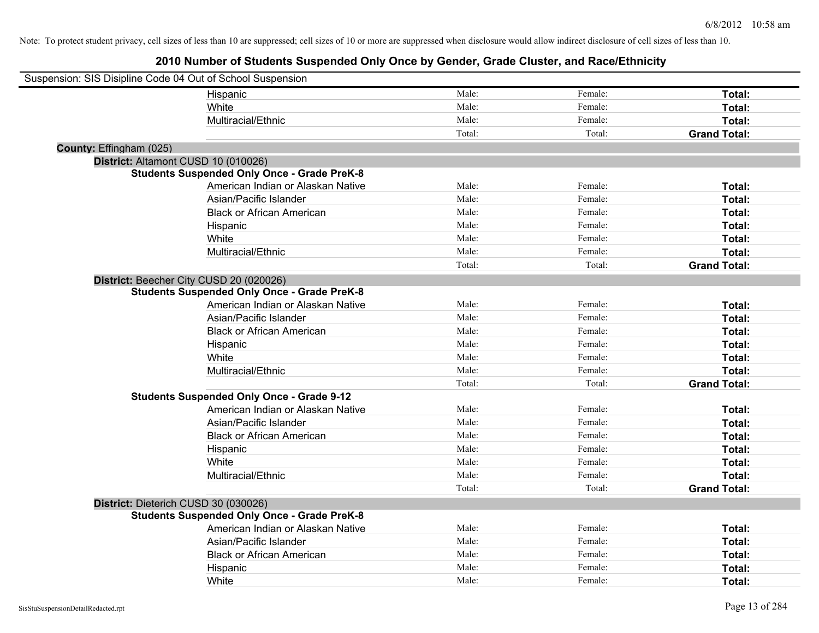| Suspension: SIS Disipline Code 04 Out of School Suspension |                                                    |        |         |                     |
|------------------------------------------------------------|----------------------------------------------------|--------|---------|---------------------|
|                                                            | Hispanic                                           | Male:  | Female: | Total:              |
|                                                            | White                                              | Male:  | Female: | Total:              |
|                                                            | Multiracial/Ethnic                                 | Male:  | Female: | Total:              |
|                                                            |                                                    | Total: | Total:  | <b>Grand Total:</b> |
| County: Effingham (025)                                    |                                                    |        |         |                     |
| District: Altamont CUSD 10 (010026)                        |                                                    |        |         |                     |
|                                                            | <b>Students Suspended Only Once - Grade PreK-8</b> |        |         |                     |
|                                                            | American Indian or Alaskan Native                  | Male:  | Female: | Total:              |
|                                                            | Asian/Pacific Islander                             | Male:  | Female: | Total:              |
|                                                            | <b>Black or African American</b>                   | Male:  | Female: | Total:              |
|                                                            | Hispanic                                           | Male:  | Female: | Total:              |
|                                                            | White                                              | Male:  | Female: | Total:              |
|                                                            | Multiracial/Ethnic                                 | Male:  | Female: | Total:              |
|                                                            |                                                    | Total: | Total:  | <b>Grand Total:</b> |
| District: Beecher City CUSD 20 (020026)                    |                                                    |        |         |                     |
|                                                            | <b>Students Suspended Only Once - Grade PreK-8</b> |        |         |                     |
|                                                            | American Indian or Alaskan Native                  | Male:  | Female: | Total:              |
|                                                            | Asian/Pacific Islander                             | Male:  | Female: | Total:              |
|                                                            | <b>Black or African American</b>                   | Male:  | Female: | Total:              |
|                                                            | Hispanic                                           | Male:  | Female: | Total:              |
|                                                            | White                                              | Male:  | Female: | Total:              |
|                                                            | Multiracial/Ethnic                                 | Male:  | Female: | Total:              |
|                                                            |                                                    | Total: | Total:  | <b>Grand Total:</b> |
|                                                            | <b>Students Suspended Only Once - Grade 9-12</b>   |        |         |                     |
|                                                            | American Indian or Alaskan Native                  | Male:  | Female: | Total:              |
|                                                            | Asian/Pacific Islander                             | Male:  | Female: | Total:              |
|                                                            | <b>Black or African American</b>                   | Male:  | Female: | Total:              |
|                                                            | Hispanic                                           | Male:  | Female: | Total:              |
|                                                            | White                                              | Male:  | Female: | Total:              |
|                                                            | Multiracial/Ethnic                                 | Male:  | Female: | Total:              |
|                                                            |                                                    | Total: | Total:  | <b>Grand Total:</b> |
| District: Dieterich CUSD 30 (030026)                       |                                                    |        |         |                     |
|                                                            | <b>Students Suspended Only Once - Grade PreK-8</b> |        |         |                     |
|                                                            | American Indian or Alaskan Native                  | Male:  | Female: | Total:              |
|                                                            | Asian/Pacific Islander                             | Male:  | Female: | Total:              |
|                                                            | <b>Black or African American</b>                   | Male:  | Female: | Total:              |
|                                                            | Hispanic                                           | Male:  | Female: | Total:              |
|                                                            | White                                              | Male:  | Female: | Total:              |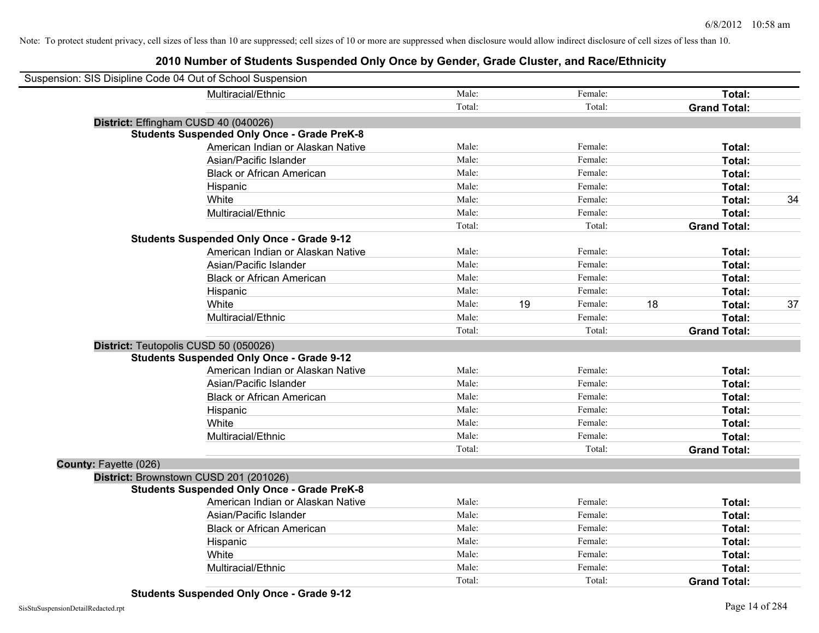| Suspension: SIS Disipline Code 04 Out of School Suspension |                                                    |        |    |         |    |                     |    |
|------------------------------------------------------------|----------------------------------------------------|--------|----|---------|----|---------------------|----|
|                                                            | Multiracial/Ethnic                                 | Male:  |    | Female: |    | Total:              |    |
|                                                            |                                                    | Total: |    | Total:  |    | <b>Grand Total:</b> |    |
| District: Effingham CUSD 40 (040026)                       |                                                    |        |    |         |    |                     |    |
|                                                            | <b>Students Suspended Only Once - Grade PreK-8</b> |        |    |         |    |                     |    |
|                                                            | American Indian or Alaskan Native                  | Male:  |    | Female: |    | Total:              |    |
|                                                            | Asian/Pacific Islander                             | Male:  |    | Female: |    | Total:              |    |
|                                                            | <b>Black or African American</b>                   | Male:  |    | Female: |    | Total:              |    |
|                                                            | Hispanic                                           | Male:  |    | Female: |    | Total:              |    |
| White                                                      |                                                    | Male:  |    | Female: |    | Total:              | 34 |
|                                                            | Multiracial/Ethnic                                 | Male:  |    | Female: |    | Total:              |    |
|                                                            |                                                    | Total: |    | Total:  |    | <b>Grand Total:</b> |    |
|                                                            | <b>Students Suspended Only Once - Grade 9-12</b>   |        |    |         |    |                     |    |
|                                                            | American Indian or Alaskan Native                  | Male:  |    | Female: |    | Total:              |    |
|                                                            | Asian/Pacific Islander                             | Male:  |    | Female: |    | Total:              |    |
|                                                            | <b>Black or African American</b>                   | Male:  |    | Female: |    | Total:              |    |
|                                                            | Hispanic                                           | Male:  |    | Female: |    | Total:              |    |
| White                                                      |                                                    | Male:  | 19 | Female: | 18 | Total:              | 37 |
|                                                            | Multiracial/Ethnic                                 | Male:  |    | Female: |    | Total:              |    |
|                                                            |                                                    | Total: |    | Total:  |    | <b>Grand Total:</b> |    |
| District: Teutopolis CUSD 50 (050026)                      |                                                    |        |    |         |    |                     |    |
|                                                            | <b>Students Suspended Only Once - Grade 9-12</b>   |        |    |         |    |                     |    |
|                                                            | American Indian or Alaskan Native                  | Male:  |    | Female: |    | Total:              |    |
|                                                            | Asian/Pacific Islander                             | Male:  |    | Female: |    | Total:              |    |
|                                                            | <b>Black or African American</b>                   | Male:  |    | Female: |    | Total:              |    |
|                                                            | Hispanic                                           | Male:  |    | Female: |    | Total:              |    |
| White                                                      |                                                    | Male:  |    | Female: |    | Total:              |    |
|                                                            | Multiracial/Ethnic                                 | Male:  |    | Female: |    | Total:              |    |
|                                                            |                                                    | Total: |    | Total:  |    | <b>Grand Total:</b> |    |
| County: Fayette (026)                                      |                                                    |        |    |         |    |                     |    |
| District: Brownstown CUSD 201 (201026)                     |                                                    |        |    |         |    |                     |    |
|                                                            | <b>Students Suspended Only Once - Grade PreK-8</b> |        |    |         |    |                     |    |
|                                                            | American Indian or Alaskan Native                  | Male:  |    | Female: |    | Total:              |    |
|                                                            | Asian/Pacific Islander                             | Male:  |    | Female: |    | Total:              |    |
|                                                            | <b>Black or African American</b>                   | Male:  |    | Female: |    | Total:              |    |
|                                                            | Hispanic                                           | Male:  |    | Female: |    | Total:              |    |
| White                                                      |                                                    | Male:  |    | Female: |    | Total:              |    |
|                                                            | Multiracial/Ethnic                                 | Male:  |    | Female: |    | Total:              |    |
|                                                            |                                                    | Total: |    | Total:  |    | <b>Grand Total:</b> |    |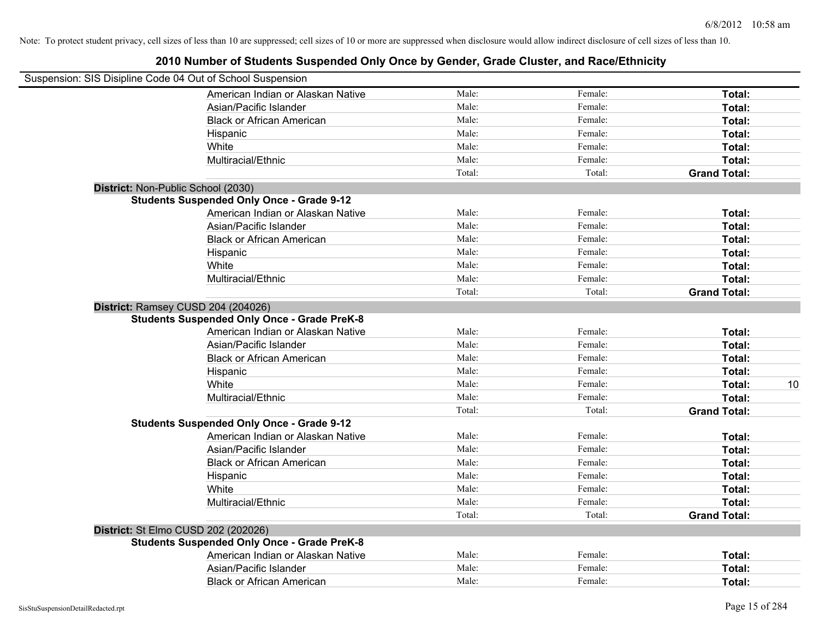| Suspension: SIS Disipline Code 04 Out of School Suspension |        |         |                     |    |
|------------------------------------------------------------|--------|---------|---------------------|----|
| American Indian or Alaskan Native                          | Male:  | Female: | Total:              |    |
| Asian/Pacific Islander                                     | Male:  | Female: | Total:              |    |
| <b>Black or African American</b>                           | Male:  | Female: | Total:              |    |
| Hispanic                                                   | Male:  | Female: | Total:              |    |
| White                                                      | Male:  | Female: | Total:              |    |
| Multiracial/Ethnic                                         | Male:  | Female: | Total:              |    |
|                                                            | Total: | Total:  | <b>Grand Total:</b> |    |
| District: Non-Public School (2030)                         |        |         |                     |    |
| <b>Students Suspended Only Once - Grade 9-12</b>           |        |         |                     |    |
| American Indian or Alaskan Native                          | Male:  | Female: | Total:              |    |
| Asian/Pacific Islander                                     | Male:  | Female: | Total:              |    |
| <b>Black or African American</b>                           | Male:  | Female: | Total:              |    |
| Hispanic                                                   | Male:  | Female: | Total:              |    |
| White                                                      | Male:  | Female: | Total:              |    |
| Multiracial/Ethnic                                         | Male:  | Female: | Total:              |    |
|                                                            | Total: | Total:  | <b>Grand Total:</b> |    |
| District: Ramsey CUSD 204 (204026)                         |        |         |                     |    |
| <b>Students Suspended Only Once - Grade PreK-8</b>         |        |         |                     |    |
| American Indian or Alaskan Native                          | Male:  | Female: | Total:              |    |
| Asian/Pacific Islander                                     | Male:  | Female: | Total:              |    |
| <b>Black or African American</b>                           | Male:  | Female: | Total:              |    |
| Hispanic                                                   | Male:  | Female: | Total:              |    |
| White                                                      | Male:  | Female: | Total:              | 10 |
| Multiracial/Ethnic                                         | Male:  | Female: | Total:              |    |
|                                                            | Total: | Total:  | <b>Grand Total:</b> |    |
| <b>Students Suspended Only Once - Grade 9-12</b>           |        |         |                     |    |
| American Indian or Alaskan Native                          | Male:  | Female: | Total:              |    |
| Asian/Pacific Islander                                     | Male:  | Female: | Total:              |    |
| <b>Black or African American</b>                           | Male:  | Female: | Total:              |    |
| Hispanic                                                   | Male:  | Female: | Total:              |    |
| White                                                      | Male:  | Female: | Total:              |    |
| Multiracial/Ethnic                                         | Male:  | Female: | Total:              |    |
|                                                            | Total: | Total:  | <b>Grand Total:</b> |    |
| District: St Elmo CUSD 202 (202026)                        |        |         |                     |    |
| <b>Students Suspended Only Once - Grade PreK-8</b>         |        |         |                     |    |
| American Indian or Alaskan Native                          | Male:  | Female: | Total:              |    |
| Asian/Pacific Islander                                     | Male:  | Female: | Total:              |    |
| <b>Black or African American</b>                           | Male:  | Female: | Total:              |    |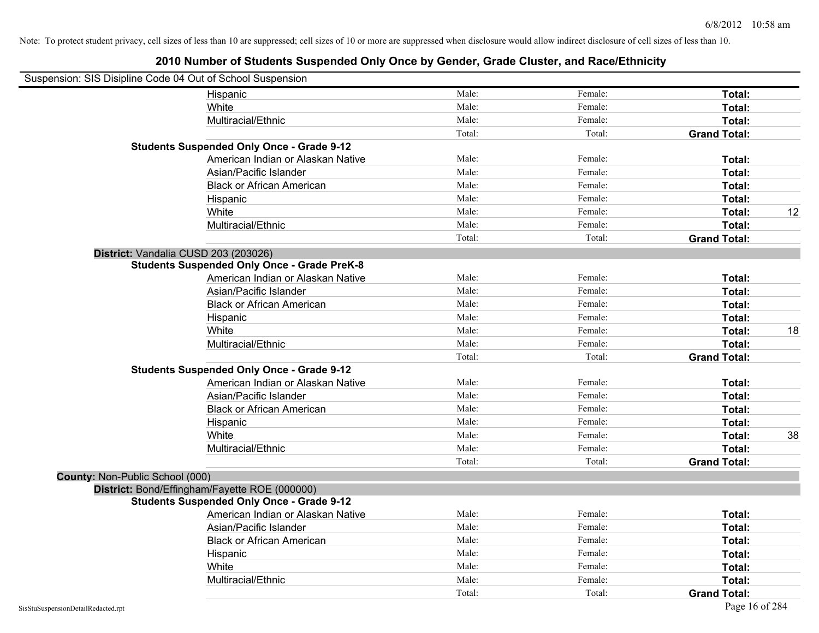|                                 | Suspension: SIS Disipline Code 04 Out of School Suspension |        |         |                     |    |
|---------------------------------|------------------------------------------------------------|--------|---------|---------------------|----|
|                                 | Hispanic                                                   | Male:  | Female: | Total:              |    |
|                                 | White                                                      | Male:  | Female: | Total:              |    |
|                                 | Multiracial/Ethnic                                         | Male:  | Female: | Total:              |    |
|                                 |                                                            | Total: | Total:  | <b>Grand Total:</b> |    |
|                                 | <b>Students Suspended Only Once - Grade 9-12</b>           |        |         |                     |    |
|                                 | American Indian or Alaskan Native                          | Male:  | Female: | Total:              |    |
|                                 | Asian/Pacific Islander                                     | Male:  | Female: | Total:              |    |
|                                 | <b>Black or African American</b>                           | Male:  | Female: | Total:              |    |
|                                 | Hispanic                                                   | Male:  | Female: | Total:              |    |
|                                 | White                                                      | Male:  | Female: | Total:              | 12 |
|                                 | Multiracial/Ethnic                                         | Male:  | Female: | Total:              |    |
|                                 |                                                            | Total: | Total:  | <b>Grand Total:</b> |    |
|                                 | District: Vandalia CUSD 203 (203026)                       |        |         |                     |    |
|                                 | <b>Students Suspended Only Once - Grade PreK-8</b>         |        |         |                     |    |
|                                 | American Indian or Alaskan Native                          | Male:  | Female: | Total:              |    |
|                                 | Asian/Pacific Islander                                     | Male:  | Female: | Total:              |    |
|                                 | <b>Black or African American</b>                           | Male:  | Female: | Total:              |    |
|                                 | Hispanic                                                   | Male:  | Female: | Total:              |    |
|                                 | White                                                      | Male:  | Female: | Total:              | 18 |
|                                 | Multiracial/Ethnic                                         | Male:  | Female: | Total:              |    |
|                                 |                                                            | Total: | Total:  | <b>Grand Total:</b> |    |
|                                 | <b>Students Suspended Only Once - Grade 9-12</b>           |        |         |                     |    |
|                                 | American Indian or Alaskan Native                          | Male:  | Female: | Total:              |    |
|                                 | Asian/Pacific Islander                                     | Male:  | Female: | Total:              |    |
|                                 | <b>Black or African American</b>                           | Male:  | Female: | Total:              |    |
|                                 | Hispanic                                                   | Male:  | Female: | Total:              |    |
|                                 | White                                                      | Male:  | Female: | Total:              | 38 |
|                                 | Multiracial/Ethnic                                         | Male:  | Female: | Total:              |    |
|                                 |                                                            | Total: | Total:  | <b>Grand Total:</b> |    |
| County: Non-Public School (000) |                                                            |        |         |                     |    |
|                                 | District: Bond/Effingham/Fayette ROE (000000)              |        |         |                     |    |
|                                 | <b>Students Suspended Only Once - Grade 9-12</b>           |        |         |                     |    |
|                                 | American Indian or Alaskan Native                          | Male:  | Female: | Total:              |    |
|                                 | Asian/Pacific Islander                                     | Male:  | Female: | Total:              |    |
|                                 | <b>Black or African American</b>                           | Male:  | Female: | Total:              |    |
|                                 | Hispanic                                                   | Male:  | Female: | Total:              |    |
|                                 | White                                                      | Male:  | Female: | Total:              |    |
|                                 | Multiracial/Ethnic                                         | Male:  | Female: | Total:              |    |
|                                 |                                                            | Total: | Total:  | <b>Grand Total:</b> |    |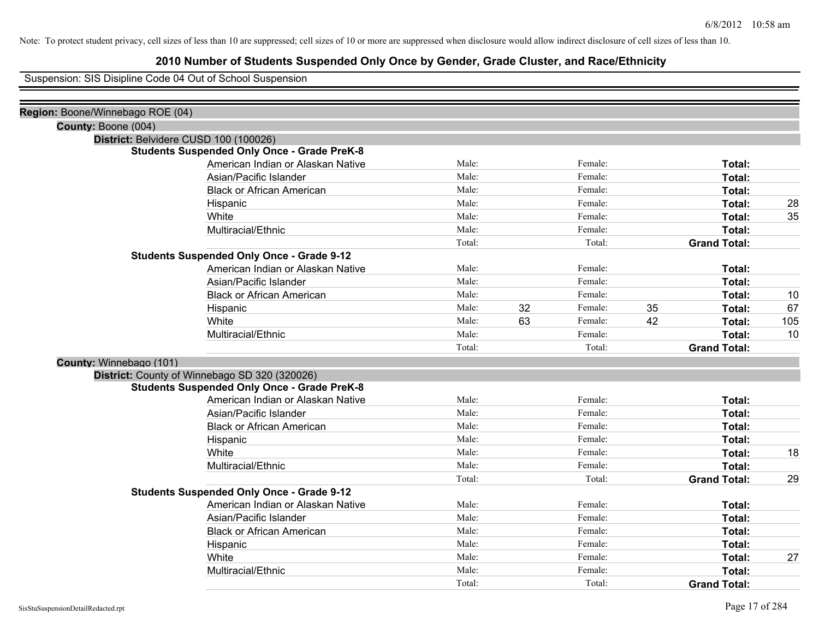#### **2010 Number of Students Suspended Only Once by Gender, Grade Cluster, and Race/Ethnicity**

Suspension: SIS Disipline Code 04 Out of School Suspension

| Region: Boone/Winnebago ROE (04) |                                                    |        |    |         |    |                     |     |
|----------------------------------|----------------------------------------------------|--------|----|---------|----|---------------------|-----|
| County: Boone (004)              |                                                    |        |    |         |    |                     |     |
|                                  | District: Belvidere CUSD 100 (100026)              |        |    |         |    |                     |     |
|                                  | <b>Students Suspended Only Once - Grade PreK-8</b> |        |    |         |    |                     |     |
|                                  | American Indian or Alaskan Native                  | Male:  |    | Female: |    | Total:              |     |
|                                  | Asian/Pacific Islander                             | Male:  |    | Female: |    | Total:              |     |
|                                  | <b>Black or African American</b>                   | Male:  |    | Female: |    | Total:              |     |
|                                  | Hispanic                                           | Male:  |    | Female: |    | Total:              | 28  |
|                                  | White                                              | Male:  |    | Female: |    | Total:              | 35  |
|                                  | Multiracial/Ethnic                                 | Male:  |    | Female: |    | Total:              |     |
|                                  |                                                    | Total: |    | Total:  |    | <b>Grand Total:</b> |     |
|                                  | <b>Students Suspended Only Once - Grade 9-12</b>   |        |    |         |    |                     |     |
|                                  | American Indian or Alaskan Native                  | Male:  |    | Female: |    | Total:              |     |
|                                  | Asian/Pacific Islander                             | Male:  |    | Female: |    | Total:              |     |
|                                  | <b>Black or African American</b>                   | Male:  |    | Female: |    | Total:              | 10  |
|                                  | Hispanic                                           | Male:  | 32 | Female: | 35 | Total:              | 67  |
|                                  | White                                              | Male:  | 63 | Female: | 42 | Total:              | 105 |
|                                  | Multiracial/Ethnic                                 | Male:  |    | Female: |    | Total:              | 10  |
|                                  |                                                    | Total: |    | Total:  |    | <b>Grand Total:</b> |     |
|                                  | County: Winnebago (101)                            |        |    |         |    |                     |     |
|                                  | District: County of Winnebago SD 320 (320026)      |        |    |         |    |                     |     |
|                                  | <b>Students Suspended Only Once - Grade PreK-8</b> |        |    |         |    |                     |     |
|                                  | American Indian or Alaskan Native                  | Male:  |    | Female: |    | Total:              |     |
|                                  | Asian/Pacific Islander                             | Male:  |    | Female: |    | Total:              |     |
|                                  | <b>Black or African American</b>                   | Male:  |    | Female: |    | Total:              |     |
|                                  | Hispanic                                           | Male:  |    | Female: |    | Total:              |     |
|                                  | White                                              | Male:  |    | Female: |    | Total:              | 18  |
|                                  | Multiracial/Ethnic                                 | Male:  |    | Female: |    | Total:              |     |
|                                  |                                                    | Total: |    | Total:  |    | <b>Grand Total:</b> | 29  |
|                                  | <b>Students Suspended Only Once - Grade 9-12</b>   |        |    |         |    |                     |     |
|                                  | American Indian or Alaskan Native                  | Male:  |    | Female: |    | Total:              |     |
|                                  | Asian/Pacific Islander                             | Male:  |    | Female: |    | Total:              |     |
|                                  | <b>Black or African American</b>                   | Male:  |    | Female: |    | Total:              |     |
|                                  | Hispanic                                           | Male:  |    | Female: |    | Total:              |     |
|                                  | White                                              | Male:  |    | Female: |    | Total:              | 27  |
|                                  | Multiracial/Ethnic                                 | Male:  |    | Female: |    | Total:              |     |
|                                  |                                                    | Total: |    | Total:  |    | <b>Grand Total:</b> |     |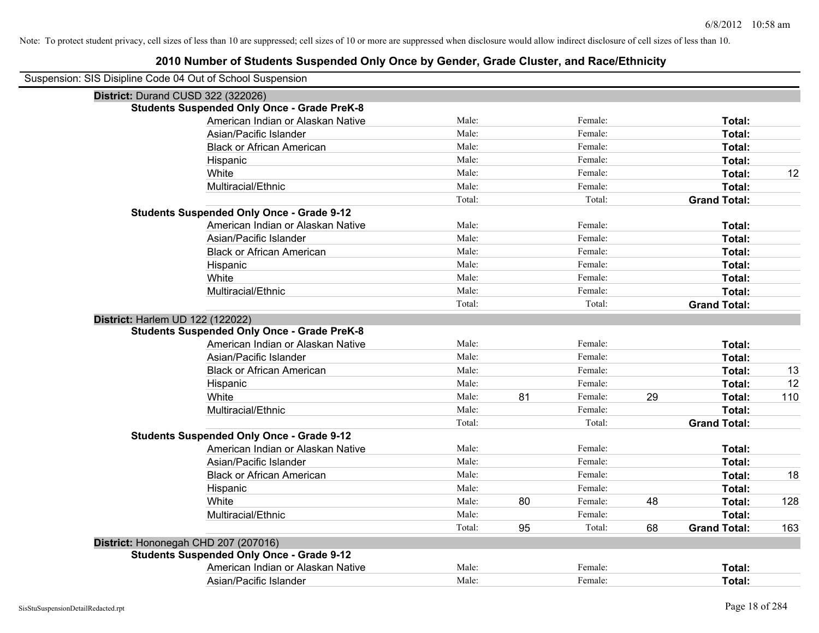| Suspension: SIS Disipline Code 04 Out of School Suspension |                                                    |        |    |         |    |                     |     |
|------------------------------------------------------------|----------------------------------------------------|--------|----|---------|----|---------------------|-----|
|                                                            | District: Durand CUSD 322 (322026)                 |        |    |         |    |                     |     |
|                                                            | <b>Students Suspended Only Once - Grade PreK-8</b> |        |    |         |    |                     |     |
|                                                            | American Indian or Alaskan Native                  | Male:  |    | Female: |    | Total:              |     |
|                                                            | Asian/Pacific Islander                             | Male:  |    | Female: |    | Total:              |     |
|                                                            | <b>Black or African American</b>                   | Male:  |    | Female: |    | Total:              |     |
|                                                            | Hispanic                                           | Male:  |    | Female: |    | Total:              |     |
|                                                            | White                                              | Male:  |    | Female: |    | Total:              | 12  |
|                                                            | Multiracial/Ethnic                                 | Male:  |    | Female: |    | Total:              |     |
|                                                            |                                                    | Total: |    | Total:  |    | <b>Grand Total:</b> |     |
|                                                            | <b>Students Suspended Only Once - Grade 9-12</b>   |        |    |         |    |                     |     |
|                                                            | American Indian or Alaskan Native                  | Male:  |    | Female: |    | Total:              |     |
|                                                            | Asian/Pacific Islander                             | Male:  |    | Female: |    | Total:              |     |
|                                                            | <b>Black or African American</b>                   | Male:  |    | Female: |    | Total:              |     |
|                                                            | Hispanic                                           | Male:  |    | Female: |    | Total:              |     |
|                                                            | White                                              | Male:  |    | Female: |    | Total:              |     |
|                                                            | Multiracial/Ethnic                                 | Male:  |    | Female: |    | Total:              |     |
|                                                            |                                                    | Total: |    | Total:  |    | <b>Grand Total:</b> |     |
|                                                            | District: Harlem UD 122 (122022)                   |        |    |         |    |                     |     |
|                                                            | <b>Students Suspended Only Once - Grade PreK-8</b> |        |    |         |    |                     |     |
|                                                            | American Indian or Alaskan Native                  | Male:  |    | Female: |    | Total:              |     |
|                                                            | Asian/Pacific Islander                             | Male:  |    | Female: |    | Total:              |     |
|                                                            | <b>Black or African American</b>                   | Male:  |    | Female: |    | Total:              | 13  |
|                                                            | Hispanic                                           | Male:  |    | Female: |    | Total:              | 12  |
|                                                            | White                                              | Male:  | 81 | Female: | 29 | Total:              | 110 |
|                                                            | Multiracial/Ethnic                                 | Male:  |    | Female: |    | Total:              |     |
|                                                            |                                                    | Total: |    | Total:  |    | <b>Grand Total:</b> |     |
|                                                            | <b>Students Suspended Only Once - Grade 9-12</b>   |        |    |         |    |                     |     |
|                                                            | American Indian or Alaskan Native                  | Male:  |    | Female: |    | Total:              |     |
|                                                            | Asian/Pacific Islander                             | Male:  |    | Female: |    | Total:              |     |
|                                                            | <b>Black or African American</b>                   | Male:  |    | Female: |    | Total:              | 18  |
|                                                            | Hispanic                                           | Male:  |    | Female: |    | Total:              |     |
|                                                            | White                                              | Male:  | 80 | Female: | 48 | Total:              | 128 |
|                                                            | Multiracial/Ethnic                                 | Male:  |    | Female: |    | Total:              |     |
|                                                            |                                                    | Total: | 95 | Total:  | 68 | <b>Grand Total:</b> | 163 |
|                                                            | District: Hononegah CHD 207 (207016)               |        |    |         |    |                     |     |
|                                                            | <b>Students Suspended Only Once - Grade 9-12</b>   |        |    |         |    |                     |     |
|                                                            | American Indian or Alaskan Native                  | Male:  |    | Female: |    | Total:              |     |
|                                                            | Asian/Pacific Islander                             | Male:  |    | Female: |    | Total:              |     |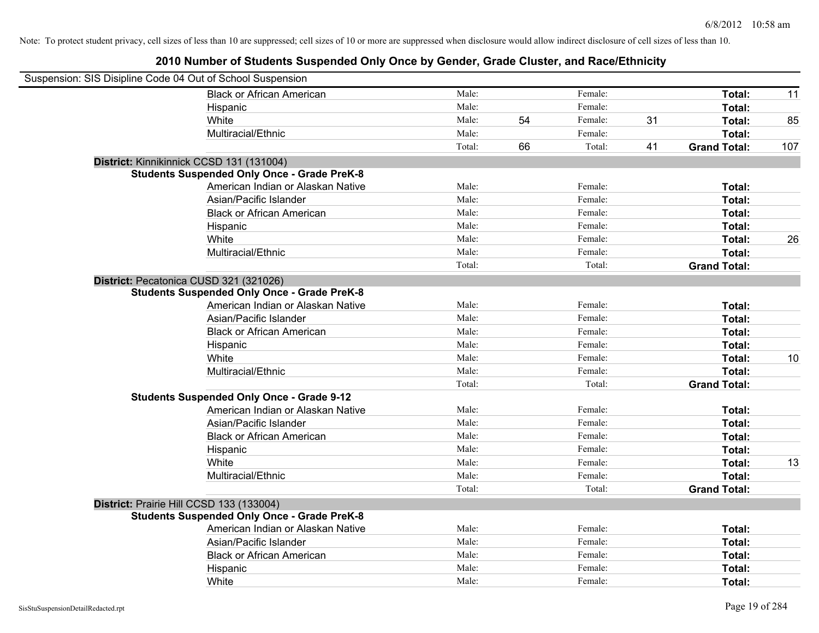| Suspension: SIS Disipline Code 04 Out of School Suspension |                                                    |        |    |         |    |                     |     |
|------------------------------------------------------------|----------------------------------------------------|--------|----|---------|----|---------------------|-----|
|                                                            | <b>Black or African American</b>                   | Male:  |    | Female: |    | Total:              | 11  |
|                                                            | Hispanic                                           | Male:  |    | Female: |    | Total:              |     |
|                                                            | White                                              | Male:  | 54 | Female: | 31 | Total:              | 85  |
|                                                            | Multiracial/Ethnic                                 | Male:  |    | Female: |    | Total:              |     |
|                                                            |                                                    | Total: | 66 | Total:  | 41 | <b>Grand Total:</b> | 107 |
|                                                            | District: Kinnikinnick CCSD 131 (131004)           |        |    |         |    |                     |     |
|                                                            | <b>Students Suspended Only Once - Grade PreK-8</b> |        |    |         |    |                     |     |
|                                                            | American Indian or Alaskan Native                  | Male:  |    | Female: |    | Total:              |     |
|                                                            | Asian/Pacific Islander                             | Male:  |    | Female: |    | Total:              |     |
|                                                            | <b>Black or African American</b>                   | Male:  |    | Female: |    | Total:              |     |
|                                                            | Hispanic                                           | Male:  |    | Female: |    | Total:              |     |
|                                                            | White                                              | Male:  |    | Female: |    | Total:              | 26  |
|                                                            | Multiracial/Ethnic                                 | Male:  |    | Female: |    | Total:              |     |
|                                                            |                                                    | Total: |    | Total:  |    | <b>Grand Total:</b> |     |
| District: Pecatonica CUSD 321 (321026)                     |                                                    |        |    |         |    |                     |     |
|                                                            | <b>Students Suspended Only Once - Grade PreK-8</b> |        |    |         |    |                     |     |
|                                                            | American Indian or Alaskan Native                  | Male:  |    | Female: |    | Total:              |     |
|                                                            | Asian/Pacific Islander                             | Male:  |    | Female: |    | Total:              |     |
|                                                            | <b>Black or African American</b>                   | Male:  |    | Female: |    | Total:              |     |
|                                                            | Hispanic                                           | Male:  |    | Female: |    | Total:              |     |
|                                                            | White                                              | Male:  |    | Female: |    | Total:              | 10  |
|                                                            | Multiracial/Ethnic                                 | Male:  |    | Female: |    | Total:              |     |
|                                                            |                                                    | Total: |    | Total:  |    | <b>Grand Total:</b> |     |
|                                                            | <b>Students Suspended Only Once - Grade 9-12</b>   |        |    |         |    |                     |     |
|                                                            | American Indian or Alaskan Native                  | Male:  |    | Female: |    | Total:              |     |
|                                                            | Asian/Pacific Islander                             | Male:  |    | Female: |    | Total:              |     |
|                                                            | <b>Black or African American</b>                   | Male:  |    | Female: |    | Total:              |     |
|                                                            | Hispanic                                           | Male:  |    | Female: |    | Total:              |     |
|                                                            | White                                              | Male:  |    | Female: |    | Total:              | 13  |
|                                                            | Multiracial/Ethnic                                 | Male:  |    | Female: |    | Total:              |     |
|                                                            |                                                    | Total: |    | Total:  |    | <b>Grand Total:</b> |     |
| District: Prairie Hill CCSD 133 (133004)                   |                                                    |        |    |         |    |                     |     |
|                                                            | <b>Students Suspended Only Once - Grade PreK-8</b> |        |    |         |    |                     |     |
|                                                            | American Indian or Alaskan Native                  | Male:  |    | Female: |    | Total:              |     |
|                                                            | Asian/Pacific Islander                             | Male:  |    | Female: |    | Total:              |     |
|                                                            | <b>Black or African American</b>                   | Male:  |    | Female: |    | Total:              |     |
|                                                            | Hispanic                                           | Male:  |    | Female: |    | <b>Total:</b>       |     |
|                                                            | White                                              | Male:  |    | Female: |    | Total:              |     |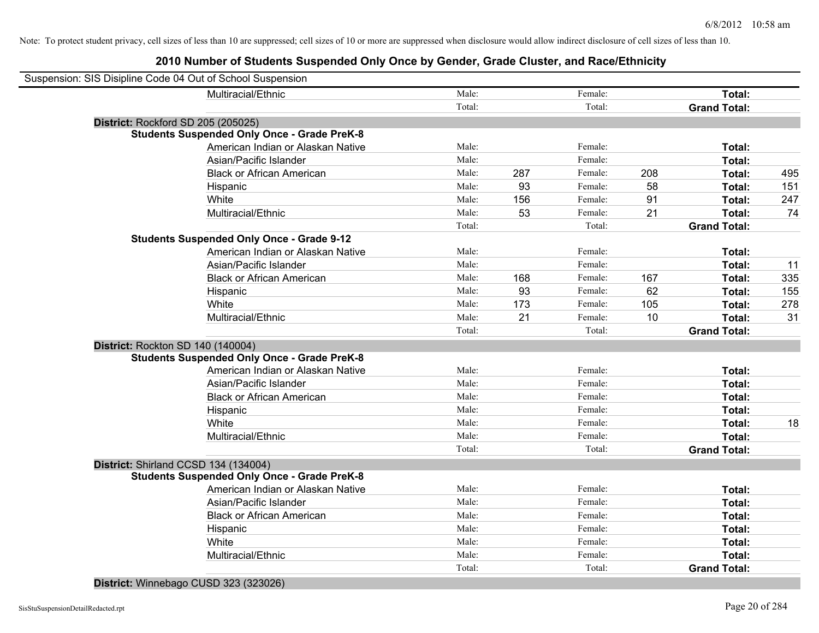| Suspension: SIS Disipline Code 04 Out of School Suspension |        |     |         |     |                     |     |
|------------------------------------------------------------|--------|-----|---------|-----|---------------------|-----|
| Multiracial/Ethnic                                         | Male:  |     | Female: |     | Total:              |     |
|                                                            | Total: |     | Total:  |     | <b>Grand Total:</b> |     |
| District: Rockford SD 205 (205025)                         |        |     |         |     |                     |     |
| <b>Students Suspended Only Once - Grade PreK-8</b>         |        |     |         |     |                     |     |
| American Indian or Alaskan Native                          | Male:  |     | Female: |     | Total:              |     |
| Asian/Pacific Islander                                     | Male:  |     | Female: |     | Total:              |     |
| <b>Black or African American</b>                           | Male:  | 287 | Female: | 208 | Total:              | 495 |
| Hispanic                                                   | Male:  | 93  | Female: | 58  | Total:              | 151 |
| White                                                      | Male:  | 156 | Female: | 91  | Total:              | 247 |
| Multiracial/Ethnic                                         | Male:  | 53  | Female: | 21  | Total:              | 74  |
|                                                            | Total: |     | Total:  |     | <b>Grand Total:</b> |     |
| <b>Students Suspended Only Once - Grade 9-12</b>           |        |     |         |     |                     |     |
| American Indian or Alaskan Native                          | Male:  |     | Female: |     | Total:              |     |
| Asian/Pacific Islander                                     | Male:  |     | Female: |     | Total:              | 11  |
| <b>Black or African American</b>                           | Male:  | 168 | Female: | 167 | Total:              | 335 |
| Hispanic                                                   | Male:  | 93  | Female: | 62  | Total:              | 155 |
| White                                                      | Male:  | 173 | Female: | 105 | Total:              | 278 |
| Multiracial/Ethnic                                         | Male:  | 21  | Female: | 10  | Total:              | 31  |
|                                                            | Total: |     | Total:  |     | <b>Grand Total:</b> |     |
| District: Rockton SD 140 (140004)                          |        |     |         |     |                     |     |
| <b>Students Suspended Only Once - Grade PreK-8</b>         |        |     |         |     |                     |     |
| American Indian or Alaskan Native                          | Male:  |     | Female: |     | Total:              |     |
| Asian/Pacific Islander                                     | Male:  |     | Female: |     | Total:              |     |
| <b>Black or African American</b>                           | Male:  |     | Female: |     | Total:              |     |
| Hispanic                                                   | Male:  |     | Female: |     | Total:              |     |
| White                                                      | Male:  |     | Female: |     | Total:              | 18  |
| Multiracial/Ethnic                                         | Male:  |     | Female: |     | Total:              |     |
|                                                            | Total: |     | Total:  |     | <b>Grand Total:</b> |     |
| District: Shirland CCSD 134 (134004)                       |        |     |         |     |                     |     |
| <b>Students Suspended Only Once - Grade PreK-8</b>         |        |     |         |     |                     |     |
| American Indian or Alaskan Native                          | Male:  |     | Female: |     | Total:              |     |
| Asian/Pacific Islander                                     | Male:  |     | Female: |     | Total:              |     |
| <b>Black or African American</b>                           | Male:  |     | Female: |     | Total:              |     |
| Hispanic                                                   | Male:  |     | Female: |     | Total:              |     |
| White                                                      | Male:  |     | Female: |     | <b>Total:</b>       |     |
| Multiracial/Ethnic                                         | Male:  |     | Female: |     | Total:              |     |
|                                                            | Total: |     | Total:  |     | <b>Grand Total:</b> |     |
|                                                            |        |     |         |     |                     |     |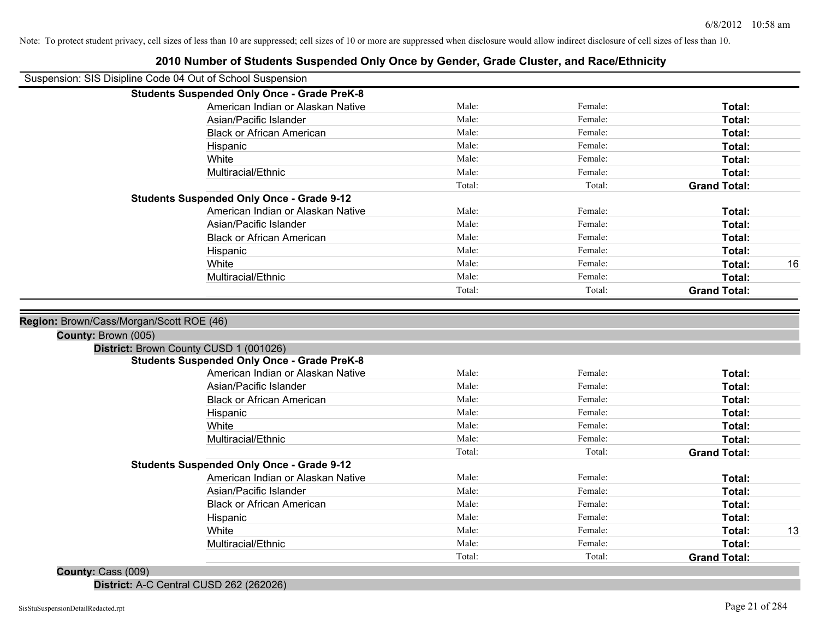| Suspension: SIS Disipline Code 04 Out of School Suspension    |                |                    |                     |    |
|---------------------------------------------------------------|----------------|--------------------|---------------------|----|
| <b>Students Suspended Only Once - Grade PreK-8</b>            |                |                    |                     |    |
| American Indian or Alaskan Native                             | Male:          | Female:            | Total:              |    |
| Asian/Pacific Islander                                        | Male:          | Female:            | Total:              |    |
| <b>Black or African American</b>                              | Male:          | Female:            | Total:              |    |
| Hispanic                                                      | Male:          | Female:            | Total:              |    |
| White                                                         | Male:          | Female:            | Total:              |    |
| Multiracial/Ethnic                                            | Male:          | Female:            | Total:              |    |
|                                                               | Total:         | Total:             | <b>Grand Total:</b> |    |
| <b>Students Suspended Only Once - Grade 9-12</b>              |                |                    |                     |    |
| American Indian or Alaskan Native                             | Male:          | Female:            | Total:              |    |
| Asian/Pacific Islander                                        | Male:          | Female:            | Total:              |    |
| <b>Black or African American</b>                              | Male:          | Female:            | Total:              |    |
| Hispanic                                                      | Male:          | Female:            | Total:              |    |
| White                                                         | Male:          | Female:            | Total:              | 16 |
| Multiracial/Ethnic                                            | Male:          | Female:            | Total:              |    |
|                                                               | Total:         | Total:             | <b>Grand Total:</b> |    |
| County: Brown (005)<br>District: Brown County CUSD 1 (001026) |                |                    |                     |    |
| <b>Students Suspended Only Once - Grade PreK-8</b>            |                |                    |                     |    |
| American Indian or Alaskan Native                             | Male:          | Female:            | Total:              |    |
| Asian/Pacific Islander                                        | Male:          | Female:            | Total:              |    |
| <b>Black or African American</b>                              | Male:          | Female:            | Total:              |    |
| Hispanic                                                      | Male:          | Female:            | Total:              |    |
| White                                                         | Male:          | Female:            | Total:              |    |
| Multiracial/Ethnic                                            | Male:          | Female:            | Total:              |    |
|                                                               | Total:         | Total:             | <b>Grand Total:</b> |    |
| <b>Students Suspended Only Once - Grade 9-12</b>              |                |                    |                     |    |
| American Indian or Alaskan Native                             | Male:<br>Male: | Female:            | Total:              |    |
| Asian/Pacific Islander                                        | Male:          | Female:            | Total:              |    |
| <b>Black or African American</b>                              | Male:          | Female:            | Total:              |    |
| Hispanic                                                      | Male:          | Female:<br>Female: | Total:              | 13 |
| White<br>Multiracial/Ethnic                                   | Male:          | Female:            | Total:<br>Total:    |    |
|                                                               | Total:         | Total:             | <b>Grand Total:</b> |    |
| $0.0001 - 0.0001$                                             |                |                    |                     |    |

#### **2010 Number of Students Suspended Only Once by Gender, Grade Cluster, and Race/Ethnicity**

**County:** Cass (009)

**District:** A-C Central CUSD 262 (262026)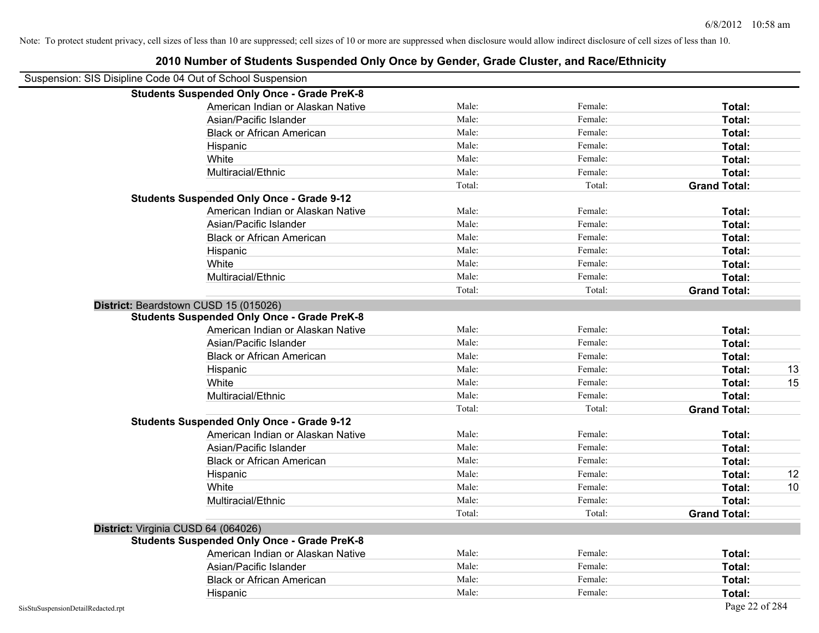|                                                            | 2010 Number of Students Suspended Only Once by Gender, Grade Cluster, and Race/Ethnicity |        |         |                     |
|------------------------------------------------------------|------------------------------------------------------------------------------------------|--------|---------|---------------------|
| Suspension: SIS Disipline Code 04 Out of School Suspension |                                                                                          |        |         |                     |
|                                                            | <b>Students Suspended Only Once - Grade PreK-8</b>                                       |        |         |                     |
|                                                            | American Indian or Alaskan Native                                                        | Male:  | Female: | Total:              |
|                                                            | Asian/Pacific Islander                                                                   | Male:  | Female: | Total:              |
|                                                            | <b>Black or African American</b>                                                         | Male:  | Female: | Total:              |
|                                                            | Hispanic                                                                                 | Male:  | Female: | Total:              |
|                                                            | White                                                                                    | Male:  | Female: | Total:              |
|                                                            | Multiracial/Ethnic                                                                       | Male:  | Female: | Total:              |
|                                                            |                                                                                          | Total: | Total:  | <b>Grand Total:</b> |
|                                                            | <b>Students Suspended Only Once - Grade 9-12</b>                                         |        |         |                     |
|                                                            | American Indian or Alaskan Native                                                        | Male:  | Female: | Total:              |
|                                                            | Asian/Pacific Islander                                                                   | Male:  | Female: | Total:              |
|                                                            | <b>Black or African American</b>                                                         | Male:  | Female: | Total:              |
|                                                            | Hispanic                                                                                 | Male:  | Female: | Total:              |
|                                                            | White                                                                                    | Male:  | Female: | Total:              |
|                                                            | Multiracial/Ethnic                                                                       | Male:  | Female: | Total:              |
|                                                            |                                                                                          | Total: | Total:  | <b>Grand Total:</b> |
| District: Beardstown CUSD 15 (015026)                      |                                                                                          |        |         |                     |
|                                                            | <b>Students Suspended Only Once - Grade PreK-8</b>                                       |        |         |                     |
|                                                            | American Indian or Alaskan Native                                                        | Male:  | Female: | Total:              |
|                                                            | Asian/Pacific Islander                                                                   | Male:  | Female: | Total:              |
|                                                            | <b>Black or African American</b>                                                         | Male:  | Female: | Total:              |
|                                                            | Hispanic                                                                                 | Male:  | Female: | 13<br>Total:        |
|                                                            | White                                                                                    | Male:  | Female: | 15<br>Total:        |
|                                                            | Multiracial/Ethnic                                                                       | Male:  | Female: | Total:              |
|                                                            |                                                                                          | Total: | Total:  | <b>Grand Total:</b> |
|                                                            | <b>Students Suspended Only Once - Grade 9-12</b>                                         |        |         |                     |
|                                                            | American Indian or Alaskan Native                                                        | Male:  | Female: | Total:              |
|                                                            | Asian/Pacific Islander                                                                   | Male:  | Female: | Total:              |
|                                                            | <b>Black or African American</b>                                                         | Male:  | Female: | Total:              |
|                                                            | Hispanic                                                                                 | Male:  | Female: | 12<br>Total:        |
|                                                            | White                                                                                    | Male:  | Female: | Total:<br>10        |
|                                                            | Multiracial/Ethnic                                                                       | Male:  | Female: | Total:              |
|                                                            |                                                                                          | Total: | Total:  | <b>Grand Total:</b> |
| District: Virginia CUSD 64 (064026)                        |                                                                                          |        |         |                     |
|                                                            | <b>Students Suspended Only Once - Grade PreK-8</b>                                       |        |         |                     |
|                                                            | American Indian or Alaskan Native                                                        | Male:  | Female: | Total:              |
|                                                            | Asian/Pacific Islander                                                                   | Male:  | Female: | Total:              |
|                                                            | <b>Black or African American</b>                                                         | Male:  | Female: | Total:              |
|                                                            | Hispanic                                                                                 | Male:  | Female: | Total:              |
| SisStuSuspensionDetailRedacted.rpt                         |                                                                                          |        |         | Page 22 of 284      |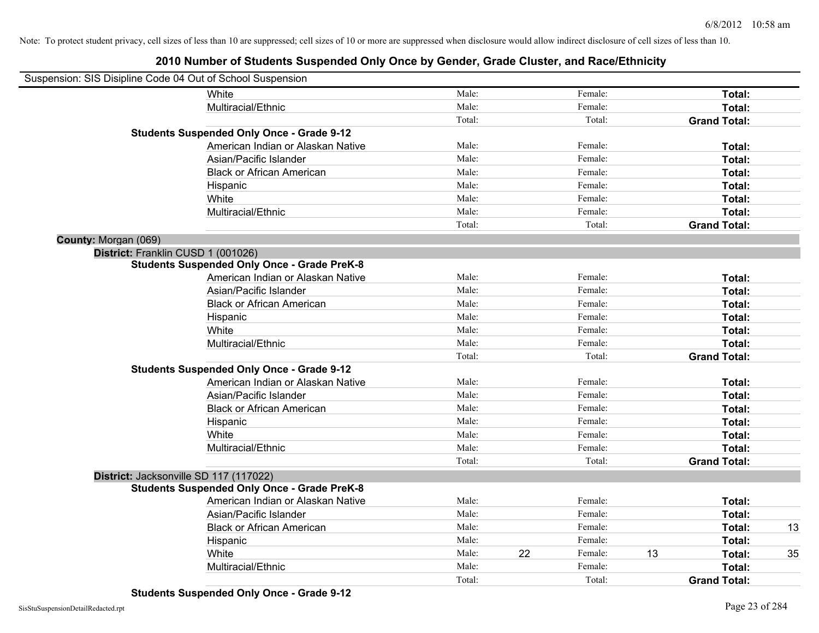| Suspension: SIS Disipline Code 04 Out of School Suspension |                                                    |        |    |         |    |                     |    |
|------------------------------------------------------------|----------------------------------------------------|--------|----|---------|----|---------------------|----|
|                                                            | White                                              | Male:  |    | Female: |    | Total:              |    |
|                                                            | Multiracial/Ethnic                                 | Male:  |    | Female: |    | Total:              |    |
|                                                            |                                                    | Total: |    | Total:  |    | <b>Grand Total:</b> |    |
|                                                            | <b>Students Suspended Only Once - Grade 9-12</b>   |        |    |         |    |                     |    |
|                                                            | American Indian or Alaskan Native                  | Male:  |    | Female: |    | Total:              |    |
|                                                            | Asian/Pacific Islander                             | Male:  |    | Female: |    | Total:              |    |
|                                                            | <b>Black or African American</b>                   | Male:  |    | Female: |    | Total:              |    |
|                                                            | Hispanic                                           | Male:  |    | Female: |    | Total:              |    |
|                                                            | White                                              | Male:  |    | Female: |    | Total:              |    |
|                                                            | Multiracial/Ethnic                                 | Male:  |    | Female: |    | Total:              |    |
|                                                            |                                                    | Total: |    | Total:  |    | <b>Grand Total:</b> |    |
| County: Morgan (069)                                       |                                                    |        |    |         |    |                     |    |
| District: Franklin CUSD 1 (001026)                         |                                                    |        |    |         |    |                     |    |
|                                                            | <b>Students Suspended Only Once - Grade PreK-8</b> |        |    |         |    |                     |    |
|                                                            | American Indian or Alaskan Native                  | Male:  |    | Female: |    | Total:              |    |
|                                                            | Asian/Pacific Islander                             | Male:  |    | Female: |    | Total:              |    |
|                                                            | <b>Black or African American</b>                   | Male:  |    | Female: |    | Total:              |    |
|                                                            | Hispanic                                           | Male:  |    | Female: |    | Total:              |    |
|                                                            | White                                              | Male:  |    | Female: |    | Total:              |    |
|                                                            | Multiracial/Ethnic                                 | Male:  |    | Female: |    | Total:              |    |
|                                                            |                                                    | Total: |    | Total:  |    | <b>Grand Total:</b> |    |
|                                                            | <b>Students Suspended Only Once - Grade 9-12</b>   |        |    |         |    |                     |    |
|                                                            | American Indian or Alaskan Native                  | Male:  |    | Female: |    | Total:              |    |
|                                                            | Asian/Pacific Islander                             | Male:  |    | Female: |    | Total:              |    |
|                                                            | <b>Black or African American</b>                   | Male:  |    | Female: |    | Total:              |    |
|                                                            | Hispanic                                           | Male:  |    | Female: |    | Total:              |    |
|                                                            | White                                              | Male:  |    | Female: |    | Total:              |    |
|                                                            | Multiracial/Ethnic                                 | Male:  |    | Female: |    | Total:              |    |
|                                                            |                                                    | Total: |    | Total:  |    | <b>Grand Total:</b> |    |
| District: Jacksonville SD 117 (117022)                     |                                                    |        |    |         |    |                     |    |
|                                                            | <b>Students Suspended Only Once - Grade PreK-8</b> |        |    |         |    |                     |    |
|                                                            | American Indian or Alaskan Native                  | Male:  |    | Female: |    | Total:              |    |
|                                                            | Asian/Pacific Islander                             | Male:  |    | Female: |    | Total:              |    |
|                                                            | <b>Black or African American</b>                   | Male:  |    | Female: |    | Total:              | 13 |
|                                                            | Hispanic                                           | Male:  |    | Female: |    | Total:              |    |
|                                                            | White                                              | Male:  | 22 | Female: | 13 | Total:              | 35 |
|                                                            | Multiracial/Ethnic                                 | Male:  |    | Female: |    | Total:              |    |
|                                                            |                                                    | Total: |    | Total:  |    | <b>Grand Total:</b> |    |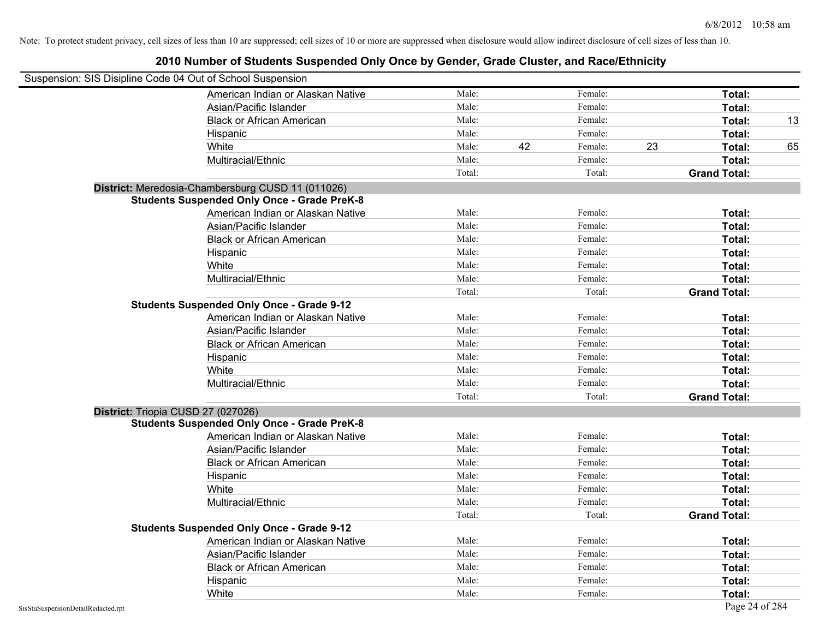| Suspension: SIS Disipline Code 04 Out of School Suspension |                                                    |        |    |         |    |                     |    |
|------------------------------------------------------------|----------------------------------------------------|--------|----|---------|----|---------------------|----|
|                                                            | American Indian or Alaskan Native                  | Male:  |    | Female: |    | Total:              |    |
|                                                            | Asian/Pacific Islander                             | Male:  |    | Female: |    | Total:              |    |
|                                                            | <b>Black or African American</b>                   | Male:  |    | Female: |    | Total:              | 13 |
|                                                            | Hispanic                                           | Male:  |    | Female: |    | Total:              |    |
|                                                            | White                                              | Male:  | 42 | Female: | 23 | Total:              | 65 |
|                                                            | Multiracial/Ethnic                                 | Male:  |    | Female: |    | Total:              |    |
|                                                            |                                                    | Total: |    | Total:  |    | <b>Grand Total:</b> |    |
|                                                            | District: Meredosia-Chambersburg CUSD 11 (011026)  |        |    |         |    |                     |    |
|                                                            | <b>Students Suspended Only Once - Grade PreK-8</b> |        |    |         |    |                     |    |
|                                                            | American Indian or Alaskan Native                  | Male:  |    | Female: |    | Total:              |    |
|                                                            | Asian/Pacific Islander                             | Male:  |    | Female: |    | Total:              |    |
|                                                            | <b>Black or African American</b>                   | Male:  |    | Female: |    | Total:              |    |
|                                                            | Hispanic                                           | Male:  |    | Female: |    | Total:              |    |
|                                                            | White                                              | Male:  |    | Female: |    | Total:              |    |
|                                                            | Multiracial/Ethnic                                 | Male:  |    | Female: |    | Total:              |    |
|                                                            |                                                    | Total: |    | Total:  |    | <b>Grand Total:</b> |    |
|                                                            | <b>Students Suspended Only Once - Grade 9-12</b>   |        |    |         |    |                     |    |
|                                                            | American Indian or Alaskan Native                  | Male:  |    | Female: |    | Total:              |    |
|                                                            | Asian/Pacific Islander                             | Male:  |    | Female: |    | Total:              |    |
|                                                            | <b>Black or African American</b>                   | Male:  |    | Female: |    | Total:              |    |
|                                                            | Hispanic                                           | Male:  |    | Female: |    | Total:              |    |
|                                                            | White                                              | Male:  |    | Female: |    | Total:              |    |
|                                                            | Multiracial/Ethnic                                 | Male:  |    | Female: |    | Total:              |    |
|                                                            |                                                    | Total: |    | Total:  |    | <b>Grand Total:</b> |    |
|                                                            | District: Triopia CUSD 27 (027026)                 |        |    |         |    |                     |    |
|                                                            | <b>Students Suspended Only Once - Grade PreK-8</b> |        |    |         |    |                     |    |
|                                                            | American Indian or Alaskan Native                  | Male:  |    | Female: |    | Total:              |    |
|                                                            | Asian/Pacific Islander                             | Male:  |    | Female: |    | Total:              |    |
|                                                            | <b>Black or African American</b>                   | Male:  |    | Female: |    | Total:              |    |
|                                                            | Hispanic                                           | Male:  |    | Female: |    | Total:              |    |
|                                                            | White                                              | Male:  |    | Female: |    | Total:              |    |
|                                                            | Multiracial/Ethnic                                 | Male:  |    | Female: |    | Total:              |    |
|                                                            |                                                    | Total: |    | Total:  |    | <b>Grand Total:</b> |    |
|                                                            | <b>Students Suspended Only Once - Grade 9-12</b>   |        |    |         |    |                     |    |
|                                                            | American Indian or Alaskan Native                  | Male:  |    | Female: |    | Total:              |    |
|                                                            | Asian/Pacific Islander                             | Male:  |    | Female: |    | Total:              |    |
|                                                            | <b>Black or African American</b>                   | Male:  |    | Female: |    | Total:              |    |
|                                                            | Hispanic                                           | Male:  |    | Female: |    | Total:              |    |
|                                                            | White                                              | Male:  |    | Female: |    | Total:              |    |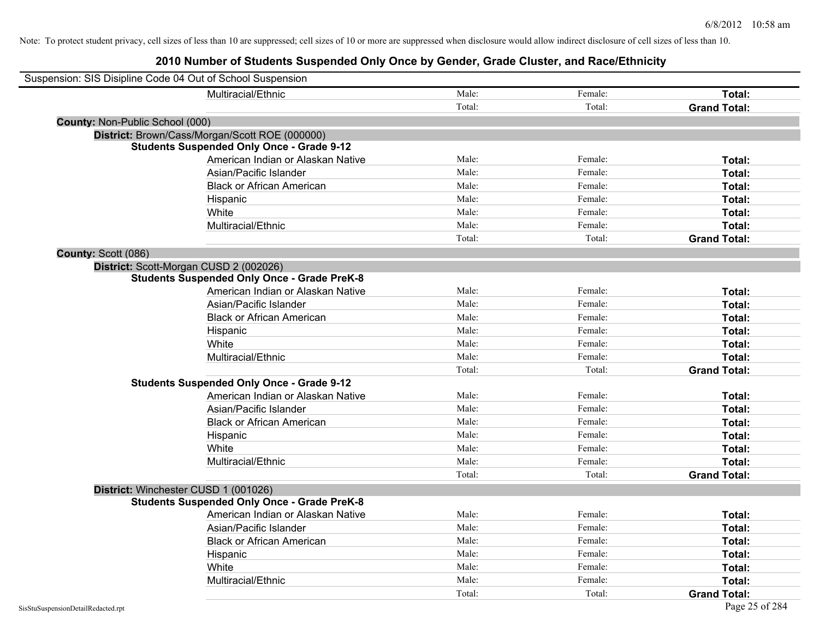| Suspension: SIS Disipline Code 04 Out of School Suspension |                                                    |        |         |                     |
|------------------------------------------------------------|----------------------------------------------------|--------|---------|---------------------|
|                                                            | Multiracial/Ethnic                                 | Male:  | Female: | Total:              |
|                                                            |                                                    | Total: | Total:  | <b>Grand Total:</b> |
| County: Non-Public School (000)                            |                                                    |        |         |                     |
|                                                            | District: Brown/Cass/Morgan/Scott ROE (000000)     |        |         |                     |
|                                                            | <b>Students Suspended Only Once - Grade 9-12</b>   |        |         |                     |
|                                                            | American Indian or Alaskan Native                  | Male:  | Female: | Total:              |
|                                                            | Asian/Pacific Islander                             | Male:  | Female: | Total:              |
|                                                            | <b>Black or African American</b>                   | Male:  | Female: | Total:              |
|                                                            | Hispanic                                           | Male:  | Female: | Total:              |
|                                                            | White                                              | Male:  | Female: | Total:              |
|                                                            | Multiracial/Ethnic                                 | Male:  | Female: | Total:              |
|                                                            |                                                    | Total: | Total:  | <b>Grand Total:</b> |
| County: Scott (086)                                        |                                                    |        |         |                     |
| District: Scott-Morgan CUSD 2 (002026)                     |                                                    |        |         |                     |
|                                                            | <b>Students Suspended Only Once - Grade PreK-8</b> |        |         |                     |
|                                                            | American Indian or Alaskan Native                  | Male:  | Female: | Total:              |
|                                                            | Asian/Pacific Islander                             | Male:  | Female: | Total:              |
|                                                            | <b>Black or African American</b>                   | Male:  | Female: | Total:              |
|                                                            | Hispanic                                           | Male:  | Female: | Total:              |
|                                                            | White                                              | Male:  | Female: | Total:              |
|                                                            | Multiracial/Ethnic                                 | Male:  | Female: | Total:              |
|                                                            |                                                    | Total: | Total:  | <b>Grand Total:</b> |
|                                                            | <b>Students Suspended Only Once - Grade 9-12</b>   |        |         |                     |
|                                                            | American Indian or Alaskan Native                  | Male:  | Female: | Total:              |
|                                                            | Asian/Pacific Islander                             | Male:  | Female: | Total:              |
|                                                            | <b>Black or African American</b>                   | Male:  | Female: | Total:              |
|                                                            | Hispanic                                           | Male:  | Female: | Total:              |
|                                                            | White                                              | Male:  | Female: | Total:              |
|                                                            | Multiracial/Ethnic                                 | Male:  | Female: | Total:              |
|                                                            |                                                    | Total: | Total:  | <b>Grand Total:</b> |
| District: Winchester CUSD 1 (001026)                       |                                                    |        |         |                     |
|                                                            | <b>Students Suspended Only Once - Grade PreK-8</b> |        |         |                     |
|                                                            | American Indian or Alaskan Native                  | Male:  | Female: | Total:              |
|                                                            | Asian/Pacific Islander                             | Male:  | Female: | Total:              |
|                                                            | <b>Black or African American</b>                   | Male:  | Female: | Total:              |
|                                                            | Hispanic                                           | Male:  | Female: | Total:              |
|                                                            | White                                              | Male:  | Female: | Total:              |
|                                                            | Multiracial/Ethnic                                 | Male:  | Female: | Total:              |
|                                                            |                                                    | Total: | Total:  | <b>Grand Total:</b> |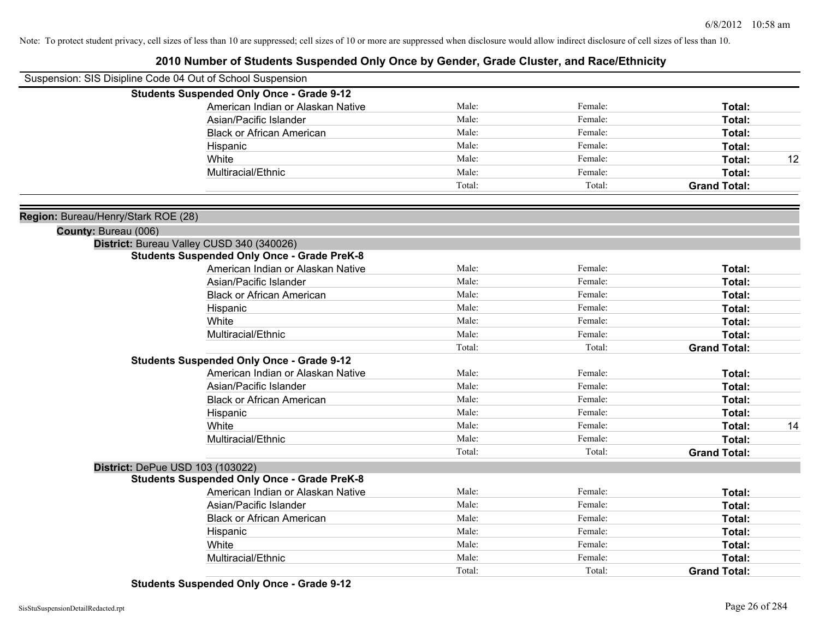#### **2010 Number of Students Suspended Only Once by Gender, Grade Cluster, and Race/Ethnicity**

| Suspension: SIS Disipline Code 04 Out of School Suspension |                                                                                                                   |                                  |                     |                  |
|------------------------------------------------------------|-------------------------------------------------------------------------------------------------------------------|----------------------------------|---------------------|------------------|
| <b>Students Suspended Only Once - Grade 9-12</b>           |                                                                                                                   |                                  |                     |                  |
| American Indian or Alaskan Native                          | Male:                                                                                                             | Female:                          | Total:              |                  |
| Asian/Pacific Islander                                     |                                                                                                                   | Female:                          | Total:              |                  |
| <b>Black or African American</b>                           |                                                                                                                   | Female:                          | Total:              |                  |
|                                                            | Male:                                                                                                             | Female:                          | Total:              |                  |
|                                                            | Male:                                                                                                             | Female:                          | Total:              | 12               |
|                                                            | Male:                                                                                                             | Female:                          | Total:              |                  |
|                                                            | Total:                                                                                                            | Total:                           | <b>Grand Total:</b> |                  |
|                                                            |                                                                                                                   |                                  |                     |                  |
|                                                            |                                                                                                                   |                                  |                     |                  |
|                                                            |                                                                                                                   |                                  |                     |                  |
| <b>Students Suspended Only Once - Grade PreK-8</b>         |                                                                                                                   |                                  |                     |                  |
| American Indian or Alaskan Native                          | Male:                                                                                                             | Female:                          | Total:              |                  |
| Asian/Pacific Islander                                     | Male:                                                                                                             | Female:                          | Total:              |                  |
| <b>Black or African American</b>                           | Male:                                                                                                             | Female:                          | Total:              |                  |
|                                                            | Male:                                                                                                             | Female:                          | Total:              |                  |
|                                                            | Male:                                                                                                             | Female:                          | Total:              |                  |
|                                                            | Male:                                                                                                             | Female:                          | Total:              |                  |
|                                                            | Total:                                                                                                            | Total:                           | <b>Grand Total:</b> |                  |
| <b>Students Suspended Only Once - Grade 9-12</b>           |                                                                                                                   |                                  |                     |                  |
| American Indian or Alaskan Native                          | Male:                                                                                                             | Female:                          | Total:              |                  |
| Asian/Pacific Islander                                     | Male:                                                                                                             | Female:                          | Total:              |                  |
| <b>Black or African American</b>                           | Male:                                                                                                             | Female:                          | Total:              |                  |
|                                                            | Male:                                                                                                             | Female:                          | Total:              |                  |
|                                                            | Male:                                                                                                             | Female:                          | Total:              | 14               |
|                                                            | Male:                                                                                                             | Female:                          | Total:              |                  |
|                                                            | Total:                                                                                                            | Total:                           | <b>Grand Total:</b> |                  |
|                                                            |                                                                                                                   |                                  |                     |                  |
|                                                            |                                                                                                                   |                                  |                     |                  |
|                                                            | Male:                                                                                                             | Female:                          | Total:              |                  |
|                                                            | Male:                                                                                                             | Female:                          |                     |                  |
| <b>Black or African American</b>                           |                                                                                                                   |                                  |                     |                  |
|                                                            |                                                                                                                   | Female:                          | Total:              |                  |
|                                                            | Male:                                                                                                             | Female:                          | Total:              |                  |
|                                                            | Male:                                                                                                             | Female:                          | Total:              |                  |
|                                                            | Total:                                                                                                            | Total:                           | <b>Grand Total:</b> |                  |
|                                                            | <b>Students Suspended Only Once - Grade PreK-8</b><br>American Indian or Alaskan Native<br>Asian/Pacific Islander | Male:<br>Male:<br>Male:<br>Male: | Female:             | Total:<br>Total: |

**Students Suspended Only Once - Grade 9-12**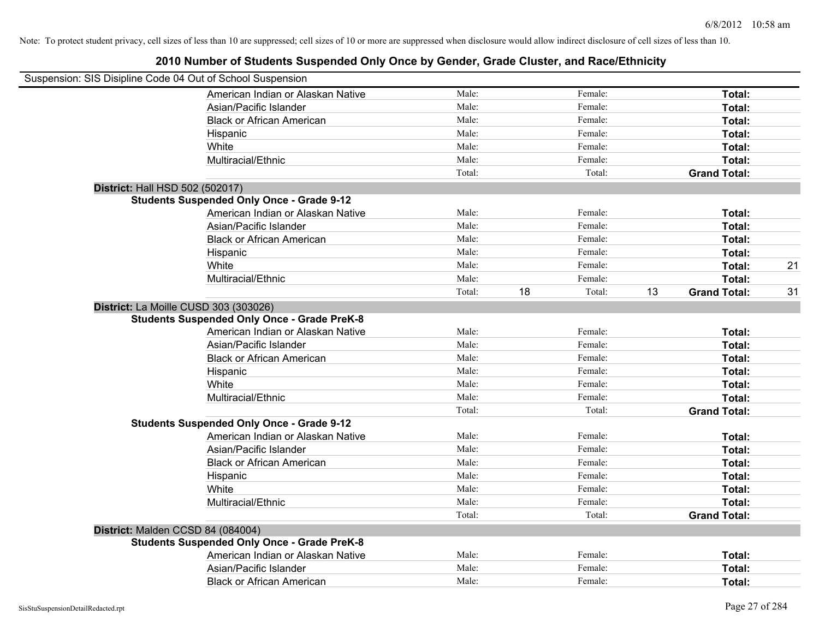| Suspension: SIS Disipline Code 04 Out of School Suspension |        |    |         |    |                     |    |
|------------------------------------------------------------|--------|----|---------|----|---------------------|----|
| American Indian or Alaskan Native                          | Male:  |    | Female: |    | Total:              |    |
| Asian/Pacific Islander                                     | Male:  |    | Female: |    | Total:              |    |
| <b>Black or African American</b>                           | Male:  |    | Female: |    | Total:              |    |
| Hispanic                                                   | Male:  |    | Female: |    | Total:              |    |
| White                                                      | Male:  |    | Female: |    | Total:              |    |
| Multiracial/Ethnic                                         | Male:  |    | Female: |    | Total:              |    |
|                                                            | Total: |    | Total:  |    | <b>Grand Total:</b> |    |
| District: Hall HSD 502 (502017)                            |        |    |         |    |                     |    |
| <b>Students Suspended Only Once - Grade 9-12</b>           |        |    |         |    |                     |    |
| American Indian or Alaskan Native                          | Male:  |    | Female: |    | Total:              |    |
| Asian/Pacific Islander                                     | Male:  |    | Female: |    | Total:              |    |
| <b>Black or African American</b>                           | Male:  |    | Female: |    | Total:              |    |
| Hispanic                                                   | Male:  |    | Female: |    | Total:              |    |
| White                                                      | Male:  |    | Female: |    | Total:              | 21 |
| Multiracial/Ethnic                                         | Male:  |    | Female: |    | Total:              |    |
|                                                            | Total: | 18 | Total:  | 13 | <b>Grand Total:</b> | 31 |
| District: La Moille CUSD 303 (303026)                      |        |    |         |    |                     |    |
| <b>Students Suspended Only Once - Grade PreK-8</b>         |        |    |         |    |                     |    |
| American Indian or Alaskan Native                          | Male:  |    | Female: |    | Total:              |    |
| Asian/Pacific Islander                                     | Male:  |    | Female: |    | Total:              |    |
| <b>Black or African American</b>                           | Male:  |    | Female: |    | Total:              |    |
| Hispanic                                                   | Male:  |    | Female: |    | Total:              |    |
| White                                                      | Male:  |    | Female: |    | Total:              |    |
| Multiracial/Ethnic                                         | Male:  |    | Female: |    | Total:              |    |
|                                                            | Total: |    | Total:  |    | <b>Grand Total:</b> |    |
| <b>Students Suspended Only Once - Grade 9-12</b>           |        |    |         |    |                     |    |
| American Indian or Alaskan Native                          | Male:  |    | Female: |    | Total:              |    |
| Asian/Pacific Islander                                     | Male:  |    | Female: |    | Total:              |    |
| <b>Black or African American</b>                           | Male:  |    | Female: |    | Total:              |    |
| Hispanic                                                   | Male:  |    | Female: |    | Total:              |    |
| White                                                      | Male:  |    | Female: |    | Total:              |    |
| Multiracial/Ethnic                                         | Male:  |    | Female: |    | Total:              |    |
|                                                            | Total: |    | Total:  |    | <b>Grand Total:</b> |    |
| District: Malden CCSD 84 (084004)                          |        |    |         |    |                     |    |
| <b>Students Suspended Only Once - Grade PreK-8</b>         |        |    |         |    |                     |    |
| American Indian or Alaskan Native                          | Male:  |    | Female: |    | Total:              |    |
| Asian/Pacific Islander                                     | Male:  |    | Female: |    | Total:              |    |
| <b>Black or African American</b>                           | Male:  |    | Female: |    | Total:              |    |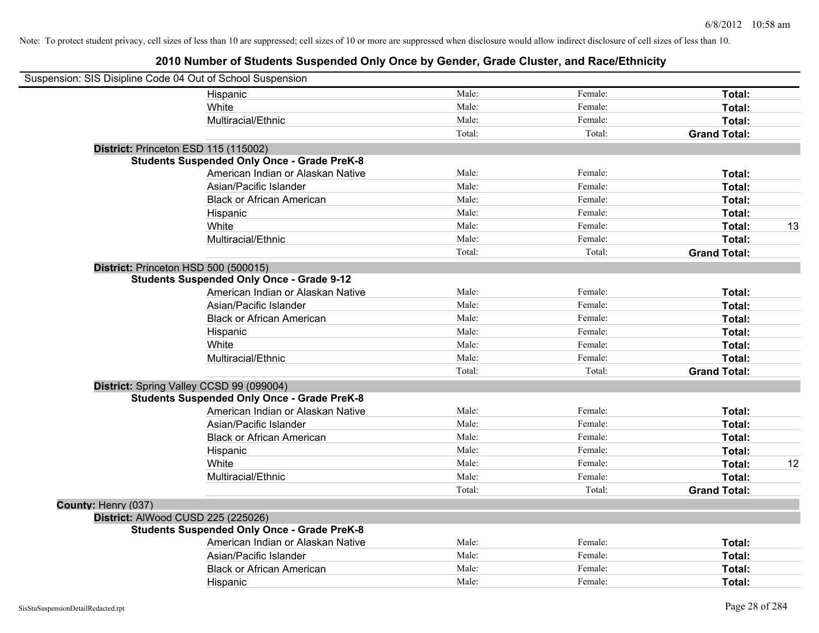| Suspension: SIS Disipline Code 04 Out of School Suspension |                                                    |        |         |                     |    |
|------------------------------------------------------------|----------------------------------------------------|--------|---------|---------------------|----|
|                                                            | Hispanic                                           | Male:  | Female: | Total:              |    |
|                                                            | White                                              | Male:  | Female: | Total:              |    |
|                                                            | Multiracial/Ethnic                                 | Male:  | Female: | Total:              |    |
|                                                            |                                                    | Total: | Total:  | <b>Grand Total:</b> |    |
|                                                            | District: Princeton ESD 115 (115002)               |        |         |                     |    |
|                                                            | <b>Students Suspended Only Once - Grade PreK-8</b> |        |         |                     |    |
|                                                            | American Indian or Alaskan Native                  | Male:  | Female: | Total:              |    |
|                                                            | Asian/Pacific Islander                             | Male:  | Female: | Total:              |    |
|                                                            | <b>Black or African American</b>                   | Male:  | Female: | Total:              |    |
|                                                            | Hispanic                                           | Male:  | Female: | Total:              |    |
|                                                            | White                                              | Male:  | Female: | Total:              | 13 |
|                                                            | Multiracial/Ethnic                                 | Male:  | Female: | Total:              |    |
|                                                            |                                                    | Total: | Total:  | <b>Grand Total:</b> |    |
|                                                            | District: Princeton HSD 500 (500015)               |        |         |                     |    |
|                                                            | <b>Students Suspended Only Once - Grade 9-12</b>   |        |         |                     |    |
|                                                            | American Indian or Alaskan Native                  | Male:  | Female: | Total:              |    |
|                                                            | Asian/Pacific Islander                             | Male:  | Female: | Total:              |    |
|                                                            | <b>Black or African American</b>                   | Male:  | Female: | Total:              |    |
|                                                            | Hispanic                                           | Male:  | Female: | Total:              |    |
|                                                            | White                                              | Male:  | Female: | Total:              |    |
|                                                            | Multiracial/Ethnic                                 | Male:  | Female: | Total:              |    |
|                                                            |                                                    | Total: | Total:  | <b>Grand Total:</b> |    |
|                                                            | District: Spring Valley CCSD 99 (099004)           |        |         |                     |    |
|                                                            | <b>Students Suspended Only Once - Grade PreK-8</b> |        |         |                     |    |
|                                                            | American Indian or Alaskan Native                  | Male:  | Female: | Total:              |    |
|                                                            | Asian/Pacific Islander                             | Male:  | Female: | Total:              |    |
|                                                            | <b>Black or African American</b>                   | Male:  | Female: | Total:              |    |
|                                                            | Hispanic                                           | Male:  | Female: | Total:              |    |
|                                                            | White                                              | Male:  | Female: | Total:              | 12 |
|                                                            | Multiracial/Ethnic                                 | Male:  | Female: | Total:              |    |
|                                                            |                                                    | Total: | Total:  | <b>Grand Total:</b> |    |
| County: Henry (037)                                        |                                                    |        |         |                     |    |
|                                                            | District: AlWood CUSD 225 (225026)                 |        |         |                     |    |
|                                                            | <b>Students Suspended Only Once - Grade PreK-8</b> |        |         |                     |    |
|                                                            | American Indian or Alaskan Native                  | Male:  | Female: | Total:              |    |
|                                                            | Asian/Pacific Islander                             | Male:  | Female: | Total:              |    |
|                                                            | <b>Black or African American</b>                   | Male:  | Female: | Total:              |    |
|                                                            | Hispanic                                           | Male:  | Female: | Total:              |    |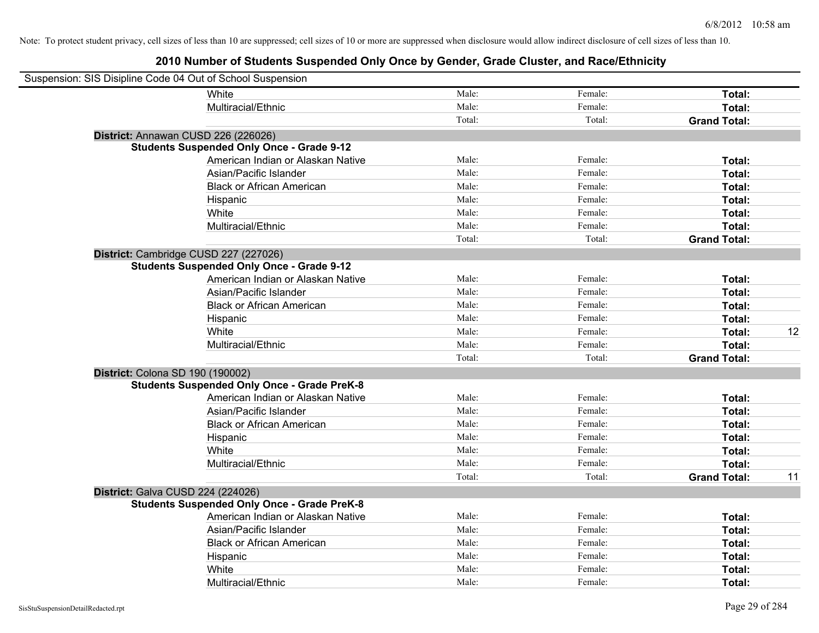| Suspension: SIS Disipline Code 04 Out of School Suspension |                                                    |        |         |                     |    |
|------------------------------------------------------------|----------------------------------------------------|--------|---------|---------------------|----|
|                                                            | White                                              | Male:  | Female: | Total:              |    |
|                                                            | Multiracial/Ethnic                                 | Male:  | Female: | Total:              |    |
|                                                            |                                                    | Total: | Total:  | <b>Grand Total:</b> |    |
|                                                            | District: Annawan CUSD 226 (226026)                |        |         |                     |    |
|                                                            | <b>Students Suspended Only Once - Grade 9-12</b>   |        |         |                     |    |
|                                                            | American Indian or Alaskan Native                  | Male:  | Female: | Total:              |    |
|                                                            | Asian/Pacific Islander                             | Male:  | Female: | Total:              |    |
|                                                            | <b>Black or African American</b>                   | Male:  | Female: | Total:              |    |
|                                                            | Hispanic                                           | Male:  | Female: | Total:              |    |
|                                                            | White                                              | Male:  | Female: | Total:              |    |
|                                                            | Multiracial/Ethnic                                 | Male:  | Female: | Total:              |    |
|                                                            |                                                    | Total: | Total:  | <b>Grand Total:</b> |    |
|                                                            | District: Cambridge CUSD 227 (227026)              |        |         |                     |    |
|                                                            | <b>Students Suspended Only Once - Grade 9-12</b>   |        |         |                     |    |
|                                                            | American Indian or Alaskan Native                  | Male:  | Female: | Total:              |    |
|                                                            | Asian/Pacific Islander                             | Male:  | Female: | Total:              |    |
|                                                            | <b>Black or African American</b>                   | Male:  | Female: | Total:              |    |
|                                                            | Hispanic                                           | Male:  | Female: | Total:              |    |
|                                                            | White                                              | Male:  | Female: | Total:              | 12 |
|                                                            | Multiracial/Ethnic                                 | Male:  | Female: | Total:              |    |
|                                                            |                                                    | Total: | Total:  | <b>Grand Total:</b> |    |
| District: Colona SD 190 (190002)                           |                                                    |        |         |                     |    |
|                                                            | <b>Students Suspended Only Once - Grade PreK-8</b> |        |         |                     |    |
|                                                            | American Indian or Alaskan Native                  | Male:  | Female: | Total:              |    |
|                                                            | Asian/Pacific Islander                             | Male:  | Female: | Total:              |    |
|                                                            | <b>Black or African American</b>                   | Male:  | Female: | Total:              |    |
|                                                            | Hispanic                                           | Male:  | Female: | Total:              |    |
|                                                            | White                                              | Male:  | Female: | Total:              |    |
|                                                            | Multiracial/Ethnic                                 | Male:  | Female: | Total:              |    |
|                                                            |                                                    | Total: | Total:  | <b>Grand Total:</b> | 11 |
| District: Galva CUSD 224 (224026)                          |                                                    |        |         |                     |    |
|                                                            | <b>Students Suspended Only Once - Grade PreK-8</b> |        |         |                     |    |
|                                                            | American Indian or Alaskan Native                  | Male:  | Female: | Total:              |    |
|                                                            | Asian/Pacific Islander                             | Male:  | Female: | Total:              |    |
|                                                            | <b>Black or African American</b>                   | Male:  | Female: | Total:              |    |
|                                                            | Hispanic                                           | Male:  | Female: | Total:              |    |
|                                                            | White                                              | Male:  | Female: | Total:              |    |
|                                                            | Multiracial/Ethnic                                 | Male:  | Female: | Total:              |    |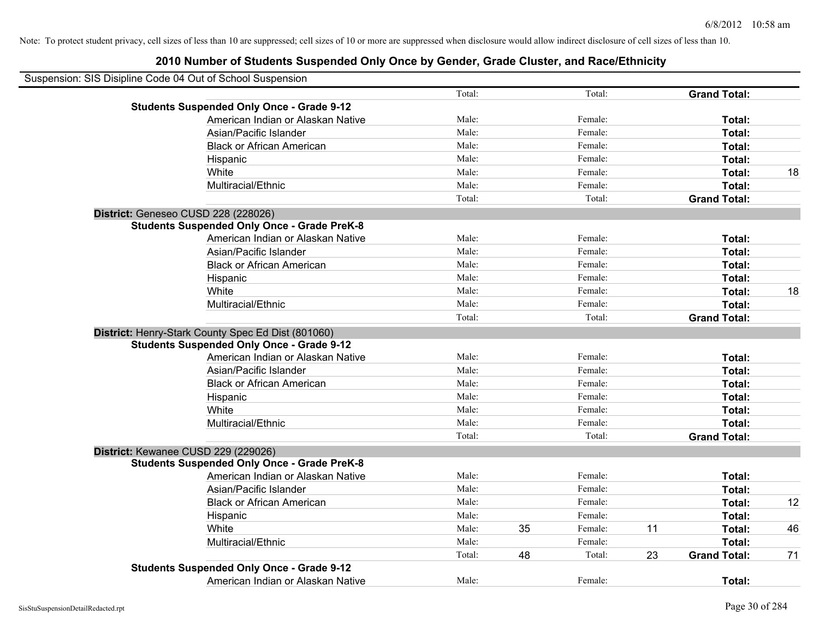| Suspension: SIS Disipline Code 04 Out of School Suspension |        |    |         |    |                     |    |
|------------------------------------------------------------|--------|----|---------|----|---------------------|----|
|                                                            | Total: |    | Total:  |    | <b>Grand Total:</b> |    |
| <b>Students Suspended Only Once - Grade 9-12</b>           |        |    |         |    |                     |    |
| American Indian or Alaskan Native                          | Male:  |    | Female: |    | Total:              |    |
| Asian/Pacific Islander                                     | Male:  |    | Female: |    | Total:              |    |
| <b>Black or African American</b>                           | Male:  |    | Female: |    | Total:              |    |
| Hispanic                                                   | Male:  |    | Female: |    | Total:              |    |
| White                                                      | Male:  |    | Female: |    | Total:              | 18 |
| Multiracial/Ethnic                                         | Male:  |    | Female: |    | Total:              |    |
|                                                            | Total: |    | Total:  |    | <b>Grand Total:</b> |    |
| District: Geneseo CUSD 228 (228026)                        |        |    |         |    |                     |    |
| <b>Students Suspended Only Once - Grade PreK-8</b>         |        |    |         |    |                     |    |
| American Indian or Alaskan Native                          | Male:  |    | Female: |    | Total:              |    |
| Asian/Pacific Islander                                     | Male:  |    | Female: |    | Total:              |    |
| <b>Black or African American</b>                           | Male:  |    | Female: |    | Total:              |    |
| Hispanic                                                   | Male:  |    | Female: |    | Total:              |    |
| White                                                      | Male:  |    | Female: |    | Total:              | 18 |
| Multiracial/Ethnic                                         | Male:  |    | Female: |    | Total:              |    |
|                                                            | Total: |    | Total:  |    | <b>Grand Total:</b> |    |
| District: Henry-Stark County Spec Ed Dist (801060)         |        |    |         |    |                     |    |
| <b>Students Suspended Only Once - Grade 9-12</b>           |        |    |         |    |                     |    |
| American Indian or Alaskan Native                          | Male:  |    | Female: |    | Total:              |    |
| Asian/Pacific Islander                                     | Male:  |    | Female: |    | Total:              |    |
| <b>Black or African American</b>                           | Male:  |    | Female: |    | Total:              |    |
| Hispanic                                                   | Male:  |    | Female: |    | Total:              |    |
| White                                                      | Male:  |    | Female: |    | Total:              |    |
| Multiracial/Ethnic                                         | Male:  |    | Female: |    | Total:              |    |
|                                                            | Total: |    | Total:  |    | <b>Grand Total:</b> |    |
| District: Kewanee CUSD 229 (229026)                        |        |    |         |    |                     |    |
| <b>Students Suspended Only Once - Grade PreK-8</b>         |        |    |         |    |                     |    |
| American Indian or Alaskan Native                          | Male:  |    | Female: |    | Total:              |    |
| Asian/Pacific Islander                                     | Male:  |    | Female: |    | Total:              |    |
| <b>Black or African American</b>                           | Male:  |    | Female: |    | Total:              | 12 |
| Hispanic                                                   | Male:  |    | Female: |    | Total:              |    |
| White                                                      | Male:  | 35 | Female: | 11 | Total:              | 46 |
| Multiracial/Ethnic                                         | Male:  |    | Female: |    | Total:              |    |
|                                                            | Total: | 48 | Total:  | 23 | <b>Grand Total:</b> | 71 |
| <b>Students Suspended Only Once - Grade 9-12</b>           |        |    |         |    |                     |    |
| American Indian or Alaskan Native                          | Male:  |    | Female: |    | Total:              |    |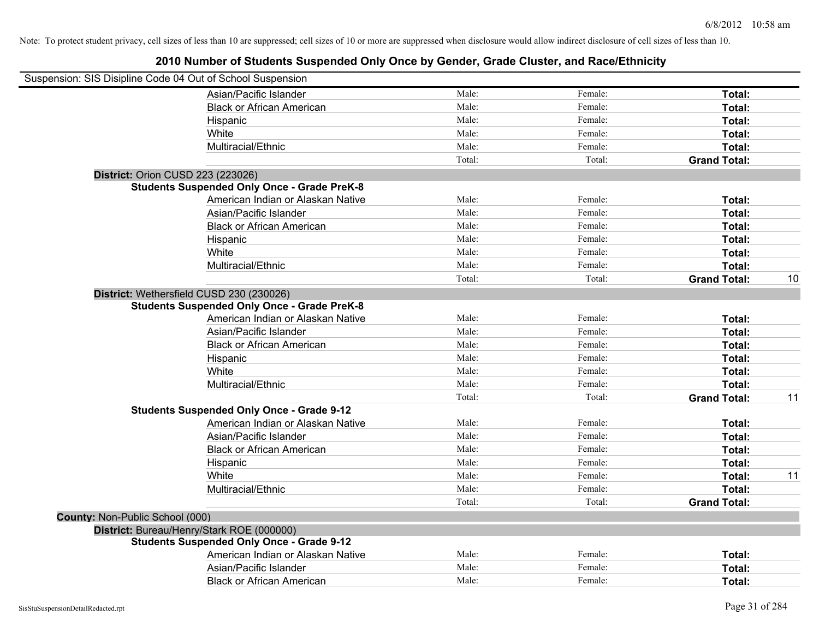| Suspension: SIS Disipline Code 04 Out of School Suspension |                                                    |        |         |                     |    |
|------------------------------------------------------------|----------------------------------------------------|--------|---------|---------------------|----|
|                                                            | Asian/Pacific Islander                             | Male:  | Female: | Total:              |    |
|                                                            | <b>Black or African American</b>                   | Male:  | Female: | Total:              |    |
|                                                            | Hispanic                                           | Male:  | Female: | <b>Total:</b>       |    |
|                                                            | White                                              | Male:  | Female: | Total:              |    |
|                                                            | Multiracial/Ethnic                                 | Male:  | Female: | Total:              |    |
|                                                            |                                                    | Total: | Total:  | <b>Grand Total:</b> |    |
| <b>District: Orion CUSD 223 (223026)</b>                   |                                                    |        |         |                     |    |
|                                                            | <b>Students Suspended Only Once - Grade PreK-8</b> |        |         |                     |    |
|                                                            | American Indian or Alaskan Native                  | Male:  | Female: | Total:              |    |
|                                                            | Asian/Pacific Islander                             | Male:  | Female: | Total:              |    |
|                                                            | <b>Black or African American</b>                   | Male:  | Female: | Total:              |    |
|                                                            | Hispanic                                           | Male:  | Female: | Total:              |    |
|                                                            | White                                              | Male:  | Female: | Total:              |    |
|                                                            | Multiracial/Ethnic                                 | Male:  | Female: | Total:              |    |
|                                                            |                                                    | Total: | Total:  | <b>Grand Total:</b> | 10 |
| District: Wethersfield CUSD 230 (230026)                   |                                                    |        |         |                     |    |
|                                                            | <b>Students Suspended Only Once - Grade PreK-8</b> |        |         |                     |    |
|                                                            | American Indian or Alaskan Native                  | Male:  | Female: | Total:              |    |
|                                                            | Asian/Pacific Islander                             | Male:  | Female: | Total:              |    |
|                                                            | <b>Black or African American</b>                   | Male:  | Female: | Total:              |    |
|                                                            | Hispanic                                           | Male:  | Female: | Total:              |    |
|                                                            | White                                              | Male:  | Female: | Total:              |    |
|                                                            | Multiracial/Ethnic                                 | Male:  | Female: | Total:              |    |
|                                                            |                                                    | Total: | Total:  | <b>Grand Total:</b> | 11 |
|                                                            | <b>Students Suspended Only Once - Grade 9-12</b>   |        |         |                     |    |
|                                                            | American Indian or Alaskan Native                  | Male:  | Female: | Total:              |    |
|                                                            | Asian/Pacific Islander                             | Male:  | Female: | Total:              |    |
|                                                            | <b>Black or African American</b>                   | Male:  | Female: | Total:              |    |
|                                                            | Hispanic                                           | Male:  | Female: | Total:              |    |
|                                                            | White                                              | Male:  | Female: | Total:              | 11 |
|                                                            | Multiracial/Ethnic                                 | Male:  | Female: | Total:              |    |
|                                                            |                                                    | Total: | Total:  | <b>Grand Total:</b> |    |
| County: Non-Public School (000)                            |                                                    |        |         |                     |    |
| District: Bureau/Henry/Stark ROE (000000)                  |                                                    |        |         |                     |    |
|                                                            | <b>Students Suspended Only Once - Grade 9-12</b>   |        |         |                     |    |
|                                                            | American Indian or Alaskan Native                  | Male:  | Female: | Total:              |    |
|                                                            | Asian/Pacific Islander                             | Male:  | Female: | Total:              |    |
|                                                            | <b>Black or African American</b>                   | Male:  | Female: | Total:              |    |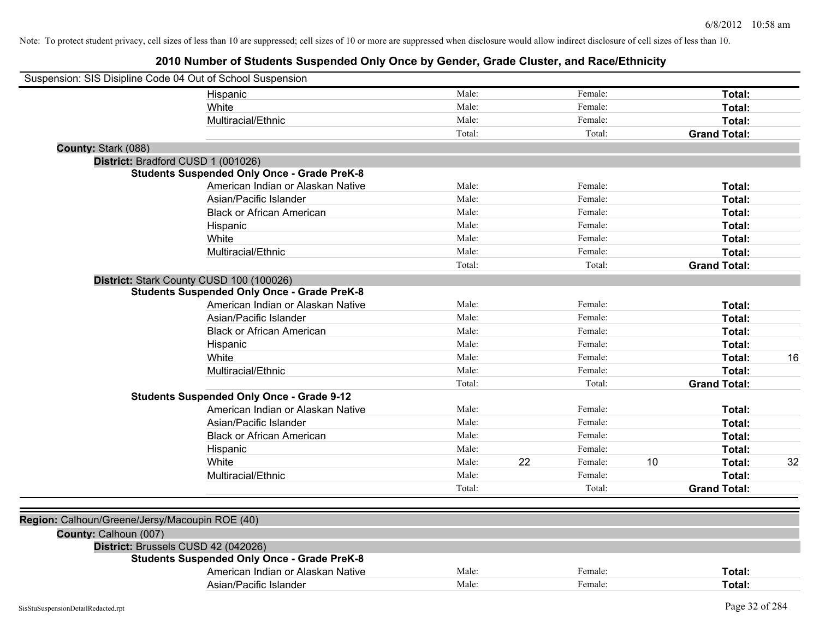| Suspension: SIS Disipline Code 04 Out of School Suspension |                                                    |        |    |         |    |                     |    |
|------------------------------------------------------------|----------------------------------------------------|--------|----|---------|----|---------------------|----|
|                                                            | Hispanic                                           | Male:  |    | Female: |    | Total:              |    |
|                                                            | White                                              | Male:  |    | Female: |    | Total:              |    |
|                                                            | Multiracial/Ethnic                                 | Male:  |    | Female: |    | Total:              |    |
|                                                            |                                                    | Total: |    | Total:  |    | <b>Grand Total:</b> |    |
| County: Stark (088)                                        |                                                    |        |    |         |    |                     |    |
| District: Bradford CUSD 1 (001026)                         |                                                    |        |    |         |    |                     |    |
|                                                            | <b>Students Suspended Only Once - Grade PreK-8</b> |        |    |         |    |                     |    |
|                                                            | American Indian or Alaskan Native                  | Male:  |    | Female: |    | Total:              |    |
|                                                            | Asian/Pacific Islander                             | Male:  |    | Female: |    | Total:              |    |
|                                                            | <b>Black or African American</b>                   | Male:  |    | Female: |    | Total:              |    |
|                                                            | Hispanic                                           | Male:  |    | Female: |    | Total:              |    |
|                                                            | White                                              | Male:  |    | Female: |    | Total:              |    |
|                                                            | Multiracial/Ethnic                                 | Male:  |    | Female: |    | Total:              |    |
|                                                            |                                                    | Total: |    | Total:  |    | <b>Grand Total:</b> |    |
|                                                            | District: Stark County CUSD 100 (100026)           |        |    |         |    |                     |    |
|                                                            | <b>Students Suspended Only Once - Grade PreK-8</b> |        |    |         |    |                     |    |
|                                                            | American Indian or Alaskan Native                  | Male:  |    | Female: |    | Total:              |    |
|                                                            | Asian/Pacific Islander                             | Male:  |    | Female: |    | Total:              |    |
|                                                            | <b>Black or African American</b>                   | Male:  |    | Female: |    | Total:              |    |
|                                                            | Hispanic                                           | Male:  |    | Female: |    | Total:              |    |
|                                                            | White                                              | Male:  |    | Female: |    | Total:              | 16 |
|                                                            | Multiracial/Ethnic                                 | Male:  |    | Female: |    | Total:              |    |
|                                                            |                                                    | Total: |    | Total:  |    | <b>Grand Total:</b> |    |
|                                                            | <b>Students Suspended Only Once - Grade 9-12</b>   |        |    |         |    |                     |    |
|                                                            | American Indian or Alaskan Native                  | Male:  |    | Female: |    | Total:              |    |
|                                                            | Asian/Pacific Islander                             | Male:  |    | Female: |    | Total:              |    |
|                                                            | <b>Black or African American</b>                   | Male:  |    | Female: |    | Total:              |    |
|                                                            | Hispanic                                           | Male:  |    | Female: |    | Total:              |    |
|                                                            | White                                              | Male:  | 22 | Female: | 10 | Total:              | 32 |
|                                                            | Multiracial/Ethnic                                 | Male:  |    | Female: |    | Total:              |    |
|                                                            |                                                    | Total: |    | Total:  |    | <b>Grand Total:</b> |    |
|                                                            |                                                    |        |    |         |    |                     |    |
| Region: Calhoun/Greene/Jersy/Macoupin ROE (40)             |                                                    |        |    |         |    |                     |    |
| County: Calhoun (007)                                      |                                                    |        |    |         |    |                     |    |
| District: Brussels CUSD 42 (042026)                        |                                                    |        |    |         |    |                     |    |
|                                                            | <b>Students Suspended Only Once - Grade PreK-8</b> |        |    |         |    |                     |    |
|                                                            | American Indian or Alaskan Native                  | Male:  |    | Female: |    | Total:              |    |
|                                                            | Asian/Pacific Islander                             | Male:  |    | Female: |    | Total:              |    |
|                                                            |                                                    |        |    |         |    |                     |    |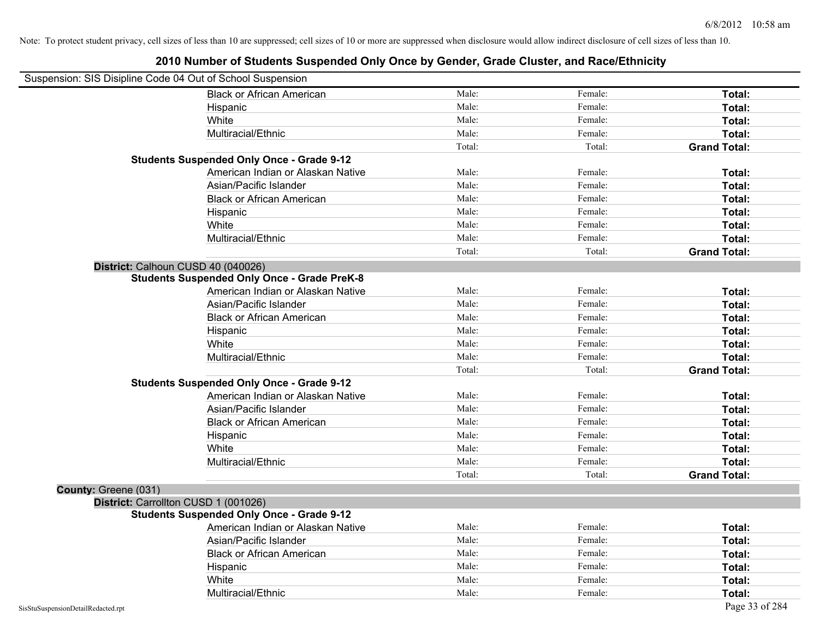| Suspension: SIS Disipline Code 04 Out of School Suspension |                                                    |        |         |                     |
|------------------------------------------------------------|----------------------------------------------------|--------|---------|---------------------|
|                                                            | <b>Black or African American</b>                   | Male:  | Female: | Total:              |
|                                                            | Hispanic                                           | Male:  | Female: | Total:              |
|                                                            | White                                              | Male:  | Female: | Total:              |
|                                                            | Multiracial/Ethnic                                 | Male:  | Female: | Total:              |
|                                                            |                                                    | Total: | Total:  | <b>Grand Total:</b> |
|                                                            | <b>Students Suspended Only Once - Grade 9-12</b>   |        |         |                     |
|                                                            | American Indian or Alaskan Native                  | Male:  | Female: | Total:              |
|                                                            | Asian/Pacific Islander                             | Male:  | Female: | Total:              |
|                                                            | <b>Black or African American</b>                   | Male:  | Female: | Total:              |
|                                                            | Hispanic                                           | Male:  | Female: | Total:              |
|                                                            | White                                              | Male:  | Female: | Total:              |
|                                                            | Multiracial/Ethnic                                 | Male:  | Female: | Total:              |
|                                                            |                                                    | Total: | Total:  | <b>Grand Total:</b> |
| District: Calhoun CUSD 40 (040026)                         |                                                    |        |         |                     |
|                                                            | <b>Students Suspended Only Once - Grade PreK-8</b> |        |         |                     |
|                                                            | American Indian or Alaskan Native                  | Male:  | Female: | Total:              |
|                                                            | Asian/Pacific Islander                             | Male:  | Female: | Total:              |
|                                                            | <b>Black or African American</b>                   | Male:  | Female: | Total:              |
|                                                            | Hispanic                                           | Male:  | Female: | Total:              |
|                                                            | White                                              | Male:  | Female: | Total:              |
|                                                            | Multiracial/Ethnic                                 | Male:  | Female: | Total:              |
|                                                            |                                                    | Total: | Total:  | <b>Grand Total:</b> |
|                                                            | <b>Students Suspended Only Once - Grade 9-12</b>   |        |         |                     |
|                                                            | American Indian or Alaskan Native                  | Male:  | Female: | Total:              |
|                                                            | Asian/Pacific Islander                             | Male:  | Female: | Total:              |
|                                                            | <b>Black or African American</b>                   | Male:  | Female: | Total:              |
|                                                            | Hispanic                                           | Male:  | Female: | Total:              |
|                                                            | White                                              | Male:  | Female: | Total:              |
|                                                            | Multiracial/Ethnic                                 | Male:  | Female: | Total:              |
|                                                            |                                                    | Total: | Total:  | <b>Grand Total:</b> |
| County: Greene (031)                                       |                                                    |        |         |                     |
| District: Carrollton CUSD 1 (001026)                       |                                                    |        |         |                     |
|                                                            | <b>Students Suspended Only Once - Grade 9-12</b>   |        |         |                     |
|                                                            | American Indian or Alaskan Native                  | Male:  | Female: | Total:              |
|                                                            | Asian/Pacific Islander                             | Male:  | Female: | Total:              |
|                                                            | <b>Black or African American</b>                   | Male:  | Female: | Total:              |
|                                                            | Hispanic                                           | Male:  | Female: | Total:              |
|                                                            | White                                              | Male:  | Female: | Total:              |
|                                                            | Multiracial/Ethnic                                 | Male:  | Female: | Total:              |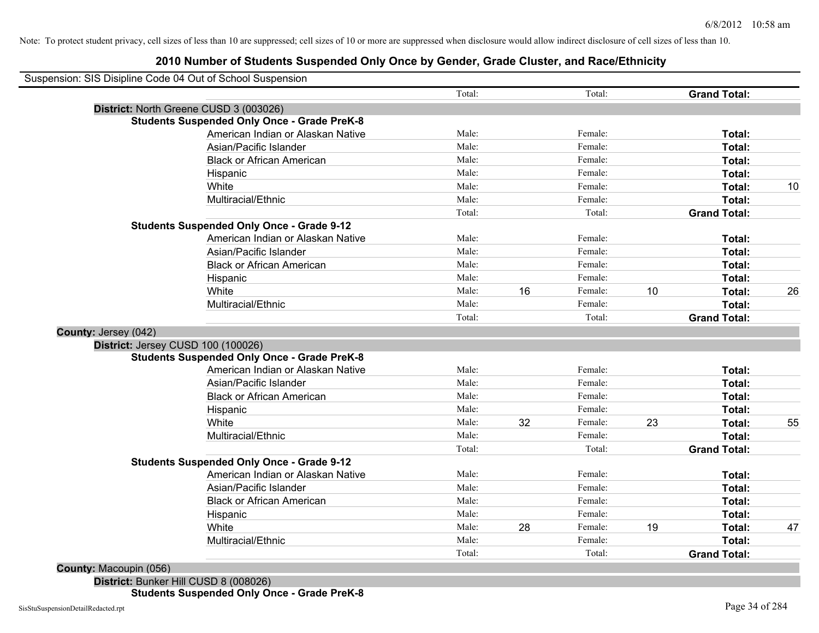#### **2010 Number of Students Suspended Only Once by Gender, Grade Cluster, and Race/Ethnicity**

| Suspension: SIS Disipline Code 04 Out of School Suspension |                                                    |        |    |         |    |                     |    |
|------------------------------------------------------------|----------------------------------------------------|--------|----|---------|----|---------------------|----|
|                                                            |                                                    | Total: |    | Total:  |    | <b>Grand Total:</b> |    |
|                                                            | District: North Greene CUSD 3 (003026)             |        |    |         |    |                     |    |
|                                                            | <b>Students Suspended Only Once - Grade PreK-8</b> |        |    |         |    |                     |    |
|                                                            | American Indian or Alaskan Native                  | Male:  |    | Female: |    | Total:              |    |
|                                                            | Asian/Pacific Islander                             | Male:  |    | Female: |    | Total:              |    |
|                                                            | <b>Black or African American</b>                   | Male:  |    | Female: |    | Total:              |    |
|                                                            | Hispanic                                           | Male:  |    | Female: |    | Total:              |    |
|                                                            | White                                              | Male:  |    | Female: |    | Total:              | 10 |
|                                                            | Multiracial/Ethnic                                 | Male:  |    | Female: |    | Total:              |    |
|                                                            |                                                    | Total: |    | Total:  |    | <b>Grand Total:</b> |    |
|                                                            | <b>Students Suspended Only Once - Grade 9-12</b>   |        |    |         |    |                     |    |
|                                                            | American Indian or Alaskan Native                  | Male:  |    | Female: |    | Total:              |    |
|                                                            | Asian/Pacific Islander                             | Male:  |    | Female: |    | Total:              |    |
|                                                            | <b>Black or African American</b>                   | Male:  |    | Female: |    | Total:              |    |
|                                                            | Hispanic                                           | Male:  |    | Female: |    | Total:              |    |
|                                                            | White                                              | Male:  | 16 | Female: | 10 | Total:              | 26 |
|                                                            | Multiracial/Ethnic                                 | Male:  |    | Female: |    | Total:              |    |
|                                                            |                                                    | Total: |    | Total:  |    | <b>Grand Total:</b> |    |
| County: Jersey (042)                                       |                                                    |        |    |         |    |                     |    |
| District: Jersey CUSD 100 (100026)                         |                                                    |        |    |         |    |                     |    |
|                                                            | <b>Students Suspended Only Once - Grade PreK-8</b> |        |    |         |    |                     |    |
|                                                            | American Indian or Alaskan Native                  | Male:  |    | Female: |    | Total:              |    |
|                                                            | Asian/Pacific Islander                             | Male:  |    | Female: |    | Total:              |    |
|                                                            | <b>Black or African American</b>                   | Male:  |    | Female: |    | Total:              |    |
|                                                            | Hispanic                                           | Male:  |    | Female: |    | Total:              |    |
|                                                            | White                                              | Male:  | 32 | Female: | 23 | Total:              | 55 |
|                                                            | Multiracial/Ethnic                                 | Male:  |    | Female: |    | Total:              |    |
|                                                            |                                                    | Total: |    | Total:  |    | <b>Grand Total:</b> |    |
|                                                            | <b>Students Suspended Only Once - Grade 9-12</b>   |        |    |         |    |                     |    |
|                                                            | American Indian or Alaskan Native                  | Male:  |    | Female: |    | Total:              |    |
|                                                            | Asian/Pacific Islander                             | Male:  |    | Female: |    | Total:              |    |
|                                                            | <b>Black or African American</b>                   | Male:  |    | Female: |    | Total:              |    |
|                                                            | Hispanic                                           | Male:  |    | Female: |    | Total:              |    |
|                                                            | White                                              | Male:  | 28 | Female: | 19 | Total:              | 47 |
|                                                            | Multiracial/Ethnic                                 | Male:  |    | Female: |    | Total:              |    |
|                                                            |                                                    | Total: |    | Total:  |    | <b>Grand Total:</b> |    |

**County:** Macoupin (056)

**District:** Bunker Hill CUSD 8 (008026) **Students Suspended Only Once - Grade PreK-8**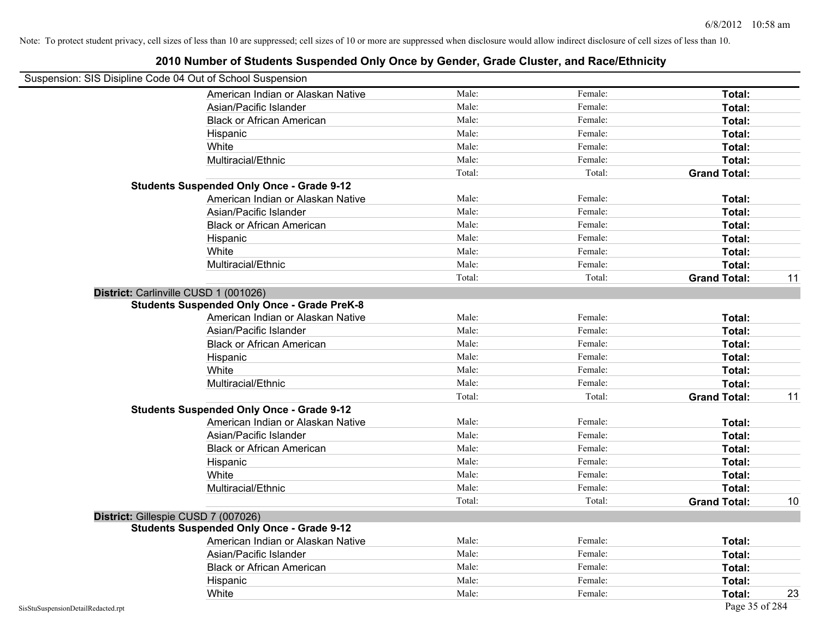### Suspension: SIS Disipline Code 04 Out of School Suspension American Indian or Alaskan Native **Male:** Male: Female: Female: **Total:** Total: Asian/Pacific Islander **Figure 1.1 Contained Asian** Male: Female: Female: **Total:** Total: Black or African American **American** Male: Male: Female: **Female: Total: Total: Total: Female: Total: Total: Total: Total: Total: Total: Total: Total: Total: Total: Total: Total: Total:** Hispanic **Total:** Male: Female: **Total:** Female: **Total:** Total: White **Total:** Male: Female: **Total:** Female: **Total:** Total: Multiracial/Ethnic **Total:** Male: Female: **Total:** Female: **Total:** Female: **Total:** Female: **Total:** Female: **Total:** Female: **Total:** Female: **Total:** Female: **Total:** Female: **Total:** Female: **Total:** Female: **Total:** F Total: Total: Total: **Grand Total: Students Suspended Only Once - Grade 9-12** American Indian or Alaskan Native **Male:** Male: Female: Female: **Total:** Total: Asian/Pacific Islander **Figure 1.1 Contact Contact Contact Contact Contact Contact Contact Contact Total: Total:** Black or African American **Figure 1.1 and Total:** Male: Female: Female: **Total: Total:** Total: Hispanic **Total:** Male: Female: **Total:** Female: **Total:** Total: White **Total:** Male: Female: **Total:** Female: **Total:** Total: Multiracial/Ethnic **Total:** Male: Female: **Total:** Female: **Total:** Female: **Total:** Female: **Total:** Female: **Total:** Female: **Total:** Female: **Total:** Female: **Total:** Female: **Total:** Female: **Total:** Female: **Total:** F Total: Total: Total: Total: **Grand Total:** 11 **District:** Carlinville CUSD 1 (001026) **Students Suspended Only Once - Grade PreK-8** American Indian or Alaskan Native **Male:** Male: Female: Female: **Total:** Total: Asian/Pacific Islander **Figure 1.1 Contact Contact Contact Contact Contact Contact Contact Contact Contact Conta** Black or African American **American** Male: Male: Female: **Female: Total: Total: Total: Female: Total: Total: Total: Total: Total: Total: Total: Total: Total: Total: Total: Total: Total:** Hispanic **Total:** Male: Female: **Total:** Female: **Total:** Total: White **Total:** Male: Female: **Total:** Total: **Total:** Female: **Total:** Total: Multiracial/Ethnic **Total:** Male: **Male:** Female: **Total:** Total: Total: Total: Total: Total: **Grand Total:** 11 **Students Suspended Only Once - Grade 9-12** American Indian or Alaskan Native **Male:** Male: Female: Female: **Total:** Total: Asian/Pacific Islander **Figure 1.1 Contained Asian/Pacific Islander Female:** Female: **Total:** Total: Black or African American **Figure 1.1 and Total:** Male: Female: Female: **Total: Total:** Total: Hispanic **Total:** Male: Female: **Total:** Female: **Total:** Total: White **Total:** Male: Female: **Total:** Total: **Total:** Female: **Total:** Total: Multiracial/Ethnic **Total:** Male: Female: **Total:** Female: **Total:** Female: **Total:** Total: Total: Total: Total: Total: **Grand Total:** 10 **District:** Gillespie CUSD 7 (007026) **Students Suspended Only Once - Grade 9-12** American Indian or Alaskan Native **Male:** Male: Female: Female: **Total:** Total: Asian/Pacific Islander **Figure 1.1 Contained Asian** Male: Female: **Female: Total: Total: Total: Total: Total: Total: Total: Total: Total: Total: Total: Total: Total: Total: Total: Total: T** Black or African American **Figure 1.1 and Total:** Male: Female: Female: **Total:** Total: Hispanic **Total:** Male: Female: **Total:** Female: **Total:** Total: **Total:** Female: **Total:** Total: **Total:** Total: **Total:** Total: **Total:** Total: **Total:** Total: **Total:** Total: **Total:** Total: **Total:** Total: **Total:** Tot White **Male:** Male: **Total: 23** Male: **Total: 23**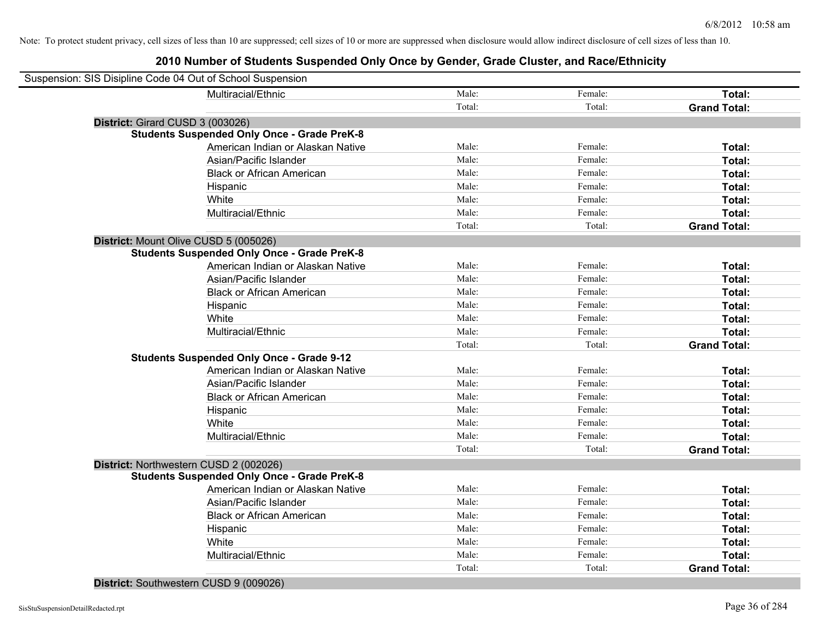#### **2010 Number of Students Suspended Only Once by Gender, Grade Cluster, and Race/Ethnicity**

| Multiracial/Ethnic<br>Male:<br>Female:<br>Total:<br>Total:<br>Total:<br><b>Grand Total:</b><br>District: Girard CUSD 3 (003026)<br><b>Students Suspended Only Once - Grade PreK-8</b><br>American Indian or Alaskan Native<br>Male:<br>Female:<br>Total:<br>Male:<br>Asian/Pacific Islander<br>Female:<br>Total:<br>Male:<br><b>Black or African American</b><br>Female:<br>Total:<br>Male:<br>Female:<br>Hispanic<br>Total:<br>Male:<br>White<br>Female:<br>Total:<br>Male:<br>Multiracial/Ethnic<br>Female:<br>Total:<br>Total:<br>Total:<br><b>Grand Total:</b><br>District: Mount Olive CUSD 5 (005026)<br><b>Students Suspended Only Once - Grade PreK-8</b><br>American Indian or Alaskan Native<br>Male:<br>Female:<br>Total:<br>Male:<br>Female:<br>Asian/Pacific Islander<br>Total:<br>Male:<br>Female:<br>Total:<br><b>Black or African American</b><br>Male:<br>Female:<br>Hispanic<br>Total:<br>Male:<br>White<br>Female:<br>Total:<br>Multiracial/Ethnic<br>Male:<br>Female:<br>Total:<br>Total:<br><b>Grand Total:</b><br>Total:<br><b>Students Suspended Only Once - Grade 9-12</b><br>American Indian or Alaskan Native<br>Male:<br>Female:<br>Total:<br>Male:<br>Female:<br>Asian/Pacific Islander<br>Total:<br>Male:<br>Female:<br><b>Black or African American</b><br>Total:<br>Male:<br>Female:<br>Total:<br>Hispanic<br>Male:<br>Female:<br>White<br>Total:<br>Male:<br>Female:<br>Total:<br>Multiracial/Ethnic<br>Total:<br>Total:<br><b>Grand Total:</b><br>District: Northwestern CUSD 2 (002026)<br><b>Students Suspended Only Once - Grade PreK-8</b><br>American Indian or Alaskan Native<br>Male:<br>Female:<br>Total:<br>Male:<br>Female:<br>Asian/Pacific Islander<br>Total:<br>Male:<br><b>Black or African American</b><br>Female:<br>Total:<br>Male:<br>Female:<br>Hispanic<br>Total:<br>White<br>Male:<br>Female:<br>Total:<br>Multiracial/Ethnic<br>Male:<br>Female:<br>Total:<br>Total:<br>Total:<br><b>Grand Total:</b> |  | Suspension: SIS Disipline Code 04 Out of School Suspension |  |  |  |  |
|--------------------------------------------------------------------------------------------------------------------------------------------------------------------------------------------------------------------------------------------------------------------------------------------------------------------------------------------------------------------------------------------------------------------------------------------------------------------------------------------------------------------------------------------------------------------------------------------------------------------------------------------------------------------------------------------------------------------------------------------------------------------------------------------------------------------------------------------------------------------------------------------------------------------------------------------------------------------------------------------------------------------------------------------------------------------------------------------------------------------------------------------------------------------------------------------------------------------------------------------------------------------------------------------------------------------------------------------------------------------------------------------------------------------------------------------------------------------------------------------------------------------------------------------------------------------------------------------------------------------------------------------------------------------------------------------------------------------------------------------------------------------------------------------------------------------------------------------------------------------------------------------------------------------------------------------------------------|--|------------------------------------------------------------|--|--|--|--|
|                                                                                                                                                                                                                                                                                                                                                                                                                                                                                                                                                                                                                                                                                                                                                                                                                                                                                                                                                                                                                                                                                                                                                                                                                                                                                                                                                                                                                                                                                                                                                                                                                                                                                                                                                                                                                                                                                                                                                              |  |                                                            |  |  |  |  |
|                                                                                                                                                                                                                                                                                                                                                                                                                                                                                                                                                                                                                                                                                                                                                                                                                                                                                                                                                                                                                                                                                                                                                                                                                                                                                                                                                                                                                                                                                                                                                                                                                                                                                                                                                                                                                                                                                                                                                              |  |                                                            |  |  |  |  |
|                                                                                                                                                                                                                                                                                                                                                                                                                                                                                                                                                                                                                                                                                                                                                                                                                                                                                                                                                                                                                                                                                                                                                                                                                                                                                                                                                                                                                                                                                                                                                                                                                                                                                                                                                                                                                                                                                                                                                              |  |                                                            |  |  |  |  |
|                                                                                                                                                                                                                                                                                                                                                                                                                                                                                                                                                                                                                                                                                                                                                                                                                                                                                                                                                                                                                                                                                                                                                                                                                                                                                                                                                                                                                                                                                                                                                                                                                                                                                                                                                                                                                                                                                                                                                              |  |                                                            |  |  |  |  |
|                                                                                                                                                                                                                                                                                                                                                                                                                                                                                                                                                                                                                                                                                                                                                                                                                                                                                                                                                                                                                                                                                                                                                                                                                                                                                                                                                                                                                                                                                                                                                                                                                                                                                                                                                                                                                                                                                                                                                              |  |                                                            |  |  |  |  |
|                                                                                                                                                                                                                                                                                                                                                                                                                                                                                                                                                                                                                                                                                                                                                                                                                                                                                                                                                                                                                                                                                                                                                                                                                                                                                                                                                                                                                                                                                                                                                                                                                                                                                                                                                                                                                                                                                                                                                              |  |                                                            |  |  |  |  |
|                                                                                                                                                                                                                                                                                                                                                                                                                                                                                                                                                                                                                                                                                                                                                                                                                                                                                                                                                                                                                                                                                                                                                                                                                                                                                                                                                                                                                                                                                                                                                                                                                                                                                                                                                                                                                                                                                                                                                              |  |                                                            |  |  |  |  |
|                                                                                                                                                                                                                                                                                                                                                                                                                                                                                                                                                                                                                                                                                                                                                                                                                                                                                                                                                                                                                                                                                                                                                                                                                                                                                                                                                                                                                                                                                                                                                                                                                                                                                                                                                                                                                                                                                                                                                              |  |                                                            |  |  |  |  |
|                                                                                                                                                                                                                                                                                                                                                                                                                                                                                                                                                                                                                                                                                                                                                                                                                                                                                                                                                                                                                                                                                                                                                                                                                                                                                                                                                                                                                                                                                                                                                                                                                                                                                                                                                                                                                                                                                                                                                              |  |                                                            |  |  |  |  |
|                                                                                                                                                                                                                                                                                                                                                                                                                                                                                                                                                                                                                                                                                                                                                                                                                                                                                                                                                                                                                                                                                                                                                                                                                                                                                                                                                                                                                                                                                                                                                                                                                                                                                                                                                                                                                                                                                                                                                              |  |                                                            |  |  |  |  |
|                                                                                                                                                                                                                                                                                                                                                                                                                                                                                                                                                                                                                                                                                                                                                                                                                                                                                                                                                                                                                                                                                                                                                                                                                                                                                                                                                                                                                                                                                                                                                                                                                                                                                                                                                                                                                                                                                                                                                              |  |                                                            |  |  |  |  |
|                                                                                                                                                                                                                                                                                                                                                                                                                                                                                                                                                                                                                                                                                                                                                                                                                                                                                                                                                                                                                                                                                                                                                                                                                                                                                                                                                                                                                                                                                                                                                                                                                                                                                                                                                                                                                                                                                                                                                              |  |                                                            |  |  |  |  |
|                                                                                                                                                                                                                                                                                                                                                                                                                                                                                                                                                                                                                                                                                                                                                                                                                                                                                                                                                                                                                                                                                                                                                                                                                                                                                                                                                                                                                                                                                                                                                                                                                                                                                                                                                                                                                                                                                                                                                              |  |                                                            |  |  |  |  |
|                                                                                                                                                                                                                                                                                                                                                                                                                                                                                                                                                                                                                                                                                                                                                                                                                                                                                                                                                                                                                                                                                                                                                                                                                                                                                                                                                                                                                                                                                                                                                                                                                                                                                                                                                                                                                                                                                                                                                              |  |                                                            |  |  |  |  |
|                                                                                                                                                                                                                                                                                                                                                                                                                                                                                                                                                                                                                                                                                                                                                                                                                                                                                                                                                                                                                                                                                                                                                                                                                                                                                                                                                                                                                                                                                                                                                                                                                                                                                                                                                                                                                                                                                                                                                              |  |                                                            |  |  |  |  |
|                                                                                                                                                                                                                                                                                                                                                                                                                                                                                                                                                                                                                                                                                                                                                                                                                                                                                                                                                                                                                                                                                                                                                                                                                                                                                                                                                                                                                                                                                                                                                                                                                                                                                                                                                                                                                                                                                                                                                              |  |                                                            |  |  |  |  |
|                                                                                                                                                                                                                                                                                                                                                                                                                                                                                                                                                                                                                                                                                                                                                                                                                                                                                                                                                                                                                                                                                                                                                                                                                                                                                                                                                                                                                                                                                                                                                                                                                                                                                                                                                                                                                                                                                                                                                              |  |                                                            |  |  |  |  |
|                                                                                                                                                                                                                                                                                                                                                                                                                                                                                                                                                                                                                                                                                                                                                                                                                                                                                                                                                                                                                                                                                                                                                                                                                                                                                                                                                                                                                                                                                                                                                                                                                                                                                                                                                                                                                                                                                                                                                              |  |                                                            |  |  |  |  |
|                                                                                                                                                                                                                                                                                                                                                                                                                                                                                                                                                                                                                                                                                                                                                                                                                                                                                                                                                                                                                                                                                                                                                                                                                                                                                                                                                                                                                                                                                                                                                                                                                                                                                                                                                                                                                                                                                                                                                              |  |                                                            |  |  |  |  |
|                                                                                                                                                                                                                                                                                                                                                                                                                                                                                                                                                                                                                                                                                                                                                                                                                                                                                                                                                                                                                                                                                                                                                                                                                                                                                                                                                                                                                                                                                                                                                                                                                                                                                                                                                                                                                                                                                                                                                              |  |                                                            |  |  |  |  |
|                                                                                                                                                                                                                                                                                                                                                                                                                                                                                                                                                                                                                                                                                                                                                                                                                                                                                                                                                                                                                                                                                                                                                                                                                                                                                                                                                                                                                                                                                                                                                                                                                                                                                                                                                                                                                                                                                                                                                              |  |                                                            |  |  |  |  |
|                                                                                                                                                                                                                                                                                                                                                                                                                                                                                                                                                                                                                                                                                                                                                                                                                                                                                                                                                                                                                                                                                                                                                                                                                                                                                                                                                                                                                                                                                                                                                                                                                                                                                                                                                                                                                                                                                                                                                              |  |                                                            |  |  |  |  |
|                                                                                                                                                                                                                                                                                                                                                                                                                                                                                                                                                                                                                                                                                                                                                                                                                                                                                                                                                                                                                                                                                                                                                                                                                                                                                                                                                                                                                                                                                                                                                                                                                                                                                                                                                                                                                                                                                                                                                              |  |                                                            |  |  |  |  |
|                                                                                                                                                                                                                                                                                                                                                                                                                                                                                                                                                                                                                                                                                                                                                                                                                                                                                                                                                                                                                                                                                                                                                                                                                                                                                                                                                                                                                                                                                                                                                                                                                                                                                                                                                                                                                                                                                                                                                              |  |                                                            |  |  |  |  |
|                                                                                                                                                                                                                                                                                                                                                                                                                                                                                                                                                                                                                                                                                                                                                                                                                                                                                                                                                                                                                                                                                                                                                                                                                                                                                                                                                                                                                                                                                                                                                                                                                                                                                                                                                                                                                                                                                                                                                              |  |                                                            |  |  |  |  |
|                                                                                                                                                                                                                                                                                                                                                                                                                                                                                                                                                                                                                                                                                                                                                                                                                                                                                                                                                                                                                                                                                                                                                                                                                                                                                                                                                                                                                                                                                                                                                                                                                                                                                                                                                                                                                                                                                                                                                              |  |                                                            |  |  |  |  |
|                                                                                                                                                                                                                                                                                                                                                                                                                                                                                                                                                                                                                                                                                                                                                                                                                                                                                                                                                                                                                                                                                                                                                                                                                                                                                                                                                                                                                                                                                                                                                                                                                                                                                                                                                                                                                                                                                                                                                              |  |                                                            |  |  |  |  |
|                                                                                                                                                                                                                                                                                                                                                                                                                                                                                                                                                                                                                                                                                                                                                                                                                                                                                                                                                                                                                                                                                                                                                                                                                                                                                                                                                                                                                                                                                                                                                                                                                                                                                                                                                                                                                                                                                                                                                              |  |                                                            |  |  |  |  |
|                                                                                                                                                                                                                                                                                                                                                                                                                                                                                                                                                                                                                                                                                                                                                                                                                                                                                                                                                                                                                                                                                                                                                                                                                                                                                                                                                                                                                                                                                                                                                                                                                                                                                                                                                                                                                                                                                                                                                              |  |                                                            |  |  |  |  |
|                                                                                                                                                                                                                                                                                                                                                                                                                                                                                                                                                                                                                                                                                                                                                                                                                                                                                                                                                                                                                                                                                                                                                                                                                                                                                                                                                                                                                                                                                                                                                                                                                                                                                                                                                                                                                                                                                                                                                              |  |                                                            |  |  |  |  |
|                                                                                                                                                                                                                                                                                                                                                                                                                                                                                                                                                                                                                                                                                                                                                                                                                                                                                                                                                                                                                                                                                                                                                                                                                                                                                                                                                                                                                                                                                                                                                                                                                                                                                                                                                                                                                                                                                                                                                              |  |                                                            |  |  |  |  |
|                                                                                                                                                                                                                                                                                                                                                                                                                                                                                                                                                                                                                                                                                                                                                                                                                                                                                                                                                                                                                                                                                                                                                                                                                                                                                                                                                                                                                                                                                                                                                                                                                                                                                                                                                                                                                                                                                                                                                              |  |                                                            |  |  |  |  |
|                                                                                                                                                                                                                                                                                                                                                                                                                                                                                                                                                                                                                                                                                                                                                                                                                                                                                                                                                                                                                                                                                                                                                                                                                                                                                                                                                                                                                                                                                                                                                                                                                                                                                                                                                                                                                                                                                                                                                              |  |                                                            |  |  |  |  |
|                                                                                                                                                                                                                                                                                                                                                                                                                                                                                                                                                                                                                                                                                                                                                                                                                                                                                                                                                                                                                                                                                                                                                                                                                                                                                                                                                                                                                                                                                                                                                                                                                                                                                                                                                                                                                                                                                                                                                              |  |                                                            |  |  |  |  |
|                                                                                                                                                                                                                                                                                                                                                                                                                                                                                                                                                                                                                                                                                                                                                                                                                                                                                                                                                                                                                                                                                                                                                                                                                                                                                                                                                                                                                                                                                                                                                                                                                                                                                                                                                                                                                                                                                                                                                              |  |                                                            |  |  |  |  |
|                                                                                                                                                                                                                                                                                                                                                                                                                                                                                                                                                                                                                                                                                                                                                                                                                                                                                                                                                                                                                                                                                                                                                                                                                                                                                                                                                                                                                                                                                                                                                                                                                                                                                                                                                                                                                                                                                                                                                              |  |                                                            |  |  |  |  |
|                                                                                                                                                                                                                                                                                                                                                                                                                                                                                                                                                                                                                                                                                                                                                                                                                                                                                                                                                                                                                                                                                                                                                                                                                                                                                                                                                                                                                                                                                                                                                                                                                                                                                                                                                                                                                                                                                                                                                              |  |                                                            |  |  |  |  |

**District:** Southwestern CUSD 9 (009026)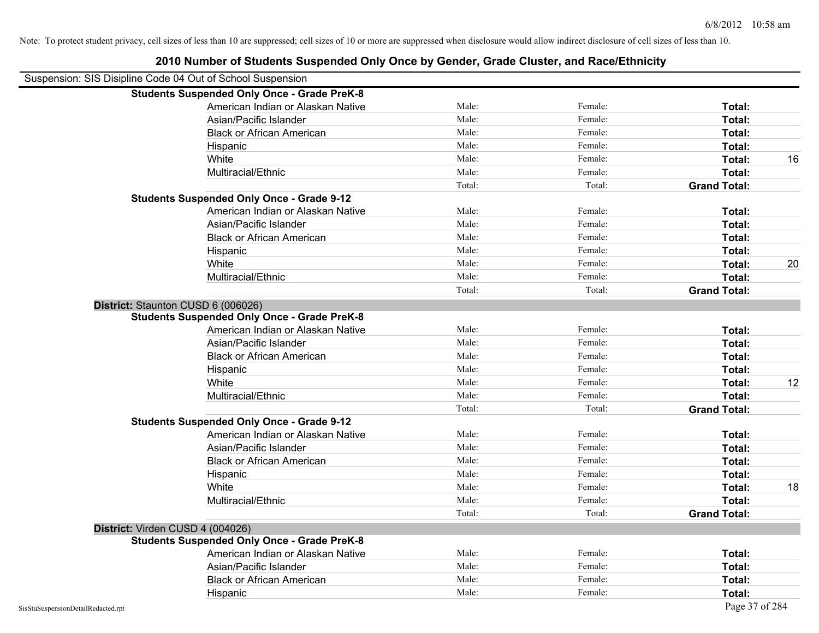|                                                            | 2010 Number of Students Suspended Only Once by Gender, Grade Cluster, and Race/Ethnicity |        |         |                     |    |
|------------------------------------------------------------|------------------------------------------------------------------------------------------|--------|---------|---------------------|----|
| Suspension: SIS Disipline Code 04 Out of School Suspension |                                                                                          |        |         |                     |    |
|                                                            | <b>Students Suspended Only Once - Grade PreK-8</b>                                       |        |         |                     |    |
|                                                            | American Indian or Alaskan Native                                                        | Male:  | Female: | Total:              |    |
|                                                            | Asian/Pacific Islander                                                                   | Male:  | Female: | Total:              |    |
|                                                            | <b>Black or African American</b>                                                         | Male:  | Female: | Total:              |    |
|                                                            | Hispanic                                                                                 | Male:  | Female: | Total:              |    |
|                                                            | White                                                                                    | Male:  | Female: | Total:              | 16 |
|                                                            | Multiracial/Ethnic                                                                       | Male:  | Female: | Total:              |    |
|                                                            |                                                                                          | Total: | Total:  | <b>Grand Total:</b> |    |
|                                                            | <b>Students Suspended Only Once - Grade 9-12</b>                                         |        |         |                     |    |
|                                                            | American Indian or Alaskan Native                                                        | Male:  | Female: | Total:              |    |
|                                                            | Asian/Pacific Islander                                                                   | Male:  | Female: | Total:              |    |
|                                                            | <b>Black or African American</b>                                                         | Male:  | Female: | Total:              |    |
|                                                            | Hispanic                                                                                 | Male:  | Female: | Total:              |    |
|                                                            | White                                                                                    | Male:  | Female: | Total:              | 20 |
|                                                            | Multiracial/Ethnic                                                                       | Male:  | Female: | Total:              |    |
|                                                            |                                                                                          | Total: | Total:  | <b>Grand Total:</b> |    |
|                                                            | District: Staunton CUSD 6 (006026)                                                       |        |         |                     |    |
|                                                            | <b>Students Suspended Only Once - Grade PreK-8</b>                                       |        |         |                     |    |
|                                                            | American Indian or Alaskan Native                                                        | Male:  | Female: | Total:              |    |
|                                                            | Asian/Pacific Islander                                                                   | Male:  | Female: | Total:              |    |
|                                                            | <b>Black or African American</b>                                                         | Male:  | Female: | Total:              |    |
|                                                            | Hispanic                                                                                 | Male:  | Female: | Total:              |    |
|                                                            | White                                                                                    | Male:  | Female: | Total:              | 12 |
|                                                            | Multiracial/Ethnic                                                                       | Male:  | Female: | Total:              |    |
|                                                            |                                                                                          | Total: | Total:  | <b>Grand Total:</b> |    |
|                                                            | <b>Students Suspended Only Once - Grade 9-12</b>                                         |        |         |                     |    |
|                                                            | American Indian or Alaskan Native                                                        | Male:  | Female: | Total:              |    |
|                                                            | Asian/Pacific Islander                                                                   | Male:  | Female: | Total:              |    |
|                                                            | <b>Black or African American</b>                                                         | Male:  | Female: | Total:              |    |
|                                                            | Hispanic                                                                                 | Male:  | Female: | Total:              |    |
|                                                            | White                                                                                    | Male:  | Female: | Total:              | 18 |
|                                                            | Multiracial/Ethnic                                                                       | Male:  | Female: | Total:              |    |
|                                                            |                                                                                          | Total: | Total:  | <b>Grand Total:</b> |    |
|                                                            | District: Virden CUSD 4 (004026)                                                         |        |         |                     |    |
|                                                            | <b>Students Suspended Only Once - Grade PreK-8</b>                                       |        |         |                     |    |
|                                                            | American Indian or Alaskan Native                                                        | Male:  | Female: | Total:              |    |
|                                                            | Asian/Pacific Islander                                                                   | Male:  | Female: | Total:              |    |
|                                                            | <b>Black or African American</b>                                                         | Male:  | Female: | Total:              |    |
|                                                            | Hispanic                                                                                 | Male:  | Female: | Total:              |    |
| SisStuSuspensionDetailRedacted.rpt                         |                                                                                          |        |         | Page 37 of 284      |    |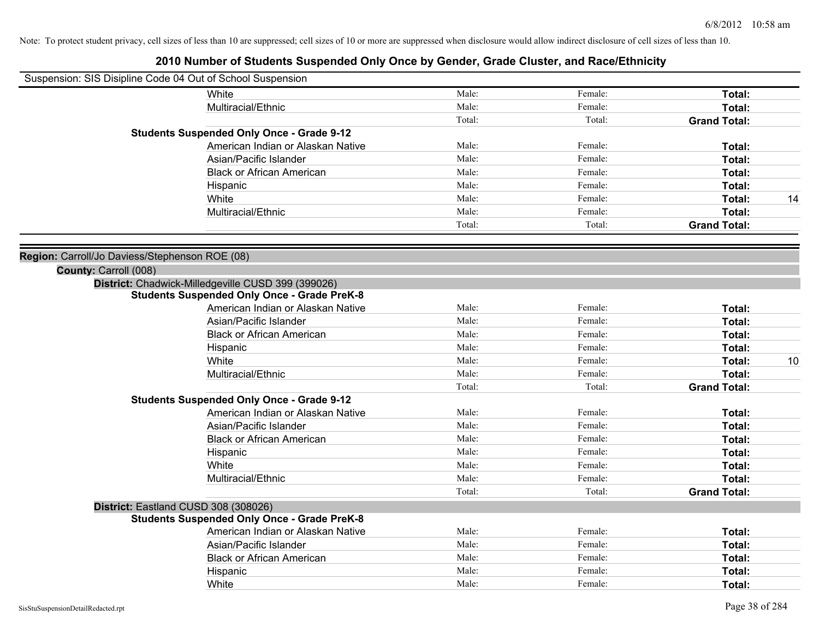|                                                | Suspension: SIS Disipline Code 04 Out of School Suspension |        |         |                     |
|------------------------------------------------|------------------------------------------------------------|--------|---------|---------------------|
|                                                | White                                                      | Male:  | Female: | Total:              |
|                                                | Multiracial/Ethnic                                         | Male:  | Female: | Total:              |
|                                                |                                                            | Total: | Total:  | <b>Grand Total:</b> |
|                                                | <b>Students Suspended Only Once - Grade 9-12</b>           |        |         |                     |
|                                                | American Indian or Alaskan Native                          | Male:  | Female: | Total:              |
|                                                | Asian/Pacific Islander                                     | Male:  | Female: | Total:              |
|                                                | <b>Black or African American</b>                           | Male:  | Female: | Total:              |
|                                                | Hispanic                                                   | Male:  | Female: | Total:              |
|                                                | White                                                      | Male:  | Female: | Total:<br>14        |
|                                                | Multiracial/Ethnic                                         | Male:  | Female: | Total:              |
|                                                |                                                            | Total: | Total:  | <b>Grand Total:</b> |
| Region: Carroll/Jo Daviess/Stephenson ROE (08) |                                                            |        |         |                     |
| County: Carroll (008)                          |                                                            |        |         |                     |
|                                                | District: Chadwick-Milledgeville CUSD 399 (399026)         |        |         |                     |
|                                                | <b>Students Suspended Only Once - Grade PreK-8</b>         |        |         |                     |
|                                                | American Indian or Alaskan Native                          | Male:  | Female: | Total:              |
|                                                | Asian/Pacific Islander                                     | Male:  | Female: | Total:              |
|                                                | <b>Black or African American</b>                           | Male:  | Female: | Total:              |
|                                                | Hispanic                                                   | Male:  | Female: | Total:              |
|                                                | White                                                      | Male:  | Female: | Total:<br>10        |
|                                                | Multiracial/Ethnic                                         | Male:  | Female: | Total:              |
|                                                |                                                            | Total: | Total:  | <b>Grand Total:</b> |
|                                                | <b>Students Suspended Only Once - Grade 9-12</b>           |        |         |                     |
|                                                | American Indian or Alaskan Native                          | Male:  | Female: | Total:              |
|                                                | Asian/Pacific Islander                                     | Male:  | Female: | Total:              |
|                                                | <b>Black or African American</b>                           | Male:  | Female: | Total:              |
|                                                | Hispanic                                                   | Male:  | Female: | Total:              |
|                                                | White                                                      | Male:  | Female: | Total:              |
|                                                | Multiracial/Ethnic                                         | Male:  | Female: | Total:              |
|                                                |                                                            | Total: | Total:  | <b>Grand Total:</b> |
|                                                | District: Eastland CUSD 308 (308026)                       |        |         |                     |
|                                                | <b>Students Suspended Only Once - Grade PreK-8</b>         |        |         |                     |
|                                                | American Indian or Alaskan Native                          | Male:  | Female: | Total:              |
|                                                | Asian/Pacific Islander                                     | Male:  | Female: | Total:              |
|                                                | <b>Black or African American</b>                           | Male:  | Female: | Total:              |
|                                                | Hispanic                                                   | Male:  | Female: | Total:              |
|                                                | White                                                      | Male:  | Female: | Total:              |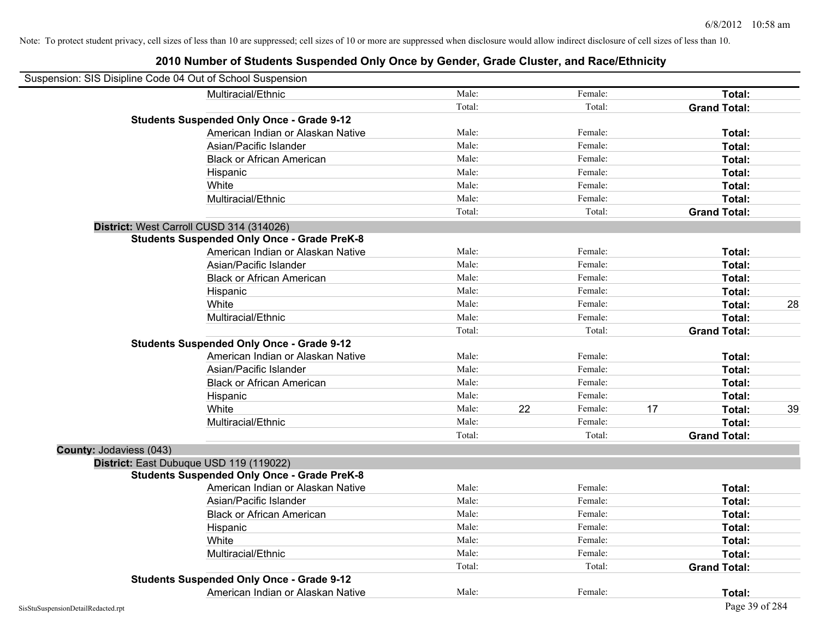| Suspension: SIS Disipline Code 04 Out of School Suspension |                                                    |        |    |         |    |                     |    |
|------------------------------------------------------------|----------------------------------------------------|--------|----|---------|----|---------------------|----|
|                                                            | Multiracial/Ethnic                                 | Male:  |    | Female: |    | Total:              |    |
|                                                            |                                                    | Total: |    | Total:  |    | <b>Grand Total:</b> |    |
|                                                            | <b>Students Suspended Only Once - Grade 9-12</b>   |        |    |         |    |                     |    |
|                                                            | American Indian or Alaskan Native                  | Male:  |    | Female: |    | Total:              |    |
|                                                            | Asian/Pacific Islander                             | Male:  |    | Female: |    | Total:              |    |
|                                                            | <b>Black or African American</b>                   | Male:  |    | Female: |    | Total:              |    |
|                                                            | Hispanic                                           | Male:  |    | Female: |    | Total:              |    |
|                                                            | White                                              | Male:  |    | Female: |    | Total:              |    |
|                                                            | Multiracial/Ethnic                                 | Male:  |    | Female: |    | Total:              |    |
|                                                            |                                                    | Total: |    | Total:  |    | <b>Grand Total:</b> |    |
|                                                            | District: West Carroll CUSD 314 (314026)           |        |    |         |    |                     |    |
|                                                            | <b>Students Suspended Only Once - Grade PreK-8</b> |        |    |         |    |                     |    |
|                                                            | American Indian or Alaskan Native                  | Male:  |    | Female: |    | Total:              |    |
|                                                            | Asian/Pacific Islander                             | Male:  |    | Female: |    | Total:              |    |
|                                                            | <b>Black or African American</b>                   | Male:  |    | Female: |    | Total:              |    |
|                                                            | Hispanic                                           | Male:  |    | Female: |    | Total:              |    |
|                                                            | White                                              | Male:  |    | Female: |    | Total:              | 28 |
|                                                            | Multiracial/Ethnic                                 | Male:  |    | Female: |    | Total:              |    |
|                                                            |                                                    | Total: |    | Total:  |    | <b>Grand Total:</b> |    |
|                                                            | <b>Students Suspended Only Once - Grade 9-12</b>   |        |    |         |    |                     |    |
|                                                            | American Indian or Alaskan Native                  | Male:  |    | Female: |    | Total:              |    |
|                                                            | Asian/Pacific Islander                             | Male:  |    | Female: |    | Total:              |    |
|                                                            | <b>Black or African American</b>                   | Male:  |    | Female: |    | Total:              |    |
|                                                            | Hispanic                                           | Male:  |    | Female: |    | Total:              |    |
|                                                            | White                                              | Male:  | 22 | Female: | 17 | Total:              | 39 |
|                                                            | Multiracial/Ethnic                                 | Male:  |    | Female: |    | Total:              |    |
|                                                            |                                                    | Total: |    | Total:  |    | <b>Grand Total:</b> |    |
| County: Jodaviess (043)                                    |                                                    |        |    |         |    |                     |    |
|                                                            | District: East Dubuque USD 119 (119022)            |        |    |         |    |                     |    |
|                                                            | <b>Students Suspended Only Once - Grade PreK-8</b> |        |    |         |    |                     |    |
|                                                            | American Indian or Alaskan Native                  | Male:  |    | Female: |    | Total:              |    |
|                                                            | Asian/Pacific Islander                             | Male:  |    | Female: |    | Total:              |    |
|                                                            | <b>Black or African American</b>                   | Male:  |    | Female: |    | Total:              |    |
|                                                            | Hispanic                                           | Male:  |    | Female: |    | Total:              |    |
|                                                            | White                                              | Male:  |    | Female: |    | Total:              |    |
|                                                            | Multiracial/Ethnic                                 | Male:  |    | Female: |    | Total:              |    |
|                                                            |                                                    | Total: |    | Total:  |    | <b>Grand Total:</b> |    |
|                                                            | <b>Students Suspended Only Once - Grade 9-12</b>   |        |    |         |    |                     |    |
|                                                            | American Indian or Alaskan Native                  | Male:  |    | Female: |    | Total:              |    |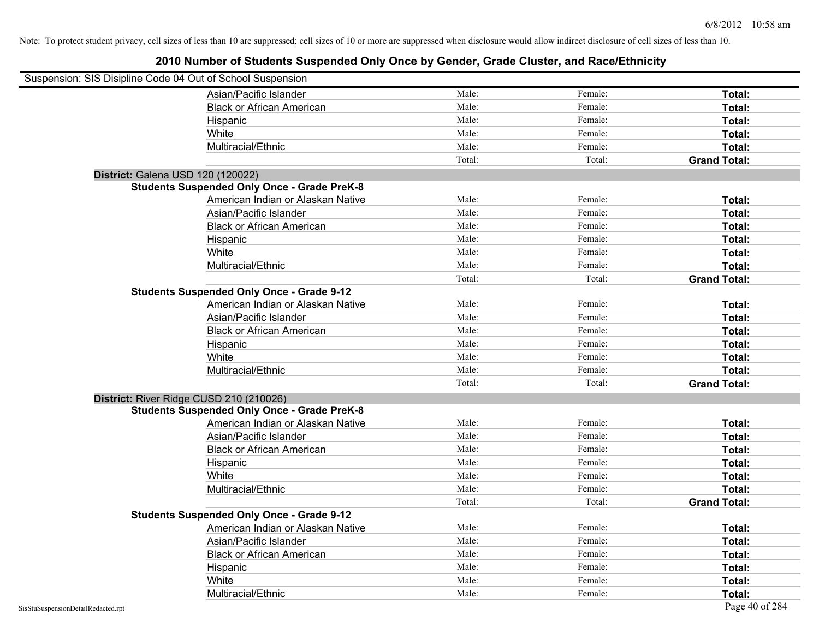| Suspension: SIS Disipline Code 04 Out of School Suspension |                                                    |        |         |                     |
|------------------------------------------------------------|----------------------------------------------------|--------|---------|---------------------|
|                                                            | Asian/Pacific Islander                             | Male:  | Female: | Total:              |
|                                                            | <b>Black or African American</b>                   | Male:  | Female: | Total:              |
|                                                            | Hispanic                                           | Male:  | Female: | Total:              |
|                                                            | White                                              | Male:  | Female: | Total:              |
|                                                            | Multiracial/Ethnic                                 | Male:  | Female: | Total:              |
|                                                            |                                                    | Total: | Total:  | <b>Grand Total:</b> |
| District: Galena USD 120 (120022)                          |                                                    |        |         |                     |
|                                                            | <b>Students Suspended Only Once - Grade PreK-8</b> |        |         |                     |
|                                                            | American Indian or Alaskan Native                  | Male:  | Female: | Total:              |
|                                                            | Asian/Pacific Islander                             | Male:  | Female: | Total:              |
|                                                            | <b>Black or African American</b>                   | Male:  | Female: | Total:              |
|                                                            | Hispanic                                           | Male:  | Female: | Total:              |
|                                                            | White                                              | Male:  | Female: | Total:              |
|                                                            | Multiracial/Ethnic                                 | Male:  | Female: | Total:              |
|                                                            |                                                    | Total: | Total:  | <b>Grand Total:</b> |
|                                                            | <b>Students Suspended Only Once - Grade 9-12</b>   |        |         |                     |
|                                                            | American Indian or Alaskan Native                  | Male:  | Female: | Total:              |
|                                                            | Asian/Pacific Islander                             | Male:  | Female: | Total:              |
|                                                            | <b>Black or African American</b>                   | Male:  | Female: | Total:              |
|                                                            | Hispanic                                           | Male:  | Female: | Total:              |
|                                                            | White                                              | Male:  | Female: | Total:              |
|                                                            | Multiracial/Ethnic                                 | Male:  | Female: | Total:              |
|                                                            |                                                    | Total: | Total:  | <b>Grand Total:</b> |
| District: River Ridge CUSD 210 (210026)                    |                                                    |        |         |                     |
|                                                            | <b>Students Suspended Only Once - Grade PreK-8</b> |        |         |                     |
|                                                            | American Indian or Alaskan Native                  | Male:  | Female: | Total:              |
|                                                            | Asian/Pacific Islander                             | Male:  | Female: | Total:              |
|                                                            | <b>Black or African American</b>                   | Male:  | Female: | Total:              |
|                                                            | Hispanic                                           | Male:  | Female: | Total:              |
|                                                            | White                                              | Male:  | Female: | Total:              |
|                                                            | Multiracial/Ethnic                                 | Male:  | Female: | Total:              |
|                                                            |                                                    | Total: | Total:  | <b>Grand Total:</b> |
|                                                            | <b>Students Suspended Only Once - Grade 9-12</b>   |        |         |                     |
|                                                            | American Indian or Alaskan Native                  | Male:  | Female: | Total:              |
|                                                            | Asian/Pacific Islander                             | Male:  | Female: | Total:              |
|                                                            | <b>Black or African American</b>                   | Male:  | Female: | Total:              |
|                                                            | Hispanic                                           | Male:  | Female: | Total:              |
|                                                            | White                                              | Male:  | Female: | Total:              |
|                                                            | Multiracial/Ethnic                                 | Male:  | Female: | Total:              |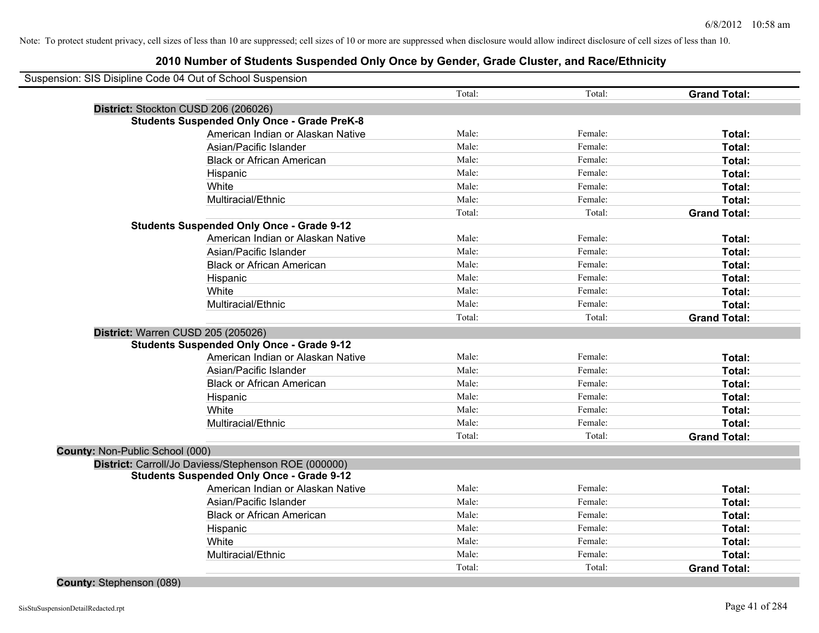|                                 | Suspension: SIS Disipline Code 04 Out of School Suspension |        |         |                     |
|---------------------------------|------------------------------------------------------------|--------|---------|---------------------|
|                                 |                                                            | Total: | Total:  | <b>Grand Total:</b> |
|                                 | District: Stockton CUSD 206 (206026)                       |        |         |                     |
|                                 | <b>Students Suspended Only Once - Grade PreK-8</b>         |        |         |                     |
|                                 | American Indian or Alaskan Native                          | Male:  | Female: | Total:              |
|                                 | Asian/Pacific Islander                                     | Male:  | Female: | Total:              |
|                                 | <b>Black or African American</b>                           | Male:  | Female: | Total:              |
|                                 | Hispanic                                                   | Male:  | Female: | Total:              |
|                                 | White                                                      | Male:  | Female: | Total:              |
|                                 | Multiracial/Ethnic                                         | Male:  | Female: | Total:              |
|                                 |                                                            | Total: | Total:  | <b>Grand Total:</b> |
|                                 | <b>Students Suspended Only Once - Grade 9-12</b>           |        |         |                     |
|                                 | American Indian or Alaskan Native                          | Male:  | Female: | Total:              |
|                                 | Asian/Pacific Islander                                     | Male:  | Female: | Total:              |
|                                 | <b>Black or African American</b>                           | Male:  | Female: | Total:              |
|                                 | Hispanic                                                   | Male:  | Female: | Total:              |
|                                 | White                                                      | Male:  | Female: | Total:              |
|                                 | Multiracial/Ethnic                                         | Male:  | Female: | Total:              |
|                                 |                                                            | Total: | Total:  | <b>Grand Total:</b> |
|                                 | District: Warren CUSD 205 (205026)                         |        |         |                     |
|                                 | <b>Students Suspended Only Once - Grade 9-12</b>           |        |         |                     |
|                                 | American Indian or Alaskan Native                          | Male:  | Female: | Total:              |
|                                 | Asian/Pacific Islander                                     | Male:  | Female: | Total:              |
|                                 | <b>Black or African American</b>                           | Male:  | Female: | Total:              |
|                                 | Hispanic                                                   | Male:  | Female: | Total:              |
|                                 | White                                                      | Male:  | Female: | Total:              |
|                                 | Multiracial/Ethnic                                         | Male:  | Female: | Total:              |
|                                 |                                                            | Total: | Total:  | <b>Grand Total:</b> |
| County: Non-Public School (000) |                                                            |        |         |                     |
|                                 | District: Carroll/Jo Daviess/Stephenson ROE (000000)       |        |         |                     |
|                                 | <b>Students Suspended Only Once - Grade 9-12</b>           |        |         |                     |
|                                 | American Indian or Alaskan Native                          | Male:  | Female: | Total:              |
|                                 | Asian/Pacific Islander                                     | Male:  | Female: | Total:              |
|                                 | <b>Black or African American</b>                           | Male:  | Female: | Total:              |
|                                 | Hispanic                                                   | Male:  | Female: | Total:              |
|                                 | White                                                      | Male:  | Female: | Total:              |
|                                 | Multiracial/Ethnic                                         | Male:  | Female: | Total:              |
|                                 |                                                            |        |         |                     |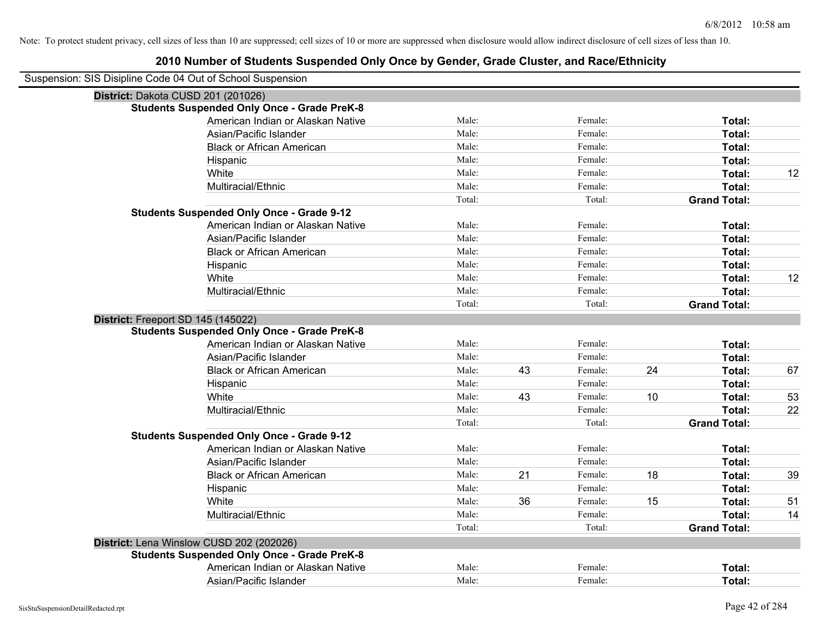# **2010 Number of Students Suspended Only Once by Gender, Grade Cluster, and Race/Ethnicity**

| Suspension: SIS Disipline Code 04 Out of School Suspension |        |    |         |    |                     |    |
|------------------------------------------------------------|--------|----|---------|----|---------------------|----|
| District: Dakota CUSD 201 (201026)                         |        |    |         |    |                     |    |
| <b>Students Suspended Only Once - Grade PreK-8</b>         |        |    |         |    |                     |    |
| American Indian or Alaskan Native                          | Male:  |    | Female: |    | Total:              |    |
| Asian/Pacific Islander                                     | Male:  |    | Female: |    | Total:              |    |
| <b>Black or African American</b>                           | Male:  |    | Female: |    | Total:              |    |
| Hispanic                                                   | Male:  |    | Female: |    | Total:              |    |
| White                                                      | Male:  |    | Female: |    | Total:              | 12 |
| Multiracial/Ethnic                                         | Male:  |    | Female: |    | Total:              |    |
|                                                            | Total: |    | Total:  |    | <b>Grand Total:</b> |    |
| <b>Students Suspended Only Once - Grade 9-12</b>           |        |    |         |    |                     |    |
| American Indian or Alaskan Native                          | Male:  |    | Female: |    | Total:              |    |
| Asian/Pacific Islander                                     | Male:  |    | Female: |    | Total:              |    |
| <b>Black or African American</b>                           | Male:  |    | Female: |    | Total:              |    |
| Hispanic                                                   | Male:  |    | Female: |    | Total:              |    |
| White                                                      | Male:  |    | Female: |    | Total:              | 12 |
| Multiracial/Ethnic                                         | Male:  |    | Female: |    | Total:              |    |
|                                                            | Total: |    | Total:  |    | <b>Grand Total:</b> |    |
| District: Freeport SD 145 (145022)                         |        |    |         |    |                     |    |
| <b>Students Suspended Only Once - Grade PreK-8</b>         |        |    |         |    |                     |    |
| American Indian or Alaskan Native                          | Male:  |    | Female: |    | Total:              |    |
| Asian/Pacific Islander                                     | Male:  |    | Female: |    | Total:              |    |
| <b>Black or African American</b>                           | Male:  | 43 | Female: | 24 | Total:              | 67 |
| Hispanic                                                   | Male:  |    | Female: |    | Total:              |    |
| White                                                      | Male:  | 43 | Female: | 10 | Total:              | 53 |
| Multiracial/Ethnic                                         | Male:  |    | Female: |    | Total:              | 22 |
|                                                            | Total: |    | Total:  |    | <b>Grand Total:</b> |    |
| <b>Students Suspended Only Once - Grade 9-12</b>           |        |    |         |    |                     |    |
| American Indian or Alaskan Native                          | Male:  |    | Female: |    | Total:              |    |
| Asian/Pacific Islander                                     | Male:  |    | Female: |    | Total:              |    |
| <b>Black or African American</b>                           | Male:  | 21 | Female: | 18 | Total:              | 39 |
| Hispanic                                                   | Male:  |    | Female: |    | Total:              |    |
| White                                                      | Male:  | 36 | Female: | 15 | Total:              | 51 |
| Multiracial/Ethnic                                         | Male:  |    | Female: |    | Total:              | 14 |
|                                                            | Total: |    | Total:  |    | <b>Grand Total:</b> |    |
| District: Lena Winslow CUSD 202 (202026)                   |        |    |         |    |                     |    |
| <b>Students Suspended Only Once - Grade PreK-8</b>         |        |    |         |    |                     |    |
| American Indian or Alaskan Native                          | Male:  |    | Female: |    | Total:              |    |
| Asian/Pacific Islander                                     | Male:  |    | Female: |    | Total:              |    |

 $\overline{\phantom{0}}$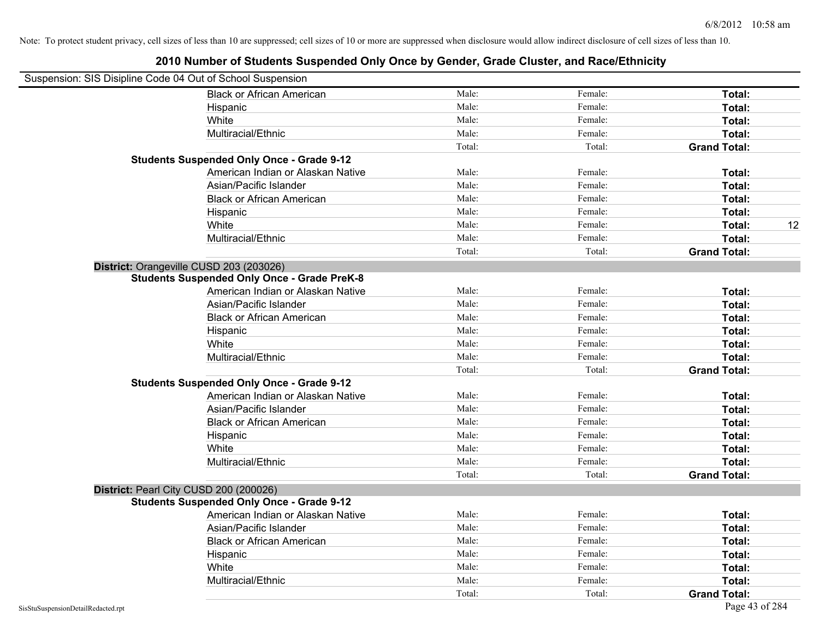| Suspension: SIS Disipline Code 04 Out of School Suspension |                                                    |        |         |                     |
|------------------------------------------------------------|----------------------------------------------------|--------|---------|---------------------|
|                                                            | <b>Black or African American</b>                   | Male:  | Female: | Total:              |
|                                                            | Hispanic                                           | Male:  | Female: | Total:              |
|                                                            | White                                              | Male:  | Female: | Total:              |
|                                                            | Multiracial/Ethnic                                 | Male:  | Female: | Total:              |
|                                                            |                                                    | Total: | Total:  | <b>Grand Total:</b> |
|                                                            | <b>Students Suspended Only Once - Grade 9-12</b>   |        |         |                     |
|                                                            | American Indian or Alaskan Native                  | Male:  | Female: | Total:              |
|                                                            | Asian/Pacific Islander                             | Male:  | Female: | Total:              |
|                                                            | <b>Black or African American</b>                   | Male:  | Female: | Total:              |
|                                                            | Hispanic                                           | Male:  | Female: | Total:              |
|                                                            | White                                              | Male:  | Female: | 12<br>Total:        |
|                                                            | Multiracial/Ethnic                                 | Male:  | Female: | Total:              |
|                                                            |                                                    | Total: | Total:  | <b>Grand Total:</b> |
|                                                            | District: Orangeville CUSD 203 (203026)            |        |         |                     |
|                                                            | <b>Students Suspended Only Once - Grade PreK-8</b> |        |         |                     |
|                                                            | American Indian or Alaskan Native                  | Male:  | Female: | Total:              |
|                                                            | Asian/Pacific Islander                             | Male:  | Female: | Total:              |
|                                                            | <b>Black or African American</b>                   | Male:  | Female: | Total:              |
|                                                            | Hispanic                                           | Male:  | Female: | Total:              |
|                                                            | White                                              | Male:  | Female: | Total:              |
|                                                            | Multiracial/Ethnic                                 | Male:  | Female: | Total:              |
|                                                            |                                                    | Total: | Total:  | <b>Grand Total:</b> |
|                                                            | <b>Students Suspended Only Once - Grade 9-12</b>   |        |         |                     |
|                                                            | American Indian or Alaskan Native                  | Male:  | Female: | Total:              |
|                                                            | Asian/Pacific Islander                             | Male:  | Female: | Total:              |
|                                                            | <b>Black or African American</b>                   | Male:  | Female: | Total:              |
|                                                            | Hispanic                                           | Male:  | Female: | Total:              |
|                                                            | White                                              | Male:  | Female: | Total:              |
|                                                            | Multiracial/Ethnic                                 | Male:  | Female: | Total:              |
|                                                            |                                                    | Total: | Total:  | <b>Grand Total:</b> |
|                                                            | District: Pearl City CUSD 200 (200026)             |        |         |                     |
|                                                            | <b>Students Suspended Only Once - Grade 9-12</b>   |        |         |                     |
|                                                            | American Indian or Alaskan Native                  | Male:  | Female: | Total:              |
|                                                            | Asian/Pacific Islander                             | Male:  | Female: | Total:              |
|                                                            | <b>Black or African American</b>                   | Male:  | Female: | Total:              |
|                                                            | Hispanic                                           | Male:  | Female: | Total:              |
|                                                            | White                                              | Male:  | Female: | Total:              |
|                                                            | Multiracial/Ethnic                                 | Male:  | Female: | Total:              |
|                                                            |                                                    | Total: | Total:  | <b>Grand Total:</b> |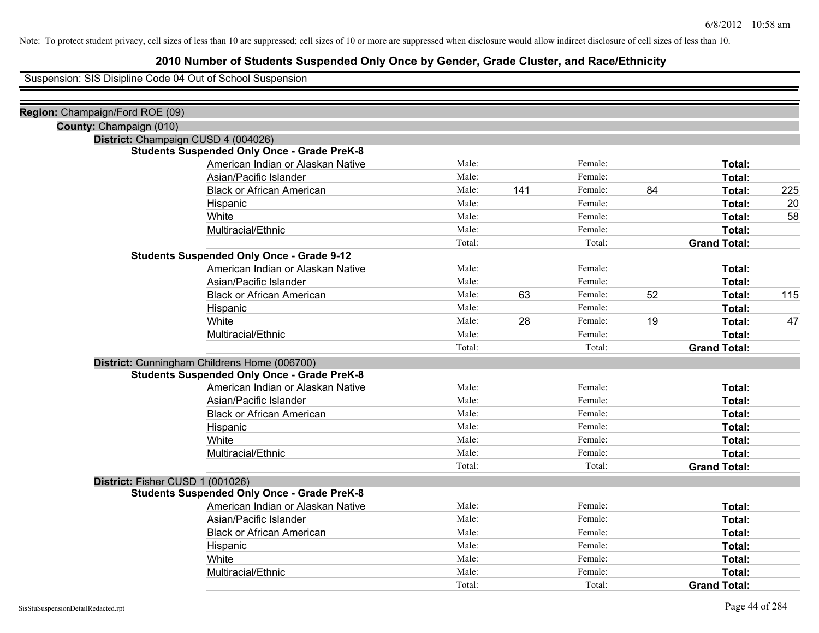# **2010 Number of Students Suspended Only Once by Gender, Grade Cluster, and Race/Ethnicity**

Suspension: SIS Disipline Code 04 Out of School Suspension

| Region: Champaign/Ford ROE (09)  |                                                    |        |     |         |    |                     |     |
|----------------------------------|----------------------------------------------------|--------|-----|---------|----|---------------------|-----|
| County: Champaign (010)          |                                                    |        |     |         |    |                     |     |
|                                  | District: Champaign CUSD 4 (004026)                |        |     |         |    |                     |     |
|                                  | <b>Students Suspended Only Once - Grade PreK-8</b> |        |     |         |    |                     |     |
|                                  | American Indian or Alaskan Native                  | Male:  |     | Female: |    | Total:              |     |
|                                  | Asian/Pacific Islander                             | Male:  |     | Female: |    | Total:              |     |
|                                  | <b>Black or African American</b>                   | Male:  | 141 | Female: | 84 | Total:              | 225 |
|                                  | Hispanic                                           | Male:  |     | Female: |    | Total:              | 20  |
|                                  | White                                              | Male:  |     | Female: |    | Total:              | 58  |
|                                  | Multiracial/Ethnic                                 | Male:  |     | Female: |    | Total:              |     |
|                                  |                                                    | Total: |     | Total:  |    | <b>Grand Total:</b> |     |
|                                  | <b>Students Suspended Only Once - Grade 9-12</b>   |        |     |         |    |                     |     |
|                                  | American Indian or Alaskan Native                  | Male:  |     | Female: |    | Total:              |     |
|                                  | Asian/Pacific Islander                             | Male:  |     | Female: |    | Total:              |     |
|                                  | <b>Black or African American</b>                   | Male:  | 63  | Female: | 52 | Total:              | 115 |
|                                  | Hispanic                                           | Male:  |     | Female: |    | Total:              |     |
|                                  | White                                              | Male:  | 28  | Female: | 19 | Total:              | 47  |
|                                  | Multiracial/Ethnic                                 | Male:  |     | Female: |    | Total:              |     |
|                                  |                                                    | Total: |     | Total:  |    | <b>Grand Total:</b> |     |
|                                  | District: Cunningham Childrens Home (006700)       |        |     |         |    |                     |     |
|                                  | <b>Students Suspended Only Once - Grade PreK-8</b> |        |     |         |    |                     |     |
|                                  | American Indian or Alaskan Native                  | Male:  |     | Female: |    | Total:              |     |
|                                  | Asian/Pacific Islander                             | Male:  |     | Female: |    | Total:              |     |
|                                  | <b>Black or African American</b>                   | Male:  |     | Female: |    | Total:              |     |
|                                  | Hispanic                                           | Male:  |     | Female: |    | Total:              |     |
|                                  | White                                              | Male:  |     | Female: |    | Total:              |     |
|                                  | Multiracial/Ethnic                                 | Male:  |     | Female: |    | Total:              |     |
|                                  |                                                    | Total: |     | Total:  |    | <b>Grand Total:</b> |     |
| District: Fisher CUSD 1 (001026) |                                                    |        |     |         |    |                     |     |
|                                  | <b>Students Suspended Only Once - Grade PreK-8</b> |        |     |         |    |                     |     |
|                                  | American Indian or Alaskan Native                  | Male:  |     | Female: |    | Total:              |     |
|                                  | Asian/Pacific Islander                             | Male:  |     | Female: |    | Total:              |     |
|                                  | <b>Black or African American</b>                   | Male:  |     | Female: |    | Total:              |     |
|                                  | Hispanic                                           | Male:  |     | Female: |    | Total:              |     |
|                                  | White                                              | Male:  |     | Female: |    | Total:              |     |
|                                  | Multiracial/Ethnic                                 | Male:  |     | Female: |    | Total:              |     |
|                                  |                                                    | Total: |     | Total:  |    | <b>Grand Total:</b> |     |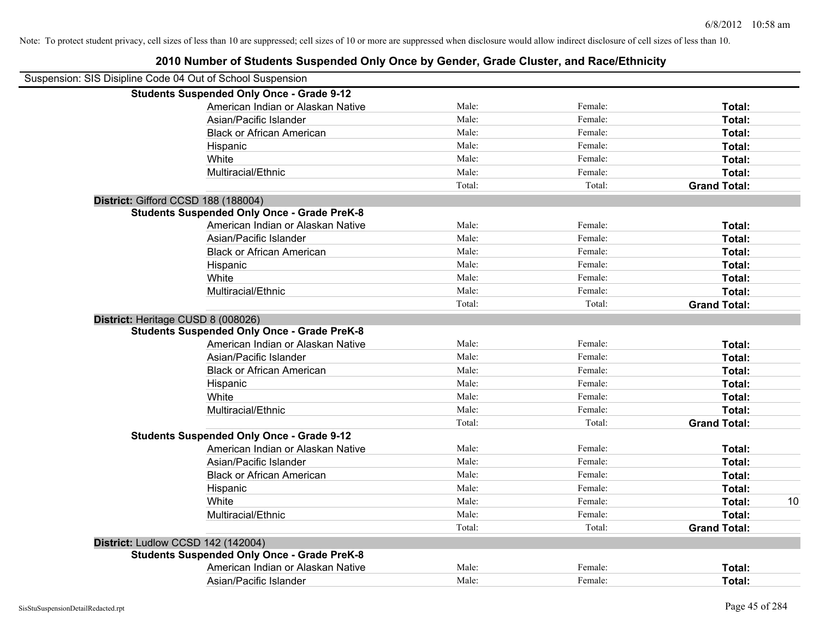| Suspension: SIS Disipline Code 04 Out of School Suspension |        |         |                     |    |
|------------------------------------------------------------|--------|---------|---------------------|----|
| <b>Students Suspended Only Once - Grade 9-12</b>           |        |         |                     |    |
| American Indian or Alaskan Native                          | Male:  | Female: | Total:              |    |
| Asian/Pacific Islander                                     | Male:  | Female: | Total:              |    |
| <b>Black or African American</b>                           | Male:  | Female: | Total:              |    |
| Hispanic                                                   | Male:  | Female: | Total:              |    |
| White                                                      | Male:  | Female: | Total:              |    |
| Multiracial/Ethnic                                         | Male:  | Female: | Total:              |    |
|                                                            | Total: | Total:  | <b>Grand Total:</b> |    |
| District: Gifford CCSD 188 (188004)                        |        |         |                     |    |
| <b>Students Suspended Only Once - Grade PreK-8</b>         |        |         |                     |    |
| American Indian or Alaskan Native                          | Male:  | Female: | Total:              |    |
| Asian/Pacific Islander                                     | Male:  | Female: | Total:              |    |
| <b>Black or African American</b>                           | Male:  | Female: | Total:              |    |
| Hispanic                                                   | Male:  | Female: | Total:              |    |
| White                                                      | Male:  | Female: | Total:              |    |
| Multiracial/Ethnic                                         | Male:  | Female: | Total:              |    |
|                                                            | Total: | Total:  | <b>Grand Total:</b> |    |
| District: Heritage CUSD 8 (008026)                         |        |         |                     |    |
| <b>Students Suspended Only Once - Grade PreK-8</b>         |        |         |                     |    |
| American Indian or Alaskan Native                          | Male:  | Female: | Total:              |    |
| Asian/Pacific Islander                                     | Male:  | Female: | Total:              |    |
| <b>Black or African American</b>                           | Male:  | Female: | Total:              |    |
| Hispanic                                                   | Male:  | Female: | Total:              |    |
| White                                                      | Male:  | Female: | Total:              |    |
| Multiracial/Ethnic                                         | Male:  | Female: | Total:              |    |
|                                                            | Total: | Total:  | <b>Grand Total:</b> |    |
| <b>Students Suspended Only Once - Grade 9-12</b>           |        |         |                     |    |
| American Indian or Alaskan Native                          | Male:  | Female: | Total:              |    |
| Asian/Pacific Islander                                     | Male:  | Female: | Total:              |    |
| <b>Black or African American</b>                           | Male:  | Female: | Total:              |    |
| Hispanic                                                   | Male:  | Female: | Total:              |    |
| White                                                      | Male:  | Female: | Total:              | 10 |
| Multiracial/Ethnic                                         | Male:  | Female: | Total:              |    |
|                                                            | Total: | Total:  | <b>Grand Total:</b> |    |
| District: Ludlow CCSD 142 (142004)                         |        |         |                     |    |
| <b>Students Suspended Only Once - Grade PreK-8</b>         |        |         |                     |    |
| American Indian or Alaskan Native                          | Male:  | Female: | Total:              |    |
| Asian/Pacific Islander                                     | Male:  | Female: | Total:              |    |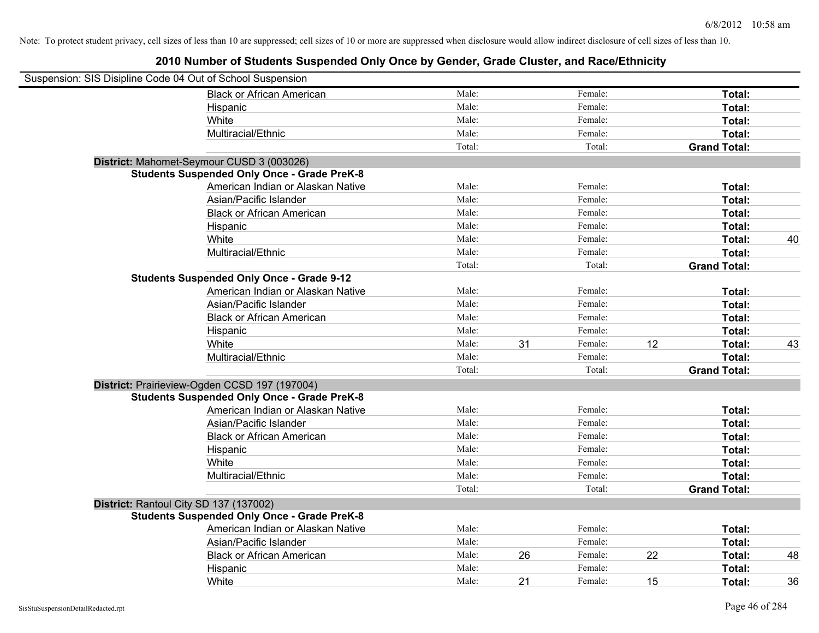| Suspension: SIS Disipline Code 04 Out of School Suspension |                                                    |        |    |         |    |                     |    |
|------------------------------------------------------------|----------------------------------------------------|--------|----|---------|----|---------------------|----|
|                                                            | <b>Black or African American</b>                   | Male:  |    | Female: |    | Total:              |    |
|                                                            | Hispanic                                           | Male:  |    | Female: |    | Total:              |    |
|                                                            | White                                              | Male:  |    | Female: |    | Total:              |    |
|                                                            | Multiracial/Ethnic                                 | Male:  |    | Female: |    | Total:              |    |
|                                                            |                                                    | Total: |    | Total:  |    | <b>Grand Total:</b> |    |
|                                                            | District: Mahomet-Seymour CUSD 3 (003026)          |        |    |         |    |                     |    |
|                                                            | <b>Students Suspended Only Once - Grade PreK-8</b> |        |    |         |    |                     |    |
|                                                            | American Indian or Alaskan Native                  | Male:  |    | Female: |    | Total:              |    |
|                                                            | Asian/Pacific Islander                             | Male:  |    | Female: |    | Total:              |    |
|                                                            | <b>Black or African American</b>                   | Male:  |    | Female: |    | Total:              |    |
|                                                            | Hispanic                                           | Male:  |    | Female: |    | Total:              |    |
|                                                            | White                                              | Male:  |    | Female: |    | Total:              | 40 |
|                                                            | Multiracial/Ethnic                                 | Male:  |    | Female: |    | Total:              |    |
|                                                            |                                                    | Total: |    | Total:  |    | <b>Grand Total:</b> |    |
|                                                            | <b>Students Suspended Only Once - Grade 9-12</b>   |        |    |         |    |                     |    |
|                                                            | American Indian or Alaskan Native                  | Male:  |    | Female: |    | Total:              |    |
|                                                            | Asian/Pacific Islander                             | Male:  |    | Female: |    | Total:              |    |
|                                                            | <b>Black or African American</b>                   | Male:  |    | Female: |    | Total:              |    |
|                                                            | Hispanic                                           | Male:  |    | Female: |    | Total:              |    |
|                                                            | White                                              | Male:  | 31 | Female: | 12 | Total:              | 43 |
|                                                            | Multiracial/Ethnic                                 | Male:  |    | Female: |    | Total:              |    |
|                                                            |                                                    | Total: |    | Total:  |    | <b>Grand Total:</b> |    |
|                                                            | District: Prairieview-Ogden CCSD 197 (197004)      |        |    |         |    |                     |    |
|                                                            | <b>Students Suspended Only Once - Grade PreK-8</b> |        |    |         |    |                     |    |
|                                                            | American Indian or Alaskan Native                  | Male:  |    | Female: |    | Total:              |    |
|                                                            | Asian/Pacific Islander                             | Male:  |    | Female: |    | Total:              |    |
|                                                            | <b>Black or African American</b>                   | Male:  |    | Female: |    | Total:              |    |
|                                                            | Hispanic                                           | Male:  |    | Female: |    | Total:              |    |
|                                                            | White                                              | Male:  |    | Female: |    | Total:              |    |
|                                                            | Multiracial/Ethnic                                 | Male:  |    | Female: |    | Total:              |    |
|                                                            |                                                    | Total: |    | Total:  |    | <b>Grand Total:</b> |    |
| District: Rantoul City SD 137 (137002)                     |                                                    |        |    |         |    |                     |    |
|                                                            | <b>Students Suspended Only Once - Grade PreK-8</b> |        |    |         |    |                     |    |
|                                                            | American Indian or Alaskan Native                  | Male:  |    | Female: |    | Total:              |    |
|                                                            | Asian/Pacific Islander                             | Male:  |    | Female: |    | Total:              |    |
|                                                            | <b>Black or African American</b>                   | Male:  | 26 | Female: | 22 | Total:              | 48 |
|                                                            | Hispanic                                           | Male:  |    | Female: |    | Total:              |    |
|                                                            | White                                              | Male:  | 21 | Female: | 15 | Total:              | 36 |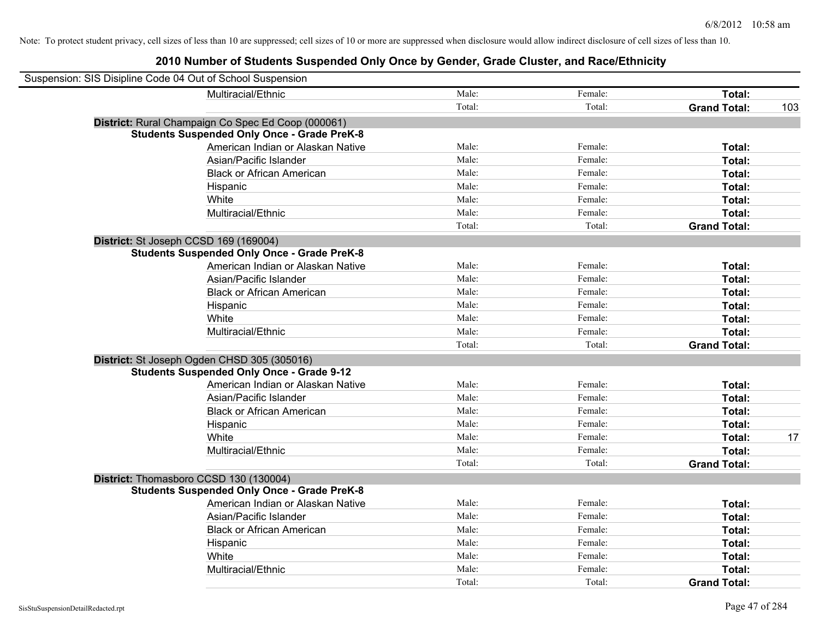| Suspension: SIS Disipline Code 04 Out of School Suspension |                                                    |        |         |                     |     |
|------------------------------------------------------------|----------------------------------------------------|--------|---------|---------------------|-----|
|                                                            | Multiracial/Ethnic                                 | Male:  | Female: | Total:              |     |
|                                                            |                                                    | Total: | Total:  | <b>Grand Total:</b> | 103 |
|                                                            | District: Rural Champaign Co Spec Ed Coop (000061) |        |         |                     |     |
|                                                            | <b>Students Suspended Only Once - Grade PreK-8</b> |        |         |                     |     |
|                                                            | American Indian or Alaskan Native                  | Male:  | Female: | <b>Total:</b>       |     |
|                                                            | Asian/Pacific Islander                             | Male:  | Female: | Total:              |     |
|                                                            | <b>Black or African American</b>                   | Male:  | Female: | Total:              |     |
|                                                            | Hispanic                                           | Male:  | Female: | Total:              |     |
|                                                            | White                                              | Male:  | Female: | Total:              |     |
|                                                            | Multiracial/Ethnic                                 | Male:  | Female: | Total:              |     |
|                                                            |                                                    | Total: | Total:  | <b>Grand Total:</b> |     |
| District: St Joseph CCSD 169 (169004)                      |                                                    |        |         |                     |     |
|                                                            | <b>Students Suspended Only Once - Grade PreK-8</b> |        |         |                     |     |
|                                                            | American Indian or Alaskan Native                  | Male:  | Female: | Total:              |     |
|                                                            | Asian/Pacific Islander                             | Male:  | Female: | Total:              |     |
|                                                            | <b>Black or African American</b>                   | Male:  | Female: | Total:              |     |
|                                                            | Hispanic                                           | Male:  | Female: | Total:              |     |
|                                                            | White                                              | Male:  | Female: | Total:              |     |
|                                                            | Multiracial/Ethnic                                 | Male:  | Female: | Total:              |     |
|                                                            |                                                    | Total: | Total:  | <b>Grand Total:</b> |     |
|                                                            | District: St Joseph Ogden CHSD 305 (305016)        |        |         |                     |     |
|                                                            | <b>Students Suspended Only Once - Grade 9-12</b>   |        |         |                     |     |
|                                                            | American Indian or Alaskan Native                  | Male:  | Female: | Total:              |     |
|                                                            | Asian/Pacific Islander                             | Male:  | Female: | Total:              |     |
|                                                            | <b>Black or African American</b>                   | Male:  | Female: | Total:              |     |
|                                                            | Hispanic                                           | Male:  | Female: | Total:              |     |
|                                                            | White                                              | Male:  | Female: | Total:              | 17  |
|                                                            | Multiracial/Ethnic                                 | Male:  | Female: | Total:              |     |
|                                                            |                                                    | Total: | Total:  | <b>Grand Total:</b> |     |
| District: Thomasboro CCSD 130 (130004)                     |                                                    |        |         |                     |     |
|                                                            | <b>Students Suspended Only Once - Grade PreK-8</b> |        |         |                     |     |
|                                                            | American Indian or Alaskan Native                  | Male:  | Female: | Total:              |     |
|                                                            | Asian/Pacific Islander                             | Male:  | Female: | Total:              |     |
|                                                            | <b>Black or African American</b>                   | Male:  | Female: | Total:              |     |
|                                                            | Hispanic                                           | Male:  | Female: | Total:              |     |
|                                                            | White                                              | Male:  | Female: | Total:              |     |
|                                                            | Multiracial/Ethnic                                 | Male:  | Female: | Total:              |     |
|                                                            |                                                    | Total: | Total:  | <b>Grand Total:</b> |     |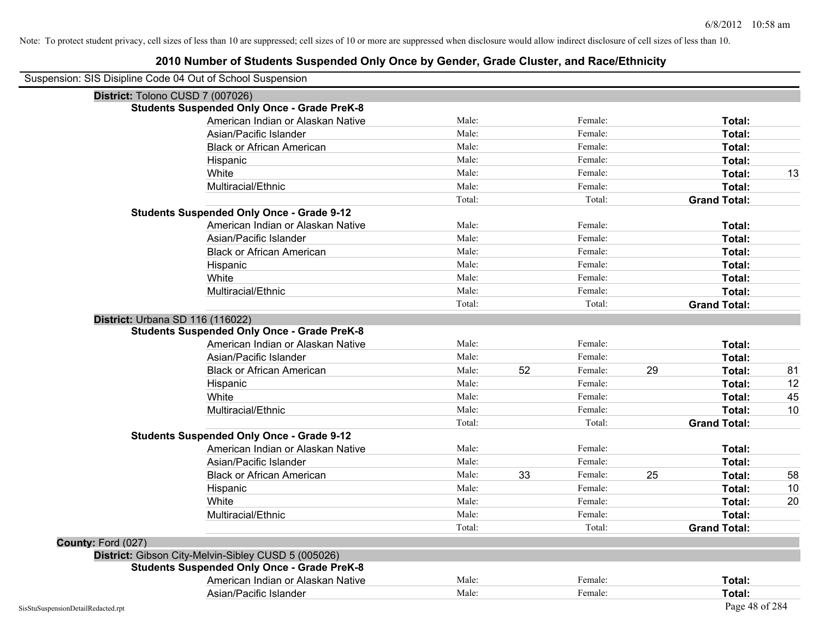| Suspension: SIS Disipline Code 04 Out of School Suspension |                                                     |        |    |         |    |                     |    |
|------------------------------------------------------------|-----------------------------------------------------|--------|----|---------|----|---------------------|----|
| District: Tolono CUSD 7 (007026)                           |                                                     |        |    |         |    |                     |    |
|                                                            | <b>Students Suspended Only Once - Grade PreK-8</b>  |        |    |         |    |                     |    |
|                                                            | American Indian or Alaskan Native                   | Male:  |    | Female: |    | Total:              |    |
|                                                            | Asian/Pacific Islander                              | Male:  |    | Female: |    | Total:              |    |
|                                                            | <b>Black or African American</b>                    | Male:  |    | Female: |    | Total:              |    |
|                                                            | Hispanic                                            | Male:  |    | Female: |    | Total:              |    |
|                                                            | White                                               | Male:  |    | Female: |    | Total:              | 13 |
|                                                            | Multiracial/Ethnic                                  | Male:  |    | Female: |    | Total:              |    |
|                                                            |                                                     | Total: |    | Total:  |    | <b>Grand Total:</b> |    |
|                                                            | <b>Students Suspended Only Once - Grade 9-12</b>    |        |    |         |    |                     |    |
|                                                            | American Indian or Alaskan Native                   | Male:  |    | Female: |    | Total:              |    |
|                                                            | Asian/Pacific Islander                              | Male:  |    | Female: |    | Total:              |    |
|                                                            | <b>Black or African American</b>                    | Male:  |    | Female: |    | Total:              |    |
|                                                            | Hispanic                                            | Male:  |    | Female: |    | Total:              |    |
|                                                            | White                                               | Male:  |    | Female: |    | Total:              |    |
|                                                            | Multiracial/Ethnic                                  | Male:  |    | Female: |    | Total:              |    |
|                                                            |                                                     | Total: |    | Total:  |    | <b>Grand Total:</b> |    |
| District: Urbana SD 116 (116022)                           |                                                     |        |    |         |    |                     |    |
|                                                            | <b>Students Suspended Only Once - Grade PreK-8</b>  |        |    |         |    |                     |    |
|                                                            | American Indian or Alaskan Native                   | Male:  |    | Female: |    | Total:              |    |
|                                                            | Asian/Pacific Islander                              | Male:  |    | Female: |    | Total:              |    |
|                                                            | <b>Black or African American</b>                    | Male:  | 52 | Female: | 29 | Total:              | 81 |
|                                                            | Hispanic                                            | Male:  |    | Female: |    | Total:              | 12 |
|                                                            | White                                               | Male:  |    | Female: |    | Total:              | 45 |
|                                                            | Multiracial/Ethnic                                  | Male:  |    | Female: |    | Total:              | 10 |
|                                                            |                                                     | Total: |    | Total:  |    | <b>Grand Total:</b> |    |
|                                                            | <b>Students Suspended Only Once - Grade 9-12</b>    |        |    |         |    |                     |    |
|                                                            | American Indian or Alaskan Native                   | Male:  |    | Female: |    | Total:              |    |
|                                                            | Asian/Pacific Islander                              | Male:  |    | Female: |    | Total:              |    |
|                                                            | <b>Black or African American</b>                    | Male:  | 33 | Female: | 25 | Total:              | 58 |
|                                                            | Hispanic                                            | Male:  |    | Female: |    | Total:              | 10 |
|                                                            | White                                               | Male:  |    | Female: |    | Total:              | 20 |
|                                                            | Multiracial/Ethnic                                  | Male:  |    | Female: |    | Total:              |    |
|                                                            |                                                     | Total: |    | Total:  |    | <b>Grand Total:</b> |    |
| County: Ford (027)                                         |                                                     |        |    |         |    |                     |    |
|                                                            | District: Gibson City-Melvin-Sibley CUSD 5 (005026) |        |    |         |    |                     |    |
|                                                            | <b>Students Suspended Only Once - Grade PreK-8</b>  |        |    |         |    |                     |    |
|                                                            | American Indian or Alaskan Native                   | Male:  |    | Female: |    | Total:              |    |
|                                                            | Asian/Pacific Islander                              | Male:  |    | Female: |    | Total:              |    |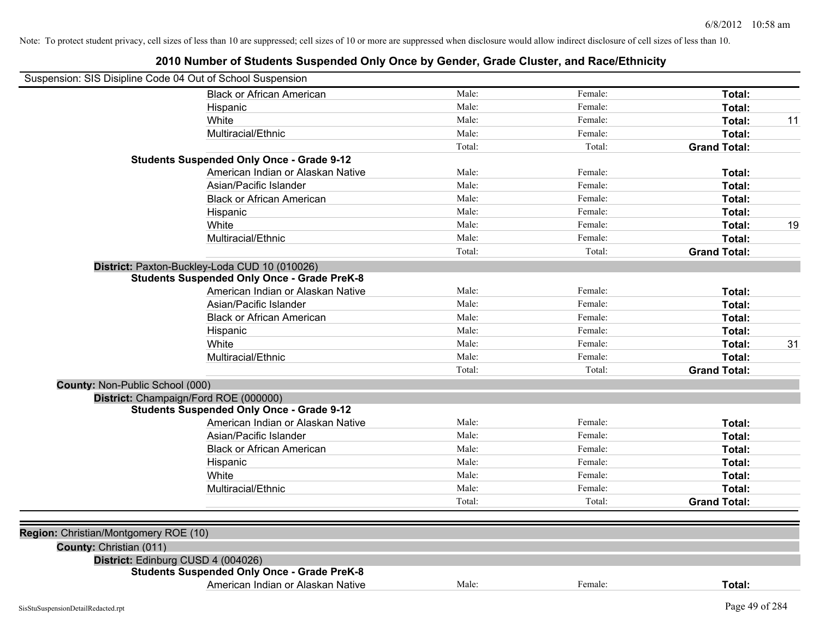| Suspension: SIS Disipline Code 04 Out of School Suspension |                                                    |        |         |                     |    |
|------------------------------------------------------------|----------------------------------------------------|--------|---------|---------------------|----|
|                                                            | <b>Black or African American</b>                   | Male:  | Female: | Total:              |    |
|                                                            | Hispanic                                           | Male:  | Female: | Total:              |    |
|                                                            | White                                              | Male:  | Female: | Total:              | 11 |
|                                                            | Multiracial/Ethnic                                 | Male:  | Female: | Total:              |    |
|                                                            |                                                    | Total: | Total:  | <b>Grand Total:</b> |    |
|                                                            | <b>Students Suspended Only Once - Grade 9-12</b>   |        |         |                     |    |
|                                                            | American Indian or Alaskan Native                  | Male:  | Female: | Total:              |    |
|                                                            | Asian/Pacific Islander                             | Male:  | Female: | Total:              |    |
|                                                            | <b>Black or African American</b>                   | Male:  | Female: | Total:              |    |
|                                                            | Hispanic                                           | Male:  | Female: | Total:              |    |
|                                                            | White                                              | Male:  | Female: | Total:              | 19 |
|                                                            | Multiracial/Ethnic                                 | Male:  | Female: | Total:              |    |
|                                                            |                                                    | Total: | Total:  | <b>Grand Total:</b> |    |
|                                                            | District: Paxton-Buckley-Loda CUD 10 (010026)      |        |         |                     |    |
|                                                            | <b>Students Suspended Only Once - Grade PreK-8</b> |        |         |                     |    |
|                                                            | American Indian or Alaskan Native                  | Male:  | Female: | Total:              |    |
|                                                            | Asian/Pacific Islander                             | Male:  | Female: | Total:              |    |
|                                                            | <b>Black or African American</b>                   | Male:  | Female: | Total:              |    |
|                                                            | Hispanic                                           | Male:  | Female: | Total:              |    |
|                                                            | White                                              | Male:  | Female: | Total:              | 31 |
|                                                            | Multiracial/Ethnic                                 | Male:  | Female: | Total:              |    |
|                                                            |                                                    | Total: | Total:  | <b>Grand Total:</b> |    |
| County: Non-Public School (000)                            |                                                    |        |         |                     |    |
|                                                            | District: Champaign/Ford ROE (000000)              |        |         |                     |    |
|                                                            | <b>Students Suspended Only Once - Grade 9-12</b>   |        |         |                     |    |
|                                                            | American Indian or Alaskan Native                  | Male:  | Female: | Total:              |    |
|                                                            | Asian/Pacific Islander                             | Male:  | Female: | Total:              |    |
|                                                            | <b>Black or African American</b>                   | Male:  | Female: | Total:              |    |
|                                                            | Hispanic                                           | Male:  | Female: | Total:              |    |
|                                                            | White                                              | Male:  | Female: | Total:              |    |
|                                                            | Multiracial/Ethnic                                 | Male:  | Female: | Total:              |    |
|                                                            |                                                    | Total: | Total:  | <b>Grand Total:</b> |    |
| Region: Christian/Montgomery ROE (10)                      |                                                    |        |         |                     |    |
| County: Christian (011)                                    |                                                    |        |         |                     |    |
|                                                            | District: Edinburg CUSD 4 (004026)                 |        |         |                     |    |
|                                                            | <b>Students Suspended Only Once - Grade PreK-8</b> |        |         |                     |    |
|                                                            | American Indian or Alaskan Native                  | Male:  | Female: | Total:              |    |
|                                                            |                                                    |        |         |                     |    |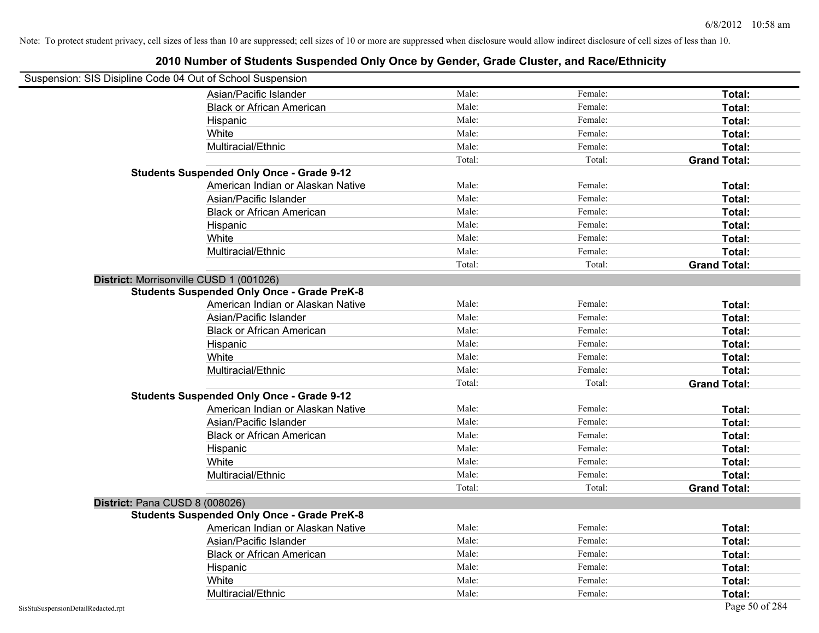| Suspension: SIS Disipline Code 04 Out of School Suspension |                                                    |        |         |                     |
|------------------------------------------------------------|----------------------------------------------------|--------|---------|---------------------|
|                                                            | Asian/Pacific Islander                             | Male:  | Female: | Total:              |
|                                                            | <b>Black or African American</b>                   | Male:  | Female: | Total:              |
|                                                            | Hispanic                                           | Male:  | Female: | Total:              |
|                                                            | White                                              | Male:  | Female: | Total:              |
|                                                            | Multiracial/Ethnic                                 | Male:  | Female: | Total:              |
|                                                            |                                                    | Total: | Total:  | <b>Grand Total:</b> |
|                                                            | <b>Students Suspended Only Once - Grade 9-12</b>   |        |         |                     |
|                                                            | American Indian or Alaskan Native                  | Male:  | Female: | Total:              |
|                                                            | Asian/Pacific Islander                             | Male:  | Female: | Total:              |
|                                                            | <b>Black or African American</b>                   | Male:  | Female: | Total:              |
|                                                            | Hispanic                                           | Male:  | Female: | Total:              |
|                                                            | White                                              | Male:  | Female: | Total:              |
|                                                            | Multiracial/Ethnic                                 | Male:  | Female: | Total:              |
|                                                            |                                                    | Total: | Total:  | <b>Grand Total:</b> |
| District: Morrisonville CUSD 1 (001026)                    |                                                    |        |         |                     |
|                                                            | <b>Students Suspended Only Once - Grade PreK-8</b> |        |         |                     |
|                                                            | American Indian or Alaskan Native                  | Male:  | Female: | Total:              |
|                                                            | Asian/Pacific Islander                             | Male:  | Female: | Total:              |
|                                                            | <b>Black or African American</b>                   | Male:  | Female: | Total:              |
|                                                            | Hispanic                                           | Male:  | Female: | Total:              |
|                                                            | White                                              | Male:  | Female: | Total:              |
|                                                            | Multiracial/Ethnic                                 | Male:  | Female: | Total:              |
|                                                            |                                                    | Total: | Total:  | <b>Grand Total:</b> |
|                                                            | <b>Students Suspended Only Once - Grade 9-12</b>   |        |         |                     |
|                                                            | American Indian or Alaskan Native                  | Male:  | Female: | Total:              |
|                                                            | Asian/Pacific Islander                             | Male:  | Female: | Total:              |
|                                                            | <b>Black or African American</b>                   | Male:  | Female: | Total:              |
|                                                            | Hispanic                                           | Male:  | Female: | Total:              |
|                                                            | White                                              | Male:  | Female: | Total:              |
|                                                            | Multiracial/Ethnic                                 | Male:  | Female: | Total:              |
|                                                            |                                                    | Total: | Total:  | <b>Grand Total:</b> |
| District: Pana CUSD 8 (008026)                             |                                                    |        |         |                     |
|                                                            | <b>Students Suspended Only Once - Grade PreK-8</b> |        |         |                     |
|                                                            | American Indian or Alaskan Native                  | Male:  | Female: | Total:              |
|                                                            | Asian/Pacific Islander                             | Male:  | Female: | Total:              |
|                                                            | <b>Black or African American</b>                   | Male:  | Female: | Total:              |
|                                                            | Hispanic                                           | Male:  | Female: | Total:              |
|                                                            | White                                              | Male:  | Female: | Total:              |
|                                                            | Multiracial/Ethnic                                 | Male:  | Female: | Total:              |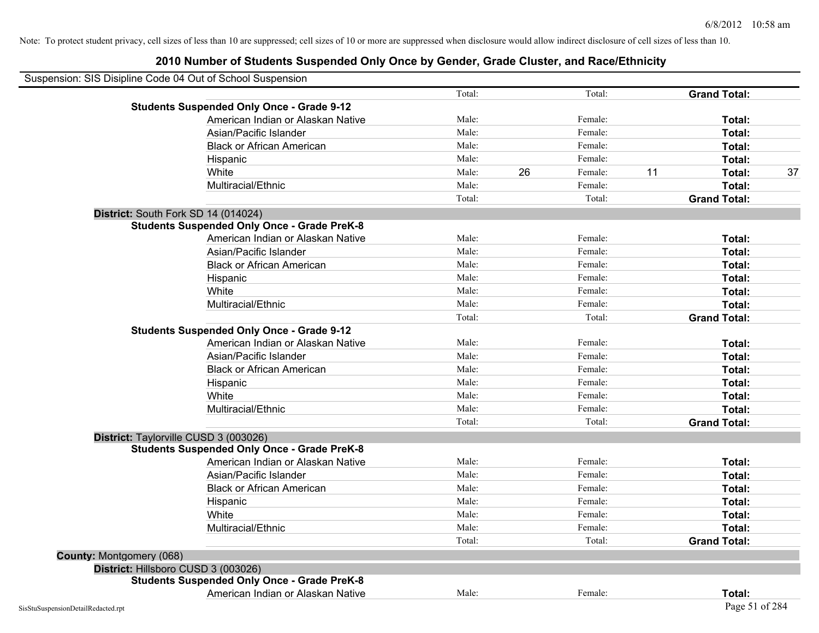# **2010 Number of Students Suspended Only Once by Gender, Grade Cluster, and Race/Ethnicity**

| Suspension: SIS Disipline Code 04 Out of School Suspension |                                                    |        |    |         |    |                     |    |
|------------------------------------------------------------|----------------------------------------------------|--------|----|---------|----|---------------------|----|
|                                                            |                                                    | Total: |    | Total:  |    | <b>Grand Total:</b> |    |
|                                                            | <b>Students Suspended Only Once - Grade 9-12</b>   |        |    |         |    |                     |    |
|                                                            | American Indian or Alaskan Native                  | Male:  |    | Female: |    | Total:              |    |
|                                                            | Asian/Pacific Islander                             | Male:  |    | Female: |    | Total:              |    |
|                                                            | <b>Black or African American</b>                   | Male:  |    | Female: |    | Total:              |    |
|                                                            | Hispanic                                           | Male:  |    | Female: |    | Total:              |    |
|                                                            | White                                              | Male:  | 26 | Female: | 11 | Total:              | 37 |
|                                                            | Multiracial/Ethnic                                 | Male:  |    | Female: |    | Total:              |    |
|                                                            |                                                    | Total: |    | Total:  |    | <b>Grand Total:</b> |    |
|                                                            | District: South Fork SD 14 (014024)                |        |    |         |    |                     |    |
|                                                            | <b>Students Suspended Only Once - Grade PreK-8</b> |        |    |         |    |                     |    |
|                                                            | American Indian or Alaskan Native                  | Male:  |    | Female: |    | Total:              |    |
|                                                            | Asian/Pacific Islander                             | Male:  |    | Female: |    | Total:              |    |
|                                                            | <b>Black or African American</b>                   | Male:  |    | Female: |    | Total:              |    |
|                                                            | Hispanic                                           | Male:  |    | Female: |    | Total:              |    |
|                                                            | White                                              | Male:  |    | Female: |    | Total:              |    |
|                                                            | Multiracial/Ethnic                                 | Male:  |    | Female: |    | Total:              |    |
|                                                            |                                                    | Total: |    | Total:  |    | <b>Grand Total:</b> |    |
|                                                            | <b>Students Suspended Only Once - Grade 9-12</b>   |        |    |         |    |                     |    |
|                                                            | American Indian or Alaskan Native                  | Male:  |    | Female: |    | Total:              |    |
|                                                            | Asian/Pacific Islander                             | Male:  |    | Female: |    | Total:              |    |
|                                                            | <b>Black or African American</b>                   | Male:  |    | Female: |    | Total:              |    |
|                                                            | Hispanic                                           | Male:  |    | Female: |    | Total:              |    |
|                                                            | White                                              | Male:  |    | Female: |    | Total:              |    |
|                                                            | Multiracial/Ethnic                                 | Male:  |    | Female: |    | Total:              |    |
|                                                            |                                                    | Total: |    | Total:  |    | <b>Grand Total:</b> |    |
|                                                            | District: Taylorville CUSD 3 (003026)              |        |    |         |    |                     |    |
|                                                            | <b>Students Suspended Only Once - Grade PreK-8</b> |        |    |         |    |                     |    |
|                                                            | American Indian or Alaskan Native                  | Male:  |    | Female: |    | Total:              |    |
|                                                            | Asian/Pacific Islander                             | Male:  |    | Female: |    | Total:              |    |
|                                                            | <b>Black or African American</b>                   | Male:  |    | Female: |    | Total:              |    |
|                                                            | Hispanic                                           | Male:  |    | Female: |    | Total:              |    |
|                                                            | White                                              | Male:  |    | Female: |    | Total:              |    |
|                                                            | Multiracial/Ethnic                                 | Male:  |    | Female: |    | Total:              |    |
|                                                            |                                                    | Total: |    | Total:  |    | <b>Grand Total:</b> |    |
| County: Montgomery (068)                                   |                                                    |        |    |         |    |                     |    |
|                                                            | District: Hillsboro CUSD 3 (003026)                |        |    |         |    |                     |    |
|                                                            | <b>Students Suspended Only Once - Grade PreK-8</b> |        |    |         |    |                     |    |
|                                                            | American Indian or Alaskan Native                  | Male:  |    | Female: |    | Total:              |    |
| SisStuSuspensionDetailRedacted.rpt                         |                                                    |        |    |         |    | Page 51 of 284      |    |

 $\overline{\phantom{0}}$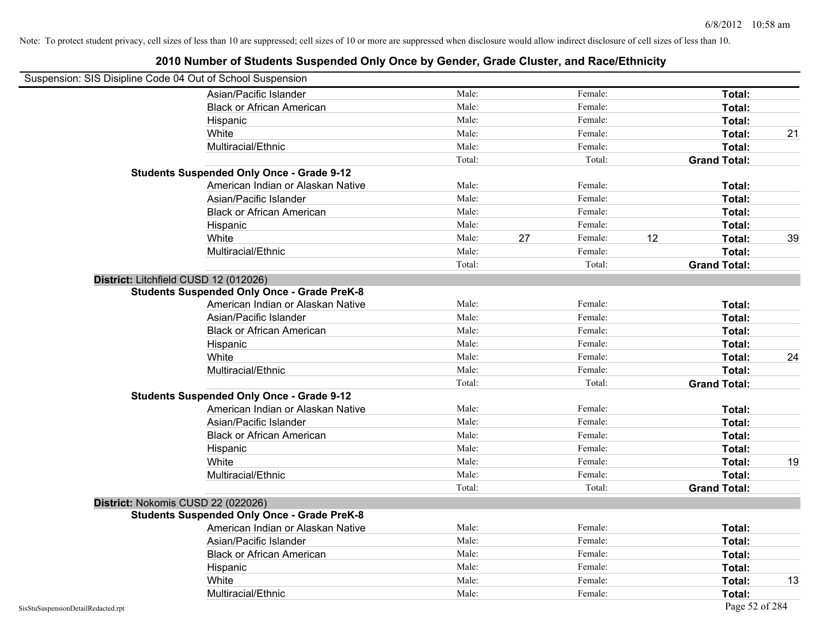| Suspension: SIS Disipline Code 04 Out of School Suspension |                                                    |        |    |         |    |                     |    |
|------------------------------------------------------------|----------------------------------------------------|--------|----|---------|----|---------------------|----|
|                                                            | Asian/Pacific Islander                             | Male:  |    | Female: |    | Total:              |    |
|                                                            | <b>Black or African American</b>                   | Male:  |    | Female: |    | Total:              |    |
|                                                            | Hispanic                                           | Male:  |    | Female: |    | Total:              |    |
|                                                            | White                                              | Male:  |    | Female: |    | Total:              | 21 |
|                                                            | Multiracial/Ethnic                                 | Male:  |    | Female: |    | Total:              |    |
|                                                            |                                                    | Total: |    | Total:  |    | <b>Grand Total:</b> |    |
|                                                            | <b>Students Suspended Only Once - Grade 9-12</b>   |        |    |         |    |                     |    |
|                                                            | American Indian or Alaskan Native                  | Male:  |    | Female: |    | Total:              |    |
|                                                            | Asian/Pacific Islander                             | Male:  |    | Female: |    | Total:              |    |
|                                                            | <b>Black or African American</b>                   | Male:  |    | Female: |    | Total:              |    |
|                                                            | Hispanic                                           | Male:  |    | Female: |    | Total:              |    |
|                                                            | White                                              | Male:  | 27 | Female: | 12 | Total:              | 39 |
|                                                            | Multiracial/Ethnic                                 | Male:  |    | Female: |    | Total:              |    |
|                                                            |                                                    | Total: |    | Total:  |    | <b>Grand Total:</b> |    |
| District: Litchfield CUSD 12 (012026)                      |                                                    |        |    |         |    |                     |    |
|                                                            | <b>Students Suspended Only Once - Grade PreK-8</b> |        |    |         |    |                     |    |
|                                                            | American Indian or Alaskan Native                  | Male:  |    | Female: |    | Total:              |    |
|                                                            | Asian/Pacific Islander                             | Male:  |    | Female: |    | Total:              |    |
|                                                            | <b>Black or African American</b>                   | Male:  |    | Female: |    | Total:              |    |
|                                                            | Hispanic                                           | Male:  |    | Female: |    | Total:              |    |
|                                                            | White                                              | Male:  |    | Female: |    | Total:              | 24 |
|                                                            | Multiracial/Ethnic                                 | Male:  |    | Female: |    | Total:              |    |
|                                                            |                                                    | Total: |    | Total:  |    | <b>Grand Total:</b> |    |
|                                                            | <b>Students Suspended Only Once - Grade 9-12</b>   |        |    |         |    |                     |    |
|                                                            | American Indian or Alaskan Native                  | Male:  |    | Female: |    | Total:              |    |
|                                                            | Asian/Pacific Islander                             | Male:  |    | Female: |    | Total:              |    |
|                                                            | <b>Black or African American</b>                   | Male:  |    | Female: |    | Total:              |    |
|                                                            | Hispanic                                           | Male:  |    | Female: |    | Total:              |    |
|                                                            | White                                              | Male:  |    | Female: |    | Total:              | 19 |
|                                                            | Multiracial/Ethnic                                 | Male:  |    | Female: |    | Total:              |    |
|                                                            |                                                    | Total: |    | Total:  |    | <b>Grand Total:</b> |    |
| District: Nokomis CUSD 22 (022026)                         |                                                    |        |    |         |    |                     |    |
|                                                            | <b>Students Suspended Only Once - Grade PreK-8</b> |        |    |         |    |                     |    |
|                                                            | American Indian or Alaskan Native                  | Male:  |    | Female: |    | Total:              |    |
|                                                            | Asian/Pacific Islander                             | Male:  |    | Female: |    | Total:              |    |
|                                                            | <b>Black or African American</b>                   | Male:  |    | Female: |    | Total:              |    |
|                                                            | Hispanic                                           | Male:  |    | Female: |    | Total:              |    |
|                                                            | White                                              | Male:  |    | Female: |    | Total:              | 13 |
|                                                            | Multiracial/Ethnic                                 | Male:  |    | Female: |    | Total:              |    |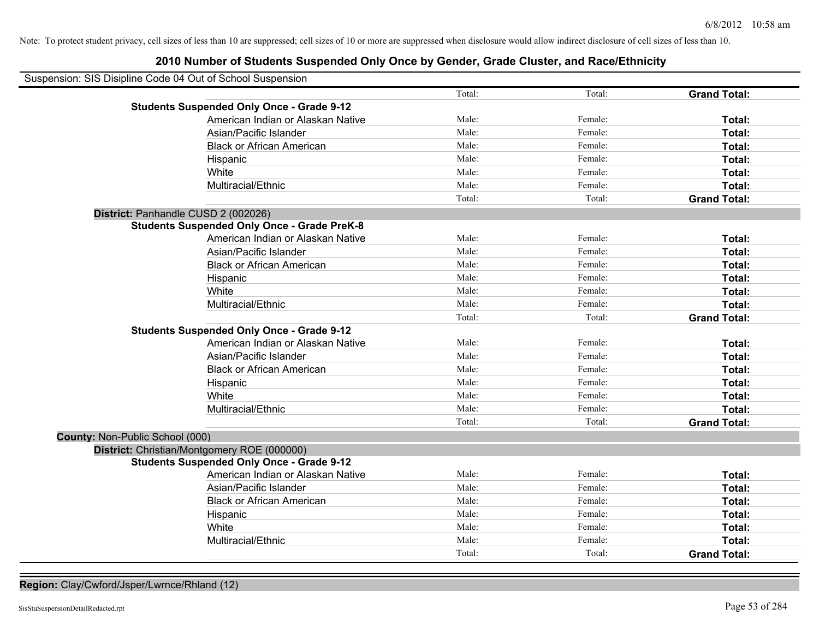# **2010 Number of Students Suspended Only Once by Gender, Grade Cluster, and Race/Ethnicity**

| Suspension: SIS Disipline Code 04 Out of School Suspension |                                                    |        |         |                     |
|------------------------------------------------------------|----------------------------------------------------|--------|---------|---------------------|
|                                                            |                                                    | Total: | Total:  | <b>Grand Total:</b> |
|                                                            | <b>Students Suspended Only Once - Grade 9-12</b>   |        |         |                     |
|                                                            | American Indian or Alaskan Native                  | Male:  | Female: | Total:              |
|                                                            | Asian/Pacific Islander                             | Male:  | Female: | Total:              |
|                                                            | <b>Black or African American</b>                   | Male:  | Female: | Total:              |
|                                                            | Hispanic                                           | Male:  | Female: | Total:              |
|                                                            | White                                              | Male:  | Female: | Total:              |
|                                                            | Multiracial/Ethnic                                 | Male:  | Female: | Total:              |
|                                                            |                                                    | Total: | Total:  | <b>Grand Total:</b> |
| District: Panhandle CUSD 2 (002026)                        |                                                    |        |         |                     |
|                                                            | <b>Students Suspended Only Once - Grade PreK-8</b> |        |         |                     |
|                                                            | American Indian or Alaskan Native                  | Male:  | Female: | Total:              |
|                                                            | Asian/Pacific Islander                             | Male:  | Female: | Total:              |
|                                                            | <b>Black or African American</b>                   | Male:  | Female: | Total:              |
|                                                            | Hispanic                                           | Male:  | Female: | Total:              |
|                                                            | White                                              | Male:  | Female: | Total:              |
|                                                            | Multiracial/Ethnic                                 | Male:  | Female: | Total:              |
|                                                            |                                                    | Total: | Total:  | <b>Grand Total:</b> |
|                                                            | <b>Students Suspended Only Once - Grade 9-12</b>   |        |         |                     |
|                                                            | American Indian or Alaskan Native                  | Male:  | Female: | Total:              |
|                                                            | Asian/Pacific Islander                             | Male:  | Female: | Total:              |
|                                                            | <b>Black or African American</b>                   | Male:  | Female: | Total:              |
|                                                            | Hispanic                                           | Male:  | Female: | Total:              |
|                                                            | White                                              | Male:  | Female: | Total:              |
|                                                            | Multiracial/Ethnic                                 | Male:  | Female: | Total:              |
|                                                            |                                                    | Total: | Total:  | <b>Grand Total:</b> |
| County: Non-Public School (000)                            |                                                    |        |         |                     |
| District: Christian/Montgomery ROE (000000)                |                                                    |        |         |                     |
|                                                            | <b>Students Suspended Only Once - Grade 9-12</b>   |        |         |                     |
|                                                            | American Indian or Alaskan Native                  | Male:  | Female: | Total:              |
|                                                            | Asian/Pacific Islander                             | Male:  | Female: | Total:              |
|                                                            | <b>Black or African American</b>                   | Male:  | Female: | Total:              |
|                                                            | Hispanic                                           | Male:  | Female: | Total:              |
|                                                            | White                                              | Male:  | Female: | Total:              |
|                                                            | Multiracial/Ethnic                                 | Male:  | Female: | Total:              |
|                                                            |                                                    | Total: | Total:  | <b>Grand Total:</b> |

**Region:** Clay/Cwford/Jsper/Lwrnce/Rhland (12)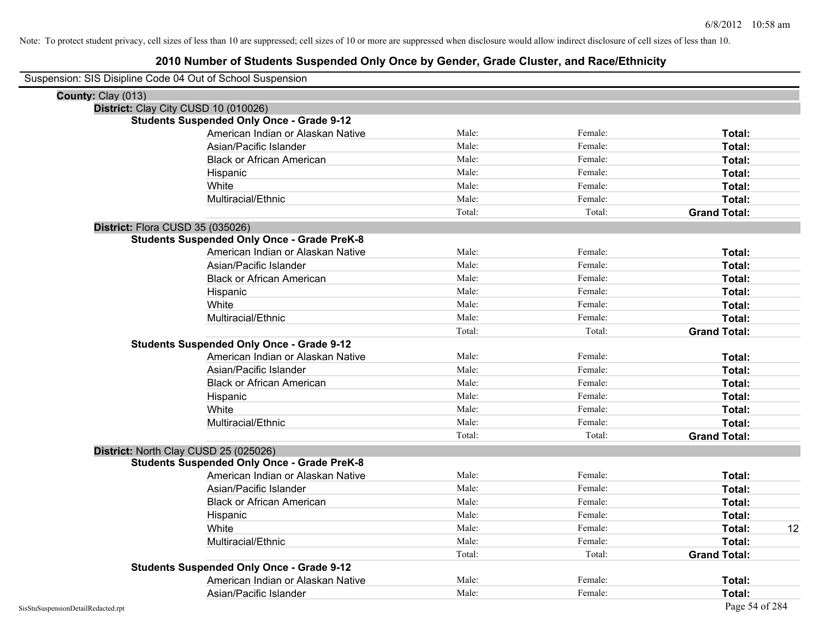| Suspension: SIS Disipline Code 04 Out of School Suspension |                                   |        |         |                     |    |
|------------------------------------------------------------|-----------------------------------|--------|---------|---------------------|----|
| County: Clay (013)                                         |                                   |        |         |                     |    |
| District: Clay City CUSD 10 (010026)                       |                                   |        |         |                     |    |
| <b>Students Suspended Only Once - Grade 9-12</b>           |                                   |        |         |                     |    |
|                                                            | American Indian or Alaskan Native | Male:  | Female: | Total:              |    |
| Asian/Pacific Islander                                     |                                   | Male:  | Female: | Total:              |    |
| <b>Black or African American</b>                           |                                   | Male:  | Female: | Total:              |    |
| Hispanic                                                   |                                   | Male:  | Female: | Total:              |    |
| White                                                      |                                   | Male:  | Female: | Total:              |    |
| Multiracial/Ethnic                                         |                                   | Male:  | Female: | Total:              |    |
|                                                            |                                   | Total: | Total:  | <b>Grand Total:</b> |    |
| District: Flora CUSD 35 (035026)                           |                                   |        |         |                     |    |
| <b>Students Suspended Only Once - Grade PreK-8</b>         |                                   |        |         |                     |    |
|                                                            | American Indian or Alaskan Native | Male:  | Female: | Total:              |    |
| Asian/Pacific Islander                                     |                                   | Male:  | Female: | Total:              |    |
| <b>Black or African American</b>                           |                                   | Male:  | Female: | Total:              |    |
| Hispanic                                                   |                                   | Male:  | Female: | Total:              |    |
| White                                                      |                                   | Male:  | Female: | Total:              |    |
| Multiracial/Ethnic                                         |                                   | Male:  | Female: | Total:              |    |
|                                                            |                                   | Total: | Total:  | <b>Grand Total:</b> |    |
| <b>Students Suspended Only Once - Grade 9-12</b>           |                                   |        |         |                     |    |
|                                                            | American Indian or Alaskan Native | Male:  | Female: | Total:              |    |
| Asian/Pacific Islander                                     |                                   | Male:  | Female: | Total:              |    |
| <b>Black or African American</b>                           |                                   | Male:  | Female: | Total:              |    |
| Hispanic                                                   |                                   | Male:  | Female: | Total:              |    |
| White                                                      |                                   | Male:  | Female: | Total:              |    |
| Multiracial/Ethnic                                         |                                   | Male:  | Female: | Total:              |    |
|                                                            |                                   | Total: | Total:  | <b>Grand Total:</b> |    |
| District: North Clay CUSD 25 (025026)                      |                                   |        |         |                     |    |
| <b>Students Suspended Only Once - Grade PreK-8</b>         |                                   |        |         |                     |    |
|                                                            | American Indian or Alaskan Native | Male:  | Female: | <b>Total:</b>       |    |
| Asian/Pacific Islander                                     |                                   | Male:  | Female: | Total:              |    |
| <b>Black or African American</b>                           |                                   | Male:  | Female: | Total:              |    |
| Hispanic                                                   |                                   | Male:  | Female: | Total:              |    |
| White                                                      |                                   | Male:  | Female: | Total:              | 12 |
| Multiracial/Ethnic                                         |                                   | Male:  | Female: | Total:              |    |
|                                                            |                                   | Total: | Total:  | <b>Grand Total:</b> |    |
| <b>Students Suspended Only Once - Grade 9-12</b>           |                                   |        |         |                     |    |
|                                                            | American Indian or Alaskan Native | Male:  | Female: | Total:              |    |
| Asian/Pacific Islander                                     |                                   | Male:  | Female: | Total:              |    |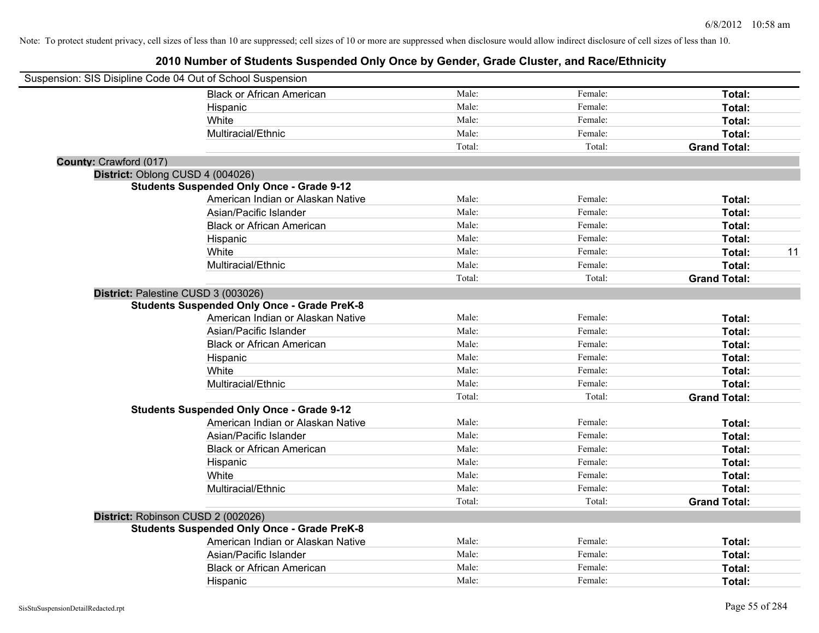| Suspension: SIS Disipline Code 04 Out of School Suspension |                                                    |        |         |                     |
|------------------------------------------------------------|----------------------------------------------------|--------|---------|---------------------|
|                                                            | <b>Black or African American</b>                   | Male:  | Female: | Total:              |
|                                                            | Hispanic                                           | Male:  | Female: | Total:              |
|                                                            | White                                              | Male:  | Female: | Total:              |
|                                                            | Multiracial/Ethnic                                 | Male:  | Female: | Total:              |
|                                                            |                                                    | Total: | Total:  | <b>Grand Total:</b> |
| County: Crawford (017)                                     |                                                    |        |         |                     |
| District: Oblong CUSD 4 (004026)                           |                                                    |        |         |                     |
|                                                            | <b>Students Suspended Only Once - Grade 9-12</b>   |        |         |                     |
|                                                            | American Indian or Alaskan Native                  | Male:  | Female: | Total:              |
|                                                            | Asian/Pacific Islander                             | Male:  | Female: | Total:              |
|                                                            | <b>Black or African American</b>                   | Male:  | Female: | Total:              |
|                                                            | Hispanic                                           | Male:  | Female: | Total:              |
|                                                            | White                                              | Male:  | Female: | 11<br>Total:        |
|                                                            | Multiracial/Ethnic                                 | Male:  | Female: | Total:              |
|                                                            |                                                    | Total: | Total:  | <b>Grand Total:</b> |
|                                                            | District: Palestine CUSD 3 (003026)                |        |         |                     |
|                                                            | <b>Students Suspended Only Once - Grade PreK-8</b> |        |         |                     |
|                                                            | American Indian or Alaskan Native                  | Male:  | Female: | Total:              |
|                                                            | Asian/Pacific Islander                             | Male:  | Female: | Total:              |
|                                                            | <b>Black or African American</b>                   | Male:  | Female: | Total:              |
|                                                            | Hispanic                                           | Male:  | Female: | Total:              |
|                                                            | White                                              | Male:  | Female: | Total:              |
|                                                            | Multiracial/Ethnic                                 | Male:  | Female: | Total:              |
|                                                            |                                                    | Total: | Total:  | <b>Grand Total:</b> |
|                                                            | <b>Students Suspended Only Once - Grade 9-12</b>   |        |         |                     |
|                                                            | American Indian or Alaskan Native                  | Male:  | Female: | Total:              |
|                                                            | Asian/Pacific Islander                             | Male:  | Female: | Total:              |
|                                                            | <b>Black or African American</b>                   | Male:  | Female: | Total:              |
|                                                            | Hispanic                                           | Male:  | Female: | Total:              |
|                                                            | White                                              | Male:  | Female: | Total:              |
|                                                            | Multiracial/Ethnic                                 | Male:  | Female: | Total:              |
|                                                            |                                                    | Total: | Total:  | <b>Grand Total:</b> |
|                                                            | District: Robinson CUSD 2 (002026)                 |        |         |                     |
|                                                            | <b>Students Suspended Only Once - Grade PreK-8</b> |        |         |                     |
|                                                            | American Indian or Alaskan Native                  | Male:  | Female: | Total:              |
|                                                            | Asian/Pacific Islander                             | Male:  | Female: | Total:              |
|                                                            | <b>Black or African American</b>                   | Male:  | Female: | Total:              |
|                                                            | Hispanic                                           | Male:  | Female: | Total:              |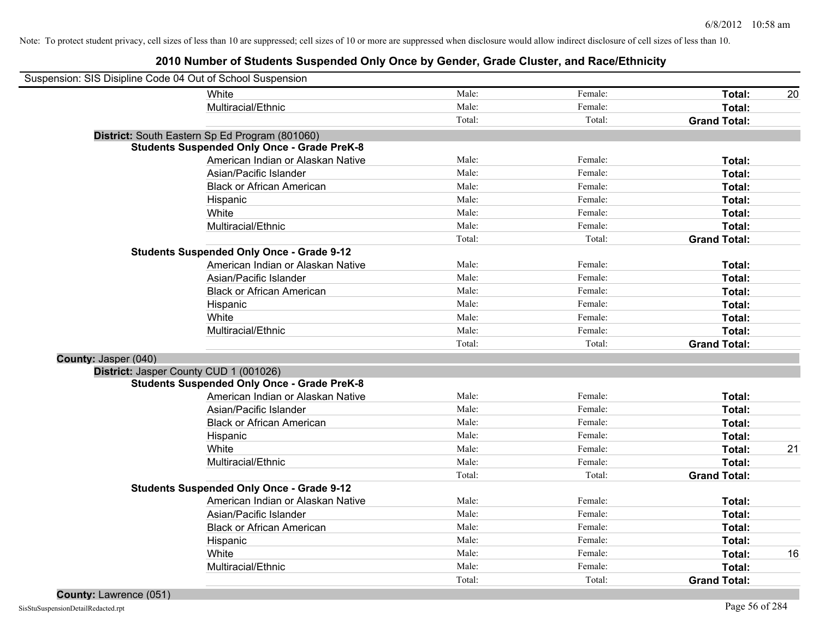| Suspension: SIS Disipline Code 04 Out of School Suspension |                                                    |        |         |                     |    |
|------------------------------------------------------------|----------------------------------------------------|--------|---------|---------------------|----|
|                                                            | White                                              | Male:  | Female: | Total:              | 20 |
|                                                            | Multiracial/Ethnic                                 | Male:  | Female: | Total:              |    |
|                                                            |                                                    | Total: | Total:  | <b>Grand Total:</b> |    |
|                                                            | District: South Eastern Sp Ed Program (801060)     |        |         |                     |    |
|                                                            | <b>Students Suspended Only Once - Grade PreK-8</b> |        |         |                     |    |
|                                                            | American Indian or Alaskan Native                  | Male:  | Female: | Total:              |    |
|                                                            | Asian/Pacific Islander                             | Male:  | Female: | Total:              |    |
|                                                            | <b>Black or African American</b>                   | Male:  | Female: | Total:              |    |
|                                                            | Hispanic                                           | Male:  | Female: | Total:              |    |
|                                                            | White                                              | Male:  | Female: | Total:              |    |
|                                                            | Multiracial/Ethnic                                 | Male:  | Female: | Total:              |    |
|                                                            |                                                    | Total: | Total:  | <b>Grand Total:</b> |    |
|                                                            | <b>Students Suspended Only Once - Grade 9-12</b>   |        |         |                     |    |
|                                                            | American Indian or Alaskan Native                  | Male:  | Female: | Total:              |    |
|                                                            | Asian/Pacific Islander                             | Male:  | Female: | Total:              |    |
|                                                            | <b>Black or African American</b>                   | Male:  | Female: | Total:              |    |
|                                                            | Hispanic                                           | Male:  | Female: | Total:              |    |
|                                                            | White                                              | Male:  | Female: | Total:              |    |
|                                                            | Multiracial/Ethnic                                 | Male:  | Female: | Total:              |    |
|                                                            |                                                    | Total: | Total:  | <b>Grand Total:</b> |    |
| County: Jasper (040)                                       |                                                    |        |         |                     |    |
|                                                            | District: Jasper County CUD 1 (001026)             |        |         |                     |    |
|                                                            | <b>Students Suspended Only Once - Grade PreK-8</b> |        |         |                     |    |
|                                                            | American Indian or Alaskan Native                  | Male:  | Female: | Total:              |    |
|                                                            | Asian/Pacific Islander                             | Male:  | Female: | Total:              |    |
|                                                            | <b>Black or African American</b>                   | Male:  | Female: | Total:              |    |
|                                                            | Hispanic                                           | Male:  | Female: | Total:              |    |
|                                                            | White                                              | Male:  | Female: | Total:              | 21 |
|                                                            | Multiracial/Ethnic                                 | Male:  | Female: | Total:              |    |
|                                                            |                                                    | Total: | Total:  | <b>Grand Total:</b> |    |
|                                                            | <b>Students Suspended Only Once - Grade 9-12</b>   |        |         |                     |    |
|                                                            | American Indian or Alaskan Native                  | Male:  | Female: | Total:              |    |
|                                                            | Asian/Pacific Islander                             | Male:  | Female: | Total:              |    |
|                                                            | <b>Black or African American</b>                   | Male:  | Female: | Total:              |    |
|                                                            | Hispanic                                           | Male:  | Female: | Total:              |    |
|                                                            | White                                              | Male:  | Female: | Total:              | 16 |
|                                                            | Multiracial/Ethnic                                 | Male:  | Female: | Total:              |    |
|                                                            |                                                    | Total: | Total:  | <b>Grand Total:</b> |    |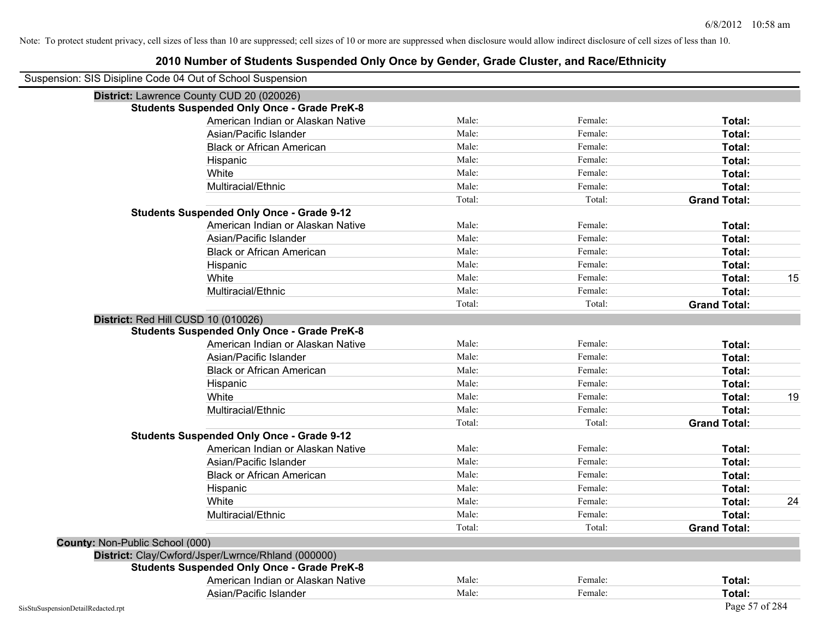| Suspension: SIS Disipline Code 04 Out of School Suspension |                                                    |        |         |                     |    |
|------------------------------------------------------------|----------------------------------------------------|--------|---------|---------------------|----|
|                                                            | District: Lawrence County CUD 20 (020026)          |        |         |                     |    |
|                                                            | <b>Students Suspended Only Once - Grade PreK-8</b> |        |         |                     |    |
|                                                            | American Indian or Alaskan Native                  | Male:  | Female: | Total:              |    |
|                                                            | Asian/Pacific Islander                             | Male:  | Female: | Total:              |    |
|                                                            | <b>Black or African American</b>                   | Male:  | Female: | Total:              |    |
|                                                            | Hispanic                                           | Male:  | Female: | Total:              |    |
|                                                            | White                                              | Male:  | Female: | Total:              |    |
|                                                            | Multiracial/Ethnic                                 | Male:  | Female: | Total:              |    |
|                                                            |                                                    | Total: | Total:  | <b>Grand Total:</b> |    |
|                                                            | <b>Students Suspended Only Once - Grade 9-12</b>   |        |         |                     |    |
|                                                            | American Indian or Alaskan Native                  | Male:  | Female: | Total:              |    |
|                                                            | Asian/Pacific Islander                             | Male:  | Female: | Total:              |    |
|                                                            | <b>Black or African American</b>                   | Male:  | Female: | Total:              |    |
|                                                            | Hispanic                                           | Male:  | Female: | Total:              |    |
|                                                            | White                                              | Male:  | Female: | Total:              | 15 |
|                                                            | Multiracial/Ethnic                                 | Male:  | Female: | Total:              |    |
|                                                            |                                                    | Total: | Total:  | <b>Grand Total:</b> |    |
| District: Red Hill CUSD 10 (010026)                        |                                                    |        |         |                     |    |
|                                                            | <b>Students Suspended Only Once - Grade PreK-8</b> |        |         |                     |    |
|                                                            | American Indian or Alaskan Native                  | Male:  | Female: | Total:              |    |
|                                                            | Asian/Pacific Islander                             | Male:  | Female: | Total:              |    |
|                                                            | <b>Black or African American</b>                   | Male:  | Female: | Total:              |    |
|                                                            | Hispanic                                           | Male:  | Female: | Total:              |    |
|                                                            | White                                              | Male:  | Female: | Total:              | 19 |
|                                                            | Multiracial/Ethnic                                 | Male:  | Female: | Total:              |    |
|                                                            |                                                    | Total: | Total:  | <b>Grand Total:</b> |    |
|                                                            | <b>Students Suspended Only Once - Grade 9-12</b>   |        |         |                     |    |
|                                                            | American Indian or Alaskan Native                  | Male:  | Female: | Total:              |    |
|                                                            | Asian/Pacific Islander                             | Male:  | Female: | Total:              |    |
|                                                            | <b>Black or African American</b>                   | Male:  | Female: | Total:              |    |
|                                                            | Hispanic                                           | Male:  | Female: | Total:              |    |
|                                                            | White                                              | Male:  | Female: | Total:              | 24 |
|                                                            |                                                    |        | Female: | Total:              |    |
|                                                            | Multiracial/Ethnic                                 | Male:  |         |                     |    |
|                                                            |                                                    | Total: | Total:  | <b>Grand Total:</b> |    |
| County: Non-Public School (000)                            |                                                    |        |         |                     |    |
|                                                            | District: Clay/Cwford/Jsper/Lwrnce/Rhland (000000) |        |         |                     |    |
|                                                            | <b>Students Suspended Only Once - Grade PreK-8</b> |        |         |                     |    |
|                                                            | American Indian or Alaskan Native                  | Male:  | Female: | <b>Total:</b>       |    |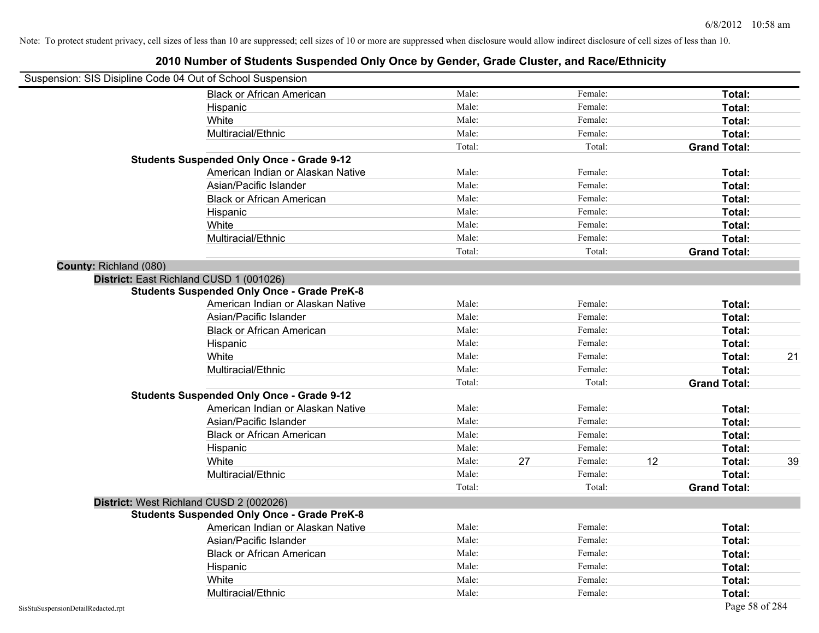| Suspension: SIS Disipline Code 04 Out of School Suspension |                                                    |        |    |         |    |                     |    |
|------------------------------------------------------------|----------------------------------------------------|--------|----|---------|----|---------------------|----|
|                                                            | <b>Black or African American</b>                   | Male:  |    | Female: |    | Total:              |    |
|                                                            | Hispanic                                           | Male:  |    | Female: |    | Total:              |    |
|                                                            | White                                              | Male:  |    | Female: |    | Total:              |    |
|                                                            | Multiracial/Ethnic                                 | Male:  |    | Female: |    | Total:              |    |
|                                                            |                                                    | Total: |    | Total:  |    | <b>Grand Total:</b> |    |
|                                                            | <b>Students Suspended Only Once - Grade 9-12</b>   |        |    |         |    |                     |    |
|                                                            | American Indian or Alaskan Native                  | Male:  |    | Female: |    | Total:              |    |
|                                                            | Asian/Pacific Islander                             | Male:  |    | Female: |    | Total:              |    |
|                                                            | <b>Black or African American</b>                   | Male:  |    | Female: |    | Total:              |    |
|                                                            | Hispanic                                           | Male:  |    | Female: |    | Total:              |    |
|                                                            | White                                              | Male:  |    | Female: |    | Total:              |    |
|                                                            | Multiracial/Ethnic                                 | Male:  |    | Female: |    | Total:              |    |
|                                                            |                                                    | Total: |    | Total:  |    | <b>Grand Total:</b> |    |
| County: Richland (080)                                     |                                                    |        |    |         |    |                     |    |
|                                                            | District: East Richland CUSD 1 (001026)            |        |    |         |    |                     |    |
|                                                            | <b>Students Suspended Only Once - Grade PreK-8</b> |        |    |         |    |                     |    |
|                                                            | American Indian or Alaskan Native                  | Male:  |    | Female: |    | Total:              |    |
|                                                            | Asian/Pacific Islander                             | Male:  |    | Female: |    | Total:              |    |
|                                                            | <b>Black or African American</b>                   | Male:  |    | Female: |    | Total:              |    |
|                                                            | Hispanic                                           | Male:  |    | Female: |    | Total:              |    |
|                                                            | White                                              | Male:  |    | Female: |    | Total:              | 21 |
|                                                            | Multiracial/Ethnic                                 | Male:  |    | Female: |    | Total:              |    |
|                                                            |                                                    | Total: |    | Total:  |    | <b>Grand Total:</b> |    |
|                                                            | <b>Students Suspended Only Once - Grade 9-12</b>   |        |    |         |    |                     |    |
|                                                            | American Indian or Alaskan Native                  | Male:  |    | Female: |    | Total:              |    |
|                                                            | Asian/Pacific Islander                             | Male:  |    | Female: |    | Total:              |    |
|                                                            | <b>Black or African American</b>                   | Male:  |    | Female: |    | Total:              |    |
|                                                            | Hispanic                                           | Male:  |    | Female: |    | Total:              |    |
|                                                            | White                                              | Male:  | 27 | Female: | 12 | Total:              | 39 |
|                                                            | Multiracial/Ethnic                                 | Male:  |    | Female: |    | Total:              |    |
|                                                            |                                                    | Total: |    | Total:  |    | <b>Grand Total:</b> |    |
|                                                            | District: West Richland CUSD 2 (002026)            |        |    |         |    |                     |    |
|                                                            | <b>Students Suspended Only Once - Grade PreK-8</b> |        |    |         |    |                     |    |
|                                                            | American Indian or Alaskan Native                  | Male:  |    | Female: |    | Total:              |    |
|                                                            | Asian/Pacific Islander                             | Male:  |    | Female: |    | Total:              |    |
|                                                            | <b>Black or African American</b>                   | Male:  |    | Female: |    | Total:              |    |
|                                                            | Hispanic                                           | Male:  |    | Female: |    | Total:              |    |
|                                                            | White                                              | Male:  |    | Female: |    | Total:              |    |
|                                                            | Multiracial/Ethnic                                 | Male:  |    | Female: |    | Total:              |    |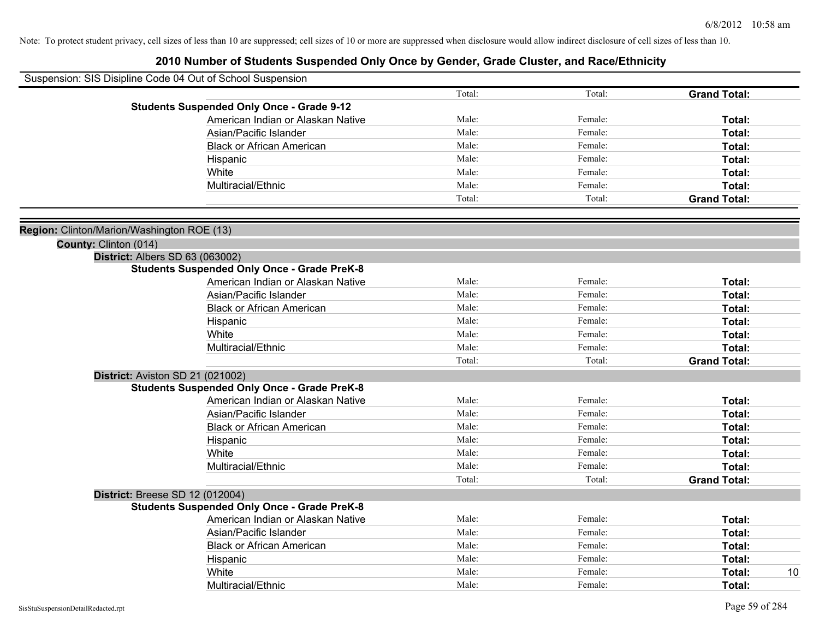|                                            | Suspension: SIS Disipline Code 04 Out of School Suspension |        |         |                     |
|--------------------------------------------|------------------------------------------------------------|--------|---------|---------------------|
|                                            |                                                            | Total: | Total:  | <b>Grand Total:</b> |
|                                            | <b>Students Suspended Only Once - Grade 9-12</b>           |        |         |                     |
|                                            | American Indian or Alaskan Native                          | Male:  | Female: | Total:              |
|                                            | Asian/Pacific Islander                                     | Male:  | Female: | Total:              |
|                                            | <b>Black or African American</b>                           | Male:  | Female: | Total:              |
|                                            | Hispanic                                                   | Male:  | Female: | Total:              |
|                                            | White                                                      | Male:  | Female: | Total:              |
|                                            | Multiracial/Ethnic                                         | Male:  | Female: | Total:              |
|                                            |                                                            | Total: | Total:  | <b>Grand Total:</b> |
|                                            |                                                            |        |         |                     |
| Region: Clinton/Marion/Washington ROE (13) |                                                            |        |         |                     |
| County: Clinton (014)                      |                                                            |        |         |                     |
|                                            | <b>District: Albers SD 63 (063002)</b>                     |        |         |                     |
|                                            | <b>Students Suspended Only Once - Grade PreK-8</b>         |        |         |                     |
|                                            | American Indian or Alaskan Native                          | Male:  | Female: | Total:              |
|                                            | Asian/Pacific Islander                                     | Male:  | Female: | Total:              |
|                                            | <b>Black or African American</b>                           | Male:  | Female: | Total:              |
|                                            | Hispanic                                                   | Male:  | Female: | Total:              |
|                                            | White                                                      | Male:  | Female: | Total:              |
|                                            | Multiracial/Ethnic                                         | Male:  | Female: | Total:              |
|                                            |                                                            | Total: | Total:  | <b>Grand Total:</b> |
|                                            | District: Aviston SD 21 (021002)                           |        |         |                     |
|                                            | <b>Students Suspended Only Once - Grade PreK-8</b>         |        |         |                     |
|                                            | American Indian or Alaskan Native                          | Male:  | Female: | Total:              |
|                                            | Asian/Pacific Islander                                     | Male:  | Female: | Total:              |
|                                            | <b>Black or African American</b>                           | Male:  | Female: | Total:              |
|                                            | Hispanic                                                   | Male:  | Female: | Total:              |
|                                            | White                                                      | Male:  | Female: | Total:              |
|                                            | Multiracial/Ethnic                                         | Male:  | Female: | Total:              |
|                                            |                                                            | Total: | Total:  | <b>Grand Total:</b> |
|                                            | <b>District: Breese SD 12 (012004)</b>                     |        |         |                     |
|                                            | <b>Students Suspended Only Once - Grade PreK-8</b>         |        |         |                     |
|                                            | American Indian or Alaskan Native                          | Male:  | Female: | Total:              |
|                                            | Asian/Pacific Islander                                     | Male:  | Female: | Total:              |
|                                            | <b>Black or African American</b>                           | Male:  | Female: | Total:              |
|                                            | Hispanic                                                   | Male:  | Female: | Total:              |
|                                            | White                                                      | Male:  | Female: | 10<br>Total:        |
|                                            | Multiracial/Ethnic                                         | Male:  | Female: | Total:              |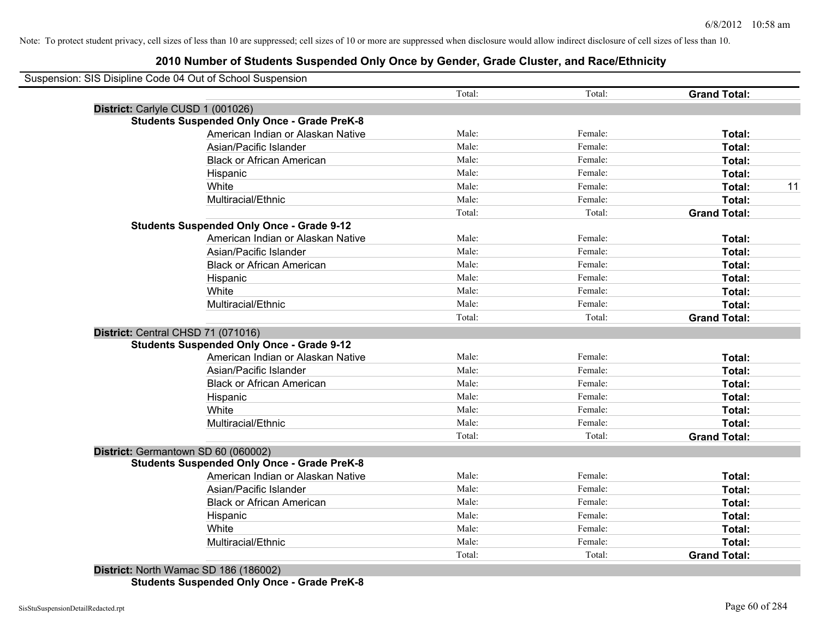# **2010 Number of Students Suspended Only Once by Gender, Grade Cluster, and Race/Ethnicity**

| Suspension: SIS Disipline Code 04 Out of School Suspension                            | Total:         | Total:             | <b>Grand Total:</b> |
|---------------------------------------------------------------------------------------|----------------|--------------------|---------------------|
|                                                                                       |                |                    |                     |
| District: Carlyle CUSD 1 (001026)                                                     |                |                    |                     |
| <b>Students Suspended Only Once - Grade PreK-8</b>                                    | Male:          | Female:            |                     |
| American Indian or Alaskan Native<br>Asian/Pacific Islander                           | Male:          | Female:            | Total:              |
|                                                                                       | Male:          |                    | Total:              |
| <b>Black or African American</b>                                                      | Male:          | Female:<br>Female: | Total:              |
| Hispanic                                                                              |                |                    | Total:              |
| White                                                                                 | Male:<br>Male: | Female:            | Total:              |
| Multiracial/Ethnic                                                                    |                | Female:            | Total:              |
|                                                                                       | Total:         | Total:             | <b>Grand Total:</b> |
| <b>Students Suspended Only Once - Grade 9-12</b><br>American Indian or Alaskan Native | Male:          | Female:            |                     |
| Asian/Pacific Islander                                                                | Male:          | Female:            | Total:              |
|                                                                                       | Male:          | Female:            | Total:              |
| <b>Black or African American</b>                                                      |                |                    | <b>Total:</b>       |
| Hispanic                                                                              | Male:<br>Male: | Female:<br>Female: | Total:              |
| White<br>Multiracial/Ethnic                                                           | Male:          | Female:            | Total:              |
|                                                                                       | Total:         | Total:             | Total:              |
|                                                                                       |                |                    | <b>Grand Total:</b> |
| District: Central CHSD 71 (071016)                                                    |                |                    |                     |
| <b>Students Suspended Only Once - Grade 9-12</b>                                      | Male:          | Female:            |                     |
| American Indian or Alaskan Native                                                     | Male:          | Female:            | Total:              |
| Asian/Pacific Islander                                                                | Male:          |                    | Total:              |
| <b>Black or African American</b>                                                      |                | Female:            | Total:              |
| Hispanic                                                                              | Male:          | Female:            | Total:              |
| White                                                                                 | Male:<br>Male: | Female:            | Total:              |
| Multiracial/Ethnic                                                                    |                | Female:            | Total:              |
|                                                                                       | Total:         | Total:             | <b>Grand Total:</b> |
| District: Germantown SD 60 (060002)                                                   |                |                    |                     |
| <b>Students Suspended Only Once - Grade PreK-8</b>                                    |                |                    |                     |
| American Indian or Alaskan Native                                                     | Male:          | Female:            | Total:              |
| Asian/Pacific Islander                                                                | Male:          | Female:            | Total:              |
| <b>Black or African American</b>                                                      | Male:          | Female:            | Total:              |
| Hispanic                                                                              | Male:          | Female:            | Total:              |
| White                                                                                 | Male:          | Female:            | Total:              |
| Multiracial/Ethnic                                                                    | Male:          | Female:            | Total:              |
|                                                                                       | Total:         | Total:             | <b>Grand Total:</b> |

**District:** North Wamac SD 186 (186002) **Students Suspended Only Once - Grade PreK-8**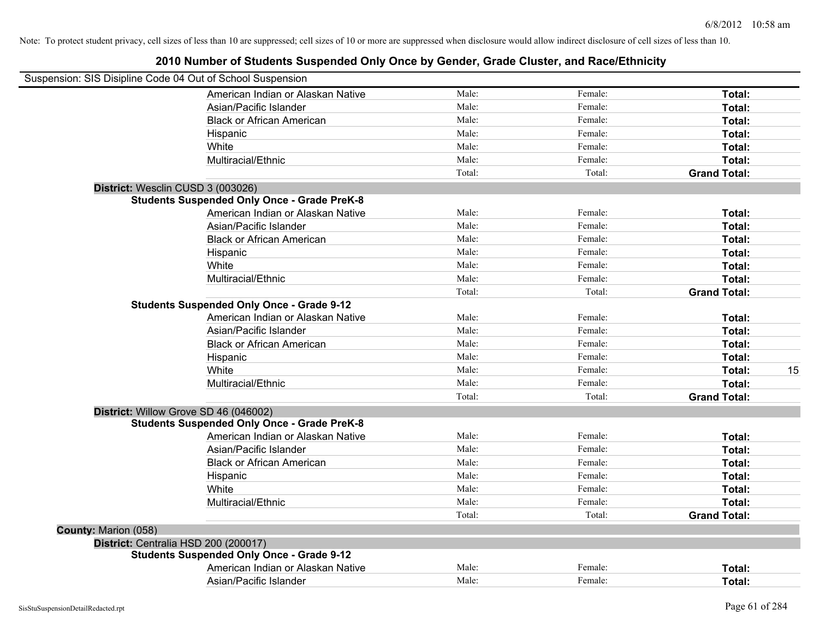|                      | Suspension: SIS Disipline Code 04 Out of School Suspension |        |         |                     |
|----------------------|------------------------------------------------------------|--------|---------|---------------------|
|                      | American Indian or Alaskan Native                          | Male:  | Female: | Total:              |
|                      | Asian/Pacific Islander                                     | Male:  | Female: | Total:              |
|                      | <b>Black or African American</b>                           | Male:  | Female: | Total:              |
|                      | Hispanic                                                   | Male:  | Female: | Total:              |
|                      | White                                                      | Male:  | Female: | Total:              |
|                      | Multiracial/Ethnic                                         | Male:  | Female: | Total:              |
|                      |                                                            | Total: | Total:  | <b>Grand Total:</b> |
|                      | District: Wesclin CUSD 3 (003026)                          |        |         |                     |
|                      | <b>Students Suspended Only Once - Grade PreK-8</b>         |        |         |                     |
|                      | American Indian or Alaskan Native                          | Male:  | Female: | Total:              |
|                      | Asian/Pacific Islander                                     | Male:  | Female: | Total:              |
|                      | <b>Black or African American</b>                           | Male:  | Female: | Total:              |
|                      | Hispanic                                                   | Male:  | Female: | Total:              |
|                      | White                                                      | Male:  | Female: | Total:              |
|                      | Multiracial/Ethnic                                         | Male:  | Female: | Total:              |
|                      |                                                            | Total: | Total:  | <b>Grand Total:</b> |
|                      | <b>Students Suspended Only Once - Grade 9-12</b>           |        |         |                     |
|                      | American Indian or Alaskan Native                          | Male:  | Female: | Total:              |
|                      | Asian/Pacific Islander                                     | Male:  | Female: | Total:              |
|                      | <b>Black or African American</b>                           | Male:  | Female: | Total:              |
|                      | Hispanic                                                   | Male:  | Female: | Total:              |
|                      | White                                                      | Male:  | Female: | 15<br>Total:        |
|                      | Multiracial/Ethnic                                         | Male:  | Female: | Total:              |
|                      |                                                            | Total: | Total:  | <b>Grand Total:</b> |
|                      | District: Willow Grove SD 46 (046002)                      |        |         |                     |
|                      | <b>Students Suspended Only Once - Grade PreK-8</b>         |        |         |                     |
|                      | American Indian or Alaskan Native                          | Male:  | Female: | Total:              |
|                      | Asian/Pacific Islander                                     | Male:  | Female: | Total:              |
|                      | <b>Black or African American</b>                           | Male:  | Female: | Total:              |
|                      | Hispanic                                                   | Male:  | Female: | Total:              |
|                      | White                                                      | Male:  | Female: | Total:              |
|                      | Multiracial/Ethnic                                         | Male:  | Female: | Total:              |
|                      |                                                            | Total: | Total:  | <b>Grand Total:</b> |
| County: Marion (058) |                                                            |        |         |                     |
|                      | District: Centralia HSD 200 (200017)                       |        |         |                     |
|                      | <b>Students Suspended Only Once - Grade 9-12</b>           |        |         |                     |
|                      | American Indian or Alaskan Native                          | Male:  | Female: | Total:              |
|                      | Asian/Pacific Islander                                     | Male:  | Female: | Total:              |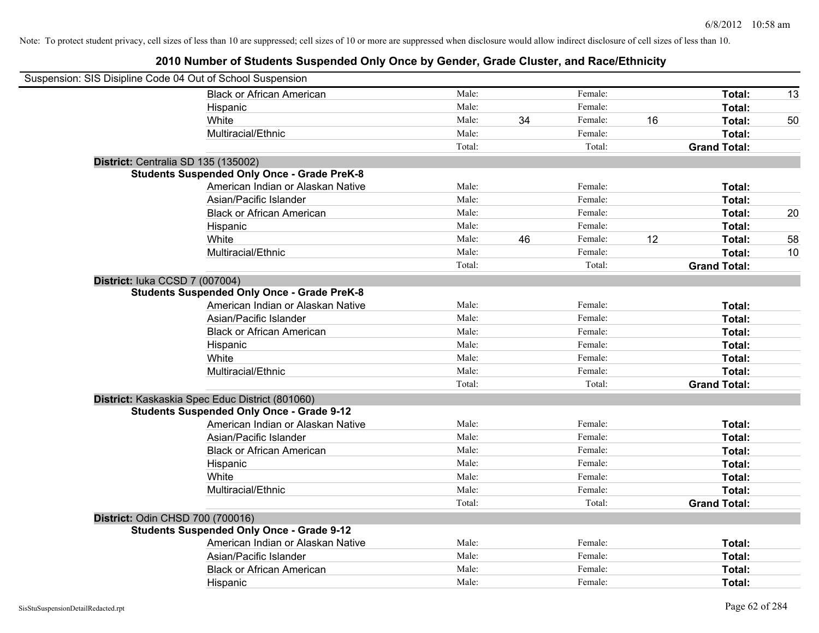| Suspension: SIS Disipline Code 04 Out of School Suspension |        |    |         |    |                     |    |
|------------------------------------------------------------|--------|----|---------|----|---------------------|----|
| <b>Black or African American</b>                           | Male:  |    | Female: |    | Total:              | 13 |
| Hispanic                                                   | Male:  |    | Female: |    | Total:              |    |
| White                                                      | Male:  | 34 | Female: | 16 | Total:              | 50 |
| Multiracial/Ethnic                                         | Male:  |    | Female: |    | Total:              |    |
|                                                            | Total: |    | Total:  |    | <b>Grand Total:</b> |    |
| District: Centralia SD 135 (135002)                        |        |    |         |    |                     |    |
| <b>Students Suspended Only Once - Grade PreK-8</b>         |        |    |         |    |                     |    |
| American Indian or Alaskan Native                          | Male:  |    | Female: |    | Total:              |    |
| Asian/Pacific Islander                                     | Male:  |    | Female: |    | Total:              |    |
| <b>Black or African American</b>                           | Male:  |    | Female: |    | Total:              | 20 |
| Hispanic                                                   | Male:  |    | Female: |    | Total:              |    |
| White                                                      | Male:  | 46 | Female: | 12 | Total:              | 58 |
| Multiracial/Ethnic                                         | Male:  |    | Female: |    | Total:              | 10 |
|                                                            | Total: |    | Total:  |    | <b>Grand Total:</b> |    |
| District: luka CCSD 7 (007004)                             |        |    |         |    |                     |    |
| <b>Students Suspended Only Once - Grade PreK-8</b>         |        |    |         |    |                     |    |
| American Indian or Alaskan Native                          | Male:  |    | Female: |    | Total:              |    |
| Asian/Pacific Islander                                     | Male:  |    | Female: |    | Total:              |    |
| <b>Black or African American</b>                           | Male:  |    | Female: |    | Total:              |    |
| Hispanic                                                   | Male:  |    | Female: |    | Total:              |    |
| White                                                      | Male:  |    | Female: |    | Total:              |    |
| Multiracial/Ethnic                                         | Male:  |    | Female: |    | Total:              |    |
|                                                            | Total: |    | Total:  |    | <b>Grand Total:</b> |    |
| District: Kaskaskia Spec Educ District (801060)            |        |    |         |    |                     |    |
| <b>Students Suspended Only Once - Grade 9-12</b>           |        |    |         |    |                     |    |
| American Indian or Alaskan Native                          | Male:  |    | Female: |    | Total:              |    |
| Asian/Pacific Islander                                     | Male:  |    | Female: |    | Total:              |    |
| <b>Black or African American</b>                           | Male:  |    | Female: |    | Total:              |    |
| Hispanic                                                   | Male:  |    | Female: |    | Total:              |    |
| White                                                      | Male:  |    | Female: |    | Total:              |    |
| Multiracial/Ethnic                                         | Male:  |    | Female: |    | Total:              |    |
|                                                            | Total: |    | Total:  |    | <b>Grand Total:</b> |    |
| District: Odin CHSD 700 (700016)                           |        |    |         |    |                     |    |
| <b>Students Suspended Only Once - Grade 9-12</b>           |        |    |         |    |                     |    |
| American Indian or Alaskan Native                          | Male:  |    | Female: |    | Total:              |    |
| Asian/Pacific Islander                                     | Male:  |    | Female: |    | Total:              |    |
| <b>Black or African American</b>                           | Male:  |    | Female: |    | Total:              |    |
| Hispanic                                                   | Male:  |    | Female: |    | Total:              |    |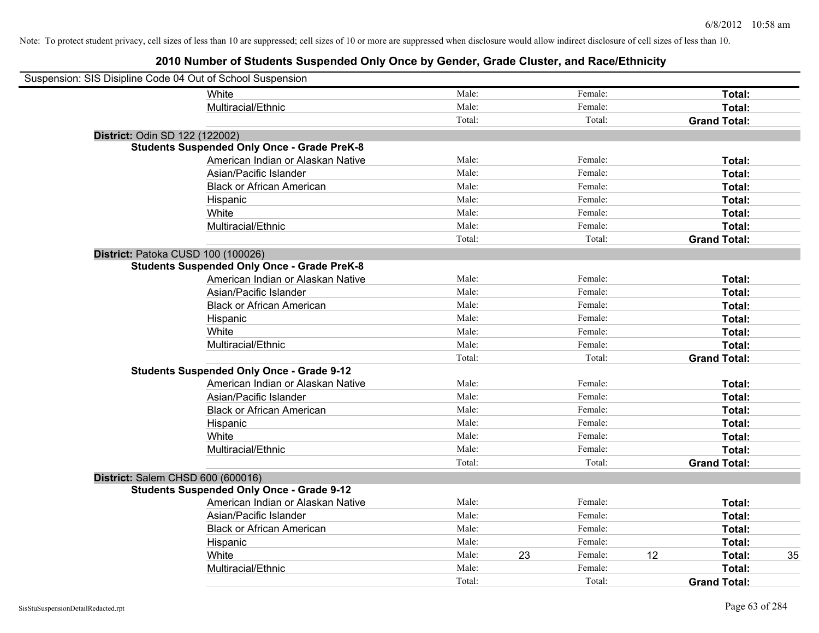| Suspension: SIS Disipline Code 04 Out of School Suspension |                                                    |        |    |         |    |                     |    |
|------------------------------------------------------------|----------------------------------------------------|--------|----|---------|----|---------------------|----|
|                                                            | White                                              | Male:  |    | Female: |    | Total:              |    |
|                                                            | Multiracial/Ethnic                                 | Male:  |    | Female: |    | Total:              |    |
|                                                            |                                                    | Total: |    | Total:  |    | <b>Grand Total:</b> |    |
| District: Odin SD 122 (122002)                             |                                                    |        |    |         |    |                     |    |
|                                                            | <b>Students Suspended Only Once - Grade PreK-8</b> |        |    |         |    |                     |    |
|                                                            | American Indian or Alaskan Native                  | Male:  |    | Female: |    | Total:              |    |
|                                                            | Asian/Pacific Islander                             | Male:  |    | Female: |    | Total:              |    |
|                                                            | <b>Black or African American</b>                   | Male:  |    | Female: |    | Total:              |    |
|                                                            | Hispanic                                           | Male:  |    | Female: |    | Total:              |    |
|                                                            | White                                              | Male:  |    | Female: |    | Total:              |    |
|                                                            | Multiracial/Ethnic                                 | Male:  |    | Female: |    | Total:              |    |
|                                                            |                                                    | Total: |    | Total:  |    | <b>Grand Total:</b> |    |
| District: Patoka CUSD 100 (100026)                         |                                                    |        |    |         |    |                     |    |
|                                                            | <b>Students Suspended Only Once - Grade PreK-8</b> |        |    |         |    |                     |    |
|                                                            | American Indian or Alaskan Native                  | Male:  |    | Female: |    | Total:              |    |
|                                                            | Asian/Pacific Islander                             | Male:  |    | Female: |    | Total:              |    |
|                                                            | <b>Black or African American</b>                   | Male:  |    | Female: |    | Total:              |    |
|                                                            | Hispanic                                           | Male:  |    | Female: |    | Total:              |    |
|                                                            | White                                              | Male:  |    | Female: |    | Total:              |    |
|                                                            | Multiracial/Ethnic                                 | Male:  |    | Female: |    | Total:              |    |
|                                                            |                                                    | Total: |    | Total:  |    | <b>Grand Total:</b> |    |
|                                                            | <b>Students Suspended Only Once - Grade 9-12</b>   |        |    |         |    |                     |    |
|                                                            | American Indian or Alaskan Native                  | Male:  |    | Female: |    | Total:              |    |
|                                                            | Asian/Pacific Islander                             | Male:  |    | Female: |    | Total:              |    |
|                                                            | <b>Black or African American</b>                   | Male:  |    | Female: |    | Total:              |    |
|                                                            | Hispanic                                           | Male:  |    | Female: |    | Total:              |    |
|                                                            | White                                              | Male:  |    | Female: |    | Total:              |    |
|                                                            | Multiracial/Ethnic                                 | Male:  |    | Female: |    | Total:              |    |
|                                                            |                                                    | Total: |    | Total:  |    | <b>Grand Total:</b> |    |
| District: Salem CHSD 600 (600016)                          |                                                    |        |    |         |    |                     |    |
|                                                            | <b>Students Suspended Only Once - Grade 9-12</b>   |        |    |         |    |                     |    |
|                                                            | American Indian or Alaskan Native                  | Male:  |    | Female: |    | Total:              |    |
|                                                            | Asian/Pacific Islander                             | Male:  |    | Female: |    | Total:              |    |
|                                                            | <b>Black or African American</b>                   | Male:  |    | Female: |    | Total:              |    |
|                                                            | Hispanic                                           | Male:  |    | Female: |    | Total:              |    |
|                                                            | White                                              | Male:  | 23 | Female: | 12 | Total:              | 35 |
|                                                            | Multiracial/Ethnic                                 | Male:  |    | Female: |    | Total:              |    |
|                                                            |                                                    | Total: |    | Total:  |    | <b>Grand Total:</b> |    |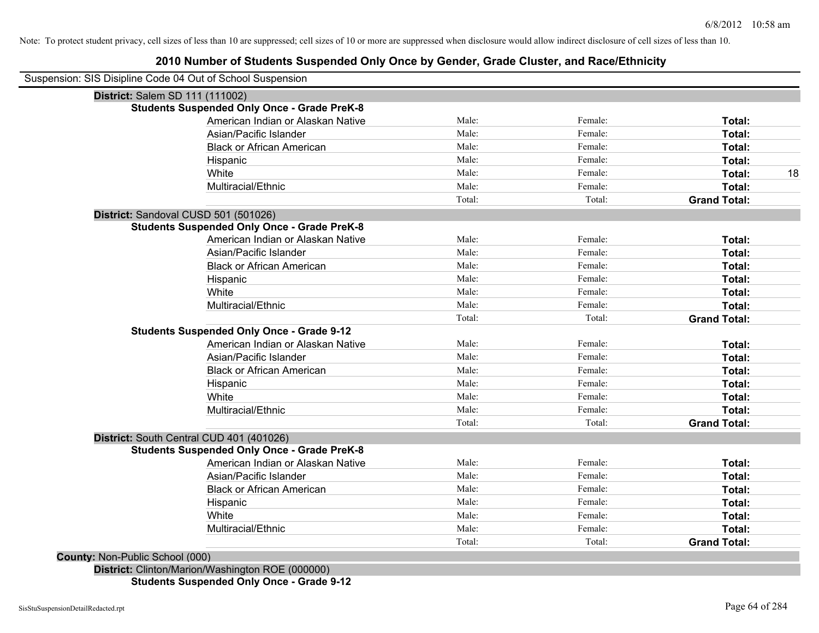|                                        | District: Salem SD 111 (111002)                    |        |         |                     |
|----------------------------------------|----------------------------------------------------|--------|---------|---------------------|
|                                        | <b>Students Suspended Only Once - Grade PreK-8</b> |        |         |                     |
|                                        | American Indian or Alaskan Native                  | Male:  | Female: | Total:              |
|                                        | Asian/Pacific Islander                             | Male:  | Female: | Total:              |
|                                        | <b>Black or African American</b>                   | Male:  | Female: | Total:              |
|                                        | Hispanic                                           | Male:  | Female: | Total:              |
|                                        | White                                              | Male:  | Female: | Total:              |
|                                        | Multiracial/Ethnic                                 | Male:  | Female: | Total:              |
|                                        |                                                    | Total: | Total:  | <b>Grand Total:</b> |
|                                        | District: Sandoval CUSD 501 (501026)               |        |         |                     |
|                                        | <b>Students Suspended Only Once - Grade PreK-8</b> |        |         |                     |
|                                        | American Indian or Alaskan Native                  | Male:  | Female: | Total:              |
|                                        | Asian/Pacific Islander                             | Male:  | Female: | Total:              |
|                                        | <b>Black or African American</b>                   | Male:  | Female: | Total:              |
|                                        | Hispanic                                           | Male:  | Female: | Total:              |
|                                        | White                                              | Male:  | Female: | Total:              |
|                                        | Multiracial/Ethnic                                 | Male:  | Female: | Total:              |
|                                        |                                                    | Total: | Total:  | <b>Grand Total:</b> |
|                                        | <b>Students Suspended Only Once - Grade 9-12</b>   |        |         |                     |
|                                        | American Indian or Alaskan Native                  | Male:  | Female: | Total:              |
|                                        | Asian/Pacific Islander                             | Male:  | Female: | Total:              |
|                                        | <b>Black or African American</b>                   | Male:  | Female: | Total:              |
|                                        | Hispanic                                           | Male:  | Female: | Total:              |
|                                        | White                                              | Male:  | Female: | Total:              |
|                                        | Multiracial/Ethnic                                 | Male:  | Female: | Total:              |
|                                        |                                                    | Total: | Total:  | <b>Grand Total:</b> |
|                                        | District: South Central CUD 401 (401026)           |        |         |                     |
|                                        | <b>Students Suspended Only Once - Grade PreK-8</b> |        |         |                     |
|                                        | American Indian or Alaskan Native                  | Male:  | Female: | Total:              |
|                                        | Asian/Pacific Islander                             | Male:  | Female: | Total:              |
|                                        | <b>Black or African American</b>                   | Male:  | Female: | Total:              |
|                                        | Hispanic                                           | Male:  | Female: | Total:              |
|                                        | White                                              | Male:  | Female: | Total:              |
|                                        | Multiracial/Ethnic                                 | Male:  | Female: | Total:              |
|                                        |                                                    | Total: | Total:  | <b>Grand Total:</b> |
| <b>County: Non-Public School (000)</b> |                                                    |        |         |                     |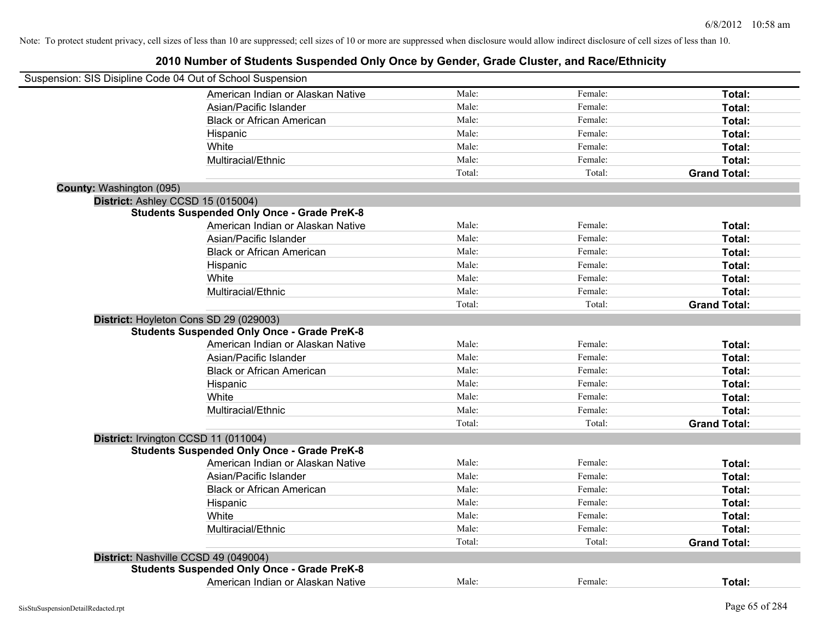| Suspension: SIS Disipline Code 04 Out of School Suspension |                                                    |        |         |                     |
|------------------------------------------------------------|----------------------------------------------------|--------|---------|---------------------|
|                                                            | American Indian or Alaskan Native                  | Male:  | Female: | Total:              |
|                                                            | Asian/Pacific Islander                             | Male:  | Female: | Total:              |
|                                                            | <b>Black or African American</b>                   | Male:  | Female: | Total:              |
|                                                            | Hispanic                                           | Male:  | Female: | Total:              |
|                                                            | White                                              | Male:  | Female: | Total:              |
|                                                            | Multiracial/Ethnic                                 | Male:  | Female: | Total:              |
|                                                            |                                                    | Total: | Total:  | <b>Grand Total:</b> |
| County: Washington (095)                                   |                                                    |        |         |                     |
| District: Ashley CCSD 15 (015004)                          |                                                    |        |         |                     |
|                                                            | <b>Students Suspended Only Once - Grade PreK-8</b> |        |         |                     |
|                                                            | American Indian or Alaskan Native                  | Male:  | Female: | Total:              |
|                                                            | Asian/Pacific Islander                             | Male:  | Female: | Total:              |
|                                                            | <b>Black or African American</b>                   | Male:  | Female: | Total:              |
|                                                            | Hispanic                                           | Male:  | Female: | Total:              |
|                                                            | White                                              | Male:  | Female: | Total:              |
|                                                            | Multiracial/Ethnic                                 | Male:  | Female: | Total:              |
|                                                            |                                                    | Total: | Total:  | <b>Grand Total:</b> |
| District: Hoyleton Cons SD 29 (029003)                     |                                                    |        |         |                     |
|                                                            | <b>Students Suspended Only Once - Grade PreK-8</b> |        |         |                     |
|                                                            | American Indian or Alaskan Native                  | Male:  | Female: | Total:              |
|                                                            | Asian/Pacific Islander                             | Male:  | Female: | Total:              |
|                                                            | <b>Black or African American</b>                   | Male:  | Female: | Total:              |
|                                                            | Hispanic                                           | Male:  | Female: | Total:              |
|                                                            | White                                              | Male:  | Female: | Total:              |
|                                                            | Multiracial/Ethnic                                 | Male:  | Female: | Total:              |
|                                                            |                                                    | Total: | Total:  | <b>Grand Total:</b> |
| District: Irvington CCSD 11 (011004)                       |                                                    |        |         |                     |
|                                                            | <b>Students Suspended Only Once - Grade PreK-8</b> |        |         |                     |
|                                                            | American Indian or Alaskan Native                  | Male:  | Female: | Total:              |
|                                                            | Asian/Pacific Islander                             | Male:  | Female: | Total:              |
|                                                            | <b>Black or African American</b>                   | Male:  | Female: | Total:              |
|                                                            | Hispanic                                           | Male:  | Female: | Total:              |
|                                                            | White                                              | Male:  | Female: | Total:              |
|                                                            | Multiracial/Ethnic                                 | Male:  | Female: | Total:              |
|                                                            |                                                    | Total: | Total:  | <b>Grand Total:</b> |
| District: Nashville CCSD 49 (049004)                       |                                                    |        |         |                     |
|                                                            | <b>Students Suspended Only Once - Grade PreK-8</b> |        |         |                     |
|                                                            | American Indian or Alaskan Native                  | Male:  | Female: | Total:              |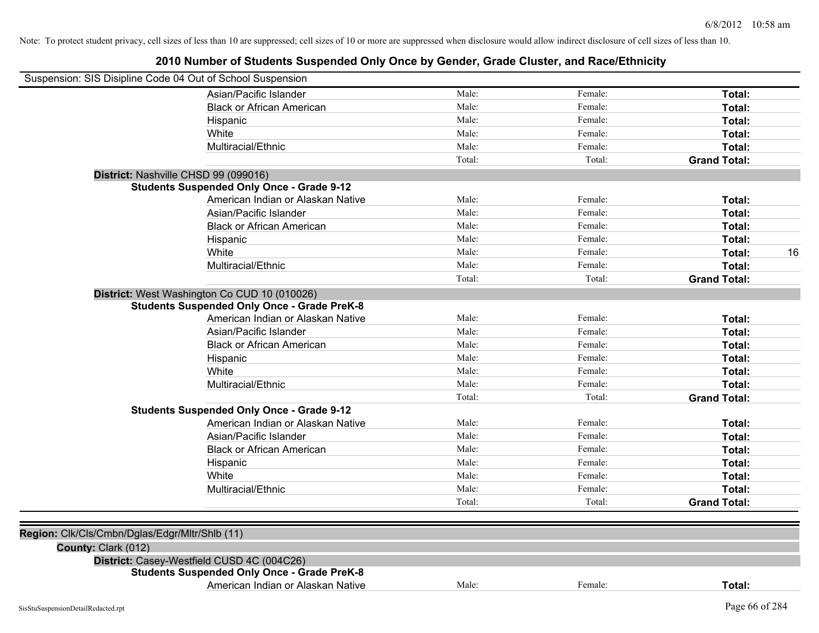| Suspension: SIS Disipline Code 04 Out of School Suspension |                                                    |        |         |                     |
|------------------------------------------------------------|----------------------------------------------------|--------|---------|---------------------|
|                                                            | Asian/Pacific Islander                             | Male:  | Female: | Total:              |
|                                                            | <b>Black or African American</b>                   | Male:  | Female: | Total:              |
|                                                            | Hispanic                                           | Male:  | Female: | Total:              |
|                                                            | White                                              | Male:  | Female: | Total:              |
|                                                            | Multiracial/Ethnic                                 | Male:  | Female: | Total:              |
|                                                            |                                                    | Total: | Total:  | <b>Grand Total:</b> |
|                                                            | District: Nashville CHSD 99 (099016)               |        |         |                     |
|                                                            | <b>Students Suspended Only Once - Grade 9-12</b>   |        |         |                     |
|                                                            | American Indian or Alaskan Native                  | Male:  | Female: | Total:              |
|                                                            | Asian/Pacific Islander                             | Male:  | Female: | Total:              |
|                                                            | <b>Black or African American</b>                   | Male:  | Female: | Total:              |
|                                                            | Hispanic                                           | Male:  | Female: | Total:              |
|                                                            | White                                              | Male:  | Female: | 16<br>Total:        |
|                                                            | Multiracial/Ethnic                                 | Male:  | Female: | Total:              |
|                                                            |                                                    | Total: | Total:  | <b>Grand Total:</b> |
|                                                            | District: West Washington Co CUD 10 (010026)       |        |         |                     |
|                                                            | <b>Students Suspended Only Once - Grade PreK-8</b> |        |         |                     |
|                                                            | American Indian or Alaskan Native                  | Male:  | Female: | Total:              |
|                                                            | Asian/Pacific Islander                             | Male:  | Female: | Total:              |
|                                                            | <b>Black or African American</b>                   | Male:  | Female: | Total:              |
|                                                            | Hispanic                                           | Male:  | Female: | Total:              |
|                                                            | White                                              | Male:  | Female: | Total:              |
|                                                            | Multiracial/Ethnic                                 | Male:  | Female: | Total:              |
|                                                            |                                                    | Total: | Total:  | <b>Grand Total:</b> |
|                                                            | <b>Students Suspended Only Once - Grade 9-12</b>   |        |         |                     |
|                                                            | American Indian or Alaskan Native                  | Male:  | Female: | Total:              |
|                                                            | Asian/Pacific Islander                             | Male:  | Female: | Total:              |
|                                                            | <b>Black or African American</b>                   | Male:  | Female: | Total:              |
|                                                            | Hispanic                                           | Male:  | Female: | Total:              |
|                                                            | White                                              | Male:  | Female: | Total:              |
|                                                            | Multiracial/Ethnic                                 | Male:  | Female: | Total:              |
|                                                            |                                                    | Total: | Total:  | <b>Grand Total:</b> |
|                                                            |                                                    |        |         |                     |
| Region: Clk/Cls/Cmbn/Dglas/Edgr/Mltr/Shlb (11)             |                                                    |        |         |                     |
| County: Clark (012)                                        |                                                    |        |         |                     |
|                                                            | District: Casey-Westfield CUSD 4C (004C26)         |        |         |                     |
|                                                            | <b>Students Suspended Only Once - Grade PreK-8</b> |        |         |                     |
|                                                            | American Indian or Alaskan Native                  | Male:  | Female: | Total:              |
| SisStuSuspensionDetailRedacted.rpt                         |                                                    |        |         | Page 66 of 284      |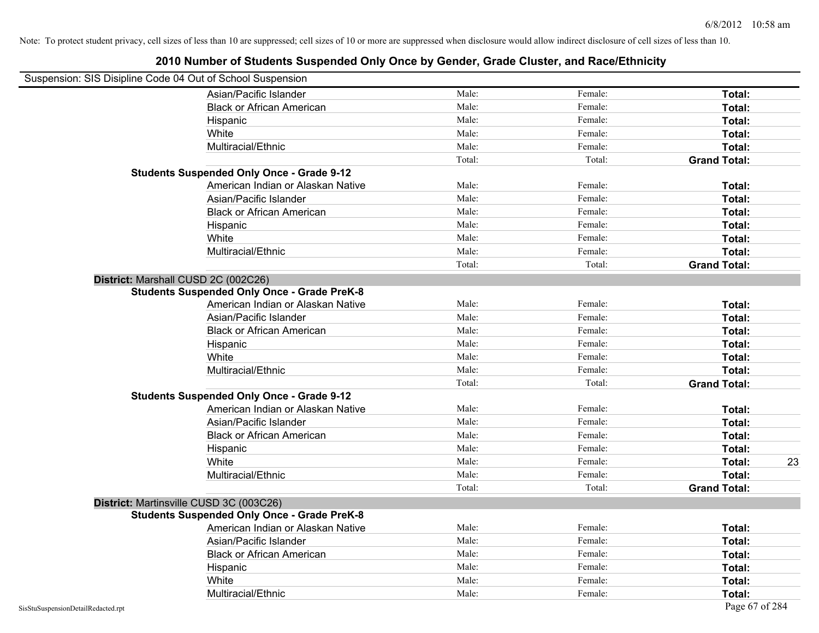| Suspension: SIS Disipline Code 04 Out of School Suspension |                                                    |        |         |                     |
|------------------------------------------------------------|----------------------------------------------------|--------|---------|---------------------|
|                                                            | Asian/Pacific Islander                             | Male:  | Female: | Total:              |
|                                                            | <b>Black or African American</b>                   | Male:  | Female: | Total:              |
|                                                            | Hispanic                                           | Male:  | Female: | Total:              |
|                                                            | White                                              | Male:  | Female: | Total:              |
|                                                            | Multiracial/Ethnic                                 | Male:  | Female: | Total:              |
|                                                            |                                                    | Total: | Total:  | <b>Grand Total:</b> |
|                                                            | <b>Students Suspended Only Once - Grade 9-12</b>   |        |         |                     |
|                                                            | American Indian or Alaskan Native                  | Male:  | Female: | Total:              |
|                                                            | Asian/Pacific Islander                             | Male:  | Female: | Total:              |
|                                                            | <b>Black or African American</b>                   | Male:  | Female: | Total:              |
|                                                            | Hispanic                                           | Male:  | Female: | Total:              |
|                                                            | White                                              | Male:  | Female: | Total:              |
|                                                            | Multiracial/Ethnic                                 | Male:  | Female: | Total:              |
|                                                            |                                                    | Total: | Total:  | <b>Grand Total:</b> |
| District: Marshall CUSD 2C (002C26)                        |                                                    |        |         |                     |
|                                                            | <b>Students Suspended Only Once - Grade PreK-8</b> |        |         |                     |
|                                                            | American Indian or Alaskan Native                  | Male:  | Female: | Total:              |
|                                                            | Asian/Pacific Islander                             | Male:  | Female: | Total:              |
|                                                            | <b>Black or African American</b>                   | Male:  | Female: | Total:              |
|                                                            | Hispanic                                           | Male:  | Female: | Total:              |
|                                                            | White                                              | Male:  | Female: | Total:              |
|                                                            | Multiracial/Ethnic                                 | Male:  | Female: | Total:              |
|                                                            |                                                    | Total: | Total:  | <b>Grand Total:</b> |
|                                                            | <b>Students Suspended Only Once - Grade 9-12</b>   |        |         |                     |
|                                                            | American Indian or Alaskan Native                  | Male:  | Female: | Total:              |
|                                                            | Asian/Pacific Islander                             | Male:  | Female: | Total:              |
|                                                            | <b>Black or African American</b>                   | Male:  | Female: | Total:              |
|                                                            | Hispanic                                           | Male:  | Female: | Total:              |
|                                                            | White                                              | Male:  | Female: | 23<br>Total:        |
|                                                            | Multiracial/Ethnic                                 | Male:  | Female: | Total:              |
|                                                            |                                                    | Total: | Total:  | <b>Grand Total:</b> |
|                                                            | District: Martinsville CUSD 3C (003C26)            |        |         |                     |
|                                                            | <b>Students Suspended Only Once - Grade PreK-8</b> |        |         |                     |
|                                                            | American Indian or Alaskan Native                  | Male:  | Female: | Total:              |
|                                                            | Asian/Pacific Islander                             | Male:  | Female: | Total:              |
|                                                            | <b>Black or African American</b>                   | Male:  | Female: | Total:              |
|                                                            | Hispanic                                           | Male:  | Female: | Total:              |
|                                                            | White                                              | Male:  | Female: | Total:              |
|                                                            | Multiracial/Ethnic                                 | Male:  | Female: | Total:              |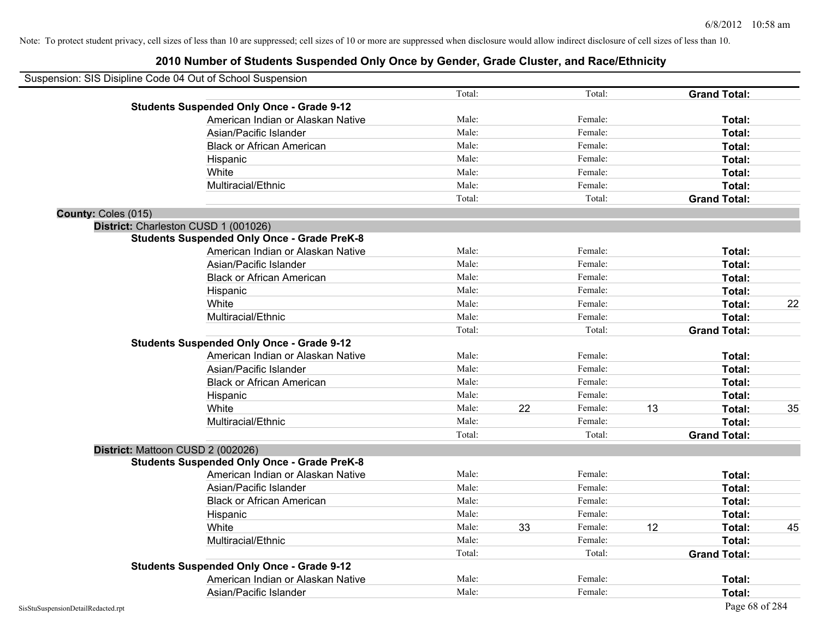|                     | Suspension: SIS Disipline Code 04 Out of School Suspension |        |    |         |    |                     |    |
|---------------------|------------------------------------------------------------|--------|----|---------|----|---------------------|----|
|                     |                                                            | Total: |    | Total:  |    | <b>Grand Total:</b> |    |
|                     | <b>Students Suspended Only Once - Grade 9-12</b>           |        |    |         |    |                     |    |
|                     | American Indian or Alaskan Native                          | Male:  |    | Female: |    | Total:              |    |
|                     | Asian/Pacific Islander                                     | Male:  |    | Female: |    | Total:              |    |
|                     | <b>Black or African American</b>                           | Male:  |    | Female: |    | Total:              |    |
|                     | Hispanic                                                   | Male:  |    | Female: |    | Total:              |    |
|                     | White                                                      | Male:  |    | Female: |    | Total:              |    |
|                     | Multiracial/Ethnic                                         | Male:  |    | Female: |    | Total:              |    |
|                     |                                                            | Total: |    | Total:  |    | <b>Grand Total:</b> |    |
| County: Coles (015) |                                                            |        |    |         |    |                     |    |
|                     | District: Charleston CUSD 1 (001026)                       |        |    |         |    |                     |    |
|                     | <b>Students Suspended Only Once - Grade PreK-8</b>         |        |    |         |    |                     |    |
|                     | American Indian or Alaskan Native                          | Male:  |    | Female: |    | Total:              |    |
|                     | Asian/Pacific Islander                                     | Male:  |    | Female: |    | Total:              |    |
|                     | <b>Black or African American</b>                           | Male:  |    | Female: |    | Total:              |    |
|                     | Hispanic                                                   | Male:  |    | Female: |    | Total:              |    |
|                     | White                                                      | Male:  |    | Female: |    | Total:              | 22 |
|                     | Multiracial/Ethnic                                         | Male:  |    | Female: |    | Total:              |    |
|                     |                                                            | Total: |    | Total:  |    | <b>Grand Total:</b> |    |
|                     | <b>Students Suspended Only Once - Grade 9-12</b>           |        |    |         |    |                     |    |
|                     | American Indian or Alaskan Native                          | Male:  |    | Female: |    | Total:              |    |
|                     | Asian/Pacific Islander                                     | Male:  |    | Female: |    | Total:              |    |
|                     | <b>Black or African American</b>                           | Male:  |    | Female: |    | Total:              |    |
|                     | Hispanic                                                   | Male:  |    | Female: |    | Total:              |    |
|                     | White                                                      | Male:  | 22 | Female: | 13 | Total:              | 35 |
|                     | Multiracial/Ethnic                                         | Male:  |    | Female: |    | Total:              |    |
|                     |                                                            | Total: |    | Total:  |    | <b>Grand Total:</b> |    |
|                     | District: Mattoon CUSD 2 (002026)                          |        |    |         |    |                     |    |
|                     | <b>Students Suspended Only Once - Grade PreK-8</b>         |        |    |         |    |                     |    |
|                     | American Indian or Alaskan Native                          | Male:  |    | Female: |    | Total:              |    |
|                     | Asian/Pacific Islander                                     | Male:  |    | Female: |    | Total:              |    |
|                     | <b>Black or African American</b>                           | Male:  |    | Female: |    | Total:              |    |
|                     | Hispanic                                                   | Male:  |    | Female: |    | Total:              |    |
|                     | White                                                      | Male:  | 33 | Female: | 12 | Total:              | 45 |
|                     | Multiracial/Ethnic                                         | Male:  |    | Female: |    | Total:              |    |
|                     |                                                            | Total: |    | Total:  |    | <b>Grand Total:</b> |    |
|                     | <b>Students Suspended Only Once - Grade 9-12</b>           |        |    |         |    |                     |    |
|                     | American Indian or Alaskan Native                          | Male:  |    | Female: |    | Total:              |    |
|                     | Asian/Pacific Islander                                     | Male:  |    | Female: |    | Total:              |    |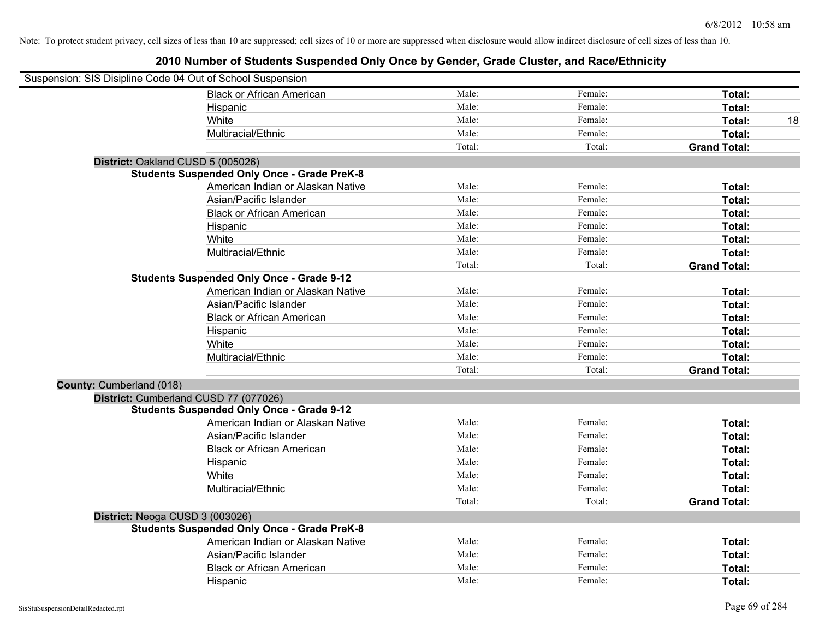| Suspension: SIS Disipline Code 04 Out of School Suspension |                                                    |        |         |                     |    |
|------------------------------------------------------------|----------------------------------------------------|--------|---------|---------------------|----|
|                                                            | <b>Black or African American</b>                   | Male:  | Female: | Total:              |    |
|                                                            | Hispanic                                           | Male:  | Female: | Total:              |    |
|                                                            | White                                              | Male:  | Female: | <b>Total:</b>       | 18 |
|                                                            | Multiracial/Ethnic                                 | Male:  | Female: | Total:              |    |
|                                                            |                                                    | Total: | Total:  | <b>Grand Total:</b> |    |
| District: Oakland CUSD 5 (005026)                          |                                                    |        |         |                     |    |
|                                                            | <b>Students Suspended Only Once - Grade PreK-8</b> |        |         |                     |    |
|                                                            | American Indian or Alaskan Native                  | Male:  | Female: | Total:              |    |
|                                                            | Asian/Pacific Islander                             | Male:  | Female: | Total:              |    |
|                                                            | <b>Black or African American</b>                   | Male:  | Female: | Total:              |    |
|                                                            | Hispanic                                           | Male:  | Female: | Total:              |    |
|                                                            | White                                              | Male:  | Female: | Total:              |    |
|                                                            | Multiracial/Ethnic                                 | Male:  | Female: | Total:              |    |
|                                                            |                                                    | Total: | Total:  | <b>Grand Total:</b> |    |
|                                                            | <b>Students Suspended Only Once - Grade 9-12</b>   |        |         |                     |    |
|                                                            | American Indian or Alaskan Native                  | Male:  | Female: | Total:              |    |
|                                                            | Asian/Pacific Islander                             | Male:  | Female: | Total:              |    |
|                                                            | <b>Black or African American</b>                   | Male:  | Female: | Total:              |    |
|                                                            | Hispanic                                           | Male:  | Female: | Total:              |    |
|                                                            | White                                              | Male:  | Female: | Total:              |    |
|                                                            | Multiracial/Ethnic                                 | Male:  | Female: | Total:              |    |
|                                                            |                                                    | Total: | Total:  | <b>Grand Total:</b> |    |
| County: Cumberland (018)                                   |                                                    |        |         |                     |    |
|                                                            | District: Cumberland CUSD 77 (077026)              |        |         |                     |    |
|                                                            | <b>Students Suspended Only Once - Grade 9-12</b>   |        |         |                     |    |
|                                                            | American Indian or Alaskan Native                  | Male:  | Female: | Total:              |    |
|                                                            | Asian/Pacific Islander                             | Male:  | Female: | Total:              |    |
|                                                            | <b>Black or African American</b>                   | Male:  | Female: | Total:              |    |
|                                                            | Hispanic                                           | Male:  | Female: | Total:              |    |
|                                                            | White                                              | Male:  | Female: | Total:              |    |
|                                                            | Multiracial/Ethnic                                 | Male:  | Female: | Total:              |    |
|                                                            |                                                    | Total: | Total:  | <b>Grand Total:</b> |    |
| District: Neoga CUSD 3 (003026)                            |                                                    |        |         |                     |    |
|                                                            | <b>Students Suspended Only Once - Grade PreK-8</b> |        |         |                     |    |
|                                                            | American Indian or Alaskan Native                  | Male:  | Female: | Total:              |    |
|                                                            | Asian/Pacific Islander                             | Male:  | Female: | Total:              |    |
|                                                            | <b>Black or African American</b>                   | Male:  | Female: | Total:              |    |
|                                                            | Hispanic                                           | Male:  | Female: | Total:              |    |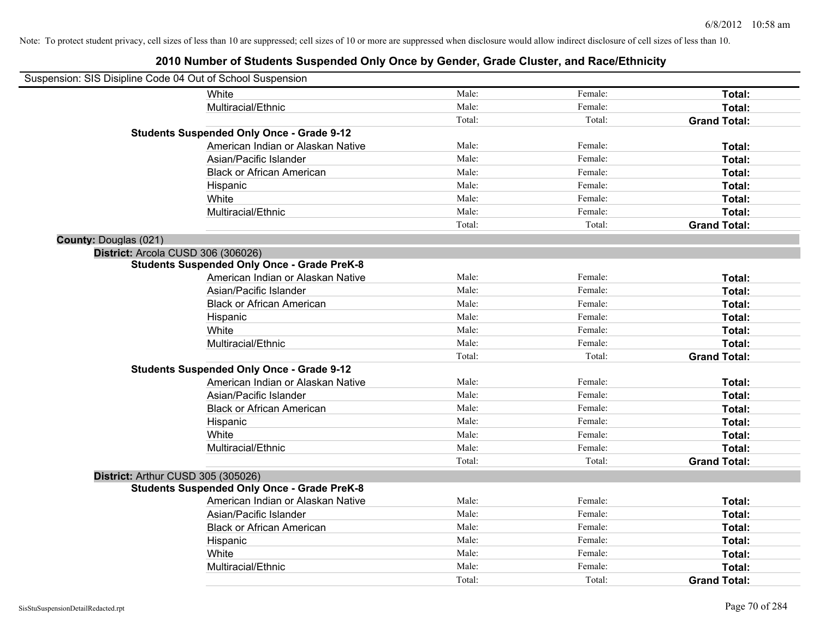| Suspension: SIS Disipline Code 04 Out of School Suspension |                                                    |        |         |                     |
|------------------------------------------------------------|----------------------------------------------------|--------|---------|---------------------|
|                                                            | White                                              | Male:  | Female: | Total:              |
|                                                            | Multiracial/Ethnic                                 | Male:  | Female: | Total:              |
|                                                            |                                                    | Total: | Total:  | <b>Grand Total:</b> |
|                                                            | <b>Students Suspended Only Once - Grade 9-12</b>   |        |         |                     |
|                                                            | American Indian or Alaskan Native                  | Male:  | Female: | Total:              |
|                                                            | Asian/Pacific Islander                             | Male:  | Female: | Total:              |
|                                                            | <b>Black or African American</b>                   | Male:  | Female: | Total:              |
|                                                            | Hispanic                                           | Male:  | Female: | Total:              |
|                                                            | White                                              | Male:  | Female: | Total:              |
|                                                            | Multiracial/Ethnic                                 | Male:  | Female: | Total:              |
|                                                            |                                                    | Total: | Total:  | <b>Grand Total:</b> |
| County: Douglas (021)                                      |                                                    |        |         |                     |
| District: Arcola CUSD 306 (306026)                         |                                                    |        |         |                     |
|                                                            | <b>Students Suspended Only Once - Grade PreK-8</b> |        |         |                     |
|                                                            | American Indian or Alaskan Native                  | Male:  | Female: | Total:              |
|                                                            | Asian/Pacific Islander                             | Male:  | Female: | Total:              |
|                                                            | <b>Black or African American</b>                   | Male:  | Female: | Total:              |
|                                                            | Hispanic                                           | Male:  | Female: | Total:              |
|                                                            | White                                              | Male:  | Female: | Total:              |
|                                                            | Multiracial/Ethnic                                 | Male:  | Female: | Total:              |
|                                                            |                                                    | Total: | Total:  | <b>Grand Total:</b> |
|                                                            | <b>Students Suspended Only Once - Grade 9-12</b>   |        |         |                     |
|                                                            | American Indian or Alaskan Native                  | Male:  | Female: | Total:              |
|                                                            | Asian/Pacific Islander                             | Male:  | Female: | Total:              |
|                                                            | <b>Black or African American</b>                   | Male:  | Female: | Total:              |
|                                                            | Hispanic                                           | Male:  | Female: | Total:              |
|                                                            | White                                              | Male:  | Female: | Total:              |
|                                                            | Multiracial/Ethnic                                 | Male:  | Female: | <b>Total:</b>       |
|                                                            |                                                    | Total: | Total:  | <b>Grand Total:</b> |
| District: Arthur CUSD 305 (305026)                         |                                                    |        |         |                     |
|                                                            | <b>Students Suspended Only Once - Grade PreK-8</b> |        |         |                     |
|                                                            | American Indian or Alaskan Native                  | Male:  | Female: | Total:              |
|                                                            | Asian/Pacific Islander                             | Male:  | Female: | Total:              |
|                                                            | <b>Black or African American</b>                   | Male:  | Female: | Total:              |
|                                                            | Hispanic                                           | Male:  | Female: | Total:              |
|                                                            | White                                              | Male:  | Female: | Total:              |
|                                                            | Multiracial/Ethnic                                 | Male:  | Female: | Total:              |
|                                                            |                                                    | Total: | Total:  | <b>Grand Total:</b> |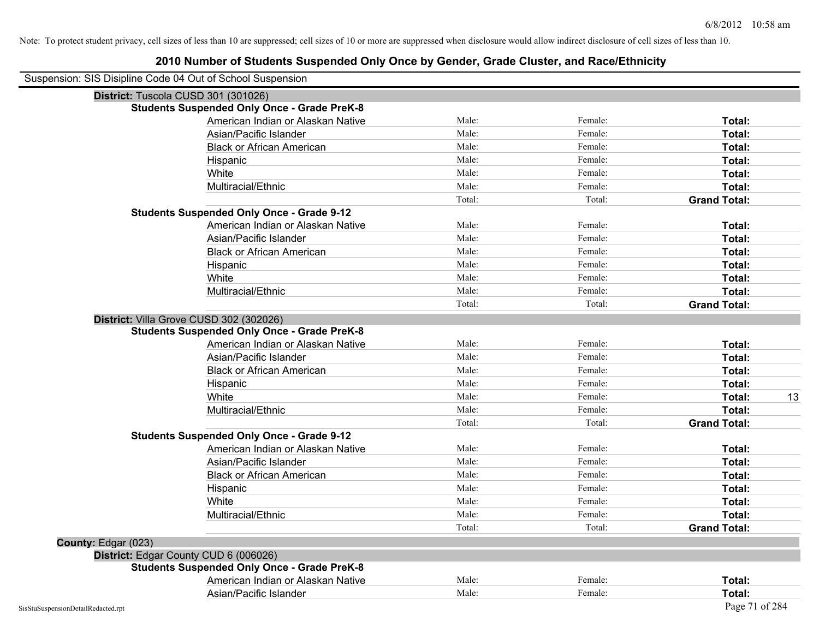| Suspension: SIS Disipline Code 04 Out of School Suspension |                                                    |        |         |                     |
|------------------------------------------------------------|----------------------------------------------------|--------|---------|---------------------|
|                                                            | District: Tuscola CUSD 301 (301026)                |        |         |                     |
|                                                            | <b>Students Suspended Only Once - Grade PreK-8</b> |        |         |                     |
|                                                            | American Indian or Alaskan Native                  | Male:  | Female: | Total:              |
|                                                            | Asian/Pacific Islander                             | Male:  | Female: | Total:              |
|                                                            | <b>Black or African American</b>                   | Male:  | Female: | Total:              |
|                                                            | Hispanic                                           | Male:  | Female: | Total:              |
|                                                            | White                                              | Male:  | Female: | Total:              |
|                                                            | Multiracial/Ethnic                                 | Male:  | Female: | Total:              |
|                                                            |                                                    | Total: | Total:  | <b>Grand Total:</b> |
|                                                            | <b>Students Suspended Only Once - Grade 9-12</b>   |        |         |                     |
|                                                            | American Indian or Alaskan Native                  | Male:  | Female: | Total:              |
|                                                            | Asian/Pacific Islander                             | Male:  | Female: | Total:              |
|                                                            | <b>Black or African American</b>                   | Male:  | Female: | Total:              |
|                                                            | Hispanic                                           | Male:  | Female: | Total:              |
|                                                            | White                                              | Male:  | Female: | Total:              |
|                                                            | Multiracial/Ethnic                                 | Male:  | Female: | Total:              |
|                                                            |                                                    | Total: | Total:  | <b>Grand Total:</b> |
|                                                            | District: Villa Grove CUSD 302 (302026)            |        |         |                     |
|                                                            | <b>Students Suspended Only Once - Grade PreK-8</b> |        |         |                     |
|                                                            | American Indian or Alaskan Native                  | Male:  | Female: | Total:              |
|                                                            | Asian/Pacific Islander                             | Male:  | Female: | Total:              |
|                                                            | <b>Black or African American</b>                   | Male:  | Female: | Total:              |
|                                                            | Hispanic                                           | Male:  | Female: | Total:              |
|                                                            | White                                              | Male:  | Female: | Total:<br>13        |
|                                                            | Multiracial/Ethnic                                 | Male:  | Female: | Total:              |
|                                                            |                                                    | Total: | Total:  | <b>Grand Total:</b> |
|                                                            | <b>Students Suspended Only Once - Grade 9-12</b>   |        |         |                     |
|                                                            | American Indian or Alaskan Native                  | Male:  | Female: | Total:              |
|                                                            | Asian/Pacific Islander                             | Male:  | Female: | Total:              |
|                                                            | <b>Black or African American</b>                   | Male:  | Female: | Total:              |
|                                                            | Hispanic                                           | Male:  | Female: | Total:              |
|                                                            | White                                              | Male:  | Female: | Total:              |
|                                                            | Multiracial/Ethnic                                 | Male:  | Female: | Total:              |
|                                                            |                                                    | Total: | Total:  | <b>Grand Total:</b> |
| County: Edgar (023)                                        |                                                    |        |         |                     |
|                                                            | District: Edgar County CUD 6 (006026)              |        |         |                     |
|                                                            | <b>Students Suspended Only Once - Grade PreK-8</b> |        |         |                     |
|                                                            | American Indian or Alaskan Native                  | Male:  | Female: | Total:              |
|                                                            | Asian/Pacific Islander                             | Male:  | Female: | Total:              |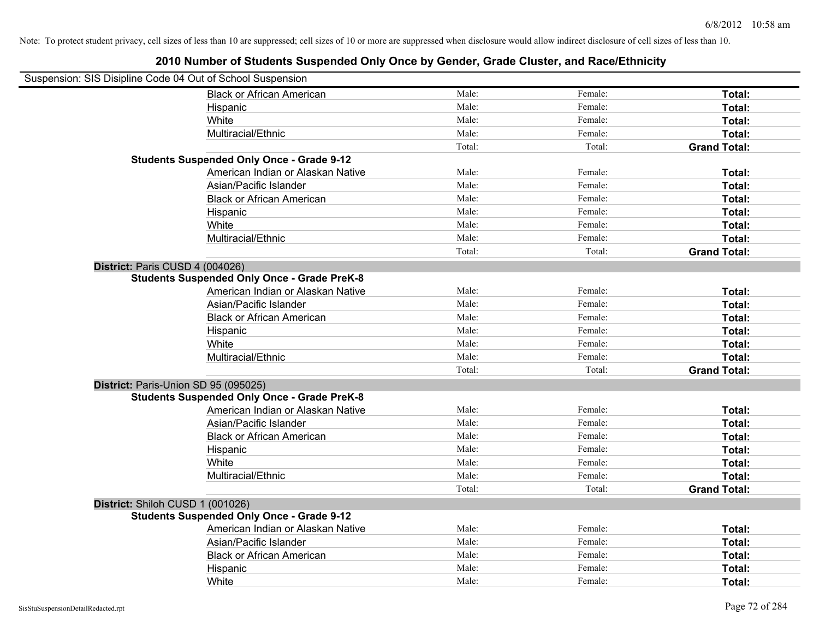| Suspension: SIS Disipline Code 04 Out of School Suspension |                                                    |        |         |                     |
|------------------------------------------------------------|----------------------------------------------------|--------|---------|---------------------|
|                                                            | <b>Black or African American</b>                   | Male:  | Female: | Total:              |
|                                                            | Hispanic                                           | Male:  | Female: | Total:              |
|                                                            | White                                              | Male:  | Female: | Total:              |
|                                                            | Multiracial/Ethnic                                 | Male:  | Female: | Total:              |
|                                                            |                                                    | Total: | Total:  | <b>Grand Total:</b> |
|                                                            | <b>Students Suspended Only Once - Grade 9-12</b>   |        |         |                     |
|                                                            | American Indian or Alaskan Native                  | Male:  | Female: | Total:              |
|                                                            | Asian/Pacific Islander                             | Male:  | Female: | Total:              |
|                                                            | <b>Black or African American</b>                   | Male:  | Female: | Total:              |
|                                                            | Hispanic                                           | Male:  | Female: | Total:              |
|                                                            | White                                              | Male:  | Female: | Total:              |
|                                                            | Multiracial/Ethnic                                 | Male:  | Female: | Total:              |
|                                                            |                                                    | Total: | Total:  | <b>Grand Total:</b> |
| District: Paris CUSD 4 (004026)                            |                                                    |        |         |                     |
|                                                            | <b>Students Suspended Only Once - Grade PreK-8</b> |        |         |                     |
|                                                            | American Indian or Alaskan Native                  | Male:  | Female: | Total:              |
|                                                            | Asian/Pacific Islander                             | Male:  | Female: | Total:              |
|                                                            | <b>Black or African American</b>                   | Male:  | Female: | Total:              |
|                                                            | Hispanic                                           | Male:  | Female: | Total:              |
|                                                            | White                                              | Male:  | Female: | Total:              |
|                                                            | Multiracial/Ethnic                                 | Male:  | Female: | Total:              |
|                                                            |                                                    | Total: | Total:  | <b>Grand Total:</b> |
| District: Paris-Union SD 95 (095025)                       |                                                    |        |         |                     |
|                                                            | <b>Students Suspended Only Once - Grade PreK-8</b> |        |         |                     |
|                                                            | American Indian or Alaskan Native                  | Male:  | Female: | Total:              |
|                                                            | Asian/Pacific Islander                             | Male:  | Female: | Total:              |
|                                                            | <b>Black or African American</b>                   | Male:  | Female: | Total:              |
|                                                            | Hispanic                                           | Male:  | Female: | Total:              |
|                                                            | White                                              | Male:  | Female: | Total:              |
|                                                            | Multiracial/Ethnic                                 | Male:  | Female: | Total:              |
|                                                            |                                                    | Total: | Total:  | <b>Grand Total:</b> |
| District: Shiloh CUSD 1 (001026)                           |                                                    |        |         |                     |
|                                                            | <b>Students Suspended Only Once - Grade 9-12</b>   |        |         |                     |
|                                                            | American Indian or Alaskan Native                  | Male:  | Female: | Total:              |
|                                                            | Asian/Pacific Islander                             | Male:  | Female: | Total:              |
|                                                            | <b>Black or African American</b>                   | Male:  | Female: | Total:              |
|                                                            | Hispanic                                           | Male:  | Female: | Total:              |
|                                                            | White                                              | Male:  | Female: | Total:              |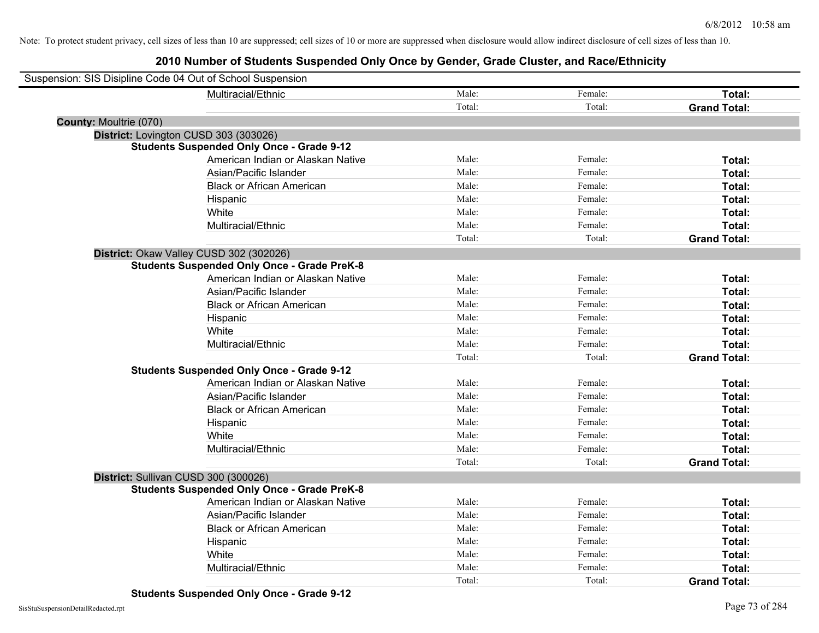| Suspension: SIS Disipline Code 04 Out of School Suspension |                                                    |        |         |                     |
|------------------------------------------------------------|----------------------------------------------------|--------|---------|---------------------|
|                                                            | Multiracial/Ethnic                                 | Male:  | Female: | Total:              |
|                                                            |                                                    | Total: | Total:  | <b>Grand Total:</b> |
| <b>County: Moultrie (070)</b>                              |                                                    |        |         |                     |
| District: Lovington CUSD 303 (303026)                      |                                                    |        |         |                     |
|                                                            | <b>Students Suspended Only Once - Grade 9-12</b>   |        |         |                     |
|                                                            | American Indian or Alaskan Native                  | Male:  | Female: | Total:              |
|                                                            | Asian/Pacific Islander                             | Male:  | Female: | Total:              |
|                                                            | <b>Black or African American</b>                   | Male:  | Female: | Total:              |
|                                                            | Hispanic                                           | Male:  | Female: | Total:              |
|                                                            | White                                              | Male:  | Female: | Total:              |
|                                                            | Multiracial/Ethnic                                 | Male:  | Female: | Total:              |
|                                                            |                                                    | Total: | Total:  | <b>Grand Total:</b> |
| District: Okaw Valley CUSD 302 (302026)                    |                                                    |        |         |                     |
|                                                            | <b>Students Suspended Only Once - Grade PreK-8</b> |        |         |                     |
|                                                            | American Indian or Alaskan Native                  | Male:  | Female: | Total:              |
|                                                            | Asian/Pacific Islander                             | Male:  | Female: | Total:              |
|                                                            | <b>Black or African American</b>                   | Male:  | Female: | Total:              |
|                                                            | Hispanic                                           | Male:  | Female: | Total:              |
|                                                            | White                                              | Male:  | Female: | Total:              |
|                                                            | Multiracial/Ethnic                                 | Male:  | Female: | Total:              |
|                                                            |                                                    | Total: | Total:  | <b>Grand Total:</b> |
|                                                            | <b>Students Suspended Only Once - Grade 9-12</b>   |        |         |                     |
|                                                            | American Indian or Alaskan Native                  | Male:  | Female: | Total:              |
|                                                            | Asian/Pacific Islander                             | Male:  | Female: | Total:              |
|                                                            | <b>Black or African American</b>                   | Male:  | Female: | Total:              |
|                                                            | Hispanic                                           | Male:  | Female: | Total:              |
|                                                            | White                                              | Male:  | Female: | Total:              |
|                                                            | Multiracial/Ethnic                                 | Male:  | Female: | Total:              |
|                                                            |                                                    | Total: | Total:  | <b>Grand Total:</b> |
| District: Sullivan CUSD 300 (300026)                       |                                                    |        |         |                     |
|                                                            | <b>Students Suspended Only Once - Grade PreK-8</b> |        |         |                     |
|                                                            | American Indian or Alaskan Native                  | Male:  | Female: | Total:              |
|                                                            | Asian/Pacific Islander                             | Male:  | Female: | Total:              |
|                                                            | <b>Black or African American</b>                   | Male:  | Female: | Total:              |
|                                                            | Hispanic                                           | Male:  | Female: | Total:              |
|                                                            | White                                              | Male:  | Female: | Total:              |
|                                                            | Multiracial/Ethnic                                 | Male:  | Female: | Total:              |
|                                                            |                                                    | Total: | Total:  | <b>Grand Total:</b> |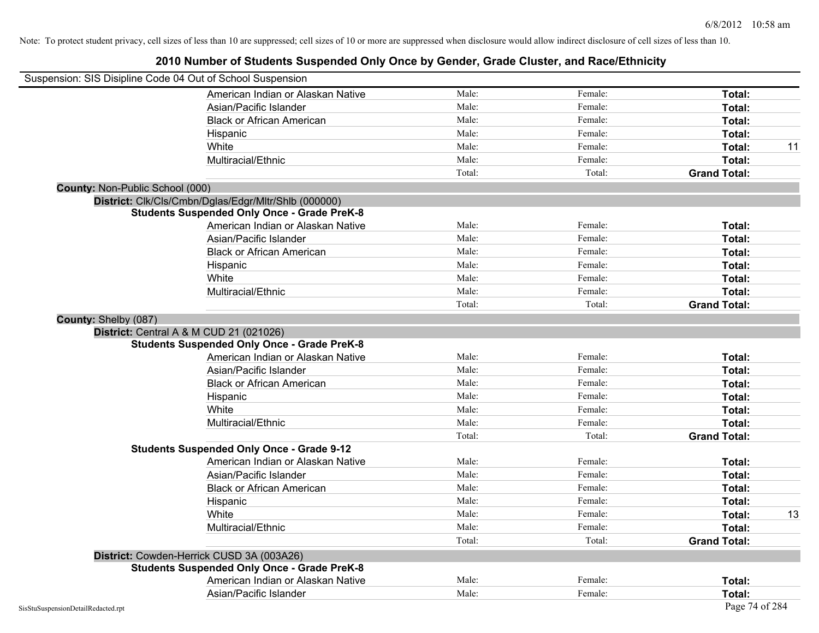|                                        | Suspension: SIS Disipline Code 04 Out of School Suspension |        |         |                     |    |
|----------------------------------------|------------------------------------------------------------|--------|---------|---------------------|----|
|                                        | American Indian or Alaskan Native                          | Male:  | Female: | <b>Total:</b>       |    |
|                                        | Asian/Pacific Islander                                     | Male:  | Female: | Total:              |    |
|                                        | <b>Black or African American</b>                           | Male:  | Female: | Total:              |    |
|                                        | Hispanic                                                   | Male:  | Female: | Total:              |    |
|                                        | White                                                      | Male:  | Female: | Total:              | 11 |
|                                        | Multiracial/Ethnic                                         | Male:  | Female: | Total:              |    |
|                                        |                                                            | Total: | Total:  | <b>Grand Total:</b> |    |
| <b>County: Non-Public School (000)</b> |                                                            |        |         |                     |    |
|                                        | District: Clk/Cls/Cmbn/Dglas/Edgr/Mltr/Shlb (000000)       |        |         |                     |    |
|                                        | <b>Students Suspended Only Once - Grade PreK-8</b>         |        |         |                     |    |
|                                        | American Indian or Alaskan Native                          | Male:  | Female: | Total:              |    |
|                                        | Asian/Pacific Islander                                     | Male:  | Female: | Total:              |    |
|                                        | <b>Black or African American</b>                           | Male:  | Female: | Total:              |    |
|                                        | Hispanic                                                   | Male:  | Female: | Total:              |    |
|                                        | White                                                      | Male:  | Female: | Total:              |    |
|                                        | Multiracial/Ethnic                                         | Male:  | Female: | Total:              |    |
|                                        |                                                            | Total: | Total:  | <b>Grand Total:</b> |    |
| County: Shelby (087)                   |                                                            |        |         |                     |    |
|                                        | <b>District:</b> Central A & M CUD 21 (021026)             |        |         |                     |    |
|                                        | <b>Students Suspended Only Once - Grade PreK-8</b>         |        |         |                     |    |
|                                        | American Indian or Alaskan Native                          | Male:  | Female: | Total:              |    |
|                                        | Asian/Pacific Islander                                     | Male:  | Female: | Total:              |    |
|                                        | <b>Black or African American</b>                           | Male:  | Female: | Total:              |    |
|                                        | Hispanic                                                   | Male:  | Female: | Total:              |    |
|                                        | White                                                      | Male:  | Female: | Total:              |    |
|                                        | Multiracial/Ethnic                                         | Male:  | Female: | Total:              |    |
|                                        |                                                            | Total: | Total:  | <b>Grand Total:</b> |    |
|                                        | <b>Students Suspended Only Once - Grade 9-12</b>           |        |         |                     |    |
|                                        | American Indian or Alaskan Native                          | Male:  | Female: | Total:              |    |
|                                        | Asian/Pacific Islander                                     | Male:  | Female: | Total:              |    |
|                                        | <b>Black or African American</b>                           | Male:  | Female: | Total:              |    |
|                                        | Hispanic                                                   | Male:  | Female: | Total:              |    |
|                                        | White                                                      | Male:  | Female: | Total:              | 13 |
|                                        | Multiracial/Ethnic                                         | Male:  | Female: | Total:              |    |
|                                        |                                                            | Total: | Total:  | <b>Grand Total:</b> |    |
|                                        | District: Cowden-Herrick CUSD 3A (003A26)                  |        |         |                     |    |
|                                        | <b>Students Suspended Only Once - Grade PreK-8</b>         |        |         |                     |    |
|                                        | American Indian or Alaskan Native                          | Male:  | Female: | Total:              |    |
|                                        | Asian/Pacific Islander                                     | Male:  | Female: | Total:              |    |
| SisStuSuspensionDetailRedacted.rpt     |                                                            |        |         | Page 74 of 284      |    |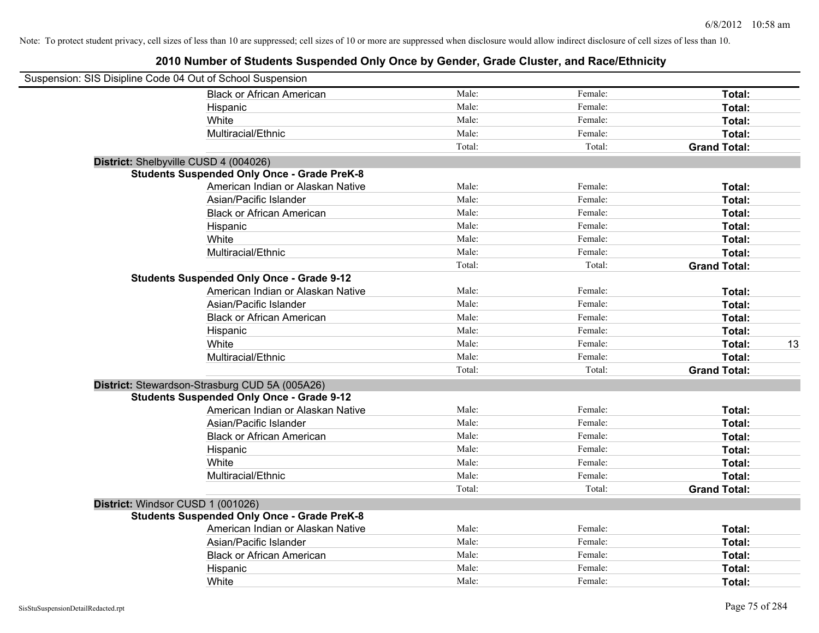| Suspension: SIS Disipline Code 04 Out of School Suspension |                                                    |        |         |                     |    |
|------------------------------------------------------------|----------------------------------------------------|--------|---------|---------------------|----|
|                                                            | <b>Black or African American</b>                   | Male:  | Female: | Total:              |    |
|                                                            | Hispanic                                           | Male:  | Female: | Total:              |    |
|                                                            | White                                              | Male:  | Female: | Total:              |    |
|                                                            | Multiracial/Ethnic                                 | Male:  | Female: | Total:              |    |
|                                                            |                                                    | Total: | Total:  | <b>Grand Total:</b> |    |
| District: Shelbyville CUSD 4 (004026)                      |                                                    |        |         |                     |    |
|                                                            | <b>Students Suspended Only Once - Grade PreK-8</b> |        |         |                     |    |
|                                                            | American Indian or Alaskan Native                  | Male:  | Female: | Total:              |    |
|                                                            | Asian/Pacific Islander                             | Male:  | Female: | Total:              |    |
|                                                            | <b>Black or African American</b>                   | Male:  | Female: | Total:              |    |
|                                                            | Hispanic                                           | Male:  | Female: | Total:              |    |
|                                                            | White                                              | Male:  | Female: | Total:              |    |
|                                                            | Multiracial/Ethnic                                 | Male:  | Female: | Total:              |    |
|                                                            |                                                    | Total: | Total:  | <b>Grand Total:</b> |    |
|                                                            | <b>Students Suspended Only Once - Grade 9-12</b>   |        |         |                     |    |
|                                                            | American Indian or Alaskan Native                  | Male:  | Female: | Total:              |    |
|                                                            | Asian/Pacific Islander                             | Male:  | Female: | Total:              |    |
|                                                            | <b>Black or African American</b>                   | Male:  | Female: | Total:              |    |
|                                                            | Hispanic                                           | Male:  | Female: | Total:              |    |
|                                                            | White                                              | Male:  | Female: | Total:              | 13 |
|                                                            | Multiracial/Ethnic                                 | Male:  | Female: | Total:              |    |
|                                                            |                                                    | Total: | Total:  | <b>Grand Total:</b> |    |
|                                                            | District: Stewardson-Strasburg CUD 5A (005A26)     |        |         |                     |    |
|                                                            | <b>Students Suspended Only Once - Grade 9-12</b>   |        |         |                     |    |
|                                                            | American Indian or Alaskan Native                  | Male:  | Female: | Total:              |    |
|                                                            | Asian/Pacific Islander                             | Male:  | Female: | Total:              |    |
|                                                            | <b>Black or African American</b>                   | Male:  | Female: | Total:              |    |
|                                                            | Hispanic                                           | Male:  | Female: | Total:              |    |
|                                                            | White                                              | Male:  | Female: | Total:              |    |
|                                                            | Multiracial/Ethnic                                 | Male:  | Female: | Total:              |    |
|                                                            |                                                    | Total: | Total:  | <b>Grand Total:</b> |    |
| District: Windsor CUSD 1 (001026)                          |                                                    |        |         |                     |    |
|                                                            | <b>Students Suspended Only Once - Grade PreK-8</b> |        |         |                     |    |
|                                                            | American Indian or Alaskan Native                  | Male:  | Female: | Total:              |    |
|                                                            | Asian/Pacific Islander                             | Male:  | Female: | Total:              |    |
|                                                            | <b>Black or African American</b>                   | Male:  | Female: | Total:              |    |
|                                                            | Hispanic                                           | Male:  | Female: | Total:              |    |
|                                                            | White                                              | Male:  | Female: | Total:              |    |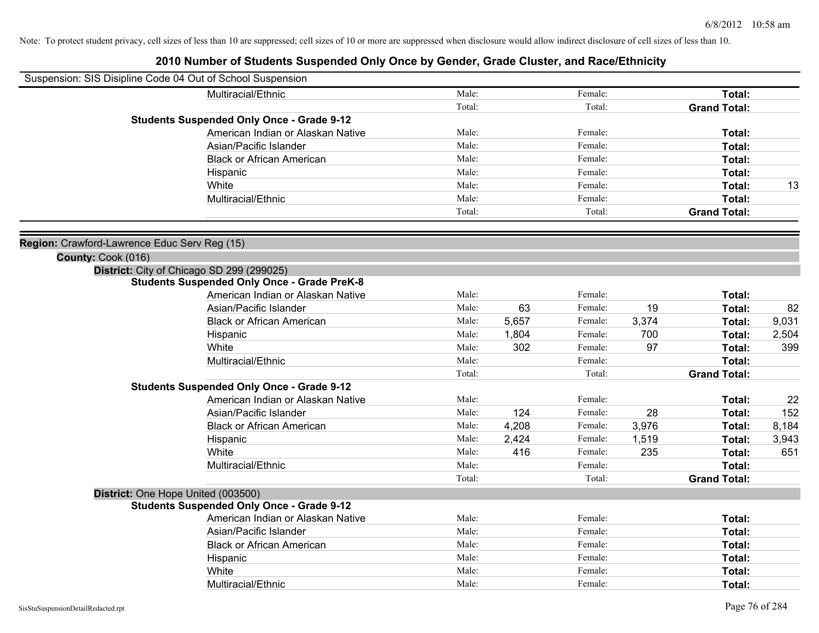| Suspension: SIS Disipline Code 04 Out of School Suspension |                                                    |        |       |         |       |                     |       |
|------------------------------------------------------------|----------------------------------------------------|--------|-------|---------|-------|---------------------|-------|
|                                                            | Multiracial/Ethnic                                 | Male:  |       | Female: |       | Total:              |       |
|                                                            |                                                    | Total: |       | Total:  |       | <b>Grand Total:</b> |       |
|                                                            | <b>Students Suspended Only Once - Grade 9-12</b>   |        |       |         |       |                     |       |
|                                                            | American Indian or Alaskan Native                  | Male:  |       | Female: |       | Total:              |       |
|                                                            | Asian/Pacific Islander                             | Male:  |       | Female: |       | Total:              |       |
|                                                            | <b>Black or African American</b>                   | Male:  |       | Female: |       | Total:              |       |
|                                                            | Hispanic                                           | Male:  |       | Female: |       | Total:              |       |
|                                                            | White                                              | Male:  |       | Female: |       | Total:              | 13    |
|                                                            | Multiracial/Ethnic                                 | Male:  |       | Female: |       | Total:              |       |
|                                                            |                                                    | Total: |       | Total:  |       | <b>Grand Total:</b> |       |
| Region: Crawford-Lawrence Educ Serv Reg (15)               |                                                    |        |       |         |       |                     |       |
| County: Cook (016)                                         |                                                    |        |       |         |       |                     |       |
|                                                            | District: City of Chicago SD 299 (299025)          |        |       |         |       |                     |       |
|                                                            | <b>Students Suspended Only Once - Grade PreK-8</b> |        |       |         |       |                     |       |
|                                                            | American Indian or Alaskan Native                  | Male:  |       | Female: |       | Total:              |       |
|                                                            | Asian/Pacific Islander                             | Male:  | 63    | Female: | 19    | Total:              | 82    |
|                                                            | <b>Black or African American</b>                   | Male:  | 5,657 | Female: | 3,374 | Total:              | 9,031 |
|                                                            | Hispanic                                           | Male:  | 1,804 | Female: | 700   | Total:              | 2,504 |
|                                                            | White                                              | Male:  | 302   | Female: | 97    | Total:              | 399   |
|                                                            | Multiracial/Ethnic                                 | Male:  |       | Female: |       | Total:              |       |
|                                                            |                                                    | Total: |       | Total:  |       | <b>Grand Total:</b> |       |
|                                                            | <b>Students Suspended Only Once - Grade 9-12</b>   |        |       |         |       |                     |       |
|                                                            | American Indian or Alaskan Native                  | Male:  |       | Female: |       | Total:              | 22    |
|                                                            | Asian/Pacific Islander                             | Male:  | 124   | Female: | 28    | Total:              | 152   |
|                                                            | <b>Black or African American</b>                   | Male:  | 4,208 | Female: | 3,976 | Total:              | 8,184 |
|                                                            | Hispanic                                           | Male:  | 2,424 | Female: | 1,519 | Total:              | 3,943 |
|                                                            | White                                              | Male:  | 416   | Female: | 235   | Total:              | 651   |
|                                                            | Multiracial/Ethnic                                 | Male:  |       | Female: |       | Total:              |       |
|                                                            |                                                    | Total: |       | Total:  |       | <b>Grand Total:</b> |       |
| District: One Hope United (003500)                         |                                                    |        |       |         |       |                     |       |
|                                                            | <b>Students Suspended Only Once - Grade 9-12</b>   |        |       |         |       |                     |       |
|                                                            | American Indian or Alaskan Native                  | Male:  |       | Female: |       | Total:              |       |
|                                                            | Asian/Pacific Islander                             | Male:  |       | Female: |       | Total:              |       |
|                                                            | <b>Black or African American</b>                   | Male:  |       | Female: |       | Total:              |       |
|                                                            | Hispanic                                           | Male:  |       | Female: |       | Total:              |       |
|                                                            | White                                              | Male:  |       | Female: |       | Total:              |       |
|                                                            | Multiracial/Ethnic                                 | Male:  |       | Female: |       | Total:              |       |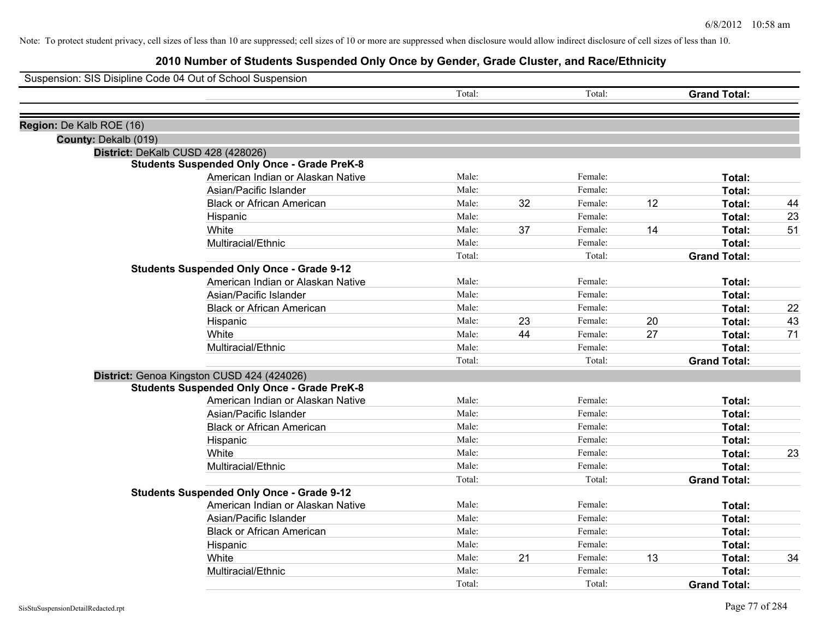|                          | Suspension: SIS Disipline Code 04 Out of School Suspension |        |    |         |    |                     |    |
|--------------------------|------------------------------------------------------------|--------|----|---------|----|---------------------|----|
|                          |                                                            | Total: |    | Total:  |    | <b>Grand Total:</b> |    |
| Region: De Kalb ROE (16) |                                                            |        |    |         |    |                     |    |
| County: Dekalb (019)     |                                                            |        |    |         |    |                     |    |
|                          | District: DeKalb CUSD 428 (428026)                         |        |    |         |    |                     |    |
|                          | <b>Students Suspended Only Once - Grade PreK-8</b>         |        |    |         |    |                     |    |
|                          | American Indian or Alaskan Native                          | Male:  |    | Female: |    | Total:              |    |
|                          | Asian/Pacific Islander                                     | Male:  |    | Female: |    | Total:              |    |
|                          | <b>Black or African American</b>                           | Male:  | 32 | Female: | 12 | Total:              | 44 |
|                          | Hispanic                                                   | Male:  |    | Female: |    | Total:              | 23 |
|                          | White                                                      | Male:  | 37 | Female: | 14 | Total:              | 51 |
|                          | Multiracial/Ethnic                                         | Male:  |    | Female: |    | Total:              |    |
|                          |                                                            | Total: |    | Total:  |    | <b>Grand Total:</b> |    |
|                          | <b>Students Suspended Only Once - Grade 9-12</b>           |        |    |         |    |                     |    |
|                          | American Indian or Alaskan Native                          | Male:  |    | Female: |    | Total:              |    |
|                          | Asian/Pacific Islander                                     | Male:  |    | Female: |    | Total:              |    |
|                          | <b>Black or African American</b>                           | Male:  |    | Female: |    | Total:              | 22 |
|                          | Hispanic                                                   | Male:  | 23 | Female: | 20 | Total:              | 43 |
|                          | White                                                      | Male:  | 44 | Female: | 27 | Total:              | 71 |
|                          | Multiracial/Ethnic                                         | Male:  |    | Female: |    | Total:              |    |
|                          |                                                            | Total: |    | Total:  |    | <b>Grand Total:</b> |    |
|                          | District: Genoa Kingston CUSD 424 (424026)                 |        |    |         |    |                     |    |
|                          | <b>Students Suspended Only Once - Grade PreK-8</b>         |        |    |         |    |                     |    |
|                          | American Indian or Alaskan Native                          | Male:  |    | Female: |    | Total:              |    |
|                          | Asian/Pacific Islander                                     | Male:  |    | Female: |    | Total:              |    |
|                          | <b>Black or African American</b>                           | Male:  |    | Female: |    | Total:              |    |
|                          | Hispanic                                                   | Male:  |    | Female: |    | Total:              |    |
|                          | White                                                      | Male:  |    | Female: |    | Total:              | 23 |
|                          | Multiracial/Ethnic                                         | Male:  |    | Female: |    | Total:              |    |
|                          |                                                            | Total: |    | Total:  |    | <b>Grand Total:</b> |    |
|                          | <b>Students Suspended Only Once - Grade 9-12</b>           |        |    |         |    |                     |    |
|                          | American Indian or Alaskan Native                          | Male:  |    | Female: |    | Total:              |    |
|                          | Asian/Pacific Islander                                     | Male:  |    | Female: |    | Total:              |    |
|                          | <b>Black or African American</b>                           | Male:  |    | Female: |    | Total:              |    |
|                          | Hispanic                                                   | Male:  |    | Female: |    | Total:              |    |
|                          | White                                                      | Male:  | 21 | Female: | 13 | Total:              | 34 |
|                          | Multiracial/Ethnic                                         | Male:  |    | Female: |    | <b>Total:</b>       |    |
|                          |                                                            | Total: |    | Total:  |    | <b>Grand Total:</b> |    |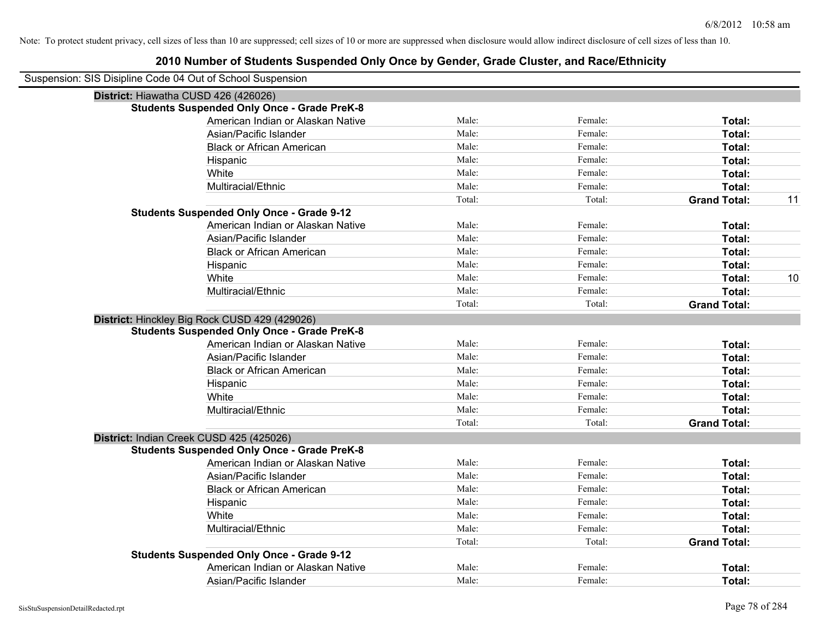| Suspension: SIS Disipline Code 04 Out of School Suspension |                                                    |        |         |                     |    |
|------------------------------------------------------------|----------------------------------------------------|--------|---------|---------------------|----|
| District: Hiawatha CUSD 426 (426026)                       |                                                    |        |         |                     |    |
|                                                            | <b>Students Suspended Only Once - Grade PreK-8</b> |        |         |                     |    |
|                                                            | American Indian or Alaskan Native                  | Male:  | Female: | Total:              |    |
|                                                            | Asian/Pacific Islander                             | Male:  | Female: | Total:              |    |
|                                                            | <b>Black or African American</b>                   | Male:  | Female: | Total:              |    |
|                                                            | Hispanic                                           | Male:  | Female: | Total:              |    |
|                                                            | White                                              | Male:  | Female: | Total:              |    |
|                                                            | Multiracial/Ethnic                                 | Male:  | Female: | Total:              |    |
|                                                            |                                                    | Total: | Total:  | <b>Grand Total:</b> | 11 |
|                                                            | <b>Students Suspended Only Once - Grade 9-12</b>   |        |         |                     |    |
|                                                            | American Indian or Alaskan Native                  | Male:  | Female: | Total:              |    |
|                                                            | Asian/Pacific Islander                             | Male:  | Female: | Total:              |    |
|                                                            | <b>Black or African American</b>                   | Male:  | Female: | Total:              |    |
|                                                            | Hispanic                                           | Male:  | Female: | Total:              |    |
|                                                            | White                                              | Male:  | Female: | Total:              | 10 |
|                                                            | Multiracial/Ethnic                                 | Male:  | Female: | Total:              |    |
|                                                            |                                                    | Total: | Total:  | <b>Grand Total:</b> |    |
|                                                            | District: Hinckley Big Rock CUSD 429 (429026)      |        |         |                     |    |
|                                                            | <b>Students Suspended Only Once - Grade PreK-8</b> |        |         |                     |    |
|                                                            | American Indian or Alaskan Native                  | Male:  | Female: | Total:              |    |
|                                                            | Asian/Pacific Islander                             | Male:  | Female: | Total:              |    |
|                                                            | <b>Black or African American</b>                   | Male:  | Female: | Total:              |    |
|                                                            | Hispanic                                           | Male:  | Female: | Total:              |    |
|                                                            | White                                              | Male:  | Female: | Total:              |    |
|                                                            | Multiracial/Ethnic                                 | Male:  | Female: | Total:              |    |
|                                                            |                                                    | Total: | Total:  | <b>Grand Total:</b> |    |
|                                                            | District: Indian Creek CUSD 425 (425026)           |        |         |                     |    |
|                                                            | <b>Students Suspended Only Once - Grade PreK-8</b> |        |         |                     |    |
|                                                            | American Indian or Alaskan Native                  | Male:  | Female: | Total:              |    |
|                                                            | Asian/Pacific Islander                             | Male:  | Female: | Total:              |    |
|                                                            | <b>Black or African American</b>                   | Male:  | Female: | Total:              |    |
|                                                            | Hispanic                                           | Male:  | Female: | Total:              |    |
|                                                            | White                                              | Male:  | Female: | Total:              |    |
|                                                            | Multiracial/Ethnic                                 | Male:  | Female: | Total:              |    |
|                                                            |                                                    | Total: | Total:  | <b>Grand Total:</b> |    |
|                                                            | <b>Students Suspended Only Once - Grade 9-12</b>   |        |         |                     |    |
|                                                            | American Indian or Alaskan Native                  | Male:  | Female: | <b>Total:</b>       |    |
|                                                            | Asian/Pacific Islander                             | Male:  | Female: | Total:              |    |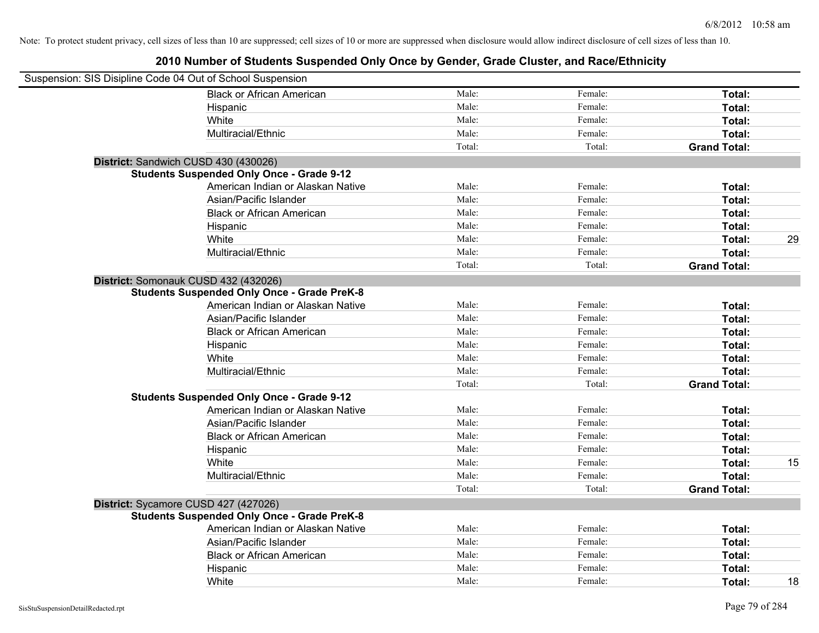| Suspension: SIS Disipline Code 04 Out of School Suspension |                                                    |        |         |                     |    |
|------------------------------------------------------------|----------------------------------------------------|--------|---------|---------------------|----|
|                                                            | <b>Black or African American</b>                   | Male:  | Female: | Total:              |    |
|                                                            | Hispanic                                           | Male:  | Female: | Total:              |    |
|                                                            | White                                              | Male:  | Female: | Total:              |    |
|                                                            | Multiracial/Ethnic                                 | Male:  | Female: | Total:              |    |
|                                                            |                                                    | Total: | Total:  | <b>Grand Total:</b> |    |
| District: Sandwich CUSD 430 (430026)                       |                                                    |        |         |                     |    |
|                                                            | <b>Students Suspended Only Once - Grade 9-12</b>   |        |         |                     |    |
|                                                            | American Indian or Alaskan Native                  | Male:  | Female: | Total:              |    |
|                                                            | Asian/Pacific Islander                             | Male:  | Female: | Total:              |    |
|                                                            | <b>Black or African American</b>                   | Male:  | Female: | Total:              |    |
|                                                            | Hispanic                                           | Male:  | Female: | Total:              |    |
|                                                            | White                                              | Male:  | Female: | Total:              | 29 |
|                                                            | Multiracial/Ethnic                                 | Male:  | Female: | Total:              |    |
|                                                            |                                                    | Total: | Total:  | <b>Grand Total:</b> |    |
| District: Somonauk CUSD 432 (432026)                       |                                                    |        |         |                     |    |
|                                                            | <b>Students Suspended Only Once - Grade PreK-8</b> |        |         |                     |    |
|                                                            | American Indian or Alaskan Native                  | Male:  | Female: | Total:              |    |
|                                                            | Asian/Pacific Islander                             | Male:  | Female: | Total:              |    |
|                                                            | <b>Black or African American</b>                   | Male:  | Female: | Total:              |    |
|                                                            | Hispanic                                           | Male:  | Female: | Total:              |    |
|                                                            | White                                              | Male:  | Female: | Total:              |    |
|                                                            | Multiracial/Ethnic                                 | Male:  | Female: | Total:              |    |
|                                                            |                                                    | Total: | Total:  | <b>Grand Total:</b> |    |
|                                                            | <b>Students Suspended Only Once - Grade 9-12</b>   |        |         |                     |    |
|                                                            | American Indian or Alaskan Native                  | Male:  | Female: | Total:              |    |
|                                                            | Asian/Pacific Islander                             | Male:  | Female: | Total:              |    |
|                                                            | <b>Black or African American</b>                   | Male:  | Female: | Total:              |    |
|                                                            | Hispanic                                           | Male:  | Female: | Total:              |    |
|                                                            | White                                              | Male:  | Female: | Total:              | 15 |
|                                                            | Multiracial/Ethnic                                 | Male:  | Female: | Total:              |    |
|                                                            |                                                    | Total: | Total:  | <b>Grand Total:</b> |    |
| District: Sycamore CUSD 427 (427026)                       |                                                    |        |         |                     |    |
|                                                            | <b>Students Suspended Only Once - Grade PreK-8</b> |        |         |                     |    |
|                                                            | American Indian or Alaskan Native                  | Male:  | Female: | Total:              |    |
|                                                            | Asian/Pacific Islander                             | Male:  | Female: | Total:              |    |
|                                                            | <b>Black or African American</b>                   | Male:  | Female: | Total:              |    |
|                                                            | Hispanic                                           | Male:  | Female: | <b>Total:</b>       |    |
|                                                            | White                                              | Male:  | Female: | Total:              | 18 |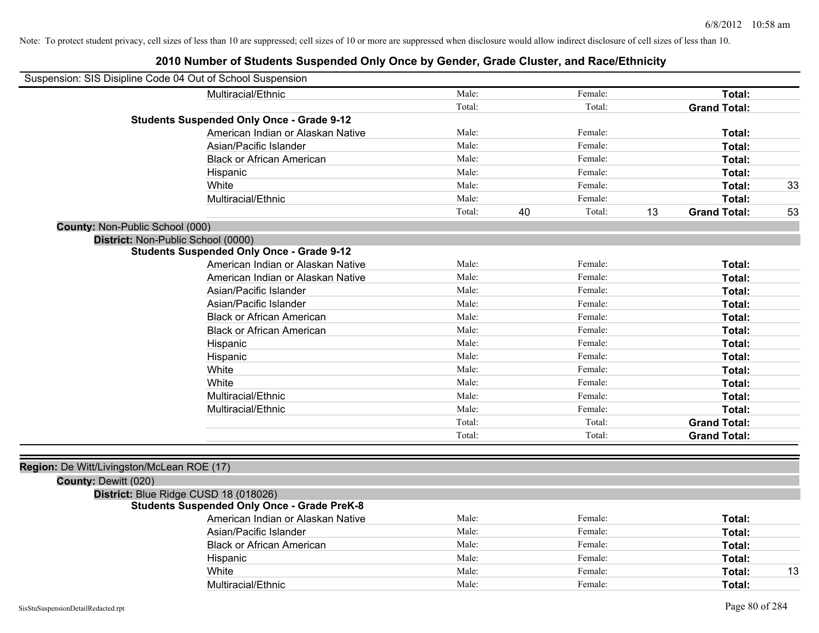|                      | Suspension: SIS Disipline Code 04 Out of School Suspension |        |    |         |    |                     |    |
|----------------------|------------------------------------------------------------|--------|----|---------|----|---------------------|----|
|                      | Multiracial/Ethnic                                         | Male:  |    | Female: |    | Total:              |    |
|                      |                                                            | Total: |    | Total:  |    | <b>Grand Total:</b> |    |
|                      | <b>Students Suspended Only Once - Grade 9-12</b>           |        |    |         |    |                     |    |
|                      | American Indian or Alaskan Native                          | Male:  |    | Female: |    | Total:              |    |
|                      | Asian/Pacific Islander                                     | Male:  |    | Female: |    | Total:              |    |
|                      | <b>Black or African American</b>                           | Male:  |    | Female: |    | Total:              |    |
|                      | Hispanic                                                   | Male:  |    | Female: |    | Total:              |    |
|                      | White                                                      | Male:  |    | Female: |    | Total:              | 33 |
|                      | Multiracial/Ethnic                                         | Male:  |    | Female: |    | Total:              |    |
|                      |                                                            | Total: | 40 | Total:  | 13 | <b>Grand Total:</b> | 53 |
|                      | County: Non-Public School (000)                            |        |    |         |    |                     |    |
|                      | District: Non-Public School (0000)                         |        |    |         |    |                     |    |
|                      | <b>Students Suspended Only Once - Grade 9-12</b>           |        |    |         |    |                     |    |
|                      | American Indian or Alaskan Native                          | Male:  |    | Female: |    | Total:              |    |
|                      | American Indian or Alaskan Native                          | Male:  |    | Female: |    | Total:              |    |
|                      | Asian/Pacific Islander                                     | Male:  |    | Female: |    | Total:              |    |
|                      | Asian/Pacific Islander                                     | Male:  |    | Female: |    | Total:              |    |
|                      | <b>Black or African American</b>                           | Male:  |    | Female: |    | Total:              |    |
|                      | <b>Black or African American</b>                           | Male:  |    | Female: |    | Total:              |    |
|                      | Hispanic                                                   | Male:  |    | Female: |    | Total:              |    |
|                      | Hispanic                                                   | Male:  |    | Female: |    | Total:              |    |
|                      | White                                                      | Male:  |    | Female: |    | Total:              |    |
|                      | White                                                      | Male:  |    | Female: |    | Total:              |    |
|                      | Multiracial/Ethnic                                         | Male:  |    | Female: |    | Total:              |    |
|                      | Multiracial/Ethnic                                         | Male:  |    | Female: |    | Total:              |    |
|                      |                                                            | Total: |    | Total:  |    | <b>Grand Total:</b> |    |
|                      |                                                            | Total: |    | Total:  |    | <b>Grand Total:</b> |    |
|                      | Region: De Witt/Livingston/McLean ROE (17)                 |        |    |         |    |                     |    |
| County: Dewitt (020) |                                                            |        |    |         |    |                     |    |
|                      | District: Blue Ridge CUSD 18 (018026)                      |        |    |         |    |                     |    |
|                      | <b>Students Suspended Only Once - Grade PreK-8</b>         |        |    |         |    |                     |    |
|                      | American Indian or Alaskan Native                          | Male:  |    | Female: |    | Total:              |    |
|                      | Asian/Pacific Islander                                     | Male:  |    | Female: |    | Total:              |    |
|                      | <b>Black or African American</b>                           | Male:  |    | Female: |    | Total:              |    |
|                      | Hispanic                                                   | Male:  |    | Female: |    | Total:              |    |
|                      | White                                                      | Male:  |    | Female: |    | Total:              | 13 |
|                      | Multiracial/Ethnic                                         | Male:  |    | Female: |    | Total:              |    |
|                      |                                                            |        |    |         |    |                     |    |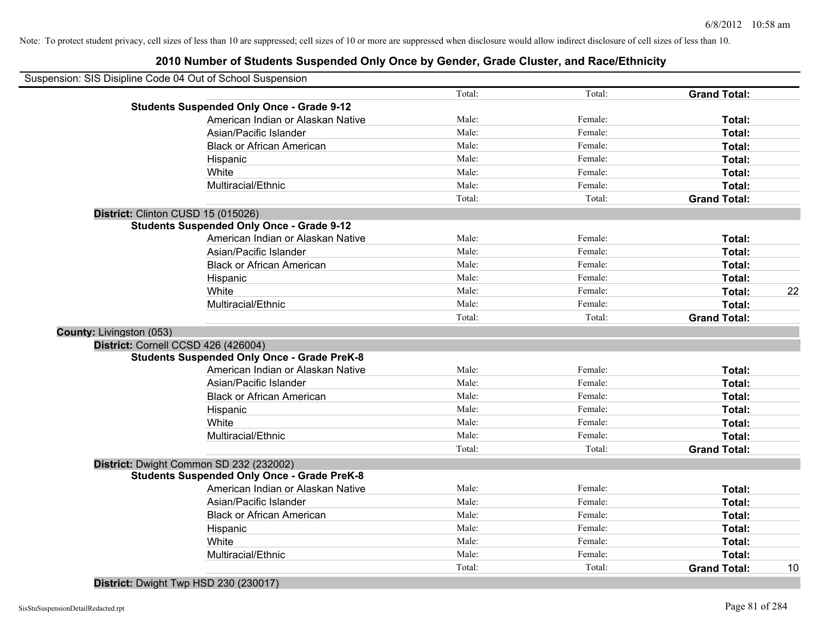### **2010 Number of Students Suspended Only Once by Gender, Grade Cluster, and Race/Ethnicity**

|                          | Suspension: SIS Disipline Code 04 Out of School Suspension |        |         |                     |    |
|--------------------------|------------------------------------------------------------|--------|---------|---------------------|----|
|                          |                                                            | Total: | Total:  | <b>Grand Total:</b> |    |
|                          | <b>Students Suspended Only Once - Grade 9-12</b>           |        |         |                     |    |
|                          | American Indian or Alaskan Native                          | Male:  | Female: | Total:              |    |
|                          | Asian/Pacific Islander                                     | Male:  | Female: | Total:              |    |
|                          | <b>Black or African American</b>                           | Male:  | Female: | Total:              |    |
|                          | Hispanic                                                   | Male:  | Female: | Total:              |    |
|                          | White                                                      | Male:  | Female: | Total:              |    |
|                          | Multiracial/Ethnic                                         | Male:  | Female: | Total:              |    |
|                          |                                                            | Total: | Total:  | <b>Grand Total:</b> |    |
|                          | District: Clinton CUSD 15 (015026)                         |        |         |                     |    |
|                          | <b>Students Suspended Only Once - Grade 9-12</b>           |        |         |                     |    |
|                          | American Indian or Alaskan Native                          | Male:  | Female: | Total:              |    |
|                          | Asian/Pacific Islander                                     | Male:  | Female: | Total:              |    |
|                          | <b>Black or African American</b>                           | Male:  | Female: | Total:              |    |
|                          | Hispanic                                                   | Male:  | Female: | Total:              |    |
|                          | White                                                      | Male:  | Female: | Total:              | 22 |
|                          | Multiracial/Ethnic                                         | Male:  | Female: | Total:              |    |
|                          |                                                            | Total: | Total:  | <b>Grand Total:</b> |    |
| County: Livingston (053) |                                                            |        |         |                     |    |
|                          | District: Cornell CCSD 426 (426004)                        |        |         |                     |    |
|                          | <b>Students Suspended Only Once - Grade PreK-8</b>         |        |         |                     |    |
|                          | American Indian or Alaskan Native                          | Male:  | Female: | Total:              |    |
|                          | Asian/Pacific Islander                                     | Male:  | Female: | Total:              |    |
|                          | <b>Black or African American</b>                           | Male:  | Female: | Total:              |    |
|                          | Hispanic                                                   | Male:  | Female: | Total:              |    |
|                          | White                                                      | Male:  | Female: | Total:              |    |
|                          | Multiracial/Ethnic                                         | Male:  | Female: | Total:              |    |
|                          |                                                            | Total: | Total:  | <b>Grand Total:</b> |    |
|                          | District: Dwight Common SD 232 (232002)                    |        |         |                     |    |
|                          | <b>Students Suspended Only Once - Grade PreK-8</b>         |        |         |                     |    |
|                          | American Indian or Alaskan Native                          | Male:  | Female: | Total:              |    |
|                          | Asian/Pacific Islander                                     | Male:  | Female: | Total:              |    |
|                          | <b>Black or African American</b>                           | Male:  | Female: | Total:              |    |
|                          | Hispanic                                                   | Male:  | Female: | Total:              |    |
|                          | White                                                      | Male:  | Female: | Total:              |    |
|                          | Multiracial/Ethnic                                         | Male:  | Female: | Total:              |    |
|                          |                                                            |        |         |                     |    |

**District:** Dwight Twp HSD 230 (230017)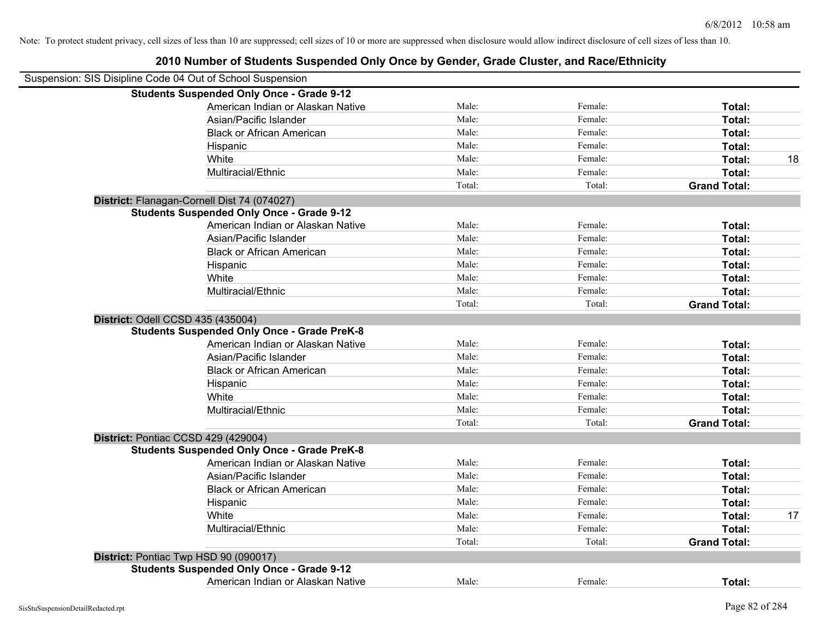| Suspension: SIS Disipline Code 04 Out of School Suspension |        |         |                     |    |
|------------------------------------------------------------|--------|---------|---------------------|----|
| <b>Students Suspended Only Once - Grade 9-12</b>           |        |         |                     |    |
| American Indian or Alaskan Native                          | Male:  | Female: | Total:              |    |
| Asian/Pacific Islander                                     | Male:  | Female: | Total:              |    |
| <b>Black or African American</b>                           | Male:  | Female: | Total:              |    |
| Hispanic                                                   | Male:  | Female: | Total:              |    |
| White                                                      | Male:  | Female: | Total:              | 18 |
| Multiracial/Ethnic                                         | Male:  | Female: | Total:              |    |
|                                                            | Total: | Total:  | <b>Grand Total:</b> |    |
| District: Flanagan-Cornell Dist 74 (074027)                |        |         |                     |    |
| <b>Students Suspended Only Once - Grade 9-12</b>           |        |         |                     |    |
| American Indian or Alaskan Native                          | Male:  | Female: | Total:              |    |
| Asian/Pacific Islander                                     | Male:  | Female: | Total:              |    |
| <b>Black or African American</b>                           | Male:  | Female: | Total:              |    |
| Hispanic                                                   | Male:  | Female: | Total:              |    |
| White                                                      | Male:  | Female: | Total:              |    |
| Multiracial/Ethnic                                         | Male:  | Female: | Total:              |    |
|                                                            | Total: | Total:  | <b>Grand Total:</b> |    |
| District: Odell CCSD 435 (435004)                          |        |         |                     |    |
| <b>Students Suspended Only Once - Grade PreK-8</b>         |        |         |                     |    |
| American Indian or Alaskan Native                          | Male:  | Female: | Total:              |    |
| Asian/Pacific Islander                                     | Male:  | Female: | Total:              |    |
| <b>Black or African American</b>                           | Male:  | Female: | Total:              |    |
| Hispanic                                                   | Male:  | Female: | Total:              |    |
| White                                                      | Male:  | Female: | Total:              |    |
| Multiracial/Ethnic                                         | Male:  | Female: | Total:              |    |
|                                                            | Total: | Total:  | <b>Grand Total:</b> |    |
| District: Pontiac CCSD 429 (429004)                        |        |         |                     |    |
| <b>Students Suspended Only Once - Grade PreK-8</b>         |        |         |                     |    |
| American Indian or Alaskan Native                          | Male:  | Female: | Total:              |    |
| Asian/Pacific Islander                                     | Male:  | Female: | Total:              |    |
| <b>Black or African American</b>                           | Male:  | Female: | Total:              |    |
| Hispanic                                                   | Male:  | Female: | Total:              |    |
| White                                                      | Male:  | Female: | Total:              | 17 |
| Multiracial/Ethnic                                         | Male:  | Female: | Total:              |    |
|                                                            | Total: | Total:  | <b>Grand Total:</b> |    |
| District: Pontiac Twp HSD 90 (090017)                      |        |         |                     |    |
| <b>Students Suspended Only Once - Grade 9-12</b>           |        |         |                     |    |
| American Indian or Alaskan Native                          | Male:  | Female: | Total:              |    |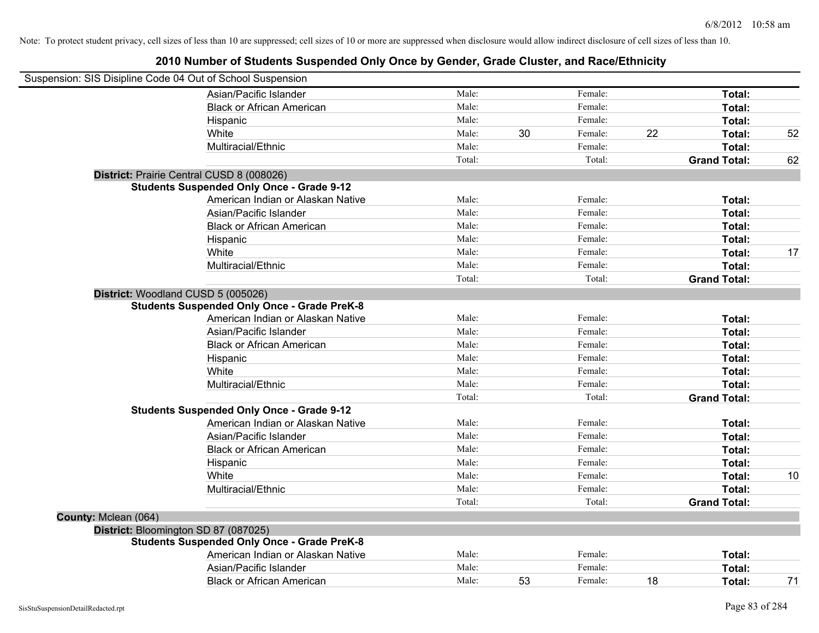|                      | Suspension: SIS Disipline Code 04 Out of School Suspension |        |    |         |    |                     |    |
|----------------------|------------------------------------------------------------|--------|----|---------|----|---------------------|----|
|                      | Asian/Pacific Islander                                     | Male:  |    | Female: |    | Total:              |    |
|                      | <b>Black or African American</b>                           | Male:  |    | Female: |    | Total:              |    |
|                      | Hispanic                                                   | Male:  |    | Female: |    | Total:              |    |
|                      | White                                                      | Male:  | 30 | Female: | 22 | Total:              | 52 |
|                      | Multiracial/Ethnic                                         | Male:  |    | Female: |    | Total:              |    |
|                      |                                                            | Total: |    | Total:  |    | <b>Grand Total:</b> | 62 |
|                      | District: Prairie Central CUSD 8 (008026)                  |        |    |         |    |                     |    |
|                      | <b>Students Suspended Only Once - Grade 9-12</b>           |        |    |         |    |                     |    |
|                      | American Indian or Alaskan Native                          | Male:  |    | Female: |    | Total:              |    |
|                      | Asian/Pacific Islander                                     | Male:  |    | Female: |    | Total:              |    |
|                      | <b>Black or African American</b>                           | Male:  |    | Female: |    | Total:              |    |
|                      | Hispanic                                                   | Male:  |    | Female: |    | Total:              |    |
|                      | White                                                      | Male:  |    | Female: |    | Total:              | 17 |
|                      | Multiracial/Ethnic                                         | Male:  |    | Female: |    | Total:              |    |
|                      |                                                            | Total: |    | Total:  |    | <b>Grand Total:</b> |    |
|                      | District: Woodland CUSD 5 (005026)                         |        |    |         |    |                     |    |
|                      | <b>Students Suspended Only Once - Grade PreK-8</b>         |        |    |         |    |                     |    |
|                      | American Indian or Alaskan Native                          | Male:  |    | Female: |    | Total:              |    |
|                      | Asian/Pacific Islander                                     | Male:  |    | Female: |    | Total:              |    |
|                      | <b>Black or African American</b>                           | Male:  |    | Female: |    | Total:              |    |
|                      | Hispanic                                                   | Male:  |    | Female: |    | Total:              |    |
|                      | White                                                      | Male:  |    | Female: |    | Total:              |    |
|                      | Multiracial/Ethnic                                         | Male:  |    | Female: |    | Total:              |    |
|                      |                                                            | Total: |    | Total:  |    | <b>Grand Total:</b> |    |
|                      | <b>Students Suspended Only Once - Grade 9-12</b>           |        |    |         |    |                     |    |
|                      | American Indian or Alaskan Native                          | Male:  |    | Female: |    | Total:              |    |
|                      | Asian/Pacific Islander                                     | Male:  |    | Female: |    | Total:              |    |
|                      | <b>Black or African American</b>                           | Male:  |    | Female: |    | Total:              |    |
|                      | Hispanic                                                   | Male:  |    | Female: |    | Total:              |    |
|                      | White                                                      | Male:  |    | Female: |    | Total:              | 10 |
|                      | Multiracial/Ethnic                                         | Male:  |    | Female: |    | Total:              |    |
|                      |                                                            | Total: |    | Total:  |    | <b>Grand Total:</b> |    |
| County: Mclean (064) |                                                            |        |    |         |    |                     |    |
|                      | District: Bloomington SD 87 (087025)                       |        |    |         |    |                     |    |
|                      | <b>Students Suspended Only Once - Grade PreK-8</b>         |        |    |         |    |                     |    |
|                      | American Indian or Alaskan Native                          | Male:  |    | Female: |    | Total:              |    |
|                      | Asian/Pacific Islander                                     | Male:  |    | Female: |    | Total:              |    |
|                      | <b>Black or African American</b>                           | Male:  | 53 | Female: | 18 | Total:              | 71 |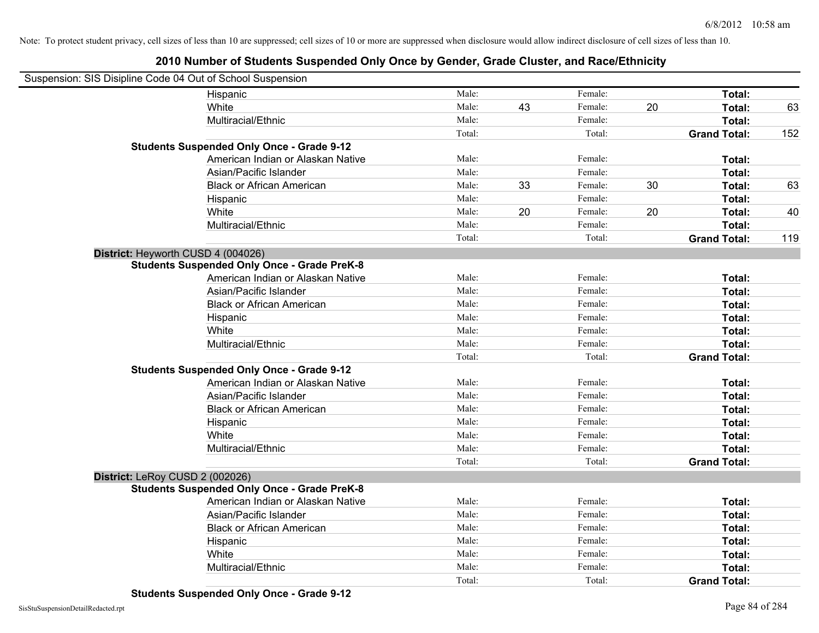| Suspension: SIS Disipline Code 04 Out of School Suspension |        |    |         |    |                     |     |
|------------------------------------------------------------|--------|----|---------|----|---------------------|-----|
| Hispanic                                                   | Male:  |    | Female: |    | Total:              |     |
| White                                                      | Male:  | 43 | Female: | 20 | Total:              | 63  |
| Multiracial/Ethnic                                         | Male:  |    | Female: |    | Total:              |     |
|                                                            | Total: |    | Total:  |    | <b>Grand Total:</b> | 152 |
| <b>Students Suspended Only Once - Grade 9-12</b>           |        |    |         |    |                     |     |
| American Indian or Alaskan Native                          | Male:  |    | Female: |    | Total:              |     |
| Asian/Pacific Islander                                     | Male:  |    | Female: |    | Total:              |     |
| <b>Black or African American</b>                           | Male:  | 33 | Female: | 30 | Total:              | 63  |
| Hispanic                                                   | Male:  |    | Female: |    | Total:              |     |
| White                                                      | Male:  | 20 | Female: | 20 | Total:              | 40  |
| Multiracial/Ethnic                                         | Male:  |    | Female: |    | Total:              |     |
|                                                            | Total: |    | Total:  |    | <b>Grand Total:</b> | 119 |
| District: Heyworth CUSD 4 (004026)                         |        |    |         |    |                     |     |
| <b>Students Suspended Only Once - Grade PreK-8</b>         |        |    |         |    |                     |     |
| American Indian or Alaskan Native                          | Male:  |    | Female: |    | Total:              |     |
| Asian/Pacific Islander                                     | Male:  |    | Female: |    | Total:              |     |
| <b>Black or African American</b>                           | Male:  |    | Female: |    | Total:              |     |
| Hispanic                                                   | Male:  |    | Female: |    | Total:              |     |
| White                                                      | Male:  |    | Female: |    | Total:              |     |
| Multiracial/Ethnic                                         | Male:  |    | Female: |    | Total:              |     |
|                                                            | Total: |    | Total:  |    | <b>Grand Total:</b> |     |
| <b>Students Suspended Only Once - Grade 9-12</b>           |        |    |         |    |                     |     |
| American Indian or Alaskan Native                          | Male:  |    | Female: |    | Total:              |     |
| Asian/Pacific Islander                                     | Male:  |    | Female: |    | Total:              |     |
| <b>Black or African American</b>                           | Male:  |    | Female: |    | Total:              |     |
| Hispanic                                                   | Male:  |    | Female: |    | Total:              |     |
| White                                                      | Male:  |    | Female: |    | Total:              |     |
| Multiracial/Ethnic                                         | Male:  |    | Female: |    | Total:              |     |
|                                                            | Total: |    | Total:  |    | <b>Grand Total:</b> |     |
| District: LeRoy CUSD 2 (002026)                            |        |    |         |    |                     |     |
| <b>Students Suspended Only Once - Grade PreK-8</b>         |        |    |         |    |                     |     |
| American Indian or Alaskan Native                          | Male:  |    | Female: |    | Total:              |     |
| Asian/Pacific Islander                                     | Male:  |    | Female: |    | Total:              |     |
| <b>Black or African American</b>                           | Male:  |    | Female: |    | Total:              |     |
| Hispanic                                                   | Male:  |    | Female: |    | Total:              |     |
| White                                                      | Male:  |    | Female: |    | Total:              |     |
| Multiracial/Ethnic                                         | Male:  |    | Female: |    | Total:              |     |
|                                                            | Total: |    | Total:  |    | <b>Grand Total:</b> |     |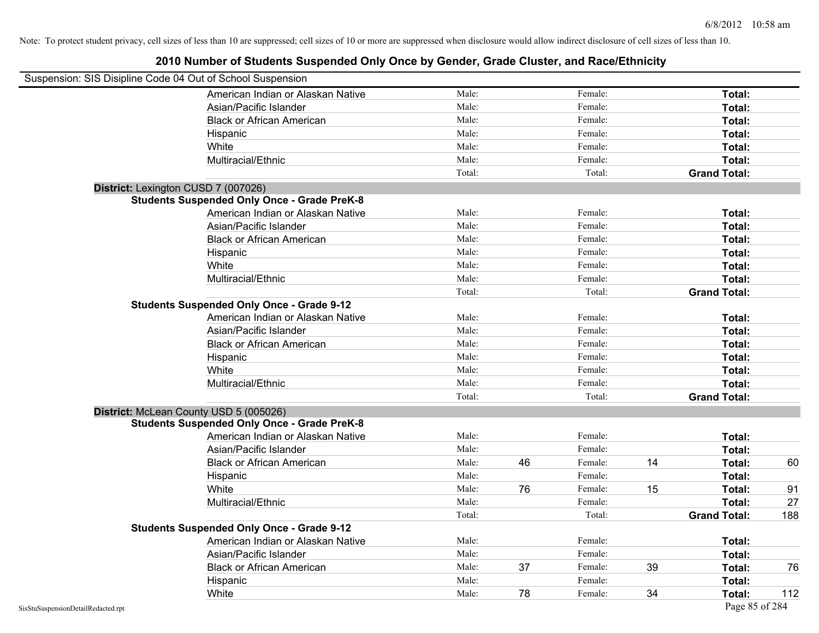| Suspension: SIS Disipline Code 04 Out of School Suspension<br>Male:<br>Female:<br>American Indian or Alaskan Native<br>Total:<br>Male:<br>Female:<br>Total:<br>Asian/Pacific Islander<br>Male:<br>Female:<br><b>Black or African American</b><br>Total:<br>Male:<br>Female:<br>Total:<br>Hispanic<br>Male:<br>Female:<br>White<br>Total:<br>Multiracial/Ethnic<br>Male:<br>Female:<br>Total:<br>Total:<br>Total:<br><b>Grand Total:</b><br>District: Lexington CUSD 7 (007026)<br><b>Students Suspended Only Once - Grade PreK-8</b><br>American Indian or Alaskan Native<br>Male:<br>Female:<br>Total:<br>Asian/Pacific Islander<br>Male:<br>Female:<br>Total:<br>Male:<br>Female:<br><b>Black or African American</b><br>Total:<br>Male:<br>Female:<br>Hispanic<br>Total:<br>White<br>Male:<br>Female:<br>Total:<br>Multiracial/Ethnic<br>Female:<br>Male:<br>Total:<br>Total:<br>Total:<br><b>Grand Total:</b><br><b>Students Suspended Only Once - Grade 9-12</b><br>American Indian or Alaskan Native<br>Female:<br>Male:<br>Total:<br>Male:<br>Asian/Pacific Islander<br>Female:<br>Total:<br><b>Black or African American</b><br>Male:<br>Female:<br>Total:<br>Female:<br>Male:<br>Hispanic<br>Total:<br>White<br>Male:<br>Female:<br>Total:<br>Multiracial/Ethnic<br>Male:<br>Female:<br>Total:<br>Total:<br>Total:<br><b>Grand Total:</b><br>District: McLean County USD 5 (005026)<br><b>Students Suspended Only Once - Grade PreK-8</b><br>Male:<br>Female:<br>Total:<br>American Indian or Alaskan Native<br>Male:<br>Female:<br>Asian/Pacific Islander<br>Total:<br>Male:<br>Female:<br>14<br>46<br>Total:<br>60<br><b>Black or African American</b><br>Male:<br>Female:<br>Total:<br>Hispanic<br>Male:<br>76<br>White<br>Female:<br>15<br>Total:<br>91<br>Male:<br>Female:<br>Multiracial/Ethnic<br>Total:<br>27<br>Total:<br>Total:<br><b>Grand Total:</b><br>188<br><b>Students Suspended Only Once - Grade 9-12</b><br>American Indian or Alaskan Native<br>Male:<br>Female:<br>Total:<br>Asian/Pacific Islander<br>Male:<br>Female:<br>Total:<br>Male:<br>37<br>Female:<br>39<br><b>Black or African American</b><br>Total:<br>76<br>Male:<br>Female:<br>Total:<br>Hispanic |       |       |    |         |    |        |     |
|-----------------------------------------------------------------------------------------------------------------------------------------------------------------------------------------------------------------------------------------------------------------------------------------------------------------------------------------------------------------------------------------------------------------------------------------------------------------------------------------------------------------------------------------------------------------------------------------------------------------------------------------------------------------------------------------------------------------------------------------------------------------------------------------------------------------------------------------------------------------------------------------------------------------------------------------------------------------------------------------------------------------------------------------------------------------------------------------------------------------------------------------------------------------------------------------------------------------------------------------------------------------------------------------------------------------------------------------------------------------------------------------------------------------------------------------------------------------------------------------------------------------------------------------------------------------------------------------------------------------------------------------------------------------------------------------------------------------------------------------------------------------------------------------------------------------------------------------------------------------------------------------------------------------------------------------------------------------------------------------------------------------------------------------------------------------------------------------------------------------------------------------------------------------------------------------------|-------|-------|----|---------|----|--------|-----|
|                                                                                                                                                                                                                                                                                                                                                                                                                                                                                                                                                                                                                                                                                                                                                                                                                                                                                                                                                                                                                                                                                                                                                                                                                                                                                                                                                                                                                                                                                                                                                                                                                                                                                                                                                                                                                                                                                                                                                                                                                                                                                                                                                                                               |       |       |    |         |    |        |     |
|                                                                                                                                                                                                                                                                                                                                                                                                                                                                                                                                                                                                                                                                                                                                                                                                                                                                                                                                                                                                                                                                                                                                                                                                                                                                                                                                                                                                                                                                                                                                                                                                                                                                                                                                                                                                                                                                                                                                                                                                                                                                                                                                                                                               |       |       |    |         |    |        |     |
|                                                                                                                                                                                                                                                                                                                                                                                                                                                                                                                                                                                                                                                                                                                                                                                                                                                                                                                                                                                                                                                                                                                                                                                                                                                                                                                                                                                                                                                                                                                                                                                                                                                                                                                                                                                                                                                                                                                                                                                                                                                                                                                                                                                               |       |       |    |         |    |        |     |
|                                                                                                                                                                                                                                                                                                                                                                                                                                                                                                                                                                                                                                                                                                                                                                                                                                                                                                                                                                                                                                                                                                                                                                                                                                                                                                                                                                                                                                                                                                                                                                                                                                                                                                                                                                                                                                                                                                                                                                                                                                                                                                                                                                                               |       |       |    |         |    |        |     |
|                                                                                                                                                                                                                                                                                                                                                                                                                                                                                                                                                                                                                                                                                                                                                                                                                                                                                                                                                                                                                                                                                                                                                                                                                                                                                                                                                                                                                                                                                                                                                                                                                                                                                                                                                                                                                                                                                                                                                                                                                                                                                                                                                                                               |       |       |    |         |    |        |     |
|                                                                                                                                                                                                                                                                                                                                                                                                                                                                                                                                                                                                                                                                                                                                                                                                                                                                                                                                                                                                                                                                                                                                                                                                                                                                                                                                                                                                                                                                                                                                                                                                                                                                                                                                                                                                                                                                                                                                                                                                                                                                                                                                                                                               |       |       |    |         |    |        |     |
|                                                                                                                                                                                                                                                                                                                                                                                                                                                                                                                                                                                                                                                                                                                                                                                                                                                                                                                                                                                                                                                                                                                                                                                                                                                                                                                                                                                                                                                                                                                                                                                                                                                                                                                                                                                                                                                                                                                                                                                                                                                                                                                                                                                               |       |       |    |         |    |        |     |
|                                                                                                                                                                                                                                                                                                                                                                                                                                                                                                                                                                                                                                                                                                                                                                                                                                                                                                                                                                                                                                                                                                                                                                                                                                                                                                                                                                                                                                                                                                                                                                                                                                                                                                                                                                                                                                                                                                                                                                                                                                                                                                                                                                                               |       |       |    |         |    |        |     |
|                                                                                                                                                                                                                                                                                                                                                                                                                                                                                                                                                                                                                                                                                                                                                                                                                                                                                                                                                                                                                                                                                                                                                                                                                                                                                                                                                                                                                                                                                                                                                                                                                                                                                                                                                                                                                                                                                                                                                                                                                                                                                                                                                                                               |       |       |    |         |    |        |     |
|                                                                                                                                                                                                                                                                                                                                                                                                                                                                                                                                                                                                                                                                                                                                                                                                                                                                                                                                                                                                                                                                                                                                                                                                                                                                                                                                                                                                                                                                                                                                                                                                                                                                                                                                                                                                                                                                                                                                                                                                                                                                                                                                                                                               |       |       |    |         |    |        |     |
|                                                                                                                                                                                                                                                                                                                                                                                                                                                                                                                                                                                                                                                                                                                                                                                                                                                                                                                                                                                                                                                                                                                                                                                                                                                                                                                                                                                                                                                                                                                                                                                                                                                                                                                                                                                                                                                                                                                                                                                                                                                                                                                                                                                               |       |       |    |         |    |        |     |
|                                                                                                                                                                                                                                                                                                                                                                                                                                                                                                                                                                                                                                                                                                                                                                                                                                                                                                                                                                                                                                                                                                                                                                                                                                                                                                                                                                                                                                                                                                                                                                                                                                                                                                                                                                                                                                                                                                                                                                                                                                                                                                                                                                                               |       |       |    |         |    |        |     |
|                                                                                                                                                                                                                                                                                                                                                                                                                                                                                                                                                                                                                                                                                                                                                                                                                                                                                                                                                                                                                                                                                                                                                                                                                                                                                                                                                                                                                                                                                                                                                                                                                                                                                                                                                                                                                                                                                                                                                                                                                                                                                                                                                                                               |       |       |    |         |    |        |     |
|                                                                                                                                                                                                                                                                                                                                                                                                                                                                                                                                                                                                                                                                                                                                                                                                                                                                                                                                                                                                                                                                                                                                                                                                                                                                                                                                                                                                                                                                                                                                                                                                                                                                                                                                                                                                                                                                                                                                                                                                                                                                                                                                                                                               |       |       |    |         |    |        |     |
|                                                                                                                                                                                                                                                                                                                                                                                                                                                                                                                                                                                                                                                                                                                                                                                                                                                                                                                                                                                                                                                                                                                                                                                                                                                                                                                                                                                                                                                                                                                                                                                                                                                                                                                                                                                                                                                                                                                                                                                                                                                                                                                                                                                               |       |       |    |         |    |        |     |
|                                                                                                                                                                                                                                                                                                                                                                                                                                                                                                                                                                                                                                                                                                                                                                                                                                                                                                                                                                                                                                                                                                                                                                                                                                                                                                                                                                                                                                                                                                                                                                                                                                                                                                                                                                                                                                                                                                                                                                                                                                                                                                                                                                                               |       |       |    |         |    |        |     |
|                                                                                                                                                                                                                                                                                                                                                                                                                                                                                                                                                                                                                                                                                                                                                                                                                                                                                                                                                                                                                                                                                                                                                                                                                                                                                                                                                                                                                                                                                                                                                                                                                                                                                                                                                                                                                                                                                                                                                                                                                                                                                                                                                                                               |       |       |    |         |    |        |     |
|                                                                                                                                                                                                                                                                                                                                                                                                                                                                                                                                                                                                                                                                                                                                                                                                                                                                                                                                                                                                                                                                                                                                                                                                                                                                                                                                                                                                                                                                                                                                                                                                                                                                                                                                                                                                                                                                                                                                                                                                                                                                                                                                                                                               |       |       |    |         |    |        |     |
|                                                                                                                                                                                                                                                                                                                                                                                                                                                                                                                                                                                                                                                                                                                                                                                                                                                                                                                                                                                                                                                                                                                                                                                                                                                                                                                                                                                                                                                                                                                                                                                                                                                                                                                                                                                                                                                                                                                                                                                                                                                                                                                                                                                               |       |       |    |         |    |        |     |
|                                                                                                                                                                                                                                                                                                                                                                                                                                                                                                                                                                                                                                                                                                                                                                                                                                                                                                                                                                                                                                                                                                                                                                                                                                                                                                                                                                                                                                                                                                                                                                                                                                                                                                                                                                                                                                                                                                                                                                                                                                                                                                                                                                                               |       |       |    |         |    |        |     |
|                                                                                                                                                                                                                                                                                                                                                                                                                                                                                                                                                                                                                                                                                                                                                                                                                                                                                                                                                                                                                                                                                                                                                                                                                                                                                                                                                                                                                                                                                                                                                                                                                                                                                                                                                                                                                                                                                                                                                                                                                                                                                                                                                                                               |       |       |    |         |    |        |     |
|                                                                                                                                                                                                                                                                                                                                                                                                                                                                                                                                                                                                                                                                                                                                                                                                                                                                                                                                                                                                                                                                                                                                                                                                                                                                                                                                                                                                                                                                                                                                                                                                                                                                                                                                                                                                                                                                                                                                                                                                                                                                                                                                                                                               |       |       |    |         |    |        |     |
|                                                                                                                                                                                                                                                                                                                                                                                                                                                                                                                                                                                                                                                                                                                                                                                                                                                                                                                                                                                                                                                                                                                                                                                                                                                                                                                                                                                                                                                                                                                                                                                                                                                                                                                                                                                                                                                                                                                                                                                                                                                                                                                                                                                               |       |       |    |         |    |        |     |
|                                                                                                                                                                                                                                                                                                                                                                                                                                                                                                                                                                                                                                                                                                                                                                                                                                                                                                                                                                                                                                                                                                                                                                                                                                                                                                                                                                                                                                                                                                                                                                                                                                                                                                                                                                                                                                                                                                                                                                                                                                                                                                                                                                                               |       |       |    |         |    |        |     |
|                                                                                                                                                                                                                                                                                                                                                                                                                                                                                                                                                                                                                                                                                                                                                                                                                                                                                                                                                                                                                                                                                                                                                                                                                                                                                                                                                                                                                                                                                                                                                                                                                                                                                                                                                                                                                                                                                                                                                                                                                                                                                                                                                                                               |       |       |    |         |    |        |     |
|                                                                                                                                                                                                                                                                                                                                                                                                                                                                                                                                                                                                                                                                                                                                                                                                                                                                                                                                                                                                                                                                                                                                                                                                                                                                                                                                                                                                                                                                                                                                                                                                                                                                                                                                                                                                                                                                                                                                                                                                                                                                                                                                                                                               |       |       |    |         |    |        |     |
|                                                                                                                                                                                                                                                                                                                                                                                                                                                                                                                                                                                                                                                                                                                                                                                                                                                                                                                                                                                                                                                                                                                                                                                                                                                                                                                                                                                                                                                                                                                                                                                                                                                                                                                                                                                                                                                                                                                                                                                                                                                                                                                                                                                               |       |       |    |         |    |        |     |
|                                                                                                                                                                                                                                                                                                                                                                                                                                                                                                                                                                                                                                                                                                                                                                                                                                                                                                                                                                                                                                                                                                                                                                                                                                                                                                                                                                                                                                                                                                                                                                                                                                                                                                                                                                                                                                                                                                                                                                                                                                                                                                                                                                                               |       |       |    |         |    |        |     |
|                                                                                                                                                                                                                                                                                                                                                                                                                                                                                                                                                                                                                                                                                                                                                                                                                                                                                                                                                                                                                                                                                                                                                                                                                                                                                                                                                                                                                                                                                                                                                                                                                                                                                                                                                                                                                                                                                                                                                                                                                                                                                                                                                                                               |       |       |    |         |    |        |     |
|                                                                                                                                                                                                                                                                                                                                                                                                                                                                                                                                                                                                                                                                                                                                                                                                                                                                                                                                                                                                                                                                                                                                                                                                                                                                                                                                                                                                                                                                                                                                                                                                                                                                                                                                                                                                                                                                                                                                                                                                                                                                                                                                                                                               |       |       |    |         |    |        |     |
|                                                                                                                                                                                                                                                                                                                                                                                                                                                                                                                                                                                                                                                                                                                                                                                                                                                                                                                                                                                                                                                                                                                                                                                                                                                                                                                                                                                                                                                                                                                                                                                                                                                                                                                                                                                                                                                                                                                                                                                                                                                                                                                                                                                               |       |       |    |         |    |        |     |
|                                                                                                                                                                                                                                                                                                                                                                                                                                                                                                                                                                                                                                                                                                                                                                                                                                                                                                                                                                                                                                                                                                                                                                                                                                                                                                                                                                                                                                                                                                                                                                                                                                                                                                                                                                                                                                                                                                                                                                                                                                                                                                                                                                                               |       |       |    |         |    |        |     |
|                                                                                                                                                                                                                                                                                                                                                                                                                                                                                                                                                                                                                                                                                                                                                                                                                                                                                                                                                                                                                                                                                                                                                                                                                                                                                                                                                                                                                                                                                                                                                                                                                                                                                                                                                                                                                                                                                                                                                                                                                                                                                                                                                                                               |       |       |    |         |    |        |     |
|                                                                                                                                                                                                                                                                                                                                                                                                                                                                                                                                                                                                                                                                                                                                                                                                                                                                                                                                                                                                                                                                                                                                                                                                                                                                                                                                                                                                                                                                                                                                                                                                                                                                                                                                                                                                                                                                                                                                                                                                                                                                                                                                                                                               |       |       |    |         |    |        |     |
|                                                                                                                                                                                                                                                                                                                                                                                                                                                                                                                                                                                                                                                                                                                                                                                                                                                                                                                                                                                                                                                                                                                                                                                                                                                                                                                                                                                                                                                                                                                                                                                                                                                                                                                                                                                                                                                                                                                                                                                                                                                                                                                                                                                               |       |       |    |         |    |        |     |
|                                                                                                                                                                                                                                                                                                                                                                                                                                                                                                                                                                                                                                                                                                                                                                                                                                                                                                                                                                                                                                                                                                                                                                                                                                                                                                                                                                                                                                                                                                                                                                                                                                                                                                                                                                                                                                                                                                                                                                                                                                                                                                                                                                                               |       |       |    |         |    |        |     |
|                                                                                                                                                                                                                                                                                                                                                                                                                                                                                                                                                                                                                                                                                                                                                                                                                                                                                                                                                                                                                                                                                                                                                                                                                                                                                                                                                                                                                                                                                                                                                                                                                                                                                                                                                                                                                                                                                                                                                                                                                                                                                                                                                                                               |       |       |    |         |    |        |     |
|                                                                                                                                                                                                                                                                                                                                                                                                                                                                                                                                                                                                                                                                                                                                                                                                                                                                                                                                                                                                                                                                                                                                                                                                                                                                                                                                                                                                                                                                                                                                                                                                                                                                                                                                                                                                                                                                                                                                                                                                                                                                                                                                                                                               |       |       |    |         |    |        |     |
|                                                                                                                                                                                                                                                                                                                                                                                                                                                                                                                                                                                                                                                                                                                                                                                                                                                                                                                                                                                                                                                                                                                                                                                                                                                                                                                                                                                                                                                                                                                                                                                                                                                                                                                                                                                                                                                                                                                                                                                                                                                                                                                                                                                               |       |       |    |         |    |        |     |
|                                                                                                                                                                                                                                                                                                                                                                                                                                                                                                                                                                                                                                                                                                                                                                                                                                                                                                                                                                                                                                                                                                                                                                                                                                                                                                                                                                                                                                                                                                                                                                                                                                                                                                                                                                                                                                                                                                                                                                                                                                                                                                                                                                                               | White | Male: | 78 | Female: | 34 | Total: | 112 |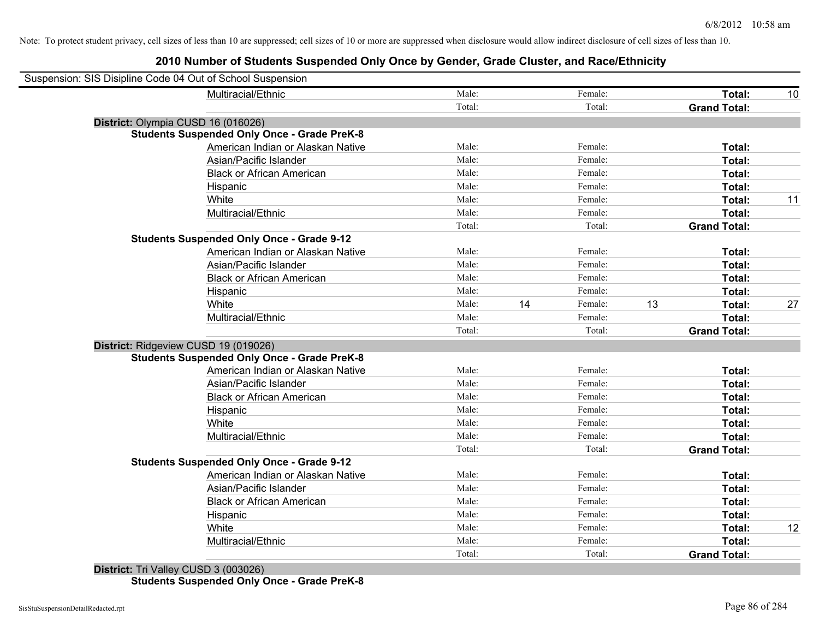| Suspension: SIS Disipline Code 04 Out of School Suspension |                                                    |        |    |         |    |                     |    |
|------------------------------------------------------------|----------------------------------------------------|--------|----|---------|----|---------------------|----|
|                                                            | Multiracial/Ethnic                                 | Male:  |    | Female: |    | Total:              | 10 |
|                                                            |                                                    | Total: |    | Total:  |    | <b>Grand Total:</b> |    |
|                                                            | District: Olympia CUSD 16 (016026)                 |        |    |         |    |                     |    |
|                                                            | <b>Students Suspended Only Once - Grade PreK-8</b> |        |    |         |    |                     |    |
|                                                            | American Indian or Alaskan Native                  | Male:  |    | Female: |    | Total:              |    |
|                                                            | Asian/Pacific Islander                             | Male:  |    | Female: |    | Total:              |    |
|                                                            | <b>Black or African American</b>                   | Male:  |    | Female: |    | Total:              |    |
|                                                            | Hispanic                                           | Male:  |    | Female: |    | Total:              |    |
|                                                            | White                                              | Male:  |    | Female: |    | Total:              | 11 |
|                                                            | Multiracial/Ethnic                                 | Male:  |    | Female: |    | Total:              |    |
|                                                            |                                                    | Total: |    | Total:  |    | <b>Grand Total:</b> |    |
|                                                            | <b>Students Suspended Only Once - Grade 9-12</b>   |        |    |         |    |                     |    |
|                                                            | American Indian or Alaskan Native                  | Male:  |    | Female: |    | Total:              |    |
|                                                            | Asian/Pacific Islander                             | Male:  |    | Female: |    | Total:              |    |
|                                                            | <b>Black or African American</b>                   | Male:  |    | Female: |    | Total:              |    |
|                                                            | Hispanic                                           | Male:  |    | Female: |    | Total:              |    |
|                                                            | White                                              | Male:  | 14 | Female: | 13 | Total:              | 27 |
|                                                            | Multiracial/Ethnic                                 | Male:  |    | Female: |    | Total:              |    |
|                                                            |                                                    | Total: |    | Total:  |    | <b>Grand Total:</b> |    |
|                                                            | District: Ridgeview CUSD 19 (019026)               |        |    |         |    |                     |    |
|                                                            | <b>Students Suspended Only Once - Grade PreK-8</b> |        |    |         |    |                     |    |
|                                                            | American Indian or Alaskan Native                  | Male:  |    | Female: |    | Total:              |    |
|                                                            | Asian/Pacific Islander                             | Male:  |    | Female: |    | Total:              |    |
|                                                            | <b>Black or African American</b>                   | Male:  |    | Female: |    | Total:              |    |
|                                                            | Hispanic                                           | Male:  |    | Female: |    | Total:              |    |
|                                                            | White                                              | Male:  |    | Female: |    | Total:              |    |
|                                                            | Multiracial/Ethnic                                 | Male:  |    | Female: |    | Total:              |    |
|                                                            |                                                    | Total: |    | Total:  |    | <b>Grand Total:</b> |    |
|                                                            | <b>Students Suspended Only Once - Grade 9-12</b>   |        |    |         |    |                     |    |
|                                                            | American Indian or Alaskan Native                  | Male:  |    | Female: |    | Total:              |    |
|                                                            | Asian/Pacific Islander                             | Male:  |    | Female: |    | Total:              |    |
|                                                            | <b>Black or African American</b>                   | Male:  |    | Female: |    | Total:              |    |
|                                                            | Hispanic                                           | Male:  |    | Female: |    | Total:              |    |
|                                                            | White                                              | Male:  |    | Female: |    | Total:              | 12 |
|                                                            | Multiracial/Ethnic                                 | Male:  |    | Female: |    | Total:              |    |
|                                                            |                                                    | Total: |    | Total:  |    | <b>Grand Total:</b> |    |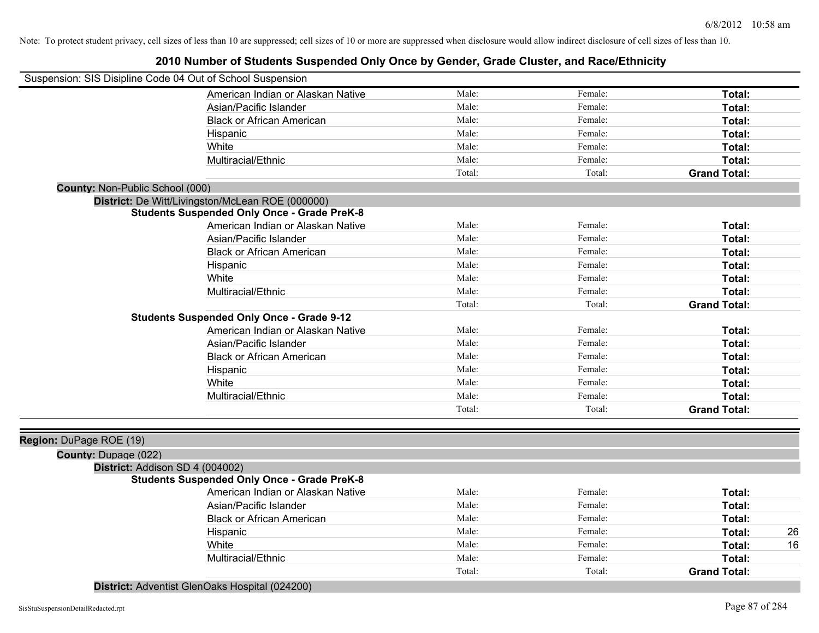| Suspension: SIS Disipline Code 04 Out of School Suspension |                                                    |        |         |                     |
|------------------------------------------------------------|----------------------------------------------------|--------|---------|---------------------|
|                                                            | American Indian or Alaskan Native                  | Male:  | Female: | Total:              |
|                                                            | Asian/Pacific Islander                             | Male:  | Female: | Total:              |
|                                                            | <b>Black or African American</b>                   | Male:  | Female: | Total:              |
|                                                            | Hispanic                                           | Male:  | Female: | Total:              |
|                                                            | White                                              | Male:  | Female: | Total:              |
|                                                            | Multiracial/Ethnic                                 | Male:  | Female: | Total:              |
|                                                            |                                                    | Total: | Total:  | <b>Grand Total:</b> |
| County: Non-Public School (000)                            |                                                    |        |         |                     |
|                                                            | District: De Witt/Livingston/McLean ROE (000000)   |        |         |                     |
|                                                            | <b>Students Suspended Only Once - Grade PreK-8</b> |        |         |                     |
|                                                            | American Indian or Alaskan Native                  | Male:  | Female: | Total:              |
|                                                            | Asian/Pacific Islander                             | Male:  | Female: | Total:              |
|                                                            | <b>Black or African American</b>                   | Male:  | Female: | Total:              |
|                                                            | Hispanic                                           | Male:  | Female: | Total:              |
|                                                            | White                                              | Male:  | Female: | Total:              |
|                                                            | Multiracial/Ethnic                                 | Male:  | Female: | Total:              |
|                                                            |                                                    | Total: | Total:  | <b>Grand Total:</b> |
|                                                            | <b>Students Suspended Only Once - Grade 9-12</b>   |        |         |                     |
|                                                            | American Indian or Alaskan Native                  | Male:  | Female: | Total:              |
|                                                            | Asian/Pacific Islander                             | Male:  | Female: | Total:              |
|                                                            | <b>Black or African American</b>                   | Male:  | Female: | Total:              |
|                                                            | Hispanic                                           | Male:  | Female: | Total:              |
|                                                            | White                                              | Male:  | Female: | Total:              |
|                                                            | Multiracial/Ethnic                                 | Male:  | Female: | Total:              |
|                                                            |                                                    | Total: | Total:  | <b>Grand Total:</b> |
|                                                            |                                                    |        |         |                     |
| Region: DuPage ROE (19)                                    |                                                    |        |         |                     |
| <b>County: Dupage (022)</b>                                |                                                    |        |         |                     |
| District: Addison SD 4 (004002)                            |                                                    |        |         |                     |
|                                                            | <b>Students Suspended Only Once - Grade PreK-8</b> |        |         |                     |
|                                                            | American Indian or Alaskan Native                  | Male:  | Female: | Total:              |
|                                                            | Asian/Pacific Islander                             | Male:  | Female: | Total:              |
|                                                            | <b>Black or African American</b>                   | Male:  | Female: | Total:              |
|                                                            | Hispanic                                           | Male:  | Female: | 26<br>Total:        |
|                                                            | White                                              | Male:  | Female: | 16<br>Total:        |
|                                                            | Multiracial/Ethnic                                 | Male:  | Female: | Total:              |
|                                                            |                                                    | Total: | Total:  | <b>Grand Total:</b> |

**District:** Adventist GlenOaks Hospital (024200)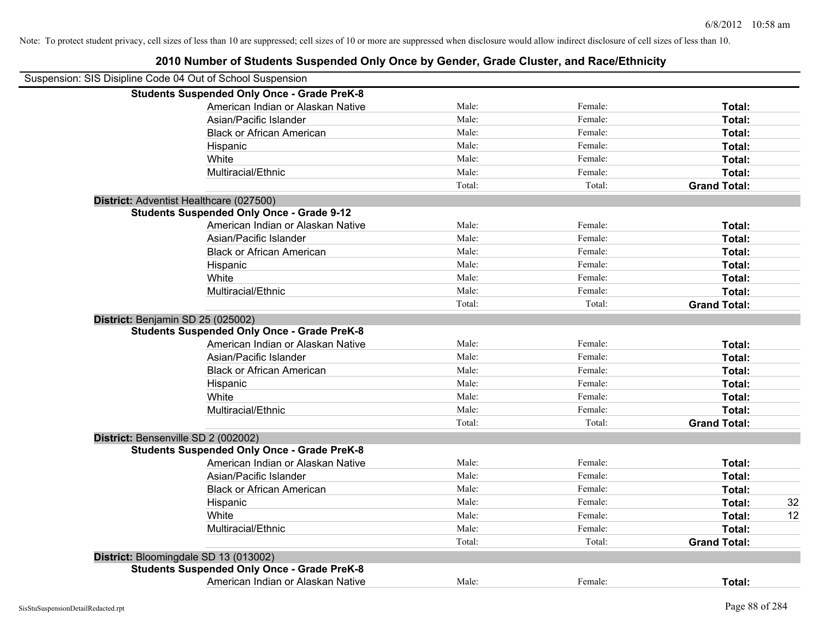| Suspension: SIS Disipline Code 04 Out of School Suspension |                                                    |        |         |                     |    |
|------------------------------------------------------------|----------------------------------------------------|--------|---------|---------------------|----|
|                                                            | <b>Students Suspended Only Once - Grade PreK-8</b> |        |         |                     |    |
|                                                            | American Indian or Alaskan Native                  | Male:  | Female: | Total:              |    |
|                                                            | Asian/Pacific Islander                             | Male:  | Female: | Total:              |    |
|                                                            | <b>Black or African American</b>                   | Male:  | Female: | Total:              |    |
|                                                            | Hispanic                                           | Male:  | Female: | Total:              |    |
|                                                            | White                                              | Male:  | Female: | Total:              |    |
|                                                            | Multiracial/Ethnic                                 | Male:  | Female: | Total:              |    |
|                                                            |                                                    | Total: | Total:  | <b>Grand Total:</b> |    |
|                                                            | District: Adventist Healthcare (027500)            |        |         |                     |    |
|                                                            | <b>Students Suspended Only Once - Grade 9-12</b>   |        |         |                     |    |
|                                                            | American Indian or Alaskan Native                  | Male:  | Female: | Total:              |    |
|                                                            | Asian/Pacific Islander                             | Male:  | Female: | Total:              |    |
|                                                            | <b>Black or African American</b>                   | Male:  | Female: | Total:              |    |
|                                                            | Hispanic                                           | Male:  | Female: | Total:              |    |
|                                                            | White                                              | Male:  | Female: | Total:              |    |
|                                                            | Multiracial/Ethnic                                 | Male:  | Female: | Total:              |    |
|                                                            |                                                    | Total: | Total:  | <b>Grand Total:</b> |    |
|                                                            | District: Benjamin SD 25 (025002)                  |        |         |                     |    |
|                                                            | <b>Students Suspended Only Once - Grade PreK-8</b> |        |         |                     |    |
|                                                            | American Indian or Alaskan Native                  | Male:  | Female: | Total:              |    |
|                                                            | Asian/Pacific Islander                             | Male:  | Female: | Total:              |    |
|                                                            | <b>Black or African American</b>                   | Male:  | Female: | Total:              |    |
|                                                            | Hispanic                                           | Male:  | Female: | Total:              |    |
|                                                            | White                                              | Male:  | Female: | Total:              |    |
|                                                            | Multiracial/Ethnic                                 | Male:  | Female: | Total:              |    |
|                                                            |                                                    | Total: | Total:  | <b>Grand Total:</b> |    |
|                                                            | District: Bensenville SD 2 (002002)                |        |         |                     |    |
|                                                            | <b>Students Suspended Only Once - Grade PreK-8</b> |        |         |                     |    |
|                                                            | American Indian or Alaskan Native                  | Male:  | Female: | Total:              |    |
|                                                            | Asian/Pacific Islander                             | Male:  | Female: | Total:              |    |
|                                                            | <b>Black or African American</b>                   | Male:  | Female: | Total:              |    |
|                                                            | Hispanic                                           | Male:  | Female: | Total:              | 32 |
|                                                            | White                                              | Male:  | Female: | Total:              | 12 |
|                                                            | Multiracial/Ethnic                                 | Male:  | Female: | Total:              |    |
|                                                            |                                                    | Total: | Total:  | <b>Grand Total:</b> |    |
|                                                            | District: Bloomingdale SD 13 (013002)              |        |         |                     |    |
|                                                            | <b>Students Suspended Only Once - Grade PreK-8</b> |        |         |                     |    |
|                                                            | American Indian or Alaskan Native                  | Male:  | Female: | Total:              |    |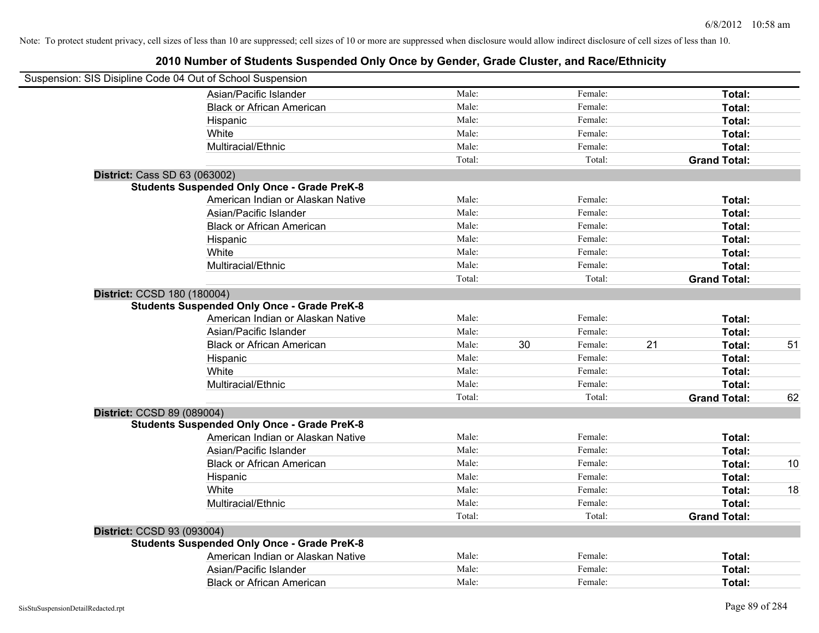| Male:  |                | Female: |                    | Total:              |    |
|--------|----------------|---------|--------------------|---------------------|----|
| Male:  |                | Female: |                    | Total:              |    |
|        |                |         |                    | Total:              |    |
|        |                |         |                    | Total:              |    |
| Male:  |                | Female: |                    | Total:              |    |
| Total: |                | Total:  |                    | <b>Grand Total:</b> |    |
|        |                |         |                    |                     |    |
|        |                |         |                    |                     |    |
| Male:  |                | Female: |                    | Total:              |    |
| Male:  |                | Female: |                    | Total:              |    |
| Male:  |                | Female: |                    | Total:              |    |
| Male:  |                | Female: |                    | Total:              |    |
| Male:  |                | Female: |                    | Total:              |    |
| Male:  |                | Female: |                    | Total:              |    |
| Total: |                | Total:  |                    | <b>Grand Total:</b> |    |
|        |                |         |                    |                     |    |
|        |                |         |                    |                     |    |
| Male:  |                | Female: |                    | Total:              |    |
| Male:  |                | Female: |                    | Total:              |    |
| Male:  | 30             | Female: | 21                 | Total:              | 51 |
| Male:  |                | Female: |                    | Total:              |    |
| Male:  |                | Female: |                    | Total:              |    |
| Male:  |                | Female: |                    | Total:              |    |
| Total: |                | Total:  |                    | <b>Grand Total:</b> | 62 |
|        |                |         |                    |                     |    |
|        |                |         |                    |                     |    |
| Male:  |                | Female: |                    | Total:              |    |
| Male:  |                | Female: |                    | Total:              |    |
| Male:  |                | Female: |                    | Total:              | 10 |
| Male:  |                | Female: |                    | Total:              |    |
| Male:  |                | Female: |                    | Total:              | 18 |
| Male:  |                | Female: |                    | Total:              |    |
| Total: |                | Total:  |                    | <b>Grand Total:</b> |    |
|        |                |         |                    |                     |    |
|        |                |         |                    |                     |    |
| Male:  |                | Female: |                    | Total:              |    |
| Male:  |                | Female: |                    | Total:              |    |
| Male:  |                | Female: |                    | Total:              |    |
|        | Male:<br>Male: |         | Female:<br>Female: |                     |    |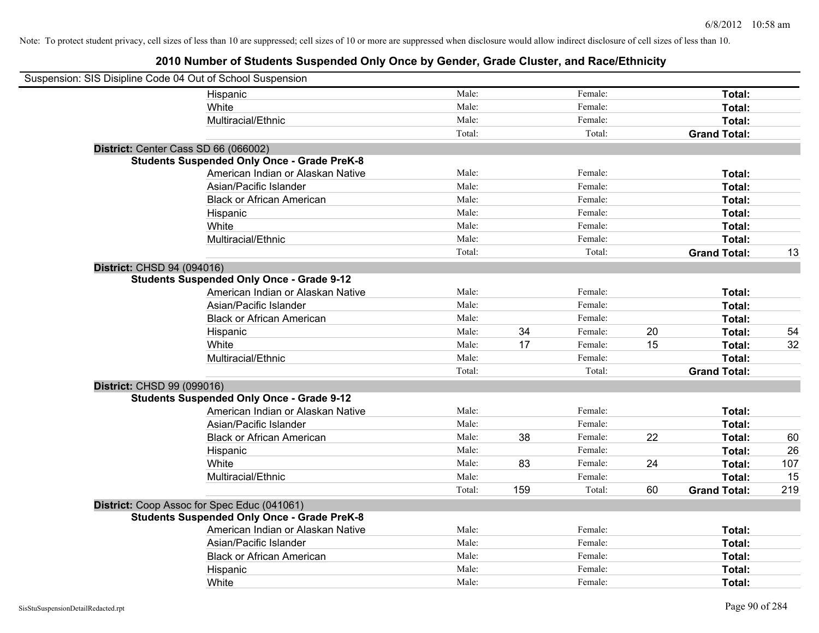| Suspension: SIS Disipline Code 04 Out of School Suspension |                                                    |        |     |         |    |                     |     |
|------------------------------------------------------------|----------------------------------------------------|--------|-----|---------|----|---------------------|-----|
|                                                            | Hispanic                                           | Male:  |     | Female: |    | Total:              |     |
|                                                            | White                                              | Male:  |     | Female: |    | Total:              |     |
|                                                            | Multiracial/Ethnic                                 | Male:  |     | Female: |    | Total:              |     |
|                                                            |                                                    | Total: |     | Total:  |    | <b>Grand Total:</b> |     |
| District: Center Cass SD 66 (066002)                       |                                                    |        |     |         |    |                     |     |
|                                                            | <b>Students Suspended Only Once - Grade PreK-8</b> |        |     |         |    |                     |     |
|                                                            | American Indian or Alaskan Native                  | Male:  |     | Female: |    | Total:              |     |
|                                                            | Asian/Pacific Islander                             | Male:  |     | Female: |    | Total:              |     |
|                                                            | <b>Black or African American</b>                   | Male:  |     | Female: |    | Total:              |     |
|                                                            | Hispanic                                           | Male:  |     | Female: |    | Total:              |     |
|                                                            | White                                              | Male:  |     | Female: |    | Total:              |     |
|                                                            | Multiracial/Ethnic                                 | Male:  |     | Female: |    | Total:              |     |
|                                                            |                                                    | Total: |     | Total:  |    | <b>Grand Total:</b> | 13  |
| District: CHSD 94 (094016)                                 |                                                    |        |     |         |    |                     |     |
|                                                            | <b>Students Suspended Only Once - Grade 9-12</b>   |        |     |         |    |                     |     |
|                                                            | American Indian or Alaskan Native                  | Male:  |     | Female: |    | Total:              |     |
|                                                            | Asian/Pacific Islander                             | Male:  |     | Female: |    | Total:              |     |
|                                                            | <b>Black or African American</b>                   | Male:  |     | Female: |    | Total:              |     |
|                                                            | Hispanic                                           | Male:  | 34  | Female: | 20 | Total:              | 54  |
|                                                            | White                                              | Male:  | 17  | Female: | 15 | Total:              | 32  |
|                                                            | Multiracial/Ethnic                                 | Male:  |     | Female: |    | Total:              |     |
|                                                            |                                                    | Total: |     | Total:  |    | <b>Grand Total:</b> |     |
| District: CHSD 99 (099016)                                 |                                                    |        |     |         |    |                     |     |
|                                                            | <b>Students Suspended Only Once - Grade 9-12</b>   |        |     |         |    |                     |     |
|                                                            | American Indian or Alaskan Native                  | Male:  |     | Female: |    | Total:              |     |
|                                                            | Asian/Pacific Islander                             | Male:  |     | Female: |    | Total:              |     |
|                                                            | <b>Black or African American</b>                   | Male:  | 38  | Female: | 22 | Total:              | 60  |
|                                                            | Hispanic                                           | Male:  |     | Female: |    | Total:              | 26  |
|                                                            | White                                              | Male:  | 83  | Female: | 24 | Total:              | 107 |
|                                                            | Multiracial/Ethnic                                 | Male:  |     | Female: |    | Total:              | 15  |
|                                                            |                                                    | Total: | 159 | Total:  | 60 | <b>Grand Total:</b> | 219 |
|                                                            | District: Coop Assoc for Spec Educ (041061)        |        |     |         |    |                     |     |
|                                                            | <b>Students Suspended Only Once - Grade PreK-8</b> |        |     |         |    |                     |     |
|                                                            | American Indian or Alaskan Native                  | Male:  |     | Female: |    | Total:              |     |
|                                                            | Asian/Pacific Islander                             | Male:  |     | Female: |    | Total:              |     |
|                                                            | <b>Black or African American</b>                   | Male:  |     | Female: |    | Total:              |     |
|                                                            | Hispanic                                           | Male:  |     | Female: |    | Total:              |     |
|                                                            | White                                              | Male:  |     | Female: |    | Total:              |     |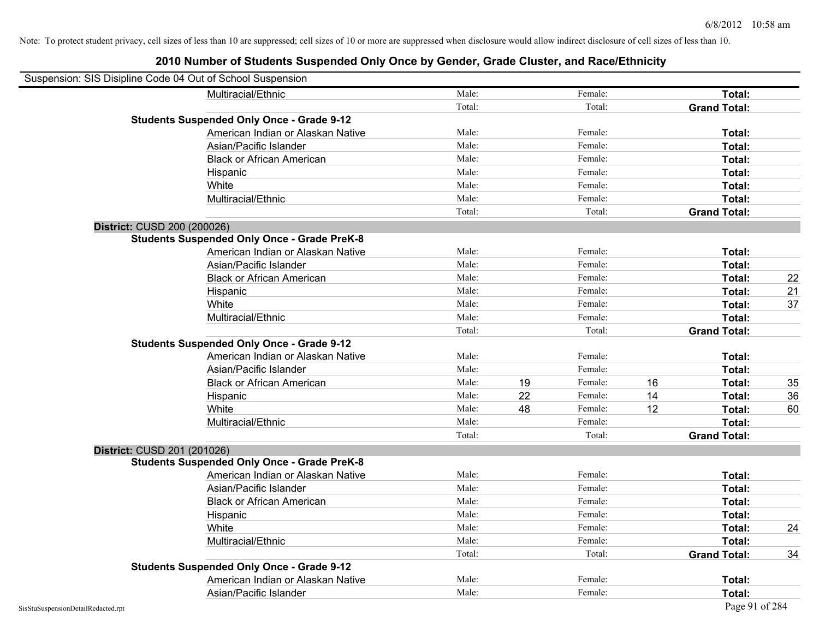| Suspension: SIS Disipline Code 04 Out of School Suspension |                                                    |        |    |         |    |                     |    |
|------------------------------------------------------------|----------------------------------------------------|--------|----|---------|----|---------------------|----|
|                                                            | Multiracial/Ethnic                                 | Male:  |    | Female: |    | Total:              |    |
|                                                            |                                                    | Total: |    | Total:  |    | <b>Grand Total:</b> |    |
|                                                            | <b>Students Suspended Only Once - Grade 9-12</b>   |        |    |         |    |                     |    |
|                                                            | American Indian or Alaskan Native                  | Male:  |    | Female: |    | Total:              |    |
|                                                            | Asian/Pacific Islander                             | Male:  |    | Female: |    | Total:              |    |
|                                                            | <b>Black or African American</b>                   | Male:  |    | Female: |    | Total:              |    |
|                                                            | Hispanic                                           | Male:  |    | Female: |    | Total:              |    |
|                                                            | White                                              | Male:  |    | Female: |    | Total:              |    |
|                                                            | Multiracial/Ethnic                                 | Male:  |    | Female: |    | Total:              |    |
|                                                            |                                                    | Total: |    | Total:  |    | <b>Grand Total:</b> |    |
| District: CUSD 200 (200026)                                |                                                    |        |    |         |    |                     |    |
|                                                            | <b>Students Suspended Only Once - Grade PreK-8</b> |        |    |         |    |                     |    |
|                                                            | American Indian or Alaskan Native                  | Male:  |    | Female: |    | Total:              |    |
|                                                            | Asian/Pacific Islander                             | Male:  |    | Female: |    | Total:              |    |
|                                                            | <b>Black or African American</b>                   | Male:  |    | Female: |    | Total:              | 22 |
|                                                            | Hispanic                                           | Male:  |    | Female: |    | Total:              | 21 |
|                                                            | White                                              | Male:  |    | Female: |    | Total:              | 37 |
|                                                            | Multiracial/Ethnic                                 | Male:  |    | Female: |    | Total:              |    |
|                                                            |                                                    | Total: |    | Total:  |    | <b>Grand Total:</b> |    |
|                                                            | <b>Students Suspended Only Once - Grade 9-12</b>   |        |    |         |    |                     |    |
|                                                            | American Indian or Alaskan Native                  | Male:  |    | Female: |    | Total:              |    |
|                                                            | Asian/Pacific Islander                             | Male:  |    | Female: |    | Total:              |    |
|                                                            | <b>Black or African American</b>                   | Male:  | 19 | Female: | 16 | Total:              | 35 |
|                                                            | Hispanic                                           | Male:  | 22 | Female: | 14 | Total:              | 36 |
|                                                            | White                                              | Male:  | 48 | Female: | 12 | Total:              | 60 |
|                                                            | Multiracial/Ethnic                                 | Male:  |    | Female: |    | Total:              |    |
|                                                            |                                                    | Total: |    | Total:  |    | <b>Grand Total:</b> |    |
| District: CUSD 201 (201026)                                |                                                    |        |    |         |    |                     |    |
|                                                            | <b>Students Suspended Only Once - Grade PreK-8</b> |        |    |         |    |                     |    |
|                                                            | American Indian or Alaskan Native                  | Male:  |    | Female: |    | Total:              |    |
|                                                            | Asian/Pacific Islander                             | Male:  |    | Female: |    | Total:              |    |
|                                                            | <b>Black or African American</b>                   | Male:  |    | Female: |    | Total:              |    |
|                                                            | Hispanic                                           | Male:  |    | Female: |    | Total:              |    |
|                                                            | White                                              | Male:  |    | Female: |    | Total:              | 24 |
|                                                            | Multiracial/Ethnic                                 | Male:  |    | Female: |    | Total:              |    |
|                                                            |                                                    | Total: |    | Total:  |    | <b>Grand Total:</b> | 34 |
|                                                            | <b>Students Suspended Only Once - Grade 9-12</b>   |        |    |         |    |                     |    |
|                                                            | American Indian or Alaskan Native                  | Male:  |    | Female: |    | Total:              |    |
|                                                            | Asian/Pacific Islander                             | Male:  |    | Female: |    | Total:              |    |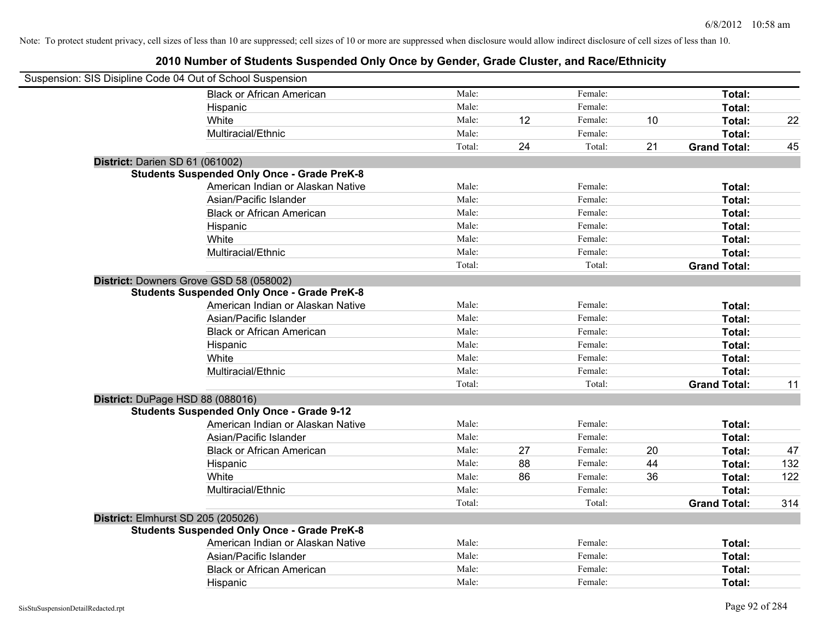| Suspension: SIS Disipline Code 04 Out of School Suspension |        |    |         |    |                     |     |
|------------------------------------------------------------|--------|----|---------|----|---------------------|-----|
| <b>Black or African American</b>                           | Male:  |    | Female: |    | Total:              |     |
| Hispanic                                                   | Male:  |    | Female: |    | Total:              |     |
| White                                                      | Male:  | 12 | Female: | 10 | Total:              | 22  |
| Multiracial/Ethnic                                         | Male:  |    | Female: |    | Total:              |     |
|                                                            | Total: | 24 | Total:  | 21 | <b>Grand Total:</b> | 45  |
| District: Darien SD 61 (061002)                            |        |    |         |    |                     |     |
| <b>Students Suspended Only Once - Grade PreK-8</b>         |        |    |         |    |                     |     |
| American Indian or Alaskan Native                          | Male:  |    | Female: |    | Total:              |     |
| Asian/Pacific Islander                                     | Male:  |    | Female: |    | Total:              |     |
| <b>Black or African American</b>                           | Male:  |    | Female: |    | Total:              |     |
| Hispanic                                                   | Male:  |    | Female: |    | Total:              |     |
| White                                                      | Male:  |    | Female: |    | Total:              |     |
| Multiracial/Ethnic                                         | Male:  |    | Female: |    | Total:              |     |
|                                                            | Total: |    | Total:  |    | <b>Grand Total:</b> |     |
| District: Downers Grove GSD 58 (058002)                    |        |    |         |    |                     |     |
| <b>Students Suspended Only Once - Grade PreK-8</b>         |        |    |         |    |                     |     |
| American Indian or Alaskan Native                          | Male:  |    | Female: |    | Total:              |     |
| Asian/Pacific Islander                                     | Male:  |    | Female: |    | Total:              |     |
| <b>Black or African American</b>                           | Male:  |    | Female: |    | Total:              |     |
| Hispanic                                                   | Male:  |    | Female: |    | Total:              |     |
| White                                                      | Male:  |    | Female: |    | Total:              |     |
| Multiracial/Ethnic                                         | Male:  |    | Female: |    | Total:              |     |
|                                                            | Total: |    | Total:  |    | <b>Grand Total:</b> | 11  |
| District: DuPage HSD 88 (088016)                           |        |    |         |    |                     |     |
| <b>Students Suspended Only Once - Grade 9-12</b>           |        |    |         |    |                     |     |
| American Indian or Alaskan Native                          | Male:  |    | Female: |    | Total:              |     |
| Asian/Pacific Islander                                     | Male:  |    | Female: |    | Total:              |     |
| <b>Black or African American</b>                           | Male:  | 27 | Female: | 20 | Total:              | 47  |
| Hispanic                                                   | Male:  | 88 | Female: | 44 | Total:              | 132 |
| White                                                      | Male:  | 86 | Female: | 36 | Total:              | 122 |
| Multiracial/Ethnic                                         | Male:  |    | Female: |    | Total:              |     |
|                                                            | Total: |    | Total:  |    | <b>Grand Total:</b> | 314 |
| District: Elmhurst SD 205 (205026)                         |        |    |         |    |                     |     |
| <b>Students Suspended Only Once - Grade PreK-8</b>         |        |    |         |    |                     |     |
| American Indian or Alaskan Native                          | Male:  |    | Female: |    | Total:              |     |
| Asian/Pacific Islander                                     | Male:  |    | Female: |    | Total:              |     |
| <b>Black or African American</b>                           | Male:  |    | Female: |    | Total:              |     |
| Hispanic                                                   | Male:  |    | Female: |    | Total:              |     |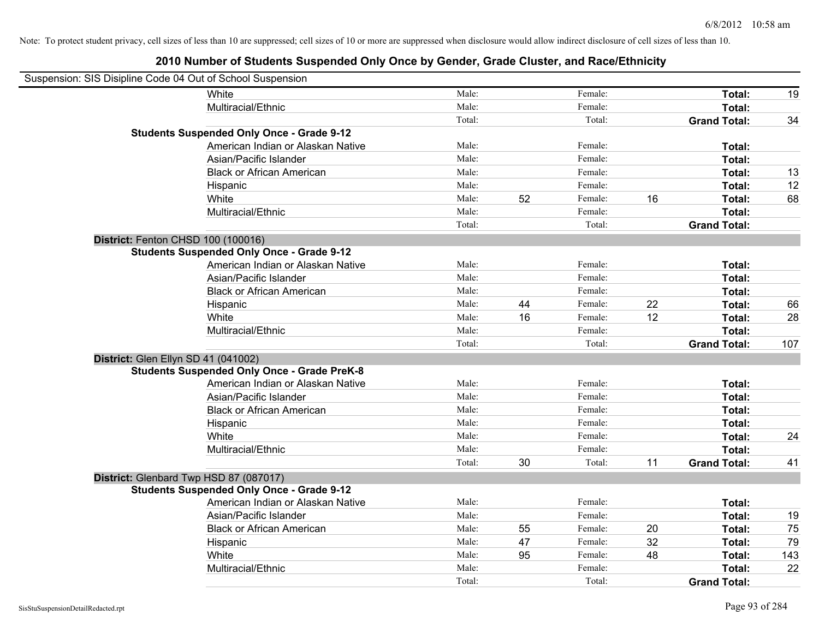| Suspension: SIS Disipline Code 04 Out of School Suspension |                                                    |        |    |         |    |                     |     |
|------------------------------------------------------------|----------------------------------------------------|--------|----|---------|----|---------------------|-----|
|                                                            | White                                              | Male:  |    | Female: |    | Total:              | 19  |
|                                                            | Multiracial/Ethnic                                 | Male:  |    | Female: |    | Total:              |     |
|                                                            |                                                    | Total: |    | Total:  |    | <b>Grand Total:</b> | 34  |
|                                                            | <b>Students Suspended Only Once - Grade 9-12</b>   |        |    |         |    |                     |     |
|                                                            | American Indian or Alaskan Native                  | Male:  |    | Female: |    | Total:              |     |
|                                                            | Asian/Pacific Islander                             | Male:  |    | Female: |    | Total:              |     |
|                                                            | <b>Black or African American</b>                   | Male:  |    | Female: |    | Total:              | 13  |
|                                                            | Hispanic                                           | Male:  |    | Female: |    | Total:              | 12  |
|                                                            | White                                              | Male:  | 52 | Female: | 16 | Total:              | 68  |
|                                                            | Multiracial/Ethnic                                 | Male:  |    | Female: |    | Total:              |     |
|                                                            |                                                    | Total: |    | Total:  |    | <b>Grand Total:</b> |     |
| District: Fenton CHSD 100 (100016)                         |                                                    |        |    |         |    |                     |     |
|                                                            | <b>Students Suspended Only Once - Grade 9-12</b>   |        |    |         |    |                     |     |
|                                                            | American Indian or Alaskan Native                  | Male:  |    | Female: |    | Total:              |     |
|                                                            | Asian/Pacific Islander                             | Male:  |    | Female: |    | Total:              |     |
|                                                            | <b>Black or African American</b>                   | Male:  |    | Female: |    | Total:              |     |
|                                                            | Hispanic                                           | Male:  | 44 | Female: | 22 | Total:              | 66  |
|                                                            | White                                              | Male:  | 16 | Female: | 12 | Total:              | 28  |
|                                                            | Multiracial/Ethnic                                 | Male:  |    | Female: |    | Total:              |     |
|                                                            |                                                    | Total: |    | Total:  |    | <b>Grand Total:</b> | 107 |
| District: Glen Ellyn SD 41 (041002)                        |                                                    |        |    |         |    |                     |     |
|                                                            | <b>Students Suspended Only Once - Grade PreK-8</b> |        |    |         |    |                     |     |
|                                                            | American Indian or Alaskan Native                  | Male:  |    | Female: |    | Total:              |     |
|                                                            | Asian/Pacific Islander                             | Male:  |    | Female: |    | Total:              |     |
|                                                            | <b>Black or African American</b>                   | Male:  |    | Female: |    | Total:              |     |
|                                                            | Hispanic                                           | Male:  |    | Female: |    | Total:              |     |
|                                                            | White                                              | Male:  |    | Female: |    | Total:              | 24  |
|                                                            | Multiracial/Ethnic                                 | Male:  |    | Female: |    | Total:              |     |
|                                                            |                                                    | Total: | 30 | Total:  | 11 | <b>Grand Total:</b> | 41  |
| District: Glenbard Twp HSD 87 (087017)                     |                                                    |        |    |         |    |                     |     |
|                                                            | <b>Students Suspended Only Once - Grade 9-12</b>   |        |    |         |    |                     |     |
|                                                            | American Indian or Alaskan Native                  | Male:  |    | Female: |    | Total:              |     |
|                                                            | Asian/Pacific Islander                             | Male:  |    | Female: |    | Total:              | 19  |
|                                                            | <b>Black or African American</b>                   | Male:  | 55 | Female: | 20 | Total:              | 75  |
|                                                            | Hispanic                                           | Male:  | 47 | Female: | 32 | Total:              | 79  |
|                                                            | White                                              | Male:  | 95 | Female: | 48 | Total:              | 143 |
|                                                            | Multiracial/Ethnic                                 | Male:  |    | Female: |    | Total:              | 22  |
|                                                            |                                                    | Total: |    | Total:  |    | <b>Grand Total:</b> |     |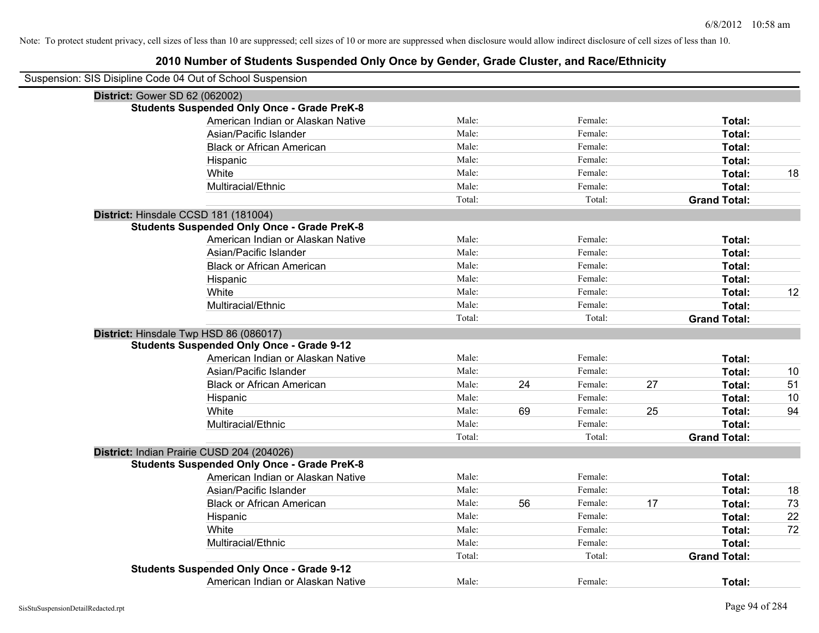| Suspension: SIS Disipline Code 04 Out of School Suspension |        |    |         |    |                     |    |
|------------------------------------------------------------|--------|----|---------|----|---------------------|----|
| District: Gower SD 62 (062002)                             |        |    |         |    |                     |    |
| <b>Students Suspended Only Once - Grade PreK-8</b>         |        |    |         |    |                     |    |
| American Indian or Alaskan Native                          | Male:  |    | Female: |    | Total:              |    |
| Asian/Pacific Islander                                     | Male:  |    | Female: |    | Total:              |    |
| <b>Black or African American</b>                           | Male:  |    | Female: |    | Total:              |    |
| Hispanic                                                   | Male:  |    | Female: |    | Total:              |    |
| White                                                      | Male:  |    | Female: |    | Total:              | 18 |
| Multiracial/Ethnic                                         | Male:  |    | Female: |    | Total:              |    |
|                                                            | Total: |    | Total:  |    | <b>Grand Total:</b> |    |
| District: Hinsdale CCSD 181 (181004)                       |        |    |         |    |                     |    |
| <b>Students Suspended Only Once - Grade PreK-8</b>         |        |    |         |    |                     |    |
| American Indian or Alaskan Native                          | Male:  |    | Female: |    | Total:              |    |
| Asian/Pacific Islander                                     | Male:  |    | Female: |    | Total:              |    |
| <b>Black or African American</b>                           | Male:  |    | Female: |    | Total:              |    |
| Hispanic                                                   | Male:  |    | Female: |    | Total:              |    |
| White                                                      | Male:  |    | Female: |    | Total:              | 12 |
| Multiracial/Ethnic                                         | Male:  |    | Female: |    | Total:              |    |
|                                                            | Total: |    | Total:  |    | <b>Grand Total:</b> |    |
| District: Hinsdale Twp HSD 86 (086017)                     |        |    |         |    |                     |    |
| <b>Students Suspended Only Once - Grade 9-12</b>           |        |    |         |    |                     |    |
| American Indian or Alaskan Native                          | Male:  |    | Female: |    | Total:              |    |
| Asian/Pacific Islander                                     | Male:  |    | Female: |    | Total:              | 10 |
| <b>Black or African American</b>                           | Male:  | 24 | Female: | 27 | Total:              | 51 |
| Hispanic                                                   | Male:  |    | Female: |    | Total:              | 10 |
| White                                                      | Male:  | 69 | Female: | 25 | Total:              | 94 |
| Multiracial/Ethnic                                         | Male:  |    | Female: |    | Total:              |    |
|                                                            | Total: |    | Total:  |    | <b>Grand Total:</b> |    |
| District: Indian Prairie CUSD 204 (204026)                 |        |    |         |    |                     |    |
| <b>Students Suspended Only Once - Grade PreK-8</b>         |        |    |         |    |                     |    |
| American Indian or Alaskan Native                          | Male:  |    | Female: |    | Total:              |    |
| Asian/Pacific Islander                                     | Male:  |    | Female: |    | Total:              | 18 |
| <b>Black or African American</b>                           | Male:  | 56 | Female: | 17 | Total:              | 73 |
| Hispanic                                                   | Male:  |    | Female: |    | Total:              | 22 |
| White                                                      | Male:  |    | Female: |    | Total:              | 72 |
| Multiracial/Ethnic                                         | Male:  |    | Female: |    | Total:              |    |
|                                                            | Total: |    | Total:  |    | <b>Grand Total:</b> |    |
| <b>Students Suspended Only Once - Grade 9-12</b>           |        |    |         |    |                     |    |
| American Indian or Alaskan Native                          | Male:  |    | Female: |    | Total:              |    |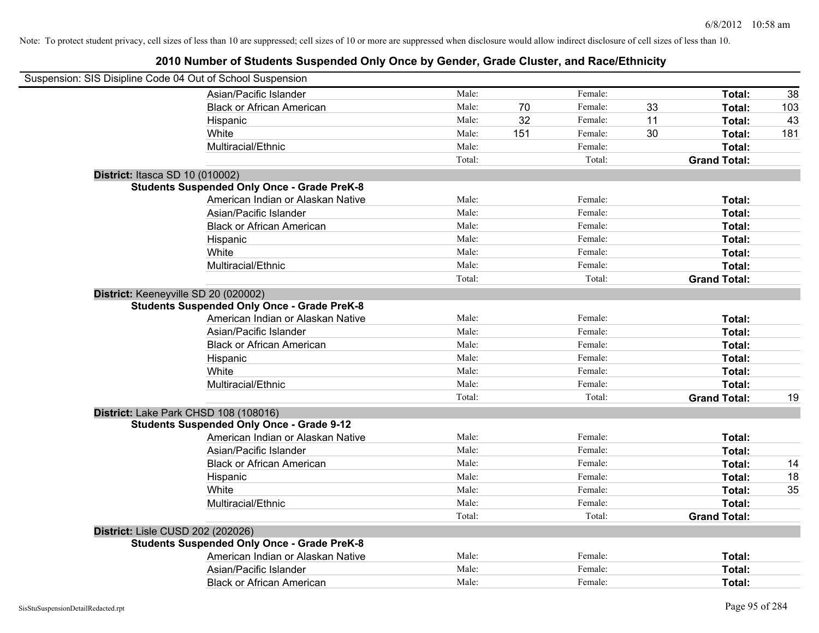| Suspension: SIS Disipline Code 04 Out of School Suspension |                                                    |        |     |         |    |                     |     |
|------------------------------------------------------------|----------------------------------------------------|--------|-----|---------|----|---------------------|-----|
|                                                            | Asian/Pacific Islander                             | Male:  |     | Female: |    | Total:              | 38  |
|                                                            | <b>Black or African American</b>                   | Male:  | 70  | Female: | 33 | Total:              | 103 |
|                                                            | Hispanic                                           | Male:  | 32  | Female: | 11 | Total:              | 43  |
|                                                            | White                                              | Male:  | 151 | Female: | 30 | Total:              | 181 |
|                                                            | Multiracial/Ethnic                                 | Male:  |     | Female: |    | Total:              |     |
|                                                            |                                                    | Total: |     | Total:  |    | <b>Grand Total:</b> |     |
| District: Itasca SD 10 (010002)                            |                                                    |        |     |         |    |                     |     |
|                                                            | <b>Students Suspended Only Once - Grade PreK-8</b> |        |     |         |    |                     |     |
|                                                            | American Indian or Alaskan Native                  | Male:  |     | Female: |    | Total:              |     |
|                                                            | Asian/Pacific Islander                             | Male:  |     | Female: |    | Total:              |     |
|                                                            | <b>Black or African American</b>                   | Male:  |     | Female: |    | Total:              |     |
|                                                            | Hispanic                                           | Male:  |     | Female: |    | Total:              |     |
|                                                            | White                                              | Male:  |     | Female: |    | Total:              |     |
|                                                            | Multiracial/Ethnic                                 | Male:  |     | Female: |    | Total:              |     |
|                                                            |                                                    | Total: |     | Total:  |    | <b>Grand Total:</b> |     |
| District: Keeneyville SD 20 (020002)                       | <b>Students Suspended Only Once - Grade PreK-8</b> |        |     |         |    |                     |     |
|                                                            | American Indian or Alaskan Native                  | Male:  |     | Female: |    | Total:              |     |
|                                                            | Asian/Pacific Islander                             | Male:  |     | Female: |    | Total:              |     |
|                                                            | <b>Black or African American</b>                   | Male:  |     | Female: |    | Total:              |     |
|                                                            | Hispanic                                           | Male:  |     | Female: |    | Total:              |     |
|                                                            | White                                              | Male:  |     | Female: |    | Total:              |     |
|                                                            | Multiracial/Ethnic                                 | Male:  |     | Female: |    | Total:              |     |
|                                                            |                                                    | Total: |     | Total:  |    | <b>Grand Total:</b> | 19  |
| District: Lake Park CHSD 108 (108016)                      |                                                    |        |     |         |    |                     |     |
|                                                            | <b>Students Suspended Only Once - Grade 9-12</b>   |        |     |         |    |                     |     |
|                                                            | American Indian or Alaskan Native                  | Male:  |     | Female: |    | Total:              |     |
|                                                            | Asian/Pacific Islander                             | Male:  |     | Female: |    | Total:              |     |
|                                                            | <b>Black or African American</b>                   | Male:  |     | Female: |    | Total:              | 14  |
|                                                            | Hispanic                                           | Male:  |     | Female: |    | Total:              | 18  |
|                                                            | White                                              | Male:  |     | Female: |    | Total:              | 35  |
|                                                            | Multiracial/Ethnic                                 | Male:  |     | Female: |    | Total:              |     |
|                                                            |                                                    | Total: |     | Total:  |    | <b>Grand Total:</b> |     |
| <b>District: Lisle CUSD 202 (202026)</b>                   |                                                    |        |     |         |    |                     |     |
|                                                            | <b>Students Suspended Only Once - Grade PreK-8</b> |        |     |         |    |                     |     |
|                                                            | American Indian or Alaskan Native                  | Male:  |     | Female: |    | Total:              |     |
|                                                            | Asian/Pacific Islander                             | Male:  |     | Female: |    | Total:              |     |
|                                                            | <b>Black or African American</b>                   | Male:  |     | Female: |    | Total:              |     |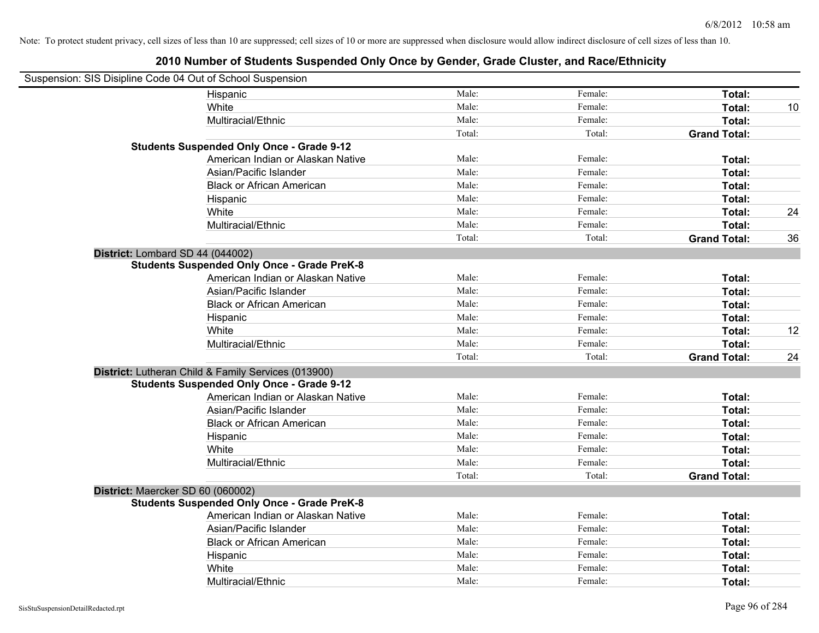| Suspension: SIS Disipline Code 04 Out of School Suspension |        |         |                     |    |
|------------------------------------------------------------|--------|---------|---------------------|----|
| Hispanic                                                   | Male:  | Female: | Total:              |    |
| White                                                      | Male:  | Female: | Total:              | 10 |
| Multiracial/Ethnic                                         | Male:  | Female: | Total:              |    |
|                                                            | Total: | Total:  | <b>Grand Total:</b> |    |
| <b>Students Suspended Only Once - Grade 9-12</b>           |        |         |                     |    |
| American Indian or Alaskan Native                          | Male:  | Female: | Total:              |    |
| Asian/Pacific Islander                                     | Male:  | Female: | Total:              |    |
| <b>Black or African American</b>                           | Male:  | Female: | Total:              |    |
| Hispanic                                                   | Male:  | Female: | Total:              |    |
| White                                                      | Male:  | Female: | Total:              | 24 |
| Multiracial/Ethnic                                         | Male:  | Female: | Total:              |    |
|                                                            | Total: | Total:  | <b>Grand Total:</b> | 36 |
| District: Lombard SD 44 (044002)                           |        |         |                     |    |
| <b>Students Suspended Only Once - Grade PreK-8</b>         |        |         |                     |    |
| American Indian or Alaskan Native                          | Male:  | Female: | Total:              |    |
| Asian/Pacific Islander                                     | Male:  | Female: | Total:              |    |
| <b>Black or African American</b>                           | Male:  | Female: | Total:              |    |
| Hispanic                                                   | Male:  | Female: | Total:              |    |
| White                                                      | Male:  | Female: | Total:              | 12 |
| Multiracial/Ethnic                                         | Male:  | Female: | Total:              |    |
|                                                            | Total: | Total:  | <b>Grand Total:</b> | 24 |
| District: Lutheran Child & Family Services (013900)        |        |         |                     |    |
| <b>Students Suspended Only Once - Grade 9-12</b>           |        |         |                     |    |
| American Indian or Alaskan Native                          | Male:  | Female: | Total:              |    |
| Asian/Pacific Islander                                     | Male:  | Female: | Total:              |    |
| <b>Black or African American</b>                           | Male:  | Female: | Total:              |    |
| Hispanic                                                   | Male:  | Female: | Total:              |    |
| White                                                      | Male:  | Female: | Total:              |    |
| Multiracial/Ethnic                                         | Male:  | Female: | Total:              |    |
|                                                            | Total: | Total:  | <b>Grand Total:</b> |    |
| District: Maercker SD 60 (060002)                          |        |         |                     |    |
| <b>Students Suspended Only Once - Grade PreK-8</b>         |        |         |                     |    |
| American Indian or Alaskan Native                          | Male:  | Female: | Total:              |    |
| Asian/Pacific Islander                                     | Male:  | Female: | Total:              |    |
| <b>Black or African American</b>                           | Male:  | Female: | Total:              |    |
| Hispanic                                                   | Male:  | Female: | Total:              |    |
| White                                                      | Male:  | Female: | Total:              |    |
| Multiracial/Ethnic                                         | Male:  | Female: | Total:              |    |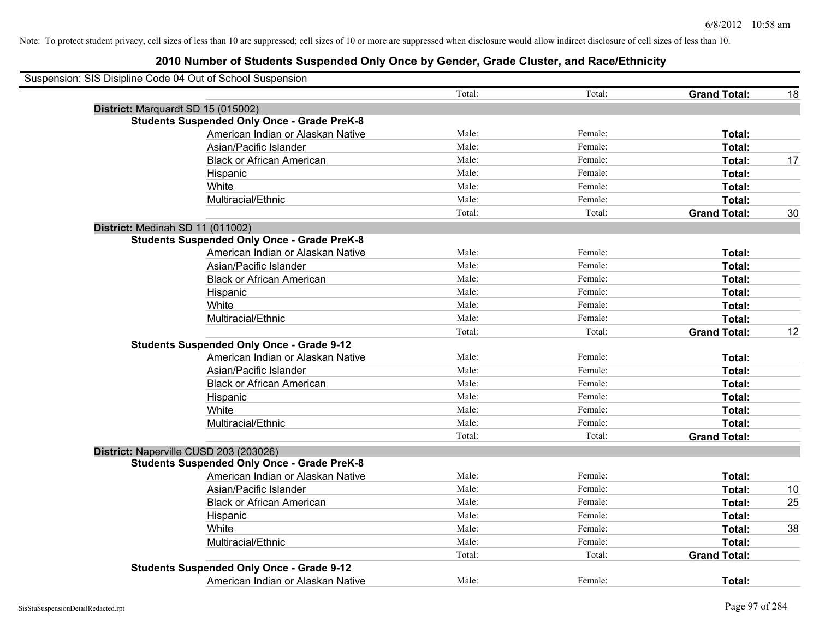| Suspension: SIS Disipline Code 04 Out of School Suspension |        |         |                     |    |
|------------------------------------------------------------|--------|---------|---------------------|----|
|                                                            | Total: | Total:  | <b>Grand Total:</b> | 18 |
| District: Marquardt SD 15 (015002)                         |        |         |                     |    |
| <b>Students Suspended Only Once - Grade PreK-8</b>         |        |         |                     |    |
| American Indian or Alaskan Native                          | Male:  | Female: | Total:              |    |
| Asian/Pacific Islander                                     | Male:  | Female: | Total:              |    |
| <b>Black or African American</b>                           | Male:  | Female: | Total:              | 17 |
| Hispanic                                                   | Male:  | Female: | Total:              |    |
| White                                                      | Male:  | Female: | Total:              |    |
| Multiracial/Ethnic                                         | Male:  | Female: | Total:              |    |
|                                                            | Total: | Total:  | <b>Grand Total:</b> | 30 |
| District: Medinah SD 11 (011002)                           |        |         |                     |    |
| <b>Students Suspended Only Once - Grade PreK-8</b>         |        |         |                     |    |
| American Indian or Alaskan Native                          | Male:  | Female: | Total:              |    |
| Asian/Pacific Islander                                     | Male:  | Female: | Total:              |    |
| <b>Black or African American</b>                           | Male:  | Female: | Total:              |    |
| Hispanic                                                   | Male:  | Female: | Total:              |    |
| White                                                      | Male:  | Female: | Total:              |    |
| Multiracial/Ethnic                                         | Male:  | Female: | Total:              |    |
|                                                            | Total: | Total:  | <b>Grand Total:</b> | 12 |
| <b>Students Suspended Only Once - Grade 9-12</b>           |        |         |                     |    |
| American Indian or Alaskan Native                          | Male:  | Female: | Total:              |    |
| Asian/Pacific Islander                                     | Male:  | Female: | Total:              |    |
| <b>Black or African American</b>                           | Male:  | Female: | Total:              |    |
| Hispanic                                                   | Male:  | Female: | Total:              |    |
| White                                                      | Male:  | Female: | Total:              |    |
| Multiracial/Ethnic                                         | Male:  | Female: | Total:              |    |
|                                                            | Total: | Total:  | <b>Grand Total:</b> |    |
| District: Naperville CUSD 203 (203026)                     |        |         |                     |    |
| <b>Students Suspended Only Once - Grade PreK-8</b>         |        |         |                     |    |
| American Indian or Alaskan Native                          | Male:  | Female: | Total:              |    |
| Asian/Pacific Islander                                     | Male:  | Female: | Total:              | 10 |
| <b>Black or African American</b>                           | Male:  | Female: | Total:              | 25 |
| Hispanic                                                   | Male:  | Female: | Total:              |    |
| White                                                      | Male:  | Female: | Total:              | 38 |
| Multiracial/Ethnic                                         | Male:  | Female: | Total:              |    |
|                                                            | Total: | Total:  | <b>Grand Total:</b> |    |
| <b>Students Suspended Only Once - Grade 9-12</b>           |        |         |                     |    |
| American Indian or Alaskan Native                          | Male:  | Female: | Total:              |    |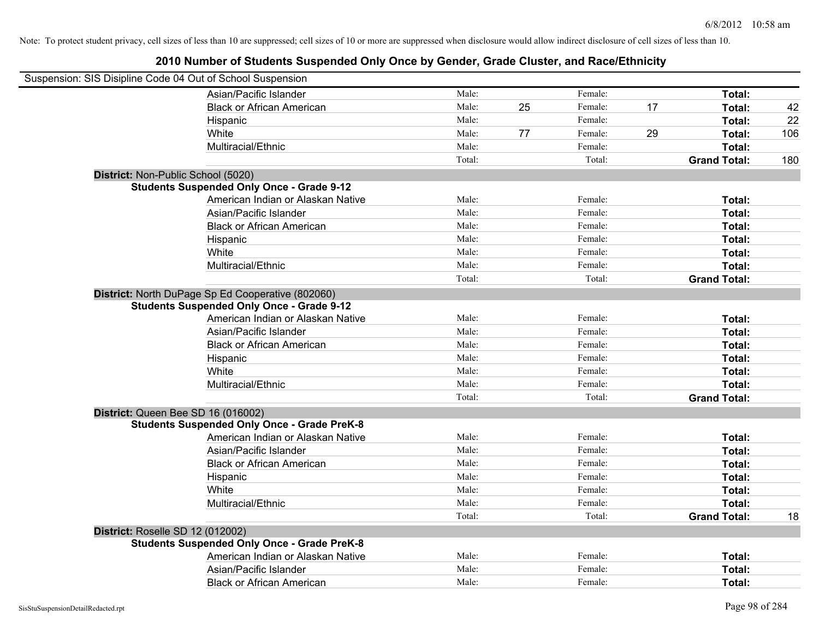| Suspension: SIS Disipline Code 04 Out of School Suspension |                                                                                                       |        |    |         |    |                     |     |
|------------------------------------------------------------|-------------------------------------------------------------------------------------------------------|--------|----|---------|----|---------------------|-----|
|                                                            | Asian/Pacific Islander                                                                                | Male:  |    | Female: |    | Total:              |     |
|                                                            | <b>Black or African American</b>                                                                      | Male:  | 25 | Female: | 17 | Total:              | 42  |
|                                                            | Hispanic                                                                                              | Male:  |    | Female: |    | Total:              | 22  |
|                                                            | White                                                                                                 | Male:  | 77 | Female: | 29 | Total:              | 106 |
|                                                            | Multiracial/Ethnic                                                                                    | Male:  |    | Female: |    | Total:              |     |
|                                                            |                                                                                                       | Total: |    | Total:  |    | <b>Grand Total:</b> | 180 |
| District: Non-Public School (5020)                         |                                                                                                       |        |    |         |    |                     |     |
|                                                            | <b>Students Suspended Only Once - Grade 9-12</b>                                                      |        |    |         |    |                     |     |
|                                                            | American Indian or Alaskan Native                                                                     | Male:  |    | Female: |    | Total:              |     |
|                                                            | Asian/Pacific Islander                                                                                | Male:  |    | Female: |    | Total:              |     |
|                                                            | <b>Black or African American</b>                                                                      | Male:  |    | Female: |    | Total:              |     |
|                                                            | Hispanic                                                                                              | Male:  |    | Female: |    | Total:              |     |
|                                                            | White                                                                                                 | Male:  |    | Female: |    | Total:              |     |
|                                                            | Multiracial/Ethnic                                                                                    | Male:  |    | Female: |    | Total:              |     |
|                                                            |                                                                                                       | Total: |    | Total:  |    | <b>Grand Total:</b> |     |
|                                                            | District: North DuPage Sp Ed Cooperative (802060)<br><b>Students Suspended Only Once - Grade 9-12</b> |        |    |         |    |                     |     |
|                                                            | American Indian or Alaskan Native                                                                     | Male:  |    | Female: |    | Total:              |     |
|                                                            | Asian/Pacific Islander                                                                                | Male:  |    | Female: |    | Total:              |     |
|                                                            | <b>Black or African American</b>                                                                      | Male:  |    | Female: |    | Total:              |     |
|                                                            | Hispanic                                                                                              | Male:  |    | Female: |    | Total:              |     |
|                                                            | White                                                                                                 | Male:  |    | Female: |    | Total:              |     |
|                                                            | Multiracial/Ethnic                                                                                    | Male:  |    | Female: |    | Total:              |     |
|                                                            |                                                                                                       | Total: |    | Total:  |    | <b>Grand Total:</b> |     |
| District: Queen Bee SD 16 (016002)                         |                                                                                                       |        |    |         |    |                     |     |
|                                                            | <b>Students Suspended Only Once - Grade PreK-8</b>                                                    |        |    |         |    |                     |     |
|                                                            | American Indian or Alaskan Native                                                                     | Male:  |    | Female: |    | Total:              |     |
|                                                            | Asian/Pacific Islander                                                                                | Male:  |    | Female: |    | Total:              |     |
|                                                            | <b>Black or African American</b>                                                                      | Male:  |    | Female: |    | Total:              |     |
|                                                            | Hispanic                                                                                              | Male:  |    | Female: |    | Total:              |     |
|                                                            | White                                                                                                 | Male:  |    | Female: |    | Total:              |     |
|                                                            | Multiracial/Ethnic                                                                                    | Male:  |    | Female: |    | Total:              |     |
|                                                            |                                                                                                       | Total: |    | Total:  |    | <b>Grand Total:</b> | 18  |
| District: Roselle SD 12 (012002)                           | <b>Students Suspended Only Once - Grade PreK-8</b>                                                    |        |    |         |    |                     |     |
|                                                            | American Indian or Alaskan Native                                                                     | Male:  |    | Female: |    | Total:              |     |
|                                                            | Asian/Pacific Islander                                                                                | Male:  |    | Female: |    | Total:              |     |
|                                                            | <b>Black or African American</b>                                                                      | Male:  |    | Female: |    | Total:              |     |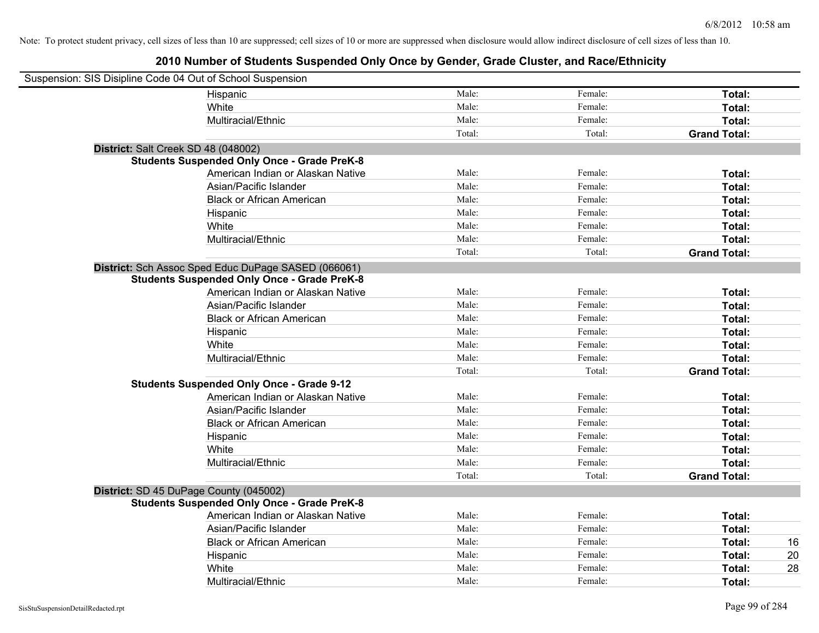| Suspension: SIS Disipline Code 04 Out of School Suspension |                                                     |        |         |                     |
|------------------------------------------------------------|-----------------------------------------------------|--------|---------|---------------------|
|                                                            | Hispanic                                            | Male:  | Female: | Total:              |
|                                                            | White                                               | Male:  | Female: | Total:              |
|                                                            | Multiracial/Ethnic                                  | Male:  | Female: | Total:              |
|                                                            |                                                     | Total: | Total:  | <b>Grand Total:</b> |
| District: Salt Creek SD 48 (048002)                        |                                                     |        |         |                     |
|                                                            | <b>Students Suspended Only Once - Grade PreK-8</b>  |        |         |                     |
|                                                            | American Indian or Alaskan Native                   | Male:  | Female: | Total:              |
|                                                            | Asian/Pacific Islander                              | Male:  | Female: | Total:              |
|                                                            | <b>Black or African American</b>                    | Male:  | Female: | Total:              |
|                                                            | Hispanic                                            | Male:  | Female: | Total:              |
|                                                            | White                                               | Male:  | Female: | Total:              |
|                                                            | Multiracial/Ethnic                                  | Male:  | Female: | Total:              |
|                                                            |                                                     | Total: | Total:  | <b>Grand Total:</b> |
|                                                            | District: Sch Assoc Sped Educ DuPage SASED (066061) |        |         |                     |
|                                                            | <b>Students Suspended Only Once - Grade PreK-8</b>  |        |         |                     |
|                                                            | American Indian or Alaskan Native                   | Male:  | Female: | Total:              |
|                                                            | Asian/Pacific Islander                              | Male:  | Female: | Total:              |
|                                                            | <b>Black or African American</b>                    | Male:  | Female: | Total:              |
|                                                            | Hispanic                                            | Male:  | Female: | Total:              |
|                                                            | White                                               | Male:  | Female: | Total:              |
|                                                            | Multiracial/Ethnic                                  | Male:  | Female: | Total:              |
|                                                            |                                                     | Total: | Total:  | <b>Grand Total:</b> |
|                                                            | <b>Students Suspended Only Once - Grade 9-12</b>    |        |         |                     |
|                                                            | American Indian or Alaskan Native                   | Male:  | Female: | Total:              |
|                                                            | Asian/Pacific Islander                              | Male:  | Female: | Total:              |
|                                                            | <b>Black or African American</b>                    | Male:  | Female: | Total:              |
|                                                            | Hispanic                                            | Male:  | Female: | Total:              |
|                                                            | White                                               | Male:  | Female: | Total:              |
|                                                            | Multiracial/Ethnic                                  | Male:  | Female: | Total:              |
|                                                            |                                                     | Total: | Total:  | <b>Grand Total:</b> |
| District: SD 45 DuPage County (045002)                     |                                                     |        |         |                     |
|                                                            | <b>Students Suspended Only Once - Grade PreK-8</b>  |        |         |                     |
|                                                            | American Indian or Alaskan Native                   | Male:  | Female: | Total:              |
|                                                            | Asian/Pacific Islander                              | Male:  | Female: | Total:              |
|                                                            | <b>Black or African American</b>                    | Male:  | Female: | 16<br>Total:        |
|                                                            | Hispanic                                            | Male:  | Female: | 20<br>Total:        |
|                                                            | White                                               | Male:  | Female: | 28<br>Total:        |
|                                                            | Multiracial/Ethnic                                  | Male:  | Female: | Total:              |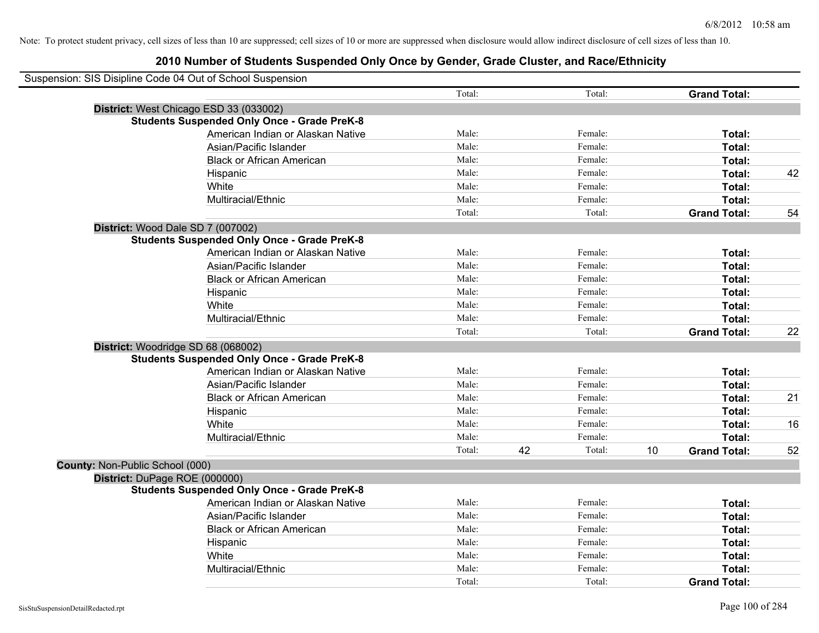| Suspension: SIS Disipline Code 04 Out of School Suspension |                                                    |        |              |    |                     |    |
|------------------------------------------------------------|----------------------------------------------------|--------|--------------|----|---------------------|----|
|                                                            |                                                    | Total: | Total:       |    | <b>Grand Total:</b> |    |
|                                                            | District: West Chicago ESD 33 (033002)             |        |              |    |                     |    |
|                                                            | <b>Students Suspended Only Once - Grade PreK-8</b> |        |              |    |                     |    |
|                                                            | American Indian or Alaskan Native                  | Male:  | Female:      |    | Total:              |    |
|                                                            | Asian/Pacific Islander                             | Male:  | Female:      |    | Total:              |    |
|                                                            | <b>Black or African American</b>                   | Male:  | Female:      |    | Total:              |    |
|                                                            | Hispanic                                           | Male:  | Female:      |    | Total:              | 42 |
|                                                            | White                                              | Male:  | Female:      |    | Total:              |    |
|                                                            | Multiracial/Ethnic                                 | Male:  | Female:      |    | <b>Total:</b>       |    |
|                                                            |                                                    | Total: | Total:       |    | <b>Grand Total:</b> | 54 |
| District: Wood Dale SD 7 (007002)                          |                                                    |        |              |    |                     |    |
|                                                            | <b>Students Suspended Only Once - Grade PreK-8</b> |        |              |    |                     |    |
|                                                            | American Indian or Alaskan Native                  | Male:  | Female:      |    | Total:              |    |
|                                                            | Asian/Pacific Islander                             | Male:  | Female:      |    | Total:              |    |
|                                                            | <b>Black or African American</b>                   | Male:  | Female:      |    | Total:              |    |
|                                                            | Hispanic                                           | Male:  | Female:      |    | Total:              |    |
|                                                            | White                                              | Male:  | Female:      |    | Total:              |    |
|                                                            | Multiracial/Ethnic                                 | Male:  | Female:      |    | Total:              |    |
|                                                            |                                                    | Total: | Total:       |    | <b>Grand Total:</b> | 22 |
| District: Woodridge SD 68 (068002)                         |                                                    |        |              |    |                     |    |
|                                                            | <b>Students Suspended Only Once - Grade PreK-8</b> |        |              |    |                     |    |
|                                                            | American Indian or Alaskan Native                  | Male:  | Female:      |    | Total:              |    |
|                                                            | Asian/Pacific Islander                             | Male:  | Female:      |    | Total:              |    |
|                                                            | <b>Black or African American</b>                   | Male:  | Female:      |    | <b>Total:</b>       | 21 |
|                                                            | Hispanic                                           | Male:  | Female:      |    | Total:              |    |
|                                                            | White                                              | Male:  | Female:      |    | Total:              | 16 |
|                                                            | Multiracial/Ethnic                                 | Male:  | Female:      |    | Total:              |    |
|                                                            |                                                    | Total: | 42<br>Total: | 10 | <b>Grand Total:</b> | 52 |
| County: Non-Public School (000)                            |                                                    |        |              |    |                     |    |
| District: DuPage ROE (000000)                              |                                                    |        |              |    |                     |    |
|                                                            | <b>Students Suspended Only Once - Grade PreK-8</b> |        |              |    |                     |    |
|                                                            | American Indian or Alaskan Native                  | Male:  | Female:      |    | Total:              |    |
|                                                            | Asian/Pacific Islander                             | Male:  | Female:      |    | Total:              |    |
|                                                            | <b>Black or African American</b>                   | Male:  | Female:      |    | Total:              |    |
|                                                            | Hispanic                                           | Male:  | Female:      |    | Total:              |    |
|                                                            | White                                              | Male:  | Female:      |    | Total:              |    |
|                                                            | Multiracial/Ethnic                                 | Male:  | Female:      |    | Total:              |    |
|                                                            |                                                    | Total: | Total:       |    | <b>Grand Total:</b> |    |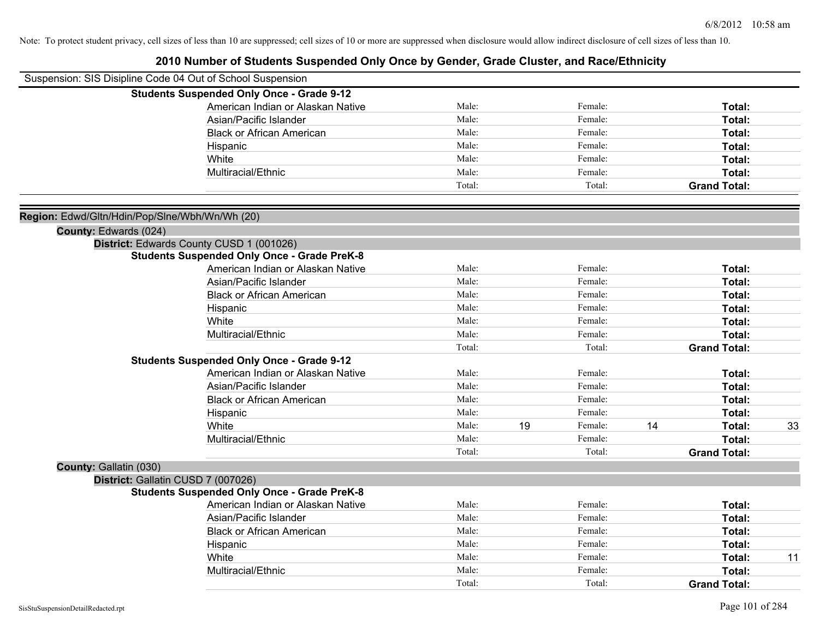| Suspension: SIS Disipline Code 04 Out of School Suspension |                                                    |        |    |         |    |                     |    |
|------------------------------------------------------------|----------------------------------------------------|--------|----|---------|----|---------------------|----|
|                                                            | <b>Students Suspended Only Once - Grade 9-12</b>   |        |    |         |    |                     |    |
|                                                            | American Indian or Alaskan Native                  | Male:  |    | Female: |    | Total:              |    |
|                                                            | Asian/Pacific Islander                             | Male:  |    | Female: |    | Total:              |    |
|                                                            | <b>Black or African American</b>                   | Male:  |    | Female: |    | Total:              |    |
|                                                            | Hispanic                                           | Male:  |    | Female: |    | Total:              |    |
|                                                            | White                                              | Male:  |    | Female: |    | Total:              |    |
|                                                            | Multiracial/Ethnic                                 | Male:  |    | Female: |    | Total:              |    |
|                                                            |                                                    | Total: |    | Total:  |    | <b>Grand Total:</b> |    |
| Region: Edwd/Gltn/Hdin/Pop/Slne/Wbh/Wn/Wh (20)             |                                                    |        |    |         |    |                     |    |
| County: Edwards (024)                                      |                                                    |        |    |         |    |                     |    |
|                                                            | District: Edwards County CUSD 1 (001026)           |        |    |         |    |                     |    |
|                                                            | <b>Students Suspended Only Once - Grade PreK-8</b> |        |    |         |    |                     |    |
|                                                            | American Indian or Alaskan Native                  | Male:  |    | Female: |    | Total:              |    |
|                                                            | Asian/Pacific Islander                             | Male:  |    | Female: |    | Total:              |    |
|                                                            | <b>Black or African American</b>                   | Male:  |    | Female: |    | Total:              |    |
|                                                            | Hispanic                                           | Male:  |    | Female: |    | Total:              |    |
|                                                            | White                                              | Male:  |    | Female: |    | Total:              |    |
|                                                            | Multiracial/Ethnic                                 | Male:  |    | Female: |    | Total:              |    |
|                                                            |                                                    | Total: |    | Total:  |    | <b>Grand Total:</b> |    |
|                                                            | <b>Students Suspended Only Once - Grade 9-12</b>   |        |    |         |    |                     |    |
|                                                            | American Indian or Alaskan Native                  | Male:  |    | Female: |    | Total:              |    |
|                                                            | Asian/Pacific Islander                             | Male:  |    | Female: |    | Total:              |    |
|                                                            | <b>Black or African American</b>                   | Male:  |    | Female: |    | Total:              |    |
|                                                            | Hispanic                                           | Male:  |    | Female: |    | Total:              |    |
|                                                            | White                                              | Male:  | 19 | Female: | 14 | Total:              | 33 |
|                                                            | Multiracial/Ethnic                                 | Male:  |    | Female: |    | Total:              |    |
|                                                            |                                                    | Total: |    | Total:  |    | <b>Grand Total:</b> |    |
| County: Gallatin (030)                                     |                                                    |        |    |         |    |                     |    |
|                                                            | District: Gallatin CUSD 7 (007026)                 |        |    |         |    |                     |    |
|                                                            | <b>Students Suspended Only Once - Grade PreK-8</b> |        |    |         |    |                     |    |
|                                                            | American Indian or Alaskan Native                  | Male:  |    | Female: |    | Total:              |    |
|                                                            | Asian/Pacific Islander                             | Male:  |    | Female: |    | Total:              |    |
|                                                            | <b>Black or African American</b>                   | Male:  |    | Female: |    | Total:              |    |
|                                                            | Hispanic                                           | Male:  |    | Female: |    | Total:              |    |
|                                                            | White                                              | Male:  |    | Female: |    | Total:              | 11 |
|                                                            | Multiracial/Ethnic                                 | Male:  |    | Female: |    | <b>Total:</b>       |    |
|                                                            |                                                    | Total: |    | Total:  |    | <b>Grand Total:</b> |    |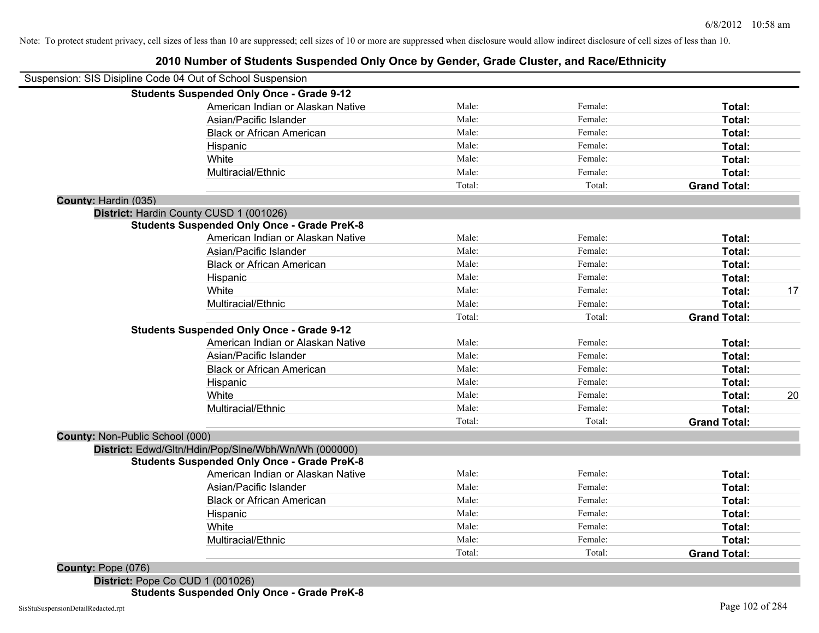# **2010 Number of Students Suspended Only Once by Gender, Grade Cluster, and Race/Ethnicity**

| Suspension: SIS Disipline Code 04 Out of School Suspension |        |         |                     |    |
|------------------------------------------------------------|--------|---------|---------------------|----|
| <b>Students Suspended Only Once - Grade 9-12</b>           |        |         |                     |    |
| American Indian or Alaskan Native                          | Male:  | Female: | Total:              |    |
| Asian/Pacific Islander                                     | Male:  | Female: | Total:              |    |
| <b>Black or African American</b>                           | Male:  | Female: | Total:              |    |
| Hispanic                                                   | Male:  | Female: | Total:              |    |
| White                                                      | Male:  | Female: | Total:              |    |
| Multiracial/Ethnic                                         | Male:  | Female: | Total:              |    |
|                                                            | Total: | Total:  | <b>Grand Total:</b> |    |
| County: Hardin (035)                                       |        |         |                     |    |
| District: Hardin County CUSD 1 (001026)                    |        |         |                     |    |
| <b>Students Suspended Only Once - Grade PreK-8</b>         |        |         |                     |    |
| American Indian or Alaskan Native                          | Male:  | Female: | Total:              |    |
| Asian/Pacific Islander                                     | Male:  | Female: | Total:              |    |
| <b>Black or African American</b>                           | Male:  | Female: | Total:              |    |
| Hispanic                                                   | Male:  | Female: | <b>Total:</b>       |    |
| White                                                      | Male:  | Female: | Total:              | 17 |
| Multiracial/Ethnic                                         | Male:  | Female: | Total:              |    |
|                                                            | Total: | Total:  | <b>Grand Total:</b> |    |
| <b>Students Suspended Only Once - Grade 9-12</b>           |        |         |                     |    |
| American Indian or Alaskan Native                          | Male:  | Female: | Total:              |    |
| Asian/Pacific Islander                                     | Male:  | Female: | Total:              |    |
| <b>Black or African American</b>                           | Male:  | Female: | Total:              |    |
| Hispanic                                                   | Male:  | Female: | Total:              |    |
| White                                                      | Male:  | Female: | Total:              | 20 |
| Multiracial/Ethnic                                         | Male:  | Female: | Total:              |    |
|                                                            | Total: | Total:  | <b>Grand Total:</b> |    |
| <b>County: Non-Public School (000)</b>                     |        |         |                     |    |
| District: Edwd/Gltn/Hdin/Pop/Slne/Wbh/Wn/Wh (000000)       |        |         |                     |    |
| <b>Students Suspended Only Once - Grade PreK-8</b>         |        |         |                     |    |
| American Indian or Alaskan Native                          | Male:  | Female: | Total:              |    |
| Asian/Pacific Islander                                     | Male:  | Female: | Total:              |    |
| <b>Black or African American</b>                           | Male:  | Female: | Total:              |    |
| Hispanic                                                   | Male:  | Female: | Total:              |    |
| White                                                      | Male:  | Female: | Total:              |    |
| Multiracial/Ethnic                                         | Male:  | Female: | Total:              |    |
|                                                            | Total: | Total:  | <b>Grand Total:</b> |    |
| <b>County: Pope (076)</b>                                  |        |         |                     |    |

**District:** Pope Co CUD 1 (001026) **Students Suspended Only Once - Grade PreK-8**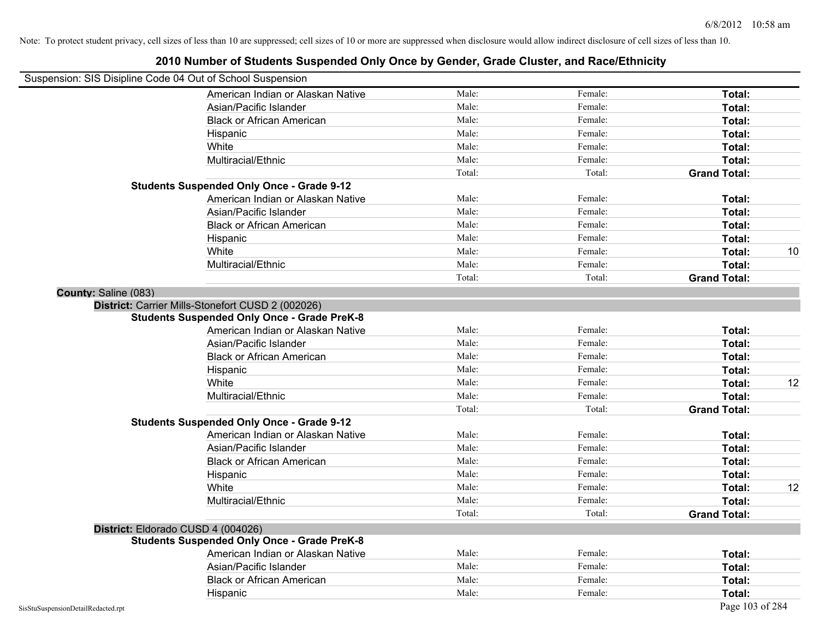| Suspension: SIS Disipline Code 04 Out of School Suspension |                                                    |        |         |                     |    |
|------------------------------------------------------------|----------------------------------------------------|--------|---------|---------------------|----|
|                                                            | American Indian or Alaskan Native                  | Male:  | Female: | Total:              |    |
|                                                            | Asian/Pacific Islander                             | Male:  | Female: | Total:              |    |
|                                                            | <b>Black or African American</b>                   | Male:  | Female: | Total:              |    |
|                                                            | Hispanic                                           | Male:  | Female: | Total:              |    |
|                                                            | White                                              | Male:  | Female: | Total:              |    |
|                                                            | Multiracial/Ethnic                                 | Male:  | Female: | Total:              |    |
|                                                            |                                                    | Total: | Total:  | <b>Grand Total:</b> |    |
|                                                            | <b>Students Suspended Only Once - Grade 9-12</b>   |        |         |                     |    |
|                                                            | American Indian or Alaskan Native                  | Male:  | Female: | Total:              |    |
|                                                            | Asian/Pacific Islander                             | Male:  | Female: | Total:              |    |
|                                                            | <b>Black or African American</b>                   | Male:  | Female: | Total:              |    |
|                                                            | Hispanic                                           | Male:  | Female: | Total:              |    |
|                                                            | White                                              | Male:  | Female: | Total:              | 10 |
|                                                            | Multiracial/Ethnic                                 | Male:  | Female: | Total:              |    |
|                                                            |                                                    | Total: | Total:  | <b>Grand Total:</b> |    |
| County: Saline (083)                                       |                                                    |        |         |                     |    |
|                                                            | District: Carrier Mills-Stonefort CUSD 2 (002026)  |        |         |                     |    |
|                                                            | <b>Students Suspended Only Once - Grade PreK-8</b> |        |         |                     |    |
|                                                            | American Indian or Alaskan Native                  | Male:  | Female: | Total:              |    |
|                                                            | Asian/Pacific Islander                             | Male:  | Female: | Total:              |    |
|                                                            | <b>Black or African American</b>                   | Male:  | Female: | Total:              |    |
|                                                            | Hispanic                                           | Male:  | Female: | Total:              |    |
|                                                            | White                                              | Male:  | Female: | Total:              | 12 |
|                                                            | Multiracial/Ethnic                                 | Male:  | Female: | Total:              |    |
|                                                            |                                                    | Total: | Total:  | <b>Grand Total:</b> |    |
|                                                            | <b>Students Suspended Only Once - Grade 9-12</b>   |        |         |                     |    |
|                                                            | American Indian or Alaskan Native                  | Male:  | Female: | Total:              |    |
|                                                            | Asian/Pacific Islander                             | Male:  | Female: | Total:              |    |
|                                                            | <b>Black or African American</b>                   | Male:  | Female: | Total:              |    |
|                                                            | Hispanic                                           | Male:  | Female: | Total:              |    |
|                                                            | White                                              | Male:  | Female: | Total:              | 12 |
|                                                            | Multiracial/Ethnic                                 | Male:  | Female: | Total:              |    |
|                                                            |                                                    | Total: | Total:  | <b>Grand Total:</b> |    |
|                                                            | District: Eldorado CUSD 4 (004026)                 |        |         |                     |    |
|                                                            | <b>Students Suspended Only Once - Grade PreK-8</b> |        |         |                     |    |
|                                                            | American Indian or Alaskan Native                  | Male:  | Female: | Total:              |    |
|                                                            | Asian/Pacific Islander                             | Male:  | Female: | Total:              |    |
|                                                            | <b>Black or African American</b>                   | Male:  | Female: | Total:              |    |
|                                                            | Hispanic                                           | Male:  | Female: | Total:              |    |
| SisStuSuspensionDetailRedacted.rpt                         |                                                    |        |         | Page 103 of 284     |    |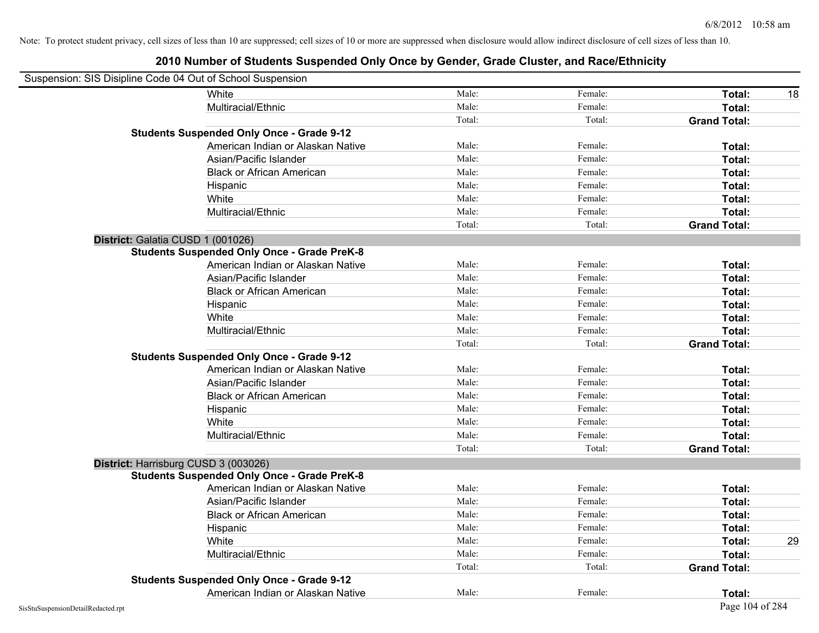| Suspension: SIS Disipline Code 04 Out of School Suspension |        |         |                     |    |
|------------------------------------------------------------|--------|---------|---------------------|----|
| <b>White</b>                                               | Male:  | Female: | Total:              | 18 |
| Multiracial/Ethnic                                         | Male:  | Female: | Total:              |    |
|                                                            | Total: | Total:  | <b>Grand Total:</b> |    |
| <b>Students Suspended Only Once - Grade 9-12</b>           |        |         |                     |    |
| American Indian or Alaskan Native                          | Male:  | Female: | Total:              |    |
| Asian/Pacific Islander                                     | Male:  | Female: | Total:              |    |
| <b>Black or African American</b>                           | Male:  | Female: | Total:              |    |
| Hispanic                                                   | Male:  | Female: | Total:              |    |
| White                                                      | Male:  | Female: | Total:              |    |
| Multiracial/Ethnic                                         | Male:  | Female: | Total:              |    |
|                                                            | Total: | Total:  | <b>Grand Total:</b> |    |
| District: Galatia CUSD 1 (001026)                          |        |         |                     |    |
| <b>Students Suspended Only Once - Grade PreK-8</b>         |        |         |                     |    |
| American Indian or Alaskan Native                          | Male:  | Female: | Total:              |    |
| Asian/Pacific Islander                                     | Male:  | Female: | Total:              |    |
| <b>Black or African American</b>                           | Male:  | Female: | Total:              |    |
| Hispanic                                                   | Male:  | Female: | Total:              |    |
| White                                                      | Male:  | Female: | Total:              |    |
| Multiracial/Ethnic                                         | Male:  | Female: | Total:              |    |
|                                                            | Total: | Total:  | <b>Grand Total:</b> |    |
| <b>Students Suspended Only Once - Grade 9-12</b>           |        |         |                     |    |
| American Indian or Alaskan Native                          | Male:  | Female: | Total:              |    |
| Asian/Pacific Islander                                     | Male:  | Female: | Total:              |    |
| <b>Black or African American</b>                           | Male:  | Female: | Total:              |    |
| Hispanic                                                   | Male:  | Female: | Total:              |    |
| White                                                      | Male:  | Female: | Total:              |    |
| Multiracial/Ethnic                                         | Male:  | Female: | Total:              |    |
|                                                            | Total: | Total:  | <b>Grand Total:</b> |    |
| District: Harrisburg CUSD 3 (003026)                       |        |         |                     |    |
| <b>Students Suspended Only Once - Grade PreK-8</b>         |        |         |                     |    |
| American Indian or Alaskan Native                          | Male:  | Female: | Total:              |    |
| Asian/Pacific Islander                                     | Male:  | Female: | Total:              |    |
| <b>Black or African American</b>                           | Male:  | Female: | Total:              |    |
| Hispanic                                                   | Male:  | Female: | Total:              |    |
| White                                                      | Male:  | Female: | Total:              | 29 |
| Multiracial/Ethnic                                         | Male:  | Female: | Total:              |    |
|                                                            | Total: | Total:  | <b>Grand Total:</b> |    |
| <b>Students Suspended Only Once - Grade 9-12</b>           |        |         |                     |    |
| American Indian or Alaskan Native                          | Male:  | Female: | Total:              |    |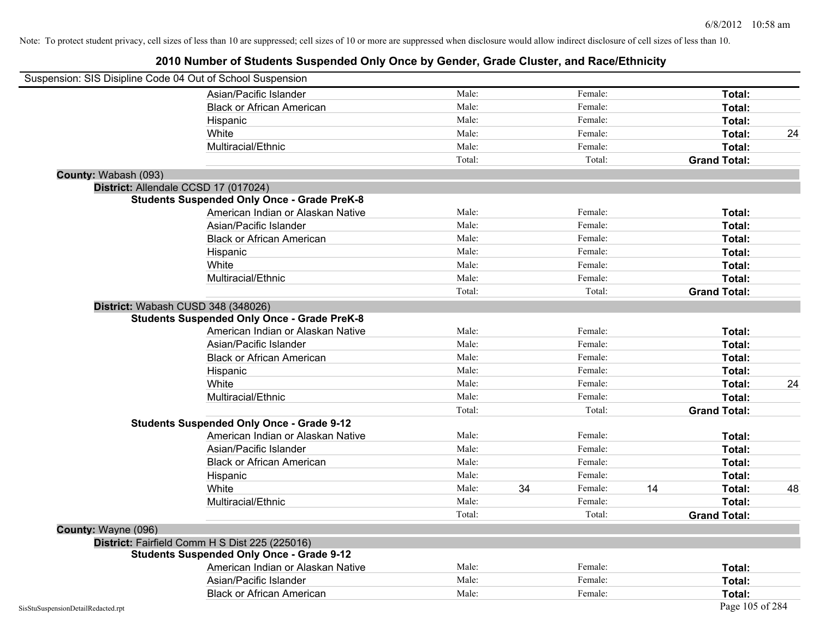|                                    | Suspension: SIS Disipline Code 04 Out of School Suspension |        |    |         |    |                     |    |
|------------------------------------|------------------------------------------------------------|--------|----|---------|----|---------------------|----|
|                                    | Asian/Pacific Islander                                     | Male:  |    | Female: |    | Total:              |    |
|                                    | <b>Black or African American</b>                           | Male:  |    | Female: |    | Total:              |    |
|                                    | Hispanic                                                   | Male:  |    | Female: |    | Total:              |    |
|                                    | White                                                      | Male:  |    | Female: |    | Total:              | 24 |
|                                    | Multiracial/Ethnic                                         | Male:  |    | Female: |    | Total:              |    |
|                                    |                                                            | Total: |    | Total:  |    | <b>Grand Total:</b> |    |
| County: Wabash (093)               |                                                            |        |    |         |    |                     |    |
|                                    | District: Allendale CCSD 17 (017024)                       |        |    |         |    |                     |    |
|                                    | <b>Students Suspended Only Once - Grade PreK-8</b>         |        |    |         |    |                     |    |
|                                    | American Indian or Alaskan Native                          | Male:  |    | Female: |    | Total:              |    |
|                                    | Asian/Pacific Islander                                     | Male:  |    | Female: |    | Total:              |    |
|                                    | <b>Black or African American</b>                           | Male:  |    | Female: |    | Total:              |    |
|                                    | Hispanic                                                   | Male:  |    | Female: |    | Total:              |    |
|                                    | White                                                      | Male:  |    | Female: |    | Total:              |    |
|                                    | Multiracial/Ethnic                                         | Male:  |    | Female: |    | Total:              |    |
|                                    |                                                            | Total: |    | Total:  |    | <b>Grand Total:</b> |    |
|                                    | District: Wabash CUSD 348 (348026)                         |        |    |         |    |                     |    |
|                                    | <b>Students Suspended Only Once - Grade PreK-8</b>         |        |    |         |    |                     |    |
|                                    | American Indian or Alaskan Native                          | Male:  |    | Female: |    | Total:              |    |
|                                    | Asian/Pacific Islander                                     | Male:  |    | Female: |    | Total:              |    |
|                                    | <b>Black or African American</b>                           | Male:  |    | Female: |    | Total:              |    |
|                                    | Hispanic                                                   | Male:  |    | Female: |    | Total:              |    |
|                                    | White                                                      | Male:  |    | Female: |    | Total:              | 24 |
|                                    | Multiracial/Ethnic                                         | Male:  |    | Female: |    | Total:              |    |
|                                    |                                                            | Total: |    | Total:  |    | <b>Grand Total:</b> |    |
|                                    | <b>Students Suspended Only Once - Grade 9-12</b>           |        |    |         |    |                     |    |
|                                    | American Indian or Alaskan Native                          | Male:  |    | Female: |    | Total:              |    |
|                                    | Asian/Pacific Islander                                     | Male:  |    | Female: |    | Total:              |    |
|                                    | <b>Black or African American</b>                           | Male:  |    | Female: |    | Total:              |    |
|                                    | Hispanic                                                   | Male:  |    | Female: |    | Total:              |    |
|                                    | White                                                      | Male:  | 34 | Female: | 14 | Total:              | 48 |
|                                    | Multiracial/Ethnic                                         | Male:  |    | Female: |    | Total:              |    |
|                                    |                                                            | Total: |    | Total:  |    | <b>Grand Total:</b> |    |
| County: Wayne (096)                |                                                            |        |    |         |    |                     |    |
|                                    | District: Fairfield Comm H S Dist 225 (225016)             |        |    |         |    |                     |    |
|                                    | <b>Students Suspended Only Once - Grade 9-12</b>           |        |    |         |    |                     |    |
|                                    | American Indian or Alaskan Native                          | Male:  |    | Female: |    | Total:              |    |
|                                    | Asian/Pacific Islander                                     | Male:  |    | Female: |    | Total:              |    |
|                                    | <b>Black or African American</b>                           | Male:  |    | Female: |    | Total:              |    |
| SisStuSuspensionDetailRedacted.rpt |                                                            |        |    |         |    | Page 105 of 284     |    |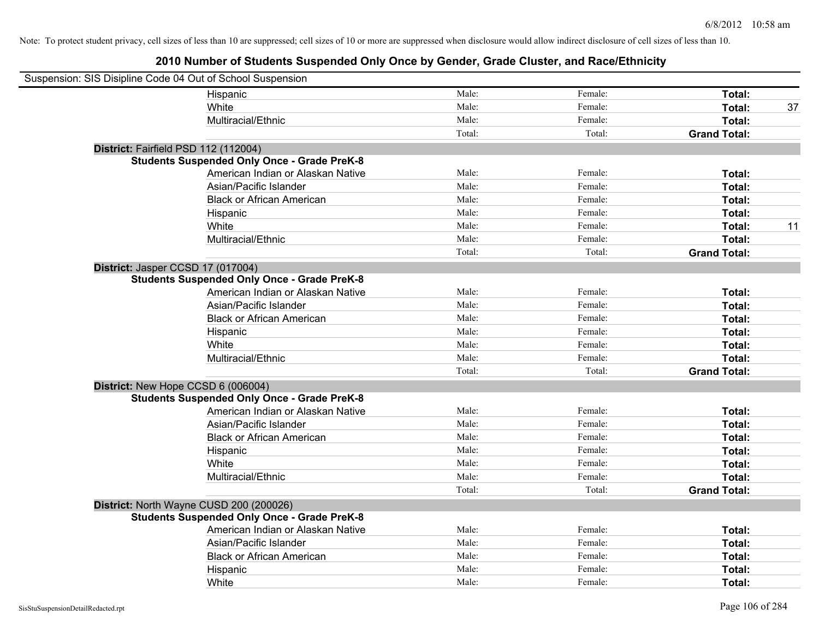| Suspension: SIS Disipline Code 04 Out of School Suspension |                                                    |        |         |                     |    |
|------------------------------------------------------------|----------------------------------------------------|--------|---------|---------------------|----|
|                                                            | Hispanic                                           | Male:  | Female: | Total:              |    |
|                                                            | White                                              | Male:  | Female: | <b>Total:</b>       | 37 |
|                                                            | Multiracial/Ethnic                                 | Male:  | Female: | Total:              |    |
|                                                            |                                                    | Total: | Total:  | <b>Grand Total:</b> |    |
| District: Fairfield PSD 112 (112004)                       |                                                    |        |         |                     |    |
|                                                            | <b>Students Suspended Only Once - Grade PreK-8</b> |        |         |                     |    |
|                                                            | American Indian or Alaskan Native                  | Male:  | Female: | Total:              |    |
|                                                            | Asian/Pacific Islander                             | Male:  | Female: | Total:              |    |
|                                                            | <b>Black or African American</b>                   | Male:  | Female: | Total:              |    |
|                                                            | Hispanic                                           | Male:  | Female: | Total:              |    |
|                                                            | White                                              | Male:  | Female: | Total:              | 11 |
|                                                            | Multiracial/Ethnic                                 | Male:  | Female: | Total:              |    |
|                                                            |                                                    | Total: | Total:  | <b>Grand Total:</b> |    |
| District: Jasper CCSD 17 (017004)                          |                                                    |        |         |                     |    |
|                                                            | <b>Students Suspended Only Once - Grade PreK-8</b> |        |         |                     |    |
|                                                            | American Indian or Alaskan Native                  | Male:  | Female: | Total:              |    |
|                                                            | Asian/Pacific Islander                             | Male:  | Female: | Total:              |    |
|                                                            | <b>Black or African American</b>                   | Male:  | Female: | Total:              |    |
|                                                            | Hispanic                                           | Male:  | Female: | Total:              |    |
|                                                            | White                                              | Male:  | Female: | Total:              |    |
|                                                            | Multiracial/Ethnic                                 | Male:  | Female: | Total:              |    |
|                                                            |                                                    | Total: | Total:  | <b>Grand Total:</b> |    |
| District: New Hope CCSD 6 (006004)                         |                                                    |        |         |                     |    |
|                                                            | <b>Students Suspended Only Once - Grade PreK-8</b> |        |         |                     |    |
|                                                            | American Indian or Alaskan Native                  | Male:  | Female: | Total:              |    |
|                                                            | Asian/Pacific Islander                             | Male:  | Female: | Total:              |    |
|                                                            | <b>Black or African American</b>                   | Male:  | Female: | Total:              |    |
|                                                            | Hispanic                                           | Male:  | Female: | Total:              |    |
|                                                            | White                                              | Male:  | Female: | Total:              |    |
|                                                            | Multiracial/Ethnic                                 | Male:  | Female: | Total:              |    |
|                                                            |                                                    | Total: | Total:  | <b>Grand Total:</b> |    |
|                                                            | District: North Wayne CUSD 200 (200026)            |        |         |                     |    |
|                                                            | <b>Students Suspended Only Once - Grade PreK-8</b> |        |         |                     |    |
|                                                            | American Indian or Alaskan Native                  | Male:  | Female: | Total:              |    |
|                                                            | Asian/Pacific Islander                             | Male:  | Female: | Total:              |    |
|                                                            | <b>Black or African American</b>                   | Male:  | Female: | Total:              |    |
|                                                            | Hispanic                                           | Male:  | Female: | Total:              |    |
|                                                            | White                                              | Male:  | Female: | Total:              |    |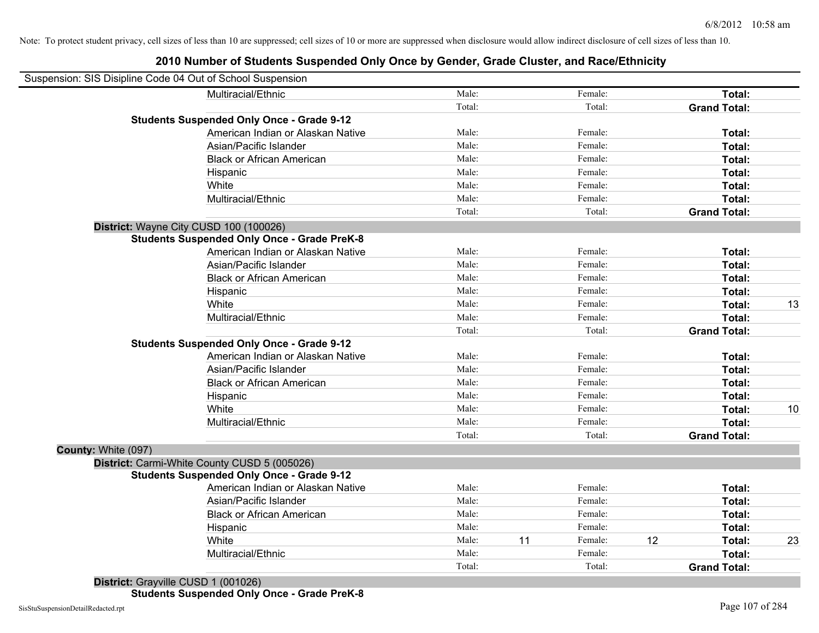|                                        | <b>Students Suspended Only Once - Grade 9-12</b>   | Total:          |    | Total:            |    | <b>Grand Total:</b>           |    |
|----------------------------------------|----------------------------------------------------|-----------------|----|-------------------|----|-------------------------------|----|
|                                        | American Indian or Alaskan Native                  | Male:           |    | Female:           |    | Total:                        |    |
|                                        | Asian/Pacific Islander                             | Male:           |    | Female:           |    | Total:                        |    |
|                                        | <b>Black or African American</b>                   | Male:           |    | Female:           |    | Total:                        |    |
|                                        | Hispanic                                           | Male:           |    | Female:           |    | Total:                        |    |
|                                        | White                                              | Male:           |    | Female:           |    | Total:                        |    |
|                                        | Multiracial/Ethnic                                 | Male:           |    | Female:           |    | Total:                        |    |
|                                        |                                                    | Total:          |    | Total:            |    | <b>Grand Total:</b>           |    |
| District: Wayne City CUSD 100 (100026) |                                                    |                 |    |                   |    |                               |    |
|                                        | <b>Students Suspended Only Once - Grade PreK-8</b> |                 |    |                   |    |                               |    |
|                                        | American Indian or Alaskan Native                  | Male:           |    | Female:           |    | Total:                        |    |
|                                        | Asian/Pacific Islander                             | Male:           |    | Female:           |    | Total:                        |    |
|                                        | <b>Black or African American</b>                   | Male:           |    | Female:           |    | Total:                        |    |
|                                        | Hispanic                                           | Male:           |    | Female:           |    | Total:                        |    |
|                                        | White                                              | Male:           |    | Female:           |    | Total:                        | 13 |
|                                        | Multiracial/Ethnic                                 | Male:           |    | Female:           |    | Total:                        |    |
|                                        |                                                    | Total:          |    | Total:            |    | <b>Grand Total:</b>           |    |
|                                        | <b>Students Suspended Only Once - Grade 9-12</b>   |                 |    |                   |    |                               |    |
|                                        | American Indian or Alaskan Native                  | Male:           |    | Female:           |    | Total:                        |    |
|                                        | Asian/Pacific Islander                             | Male:           |    | Female:           |    | Total:                        |    |
|                                        | <b>Black or African American</b>                   | Male:           |    | Female:           |    | Total:                        |    |
|                                        | Hispanic                                           | Male:           |    | Female:           |    | Total:                        |    |
|                                        | White                                              | Male:           |    | Female:           |    | Total:                        | 10 |
|                                        | Multiracial/Ethnic                                 | Male:           |    | Female:           |    | Total:                        |    |
|                                        |                                                    | Total:          |    | Total:            |    | <b>Grand Total:</b>           |    |
| County: White (097)                    |                                                    |                 |    |                   |    |                               |    |
|                                        | District: Carmi-White County CUSD 5 (005026)       |                 |    |                   |    |                               |    |
|                                        | <b>Students Suspended Only Once - Grade 9-12</b>   |                 |    |                   |    |                               |    |
|                                        | American Indian or Alaskan Native                  | Male:           |    | Female:           |    | Total:                        |    |
|                                        | Asian/Pacific Islander                             | Male:<br>Male:  |    | Female:           |    | Total:                        |    |
|                                        | <b>Black or African American</b>                   | Male:           |    | Female:           |    | Total:                        |    |
|                                        | Hispanic                                           |                 |    | Female:           |    | Total:                        |    |
|                                        | White                                              | Male:           | 11 | Female:           | 12 | Total:                        | 23 |
|                                        | Multiracial/Ethnic                                 | Male:<br>Total: |    | Female:<br>Total: |    | Total:<br><b>Grand Total:</b> |    |
|                                        | 11.0010011001                                      |                 |    |                   |    |                               |    |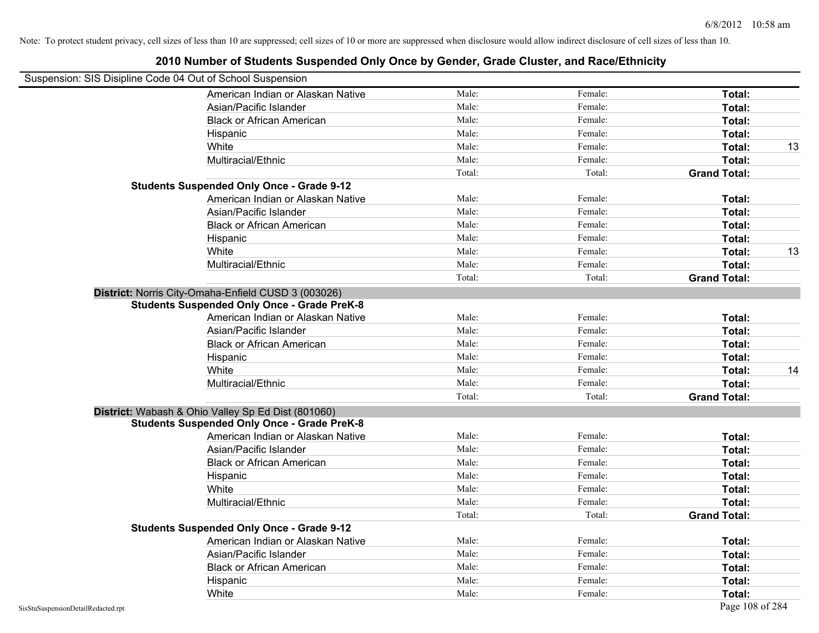| Suspension: SIS Disipline Code 04 Out of School Suspension |                                                     |        |         |                     |    |
|------------------------------------------------------------|-----------------------------------------------------|--------|---------|---------------------|----|
|                                                            | American Indian or Alaskan Native                   | Male:  | Female: | Total:              |    |
|                                                            | Asian/Pacific Islander                              | Male:  | Female: | Total:              |    |
|                                                            | <b>Black or African American</b>                    | Male:  | Female: | Total:              |    |
|                                                            | Hispanic                                            | Male:  | Female: | Total:              |    |
|                                                            | White                                               | Male:  | Female: | Total:              | 13 |
|                                                            | Multiracial/Ethnic                                  | Male:  | Female: | Total:              |    |
|                                                            |                                                     | Total: | Total:  | <b>Grand Total:</b> |    |
|                                                            | <b>Students Suspended Only Once - Grade 9-12</b>    |        |         |                     |    |
|                                                            | American Indian or Alaskan Native                   | Male:  | Female: | Total:              |    |
|                                                            | Asian/Pacific Islander                              | Male:  | Female: | Total:              |    |
|                                                            | <b>Black or African American</b>                    | Male:  | Female: | Total:              |    |
|                                                            | Hispanic                                            | Male:  | Female: | Total:              |    |
|                                                            | White                                               | Male:  | Female: | Total:              | 13 |
|                                                            | Multiracial/Ethnic                                  | Male:  | Female: | Total:              |    |
|                                                            |                                                     | Total: | Total:  | <b>Grand Total:</b> |    |
|                                                            | District: Norris City-Omaha-Enfield CUSD 3 (003026) |        |         |                     |    |
|                                                            | <b>Students Suspended Only Once - Grade PreK-8</b>  |        |         |                     |    |
|                                                            | American Indian or Alaskan Native                   | Male:  | Female: | Total:              |    |
|                                                            | Asian/Pacific Islander                              | Male:  | Female: | Total:              |    |
|                                                            | <b>Black or African American</b>                    | Male:  | Female: | Total:              |    |
|                                                            | Hispanic                                            | Male:  | Female: | Total:              |    |
|                                                            | White                                               | Male:  | Female: | Total:              | 14 |
|                                                            | Multiracial/Ethnic                                  | Male:  | Female: | Total:              |    |
|                                                            |                                                     | Total: | Total:  | <b>Grand Total:</b> |    |
|                                                            | District: Wabash & Ohio Valley Sp Ed Dist (801060)  |        |         |                     |    |
|                                                            | <b>Students Suspended Only Once - Grade PreK-8</b>  |        |         |                     |    |
|                                                            | American Indian or Alaskan Native                   | Male:  | Female: | Total:              |    |
|                                                            | Asian/Pacific Islander                              | Male:  | Female: | Total:              |    |
|                                                            | <b>Black or African American</b>                    | Male:  | Female: | Total:              |    |
|                                                            | Hispanic                                            | Male:  | Female: | Total:              |    |
|                                                            | White                                               | Male:  | Female: | Total:              |    |
|                                                            | Multiracial/Ethnic                                  | Male:  | Female: | Total:              |    |
|                                                            |                                                     | Total: | Total:  | <b>Grand Total:</b> |    |
|                                                            | <b>Students Suspended Only Once - Grade 9-12</b>    |        |         |                     |    |
|                                                            | American Indian or Alaskan Native                   | Male:  | Female: | Total:              |    |
|                                                            | Asian/Pacific Islander                              | Male:  | Female: | Total:              |    |
|                                                            | <b>Black or African American</b>                    | Male:  | Female: | Total:              |    |
|                                                            | Hispanic                                            | Male:  | Female: | Total:              |    |
|                                                            | White                                               | Male:  | Female: | Total:              |    |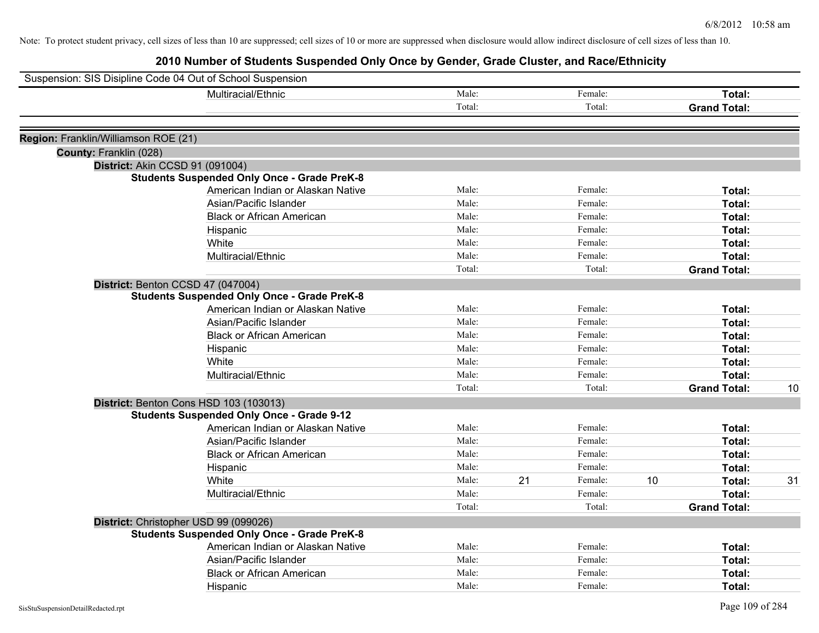|                                      | Suspension: SIS Disipline Code 04 Out of School Suspension |        |    |         |    |                     |    |
|--------------------------------------|------------------------------------------------------------|--------|----|---------|----|---------------------|----|
|                                      | Multiracial/Ethnic                                         | Male:  |    | Female: |    | Total:              |    |
|                                      |                                                            | Total: |    | Total:  |    | <b>Grand Total:</b> |    |
|                                      |                                                            |        |    |         |    |                     |    |
| Region: Franklin/Williamson ROE (21) |                                                            |        |    |         |    |                     |    |
| County: Franklin (028)               |                                                            |        |    |         |    |                     |    |
|                                      | District: Akin CCSD 91 (091004)                            |        |    |         |    |                     |    |
|                                      | <b>Students Suspended Only Once - Grade PreK-8</b>         |        |    |         |    |                     |    |
|                                      | American Indian or Alaskan Native                          | Male:  |    | Female: |    | Total:              |    |
|                                      | Asian/Pacific Islander                                     | Male:  |    | Female: |    | Total:              |    |
|                                      | <b>Black or African American</b>                           | Male:  |    | Female: |    | Total:              |    |
|                                      | Hispanic                                                   | Male:  |    | Female: |    | Total:              |    |
|                                      | White                                                      | Male:  |    | Female: |    | Total:              |    |
|                                      | Multiracial/Ethnic                                         | Male:  |    | Female: |    | Total:              |    |
|                                      |                                                            | Total: |    | Total:  |    | <b>Grand Total:</b> |    |
|                                      | District: Benton CCSD 47 (047004)                          |        |    |         |    |                     |    |
|                                      | <b>Students Suspended Only Once - Grade PreK-8</b>         |        |    |         |    |                     |    |
|                                      | American Indian or Alaskan Native                          | Male:  |    | Female: |    | Total:              |    |
|                                      | Asian/Pacific Islander                                     | Male:  |    | Female: |    | Total:              |    |
|                                      | <b>Black or African American</b>                           | Male:  |    | Female: |    | Total:              |    |
|                                      | Hispanic                                                   | Male:  |    | Female: |    | Total:              |    |
|                                      | White                                                      | Male:  |    | Female: |    | Total:              |    |
|                                      | Multiracial/Ethnic                                         | Male:  |    | Female: |    | Total:              |    |
|                                      |                                                            | Total: |    | Total:  |    | <b>Grand Total:</b> | 10 |
|                                      | District: Benton Cons HSD 103 (103013)                     |        |    |         |    |                     |    |
|                                      | <b>Students Suspended Only Once - Grade 9-12</b>           |        |    |         |    |                     |    |
|                                      | American Indian or Alaskan Native                          | Male:  |    | Female: |    | Total:              |    |
|                                      | Asian/Pacific Islander                                     | Male:  |    | Female: |    | Total:              |    |
|                                      | <b>Black or African American</b>                           | Male:  |    | Female: |    | Total:              |    |
|                                      | Hispanic                                                   | Male:  |    | Female: |    | Total:              |    |
|                                      | White                                                      | Male:  | 21 | Female: | 10 | Total:              | 31 |
|                                      | Multiracial/Ethnic                                         | Male:  |    | Female: |    | Total:              |    |
|                                      |                                                            | Total: |    | Total:  |    | <b>Grand Total:</b> |    |
|                                      | District: Christopher USD 99 (099026)                      |        |    |         |    |                     |    |
|                                      | <b>Students Suspended Only Once - Grade PreK-8</b>         |        |    |         |    |                     |    |
|                                      | American Indian or Alaskan Native                          | Male:  |    | Female: |    | Total:              |    |
|                                      | Asian/Pacific Islander                                     | Male:  |    | Female: |    | Total:              |    |
|                                      | <b>Black or African American</b>                           | Male:  |    | Female: |    | Total:              |    |
|                                      | Hispanic                                                   | Male:  |    | Female: |    | Total:              |    |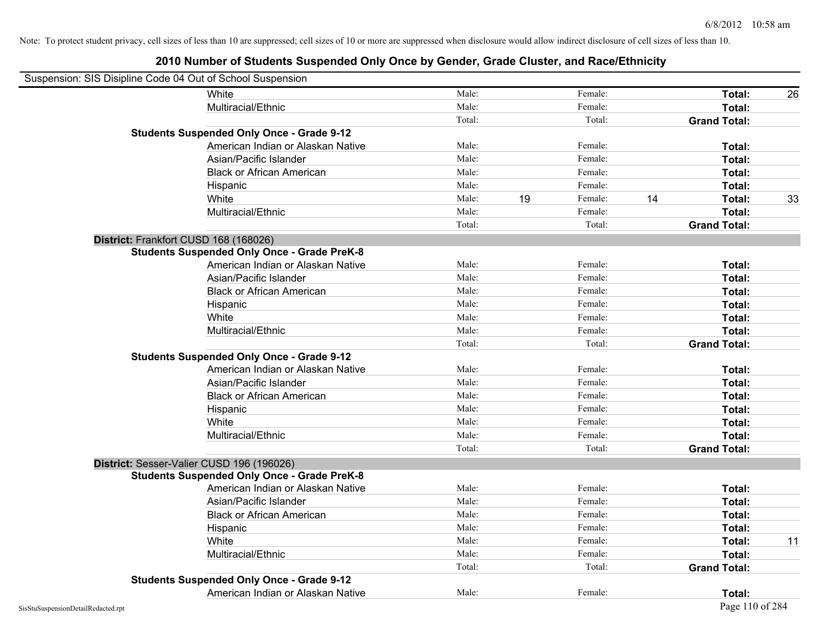| Suspension: SIS Disipline Code 04 Out of School Suspension |                                                    |        |    |         |    |                     |    |
|------------------------------------------------------------|----------------------------------------------------|--------|----|---------|----|---------------------|----|
|                                                            | <b>White</b>                                       | Male:  |    | Female: |    | Total:              | 26 |
|                                                            | Multiracial/Ethnic                                 | Male:  |    | Female: |    | Total:              |    |
|                                                            |                                                    | Total: |    | Total:  |    | <b>Grand Total:</b> |    |
|                                                            | <b>Students Suspended Only Once - Grade 9-12</b>   |        |    |         |    |                     |    |
|                                                            | American Indian or Alaskan Native                  | Male:  |    | Female: |    | Total:              |    |
|                                                            | Asian/Pacific Islander                             | Male:  |    | Female: |    | Total:              |    |
|                                                            | <b>Black or African American</b>                   | Male:  |    | Female: |    | Total:              |    |
|                                                            | Hispanic                                           | Male:  |    | Female: |    | Total:              |    |
|                                                            | White                                              | Male:  | 19 | Female: | 14 | <b>Total:</b>       | 33 |
|                                                            | Multiracial/Ethnic                                 | Male:  |    | Female: |    | Total:              |    |
|                                                            |                                                    | Total: |    | Total:  |    | <b>Grand Total:</b> |    |
| District: Frankfort CUSD 168 (168026)                      |                                                    |        |    |         |    |                     |    |
|                                                            | <b>Students Suspended Only Once - Grade PreK-8</b> |        |    |         |    |                     |    |
|                                                            | American Indian or Alaskan Native                  | Male:  |    | Female: |    | Total:              |    |
|                                                            | Asian/Pacific Islander                             | Male:  |    | Female: |    | Total:              |    |
|                                                            | <b>Black or African American</b>                   | Male:  |    | Female: |    | Total:              |    |
|                                                            | Hispanic                                           | Male:  |    | Female: |    | Total:              |    |
|                                                            | White                                              | Male:  |    | Female: |    | Total:              |    |
|                                                            | Multiracial/Ethnic                                 | Male:  |    | Female: |    | Total:              |    |
|                                                            |                                                    | Total: |    | Total:  |    | <b>Grand Total:</b> |    |
|                                                            | <b>Students Suspended Only Once - Grade 9-12</b>   |        |    |         |    |                     |    |
|                                                            | American Indian or Alaskan Native                  | Male:  |    | Female: |    | Total:              |    |
|                                                            | Asian/Pacific Islander                             | Male:  |    | Female: |    | Total:              |    |
|                                                            | <b>Black or African American</b>                   | Male:  |    | Female: |    | Total:              |    |
|                                                            | Hispanic                                           | Male:  |    | Female: |    | Total:              |    |
|                                                            | White                                              | Male:  |    | Female: |    | Total:              |    |
|                                                            | Multiracial/Ethnic                                 | Male:  |    | Female: |    | Total:              |    |
|                                                            |                                                    | Total: |    | Total:  |    | <b>Grand Total:</b> |    |
| District: Sesser-Valier CUSD 196 (196026)                  |                                                    |        |    |         |    |                     |    |
|                                                            | <b>Students Suspended Only Once - Grade PreK-8</b> |        |    |         |    |                     |    |
|                                                            | American Indian or Alaskan Native                  | Male:  |    | Female: |    | Total:              |    |
|                                                            | Asian/Pacific Islander                             | Male:  |    | Female: |    | Total:              |    |
|                                                            | <b>Black or African American</b>                   | Male:  |    | Female: |    | Total:              |    |
|                                                            | Hispanic                                           | Male:  |    | Female: |    | Total:              |    |
|                                                            | White                                              | Male:  |    | Female: |    | Total:              | 11 |
|                                                            | Multiracial/Ethnic                                 | Male:  |    | Female: |    | Total:              |    |
|                                                            |                                                    | Total: |    | Total:  |    | <b>Grand Total:</b> |    |
|                                                            | <b>Students Suspended Only Once - Grade 9-12</b>   |        |    |         |    |                     |    |
|                                                            | American Indian or Alaskan Native                  | Male:  |    | Female: |    | Total:              |    |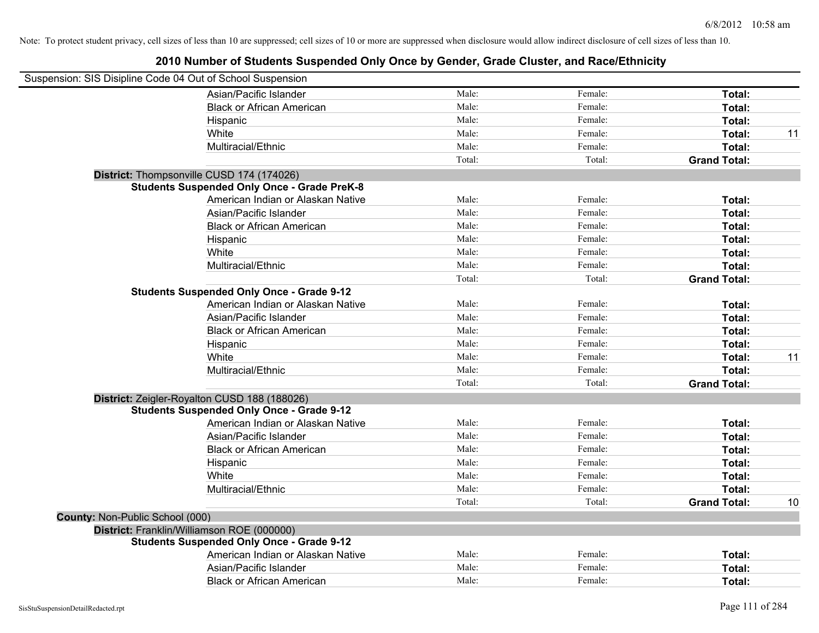| Suspension: SIS Disipline Code 04 Out of School Suspension |                                                    |        |         |                     |    |
|------------------------------------------------------------|----------------------------------------------------|--------|---------|---------------------|----|
|                                                            | Asian/Pacific Islander                             | Male:  | Female: | Total:              |    |
|                                                            | <b>Black or African American</b>                   | Male:  | Female: | Total:              |    |
|                                                            | Hispanic                                           | Male:  | Female: | Total:              |    |
|                                                            | White                                              | Male:  | Female: | Total:              | 11 |
|                                                            | Multiracial/Ethnic                                 | Male:  | Female: | Total:              |    |
|                                                            |                                                    | Total: | Total:  | <b>Grand Total:</b> |    |
| District: Thompsonville CUSD 174 (174026)                  |                                                    |        |         |                     |    |
|                                                            | <b>Students Suspended Only Once - Grade PreK-8</b> |        |         |                     |    |
|                                                            | American Indian or Alaskan Native                  | Male:  | Female: | Total:              |    |
|                                                            | Asian/Pacific Islander                             | Male:  | Female: | Total:              |    |
|                                                            | <b>Black or African American</b>                   | Male:  | Female: | Total:              |    |
|                                                            | Hispanic                                           | Male:  | Female: | Total:              |    |
|                                                            | White                                              | Male:  | Female: | Total:              |    |
|                                                            | Multiracial/Ethnic                                 | Male:  | Female: | Total:              |    |
|                                                            |                                                    | Total: | Total:  | <b>Grand Total:</b> |    |
|                                                            | <b>Students Suspended Only Once - Grade 9-12</b>   |        |         |                     |    |
|                                                            | American Indian or Alaskan Native                  | Male:  | Female: | Total:              |    |
|                                                            | Asian/Pacific Islander                             | Male:  | Female: | Total:              |    |
|                                                            | <b>Black or African American</b>                   | Male:  | Female: | Total:              |    |
|                                                            | Hispanic                                           | Male:  | Female: | Total:              |    |
|                                                            | White                                              | Male:  | Female: | Total:              | 11 |
|                                                            | Multiracial/Ethnic                                 | Male:  | Female: | Total:              |    |
|                                                            |                                                    | Total: | Total:  | <b>Grand Total:</b> |    |
|                                                            | District: Zeigler-Royalton CUSD 188 (188026)       |        |         |                     |    |
|                                                            | <b>Students Suspended Only Once - Grade 9-12</b>   |        |         |                     |    |
|                                                            | American Indian or Alaskan Native                  | Male:  | Female: | Total:              |    |
|                                                            | Asian/Pacific Islander                             | Male:  | Female: | Total:              |    |
|                                                            | <b>Black or African American</b>                   | Male:  | Female: | Total:              |    |
|                                                            | Hispanic                                           | Male:  | Female: | Total:              |    |
|                                                            | White                                              | Male:  | Female: | Total:              |    |
|                                                            | Multiracial/Ethnic                                 | Male:  | Female: | Total:              |    |
|                                                            |                                                    | Total: | Total:  | <b>Grand Total:</b> | 10 |
| County: Non-Public School (000)                            |                                                    |        |         |                     |    |
| District: Franklin/Williamson ROE (000000)                 |                                                    |        |         |                     |    |
|                                                            | <b>Students Suspended Only Once - Grade 9-12</b>   |        |         |                     |    |
|                                                            | American Indian or Alaskan Native                  | Male:  | Female: | Total:              |    |
|                                                            | Asian/Pacific Islander                             | Male:  | Female: | <b>Total:</b>       |    |
|                                                            | <b>Black or African American</b>                   | Male:  | Female: | Total:              |    |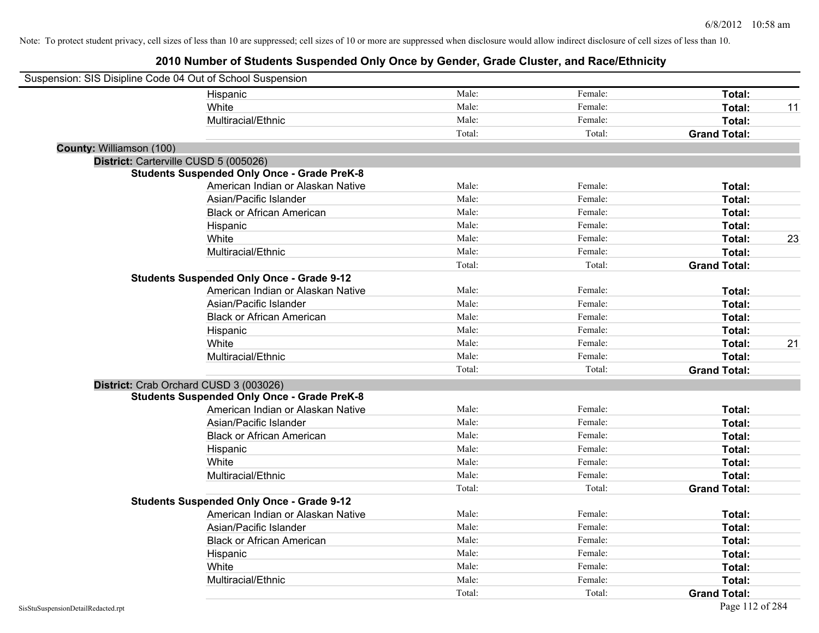| Suspension: SIS Disipline Code 04 Out of School Suspension |                                                    |        |         |                     |    |
|------------------------------------------------------------|----------------------------------------------------|--------|---------|---------------------|----|
|                                                            | Hispanic                                           | Male:  | Female: | Total:              |    |
|                                                            | White                                              | Male:  | Female: | Total:              | 11 |
|                                                            | Multiracial/Ethnic                                 | Male:  | Female: | Total:              |    |
|                                                            |                                                    | Total: | Total:  | <b>Grand Total:</b> |    |
| County: Williamson (100)                                   |                                                    |        |         |                     |    |
| District: Carterville CUSD 5 (005026)                      |                                                    |        |         |                     |    |
|                                                            | <b>Students Suspended Only Once - Grade PreK-8</b> |        |         |                     |    |
|                                                            | American Indian or Alaskan Native                  | Male:  | Female: | Total:              |    |
|                                                            | Asian/Pacific Islander                             | Male:  | Female: | Total:              |    |
|                                                            | <b>Black or African American</b>                   | Male:  | Female: | Total:              |    |
|                                                            | Hispanic                                           | Male:  | Female: | Total:              |    |
|                                                            | White                                              | Male:  | Female: | Total:              | 23 |
|                                                            | Multiracial/Ethnic                                 | Male:  | Female: | Total:              |    |
|                                                            |                                                    | Total: | Total:  | <b>Grand Total:</b> |    |
|                                                            | <b>Students Suspended Only Once - Grade 9-12</b>   |        |         |                     |    |
|                                                            | American Indian or Alaskan Native                  | Male:  | Female: | Total:              |    |
|                                                            | Asian/Pacific Islander                             | Male:  | Female: | Total:              |    |
|                                                            | <b>Black or African American</b>                   | Male:  | Female: | Total:              |    |
|                                                            | Hispanic                                           | Male:  | Female: | Total:              |    |
|                                                            | White                                              | Male:  | Female: | Total:              | 21 |
|                                                            | Multiracial/Ethnic                                 | Male:  | Female: | Total:              |    |
|                                                            |                                                    | Total: | Total:  | <b>Grand Total:</b> |    |
| District: Crab Orchard CUSD 3 (003026)                     |                                                    |        |         |                     |    |
|                                                            | <b>Students Suspended Only Once - Grade PreK-8</b> |        |         |                     |    |
|                                                            | American Indian or Alaskan Native                  | Male:  | Female: | Total:              |    |
|                                                            | Asian/Pacific Islander                             | Male:  | Female: | Total:              |    |
|                                                            | <b>Black or African American</b>                   | Male:  | Female: | Total:              |    |
|                                                            | Hispanic                                           | Male:  | Female: | Total:              |    |
|                                                            | White                                              | Male:  | Female: | Total:              |    |
|                                                            | Multiracial/Ethnic                                 | Male:  | Female: | Total:              |    |
|                                                            |                                                    | Total: | Total:  | <b>Grand Total:</b> |    |
|                                                            | <b>Students Suspended Only Once - Grade 9-12</b>   |        |         |                     |    |
|                                                            | American Indian or Alaskan Native                  | Male:  | Female: | Total:              |    |
|                                                            | Asian/Pacific Islander                             | Male:  | Female: | Total:              |    |
|                                                            | <b>Black or African American</b>                   | Male:  | Female: | Total:              |    |
|                                                            | Hispanic                                           | Male:  | Female: | Total:              |    |
|                                                            | White                                              | Male:  | Female: | Total:              |    |
|                                                            | Multiracial/Ethnic                                 | Male:  | Female: | Total:              |    |
|                                                            |                                                    | Total: | Total:  | <b>Grand Total:</b> |    |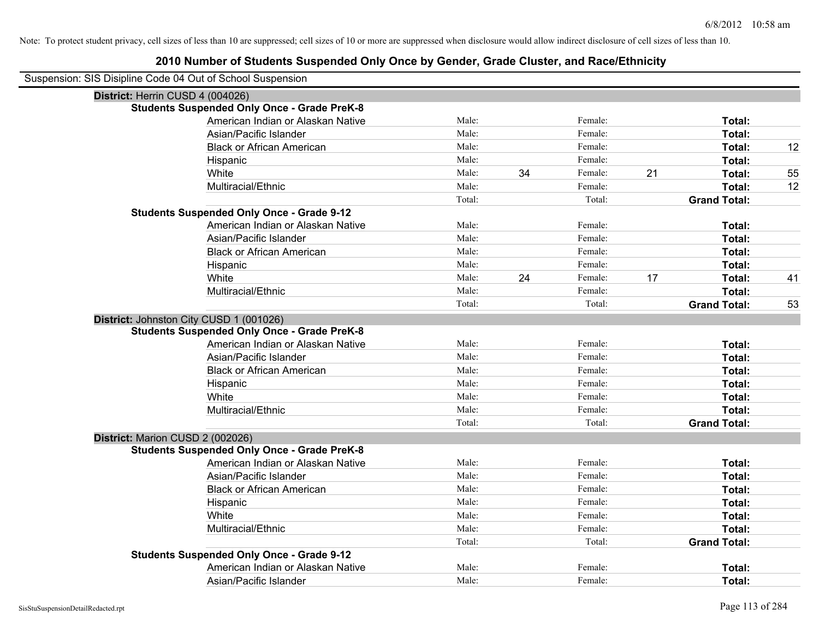| Suspension: SIS Disipline Code 04 Out of School Suspension |                                                    |        |    |         |    |                     |    |
|------------------------------------------------------------|----------------------------------------------------|--------|----|---------|----|---------------------|----|
| District: Herrin CUSD 4 (004026)                           |                                                    |        |    |         |    |                     |    |
|                                                            | <b>Students Suspended Only Once - Grade PreK-8</b> |        |    |         |    |                     |    |
|                                                            | American Indian or Alaskan Native                  | Male:  |    | Female: |    | Total:              |    |
|                                                            | Asian/Pacific Islander                             | Male:  |    | Female: |    | Total:              |    |
|                                                            | <b>Black or African American</b>                   | Male:  |    | Female: |    | Total:              | 12 |
|                                                            | Hispanic                                           | Male:  |    | Female: |    | Total:              |    |
|                                                            | White                                              | Male:  | 34 | Female: | 21 | Total:              | 55 |
|                                                            | Multiracial/Ethnic                                 | Male:  |    | Female: |    | Total:              | 12 |
|                                                            |                                                    | Total: |    | Total:  |    | <b>Grand Total:</b> |    |
|                                                            | <b>Students Suspended Only Once - Grade 9-12</b>   |        |    |         |    |                     |    |
|                                                            | American Indian or Alaskan Native                  | Male:  |    | Female: |    | Total:              |    |
|                                                            | Asian/Pacific Islander                             | Male:  |    | Female: |    | Total:              |    |
|                                                            | <b>Black or African American</b>                   | Male:  |    | Female: |    | Total:              |    |
|                                                            | Hispanic                                           | Male:  |    | Female: |    | Total:              |    |
|                                                            | White                                              | Male:  | 24 | Female: | 17 | Total:              | 41 |
|                                                            | Multiracial/Ethnic                                 | Male:  |    | Female: |    | Total:              |    |
|                                                            |                                                    | Total: |    | Total:  |    | <b>Grand Total:</b> | 53 |
|                                                            | District: Johnston City CUSD 1 (001026)            |        |    |         |    |                     |    |
|                                                            | <b>Students Suspended Only Once - Grade PreK-8</b> |        |    |         |    |                     |    |
|                                                            | American Indian or Alaskan Native                  | Male:  |    | Female: |    | Total:              |    |
|                                                            | Asian/Pacific Islander                             | Male:  |    | Female: |    | Total:              |    |
|                                                            | <b>Black or African American</b>                   | Male:  |    | Female: |    | Total:              |    |
|                                                            | Hispanic                                           | Male:  |    | Female: |    | Total:              |    |
|                                                            | White                                              | Male:  |    | Female: |    | Total:              |    |
|                                                            | Multiracial/Ethnic                                 | Male:  |    | Female: |    | Total:              |    |
|                                                            |                                                    | Total: |    | Total:  |    | <b>Grand Total:</b> |    |
| District: Marion CUSD 2 (002026)                           |                                                    |        |    |         |    |                     |    |
|                                                            | <b>Students Suspended Only Once - Grade PreK-8</b> |        |    |         |    |                     |    |
|                                                            | American Indian or Alaskan Native                  | Male:  |    | Female: |    | Total:              |    |
|                                                            | Asian/Pacific Islander                             | Male:  |    | Female: |    | Total:              |    |
|                                                            | <b>Black or African American</b>                   | Male:  |    | Female: |    | Total:              |    |
|                                                            | Hispanic                                           | Male:  |    | Female: |    | Total:              |    |
|                                                            | White                                              | Male:  |    | Female: |    | Total:              |    |
|                                                            | Multiracial/Ethnic                                 | Male:  |    | Female: |    | Total:              |    |
|                                                            |                                                    | Total: |    | Total:  |    | <b>Grand Total:</b> |    |
|                                                            | <b>Students Suspended Only Once - Grade 9-12</b>   |        |    |         |    |                     |    |
|                                                            | American Indian or Alaskan Native                  | Male:  |    | Female: |    | <b>Total:</b>       |    |
|                                                            | Asian/Pacific Islander                             | Male:  |    | Female: |    | Total:              |    |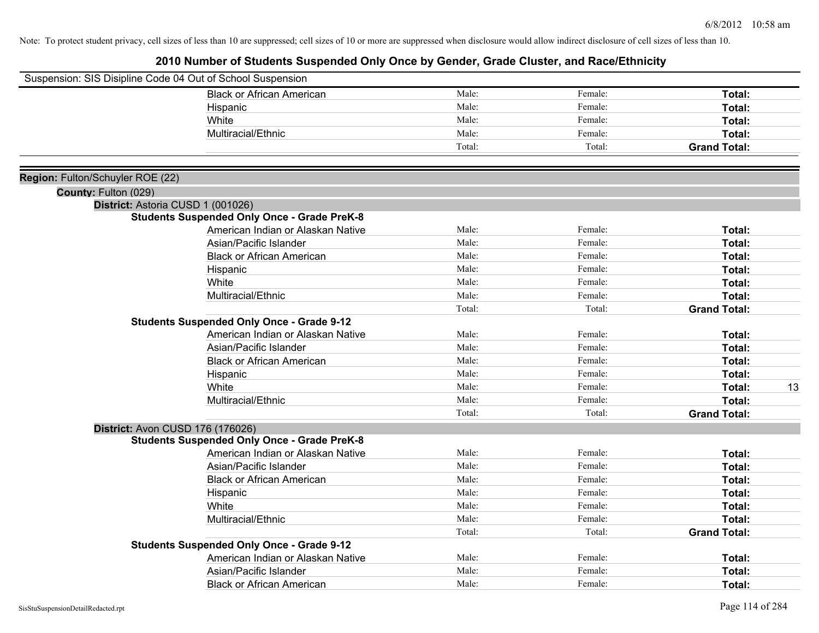|                                  | Suspension: SIS Disipline Code 04 Out of School Suspension |        |         |                     |
|----------------------------------|------------------------------------------------------------|--------|---------|---------------------|
|                                  | <b>Black or African American</b>                           | Male:  | Female: | Total:              |
|                                  | Hispanic                                                   | Male:  | Female: | Total:              |
|                                  | White                                                      | Male:  | Female: | Total:              |
|                                  | Multiracial/Ethnic                                         | Male:  | Female: | Total:              |
|                                  |                                                            | Total: | Total:  | <b>Grand Total:</b> |
| Region: Fulton/Schuyler ROE (22) |                                                            |        |         |                     |
| County: Fulton (029)             |                                                            |        |         |                     |
|                                  | District: Astoria CUSD 1 (001026)                          |        |         |                     |
|                                  | <b>Students Suspended Only Once - Grade PreK-8</b>         |        |         |                     |
|                                  | American Indian or Alaskan Native                          | Male:  | Female: | Total:              |
|                                  | Asian/Pacific Islander                                     | Male:  | Female: | Total:              |
|                                  | <b>Black or African American</b>                           | Male:  | Female: | Total:              |
|                                  | Hispanic                                                   | Male:  | Female: | Total:              |
|                                  | White                                                      | Male:  | Female: | Total:              |
|                                  | Multiracial/Ethnic                                         | Male:  | Female: | Total:              |
|                                  |                                                            | Total: | Total:  | <b>Grand Total:</b> |
|                                  | <b>Students Suspended Only Once - Grade 9-12</b>           |        |         |                     |
|                                  | American Indian or Alaskan Native                          | Male:  | Female: | Total:              |
|                                  | Asian/Pacific Islander                                     | Male:  | Female: | Total:              |
|                                  | <b>Black or African American</b>                           | Male:  | Female: | Total:              |
|                                  | Hispanic                                                   | Male:  | Female: | Total:              |
|                                  | White                                                      | Male:  | Female: | Total:<br>13        |
|                                  | Multiracial/Ethnic                                         | Male:  | Female: | Total:              |
|                                  |                                                            | Total: | Total:  | <b>Grand Total:</b> |
|                                  | <b>District: Avon CUSD 176 (176026)</b>                    |        |         |                     |
|                                  | <b>Students Suspended Only Once - Grade PreK-8</b>         |        |         |                     |
|                                  | American Indian or Alaskan Native                          | Male:  | Female: | Total:              |
|                                  | Asian/Pacific Islander                                     | Male:  | Female: | Total:              |
|                                  | <b>Black or African American</b>                           | Male:  | Female: | Total:              |
|                                  | Hispanic                                                   | Male:  | Female: | Total:              |
|                                  | White                                                      | Male:  | Female: | Total:              |
|                                  | Multiracial/Ethnic                                         | Male:  | Female: | Total:              |
|                                  |                                                            | Total: | Total:  | <b>Grand Total:</b> |
|                                  | <b>Students Suspended Only Once - Grade 9-12</b>           |        |         |                     |
|                                  | American Indian or Alaskan Native                          | Male:  | Female: | Total:              |
|                                  | Asian/Pacific Islander                                     | Male:  | Female: | Total:              |
|                                  | Black or African American                                  | Male:  | Female: | Total:              |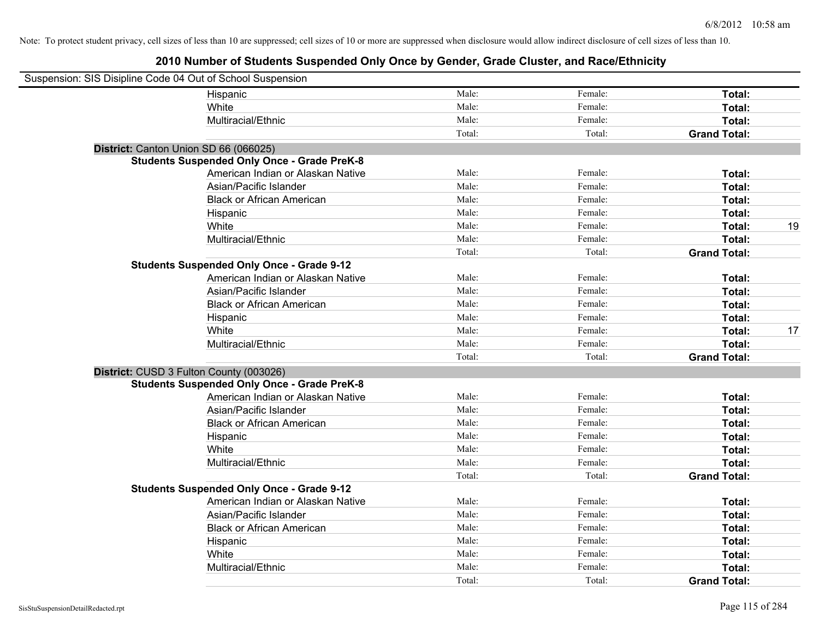| Suspension: SIS Disipline Code 04 Out of School Suspension |                                                    |        |         |                     |    |
|------------------------------------------------------------|----------------------------------------------------|--------|---------|---------------------|----|
|                                                            | Hispanic                                           | Male:  | Female: | Total:              |    |
|                                                            | White                                              | Male:  | Female: | Total:              |    |
|                                                            | Multiracial/Ethnic                                 | Male:  | Female: | Total:              |    |
|                                                            |                                                    | Total: | Total:  | <b>Grand Total:</b> |    |
| District: Canton Union SD 66 (066025)                      |                                                    |        |         |                     |    |
|                                                            | <b>Students Suspended Only Once - Grade PreK-8</b> |        |         |                     |    |
|                                                            | American Indian or Alaskan Native                  | Male:  | Female: | Total:              |    |
|                                                            | Asian/Pacific Islander                             | Male:  | Female: | Total:              |    |
|                                                            | <b>Black or African American</b>                   | Male:  | Female: | Total:              |    |
|                                                            | Hispanic                                           | Male:  | Female: | Total:              |    |
|                                                            | White                                              | Male:  | Female: | Total:              | 19 |
|                                                            | Multiracial/Ethnic                                 | Male:  | Female: | Total:              |    |
|                                                            |                                                    | Total: | Total:  | <b>Grand Total:</b> |    |
|                                                            | <b>Students Suspended Only Once - Grade 9-12</b>   |        |         |                     |    |
|                                                            | American Indian or Alaskan Native                  | Male:  | Female: | Total:              |    |
|                                                            | Asian/Pacific Islander                             | Male:  | Female: | Total:              |    |
|                                                            | <b>Black or African American</b>                   | Male:  | Female: | Total:              |    |
|                                                            | Hispanic                                           | Male:  | Female: | Total:              |    |
|                                                            | White                                              | Male:  | Female: | Total:              | 17 |
|                                                            | Multiracial/Ethnic                                 | Male:  | Female: | Total:              |    |
|                                                            |                                                    | Total: | Total:  | <b>Grand Total:</b> |    |
| District: CUSD 3 Fulton County (003026)                    |                                                    |        |         |                     |    |
|                                                            | <b>Students Suspended Only Once - Grade PreK-8</b> |        |         |                     |    |
|                                                            | American Indian or Alaskan Native                  | Male:  | Female: | Total:              |    |
|                                                            | Asian/Pacific Islander                             | Male:  | Female: | Total:              |    |
|                                                            | <b>Black or African American</b>                   | Male:  | Female: | Total:              |    |
|                                                            | Hispanic                                           | Male:  | Female: | Total:              |    |
|                                                            | White                                              | Male:  | Female: | Total:              |    |
|                                                            | Multiracial/Ethnic                                 | Male:  | Female: | Total:              |    |
|                                                            |                                                    | Total: | Total:  | <b>Grand Total:</b> |    |
|                                                            | <b>Students Suspended Only Once - Grade 9-12</b>   |        |         |                     |    |
|                                                            | American Indian or Alaskan Native                  | Male:  | Female: | Total:              |    |
|                                                            | Asian/Pacific Islander                             | Male:  | Female: | Total:              |    |
|                                                            | <b>Black or African American</b>                   | Male:  | Female: | Total:              |    |
|                                                            | Hispanic                                           | Male:  | Female: | Total:              |    |
|                                                            | White                                              | Male:  | Female: | Total:              |    |
|                                                            | Multiracial/Ethnic                                 | Male:  | Female: | Total:              |    |
|                                                            |                                                    | Total: | Total:  | <b>Grand Total:</b> |    |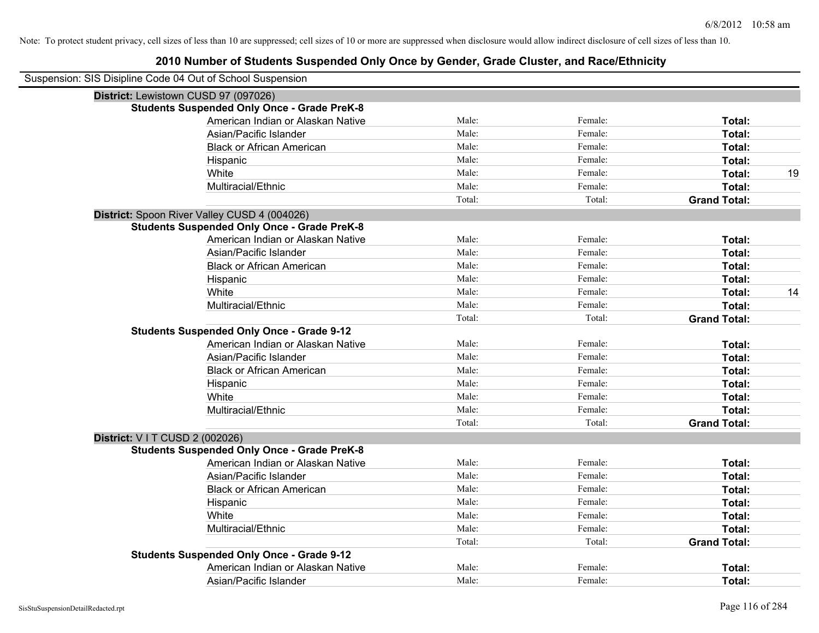| Suspension: SIS Disipline Code 04 Out of School Suspension |                                                    |        |         |                     |    |
|------------------------------------------------------------|----------------------------------------------------|--------|---------|---------------------|----|
|                                                            | District: Lewistown CUSD 97 (097026)               |        |         |                     |    |
|                                                            | <b>Students Suspended Only Once - Grade PreK-8</b> |        |         |                     |    |
|                                                            | American Indian or Alaskan Native                  | Male:  | Female: | Total:              |    |
|                                                            | Asian/Pacific Islander                             | Male:  | Female: | Total:              |    |
|                                                            | <b>Black or African American</b>                   | Male:  | Female: | Total:              |    |
|                                                            | Hispanic                                           | Male:  | Female: | <b>Total:</b>       |    |
|                                                            | White                                              | Male:  | Female: | Total:              | 19 |
|                                                            | Multiracial/Ethnic                                 | Male:  | Female: | Total:              |    |
|                                                            |                                                    | Total: | Total:  | <b>Grand Total:</b> |    |
|                                                            | District: Spoon River Valley CUSD 4 (004026)       |        |         |                     |    |
|                                                            | <b>Students Suspended Only Once - Grade PreK-8</b> |        |         |                     |    |
|                                                            | American Indian or Alaskan Native                  | Male:  | Female: | Total:              |    |
|                                                            | Asian/Pacific Islander                             | Male:  | Female: | Total:              |    |
|                                                            | <b>Black or African American</b>                   | Male:  | Female: | Total:              |    |
|                                                            | Hispanic                                           | Male:  | Female: | Total:              |    |
|                                                            | White                                              | Male:  | Female: | Total:              | 14 |
|                                                            | Multiracial/Ethnic                                 | Male:  | Female: | Total:              |    |
|                                                            |                                                    | Total: | Total:  | <b>Grand Total:</b> |    |
|                                                            | <b>Students Suspended Only Once - Grade 9-12</b>   |        |         |                     |    |
|                                                            | American Indian or Alaskan Native                  | Male:  | Female: | Total:              |    |
|                                                            | Asian/Pacific Islander                             | Male:  | Female: | Total:              |    |
|                                                            | <b>Black or African American</b>                   | Male:  | Female: | Total:              |    |
|                                                            | Hispanic                                           | Male:  | Female: | Total:              |    |
|                                                            | White                                              | Male:  | Female: | Total:              |    |
|                                                            | Multiracial/Ethnic                                 | Male:  | Female: | Total:              |    |
|                                                            |                                                    | Total: | Total:  | <b>Grand Total:</b> |    |
| <b>District: VIT CUSD 2 (002026)</b>                       |                                                    |        |         |                     |    |
|                                                            | <b>Students Suspended Only Once - Grade PreK-8</b> |        |         |                     |    |
|                                                            | American Indian or Alaskan Native                  | Male:  | Female: | Total:              |    |
|                                                            | Asian/Pacific Islander                             | Male:  | Female: | Total:              |    |
|                                                            | <b>Black or African American</b>                   | Male:  | Female: | Total:              |    |
|                                                            | Hispanic                                           | Male:  | Female: | Total:              |    |
|                                                            | White                                              | Male:  | Female: | Total:              |    |
|                                                            | Multiracial/Ethnic                                 | Male:  | Female: | Total:              |    |
|                                                            |                                                    | Total: | Total:  | <b>Grand Total:</b> |    |
|                                                            | <b>Students Suspended Only Once - Grade 9-12</b>   |        |         |                     |    |
|                                                            | American Indian or Alaskan Native                  | Male:  | Female: | Total:              |    |
|                                                            | Asian/Pacific Islander                             | Male:  | Female: | Total:              |    |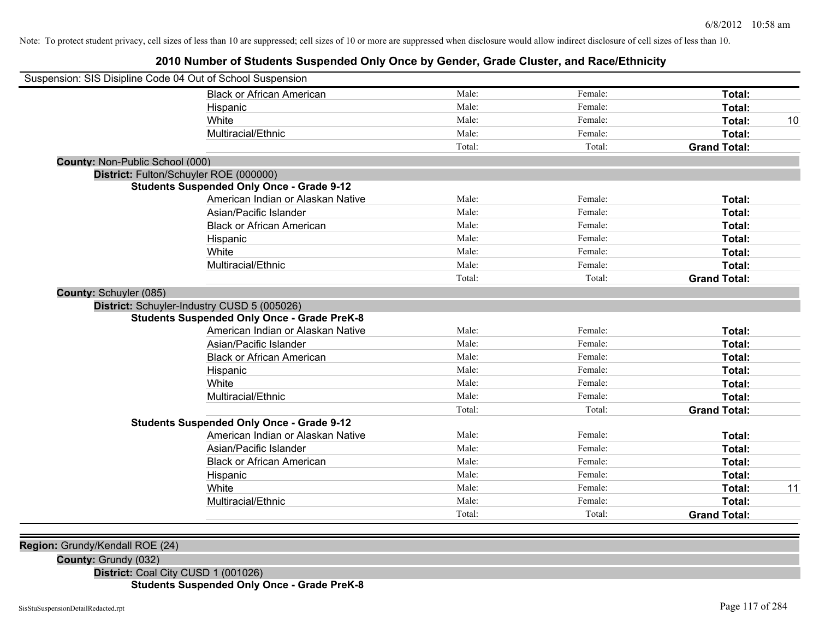### **2010 Number of Students Suspended Only Once by Gender, Grade Cluster, and Race/Ethnicity**

|                                 | Suspension: SIS Disipline Code 04 Out of School Suspension |        |         |                     |    |
|---------------------------------|------------------------------------------------------------|--------|---------|---------------------|----|
|                                 | <b>Black or African American</b>                           | Male:  | Female: | Total:              |    |
|                                 | Hispanic                                                   | Male:  | Female: | Total:              |    |
|                                 | White                                                      | Male:  | Female: | <b>Total:</b>       | 10 |
|                                 | Multiracial/Ethnic                                         | Male:  | Female: | <b>Total:</b>       |    |
|                                 |                                                            | Total: | Total:  | <b>Grand Total:</b> |    |
| County: Non-Public School (000) |                                                            |        |         |                     |    |
|                                 | District: Fulton/Schuyler ROE (000000)                     |        |         |                     |    |
|                                 | <b>Students Suspended Only Once - Grade 9-12</b>           |        |         |                     |    |
|                                 | American Indian or Alaskan Native                          | Male:  | Female: | Total:              |    |
|                                 | Asian/Pacific Islander                                     | Male:  | Female: | <b>Total:</b>       |    |
|                                 | <b>Black or African American</b>                           | Male:  | Female: | <b>Total:</b>       |    |
|                                 | Hispanic                                                   | Male:  | Female: | Total:              |    |
|                                 | White                                                      | Male:  | Female: | Total:              |    |
|                                 | Multiracial/Ethnic                                         | Male:  | Female: | Total:              |    |
|                                 |                                                            | Total: | Total:  | <b>Grand Total:</b> |    |
| <b>County: Schuyler (085)</b>   |                                                            |        |         |                     |    |
|                                 | District: Schuyler-Industry CUSD 5 (005026)                |        |         |                     |    |
|                                 | <b>Students Suspended Only Once - Grade PreK-8</b>         |        |         |                     |    |
|                                 | American Indian or Alaskan Native                          | Male:  | Female: | Total:              |    |
|                                 | Asian/Pacific Islander                                     | Male:  | Female: | Total:              |    |
|                                 | <b>Black or African American</b>                           | Male:  | Female: | Total:              |    |
|                                 | Hispanic                                                   | Male:  | Female: | Total:              |    |
|                                 | White                                                      | Male:  | Female: | <b>Total:</b>       |    |
|                                 | Multiracial/Ethnic                                         | Male:  | Female: | Total:              |    |
|                                 |                                                            | Total: | Total:  | <b>Grand Total:</b> |    |
|                                 | <b>Students Suspended Only Once - Grade 9-12</b>           |        |         |                     |    |
|                                 | American Indian or Alaskan Native                          | Male:  | Female: | Total:              |    |
|                                 | Asian/Pacific Islander                                     | Male:  | Female: | Total:              |    |
|                                 | <b>Black or African American</b>                           | Male:  | Female: | Total:              |    |
|                                 | Hispanic                                                   | Male:  | Female: | Total:              |    |
|                                 | White                                                      | Male:  | Female: | Total:              | 11 |
|                                 | Multiracial/Ethnic                                         | Male:  | Female: | Total:              |    |
|                                 |                                                            | Total: | Total:  | <b>Grand Total:</b> |    |

**Region:** Grundy/Kendall ROE (24)

**County:** Grundy (032)

**District:** Coal City CUSD 1 (001026)

**Students Suspended Only Once - Grade PreK-8**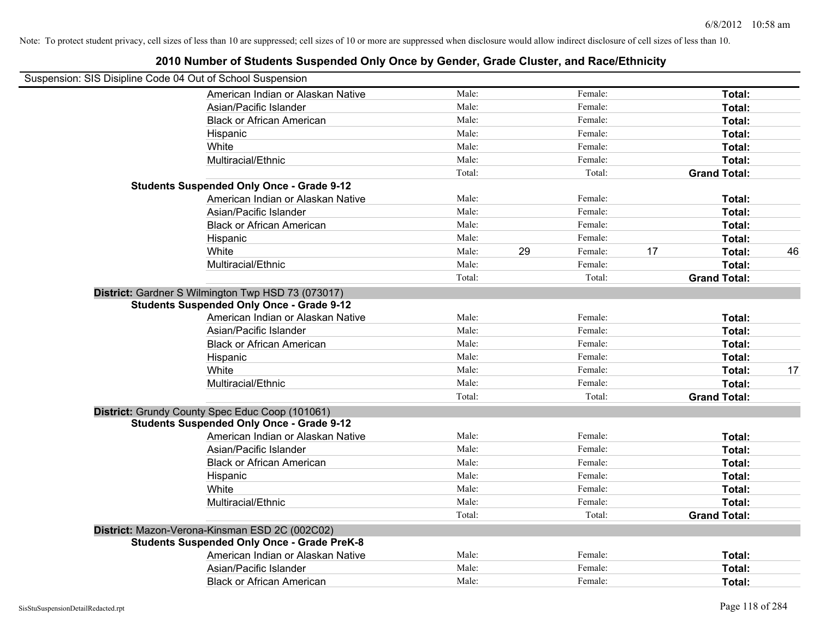| Suspension: SIS Disipline Code 04 Out of School Suspension |                                                    |        |    |         |    |                     |    |
|------------------------------------------------------------|----------------------------------------------------|--------|----|---------|----|---------------------|----|
|                                                            | American Indian or Alaskan Native                  | Male:  |    | Female: |    | Total:              |    |
|                                                            | Asian/Pacific Islander                             | Male:  |    | Female: |    | Total:              |    |
|                                                            | <b>Black or African American</b>                   | Male:  |    | Female: |    | Total:              |    |
|                                                            | Hispanic                                           | Male:  |    | Female: |    | Total:              |    |
|                                                            | White                                              | Male:  |    | Female: |    | Total:              |    |
|                                                            | Multiracial/Ethnic                                 | Male:  |    | Female: |    | Total:              |    |
|                                                            |                                                    | Total: |    | Total:  |    | <b>Grand Total:</b> |    |
|                                                            | <b>Students Suspended Only Once - Grade 9-12</b>   |        |    |         |    |                     |    |
|                                                            | American Indian or Alaskan Native                  | Male:  |    | Female: |    | Total:              |    |
|                                                            | Asian/Pacific Islander                             | Male:  |    | Female: |    | Total:              |    |
|                                                            | <b>Black or African American</b>                   | Male:  |    | Female: |    | Total:              |    |
|                                                            | Hispanic                                           | Male:  |    | Female: |    | Total:              |    |
|                                                            | White                                              | Male:  | 29 | Female: | 17 | Total:              | 46 |
|                                                            | Multiracial/Ethnic                                 | Male:  |    | Female: |    | Total:              |    |
|                                                            |                                                    | Total: |    | Total:  |    | <b>Grand Total:</b> |    |
|                                                            | District: Gardner S Wilmington Twp HSD 73 (073017) |        |    |         |    |                     |    |
|                                                            | <b>Students Suspended Only Once - Grade 9-12</b>   |        |    |         |    |                     |    |
|                                                            | American Indian or Alaskan Native                  | Male:  |    | Female: |    | Total:              |    |
|                                                            | Asian/Pacific Islander                             | Male:  |    | Female: |    | Total:              |    |
|                                                            | <b>Black or African American</b>                   | Male:  |    | Female: |    | Total:              |    |
|                                                            | Hispanic                                           | Male:  |    | Female: |    | Total:              |    |
|                                                            | White                                              | Male:  |    | Female: |    | Total:              | 17 |
|                                                            | Multiracial/Ethnic                                 | Male:  |    | Female: |    | Total:              |    |
|                                                            |                                                    | Total: |    | Total:  |    | <b>Grand Total:</b> |    |
|                                                            | District: Grundy County Spec Educ Coop (101061)    |        |    |         |    |                     |    |
|                                                            | <b>Students Suspended Only Once - Grade 9-12</b>   |        |    |         |    |                     |    |
|                                                            | American Indian or Alaskan Native                  | Male:  |    | Female: |    | Total:              |    |
|                                                            | Asian/Pacific Islander                             | Male:  |    | Female: |    | Total:              |    |
|                                                            | <b>Black or African American</b>                   | Male:  |    | Female: |    | Total:              |    |
|                                                            | Hispanic                                           | Male:  |    | Female: |    | Total:              |    |
|                                                            | White                                              | Male:  |    | Female: |    | Total:              |    |
|                                                            | Multiracial/Ethnic                                 | Male:  |    | Female: |    | Total:              |    |
|                                                            |                                                    | Total: |    | Total:  |    | <b>Grand Total:</b> |    |
|                                                            | District: Mazon-Verona-Kinsman ESD 2C (002C02)     |        |    |         |    |                     |    |
|                                                            | <b>Students Suspended Only Once - Grade PreK-8</b> |        |    |         |    |                     |    |
|                                                            | American Indian or Alaskan Native                  | Male:  |    | Female: |    | Total:              |    |
|                                                            | Asian/Pacific Islander                             | Male:  |    | Female: |    | Total:              |    |
|                                                            | <b>Black or African American</b>                   | Male:  |    | Female: |    | Total:              |    |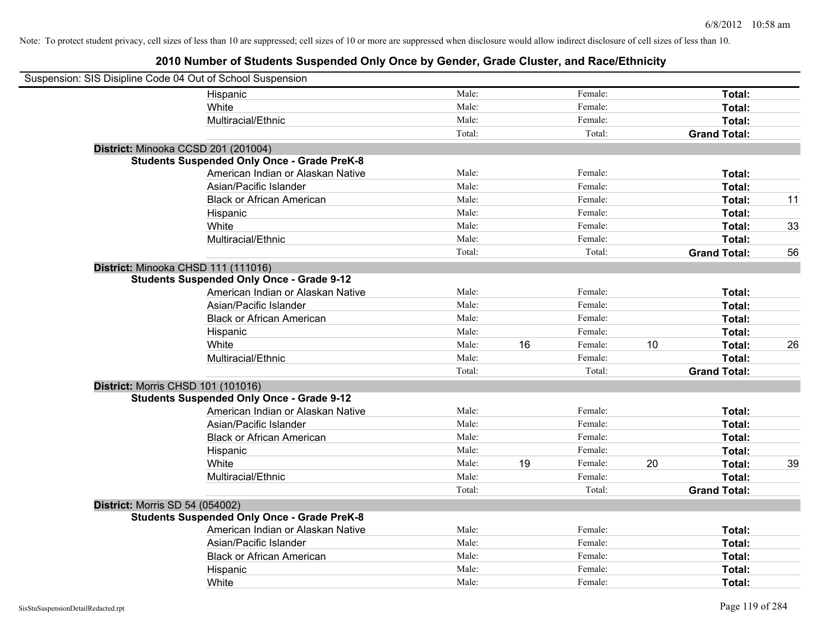| Suspension: SIS Disipline Code 04 Out of School Suspension |                                                    |        |    |         |    |                     |    |
|------------------------------------------------------------|----------------------------------------------------|--------|----|---------|----|---------------------|----|
|                                                            | Hispanic                                           | Male:  |    | Female: |    | Total:              |    |
|                                                            | White                                              | Male:  |    | Female: |    | Total:              |    |
|                                                            | Multiracial/Ethnic                                 | Male:  |    | Female: |    | Total:              |    |
|                                                            |                                                    | Total: |    | Total:  |    | <b>Grand Total:</b> |    |
| District: Minooka CCSD 201 (201004)                        |                                                    |        |    |         |    |                     |    |
|                                                            | <b>Students Suspended Only Once - Grade PreK-8</b> |        |    |         |    |                     |    |
|                                                            | American Indian or Alaskan Native                  | Male:  |    | Female: |    | Total:              |    |
|                                                            | Asian/Pacific Islander                             | Male:  |    | Female: |    | Total:              |    |
|                                                            | <b>Black or African American</b>                   | Male:  |    | Female: |    | Total:              | 11 |
|                                                            | Hispanic                                           | Male:  |    | Female: |    | Total:              |    |
|                                                            | White                                              | Male:  |    | Female: |    | Total:              | 33 |
|                                                            | Multiracial/Ethnic                                 | Male:  |    | Female: |    | Total:              |    |
|                                                            |                                                    | Total: |    | Total:  |    | <b>Grand Total:</b> | 56 |
| District: Minooka CHSD 111 (111016)                        |                                                    |        |    |         |    |                     |    |
|                                                            | <b>Students Suspended Only Once - Grade 9-12</b>   |        |    |         |    |                     |    |
|                                                            | American Indian or Alaskan Native                  | Male:  |    | Female: |    | Total:              |    |
|                                                            | Asian/Pacific Islander                             | Male:  |    | Female: |    | Total:              |    |
|                                                            | <b>Black or African American</b>                   | Male:  |    | Female: |    | Total:              |    |
|                                                            | Hispanic                                           | Male:  |    | Female: |    | Total:              |    |
|                                                            | White                                              | Male:  | 16 | Female: | 10 | Total:              | 26 |
|                                                            | Multiracial/Ethnic                                 | Male:  |    | Female: |    | Total:              |    |
|                                                            |                                                    | Total: |    | Total:  |    | <b>Grand Total:</b> |    |
| <b>District: Morris CHSD 101 (101016)</b>                  |                                                    |        |    |         |    |                     |    |
|                                                            | <b>Students Suspended Only Once - Grade 9-12</b>   |        |    |         |    |                     |    |
|                                                            | American Indian or Alaskan Native                  | Male:  |    | Female: |    | Total:              |    |
|                                                            | Asian/Pacific Islander                             | Male:  |    | Female: |    | Total:              |    |
|                                                            | <b>Black or African American</b>                   | Male:  |    | Female: |    | Total:              |    |
|                                                            | Hispanic                                           | Male:  |    | Female: |    | Total:              |    |
|                                                            | White                                              | Male:  | 19 | Female: | 20 | Total:              | 39 |
|                                                            | Multiracial/Ethnic                                 | Male:  |    | Female: |    | Total:              |    |
|                                                            |                                                    | Total: |    | Total:  |    | <b>Grand Total:</b> |    |
| <b>District: Morris SD 54 (054002)</b>                     |                                                    |        |    |         |    |                     |    |
|                                                            | <b>Students Suspended Only Once - Grade PreK-8</b> |        |    |         |    |                     |    |
|                                                            | American Indian or Alaskan Native                  | Male:  |    | Female: |    | Total:              |    |
|                                                            | Asian/Pacific Islander                             | Male:  |    | Female: |    | Total:              |    |
|                                                            | <b>Black or African American</b>                   | Male:  |    | Female: |    | Total:              |    |
|                                                            | Hispanic                                           | Male:  |    | Female: |    | Total:              |    |
|                                                            | White                                              | Male:  |    | Female: |    | Total:              |    |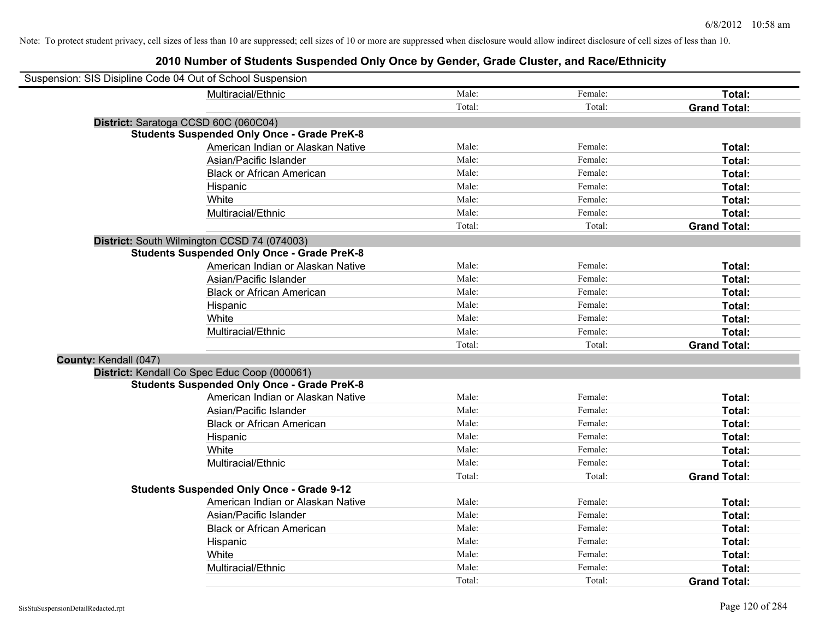| Suspension: SIS Disipline Code 04 Out of School Suspension |                                                    |        |         |                     |
|------------------------------------------------------------|----------------------------------------------------|--------|---------|---------------------|
|                                                            | Multiracial/Ethnic                                 | Male:  | Female: | Total:              |
|                                                            |                                                    | Total: | Total:  | <b>Grand Total:</b> |
| District: Saratoga CCSD 60C (060C04)                       |                                                    |        |         |                     |
|                                                            | <b>Students Suspended Only Once - Grade PreK-8</b> |        |         |                     |
|                                                            | American Indian or Alaskan Native                  | Male:  | Female: | Total:              |
|                                                            | Asian/Pacific Islander                             | Male:  | Female: | Total:              |
|                                                            | <b>Black or African American</b>                   | Male:  | Female: | Total:              |
|                                                            | Hispanic                                           | Male:  | Female: | Total:              |
|                                                            | White                                              | Male:  | Female: | Total:              |
|                                                            | Multiracial/Ethnic                                 | Male:  | Female: | Total:              |
|                                                            |                                                    | Total: | Total:  | <b>Grand Total:</b> |
|                                                            | District: South Wilmington CCSD 74 (074003)        |        |         |                     |
|                                                            | <b>Students Suspended Only Once - Grade PreK-8</b> |        |         |                     |
|                                                            | American Indian or Alaskan Native                  | Male:  | Female: | Total:              |
|                                                            | Asian/Pacific Islander                             | Male:  | Female: | Total:              |
|                                                            | <b>Black or African American</b>                   | Male:  | Female: | Total:              |
|                                                            | Hispanic                                           | Male:  | Female: | Total:              |
|                                                            | White                                              | Male:  | Female: | Total:              |
|                                                            | Multiracial/Ethnic                                 | Male:  | Female: | Total:              |
|                                                            |                                                    | Total: | Total:  | <b>Grand Total:</b> |
| County: Kendall (047)                                      |                                                    |        |         |                     |
|                                                            | District: Kendall Co Spec Educ Coop (000061)       |        |         |                     |
|                                                            | <b>Students Suspended Only Once - Grade PreK-8</b> |        |         |                     |
|                                                            | American Indian or Alaskan Native                  | Male:  | Female: | Total:              |
|                                                            | Asian/Pacific Islander                             | Male:  | Female: | Total:              |
|                                                            | <b>Black or African American</b>                   | Male:  | Female: | Total:              |
|                                                            | Hispanic                                           | Male:  | Female: | Total:              |
|                                                            | White                                              | Male:  | Female: | Total:              |
|                                                            | Multiracial/Ethnic                                 | Male:  | Female: | Total:              |
|                                                            |                                                    | Total: | Total:  | <b>Grand Total:</b> |
|                                                            | <b>Students Suspended Only Once - Grade 9-12</b>   |        |         |                     |
|                                                            | American Indian or Alaskan Native                  | Male:  | Female: | Total:              |
|                                                            | Asian/Pacific Islander                             | Male:  | Female: | Total:              |
|                                                            | <b>Black or African American</b>                   | Male:  | Female: | Total:              |
|                                                            | Hispanic                                           | Male:  | Female: | Total:              |
|                                                            | White                                              | Male:  | Female: | Total:              |
|                                                            | Multiracial/Ethnic                                 | Male:  | Female: | Total:              |
|                                                            |                                                    | Total: | Total:  | <b>Grand Total:</b> |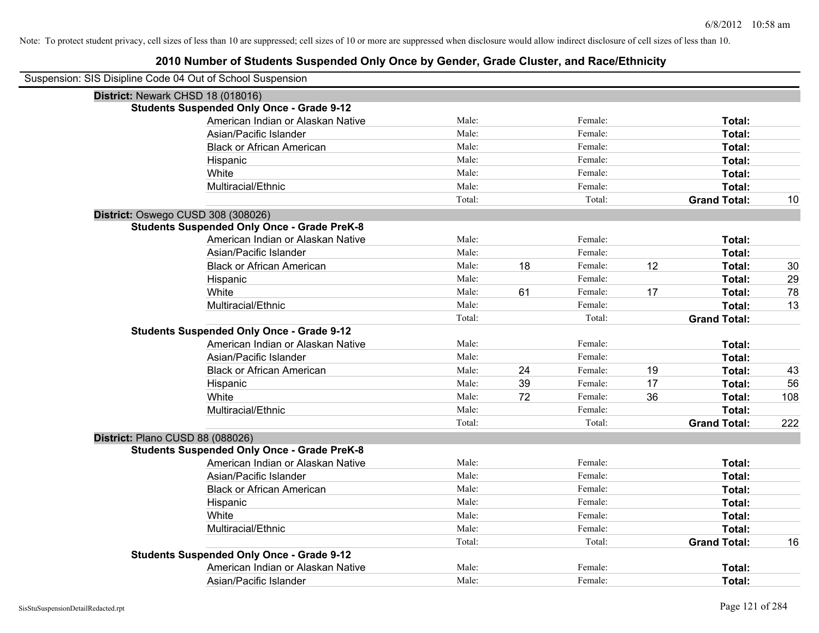| Suspension: SIS Disipline Code 04 Out of School Suspension |        |    |         |    |                     |     |
|------------------------------------------------------------|--------|----|---------|----|---------------------|-----|
| District: Newark CHSD 18 (018016)                          |        |    |         |    |                     |     |
| <b>Students Suspended Only Once - Grade 9-12</b>           |        |    |         |    |                     |     |
| American Indian or Alaskan Native                          | Male:  |    | Female: |    | Total:              |     |
| Asian/Pacific Islander                                     | Male:  |    | Female: |    | Total:              |     |
| <b>Black or African American</b>                           | Male:  |    | Female: |    | Total:              |     |
| Hispanic                                                   | Male:  |    | Female: |    | Total:              |     |
| White                                                      | Male:  |    | Female: |    | Total:              |     |
| Multiracial/Ethnic                                         | Male:  |    | Female: |    | Total:              |     |
|                                                            | Total: |    | Total:  |    | <b>Grand Total:</b> | 10  |
| District: Oswego CUSD 308 (308026)                         |        |    |         |    |                     |     |
| <b>Students Suspended Only Once - Grade PreK-8</b>         |        |    |         |    |                     |     |
| American Indian or Alaskan Native                          | Male:  |    | Female: |    | Total:              |     |
| Asian/Pacific Islander                                     | Male:  |    | Female: |    | Total:              |     |
| <b>Black or African American</b>                           | Male:  | 18 | Female: | 12 | Total:              | 30  |
| Hispanic                                                   | Male:  |    | Female: |    | Total:              | 29  |
| White                                                      | Male:  | 61 | Female: | 17 | Total:              | 78  |
| Multiracial/Ethnic                                         | Male:  |    | Female: |    | Total:              | 13  |
|                                                            | Total: |    | Total:  |    | <b>Grand Total:</b> |     |
| <b>Students Suspended Only Once - Grade 9-12</b>           |        |    |         |    |                     |     |
| American Indian or Alaskan Native                          | Male:  |    | Female: |    | Total:              |     |
| Asian/Pacific Islander                                     | Male:  |    | Female: |    | Total:              |     |
| <b>Black or African American</b>                           | Male:  | 24 | Female: | 19 | Total:              | 43  |
| Hispanic                                                   | Male:  | 39 | Female: | 17 | Total:              | 56  |
| White                                                      | Male:  | 72 | Female: | 36 | Total:              | 108 |
| Multiracial/Ethnic                                         | Male:  |    | Female: |    | Total:              |     |
|                                                            | Total: |    | Total:  |    | <b>Grand Total:</b> | 222 |
| District: Plano CUSD 88 (088026)                           |        |    |         |    |                     |     |
| <b>Students Suspended Only Once - Grade PreK-8</b>         |        |    |         |    |                     |     |
| American Indian or Alaskan Native                          | Male:  |    | Female: |    | Total:              |     |
| Asian/Pacific Islander                                     | Male:  |    | Female: |    | Total:              |     |
| <b>Black or African American</b>                           | Male:  |    | Female: |    | Total:              |     |
| Hispanic                                                   | Male:  |    | Female: |    | Total:              |     |
| White                                                      | Male:  |    | Female: |    | Total:              |     |
| Multiracial/Ethnic                                         | Male:  |    | Female: |    | Total:              |     |
|                                                            | Total: |    | Total:  |    | <b>Grand Total:</b> | 16  |
| <b>Students Suspended Only Once - Grade 9-12</b>           |        |    |         |    |                     |     |
| American Indian or Alaskan Native                          | Male:  |    | Female: |    | Total:              |     |
| Asian/Pacific Islander                                     | Male:  |    | Female: |    | Total:              |     |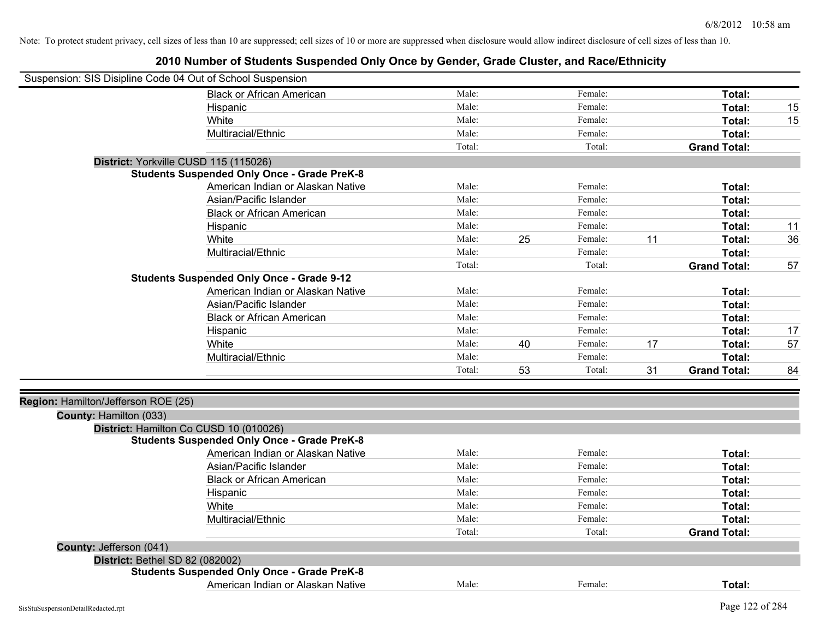| Suspension: SIS Disipline Code 04 Out of School Suspension |                                                    |        |    |         |    |                     |    |
|------------------------------------------------------------|----------------------------------------------------|--------|----|---------|----|---------------------|----|
|                                                            | <b>Black or African American</b>                   | Male:  |    | Female: |    | Total:              |    |
|                                                            | Hispanic                                           | Male:  |    | Female: |    | Total:              | 15 |
|                                                            | White                                              | Male:  |    | Female: |    | Total:              | 15 |
|                                                            | Multiracial/Ethnic                                 | Male:  |    | Female: |    | Total:              |    |
|                                                            |                                                    | Total: |    | Total:  |    | <b>Grand Total:</b> |    |
| District: Yorkville CUSD 115 (115026)                      |                                                    |        |    |         |    |                     |    |
|                                                            | <b>Students Suspended Only Once - Grade PreK-8</b> |        |    |         |    |                     |    |
|                                                            | American Indian or Alaskan Native                  | Male:  |    | Female: |    | Total:              |    |
|                                                            | Asian/Pacific Islander                             | Male:  |    | Female: |    | Total:              |    |
|                                                            | <b>Black or African American</b>                   | Male:  |    | Female: |    | Total:              |    |
|                                                            | Hispanic                                           | Male:  |    | Female: |    | Total:              | 11 |
|                                                            | White                                              | Male:  | 25 | Female: | 11 | Total:              | 36 |
|                                                            | Multiracial/Ethnic                                 | Male:  |    | Female: |    | Total:              |    |
|                                                            |                                                    | Total: |    | Total:  |    | <b>Grand Total:</b> | 57 |
|                                                            | <b>Students Suspended Only Once - Grade 9-12</b>   |        |    |         |    |                     |    |
|                                                            | American Indian or Alaskan Native                  | Male:  |    | Female: |    | Total:              |    |
|                                                            | Asian/Pacific Islander                             | Male:  |    | Female: |    | Total:              |    |
|                                                            | <b>Black or African American</b>                   | Male:  |    | Female: |    | Total:              |    |
|                                                            | Hispanic                                           | Male:  |    | Female: |    | Total:              | 17 |
|                                                            | White                                              | Male:  | 40 | Female: | 17 | Total:              | 57 |
|                                                            | Multiracial/Ethnic                                 | Male:  |    | Female: |    | Total:              |    |
|                                                            |                                                    | Total: | 53 | Total:  | 31 | <b>Grand Total:</b> | 84 |
|                                                            |                                                    |        |    |         |    |                     |    |
| Region: Hamilton/Jefferson ROE (25)                        |                                                    |        |    |         |    |                     |    |
| County: Hamilton (033)                                     |                                                    |        |    |         |    |                     |    |
|                                                            | District: Hamilton Co CUSD 10 (010026)             |        |    |         |    |                     |    |
|                                                            | <b>Students Suspended Only Once - Grade PreK-8</b> |        |    |         |    |                     |    |
|                                                            | American Indian or Alaskan Native                  | Male:  |    | Female: |    | Total:              |    |
|                                                            | Asian/Pacific Islander                             | Male:  |    | Female: |    | Total:              |    |
|                                                            | <b>Black or African American</b>                   | Male:  |    | Female: |    | Total:              |    |
|                                                            | Hispanic                                           | Male:  |    | Female: |    | Total:              |    |
|                                                            | White                                              | Male:  |    | Female: |    | Total:              |    |
|                                                            | Multiracial/Ethnic                                 | Male:  |    | Female: |    | Total:              |    |
|                                                            |                                                    | Total: |    | Total:  |    | <b>Grand Total:</b> |    |
| County: Jefferson (041)                                    |                                                    |        |    |         |    |                     |    |
| District: Bethel SD 82 (082002)                            |                                                    |        |    |         |    |                     |    |
|                                                            | <b>Students Suspended Only Once - Grade PreK-8</b> |        |    |         |    |                     |    |
|                                                            | American Indian or Alaskan Native                  | Male:  |    | Female: |    | Total:              |    |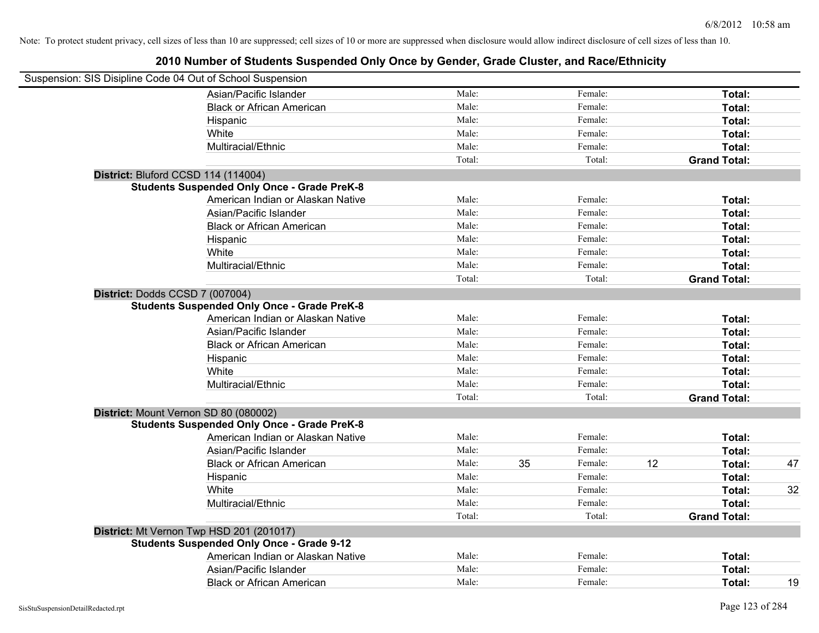| Suspension: SIS Disipline Code 04 Out of School Suspension |                                                    |        |    |         |    |                     |    |
|------------------------------------------------------------|----------------------------------------------------|--------|----|---------|----|---------------------|----|
|                                                            | Asian/Pacific Islander                             | Male:  |    | Female: |    | Total:              |    |
|                                                            | <b>Black or African American</b>                   | Male:  |    | Female: |    | Total:              |    |
|                                                            | Hispanic                                           | Male:  |    | Female: |    | Total:              |    |
|                                                            | White                                              | Male:  |    | Female: |    | Total:              |    |
|                                                            | Multiracial/Ethnic                                 | Male:  |    | Female: |    | Total:              |    |
|                                                            |                                                    | Total: |    | Total:  |    | <b>Grand Total:</b> |    |
|                                                            | District: Bluford CCSD 114 (114004)                |        |    |         |    |                     |    |
|                                                            | <b>Students Suspended Only Once - Grade PreK-8</b> |        |    |         |    |                     |    |
|                                                            | American Indian or Alaskan Native                  | Male:  |    | Female: |    | Total:              |    |
|                                                            | Asian/Pacific Islander                             | Male:  |    | Female: |    | Total:              |    |
|                                                            | <b>Black or African American</b>                   | Male:  |    | Female: |    | Total:              |    |
|                                                            | Hispanic                                           | Male:  |    | Female: |    | Total:              |    |
|                                                            | White                                              | Male:  |    | Female: |    | Total:              |    |
|                                                            | Multiracial/Ethnic                                 | Male:  |    | Female: |    | Total:              |    |
|                                                            |                                                    | Total: |    | Total:  |    | <b>Grand Total:</b> |    |
|                                                            | District: Dodds CCSD 7 (007004)                    |        |    |         |    |                     |    |
|                                                            | <b>Students Suspended Only Once - Grade PreK-8</b> |        |    |         |    |                     |    |
|                                                            | American Indian or Alaskan Native                  | Male:  |    | Female: |    | Total:              |    |
|                                                            | Asian/Pacific Islander                             | Male:  |    | Female: |    | Total:              |    |
|                                                            | <b>Black or African American</b>                   | Male:  |    | Female: |    | Total:              |    |
|                                                            | Hispanic                                           | Male:  |    | Female: |    | Total:              |    |
|                                                            | White                                              | Male:  |    | Female: |    | Total:              |    |
|                                                            | Multiracial/Ethnic                                 | Male:  |    | Female: |    | Total:              |    |
|                                                            |                                                    | Total: |    | Total:  |    | <b>Grand Total:</b> |    |
|                                                            | District: Mount Vernon SD 80 (080002)              |        |    |         |    |                     |    |
|                                                            | <b>Students Suspended Only Once - Grade PreK-8</b> |        |    |         |    |                     |    |
|                                                            | American Indian or Alaskan Native                  | Male:  |    | Female: |    | Total:              |    |
|                                                            | Asian/Pacific Islander                             | Male:  |    | Female: |    | Total:              |    |
|                                                            | <b>Black or African American</b>                   | Male:  | 35 | Female: | 12 | Total:              | 47 |
|                                                            | Hispanic                                           | Male:  |    | Female: |    | Total:              |    |
|                                                            | White                                              | Male:  |    | Female: |    | Total:              | 32 |
|                                                            | Multiracial/Ethnic                                 | Male:  |    | Female: |    | Total:              |    |
|                                                            |                                                    | Total: |    | Total:  |    | <b>Grand Total:</b> |    |
|                                                            | District: Mt Vernon Twp HSD 201 (201017)           |        |    |         |    |                     |    |
|                                                            | <b>Students Suspended Only Once - Grade 9-12</b>   |        |    |         |    |                     |    |
|                                                            | American Indian or Alaskan Native                  | Male:  |    | Female: |    | Total:              |    |
|                                                            | Asian/Pacific Islander                             | Male:  |    | Female: |    | Total:              |    |
|                                                            | <b>Black or African American</b>                   | Male:  |    | Female: |    | Total:              | 19 |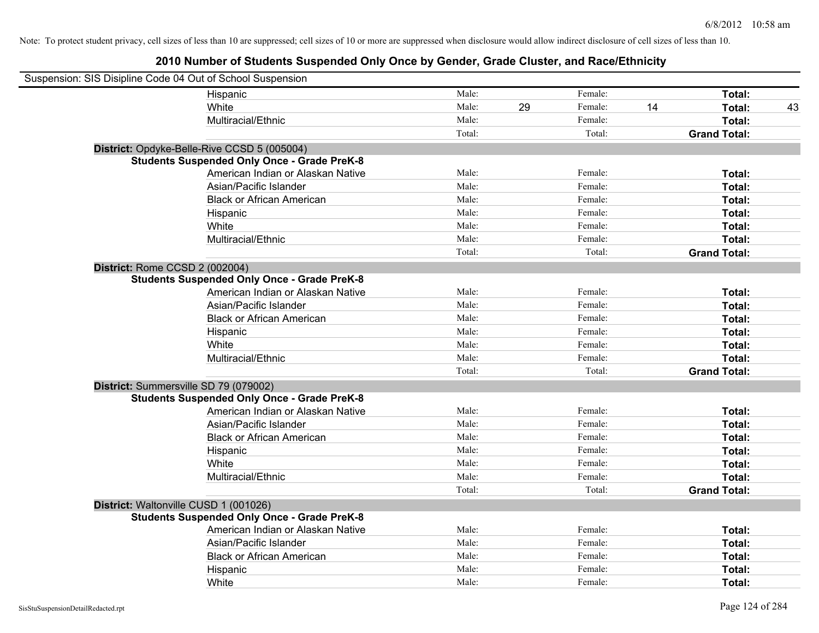| Suspension: SIS Disipline Code 04 Out of School Suspension |                                                    |        |    |         |    |                     |    |
|------------------------------------------------------------|----------------------------------------------------|--------|----|---------|----|---------------------|----|
|                                                            | Hispanic                                           | Male:  |    | Female: |    | Total:              |    |
|                                                            | White                                              | Male:  | 29 | Female: | 14 | Total:              | 43 |
|                                                            | Multiracial/Ethnic                                 | Male:  |    | Female: |    | Total:              |    |
|                                                            |                                                    | Total: |    | Total:  |    | <b>Grand Total:</b> |    |
|                                                            | District: Opdyke-Belle-Rive CCSD 5 (005004)        |        |    |         |    |                     |    |
|                                                            | <b>Students Suspended Only Once - Grade PreK-8</b> |        |    |         |    |                     |    |
|                                                            | American Indian or Alaskan Native                  | Male:  |    | Female: |    | Total:              |    |
|                                                            | Asian/Pacific Islander                             | Male:  |    | Female: |    | Total:              |    |
|                                                            | <b>Black or African American</b>                   | Male:  |    | Female: |    | Total:              |    |
|                                                            | Hispanic                                           | Male:  |    | Female: |    | Total:              |    |
|                                                            | White                                              | Male:  |    | Female: |    | Total:              |    |
|                                                            | Multiracial/Ethnic                                 | Male:  |    | Female: |    | Total:              |    |
|                                                            |                                                    | Total: |    | Total:  |    | <b>Grand Total:</b> |    |
| District: Rome CCSD 2 (002004)                             |                                                    |        |    |         |    |                     |    |
|                                                            | <b>Students Suspended Only Once - Grade PreK-8</b> |        |    |         |    |                     |    |
|                                                            | American Indian or Alaskan Native                  | Male:  |    | Female: |    | Total:              |    |
|                                                            | Asian/Pacific Islander                             | Male:  |    | Female: |    | Total:              |    |
|                                                            | <b>Black or African American</b>                   | Male:  |    | Female: |    | Total:              |    |
|                                                            | Hispanic                                           | Male:  |    | Female: |    | Total:              |    |
|                                                            | White                                              | Male:  |    | Female: |    | Total:              |    |
|                                                            | Multiracial/Ethnic                                 | Male:  |    | Female: |    | Total:              |    |
|                                                            |                                                    | Total: |    | Total:  |    | <b>Grand Total:</b> |    |
| District: Summersville SD 79 (079002)                      |                                                    |        |    |         |    |                     |    |
|                                                            | <b>Students Suspended Only Once - Grade PreK-8</b> |        |    |         |    |                     |    |
|                                                            | American Indian or Alaskan Native                  | Male:  |    | Female: |    | Total:              |    |
|                                                            | Asian/Pacific Islander                             | Male:  |    | Female: |    | Total:              |    |
|                                                            | <b>Black or African American</b>                   | Male:  |    | Female: |    | Total:              |    |
|                                                            | Hispanic                                           | Male:  |    | Female: |    | Total:              |    |
|                                                            | White                                              | Male:  |    | Female: |    | Total:              |    |
|                                                            | Multiracial/Ethnic                                 | Male:  |    | Female: |    | Total:              |    |
|                                                            |                                                    | Total: |    | Total:  |    | <b>Grand Total:</b> |    |
| District: Waltonville CUSD 1 (001026)                      |                                                    |        |    |         |    |                     |    |
|                                                            | <b>Students Suspended Only Once - Grade PreK-8</b> |        |    |         |    |                     |    |
|                                                            | American Indian or Alaskan Native                  | Male:  |    | Female: |    | Total:              |    |
|                                                            | Asian/Pacific Islander                             | Male:  |    | Female: |    | Total:              |    |
|                                                            | <b>Black or African American</b>                   | Male:  |    | Female: |    | Total:              |    |
|                                                            | Hispanic                                           | Male:  |    | Female: |    | Total:              |    |
|                                                            | White                                              | Male:  |    | Female: |    | Total:              |    |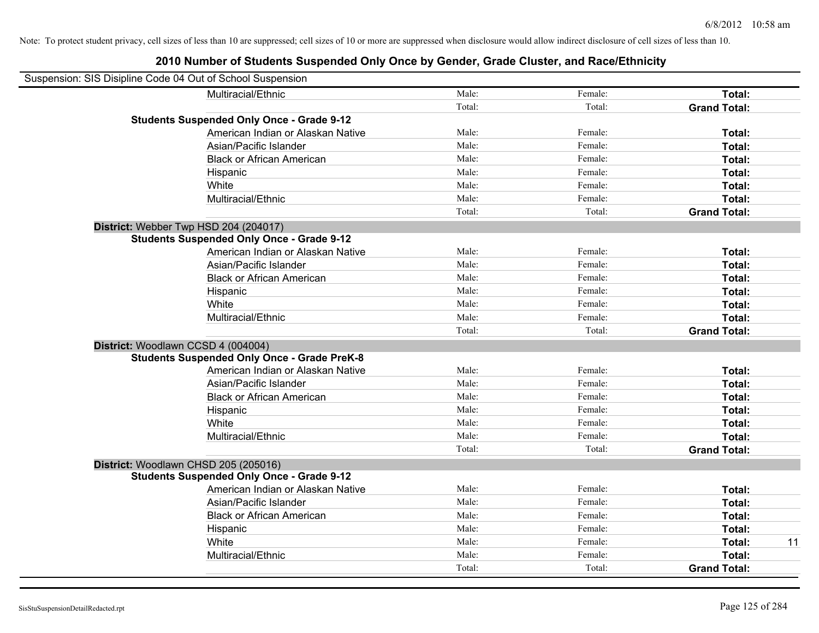| Suspension: SIS Disipline Code 04 Out of School Suspension |                                                    |        |         |                     |    |
|------------------------------------------------------------|----------------------------------------------------|--------|---------|---------------------|----|
|                                                            | Multiracial/Ethnic                                 | Male:  | Female: | Total:              |    |
|                                                            |                                                    | Total: | Total:  | <b>Grand Total:</b> |    |
|                                                            | <b>Students Suspended Only Once - Grade 9-12</b>   |        |         |                     |    |
|                                                            | American Indian or Alaskan Native                  | Male:  | Female: | Total:              |    |
|                                                            | Asian/Pacific Islander                             | Male:  | Female: | Total:              |    |
|                                                            | <b>Black or African American</b>                   | Male:  | Female: | Total:              |    |
|                                                            | Hispanic                                           | Male:  | Female: | Total:              |    |
|                                                            | White                                              | Male:  | Female: | Total:              |    |
|                                                            | Multiracial/Ethnic                                 | Male:  | Female: | Total:              |    |
|                                                            |                                                    | Total: | Total:  | <b>Grand Total:</b> |    |
| District: Webber Twp HSD 204 (204017)                      |                                                    |        |         |                     |    |
|                                                            | <b>Students Suspended Only Once - Grade 9-12</b>   |        |         |                     |    |
|                                                            | American Indian or Alaskan Native                  | Male:  | Female: | Total:              |    |
|                                                            | Asian/Pacific Islander                             | Male:  | Female: | Total:              |    |
|                                                            | <b>Black or African American</b>                   | Male:  | Female: | Total:              |    |
|                                                            | Hispanic                                           | Male:  | Female: | Total:              |    |
|                                                            | White                                              | Male:  | Female: | Total:              |    |
|                                                            | Multiracial/Ethnic                                 | Male:  | Female: | Total:              |    |
|                                                            |                                                    | Total: | Total:  | <b>Grand Total:</b> |    |
| District: Woodlawn CCSD 4 (004004)                         |                                                    |        |         |                     |    |
|                                                            | <b>Students Suspended Only Once - Grade PreK-8</b> |        |         |                     |    |
|                                                            | American Indian or Alaskan Native                  | Male:  | Female: | Total:              |    |
|                                                            | Asian/Pacific Islander                             | Male:  | Female: | Total:              |    |
|                                                            | <b>Black or African American</b>                   | Male:  | Female: | Total:              |    |
|                                                            | Hispanic                                           | Male:  | Female: | Total:              |    |
|                                                            | White                                              | Male:  | Female: | Total:              |    |
|                                                            | Multiracial/Ethnic                                 | Male:  | Female: | Total:              |    |
|                                                            |                                                    | Total: | Total:  | <b>Grand Total:</b> |    |
| District: Woodlawn CHSD 205 (205016)                       |                                                    |        |         |                     |    |
|                                                            | <b>Students Suspended Only Once - Grade 9-12</b>   |        |         |                     |    |
|                                                            | American Indian or Alaskan Native                  | Male:  | Female: | Total:              |    |
|                                                            | Asian/Pacific Islander                             | Male:  | Female: | Total:              |    |
|                                                            | <b>Black or African American</b>                   | Male:  | Female: | Total:              |    |
|                                                            | Hispanic                                           | Male:  | Female: | Total:              |    |
|                                                            | White                                              | Male:  | Female: | Total:              | 11 |
|                                                            | Multiracial/Ethnic                                 | Male:  | Female: | Total:              |    |
|                                                            |                                                    | Total: | Total:  | <b>Grand Total:</b> |    |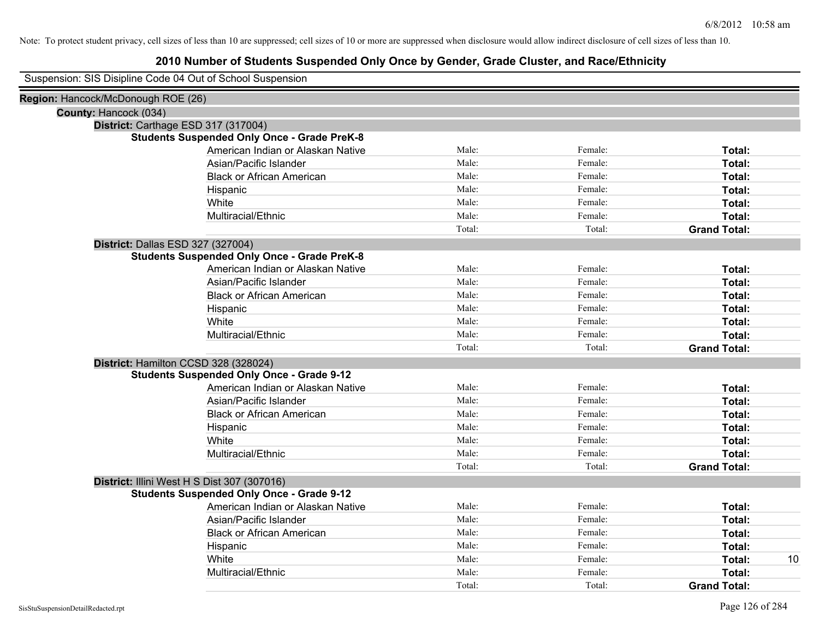|                                    | Suspension: SIS Disipline Code 04 Out of School Suspension |        |         |                     |    |
|------------------------------------|------------------------------------------------------------|--------|---------|---------------------|----|
| Region: Hancock/McDonough ROE (26) |                                                            |        |         |                     |    |
| County: Hancock (034)              |                                                            |        |         |                     |    |
|                                    | District: Carthage ESD 317 (317004)                        |        |         |                     |    |
|                                    | <b>Students Suspended Only Once - Grade PreK-8</b>         |        |         |                     |    |
|                                    | American Indian or Alaskan Native                          | Male:  | Female: | Total:              |    |
|                                    | Asian/Pacific Islander                                     | Male:  | Female: | Total:              |    |
|                                    | <b>Black or African American</b>                           | Male:  | Female: | Total:              |    |
|                                    | Hispanic                                                   | Male:  | Female: | Total:              |    |
|                                    | White                                                      | Male:  | Female: | Total:              |    |
|                                    | Multiracial/Ethnic                                         | Male:  | Female: | Total:              |    |
|                                    |                                                            | Total: | Total:  | <b>Grand Total:</b> |    |
|                                    | District: Dallas ESD 327 (327004)                          |        |         |                     |    |
|                                    | <b>Students Suspended Only Once - Grade PreK-8</b>         |        |         |                     |    |
|                                    | American Indian or Alaskan Native                          | Male:  | Female: | Total:              |    |
|                                    | Asian/Pacific Islander                                     | Male:  | Female: | Total:              |    |
|                                    | <b>Black or African American</b>                           | Male:  | Female: | Total:              |    |
|                                    | Hispanic                                                   | Male:  | Female: | Total:              |    |
|                                    | White                                                      | Male:  | Female: | Total:              |    |
|                                    | Multiracial/Ethnic                                         | Male:  | Female: | Total:              |    |
|                                    |                                                            | Total: | Total:  | <b>Grand Total:</b> |    |
|                                    | District: Hamilton CCSD 328 (328024)                       |        |         |                     |    |
|                                    | <b>Students Suspended Only Once - Grade 9-12</b>           |        |         |                     |    |
|                                    | American Indian or Alaskan Native                          | Male:  | Female: | Total:              |    |
|                                    | Asian/Pacific Islander                                     | Male:  | Female: | Total:              |    |
|                                    | <b>Black or African American</b>                           | Male:  | Female: | Total:              |    |
|                                    | Hispanic                                                   | Male:  | Female: | Total:              |    |
|                                    | White                                                      | Male:  | Female: | Total:              |    |
|                                    | Multiracial/Ethnic                                         | Male:  | Female: | Total:              |    |
|                                    |                                                            | Total: | Total:  | <b>Grand Total:</b> |    |
|                                    | District: Illini West H S Dist 307 (307016)                |        |         |                     |    |
|                                    | <b>Students Suspended Only Once - Grade 9-12</b>           |        |         |                     |    |
|                                    | American Indian or Alaskan Native                          | Male:  | Female: | Total:              |    |
|                                    | Asian/Pacific Islander                                     | Male:  | Female: | Total:              |    |
|                                    | <b>Black or African American</b>                           | Male:  | Female: | Total:              |    |
|                                    | Hispanic                                                   | Male:  | Female: | Total:              |    |
|                                    | White                                                      | Male:  | Female: | Total:              | 10 |
|                                    | Multiracial/Ethnic                                         | Male:  | Female: | Total:              |    |
|                                    |                                                            | Total: | Total:  | <b>Grand Total:</b> |    |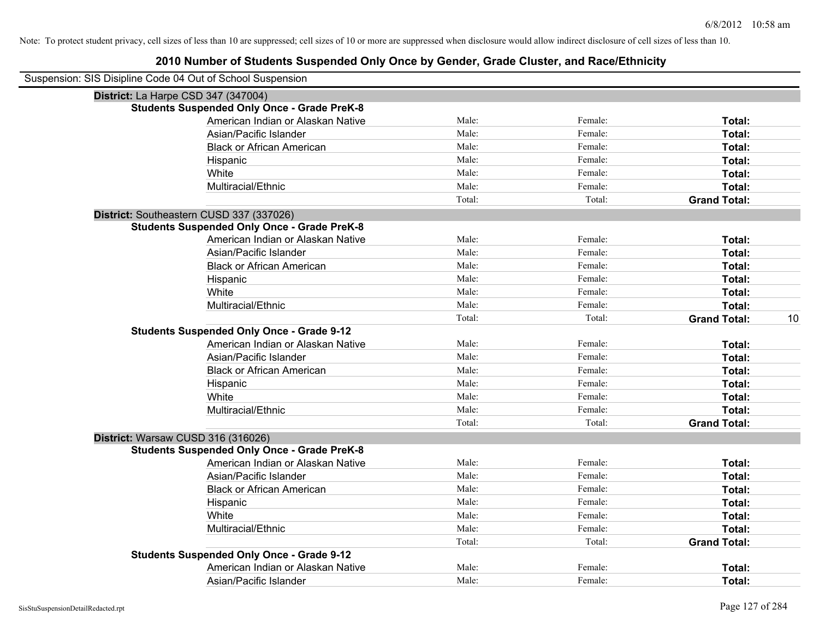| Suspension: SIS Disipline Code 04 Out of School Suspension |                                                    |        |         |                     |    |
|------------------------------------------------------------|----------------------------------------------------|--------|---------|---------------------|----|
|                                                            | District: La Harpe CSD 347 (347004)                |        |         |                     |    |
|                                                            | <b>Students Suspended Only Once - Grade PreK-8</b> |        |         |                     |    |
|                                                            | American Indian or Alaskan Native                  | Male:  | Female: | Total:              |    |
|                                                            | Asian/Pacific Islander                             | Male:  | Female: | Total:              |    |
|                                                            | <b>Black or African American</b>                   | Male:  | Female: | Total:              |    |
|                                                            | Hispanic                                           | Male:  | Female: | Total:              |    |
|                                                            | White                                              | Male:  | Female: | Total:              |    |
|                                                            | Multiracial/Ethnic                                 | Male:  | Female: | Total:              |    |
|                                                            |                                                    | Total: | Total:  | <b>Grand Total:</b> |    |
|                                                            | District: Southeastern CUSD 337 (337026)           |        |         |                     |    |
|                                                            | <b>Students Suspended Only Once - Grade PreK-8</b> |        |         |                     |    |
|                                                            | American Indian or Alaskan Native                  | Male:  | Female: | Total:              |    |
|                                                            | Asian/Pacific Islander                             | Male:  | Female: | Total:              |    |
|                                                            | <b>Black or African American</b>                   | Male:  | Female: | Total:              |    |
|                                                            | Hispanic                                           | Male:  | Female: | Total:              |    |
|                                                            | White                                              | Male:  | Female: | Total:              |    |
|                                                            | Multiracial/Ethnic                                 | Male:  | Female: | Total:              |    |
|                                                            |                                                    | Total: | Total:  | <b>Grand Total:</b> | 10 |
|                                                            | <b>Students Suspended Only Once - Grade 9-12</b>   |        |         |                     |    |
|                                                            | American Indian or Alaskan Native                  | Male:  | Female: | Total:              |    |
|                                                            | Asian/Pacific Islander                             | Male:  | Female: | Total:              |    |
|                                                            | <b>Black or African American</b>                   | Male:  | Female: | Total:              |    |
|                                                            | Hispanic                                           | Male:  | Female: | Total:              |    |
|                                                            | White                                              | Male:  | Female: | Total:              |    |
|                                                            | Multiracial/Ethnic                                 | Male:  | Female: | Total:              |    |
|                                                            |                                                    | Total: | Total:  | <b>Grand Total:</b> |    |
|                                                            | District: Warsaw CUSD 316 (316026)                 |        |         |                     |    |
|                                                            | <b>Students Suspended Only Once - Grade PreK-8</b> |        |         |                     |    |
|                                                            | American Indian or Alaskan Native                  | Male:  | Female: | Total:              |    |
|                                                            | Asian/Pacific Islander                             | Male:  | Female: | Total:              |    |
|                                                            | <b>Black or African American</b>                   | Male:  | Female: | Total:              |    |
|                                                            | Hispanic                                           | Male:  | Female: | Total:              |    |
|                                                            | White                                              | Male:  | Female: | Total:              |    |
|                                                            | Multiracial/Ethnic                                 | Male:  | Female: | Total:              |    |
|                                                            |                                                    | Total: | Total:  | <b>Grand Total:</b> |    |
|                                                            | <b>Students Suspended Only Once - Grade 9-12</b>   |        |         |                     |    |
|                                                            | American Indian or Alaskan Native                  | Male:  | Female: | Total:              |    |
|                                                            | Asian/Pacific Islander                             | Male:  | Female: | Total:              |    |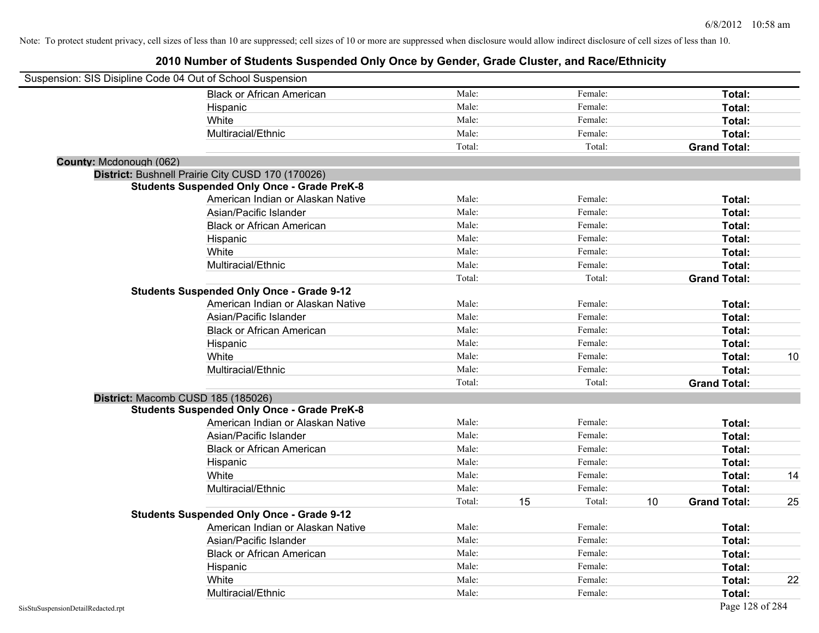| Suspension: SIS Disipline Code 04 Out of School Suspension |                                                    |        |    |         |    |                     |    |
|------------------------------------------------------------|----------------------------------------------------|--------|----|---------|----|---------------------|----|
|                                                            | <b>Black or African American</b>                   | Male:  |    | Female: |    | Total:              |    |
|                                                            | Hispanic                                           | Male:  |    | Female: |    | Total:              |    |
|                                                            | White                                              | Male:  |    | Female: |    | Total:              |    |
|                                                            | Multiracial/Ethnic                                 | Male:  |    | Female: |    | Total:              |    |
|                                                            |                                                    | Total: |    | Total:  |    | <b>Grand Total:</b> |    |
| County: Mcdonough (062)                                    |                                                    |        |    |         |    |                     |    |
|                                                            | District: Bushnell Prairie City CUSD 170 (170026)  |        |    |         |    |                     |    |
|                                                            | <b>Students Suspended Only Once - Grade PreK-8</b> |        |    |         |    |                     |    |
|                                                            | American Indian or Alaskan Native                  | Male:  |    | Female: |    | Total:              |    |
|                                                            | Asian/Pacific Islander                             | Male:  |    | Female: |    | Total:              |    |
|                                                            | <b>Black or African American</b>                   | Male:  |    | Female: |    | Total:              |    |
|                                                            | Hispanic                                           | Male:  |    | Female: |    | Total:              |    |
|                                                            | White                                              | Male:  |    | Female: |    | Total:              |    |
|                                                            | Multiracial/Ethnic                                 | Male:  |    | Female: |    | Total:              |    |
|                                                            |                                                    | Total: |    | Total:  |    | <b>Grand Total:</b> |    |
|                                                            | <b>Students Suspended Only Once - Grade 9-12</b>   |        |    |         |    |                     |    |
|                                                            | American Indian or Alaskan Native                  | Male:  |    | Female: |    | Total:              |    |
|                                                            | Asian/Pacific Islander                             | Male:  |    | Female: |    | Total:              |    |
|                                                            | <b>Black or African American</b>                   | Male:  |    | Female: |    | Total:              |    |
|                                                            | Hispanic                                           | Male:  |    | Female: |    | Total:              |    |
|                                                            | White                                              | Male:  |    | Female: |    | Total:              | 10 |
|                                                            | Multiracial/Ethnic                                 | Male:  |    | Female: |    | Total:              |    |
|                                                            |                                                    | Total: |    | Total:  |    | <b>Grand Total:</b> |    |
| District: Macomb CUSD 185 (185026)                         |                                                    |        |    |         |    |                     |    |
|                                                            | <b>Students Suspended Only Once - Grade PreK-8</b> |        |    |         |    |                     |    |
|                                                            | American Indian or Alaskan Native                  | Male:  |    | Female: |    | Total:              |    |
|                                                            | Asian/Pacific Islander                             | Male:  |    | Female: |    | Total:              |    |
|                                                            | <b>Black or African American</b>                   | Male:  |    | Female: |    | Total:              |    |
|                                                            | Hispanic                                           | Male:  |    | Female: |    | Total:              |    |
|                                                            | White                                              | Male:  |    | Female: |    | Total:              | 14 |
|                                                            | Multiracial/Ethnic                                 | Male:  |    | Female: |    | Total:              |    |
|                                                            |                                                    | Total: | 15 | Total:  | 10 | <b>Grand Total:</b> | 25 |
|                                                            | <b>Students Suspended Only Once - Grade 9-12</b>   |        |    |         |    |                     |    |
|                                                            | American Indian or Alaskan Native                  | Male:  |    | Female: |    | Total:              |    |
|                                                            | Asian/Pacific Islander                             | Male:  |    | Female: |    | Total:              |    |
|                                                            | <b>Black or African American</b>                   | Male:  |    | Female: |    | Total:              |    |
|                                                            | Hispanic                                           | Male:  |    | Female: |    | Total:              |    |
|                                                            | White                                              | Male:  |    | Female: |    | Total:              | 22 |
|                                                            | Multiracial/Ethnic                                 | Male:  |    | Female: |    | Total:              |    |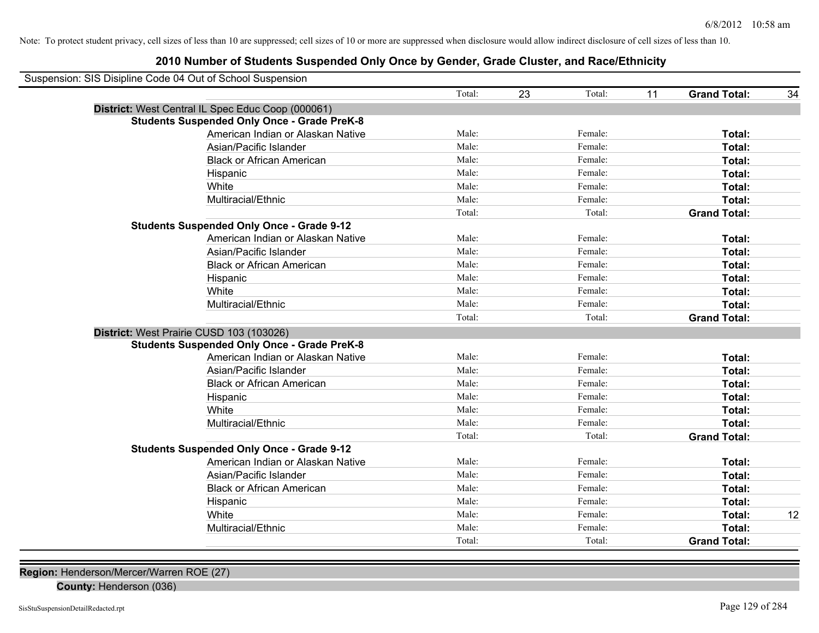### **2010 Number of Students Suspended Only Once by Gender, Grade Cluster, and Race/Ethnicity**

| Suspension: SIS Disipline Code 04 Out of School Suspension |                                   |        |    |         |    |                     |    |
|------------------------------------------------------------|-----------------------------------|--------|----|---------|----|---------------------|----|
|                                                            |                                   | Total: | 23 | Total:  | 11 | <b>Grand Total:</b> | 34 |
| District: West Central IL Spec Educ Coop (000061)          |                                   |        |    |         |    |                     |    |
| <b>Students Suspended Only Once - Grade PreK-8</b>         |                                   |        |    |         |    |                     |    |
|                                                            | American Indian or Alaskan Native | Male:  |    | Female: |    | Total:              |    |
| Asian/Pacific Islander                                     |                                   | Male:  |    | Female: |    | Total:              |    |
| <b>Black or African American</b>                           |                                   | Male:  |    | Female: |    | Total:              |    |
| Hispanic                                                   |                                   | Male:  |    | Female: |    | Total:              |    |
| White                                                      |                                   | Male:  |    | Female: |    | Total:              |    |
| Multiracial/Ethnic                                         |                                   | Male:  |    | Female: |    | Total:              |    |
|                                                            |                                   | Total: |    | Total:  |    | <b>Grand Total:</b> |    |
| <b>Students Suspended Only Once - Grade 9-12</b>           |                                   |        |    |         |    |                     |    |
|                                                            | American Indian or Alaskan Native | Male:  |    | Female: |    | Total:              |    |
| Asian/Pacific Islander                                     |                                   | Male:  |    | Female: |    | Total:              |    |
| <b>Black or African American</b>                           |                                   | Male:  |    | Female: |    | <b>Total:</b>       |    |
| Hispanic                                                   |                                   | Male:  |    | Female: |    | Total:              |    |
| White                                                      |                                   | Male:  |    | Female: |    | Total:              |    |
| Multiracial/Ethnic                                         |                                   | Male:  |    | Female: |    | Total:              |    |
|                                                            |                                   | Total: |    | Total:  |    | <b>Grand Total:</b> |    |
| District: West Prairie CUSD 103 (103026)                   |                                   |        |    |         |    |                     |    |
| <b>Students Suspended Only Once - Grade PreK-8</b>         |                                   |        |    |         |    |                     |    |
|                                                            | American Indian or Alaskan Native | Male:  |    | Female: |    | Total:              |    |
| Asian/Pacific Islander                                     |                                   | Male:  |    | Female: |    | Total:              |    |
| <b>Black or African American</b>                           |                                   | Male:  |    | Female: |    | Total:              |    |
| Hispanic                                                   |                                   | Male:  |    | Female: |    | Total:              |    |
| White                                                      |                                   | Male:  |    | Female: |    | Total:              |    |
| Multiracial/Ethnic                                         |                                   | Male:  |    | Female: |    | Total:              |    |
|                                                            |                                   | Total: |    | Total:  |    | <b>Grand Total:</b> |    |
| <b>Students Suspended Only Once - Grade 9-12</b>           |                                   |        |    |         |    |                     |    |
|                                                            | American Indian or Alaskan Native | Male:  |    | Female: |    | Total:              |    |
| Asian/Pacific Islander                                     |                                   | Male:  |    | Female: |    | Total:              |    |
| <b>Black or African American</b>                           |                                   | Male:  |    | Female: |    | Total:              |    |
| Hispanic                                                   |                                   | Male:  |    | Female: |    | Total:              |    |
| White                                                      |                                   | Male:  |    | Female: |    | Total:              | 12 |
| Multiracial/Ethnic                                         |                                   | Male:  |    | Female: |    | Total:              |    |
|                                                            |                                   | Total: |    | Total:  |    | <b>Grand Total:</b> |    |

**Region:** Henderson/Mercer/Warren ROE (27)

**County:** Henderson (036)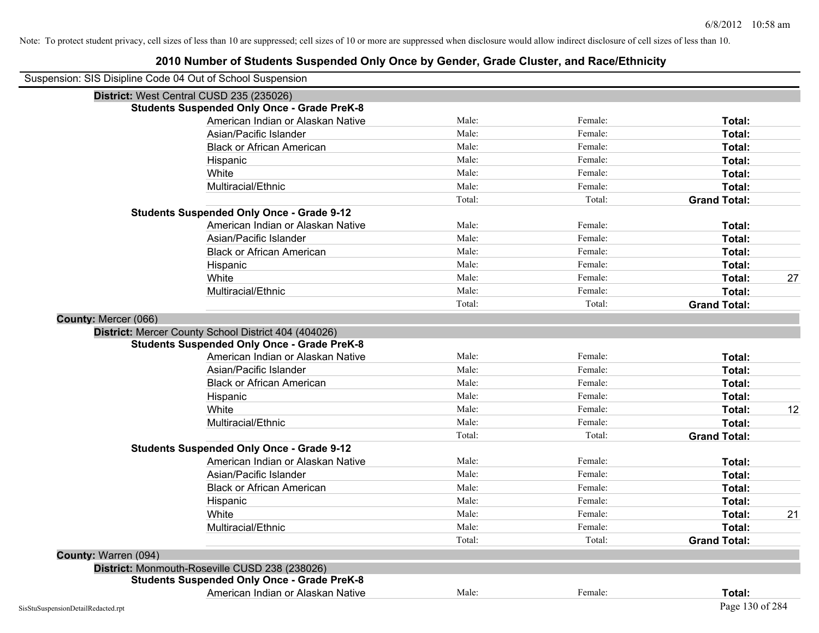| Suspension: SIS Disipline Code 04 Out of School Suspension |                                                      |        |         |                     |    |
|------------------------------------------------------------|------------------------------------------------------|--------|---------|---------------------|----|
|                                                            | District: West Central CUSD 235 (235026)             |        |         |                     |    |
|                                                            | <b>Students Suspended Only Once - Grade PreK-8</b>   |        |         |                     |    |
|                                                            | American Indian or Alaskan Native                    | Male:  | Female: | Total:              |    |
|                                                            | Asian/Pacific Islander                               | Male:  | Female: | Total:              |    |
|                                                            | <b>Black or African American</b>                     | Male:  | Female: | Total:              |    |
|                                                            | Hispanic                                             | Male:  | Female: | Total:              |    |
|                                                            | White                                                | Male:  | Female: | Total:              |    |
|                                                            | Multiracial/Ethnic                                   | Male:  | Female: | Total:              |    |
|                                                            |                                                      | Total: | Total:  | <b>Grand Total:</b> |    |
|                                                            | <b>Students Suspended Only Once - Grade 9-12</b>     |        |         |                     |    |
|                                                            | American Indian or Alaskan Native                    | Male:  | Female: | Total:              |    |
|                                                            | Asian/Pacific Islander                               | Male:  | Female: | Total:              |    |
|                                                            | <b>Black or African American</b>                     | Male:  | Female: | Total:              |    |
|                                                            | Hispanic                                             | Male:  | Female: | Total:              |    |
|                                                            | White                                                | Male:  | Female: | Total:              | 27 |
|                                                            | Multiracial/Ethnic                                   | Male:  | Female: | Total:              |    |
|                                                            |                                                      | Total: | Total:  | <b>Grand Total:</b> |    |
| County: Mercer (066)                                       |                                                      |        |         |                     |    |
|                                                            | District: Mercer County School District 404 (404026) |        |         |                     |    |
|                                                            | <b>Students Suspended Only Once - Grade PreK-8</b>   |        |         |                     |    |
|                                                            | American Indian or Alaskan Native                    | Male:  | Female: | Total:              |    |
|                                                            | Asian/Pacific Islander                               | Male:  | Female: | Total:              |    |
|                                                            | <b>Black or African American</b>                     | Male:  | Female: | Total:              |    |
|                                                            | Hispanic                                             | Male:  | Female: | Total:              |    |
|                                                            | White                                                | Male:  | Female: | Total:              | 12 |
|                                                            | Multiracial/Ethnic                                   | Male:  | Female: | Total:              |    |
|                                                            |                                                      | Total: | Total:  | <b>Grand Total:</b> |    |
|                                                            | <b>Students Suspended Only Once - Grade 9-12</b>     |        |         |                     |    |
|                                                            | American Indian or Alaskan Native                    | Male:  | Female: | Total:              |    |
|                                                            | Asian/Pacific Islander                               | Male:  | Female: | Total:              |    |
|                                                            | <b>Black or African American</b>                     | Male:  | Female: | Total:              |    |
|                                                            | Hispanic                                             | Male:  | Female: | Total:              |    |
|                                                            | White                                                | Male:  | Female: | Total:              | 21 |
|                                                            | Multiracial/Ethnic                                   | Male:  | Female: | Total:              |    |
|                                                            |                                                      | Total: | Total:  | <b>Grand Total:</b> |    |
| County: Warren (094)                                       |                                                      |        |         |                     |    |
|                                                            | District: Monmouth-Roseville CUSD 238 (238026)       |        |         |                     |    |
|                                                            | <b>Students Suspended Only Once - Grade PreK-8</b>   |        |         |                     |    |
|                                                            | American Indian or Alaskan Native                    | Male:  | Female: | Total:              |    |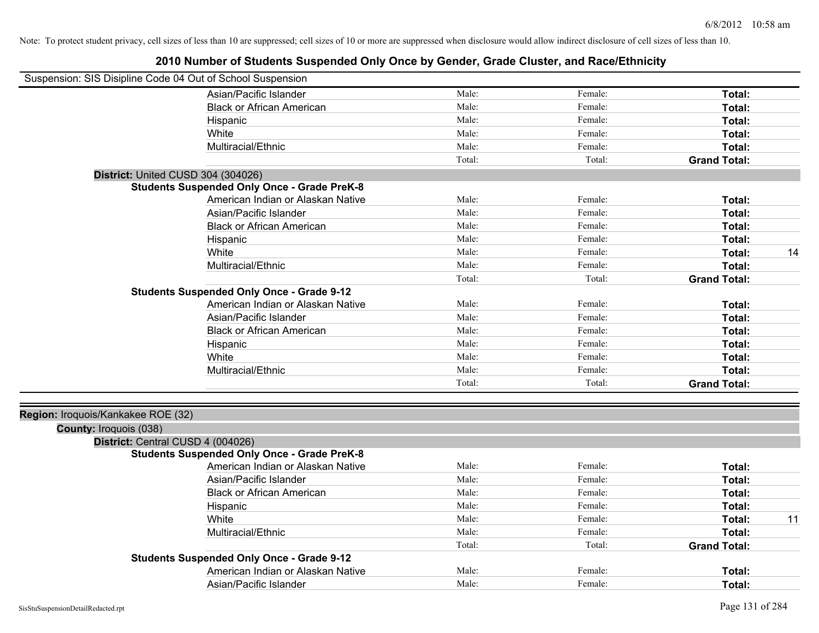| Suspension: SIS Disipline Code 04 Out of School Suspension |                                                    |        |         |                     |    |
|------------------------------------------------------------|----------------------------------------------------|--------|---------|---------------------|----|
|                                                            | Asian/Pacific Islander                             | Male:  | Female: | Total:              |    |
|                                                            | <b>Black or African American</b>                   | Male:  | Female: | Total:              |    |
|                                                            | Hispanic                                           | Male:  | Female: | Total:              |    |
|                                                            | White                                              | Male:  | Female: | Total:              |    |
|                                                            | Multiracial/Ethnic                                 | Male:  | Female: | Total:              |    |
|                                                            |                                                    | Total: | Total:  | <b>Grand Total:</b> |    |
| District: United CUSD 304 (304026)                         |                                                    |        |         |                     |    |
|                                                            | <b>Students Suspended Only Once - Grade PreK-8</b> |        |         |                     |    |
|                                                            | American Indian or Alaskan Native                  | Male:  | Female: | Total:              |    |
|                                                            | Asian/Pacific Islander                             | Male:  | Female: | Total:              |    |
|                                                            | <b>Black or African American</b>                   | Male:  | Female: | Total:              |    |
|                                                            | Hispanic                                           | Male:  | Female: | Total:              |    |
|                                                            | White                                              | Male:  | Female: | Total:              | 14 |
|                                                            | Multiracial/Ethnic                                 | Male:  | Female: | Total:              |    |
|                                                            |                                                    | Total: | Total:  | <b>Grand Total:</b> |    |
|                                                            | <b>Students Suspended Only Once - Grade 9-12</b>   |        |         |                     |    |
|                                                            | American Indian or Alaskan Native                  | Male:  | Female: | Total:              |    |
|                                                            | Asian/Pacific Islander                             | Male:  | Female: | Total:              |    |
|                                                            | <b>Black or African American</b>                   | Male:  | Female: | Total:              |    |
|                                                            | Hispanic                                           | Male:  | Female: | Total:              |    |
|                                                            | White                                              | Male:  | Female: | Total:              |    |
|                                                            | Multiracial/Ethnic                                 | Male:  | Female: | Total:              |    |
|                                                            |                                                    | Total: | Total:  | <b>Grand Total:</b> |    |
|                                                            |                                                    |        |         |                     |    |
| Region: Iroquois/Kankakee ROE (32)                         |                                                    |        |         |                     |    |
| County: Iroquois (038)                                     |                                                    |        |         |                     |    |
| District: Central CUSD 4 (004026)                          |                                                    |        |         |                     |    |
|                                                            | <b>Students Suspended Only Once - Grade PreK-8</b> |        |         |                     |    |
|                                                            | American Indian or Alaskan Native                  | Male:  | Female: | Total:              |    |
|                                                            | Asian/Pacific Islander                             | Male:  | Female: | Total:              |    |
|                                                            | <b>Black or African American</b>                   | Male:  | Female: | Total:              |    |
|                                                            | Hispanic                                           | Male:  | Female: | Total:              |    |
|                                                            | White                                              | Male:  | Female: | Total:              | 11 |
|                                                            | Multiracial/Ethnic                                 | Male:  | Female: | Total:              |    |
|                                                            |                                                    | Total: | Total:  | <b>Grand Total:</b> |    |
|                                                            | <b>Students Suspended Only Once - Grade 9-12</b>   |        |         |                     |    |
|                                                            | American Indian or Alaskan Native                  | Male:  | Female: | Total:              |    |
|                                                            | Asian/Pacific Islander                             | Male:  | Female: | Total:              |    |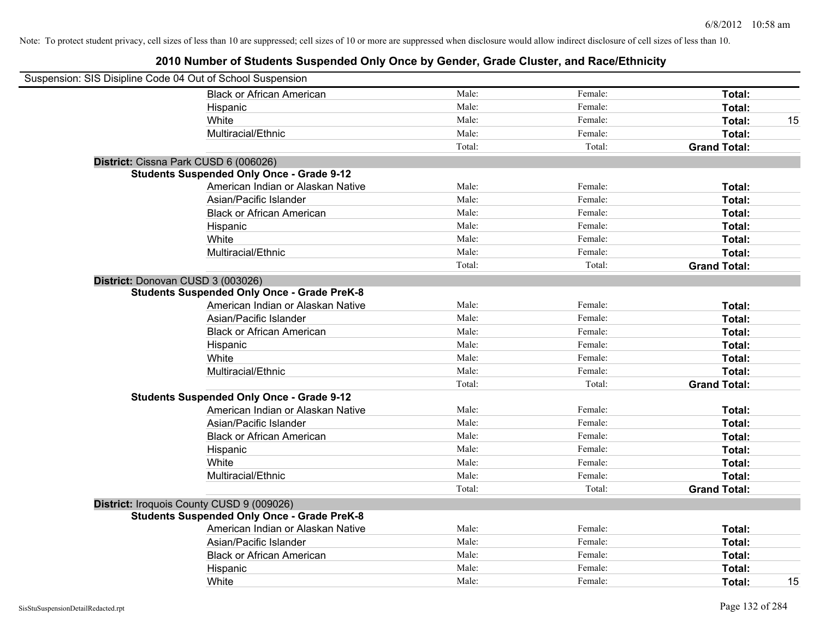| Suspension: SIS Disipline Code 04 Out of School Suspension |                                                    |        |         |                     |    |
|------------------------------------------------------------|----------------------------------------------------|--------|---------|---------------------|----|
|                                                            | <b>Black or African American</b>                   | Male:  | Female: | Total:              |    |
|                                                            | Hispanic                                           | Male:  | Female: | Total:              |    |
|                                                            | White                                              | Male:  | Female: | Total:              | 15 |
|                                                            | Multiracial/Ethnic                                 | Male:  | Female: | Total:              |    |
|                                                            |                                                    | Total: | Total:  | <b>Grand Total:</b> |    |
| District: Cissna Park CUSD 6 (006026)                      |                                                    |        |         |                     |    |
|                                                            | <b>Students Suspended Only Once - Grade 9-12</b>   |        |         |                     |    |
|                                                            | American Indian or Alaskan Native                  | Male:  | Female: | Total:              |    |
|                                                            | Asian/Pacific Islander                             | Male:  | Female: | Total:              |    |
|                                                            | <b>Black or African American</b>                   | Male:  | Female: | Total:              |    |
|                                                            | Hispanic                                           | Male:  | Female: | Total:              |    |
|                                                            | White                                              | Male:  | Female: | Total:              |    |
|                                                            | Multiracial/Ethnic                                 | Male:  | Female: | Total:              |    |
|                                                            |                                                    | Total: | Total:  | <b>Grand Total:</b> |    |
| District: Donovan CUSD 3 (003026)                          |                                                    |        |         |                     |    |
|                                                            | <b>Students Suspended Only Once - Grade PreK-8</b> |        |         |                     |    |
|                                                            | American Indian or Alaskan Native                  | Male:  | Female: | Total:              |    |
|                                                            | Asian/Pacific Islander                             | Male:  | Female: | Total:              |    |
|                                                            | <b>Black or African American</b>                   | Male:  | Female: | Total:              |    |
|                                                            | Hispanic                                           | Male:  | Female: | Total:              |    |
|                                                            | White                                              | Male:  | Female: | Total:              |    |
|                                                            | Multiracial/Ethnic                                 | Male:  | Female: | Total:              |    |
|                                                            |                                                    | Total: | Total:  | <b>Grand Total:</b> |    |
|                                                            | <b>Students Suspended Only Once - Grade 9-12</b>   |        |         |                     |    |
|                                                            | American Indian or Alaskan Native                  | Male:  | Female: | Total:              |    |
|                                                            | Asian/Pacific Islander                             | Male:  | Female: | Total:              |    |
|                                                            | <b>Black or African American</b>                   | Male:  | Female: | Total:              |    |
|                                                            | Hispanic                                           | Male:  | Female: | Total:              |    |
|                                                            | White                                              | Male:  | Female: | Total:              |    |
|                                                            | Multiracial/Ethnic                                 | Male:  | Female: | Total:              |    |
|                                                            |                                                    | Total: | Total:  | <b>Grand Total:</b> |    |
|                                                            | District: Iroquois County CUSD 9 (009026)          |        |         |                     |    |
|                                                            | <b>Students Suspended Only Once - Grade PreK-8</b> |        |         |                     |    |
|                                                            | American Indian or Alaskan Native                  | Male:  | Female: | Total:              |    |
|                                                            | Asian/Pacific Islander                             | Male:  | Female: | Total:              |    |
|                                                            | <b>Black or African American</b>                   | Male:  | Female: | Total:              |    |
|                                                            | Hispanic                                           | Male:  | Female: | Total:              |    |
|                                                            | White                                              | Male:  | Female: | Total:              | 15 |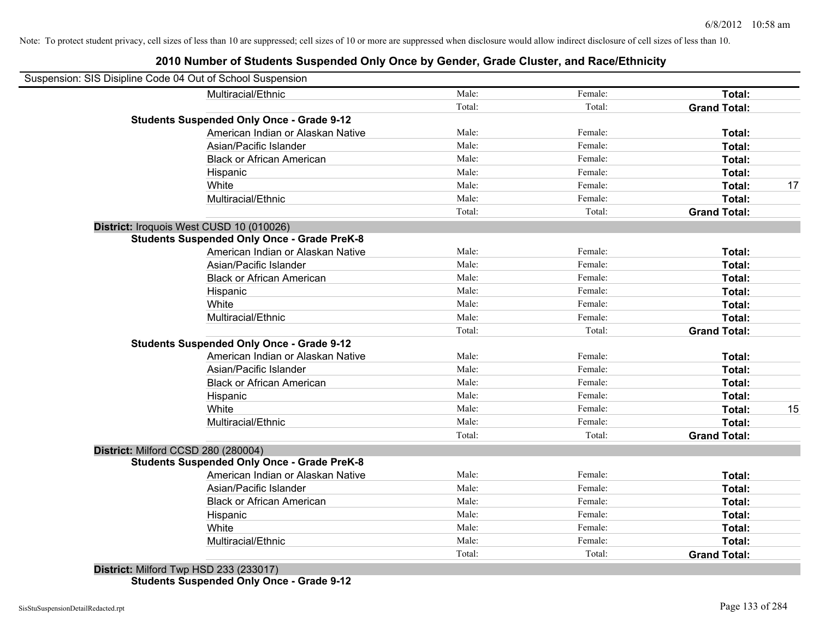# **2010 Number of Students Suspended Only Once by Gender, Grade Cluster, and Race/Ethnicity**

| Suspension: SIS Disipline Code 04 Out of School Suspension |        |         |                     |    |
|------------------------------------------------------------|--------|---------|---------------------|----|
| Multiracial/Ethnic                                         | Male:  | Female: | Total:              |    |
|                                                            | Total: | Total:  | <b>Grand Total:</b> |    |
| <b>Students Suspended Only Once - Grade 9-12</b>           |        |         |                     |    |
| American Indian or Alaskan Native                          | Male:  | Female: | Total:              |    |
| Asian/Pacific Islander                                     | Male:  | Female: | Total:              |    |
| <b>Black or African American</b>                           | Male:  | Female: | Total:              |    |
| Hispanic                                                   | Male:  | Female: | Total:              |    |
| White                                                      | Male:  | Female: | Total:              | 17 |
| Multiracial/Ethnic                                         | Male:  | Female: | Total:              |    |
|                                                            | Total: | Total:  | <b>Grand Total:</b> |    |
| District: Iroquois West CUSD 10 (010026)                   |        |         |                     |    |
| <b>Students Suspended Only Once - Grade PreK-8</b>         |        |         |                     |    |
| American Indian or Alaskan Native                          | Male:  | Female: | Total:              |    |
| Asian/Pacific Islander                                     | Male:  | Female: | Total:              |    |
| <b>Black or African American</b>                           | Male:  | Female: | Total:              |    |
| Hispanic                                                   | Male:  | Female: | Total:              |    |
| White                                                      | Male:  | Female: | Total:              |    |
| Multiracial/Ethnic                                         | Male:  | Female: | Total:              |    |
|                                                            | Total: | Total:  | <b>Grand Total:</b> |    |
| <b>Students Suspended Only Once - Grade 9-12</b>           |        |         |                     |    |
| American Indian or Alaskan Native                          | Male:  | Female: | Total:              |    |
| Asian/Pacific Islander                                     | Male:  | Female: | Total:              |    |
| <b>Black or African American</b>                           | Male:  | Female: | Total:              |    |
| Hispanic                                                   | Male:  | Female: | Total:              |    |
| White                                                      | Male:  | Female: | Total:              | 15 |
| Multiracial/Ethnic                                         | Male:  | Female: | Total:              |    |
|                                                            | Total: | Total:  | <b>Grand Total:</b> |    |
| District: Milford CCSD 280 (280004)                        |        |         |                     |    |
| <b>Students Suspended Only Once - Grade PreK-8</b>         |        |         |                     |    |
| American Indian or Alaskan Native                          | Male:  | Female: | Total:              |    |
| Asian/Pacific Islander                                     | Male:  | Female: | Total:              |    |
| <b>Black or African American</b>                           | Male:  | Female: | Total:              |    |
| Hispanic                                                   | Male:  | Female: | Total:              |    |
| White                                                      | Male:  | Female: | Total:              |    |
| Multiracial/Ethnic                                         | Male:  | Female: | Total:              |    |
|                                                            | Total: | Total:  | <b>Grand Total:</b> |    |
| $B_{1}$ , (a) (4) Millional Trans LIOD, 000 (000047)       |        |         |                     |    |

**District:** Milford Twp HSD 233 (233017) **Students Suspended Only Once - Grade 9-12**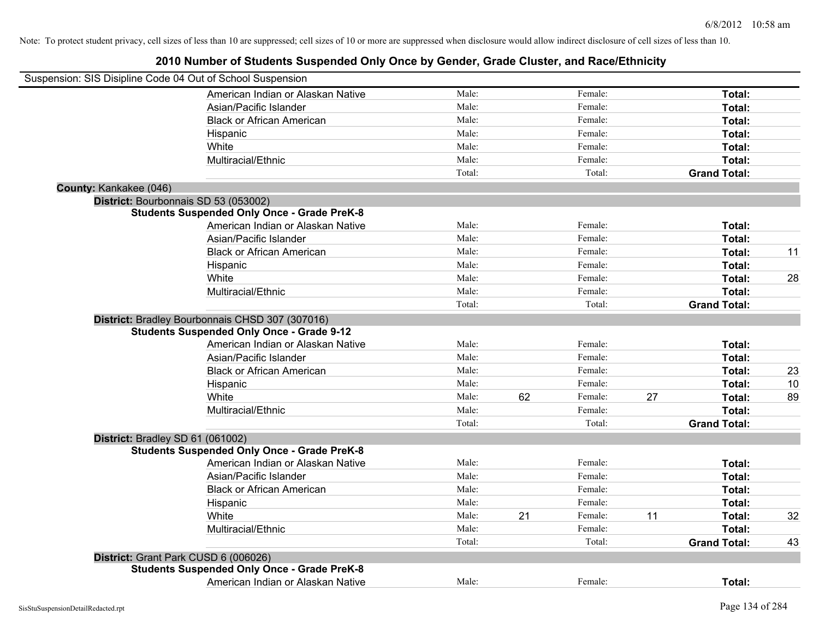| Suspension: SIS Disipline Code 04 Out of School Suspension |                                                    |        |    |         |    |                     |    |
|------------------------------------------------------------|----------------------------------------------------|--------|----|---------|----|---------------------|----|
|                                                            | American Indian or Alaskan Native                  | Male:  |    | Female: |    | Total:              |    |
|                                                            | Asian/Pacific Islander                             | Male:  |    | Female: |    | Total:              |    |
|                                                            | <b>Black or African American</b>                   | Male:  |    | Female: |    | Total:              |    |
|                                                            | Hispanic                                           | Male:  |    | Female: |    | Total:              |    |
|                                                            | White                                              | Male:  |    | Female: |    | Total:              |    |
|                                                            | Multiracial/Ethnic                                 | Male:  |    | Female: |    | Total:              |    |
|                                                            |                                                    | Total: |    | Total:  |    | <b>Grand Total:</b> |    |
| County: Kankakee (046)                                     |                                                    |        |    |         |    |                     |    |
| District: Bourbonnais SD 53 (053002)                       |                                                    |        |    |         |    |                     |    |
|                                                            | <b>Students Suspended Only Once - Grade PreK-8</b> |        |    |         |    |                     |    |
|                                                            | American Indian or Alaskan Native                  | Male:  |    | Female: |    | Total:              |    |
|                                                            | Asian/Pacific Islander                             | Male:  |    | Female: |    | Total:              |    |
|                                                            | <b>Black or African American</b>                   | Male:  |    | Female: |    | Total:              | 11 |
|                                                            | Hispanic                                           | Male:  |    | Female: |    | Total:              |    |
|                                                            | White                                              | Male:  |    | Female: |    | Total:              | 28 |
|                                                            | Multiracial/Ethnic                                 | Male:  |    | Female: |    | Total:              |    |
|                                                            |                                                    | Total: |    | Total:  |    | <b>Grand Total:</b> |    |
|                                                            | District: Bradley Bourbonnais CHSD 307 (307016)    |        |    |         |    |                     |    |
|                                                            | <b>Students Suspended Only Once - Grade 9-12</b>   |        |    |         |    |                     |    |
|                                                            | American Indian or Alaskan Native                  | Male:  |    | Female: |    | Total:              |    |
|                                                            | Asian/Pacific Islander                             | Male:  |    | Female: |    | Total:              |    |
|                                                            | <b>Black or African American</b>                   | Male:  |    | Female: |    | Total:              | 23 |
|                                                            | Hispanic                                           | Male:  |    | Female: |    | Total:              | 10 |
|                                                            | White                                              | Male:  | 62 | Female: | 27 | Total:              | 89 |
|                                                            | Multiracial/Ethnic                                 | Male:  |    | Female: |    | Total:              |    |
|                                                            |                                                    | Total: |    | Total:  |    | <b>Grand Total:</b> |    |
| District: Bradley SD 61 (061002)                           |                                                    |        |    |         |    |                     |    |
|                                                            | <b>Students Suspended Only Once - Grade PreK-8</b> |        |    |         |    |                     |    |
|                                                            | American Indian or Alaskan Native                  | Male:  |    | Female: |    | Total:              |    |
|                                                            | Asian/Pacific Islander                             | Male:  |    | Female: |    | Total:              |    |
|                                                            | <b>Black or African American</b>                   | Male:  |    | Female: |    | Total:              |    |
|                                                            | Hispanic                                           | Male:  |    | Female: |    | Total:              |    |
|                                                            | White                                              | Male:  | 21 | Female: | 11 | Total:              | 32 |
|                                                            | Multiracial/Ethnic                                 | Male:  |    | Female: |    | Total:              |    |
|                                                            |                                                    | Total: |    | Total:  |    | <b>Grand Total:</b> | 43 |
| District: Grant Park CUSD 6 (006026)                       |                                                    |        |    |         |    |                     |    |
|                                                            | <b>Students Suspended Only Once - Grade PreK-8</b> |        |    |         |    |                     |    |
|                                                            | American Indian or Alaskan Native                  | Male:  |    | Female: |    | Total:              |    |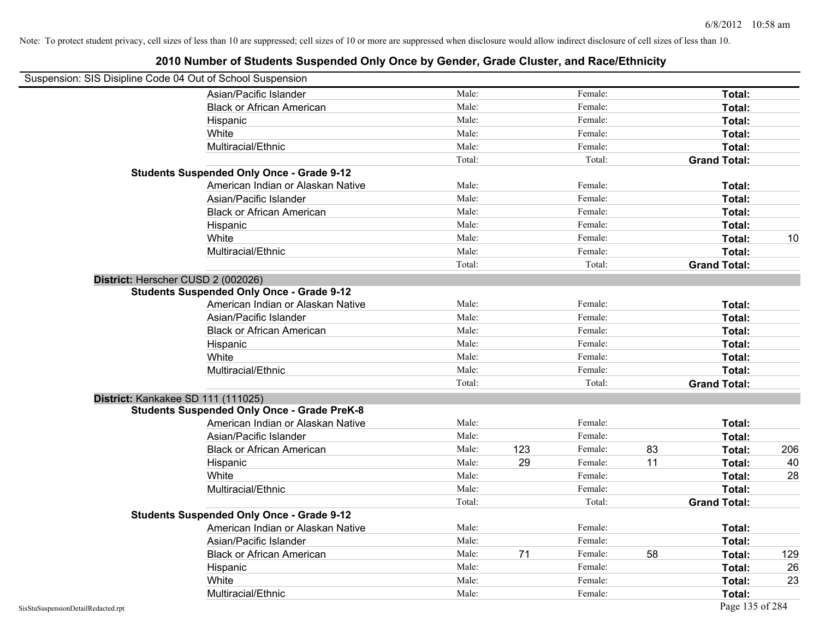| Suspension: SIS Disipline Code 04 Out of School Suspension |        |     |         |    |                     |     |
|------------------------------------------------------------|--------|-----|---------|----|---------------------|-----|
| Asian/Pacific Islander                                     | Male:  |     | Female: |    | Total:              |     |
| <b>Black or African American</b>                           | Male:  |     | Female: |    | Total:              |     |
| Hispanic                                                   | Male:  |     | Female: |    | Total:              |     |
| White                                                      | Male:  |     | Female: |    | Total:              |     |
| Multiracial/Ethnic                                         | Male:  |     | Female: |    | Total:              |     |
|                                                            | Total: |     | Total:  |    | <b>Grand Total:</b> |     |
| <b>Students Suspended Only Once - Grade 9-12</b>           |        |     |         |    |                     |     |
| American Indian or Alaskan Native                          | Male:  |     | Female: |    | Total:              |     |
| Asian/Pacific Islander                                     | Male:  |     | Female: |    | Total:              |     |
| <b>Black or African American</b>                           | Male:  |     | Female: |    | Total:              |     |
| Hispanic                                                   | Male:  |     | Female: |    | Total:              |     |
| White                                                      | Male:  |     | Female: |    | Total:              | 10  |
| Multiracial/Ethnic                                         | Male:  |     | Female: |    | Total:              |     |
|                                                            | Total: |     | Total:  |    | <b>Grand Total:</b> |     |
| District: Herscher CUSD 2 (002026)                         |        |     |         |    |                     |     |
| <b>Students Suspended Only Once - Grade 9-12</b>           |        |     |         |    |                     |     |
| American Indian or Alaskan Native                          | Male:  |     | Female: |    | Total:              |     |
| Asian/Pacific Islander                                     | Male:  |     | Female: |    | Total:              |     |
| <b>Black or African American</b>                           | Male:  |     | Female: |    | Total:              |     |
| Hispanic                                                   | Male:  |     | Female: |    | Total:              |     |
| White                                                      | Male:  |     | Female: |    | Total:              |     |
| Multiracial/Ethnic                                         | Male:  |     | Female: |    | Total:              |     |
|                                                            | Total: |     | Total:  |    | <b>Grand Total:</b> |     |
| District: Kankakee SD 111 (111025)                         |        |     |         |    |                     |     |
| <b>Students Suspended Only Once - Grade PreK-8</b>         |        |     |         |    |                     |     |
| American Indian or Alaskan Native                          | Male:  |     | Female: |    | Total:              |     |
| Asian/Pacific Islander                                     | Male:  |     | Female: |    | Total:              |     |
| <b>Black or African American</b>                           | Male:  | 123 | Female: | 83 | Total:              | 206 |
| Hispanic                                                   | Male:  | 29  | Female: | 11 | Total:              | 40  |
| White                                                      | Male:  |     | Female: |    | Total:              | 28  |
| Multiracial/Ethnic                                         | Male:  |     | Female: |    | Total:              |     |
|                                                            | Total: |     | Total:  |    | <b>Grand Total:</b> |     |
| <b>Students Suspended Only Once - Grade 9-12</b>           |        |     |         |    |                     |     |
| American Indian or Alaskan Native                          | Male:  |     | Female: |    | Total:              |     |
| Asian/Pacific Islander                                     | Male:  |     | Female: |    | Total:              |     |
| <b>Black or African American</b>                           | Male:  | 71  | Female: | 58 | Total:              | 129 |
| Hispanic                                                   | Male:  |     | Female: |    | Total:              | 26  |
| White                                                      | Male:  |     | Female: |    | Total:              | 23  |
| Multiracial/Ethnic                                         | Male:  |     | Female: |    | Total:              |     |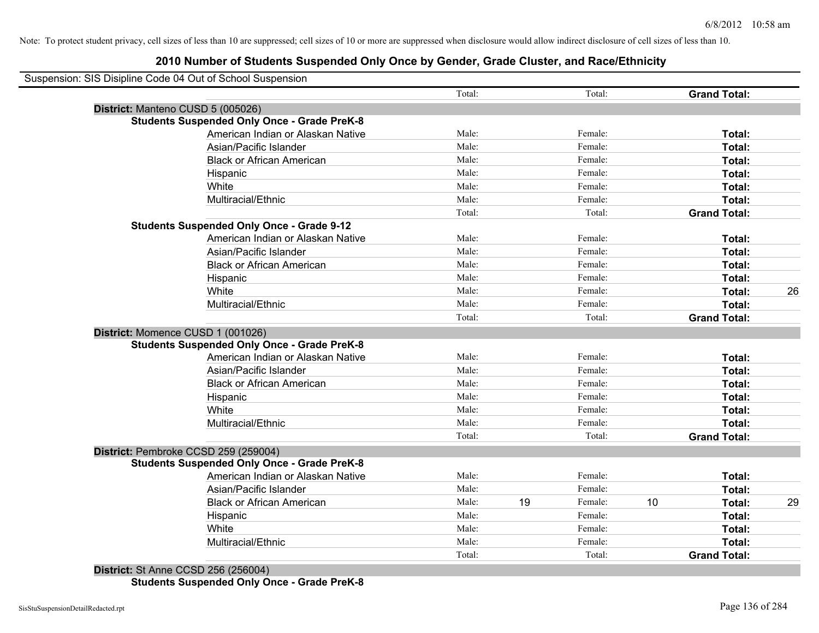# **2010 Number of Students Suspended Only Once by Gender, Grade Cluster, and Race/Ethnicity**

| Suspension: SIS Disipline Code 04 Out of School Suspension |        |    |         |    |                     |    |
|------------------------------------------------------------|--------|----|---------|----|---------------------|----|
|                                                            | Total: |    | Total:  |    | <b>Grand Total:</b> |    |
| District: Manteno CUSD 5 (005026)                          |        |    |         |    |                     |    |
| <b>Students Suspended Only Once - Grade PreK-8</b>         |        |    |         |    |                     |    |
| American Indian or Alaskan Native                          | Male:  |    | Female: |    | Total:              |    |
| Asian/Pacific Islander                                     | Male:  |    | Female: |    | Total:              |    |
| <b>Black or African American</b>                           | Male:  |    | Female: |    | Total:              |    |
| Hispanic                                                   | Male:  |    | Female: |    | Total:              |    |
| White                                                      | Male:  |    | Female: |    | Total:              |    |
| Multiracial/Ethnic                                         | Male:  |    | Female: |    | Total:              |    |
|                                                            | Total: |    | Total:  |    | <b>Grand Total:</b> |    |
| <b>Students Suspended Only Once - Grade 9-12</b>           |        |    |         |    |                     |    |
| American Indian or Alaskan Native                          | Male:  |    | Female: |    | Total:              |    |
| Asian/Pacific Islander                                     | Male:  |    | Female: |    | Total:              |    |
| <b>Black or African American</b>                           | Male:  |    | Female: |    | Total:              |    |
| Hispanic                                                   | Male:  |    | Female: |    | Total:              |    |
| White                                                      | Male:  |    | Female: |    | Total:              | 26 |
| Multiracial/Ethnic                                         | Male:  |    | Female: |    | Total:              |    |
|                                                            | Total: |    | Total:  |    | <b>Grand Total:</b> |    |
| District: Momence CUSD 1 (001026)                          |        |    |         |    |                     |    |
| <b>Students Suspended Only Once - Grade PreK-8</b>         |        |    |         |    |                     |    |
| American Indian or Alaskan Native                          | Male:  |    | Female: |    | Total:              |    |
| Asian/Pacific Islander                                     | Male:  |    | Female: |    | Total:              |    |
| <b>Black or African American</b>                           | Male:  |    | Female: |    | Total:              |    |
| Hispanic                                                   | Male:  |    | Female: |    | Total:              |    |
| White                                                      | Male:  |    | Female: |    | Total:              |    |
| Multiracial/Ethnic                                         | Male:  |    | Female: |    | Total:              |    |
|                                                            | Total: |    | Total:  |    | <b>Grand Total:</b> |    |
| District: Pembroke CCSD 259 (259004)                       |        |    |         |    |                     |    |
| <b>Students Suspended Only Once - Grade PreK-8</b>         |        |    |         |    |                     |    |
| American Indian or Alaskan Native                          | Male:  |    | Female: |    | Total:              |    |
| Asian/Pacific Islander                                     | Male:  |    | Female: |    | Total:              |    |
| <b>Black or African American</b>                           | Male:  | 19 | Female: | 10 | Total:              | 29 |
| Hispanic                                                   | Male:  |    | Female: |    | Total:              |    |
| White                                                      | Male:  |    | Female: |    | Total:              |    |
| Multiracial/Ethnic                                         | Male:  |    | Female: |    | <b>Total:</b>       |    |
|                                                            | Total: |    | Total:  |    | <b>Grand Total:</b> |    |

**District:** St Anne CCSD 256 (256004) **Students Suspended Only Once - Grade PreK-8**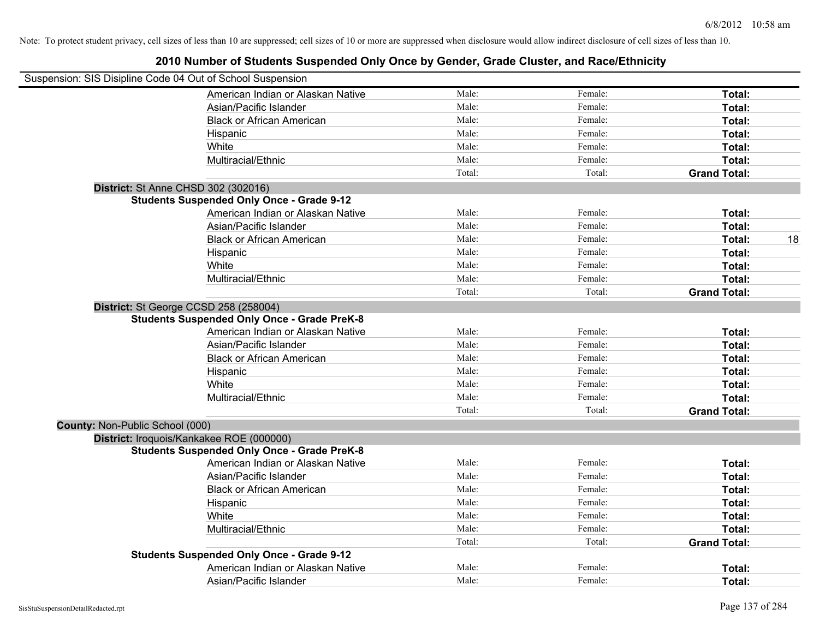|                                 | Suspension: SIS Disipline Code 04 Out of School Suspension |        |         |                     |    |
|---------------------------------|------------------------------------------------------------|--------|---------|---------------------|----|
|                                 | American Indian or Alaskan Native                          | Male:  | Female: | Total:              |    |
|                                 | Asian/Pacific Islander                                     | Male:  | Female: | Total:              |    |
|                                 | <b>Black or African American</b>                           | Male:  | Female: | Total:              |    |
|                                 | Hispanic                                                   | Male:  | Female: | Total:              |    |
|                                 | White                                                      | Male:  | Female: | Total:              |    |
|                                 | Multiracial/Ethnic                                         | Male:  | Female: | Total:              |    |
|                                 |                                                            | Total: | Total:  | <b>Grand Total:</b> |    |
|                                 | District: St Anne CHSD 302 (302016)                        |        |         |                     |    |
|                                 | <b>Students Suspended Only Once - Grade 9-12</b>           |        |         |                     |    |
|                                 | American Indian or Alaskan Native                          | Male:  | Female: | Total:              |    |
|                                 | Asian/Pacific Islander                                     | Male:  | Female: | Total:              |    |
|                                 | <b>Black or African American</b>                           | Male:  | Female: | Total:              | 18 |
|                                 | Hispanic                                                   | Male:  | Female: | Total:              |    |
|                                 | White                                                      | Male:  | Female: | Total:              |    |
|                                 | Multiracial/Ethnic                                         | Male:  | Female: | Total:              |    |
|                                 |                                                            | Total: | Total:  | <b>Grand Total:</b> |    |
|                                 | District: St George CCSD 258 (258004)                      |        |         |                     |    |
|                                 | <b>Students Suspended Only Once - Grade PreK-8</b>         |        |         |                     |    |
|                                 | American Indian or Alaskan Native                          | Male:  | Female: | Total:              |    |
|                                 | Asian/Pacific Islander                                     | Male:  | Female: | Total:              |    |
|                                 | <b>Black or African American</b>                           | Male:  | Female: | Total:              |    |
|                                 | Hispanic                                                   | Male:  | Female: | Total:              |    |
|                                 | White                                                      | Male:  | Female: | Total:              |    |
|                                 | Multiracial/Ethnic                                         | Male:  | Female: | Total:              |    |
|                                 |                                                            | Total: | Total:  | <b>Grand Total:</b> |    |
| County: Non-Public School (000) |                                                            |        |         |                     |    |
|                                 | District: Iroquois/Kankakee ROE (000000)                   |        |         |                     |    |
|                                 | <b>Students Suspended Only Once - Grade PreK-8</b>         |        |         |                     |    |
|                                 | American Indian or Alaskan Native                          | Male:  | Female: | Total:              |    |
|                                 | Asian/Pacific Islander                                     | Male:  | Female: | Total:              |    |
|                                 | <b>Black or African American</b>                           | Male:  | Female: | Total:              |    |
|                                 | Hispanic                                                   | Male:  | Female: | Total:              |    |
|                                 | White                                                      | Male:  | Female: | Total:              |    |
|                                 | Multiracial/Ethnic                                         | Male:  | Female: | Total:              |    |
|                                 |                                                            | Total: | Total:  | <b>Grand Total:</b> |    |
|                                 | <b>Students Suspended Only Once - Grade 9-12</b>           |        |         |                     |    |
|                                 | American Indian or Alaskan Native                          | Male:  | Female: | <b>Total:</b>       |    |
|                                 | Asian/Pacific Islander                                     | Male:  | Female: | Total:              |    |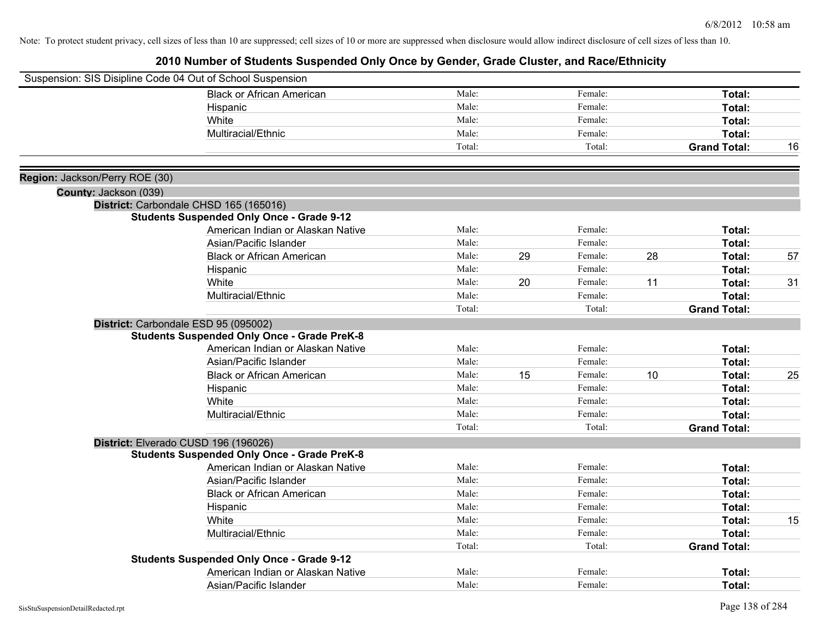|                                | Suspension: SIS Disipline Code 04 Out of School Suspension |        |    |         |    |                     |    |
|--------------------------------|------------------------------------------------------------|--------|----|---------|----|---------------------|----|
|                                | <b>Black or African American</b>                           | Male:  |    | Female: |    | Total:              |    |
|                                | Hispanic                                                   | Male:  |    | Female: |    | Total:              |    |
|                                | White                                                      | Male:  |    | Female: |    | Total:              |    |
|                                | Multiracial/Ethnic                                         | Male:  |    | Female: |    | Total:              |    |
|                                |                                                            | Total: |    | Total:  |    | <b>Grand Total:</b> | 16 |
| Region: Jackson/Perry ROE (30) |                                                            |        |    |         |    |                     |    |
| County: Jackson (039)          |                                                            |        |    |         |    |                     |    |
|                                | District: Carbondale CHSD 165 (165016)                     |        |    |         |    |                     |    |
|                                | <b>Students Suspended Only Once - Grade 9-12</b>           |        |    |         |    |                     |    |
|                                | American Indian or Alaskan Native                          | Male:  |    | Female: |    | Total:              |    |
|                                | Asian/Pacific Islander                                     | Male:  |    | Female: |    | Total:              |    |
|                                | <b>Black or African American</b>                           | Male:  | 29 | Female: | 28 | Total:              | 57 |
|                                | Hispanic                                                   | Male:  |    | Female: |    | Total:              |    |
|                                | White                                                      | Male:  | 20 | Female: | 11 | Total:              | 31 |
|                                | Multiracial/Ethnic                                         | Male:  |    | Female: |    | Total:              |    |
|                                |                                                            | Total: |    | Total:  |    | <b>Grand Total:</b> |    |
|                                | District: Carbondale ESD 95 (095002)                       |        |    |         |    |                     |    |
|                                | <b>Students Suspended Only Once - Grade PreK-8</b>         |        |    |         |    |                     |    |
|                                | American Indian or Alaskan Native                          | Male:  |    | Female: |    | Total:              |    |
|                                | Asian/Pacific Islander                                     | Male:  |    | Female: |    | Total:              |    |
|                                | <b>Black or African American</b>                           | Male:  | 15 | Female: | 10 | Total:              | 25 |
|                                | Hispanic                                                   | Male:  |    | Female: |    | Total:              |    |
|                                | White                                                      | Male:  |    | Female: |    | Total:              |    |
|                                | Multiracial/Ethnic                                         | Male:  |    | Female: |    | Total:              |    |
|                                |                                                            | Total: |    | Total:  |    | <b>Grand Total:</b> |    |
|                                | District: Elverado CUSD 196 (196026)                       |        |    |         |    |                     |    |
|                                | <b>Students Suspended Only Once - Grade PreK-8</b>         |        |    |         |    |                     |    |
|                                | American Indian or Alaskan Native                          | Male:  |    | Female: |    | Total:              |    |
|                                | Asian/Pacific Islander                                     | Male:  |    | Female: |    | Total:              |    |
|                                | <b>Black or African American</b>                           | Male:  |    | Female: |    | Total:              |    |
|                                | Hispanic                                                   | Male:  |    | Female: |    | Total:              |    |
|                                | White                                                      | Male:  |    | Female: |    | Total:              | 15 |
|                                | Multiracial/Ethnic                                         | Male:  |    | Female: |    | Total:              |    |
|                                |                                                            | Total: |    | Total:  |    | <b>Grand Total:</b> |    |
|                                | <b>Students Suspended Only Once - Grade 9-12</b>           |        |    |         |    |                     |    |
|                                | American Indian or Alaskan Native                          | Male:  |    | Female: |    | <b>Total:</b>       |    |
|                                | Asian/Pacific Islander                                     | Male:  |    | Female: |    | Total:              |    |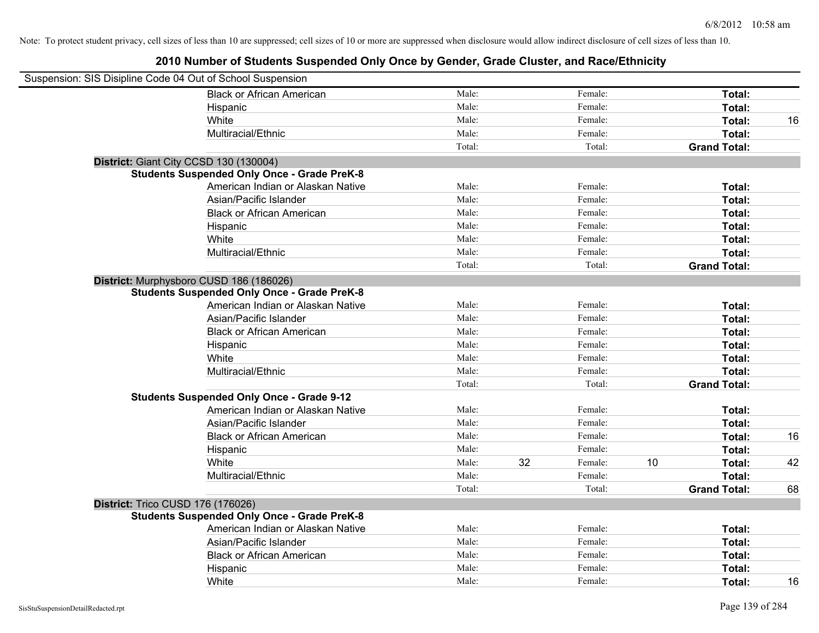| Suspension: SIS Disipline Code 04 Out of School Suspension |                                                    |        |    |         |    |                     |    |
|------------------------------------------------------------|----------------------------------------------------|--------|----|---------|----|---------------------|----|
|                                                            | <b>Black or African American</b>                   | Male:  |    | Female: |    | Total:              |    |
|                                                            | Hispanic                                           | Male:  |    | Female: |    | Total:              |    |
|                                                            | White                                              | Male:  |    | Female: |    | Total:              | 16 |
|                                                            | Multiracial/Ethnic                                 | Male:  |    | Female: |    | Total:              |    |
|                                                            |                                                    | Total: |    | Total:  |    | <b>Grand Total:</b> |    |
| District: Giant City CCSD 130 (130004)                     |                                                    |        |    |         |    |                     |    |
|                                                            | <b>Students Suspended Only Once - Grade PreK-8</b> |        |    |         |    |                     |    |
|                                                            | American Indian or Alaskan Native                  | Male:  |    | Female: |    | Total:              |    |
|                                                            | Asian/Pacific Islander                             | Male:  |    | Female: |    | Total:              |    |
|                                                            | <b>Black or African American</b>                   | Male:  |    | Female: |    | Total:              |    |
|                                                            | Hispanic                                           | Male:  |    | Female: |    | Total:              |    |
|                                                            | White                                              | Male:  |    | Female: |    | Total:              |    |
|                                                            | Multiracial/Ethnic                                 | Male:  |    | Female: |    | Total:              |    |
|                                                            |                                                    | Total: |    | Total:  |    | <b>Grand Total:</b> |    |
| District: Murphysboro CUSD 186 (186026)                    |                                                    |        |    |         |    |                     |    |
|                                                            | <b>Students Suspended Only Once - Grade PreK-8</b> |        |    |         |    |                     |    |
|                                                            | American Indian or Alaskan Native                  | Male:  |    | Female: |    | Total:              |    |
|                                                            | Asian/Pacific Islander                             | Male:  |    | Female: |    | Total:              |    |
|                                                            | <b>Black or African American</b>                   | Male:  |    | Female: |    | Total:              |    |
|                                                            | Hispanic                                           | Male:  |    | Female: |    | Total:              |    |
|                                                            | White                                              | Male:  |    | Female: |    | Total:              |    |
|                                                            | Multiracial/Ethnic                                 | Male:  |    | Female: |    | Total:              |    |
|                                                            |                                                    | Total: |    | Total:  |    | <b>Grand Total:</b> |    |
|                                                            | <b>Students Suspended Only Once - Grade 9-12</b>   |        |    |         |    |                     |    |
|                                                            | American Indian or Alaskan Native                  | Male:  |    | Female: |    | Total:              |    |
|                                                            | Asian/Pacific Islander                             | Male:  |    | Female: |    | Total:              |    |
|                                                            | <b>Black or African American</b>                   | Male:  |    | Female: |    | Total:              | 16 |
|                                                            | Hispanic                                           | Male:  |    | Female: |    | Total:              |    |
|                                                            | White                                              | Male:  | 32 | Female: | 10 | Total:              | 42 |
|                                                            | Multiracial/Ethnic                                 | Male:  |    | Female: |    | Total:              |    |
|                                                            |                                                    | Total: |    | Total:  |    | <b>Grand Total:</b> | 68 |
| District: Trico CUSD 176 (176026)                          |                                                    |        |    |         |    |                     |    |
|                                                            | <b>Students Suspended Only Once - Grade PreK-8</b> |        |    |         |    |                     |    |
|                                                            | American Indian or Alaskan Native                  | Male:  |    | Female: |    | Total:              |    |
|                                                            | Asian/Pacific Islander                             | Male:  |    | Female: |    | Total:              |    |
|                                                            | <b>Black or African American</b>                   | Male:  |    | Female: |    | Total:              |    |
|                                                            | Hispanic                                           | Male:  |    | Female: |    | Total:              |    |
|                                                            | White                                              | Male:  |    | Female: |    | Total:              | 16 |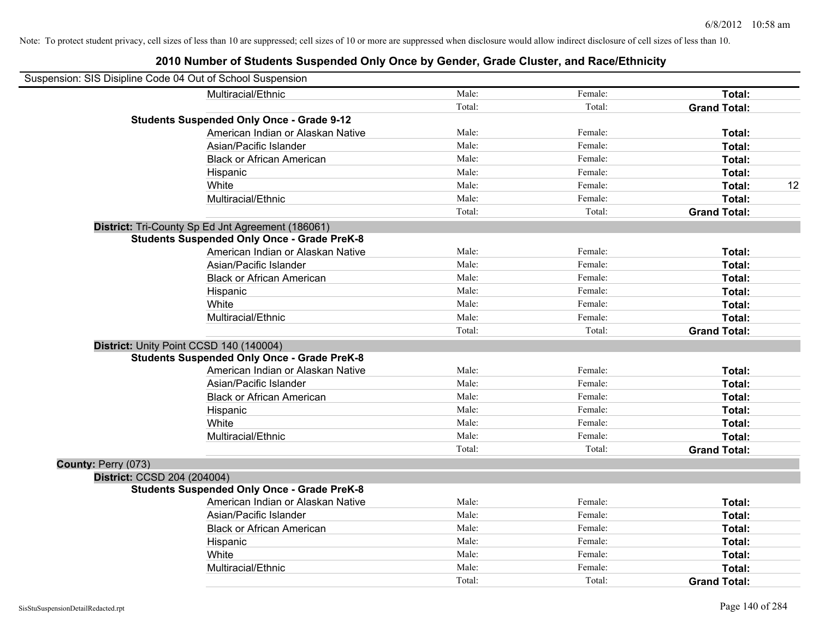| Suspension: SIS Disipline Code 04 Out of School Suspension |                                                    |        |         |                     |    |
|------------------------------------------------------------|----------------------------------------------------|--------|---------|---------------------|----|
|                                                            | Multiracial/Ethnic                                 | Male:  | Female: | Total:              |    |
|                                                            |                                                    | Total: | Total:  | <b>Grand Total:</b> |    |
|                                                            | <b>Students Suspended Only Once - Grade 9-12</b>   |        |         |                     |    |
|                                                            | American Indian or Alaskan Native                  | Male:  | Female: | Total:              |    |
|                                                            | Asian/Pacific Islander                             | Male:  | Female: | Total:              |    |
|                                                            | <b>Black or African American</b>                   | Male:  | Female: | Total:              |    |
|                                                            | Hispanic                                           | Male:  | Female: | Total:              |    |
|                                                            | White                                              | Male:  | Female: | Total:              | 12 |
|                                                            | Multiracial/Ethnic                                 | Male:  | Female: | <b>Total:</b>       |    |
|                                                            |                                                    | Total: | Total:  | <b>Grand Total:</b> |    |
|                                                            | District: Tri-County Sp Ed Jnt Agreement (186061)  |        |         |                     |    |
|                                                            | <b>Students Suspended Only Once - Grade PreK-8</b> |        |         |                     |    |
|                                                            | American Indian or Alaskan Native                  | Male:  | Female: | Total:              |    |
|                                                            | Asian/Pacific Islander                             | Male:  | Female: | Total:              |    |
|                                                            | <b>Black or African American</b>                   | Male:  | Female: | Total:              |    |
|                                                            | Hispanic                                           | Male:  | Female: | Total:              |    |
|                                                            | White                                              | Male:  | Female: | Total:              |    |
|                                                            | Multiracial/Ethnic                                 | Male:  | Female: | Total:              |    |
|                                                            |                                                    | Total: | Total:  | <b>Grand Total:</b> |    |
| District: Unity Point CCSD 140 (140004)                    |                                                    |        |         |                     |    |
|                                                            | <b>Students Suspended Only Once - Grade PreK-8</b> |        |         |                     |    |
|                                                            | American Indian or Alaskan Native                  | Male:  | Female: | Total:              |    |
|                                                            | Asian/Pacific Islander                             | Male:  | Female: | Total:              |    |
|                                                            | <b>Black or African American</b>                   | Male:  | Female: | Total:              |    |
|                                                            | Hispanic                                           | Male:  | Female: | Total:              |    |
|                                                            | White                                              | Male:  | Female: | Total:              |    |
|                                                            | Multiracial/Ethnic                                 | Male:  | Female: | Total:              |    |
|                                                            |                                                    | Total: | Total:  | <b>Grand Total:</b> |    |
| County: Perry (073)                                        |                                                    |        |         |                     |    |
| District: CCSD 204 (204004)                                |                                                    |        |         |                     |    |
|                                                            | <b>Students Suspended Only Once - Grade PreK-8</b> |        |         |                     |    |
|                                                            | American Indian or Alaskan Native                  | Male:  | Female: | Total:              |    |
|                                                            | Asian/Pacific Islander                             | Male:  | Female: | Total:              |    |
|                                                            | <b>Black or African American</b>                   | Male:  | Female: | Total:              |    |
|                                                            | Hispanic                                           | Male:  | Female: | Total:              |    |
|                                                            | White                                              | Male:  | Female: | Total:              |    |
|                                                            | Multiracial/Ethnic                                 | Male:  | Female: | Total:              |    |
|                                                            |                                                    | Total: | Total:  | <b>Grand Total:</b> |    |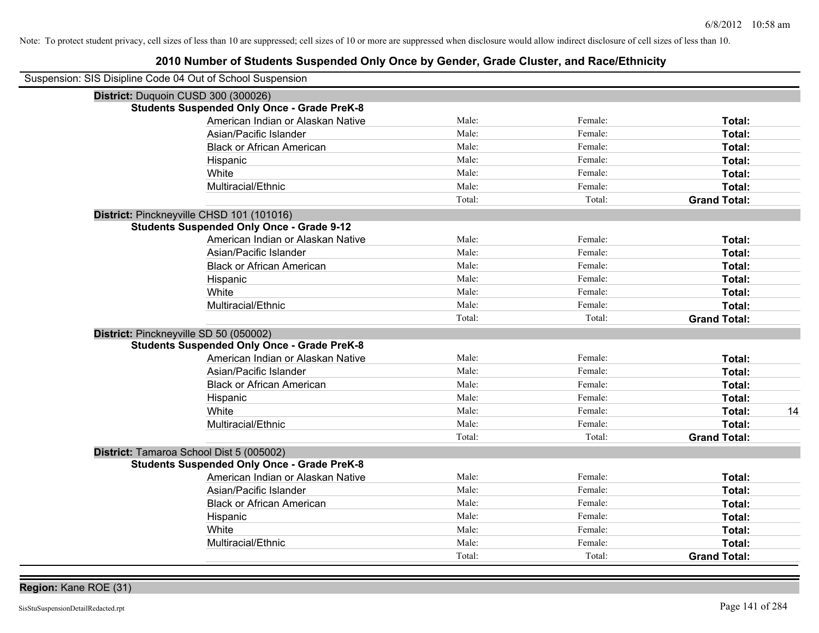| Suspension: SIS Disipline Code 04 Out of School Suspension |                                                    |        |         |                     |
|------------------------------------------------------------|----------------------------------------------------|--------|---------|---------------------|
| District: Duquoin CUSD 300 (300026)                        |                                                    |        |         |                     |
|                                                            | <b>Students Suspended Only Once - Grade PreK-8</b> |        |         |                     |
|                                                            | American Indian or Alaskan Native                  | Male:  | Female: | Total:              |
|                                                            | Asian/Pacific Islander                             | Male:  | Female: | Total:              |
|                                                            | <b>Black or African American</b>                   | Male:  | Female: | Total:              |
|                                                            | Hispanic                                           | Male:  | Female: | Total:              |
|                                                            | White                                              | Male:  | Female: | Total:              |
|                                                            | Multiracial/Ethnic                                 | Male:  | Female: | Total:              |
|                                                            |                                                    | Total: | Total:  | <b>Grand Total:</b> |
| District: Pinckneyville CHSD 101 (101016)                  |                                                    |        |         |                     |
|                                                            | <b>Students Suspended Only Once - Grade 9-12</b>   |        |         |                     |
|                                                            | American Indian or Alaskan Native                  | Male:  | Female: | Total:              |
|                                                            | Asian/Pacific Islander                             | Male:  | Female: | Total:              |
|                                                            | <b>Black or African American</b>                   | Male:  | Female: | Total:              |
|                                                            | Hispanic                                           | Male:  | Female: | Total:              |
|                                                            | White                                              | Male:  | Female: | Total:              |
|                                                            | Multiracial/Ethnic                                 | Male:  | Female: | Total:              |
|                                                            |                                                    | Total: | Total:  | <b>Grand Total:</b> |
| District: Pinckneyville SD 50 (050002)                     |                                                    |        |         |                     |
|                                                            | <b>Students Suspended Only Once - Grade PreK-8</b> |        |         |                     |
|                                                            | American Indian or Alaskan Native                  | Male:  | Female: | Total:              |
|                                                            | Asian/Pacific Islander                             | Male:  | Female: | Total:              |
|                                                            | <b>Black or African American</b>                   | Male:  | Female: | Total:              |
|                                                            | Hispanic                                           | Male:  | Female: | Total:              |
|                                                            | White                                              | Male:  | Female: | 14<br>Total:        |
|                                                            | Multiracial/Ethnic                                 | Male:  | Female: | Total:              |
|                                                            |                                                    | Total: | Total:  | <b>Grand Total:</b> |
| District: Tamaroa School Dist 5 (005002)                   |                                                    |        |         |                     |
|                                                            | <b>Students Suspended Only Once - Grade PreK-8</b> |        |         |                     |
|                                                            | American Indian or Alaskan Native                  | Male:  | Female: | Total:              |
|                                                            | Asian/Pacific Islander                             | Male:  | Female: | Total:              |
|                                                            | <b>Black or African American</b>                   | Male:  | Female: | Total:              |
|                                                            | Hispanic                                           | Male:  | Female: | Total:              |
|                                                            | White                                              | Male:  | Female: | Total:              |
|                                                            | Multiracial/Ethnic                                 | Male:  | Female: | Total:              |
|                                                            |                                                    | Total: | Total:  | <b>Grand Total:</b> |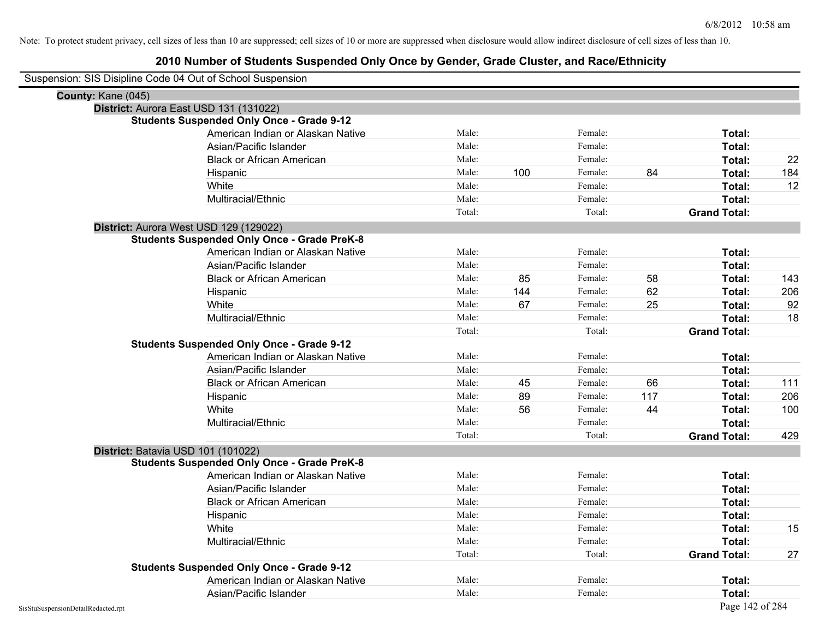| Suspension: SIS Disipline Code 04 Out of School Suspension |                                                    |        |     |         |     |                     |     |
|------------------------------------------------------------|----------------------------------------------------|--------|-----|---------|-----|---------------------|-----|
| County: Kane (045)                                         |                                                    |        |     |         |     |                     |     |
| District: Aurora East USD 131 (131022)                     |                                                    |        |     |         |     |                     |     |
|                                                            | <b>Students Suspended Only Once - Grade 9-12</b>   |        |     |         |     |                     |     |
|                                                            | American Indian or Alaskan Native                  | Male:  |     | Female: |     | Total:              |     |
|                                                            | Asian/Pacific Islander                             | Male:  |     | Female: |     | Total:              |     |
|                                                            | <b>Black or African American</b>                   | Male:  |     | Female: |     | Total:              | 22  |
|                                                            | Hispanic                                           | Male:  | 100 | Female: | 84  | Total:              | 184 |
|                                                            | White                                              | Male:  |     | Female: |     | Total:              | 12  |
|                                                            | Multiracial/Ethnic                                 | Male:  |     | Female: |     | Total:              |     |
|                                                            |                                                    | Total: |     | Total:  |     | <b>Grand Total:</b> |     |
| District: Aurora West USD 129 (129022)                     |                                                    |        |     |         |     |                     |     |
|                                                            | <b>Students Suspended Only Once - Grade PreK-8</b> |        |     |         |     |                     |     |
|                                                            | American Indian or Alaskan Native                  | Male:  |     | Female: |     | Total:              |     |
|                                                            | Asian/Pacific Islander                             | Male:  |     | Female: |     | Total:              |     |
|                                                            | <b>Black or African American</b>                   | Male:  | 85  | Female: | 58  | Total:              | 143 |
|                                                            | Hispanic                                           | Male:  | 144 | Female: | 62  | Total:              | 206 |
|                                                            | White                                              | Male:  | 67  | Female: | 25  | Total:              | 92  |
|                                                            | Multiracial/Ethnic                                 | Male:  |     | Female: |     | Total:              | 18  |
|                                                            |                                                    | Total: |     | Total:  |     | <b>Grand Total:</b> |     |
|                                                            | <b>Students Suspended Only Once - Grade 9-12</b>   |        |     |         |     |                     |     |
|                                                            | American Indian or Alaskan Native                  | Male:  |     | Female: |     | Total:              |     |
|                                                            | Asian/Pacific Islander                             | Male:  |     | Female: |     | Total:              |     |
|                                                            | <b>Black or African American</b>                   | Male:  | 45  | Female: | 66  | Total:              | 111 |
|                                                            | Hispanic                                           | Male:  | 89  | Female: | 117 | Total:              | 206 |
|                                                            | White                                              | Male:  | 56  | Female: | 44  | Total:              | 100 |
|                                                            | Multiracial/Ethnic                                 | Male:  |     | Female: |     | Total:              |     |
|                                                            |                                                    | Total: |     | Total:  |     | <b>Grand Total:</b> | 429 |
| District: Batavia USD 101 (101022)                         |                                                    |        |     |         |     |                     |     |
|                                                            | <b>Students Suspended Only Once - Grade PreK-8</b> |        |     |         |     |                     |     |
|                                                            | American Indian or Alaskan Native                  | Male:  |     | Female: |     | Total:              |     |
|                                                            | Asian/Pacific Islander                             | Male:  |     | Female: |     | Total:              |     |
|                                                            | <b>Black or African American</b>                   | Male:  |     | Female: |     | Total:              |     |
|                                                            | Hispanic                                           | Male:  |     | Female: |     | Total:              |     |
|                                                            | White                                              | Male:  |     | Female: |     | Total:              | 15  |
|                                                            | Multiracial/Ethnic                                 | Male:  |     | Female: |     | Total:              |     |
|                                                            |                                                    | Total: |     | Total:  |     | <b>Grand Total:</b> | 27  |
|                                                            | <b>Students Suspended Only Once - Grade 9-12</b>   |        |     |         |     |                     |     |
|                                                            | American Indian or Alaskan Native                  | Male:  |     | Female: |     | Total:              |     |
|                                                            | Asian/Pacific Islander                             | Male:  |     | Female: |     | Total:              |     |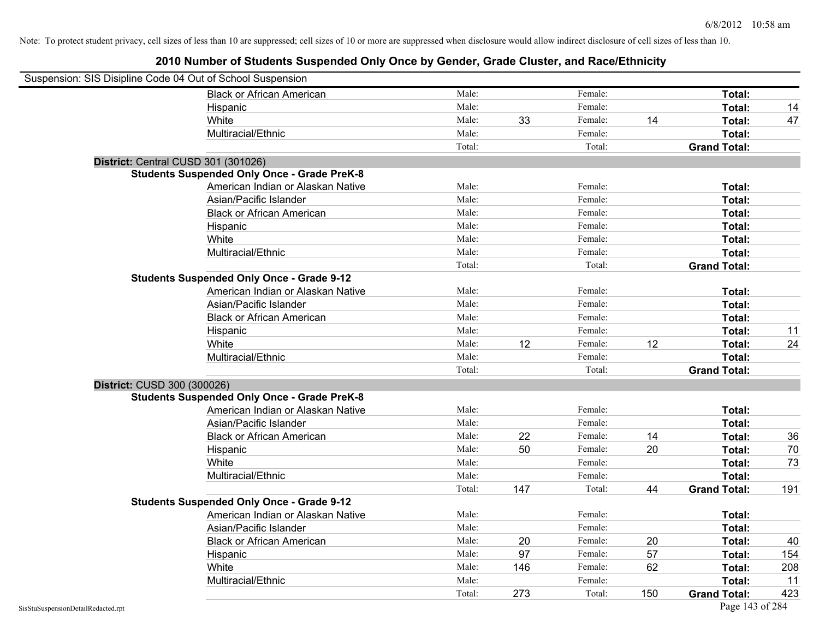| Suspension: SIS Disipline Code 04 Out of School Suspension |                                                    |        |     |         |     |                     |     |
|------------------------------------------------------------|----------------------------------------------------|--------|-----|---------|-----|---------------------|-----|
|                                                            | <b>Black or African American</b>                   | Male:  |     | Female: |     | Total:              |     |
|                                                            | Hispanic                                           | Male:  |     | Female: |     | Total:              | 14  |
|                                                            | White                                              | Male:  | 33  | Female: | 14  | Total:              | 47  |
|                                                            | Multiracial/Ethnic                                 | Male:  |     | Female: |     | Total:              |     |
|                                                            |                                                    | Total: |     | Total:  |     | <b>Grand Total:</b> |     |
| District: Central CUSD 301 (301026)                        |                                                    |        |     |         |     |                     |     |
|                                                            | <b>Students Suspended Only Once - Grade PreK-8</b> |        |     |         |     |                     |     |
|                                                            | American Indian or Alaskan Native                  | Male:  |     | Female: |     | Total:              |     |
|                                                            | Asian/Pacific Islander                             | Male:  |     | Female: |     | Total:              |     |
|                                                            | <b>Black or African American</b>                   | Male:  |     | Female: |     | Total:              |     |
|                                                            | Hispanic                                           | Male:  |     | Female: |     | Total:              |     |
|                                                            | White                                              | Male:  |     | Female: |     | Total:              |     |
|                                                            | Multiracial/Ethnic                                 | Male:  |     | Female: |     | Total:              |     |
|                                                            |                                                    | Total: |     | Total:  |     | <b>Grand Total:</b> |     |
|                                                            | <b>Students Suspended Only Once - Grade 9-12</b>   |        |     |         |     |                     |     |
|                                                            | American Indian or Alaskan Native                  | Male:  |     | Female: |     | Total:              |     |
|                                                            | Asian/Pacific Islander                             | Male:  |     | Female: |     | Total:              |     |
|                                                            | <b>Black or African American</b>                   | Male:  |     | Female: |     | Total:              |     |
|                                                            | Hispanic                                           | Male:  |     | Female: |     | Total:              | 11  |
|                                                            | White                                              | Male:  | 12  | Female: | 12  | Total:              | 24  |
|                                                            | Multiracial/Ethnic                                 | Male:  |     | Female: |     | Total:              |     |
|                                                            |                                                    | Total: |     | Total:  |     | <b>Grand Total:</b> |     |
| District: CUSD 300 (300026)                                |                                                    |        |     |         |     |                     |     |
|                                                            | <b>Students Suspended Only Once - Grade PreK-8</b> |        |     |         |     |                     |     |
|                                                            | American Indian or Alaskan Native                  | Male:  |     | Female: |     | Total:              |     |
|                                                            | Asian/Pacific Islander                             | Male:  |     | Female: |     | Total:              |     |
|                                                            | <b>Black or African American</b>                   | Male:  | 22  | Female: | 14  | Total:              | 36  |
|                                                            | Hispanic                                           | Male:  | 50  | Female: | 20  | Total:              | 70  |
|                                                            | White                                              | Male:  |     | Female: |     | Total:              | 73  |
|                                                            | Multiracial/Ethnic                                 | Male:  |     | Female: |     | Total:              |     |
|                                                            |                                                    | Total: | 147 | Total:  | 44  | <b>Grand Total:</b> | 191 |
|                                                            | <b>Students Suspended Only Once - Grade 9-12</b>   |        |     |         |     |                     |     |
|                                                            | American Indian or Alaskan Native                  | Male:  |     | Female: |     | Total:              |     |
|                                                            | Asian/Pacific Islander                             | Male:  |     | Female: |     | Total:              |     |
|                                                            | <b>Black or African American</b>                   | Male:  | 20  | Female: | 20  | Total:              | 40  |
|                                                            | Hispanic                                           | Male:  | 97  | Female: | 57  | Total:              | 154 |
|                                                            | White                                              | Male:  | 146 | Female: | 62  | Total:              | 208 |
|                                                            | Multiracial/Ethnic                                 | Male:  |     | Female: |     | Total:              | 11  |
|                                                            |                                                    | Total: | 273 | Total:  | 150 | <b>Grand Total:</b> | 423 |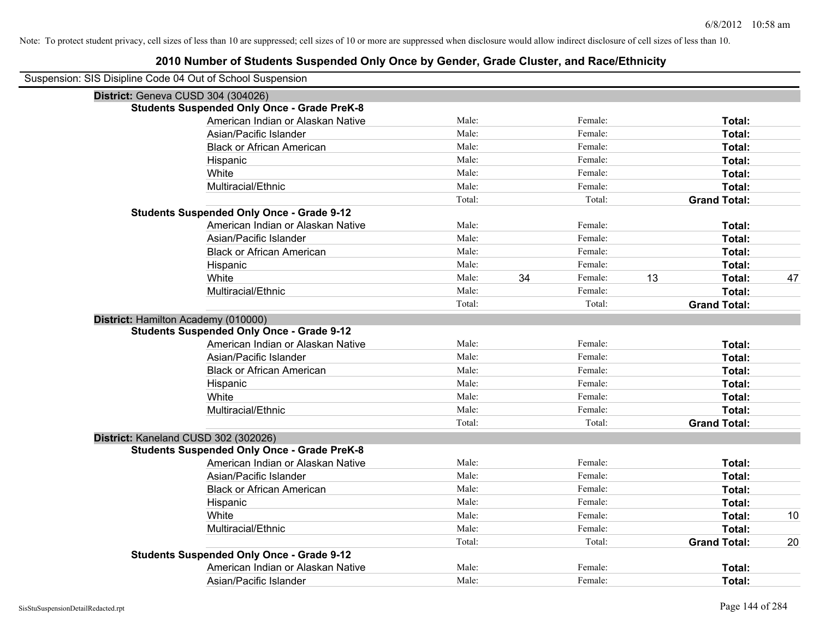| Suspension: SIS Disipline Code 04 Out of School Suspension |        |    |         |    |                     |    |
|------------------------------------------------------------|--------|----|---------|----|---------------------|----|
| District: Geneva CUSD 304 (304026)                         |        |    |         |    |                     |    |
| <b>Students Suspended Only Once - Grade PreK-8</b>         |        |    |         |    |                     |    |
| American Indian or Alaskan Native                          | Male:  |    | Female: |    | Total:              |    |
| Asian/Pacific Islander                                     | Male:  |    | Female: |    | Total:              |    |
| <b>Black or African American</b>                           | Male:  |    | Female: |    | Total:              |    |
| Hispanic                                                   | Male:  |    | Female: |    | Total:              |    |
| White                                                      | Male:  |    | Female: |    | Total:              |    |
| Multiracial/Ethnic                                         | Male:  |    | Female: |    | Total:              |    |
|                                                            | Total: |    | Total:  |    | <b>Grand Total:</b> |    |
| <b>Students Suspended Only Once - Grade 9-12</b>           |        |    |         |    |                     |    |
| American Indian or Alaskan Native                          | Male:  |    | Female: |    | Total:              |    |
| Asian/Pacific Islander                                     | Male:  |    | Female: |    | Total:              |    |
| <b>Black or African American</b>                           | Male:  |    | Female: |    | Total:              |    |
| Hispanic                                                   | Male:  |    | Female: |    | Total:              |    |
| White                                                      | Male:  | 34 | Female: | 13 | Total:              | 47 |
| Multiracial/Ethnic                                         | Male:  |    | Female: |    | Total:              |    |
|                                                            | Total: |    | Total:  |    | <b>Grand Total:</b> |    |
| District: Hamilton Academy (010000)                        |        |    |         |    |                     |    |
| <b>Students Suspended Only Once - Grade 9-12</b>           |        |    |         |    |                     |    |
| American Indian or Alaskan Native                          | Male:  |    | Female: |    | Total:              |    |
| Asian/Pacific Islander                                     | Male:  |    | Female: |    | Total:              |    |
| <b>Black or African American</b>                           | Male:  |    | Female: |    | Total:              |    |
| Hispanic                                                   | Male:  |    | Female: |    | Total:              |    |
| White                                                      | Male:  |    | Female: |    | Total:              |    |
| Multiracial/Ethnic                                         | Male:  |    | Female: |    | Total:              |    |
|                                                            | Total: |    | Total:  |    | <b>Grand Total:</b> |    |
| District: Kaneland CUSD 302 (302026)                       |        |    |         |    |                     |    |
| <b>Students Suspended Only Once - Grade PreK-8</b>         |        |    |         |    |                     |    |
| American Indian or Alaskan Native                          | Male:  |    | Female: |    | Total:              |    |
| Asian/Pacific Islander                                     | Male:  |    | Female: |    | Total:              |    |
| <b>Black or African American</b>                           | Male:  |    | Female: |    | Total:              |    |
| Hispanic                                                   | Male:  |    | Female: |    | Total:              |    |
| White                                                      | Male:  |    | Female: |    | Total:              | 10 |
| Multiracial/Ethnic                                         | Male:  |    | Female: |    | Total:              |    |
|                                                            | Total: |    | Total:  |    | <b>Grand Total:</b> | 20 |
| <b>Students Suspended Only Once - Grade 9-12</b>           |        |    |         |    |                     |    |
| American Indian or Alaskan Native                          | Male:  |    | Female: |    | <b>Total:</b>       |    |
| Asian/Pacific Islander                                     | Male:  |    | Female: |    | Total:              |    |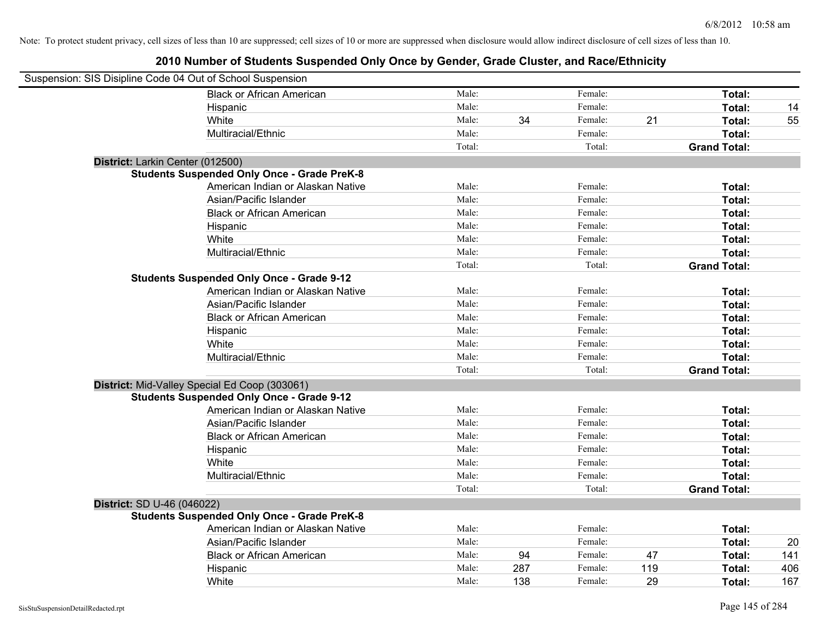| Suspension: SIS Disipline Code 04 Out of School Suspension |                                                    |        |     |         |     |                     |     |
|------------------------------------------------------------|----------------------------------------------------|--------|-----|---------|-----|---------------------|-----|
|                                                            | <b>Black or African American</b>                   | Male:  |     | Female: |     | Total:              |     |
|                                                            | Hispanic                                           | Male:  |     | Female: |     | Total:              | 14  |
|                                                            | White                                              | Male:  | 34  | Female: | 21  | Total:              | 55  |
|                                                            | Multiracial/Ethnic                                 | Male:  |     | Female: |     | Total:              |     |
|                                                            |                                                    | Total: |     | Total:  |     | <b>Grand Total:</b> |     |
| District: Larkin Center (012500)                           |                                                    |        |     |         |     |                     |     |
|                                                            | <b>Students Suspended Only Once - Grade PreK-8</b> |        |     |         |     |                     |     |
|                                                            | American Indian or Alaskan Native                  | Male:  |     | Female: |     | Total:              |     |
|                                                            | Asian/Pacific Islander                             | Male:  |     | Female: |     | Total:              |     |
|                                                            | <b>Black or African American</b>                   | Male:  |     | Female: |     | Total:              |     |
|                                                            | Hispanic                                           | Male:  |     | Female: |     | Total:              |     |
|                                                            | White                                              | Male:  |     | Female: |     | Total:              |     |
|                                                            | Multiracial/Ethnic                                 | Male:  |     | Female: |     | Total:              |     |
|                                                            |                                                    | Total: |     | Total:  |     | <b>Grand Total:</b> |     |
|                                                            | <b>Students Suspended Only Once - Grade 9-12</b>   |        |     |         |     |                     |     |
|                                                            | American Indian or Alaskan Native                  | Male:  |     | Female: |     | Total:              |     |
|                                                            | Asian/Pacific Islander                             | Male:  |     | Female: |     | Total:              |     |
|                                                            | <b>Black or African American</b>                   | Male:  |     | Female: |     | Total:              |     |
|                                                            | Hispanic                                           | Male:  |     | Female: |     | Total:              |     |
|                                                            | White                                              | Male:  |     | Female: |     | Total:              |     |
|                                                            | Multiracial/Ethnic                                 | Male:  |     | Female: |     | Total:              |     |
|                                                            |                                                    | Total: |     | Total:  |     | <b>Grand Total:</b> |     |
|                                                            | District: Mid-Valley Special Ed Coop (303061)      |        |     |         |     |                     |     |
|                                                            | <b>Students Suspended Only Once - Grade 9-12</b>   |        |     |         |     |                     |     |
|                                                            | American Indian or Alaskan Native                  | Male:  |     | Female: |     | Total:              |     |
|                                                            | Asian/Pacific Islander                             | Male:  |     | Female: |     | Total:              |     |
|                                                            | <b>Black or African American</b>                   | Male:  |     | Female: |     | Total:              |     |
|                                                            | Hispanic                                           | Male:  |     | Female: |     | Total:              |     |
|                                                            | White                                              | Male:  |     | Female: |     | Total:              |     |
|                                                            | Multiracial/Ethnic                                 | Male:  |     | Female: |     | Total:              |     |
|                                                            |                                                    | Total: |     | Total:  |     | <b>Grand Total:</b> |     |
| District: SD U-46 (046022)                                 |                                                    |        |     |         |     |                     |     |
|                                                            | <b>Students Suspended Only Once - Grade PreK-8</b> |        |     |         |     |                     |     |
|                                                            | American Indian or Alaskan Native                  | Male:  |     | Female: |     | Total:              |     |
|                                                            | Asian/Pacific Islander                             | Male:  |     | Female: |     | Total:              | 20  |
|                                                            | <b>Black or African American</b>                   | Male:  | 94  | Female: | 47  | Total:              | 141 |
|                                                            | Hispanic                                           | Male:  | 287 | Female: | 119 | Total:              | 406 |
|                                                            | White                                              | Male:  | 138 | Female: | 29  | Total:              | 167 |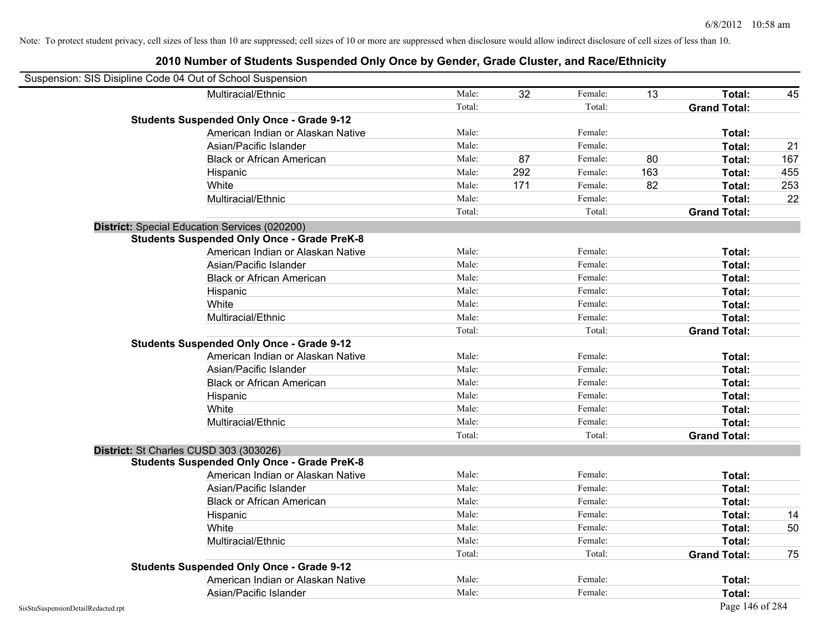| Suspension: SIS Disipline Code 04 Out of School Suspension |                                                    |        |     |         |     |                     |     |
|------------------------------------------------------------|----------------------------------------------------|--------|-----|---------|-----|---------------------|-----|
|                                                            | Multiracial/Ethnic                                 | Male:  | 32  | Female: | 13  | Total:              | 45  |
|                                                            |                                                    | Total: |     | Total:  |     | <b>Grand Total:</b> |     |
|                                                            | <b>Students Suspended Only Once - Grade 9-12</b>   |        |     |         |     |                     |     |
|                                                            | American Indian or Alaskan Native                  | Male:  |     | Female: |     | Total:              |     |
|                                                            | Asian/Pacific Islander                             | Male:  |     | Female: |     | Total:              | 21  |
|                                                            | <b>Black or African American</b>                   | Male:  | 87  | Female: | 80  | Total:              | 167 |
|                                                            | Hispanic                                           | Male:  | 292 | Female: | 163 | Total:              | 455 |
|                                                            | White                                              | Male:  | 171 | Female: | 82  | Total:              | 253 |
|                                                            | Multiracial/Ethnic                                 | Male:  |     | Female: |     | Total:              | 22  |
|                                                            |                                                    | Total: |     | Total:  |     | <b>Grand Total:</b> |     |
|                                                            | District: Special Education Services (020200)      |        |     |         |     |                     |     |
|                                                            | <b>Students Suspended Only Once - Grade PreK-8</b> |        |     |         |     |                     |     |
|                                                            | American Indian or Alaskan Native                  | Male:  |     | Female: |     | Total:              |     |
|                                                            | Asian/Pacific Islander                             | Male:  |     | Female: |     | Total:              |     |
|                                                            | <b>Black or African American</b>                   | Male:  |     | Female: |     | Total:              |     |
|                                                            | Hispanic                                           | Male:  |     | Female: |     | Total:              |     |
|                                                            | White                                              | Male:  |     | Female: |     | Total:              |     |
|                                                            | Multiracial/Ethnic                                 | Male:  |     | Female: |     | Total:              |     |
|                                                            |                                                    | Total: |     | Total:  |     | <b>Grand Total:</b> |     |
|                                                            | <b>Students Suspended Only Once - Grade 9-12</b>   |        |     |         |     |                     |     |
|                                                            | American Indian or Alaskan Native                  | Male:  |     | Female: |     | Total:              |     |
|                                                            | Asian/Pacific Islander                             | Male:  |     | Female: |     | Total:              |     |
|                                                            | <b>Black or African American</b>                   | Male:  |     | Female: |     | Total:              |     |
|                                                            | Hispanic                                           | Male:  |     | Female: |     | Total:              |     |
|                                                            | White                                              | Male:  |     | Female: |     | Total:              |     |
|                                                            | Multiracial/Ethnic                                 | Male:  |     | Female: |     | Total:              |     |
|                                                            |                                                    | Total: |     | Total:  |     | <b>Grand Total:</b> |     |
| District: St Charles CUSD 303 (303026)                     |                                                    |        |     |         |     |                     |     |
|                                                            | <b>Students Suspended Only Once - Grade PreK-8</b> |        |     |         |     |                     |     |
|                                                            | American Indian or Alaskan Native                  | Male:  |     | Female: |     | Total:              |     |
|                                                            | Asian/Pacific Islander                             | Male:  |     | Female: |     | Total:              |     |
|                                                            | <b>Black or African American</b>                   | Male:  |     | Female: |     | Total:              |     |
|                                                            | Hispanic                                           | Male:  |     | Female: |     | Total:              | 14  |
|                                                            | White                                              | Male:  |     | Female: |     | Total:              | 50  |
|                                                            | Multiracial/Ethnic                                 | Male:  |     | Female: |     | Total:              |     |
|                                                            |                                                    | Total: |     | Total:  |     | <b>Grand Total:</b> | 75  |
|                                                            | <b>Students Suspended Only Once - Grade 9-12</b>   |        |     |         |     |                     |     |
|                                                            | American Indian or Alaskan Native                  | Male:  |     | Female: |     | Total:              |     |
|                                                            | Asian/Pacific Islander                             | Male:  |     | Female: |     | Total:              |     |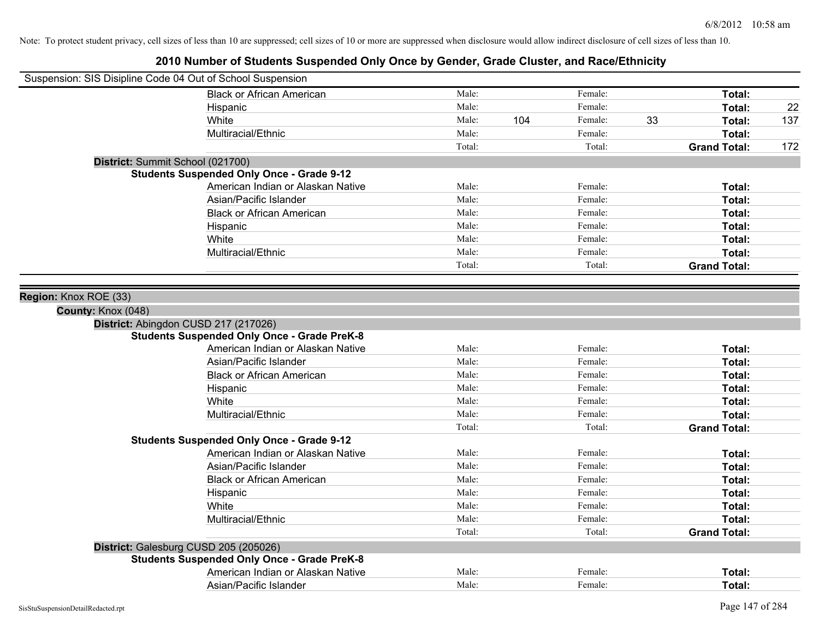| Suspension: SIS Disipline Code 04 Out of School Suspension |                                                    |        |     |         |    |                     |     |
|------------------------------------------------------------|----------------------------------------------------|--------|-----|---------|----|---------------------|-----|
|                                                            | <b>Black or African American</b>                   | Male:  |     | Female: |    | Total:              |     |
|                                                            | Hispanic                                           | Male:  |     | Female: |    | Total:              | 22  |
|                                                            | White                                              | Male:  | 104 | Female: | 33 | Total:              | 137 |
|                                                            | Multiracial/Ethnic                                 | Male:  |     | Female: |    | Total:              |     |
|                                                            |                                                    | Total: |     | Total:  |    | <b>Grand Total:</b> | 172 |
| District: Summit School (021700)                           |                                                    |        |     |         |    |                     |     |
|                                                            | <b>Students Suspended Only Once - Grade 9-12</b>   |        |     |         |    |                     |     |
|                                                            | American Indian or Alaskan Native                  | Male:  |     | Female: |    | Total:              |     |
|                                                            | Asian/Pacific Islander                             | Male:  |     | Female: |    | Total:              |     |
|                                                            | <b>Black or African American</b>                   | Male:  |     | Female: |    | Total:              |     |
|                                                            | Hispanic                                           | Male:  |     | Female: |    | Total:              |     |
|                                                            | White                                              | Male:  |     | Female: |    | Total:              |     |
|                                                            | Multiracial/Ethnic                                 | Male:  |     | Female: |    | Total:              |     |
|                                                            |                                                    | Total: |     | Total:  |    | <b>Grand Total:</b> |     |
|                                                            |                                                    |        |     |         |    |                     |     |
| Region: Knox ROE (33)                                      |                                                    |        |     |         |    |                     |     |
| County: Knox (048)                                         |                                                    |        |     |         |    |                     |     |
| District: Abingdon CUSD 217 (217026)                       |                                                    |        |     |         |    |                     |     |
|                                                            | <b>Students Suspended Only Once - Grade PreK-8</b> |        |     |         |    |                     |     |
|                                                            | American Indian or Alaskan Native                  | Male:  |     | Female: |    | Total:              |     |
|                                                            | Asian/Pacific Islander                             | Male:  |     | Female: |    | Total:              |     |
|                                                            | <b>Black or African American</b>                   | Male:  |     | Female: |    | Total:              |     |
|                                                            | Hispanic                                           | Male:  |     | Female: |    | Total:              |     |
|                                                            | White                                              | Male:  |     | Female: |    | Total:              |     |
|                                                            | Multiracial/Ethnic                                 | Male:  |     | Female: |    | Total:              |     |
|                                                            |                                                    | Total: |     | Total:  |    | <b>Grand Total:</b> |     |
|                                                            | <b>Students Suspended Only Once - Grade 9-12</b>   |        |     |         |    |                     |     |
|                                                            | American Indian or Alaskan Native                  | Male:  |     | Female: |    | Total:              |     |
|                                                            | Asian/Pacific Islander                             | Male:  |     | Female: |    | Total:              |     |
|                                                            | <b>Black or African American</b>                   | Male:  |     | Female: |    | Total:              |     |
|                                                            | Hispanic                                           | Male:  |     | Female: |    | Total:              |     |
|                                                            | White                                              | Male:  |     | Female: |    | Total:              |     |
|                                                            | Multiracial/Ethnic                                 | Male:  |     | Female: |    | Total:              |     |
|                                                            |                                                    | Total: |     | Total:  |    | <b>Grand Total:</b> |     |
| District: Galesburg CUSD 205 (205026)                      |                                                    |        |     |         |    |                     |     |
|                                                            | <b>Students Suspended Only Once - Grade PreK-8</b> |        |     |         |    |                     |     |
|                                                            | American Indian or Alaskan Native                  | Male:  |     | Female: |    | <b>Total:</b>       |     |
|                                                            | Asian/Pacific Islander                             | Male:  |     | Female: |    | Total:              |     |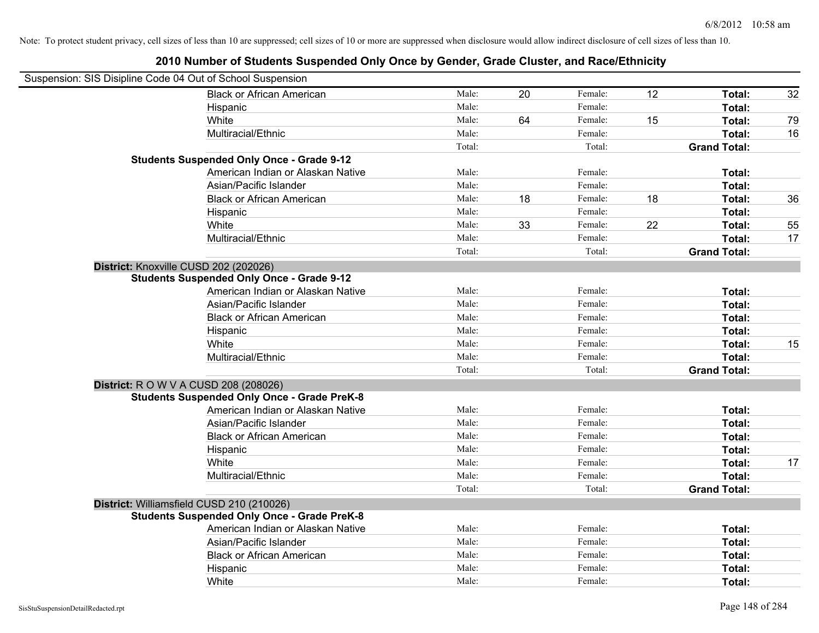| Suspension: SIS Disipline Code 04 Out of School Suspension |                                                    |        |    |         |    |                     |    |
|------------------------------------------------------------|----------------------------------------------------|--------|----|---------|----|---------------------|----|
|                                                            | <b>Black or African American</b>                   | Male:  | 20 | Female: | 12 | Total:              | 32 |
|                                                            | Hispanic                                           | Male:  |    | Female: |    | Total:              |    |
|                                                            | White                                              | Male:  | 64 | Female: | 15 | Total:              | 79 |
|                                                            | Multiracial/Ethnic                                 | Male:  |    | Female: |    | Total:              | 16 |
|                                                            |                                                    | Total: |    | Total:  |    | <b>Grand Total:</b> |    |
|                                                            | <b>Students Suspended Only Once - Grade 9-12</b>   |        |    |         |    |                     |    |
|                                                            | American Indian or Alaskan Native                  | Male:  |    | Female: |    | Total:              |    |
|                                                            | Asian/Pacific Islander                             | Male:  |    | Female: |    | Total:              |    |
|                                                            | <b>Black or African American</b>                   | Male:  | 18 | Female: | 18 | Total:              | 36 |
|                                                            | Hispanic                                           | Male:  |    | Female: |    | Total:              |    |
|                                                            | White                                              | Male:  | 33 | Female: | 22 | Total:              | 55 |
|                                                            | Multiracial/Ethnic                                 | Male:  |    | Female: |    | Total:              | 17 |
|                                                            |                                                    | Total: |    | Total:  |    | <b>Grand Total:</b> |    |
|                                                            | District: Knoxville CUSD 202 (202026)              |        |    |         |    |                     |    |
|                                                            | <b>Students Suspended Only Once - Grade 9-12</b>   |        |    |         |    |                     |    |
|                                                            | American Indian or Alaskan Native                  | Male:  |    | Female: |    | Total:              |    |
|                                                            | Asian/Pacific Islander                             | Male:  |    | Female: |    | Total:              |    |
|                                                            | <b>Black or African American</b>                   | Male:  |    | Female: |    | Total:              |    |
|                                                            | Hispanic                                           | Male:  |    | Female: |    | Total:              |    |
|                                                            | White                                              | Male:  |    | Female: |    | Total:              | 15 |
|                                                            | Multiracial/Ethnic                                 | Male:  |    | Female: |    | Total:              |    |
|                                                            |                                                    | Total: |    | Total:  |    | <b>Grand Total:</b> |    |
|                                                            | <b>District: R O W V A CUSD 208 (208026)</b>       |        |    |         |    |                     |    |
|                                                            | <b>Students Suspended Only Once - Grade PreK-8</b> |        |    |         |    |                     |    |
|                                                            | American Indian or Alaskan Native                  | Male:  |    | Female: |    | Total:              |    |
|                                                            | Asian/Pacific Islander                             | Male:  |    | Female: |    | Total:              |    |
|                                                            | <b>Black or African American</b>                   | Male:  |    | Female: |    | Total:              |    |
|                                                            | Hispanic                                           | Male:  |    | Female: |    | Total:              |    |
|                                                            | White                                              | Male:  |    | Female: |    | Total:              | 17 |
|                                                            | Multiracial/Ethnic                                 | Male:  |    | Female: |    | Total:              |    |
|                                                            |                                                    | Total: |    | Total:  |    | <b>Grand Total:</b> |    |
|                                                            | District: Williamsfield CUSD 210 (210026)          |        |    |         |    |                     |    |
|                                                            | <b>Students Suspended Only Once - Grade PreK-8</b> |        |    |         |    |                     |    |
|                                                            | American Indian or Alaskan Native                  | Male:  |    | Female: |    | Total:              |    |
|                                                            | Asian/Pacific Islander                             | Male:  |    | Female: |    | Total:              |    |
|                                                            | <b>Black or African American</b>                   | Male:  |    | Female: |    | Total:              |    |
|                                                            | Hispanic                                           | Male:  |    | Female: |    | Total:              |    |
|                                                            | White                                              | Male:  |    | Female: |    | Total:              |    |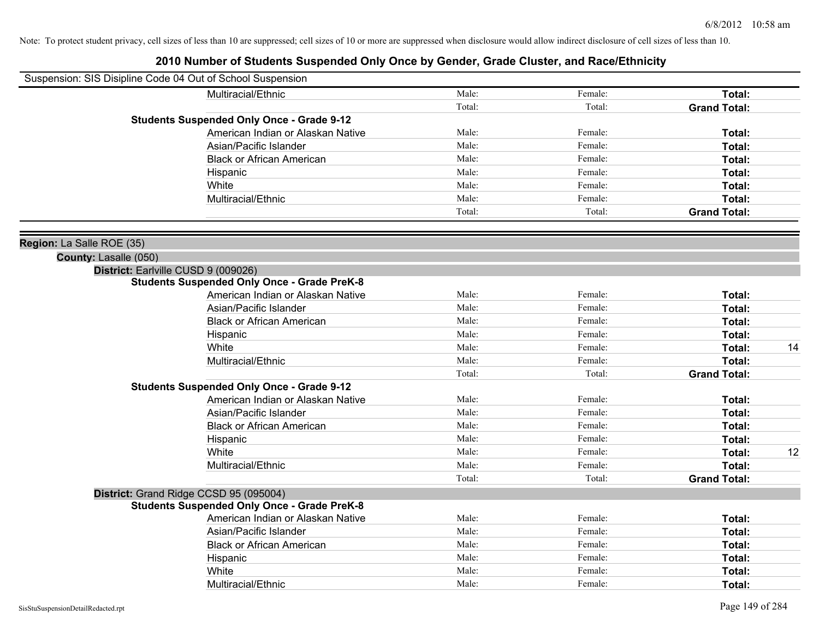| Suspension: SIS Disipline Code 04 Out of School Suspension |                                                    |        |         |                     |    |
|------------------------------------------------------------|----------------------------------------------------|--------|---------|---------------------|----|
|                                                            | Multiracial/Ethnic                                 | Male:  | Female: | Total:              |    |
|                                                            |                                                    | Total: | Total:  | <b>Grand Total:</b> |    |
|                                                            | <b>Students Suspended Only Once - Grade 9-12</b>   |        |         |                     |    |
|                                                            | American Indian or Alaskan Native                  | Male:  | Female: | Total:              |    |
|                                                            | Asian/Pacific Islander                             | Male:  | Female: | Total:              |    |
|                                                            | <b>Black or African American</b>                   | Male:  | Female: | Total:              |    |
|                                                            | Hispanic                                           | Male:  | Female: | Total:              |    |
|                                                            | White                                              | Male:  | Female: | Total:              |    |
|                                                            | Multiracial/Ethnic                                 | Male:  | Female: | Total:              |    |
|                                                            |                                                    | Total: | Total:  | <b>Grand Total:</b> |    |
| Region: La Salle ROE (35)                                  |                                                    |        |         |                     |    |
| County: Lasalle (050)                                      |                                                    |        |         |                     |    |
| District: Earlville CUSD 9 (009026)                        |                                                    |        |         |                     |    |
|                                                            | <b>Students Suspended Only Once - Grade PreK-8</b> |        |         |                     |    |
|                                                            | American Indian or Alaskan Native                  | Male:  | Female: | Total:              |    |
|                                                            | Asian/Pacific Islander                             | Male:  | Female: | Total:              |    |
|                                                            | <b>Black or African American</b>                   | Male:  | Female: | Total:              |    |
|                                                            | Hispanic                                           | Male:  | Female: | Total:              |    |
|                                                            | White                                              | Male:  | Female: | Total:              | 14 |
|                                                            | Multiracial/Ethnic                                 | Male:  | Female: | Total:              |    |
|                                                            |                                                    | Total: | Total:  | <b>Grand Total:</b> |    |
|                                                            | <b>Students Suspended Only Once - Grade 9-12</b>   |        |         |                     |    |
|                                                            | American Indian or Alaskan Native                  | Male:  | Female: | Total:              |    |
|                                                            | Asian/Pacific Islander                             | Male:  | Female: | Total:              |    |
|                                                            | <b>Black or African American</b>                   | Male:  | Female: | Total:              |    |
|                                                            | Hispanic                                           | Male:  | Female: | Total:              |    |
|                                                            | White                                              | Male:  | Female: | Total:              | 12 |
|                                                            | Multiracial/Ethnic                                 | Male:  | Female: | Total:              |    |
|                                                            |                                                    | Total: | Total:  | <b>Grand Total:</b> |    |
|                                                            | District: Grand Ridge CCSD 95 (095004)             |        |         |                     |    |
|                                                            | <b>Students Suspended Only Once - Grade PreK-8</b> |        |         |                     |    |
|                                                            | American Indian or Alaskan Native                  | Male:  | Female: | Total:              |    |
|                                                            | Asian/Pacific Islander                             | Male:  | Female: | Total:              |    |
|                                                            | <b>Black or African American</b>                   | Male:  | Female: | Total:              |    |
|                                                            | Hispanic                                           | Male:  | Female: | Total:              |    |
|                                                            | White                                              | Male:  | Female: | Total:              |    |
|                                                            | Multiracial/Ethnic                                 | Male:  | Female: | Total:              |    |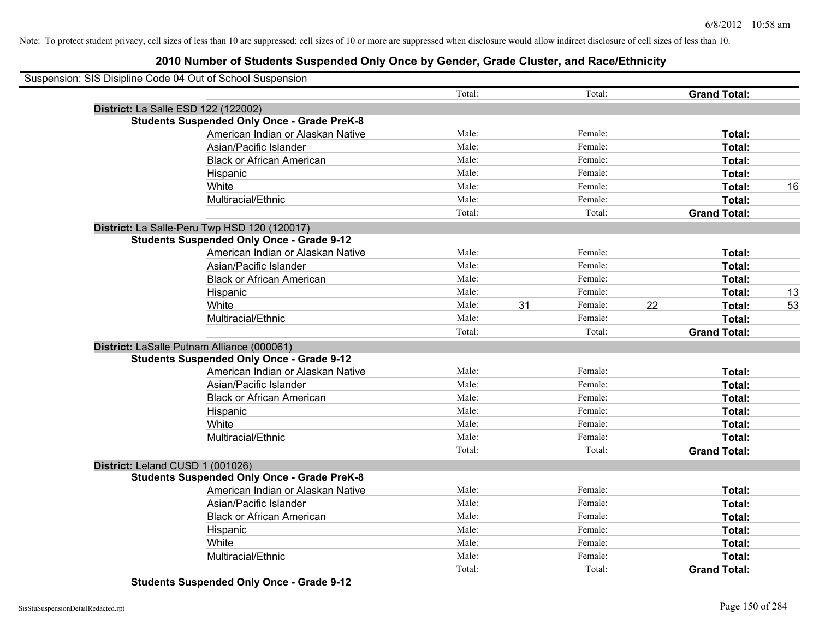### **2010 Number of Students Suspended Only Once by Gender, Grade Cluster, and Race/Ethnicity**

| Suspension: SIS Disipline Code 04 Out of School Suspension |                                                    |        |    |         |    |                     |    |
|------------------------------------------------------------|----------------------------------------------------|--------|----|---------|----|---------------------|----|
|                                                            |                                                    | Total: |    | Total:  |    | <b>Grand Total:</b> |    |
|                                                            | District: La Salle ESD 122 (122002)                |        |    |         |    |                     |    |
|                                                            | <b>Students Suspended Only Once - Grade PreK-8</b> |        |    |         |    |                     |    |
|                                                            | American Indian or Alaskan Native                  | Male:  |    | Female: |    | Total:              |    |
|                                                            | Asian/Pacific Islander                             | Male:  |    | Female: |    | Total:              |    |
|                                                            | <b>Black or African American</b>                   | Male:  |    | Female: |    | Total:              |    |
|                                                            | Hispanic                                           | Male:  |    | Female: |    | Total:              |    |
|                                                            | White                                              | Male:  |    | Female: |    | Total:              | 16 |
|                                                            | Multiracial/Ethnic                                 | Male:  |    | Female: |    | Total:              |    |
|                                                            |                                                    | Total: |    | Total:  |    | <b>Grand Total:</b> |    |
|                                                            | District: La Salle-Peru Twp HSD 120 (120017)       |        |    |         |    |                     |    |
|                                                            | <b>Students Suspended Only Once - Grade 9-12</b>   |        |    |         |    |                     |    |
|                                                            | American Indian or Alaskan Native                  | Male:  |    | Female: |    | Total:              |    |
|                                                            | Asian/Pacific Islander                             | Male:  |    | Female: |    | Total:              |    |
|                                                            | <b>Black or African American</b>                   | Male:  |    | Female: |    | Total:              |    |
|                                                            | Hispanic                                           | Male:  |    | Female: |    | Total:              | 13 |
|                                                            | White                                              | Male:  | 31 | Female: | 22 | Total:              | 53 |
|                                                            | Multiracial/Ethnic                                 | Male:  |    | Female: |    | Total:              |    |
|                                                            |                                                    | Total: |    | Total:  |    | <b>Grand Total:</b> |    |
|                                                            | District: LaSalle Putnam Alliance (000061)         |        |    |         |    |                     |    |
|                                                            | <b>Students Suspended Only Once - Grade 9-12</b>   |        |    |         |    |                     |    |
|                                                            | American Indian or Alaskan Native                  | Male:  |    | Female: |    | Total:              |    |
|                                                            | Asian/Pacific Islander                             | Male:  |    | Female: |    | Total:              |    |
|                                                            | <b>Black or African American</b>                   | Male:  |    | Female: |    | Total:              |    |
|                                                            | Hispanic                                           | Male:  |    | Female: |    | Total:              |    |
|                                                            | White                                              | Male:  |    | Female: |    | Total:              |    |
|                                                            | Multiracial/Ethnic                                 | Male:  |    | Female: |    | Total:              |    |
|                                                            |                                                    | Total: |    | Total:  |    | <b>Grand Total:</b> |    |
|                                                            | District: Leland CUSD 1 (001026)                   |        |    |         |    |                     |    |
|                                                            | <b>Students Suspended Only Once - Grade PreK-8</b> |        |    |         |    |                     |    |
|                                                            | American Indian or Alaskan Native                  | Male:  |    | Female: |    | Total:              |    |
|                                                            | Asian/Pacific Islander                             | Male:  |    | Female: |    | Total:              |    |
|                                                            | <b>Black or African American</b>                   | Male:  |    | Female: |    | Total:              |    |
|                                                            | Hispanic                                           | Male:  |    | Female: |    | Total:              |    |
|                                                            | White                                              | Male:  |    | Female: |    | Total:              |    |
|                                                            | Multiracial/Ethnic                                 | Male:  |    | Female: |    | Total:              |    |
|                                                            |                                                    | Total: |    | Total:  |    | <b>Grand Total:</b> |    |

**Students Suspended Only Once - Grade 9-12**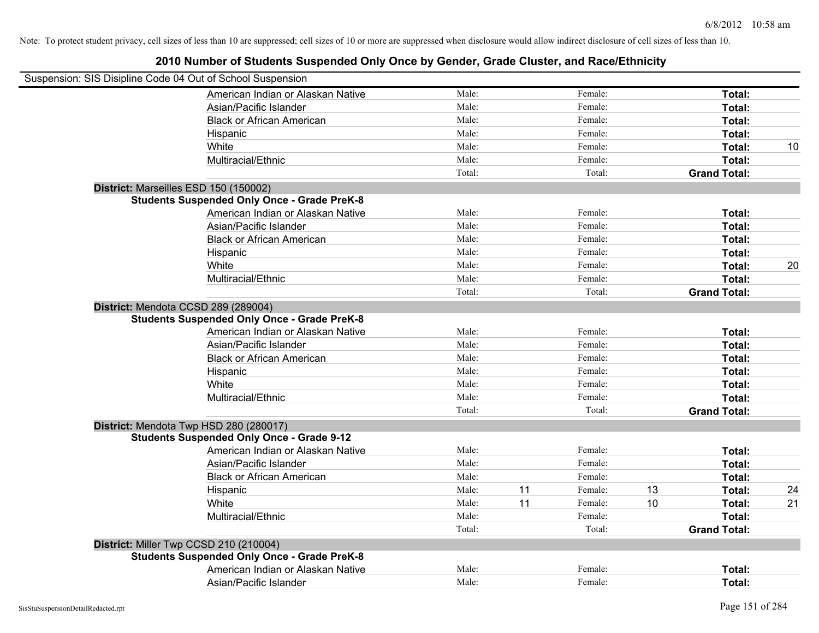| Suspension: SIS Disipline Code 04 Out of School Suspension |                                                                                            |        |    |         |    |                     |    |
|------------------------------------------------------------|--------------------------------------------------------------------------------------------|--------|----|---------|----|---------------------|----|
|                                                            | American Indian or Alaskan Native                                                          | Male:  |    | Female: |    | Total:              |    |
|                                                            | Asian/Pacific Islander                                                                     | Male:  |    | Female: |    | Total:              |    |
|                                                            | <b>Black or African American</b>                                                           | Male:  |    | Female: |    | Total:              |    |
|                                                            | Hispanic                                                                                   | Male:  |    | Female: |    | Total:              |    |
|                                                            | White                                                                                      | Male:  |    | Female: |    | Total:              | 10 |
|                                                            | Multiracial/Ethnic                                                                         | Male:  |    | Female: |    | Total:              |    |
|                                                            |                                                                                            | Total: |    | Total:  |    | <b>Grand Total:</b> |    |
|                                                            | District: Marseilles ESD 150 (150002)                                                      |        |    |         |    |                     |    |
|                                                            | <b>Students Suspended Only Once - Grade PreK-8</b>                                         |        |    |         |    |                     |    |
|                                                            | American Indian or Alaskan Native                                                          | Male:  |    | Female: |    | Total:              |    |
|                                                            | Asian/Pacific Islander                                                                     | Male:  |    | Female: |    | Total:              |    |
|                                                            | <b>Black or African American</b>                                                           | Male:  |    | Female: |    | Total:              |    |
|                                                            | Hispanic                                                                                   | Male:  |    | Female: |    | Total:              |    |
|                                                            | White                                                                                      | Male:  |    | Female: |    | Total:              | 20 |
|                                                            | Multiracial/Ethnic                                                                         | Male:  |    | Female: |    | Total:              |    |
|                                                            |                                                                                            | Total: |    | Total:  |    | <b>Grand Total:</b> |    |
|                                                            | District: Mendota CCSD 289 (289004)<br><b>Students Suspended Only Once - Grade PreK-8</b>  |        |    |         |    |                     |    |
|                                                            | American Indian or Alaskan Native                                                          | Male:  |    | Female: |    | Total:              |    |
|                                                            | Asian/Pacific Islander                                                                     | Male:  |    | Female: |    | Total:              |    |
|                                                            | <b>Black or African American</b>                                                           | Male:  |    | Female: |    | Total:              |    |
|                                                            | Hispanic                                                                                   | Male:  |    | Female: |    | Total:              |    |
|                                                            | White                                                                                      | Male:  |    | Female: |    | Total:              |    |
|                                                            | Multiracial/Ethnic                                                                         | Male:  |    | Female: |    | Total:              |    |
|                                                            |                                                                                            | Total: |    | Total:  |    | <b>Grand Total:</b> |    |
|                                                            | District: Mendota Twp HSD 280 (280017)<br><b>Students Suspended Only Once - Grade 9-12</b> |        |    |         |    |                     |    |
|                                                            | American Indian or Alaskan Native                                                          | Male:  |    | Female: |    | Total:              |    |
|                                                            | Asian/Pacific Islander                                                                     | Male:  |    | Female: |    | Total:              |    |
|                                                            | <b>Black or African American</b>                                                           | Male:  |    | Female: |    | Total:              |    |
|                                                            | Hispanic                                                                                   | Male:  | 11 | Female: | 13 | Total:              | 24 |
|                                                            | White                                                                                      | Male:  | 11 | Female: | 10 | Total:              | 21 |
|                                                            | Multiracial/Ethnic                                                                         | Male:  |    | Female: |    | Total:              |    |
|                                                            |                                                                                            | Total: |    | Total:  |    | <b>Grand Total:</b> |    |
|                                                            | District: Miller Twp CCSD 210 (210004)                                                     |        |    |         |    |                     |    |
|                                                            | <b>Students Suspended Only Once - Grade PreK-8</b>                                         |        |    |         |    |                     |    |
|                                                            | American Indian or Alaskan Native                                                          | Male:  |    | Female: |    | Total:              |    |
|                                                            | Asian/Pacific Islander                                                                     | Male:  |    | Female: |    | Total:              |    |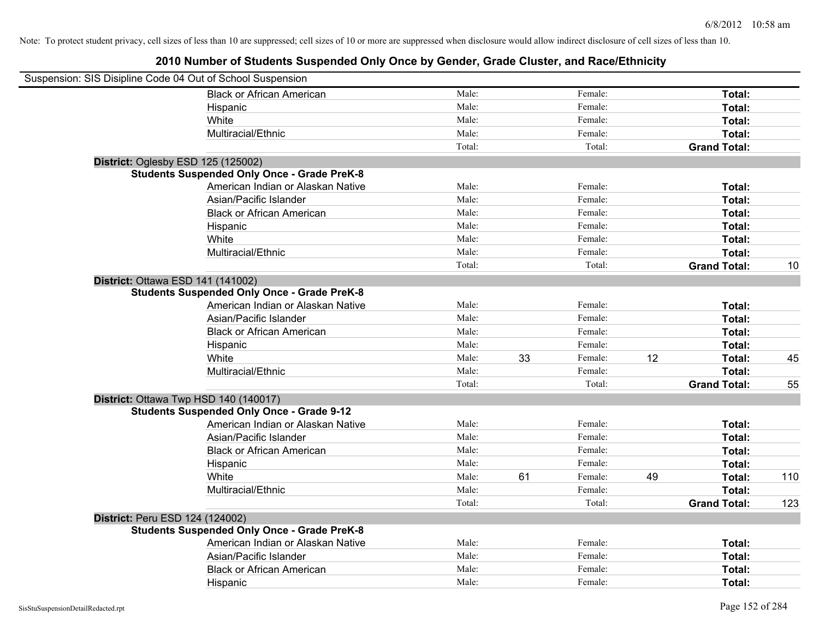| Suspension: SIS Disipline Code 04 Out of School Suspension |        |    |         |    |                     |     |
|------------------------------------------------------------|--------|----|---------|----|---------------------|-----|
| <b>Black or African American</b>                           | Male:  |    | Female: |    | Total:              |     |
| Hispanic                                                   | Male:  |    | Female: |    | Total:              |     |
| White                                                      | Male:  |    | Female: |    | Total:              |     |
| Multiracial/Ethnic                                         | Male:  |    | Female: |    | Total:              |     |
|                                                            | Total: |    | Total:  |    | <b>Grand Total:</b> |     |
| District: Oglesby ESD 125 (125002)                         |        |    |         |    |                     |     |
| <b>Students Suspended Only Once - Grade PreK-8</b>         |        |    |         |    |                     |     |
| American Indian or Alaskan Native                          | Male:  |    | Female: |    | Total:              |     |
| Asian/Pacific Islander                                     | Male:  |    | Female: |    | Total:              |     |
| <b>Black or African American</b>                           | Male:  |    | Female: |    | Total:              |     |
| Hispanic                                                   | Male:  |    | Female: |    | Total:              |     |
| White                                                      | Male:  |    | Female: |    | Total:              |     |
| Multiracial/Ethnic                                         | Male:  |    | Female: |    | Total:              |     |
|                                                            | Total: |    | Total:  |    | <b>Grand Total:</b> | 10  |
| District: Ottawa ESD 141 (141002)                          |        |    |         |    |                     |     |
| <b>Students Suspended Only Once - Grade PreK-8</b>         |        |    |         |    |                     |     |
| American Indian or Alaskan Native                          | Male:  |    | Female: |    | <b>Total:</b>       |     |
| Asian/Pacific Islander                                     | Male:  |    | Female: |    | Total:              |     |
| <b>Black or African American</b>                           | Male:  |    | Female: |    | Total:              |     |
| Hispanic                                                   | Male:  |    | Female: |    | Total:              |     |
| White                                                      | Male:  | 33 | Female: | 12 | Total:              | 45  |
| Multiracial/Ethnic                                         | Male:  |    | Female: |    | Total:              |     |
|                                                            | Total: |    | Total:  |    | <b>Grand Total:</b> | 55  |
| District: Ottawa Twp HSD 140 (140017)                      |        |    |         |    |                     |     |
| <b>Students Suspended Only Once - Grade 9-12</b>           |        |    |         |    |                     |     |
| American Indian or Alaskan Native                          | Male:  |    | Female: |    | Total:              |     |
| Asian/Pacific Islander                                     | Male:  |    | Female: |    | Total:              |     |
| <b>Black or African American</b>                           | Male:  |    | Female: |    | Total:              |     |
| Hispanic                                                   | Male:  |    | Female: |    | Total:              |     |
| White                                                      | Male:  | 61 | Female: | 49 | Total:              | 110 |
| Multiracial/Ethnic                                         | Male:  |    | Female: |    | Total:              |     |
|                                                            | Total: |    | Total:  |    | <b>Grand Total:</b> | 123 |
| District: Peru ESD 124 (124002)                            |        |    |         |    |                     |     |
| <b>Students Suspended Only Once - Grade PreK-8</b>         |        |    |         |    |                     |     |
| American Indian or Alaskan Native                          | Male:  |    | Female: |    | Total:              |     |
| Asian/Pacific Islander                                     | Male:  |    | Female: |    | Total:              |     |
| <b>Black or African American</b>                           | Male:  |    | Female: |    | Total:              |     |
| Hispanic                                                   | Male:  |    | Female: |    | Total:              |     |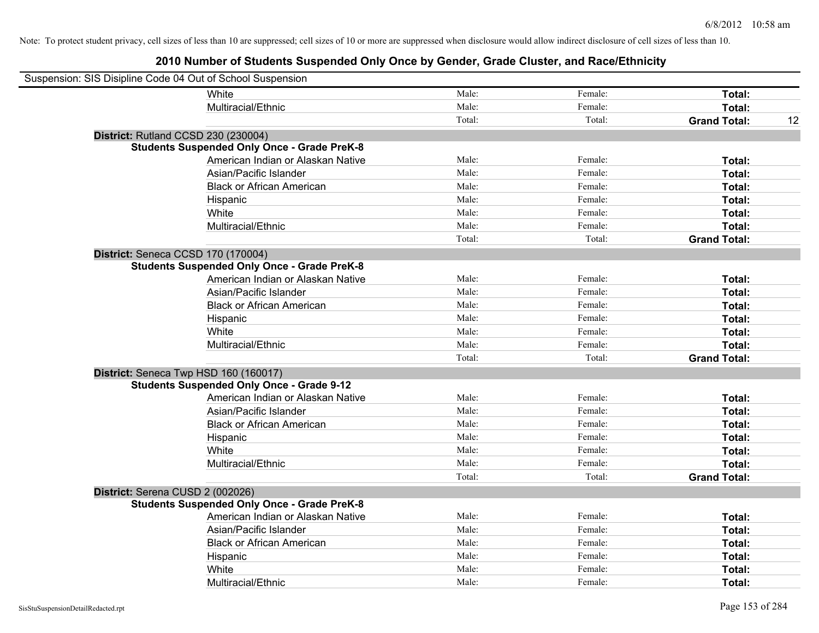| Suspension: SIS Disipline Code 04 Out of School Suspension |                                                    |        |         |                     |    |
|------------------------------------------------------------|----------------------------------------------------|--------|---------|---------------------|----|
|                                                            | White                                              | Male:  | Female: | Total:              |    |
|                                                            | Multiracial/Ethnic                                 | Male:  | Female: | Total:              |    |
|                                                            |                                                    | Total: | Total:  | <b>Grand Total:</b> | 12 |
| District: Rutland CCSD 230 (230004)                        |                                                    |        |         |                     |    |
|                                                            | <b>Students Suspended Only Once - Grade PreK-8</b> |        |         |                     |    |
|                                                            | American Indian or Alaskan Native                  | Male:  | Female: | Total:              |    |
|                                                            | Asian/Pacific Islander                             | Male:  | Female: | Total:              |    |
|                                                            | <b>Black or African American</b>                   | Male:  | Female: | Total:              |    |
|                                                            | Hispanic                                           | Male:  | Female: | Total:              |    |
|                                                            | White                                              | Male:  | Female: | Total:              |    |
|                                                            | Multiracial/Ethnic                                 | Male:  | Female: | Total:              |    |
|                                                            |                                                    | Total: | Total:  | <b>Grand Total:</b> |    |
| District: Seneca CCSD 170 (170004)                         |                                                    |        |         |                     |    |
|                                                            | <b>Students Suspended Only Once - Grade PreK-8</b> |        |         |                     |    |
|                                                            | American Indian or Alaskan Native                  | Male:  | Female: | Total:              |    |
|                                                            | Asian/Pacific Islander                             | Male:  | Female: | Total:              |    |
|                                                            | <b>Black or African American</b>                   | Male:  | Female: | Total:              |    |
|                                                            | Hispanic                                           | Male:  | Female: | Total:              |    |
|                                                            | White                                              | Male:  | Female: | Total:              |    |
|                                                            | Multiracial/Ethnic                                 | Male:  | Female: | Total:              |    |
|                                                            |                                                    | Total: | Total:  | <b>Grand Total:</b> |    |
| District: Seneca Twp HSD 160 (160017)                      |                                                    |        |         |                     |    |
|                                                            | <b>Students Suspended Only Once - Grade 9-12</b>   |        |         |                     |    |
|                                                            | American Indian or Alaskan Native                  | Male:  | Female: | Total:              |    |
|                                                            | Asian/Pacific Islander                             | Male:  | Female: | Total:              |    |
|                                                            | <b>Black or African American</b>                   | Male:  | Female: | Total:              |    |
|                                                            | Hispanic                                           | Male:  | Female: | Total:              |    |
|                                                            | White                                              | Male:  | Female: | Total:              |    |
|                                                            | Multiracial/Ethnic                                 | Male:  | Female: | Total:              |    |
|                                                            |                                                    | Total: | Total:  | <b>Grand Total:</b> |    |
| District: Serena CUSD 2 (002026)                           |                                                    |        |         |                     |    |
|                                                            | <b>Students Suspended Only Once - Grade PreK-8</b> |        |         |                     |    |
|                                                            | American Indian or Alaskan Native                  | Male:  | Female: | Total:              |    |
|                                                            | Asian/Pacific Islander                             | Male:  | Female: | Total:              |    |
|                                                            | <b>Black or African American</b>                   | Male:  | Female: | Total:              |    |
|                                                            | Hispanic                                           | Male:  | Female: | Total:              |    |
|                                                            | White                                              | Male:  | Female: | Total:              |    |
|                                                            | Multiracial/Ethnic                                 | Male:  | Female: | Total:              |    |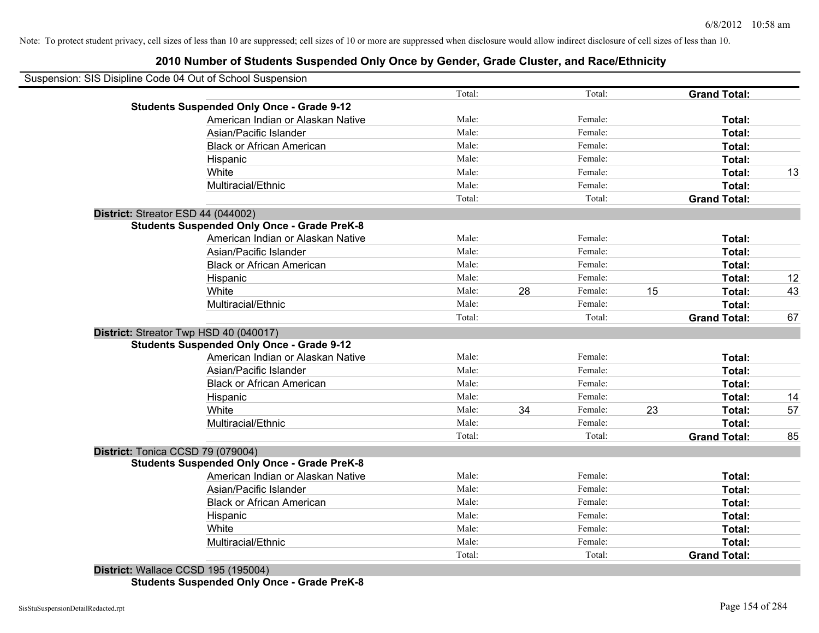# **2010 Number of Students Suspended Only Once by Gender, Grade Cluster, and Race/Ethnicity**

| Total:  | <b>Grand Total:</b> |    |
|---------|---------------------|----|
|         |                     |    |
| Female: | Total:              |    |
| Female: | Total:              |    |
| Female: | Total:              |    |
| Female: | Total:              |    |
| Female: | Total:              | 13 |
| Female: | Total:              |    |
| Total:  | <b>Grand Total:</b> |    |
|         |                     |    |
|         |                     |    |
| Female: | Total:              |    |
| Female: | Total:              |    |
| Female: | Total:              |    |
| Female: | Total:              | 12 |
| Female: | 15<br>Total:        | 43 |
| Female: | Total:              |    |
| Total:  | <b>Grand Total:</b> | 67 |
|         |                     |    |
|         |                     |    |
| Female: | Total:              |    |
| Female: | Total:              |    |
| Female: | Total:              |    |
| Female: | Total:              | 14 |
| Female: | 23<br>Total:        | 57 |
| Female: | Total:              |    |
| Total:  | <b>Grand Total:</b> | 85 |
|         |                     |    |
|         |                     |    |
| Female: | Total:              |    |
| Female: | Total:              |    |
| Female: | Total:              |    |
| Female: | Total:              |    |
| Female: | Total:              |    |
| Female: | Total:              |    |
| Total:  | <b>Grand Total:</b> |    |
|         |                     |    |

**District:** Wallace CCSD 195 (195004) **Students Suspended Only Once - Grade PreK-8**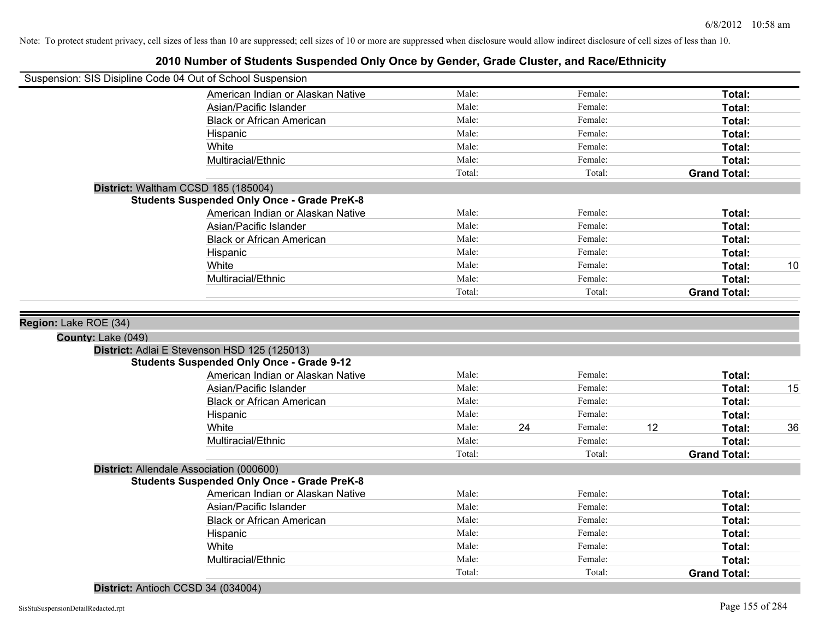|                                             | - יי וישווואטו טו טנשטטוונט טשטאַנט טוויט א ז טוועט אין טטוואטו, טושטט טושטנטו, שווא ושטטובנווווטונ<br>Suspension: SIS Disipline Code 04 Out of School Suspension |                 |    |                   |    |                     |    |
|---------------------------------------------|-------------------------------------------------------------------------------------------------------------------------------------------------------------------|-----------------|----|-------------------|----|---------------------|----|
|                                             | American Indian or Alaskan Native                                                                                                                                 | Male:           |    | Female:           |    | Total:              |    |
|                                             | Asian/Pacific Islander                                                                                                                                            | Male:           |    | Female:           |    | Total:              |    |
|                                             | <b>Black or African American</b>                                                                                                                                  | Male:           |    | Female:           |    | Total:              |    |
|                                             | Hispanic                                                                                                                                                          | Male:           |    | Female:           |    | Total:              |    |
|                                             | White                                                                                                                                                             | Male:           |    | Female:           |    | Total:              |    |
|                                             | Multiracial/Ethnic                                                                                                                                                | Male:           |    | Female:           |    | Total:              |    |
|                                             |                                                                                                                                                                   | Total:          |    | Total:            |    | <b>Grand Total:</b> |    |
|                                             | District: Waltham CCSD 185 (185004)                                                                                                                               |                 |    |                   |    |                     |    |
|                                             | <b>Students Suspended Only Once - Grade PreK-8</b>                                                                                                                |                 |    |                   |    |                     |    |
|                                             | American Indian or Alaskan Native                                                                                                                                 | Male:           |    | Female:           |    | Total:              |    |
|                                             | Asian/Pacific Islander                                                                                                                                            | Male:           |    | Female:           |    | Total:              |    |
|                                             | <b>Black or African American</b>                                                                                                                                  | Male:           |    | Female:           |    | Total:              |    |
|                                             | Hispanic                                                                                                                                                          | Male:           |    | Female:           |    | Total:              |    |
|                                             | White                                                                                                                                                             | Male:           |    | Female:           |    | Total:              | 10 |
|                                             | Multiracial/Ethnic                                                                                                                                                | Male:           |    | Female:           |    | Total:              |    |
|                                             |                                                                                                                                                                   | Total:          |    | Total:            |    | <b>Grand Total:</b> |    |
| Region: Lake ROE (34)<br>County: Lake (049) | District: Adlai E Stevenson HSD 125 (125013)                                                                                                                      |                 |    |                   |    |                     |    |
|                                             | <b>Students Suspended Only Once - Grade 9-12</b>                                                                                                                  |                 |    |                   |    |                     |    |
|                                             | American Indian or Alaskan Native                                                                                                                                 | Male:           |    | Female:           |    | Total:              |    |
|                                             | Asian/Pacific Islander                                                                                                                                            | Male:           |    | Female:           |    | Total:              | 15 |
|                                             | <b>Black or African American</b>                                                                                                                                  | Male:           |    | Female:           |    | Total:              |    |
|                                             | Hispanic                                                                                                                                                          | Male:           |    | Female:           |    | Total:              |    |
|                                             | White                                                                                                                                                             | Male:           | 24 | Female:           | 12 | Total:              | 36 |
|                                             | Multiracial/Ethnic                                                                                                                                                | Male:<br>Total: |    | Female:<br>Total: |    | Total:              |    |
|                                             |                                                                                                                                                                   |                 |    |                   |    | <b>Grand Total:</b> |    |
|                                             | District: Allendale Association (000600)<br><b>Students Suspended Only Once - Grade PreK-8</b>                                                                    |                 |    |                   |    |                     |    |
|                                             | American Indian or Alaskan Native                                                                                                                                 | Male:           |    | Female:           |    | Total:              |    |
|                                             | Asian/Pacific Islander                                                                                                                                            | Male:           |    | Female:           |    | Total:              |    |
|                                             | <b>Black or African American</b>                                                                                                                                  | Male:           |    | Female:           |    | Total:              |    |
|                                             | Hispanic                                                                                                                                                          | Male:           |    | Female:           |    | Total:              |    |
|                                             | White                                                                                                                                                             | Male:           |    | Female:           |    | Total:              |    |
|                                             | Multiracial/Ethnic                                                                                                                                                | Male:           |    | Female:           |    | Total:              |    |
|                                             |                                                                                                                                                                   | Total:          |    | Total:            |    | <b>Grand Total:</b> |    |
|                                             | District: Antioch CCSD 34 (034004)                                                                                                                                |                 |    |                   |    |                     |    |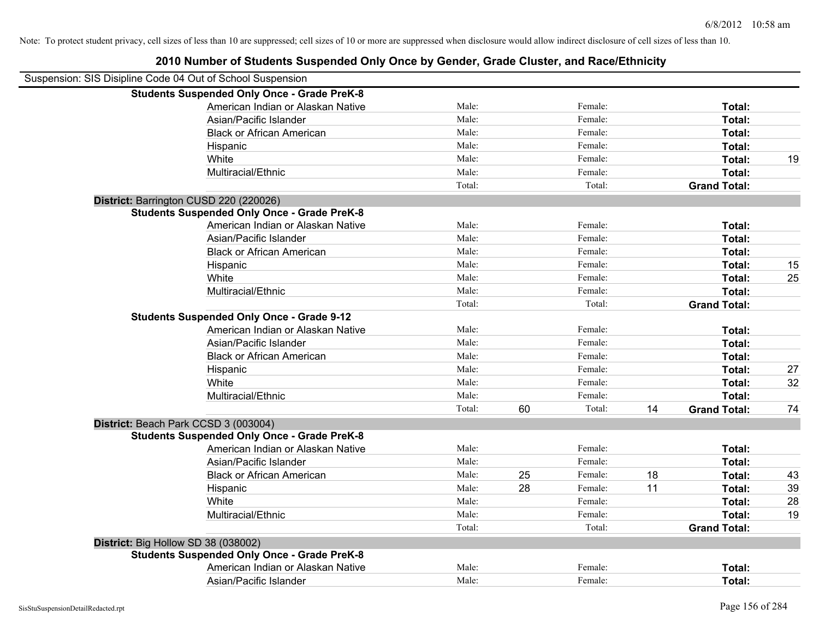| Suspension: SIS Disipline Code 04 Out of School Suspension |        |    |         |    |                     |    |
|------------------------------------------------------------|--------|----|---------|----|---------------------|----|
| <b>Students Suspended Only Once - Grade PreK-8</b>         |        |    |         |    |                     |    |
| American Indian or Alaskan Native                          | Male:  |    | Female: |    | Total:              |    |
| Asian/Pacific Islander                                     | Male:  |    | Female: |    | Total:              |    |
| <b>Black or African American</b>                           | Male:  |    | Female: |    | Total:              |    |
| Hispanic                                                   | Male:  |    | Female: |    | Total:              |    |
| White                                                      | Male:  |    | Female: |    | Total:              | 19 |
| Multiracial/Ethnic                                         | Male:  |    | Female: |    | Total:              |    |
|                                                            | Total: |    | Total:  |    | <b>Grand Total:</b> |    |
| District: Barrington CUSD 220 (220026)                     |        |    |         |    |                     |    |
| <b>Students Suspended Only Once - Grade PreK-8</b>         |        |    |         |    |                     |    |
| American Indian or Alaskan Native                          | Male:  |    | Female: |    | Total:              |    |
| Asian/Pacific Islander                                     | Male:  |    | Female: |    | Total:              |    |
| <b>Black or African American</b>                           | Male:  |    | Female: |    | Total:              |    |
| Hispanic                                                   | Male:  |    | Female: |    | Total:              | 15 |
| White                                                      | Male:  |    | Female: |    | Total:              | 25 |
| Multiracial/Ethnic                                         | Male:  |    | Female: |    | Total:              |    |
|                                                            | Total: |    | Total:  |    | <b>Grand Total:</b> |    |
| <b>Students Suspended Only Once - Grade 9-12</b>           |        |    |         |    |                     |    |
| American Indian or Alaskan Native                          | Male:  |    | Female: |    | Total:              |    |
| Asian/Pacific Islander                                     | Male:  |    | Female: |    | Total:              |    |
| <b>Black or African American</b>                           | Male:  |    | Female: |    | Total:              |    |
| Hispanic                                                   | Male:  |    | Female: |    | Total:              | 27 |
| White                                                      | Male:  |    | Female: |    | Total:              | 32 |
| Multiracial/Ethnic                                         | Male:  |    | Female: |    | Total:              |    |
|                                                            | Total: | 60 | Total:  | 14 | <b>Grand Total:</b> | 74 |
| District: Beach Park CCSD 3 (003004)                       |        |    |         |    |                     |    |
| <b>Students Suspended Only Once - Grade PreK-8</b>         |        |    |         |    |                     |    |
| American Indian or Alaskan Native                          | Male:  |    | Female: |    | Total:              |    |
| Asian/Pacific Islander                                     | Male:  |    | Female: |    | Total:              |    |
| <b>Black or African American</b>                           | Male:  | 25 | Female: | 18 | Total:              | 43 |
| Hispanic                                                   | Male:  | 28 | Female: | 11 | Total:              | 39 |
| White                                                      | Male:  |    | Female: |    | Total:              | 28 |
| Multiracial/Ethnic                                         | Male:  |    | Female: |    | Total:              | 19 |
|                                                            | Total: |    | Total:  |    | <b>Grand Total:</b> |    |
| District: Big Hollow SD 38 (038002)                        |        |    |         |    |                     |    |
| <b>Students Suspended Only Once - Grade PreK-8</b>         |        |    |         |    |                     |    |
| American Indian or Alaskan Native                          | Male:  |    | Female: |    | Total:              |    |
| Asian/Pacific Islander                                     | Male:  |    | Female: |    | Total:              |    |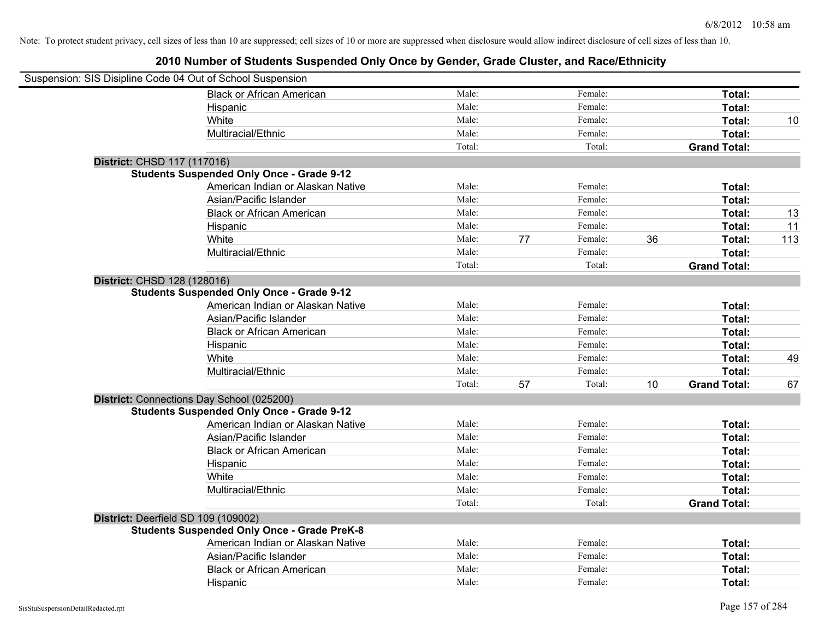| Suspension: SIS Disipline Code 04 Out of School Suspension |        |    |         |    |                     |     |
|------------------------------------------------------------|--------|----|---------|----|---------------------|-----|
| <b>Black or African American</b>                           | Male:  |    | Female: |    | Total:              |     |
| Hispanic                                                   | Male:  |    | Female: |    | Total:              |     |
| White                                                      | Male:  |    | Female: |    | <b>Total:</b>       | 10  |
| Multiracial/Ethnic                                         | Male:  |    | Female: |    | Total:              |     |
|                                                            | Total: |    | Total:  |    | <b>Grand Total:</b> |     |
| District: CHSD 117 (117016)                                |        |    |         |    |                     |     |
| <b>Students Suspended Only Once - Grade 9-12</b>           |        |    |         |    |                     |     |
| American Indian or Alaskan Native                          | Male:  |    | Female: |    | Total:              |     |
| Asian/Pacific Islander                                     | Male:  |    | Female: |    | Total:              |     |
| <b>Black or African American</b>                           | Male:  |    | Female: |    | Total:              | 13  |
| Hispanic                                                   | Male:  |    | Female: |    | Total:              | 11  |
| White                                                      | Male:  | 77 | Female: | 36 | Total:              | 113 |
| Multiracial/Ethnic                                         | Male:  |    | Female: |    | Total:              |     |
|                                                            | Total: |    | Total:  |    | <b>Grand Total:</b> |     |
| District: CHSD 128 (128016)                                |        |    |         |    |                     |     |
| <b>Students Suspended Only Once - Grade 9-12</b>           |        |    |         |    |                     |     |
| American Indian or Alaskan Native                          | Male:  |    | Female: |    | Total:              |     |
| Asian/Pacific Islander                                     | Male:  |    | Female: |    | Total:              |     |
| <b>Black or African American</b>                           | Male:  |    | Female: |    | Total:              |     |
| Hispanic                                                   | Male:  |    | Female: |    | Total:              |     |
| White                                                      | Male:  |    | Female: |    | Total:              | 49  |
| Multiracial/Ethnic                                         | Male:  |    | Female: |    | Total:              |     |
|                                                            | Total: | 57 | Total:  | 10 | <b>Grand Total:</b> | 67  |
| District: Connections Day School (025200)                  |        |    |         |    |                     |     |
| <b>Students Suspended Only Once - Grade 9-12</b>           |        |    |         |    |                     |     |
| American Indian or Alaskan Native                          | Male:  |    | Female: |    | Total:              |     |
| Asian/Pacific Islander                                     | Male:  |    | Female: |    | Total:              |     |
| <b>Black or African American</b>                           | Male:  |    | Female: |    | Total:              |     |
| Hispanic                                                   | Male:  |    | Female: |    | Total:              |     |
| White                                                      | Male:  |    | Female: |    | Total:              |     |
| Multiracial/Ethnic                                         | Male:  |    | Female: |    | Total:              |     |
|                                                            | Total: |    | Total:  |    | <b>Grand Total:</b> |     |
| District: Deerfield SD 109 (109002)                        |        |    |         |    |                     |     |
| <b>Students Suspended Only Once - Grade PreK-8</b>         |        |    |         |    |                     |     |
| American Indian or Alaskan Native                          | Male:  |    | Female: |    | Total:              |     |
| Asian/Pacific Islander                                     | Male:  |    | Female: |    | Total:              |     |
| <b>Black or African American</b>                           | Male:  |    | Female: |    | Total:              |     |
| Hispanic                                                   | Male:  |    | Female: |    | Total:              |     |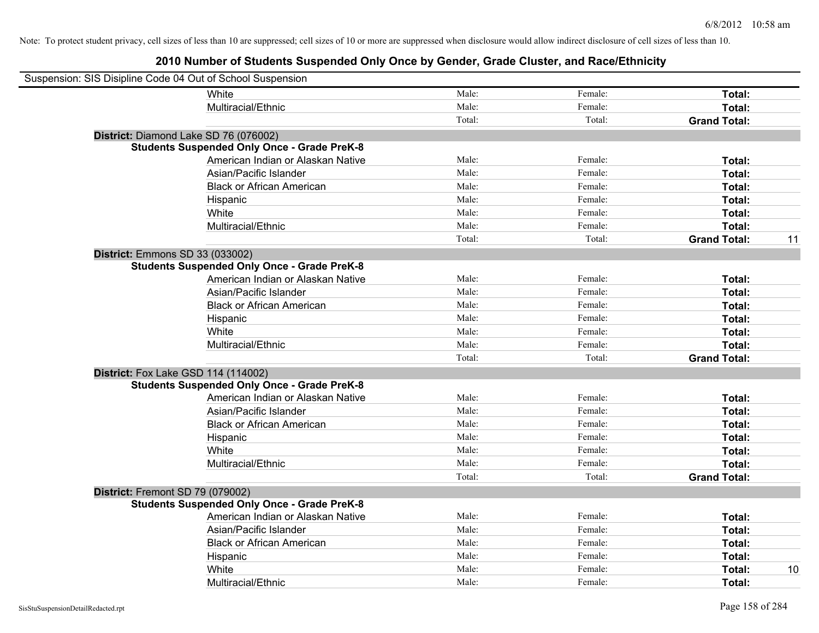| Suspension: SIS Disipline Code 04 Out of School Suspension |                                                    |        |         |                           |
|------------------------------------------------------------|----------------------------------------------------|--------|---------|---------------------------|
|                                                            | <b>White</b>                                       | Male:  | Female: | Total:                    |
|                                                            | Multiracial/Ethnic                                 | Male:  | Female: | Total:                    |
|                                                            |                                                    | Total: | Total:  | <b>Grand Total:</b>       |
| District: Diamond Lake SD 76 (076002)                      |                                                    |        |         |                           |
|                                                            | <b>Students Suspended Only Once - Grade PreK-8</b> |        |         |                           |
|                                                            | American Indian or Alaskan Native                  | Male:  | Female: | Total:                    |
|                                                            | Asian/Pacific Islander                             | Male:  | Female: | Total:                    |
|                                                            | <b>Black or African American</b>                   | Male:  | Female: | Total:                    |
|                                                            | Hispanic                                           | Male:  | Female: | Total:                    |
|                                                            | White                                              | Male:  | Female: | Total:                    |
|                                                            | Multiracial/Ethnic                                 | Male:  | Female: | Total:                    |
|                                                            |                                                    | Total: | Total:  | <b>Grand Total:</b><br>11 |
| <b>District: Emmons SD 33 (033002)</b>                     |                                                    |        |         |                           |
|                                                            | <b>Students Suspended Only Once - Grade PreK-8</b> |        |         |                           |
|                                                            | American Indian or Alaskan Native                  | Male:  | Female: | Total:                    |
|                                                            | Asian/Pacific Islander                             | Male:  | Female: | Total:                    |
|                                                            | <b>Black or African American</b>                   | Male:  | Female: | Total:                    |
|                                                            | Hispanic                                           | Male:  | Female: | Total:                    |
|                                                            | White                                              | Male:  | Female: | Total:                    |
|                                                            | Multiracial/Ethnic                                 | Male:  | Female: | Total:                    |
|                                                            |                                                    | Total: | Total:  | <b>Grand Total:</b>       |
| <b>District:</b> Fox Lake GSD 114 (114002)                 |                                                    |        |         |                           |
|                                                            | <b>Students Suspended Only Once - Grade PreK-8</b> |        |         |                           |
|                                                            | American Indian or Alaskan Native                  | Male:  | Female: | Total:                    |
|                                                            | Asian/Pacific Islander                             | Male:  | Female: | Total:                    |
|                                                            | <b>Black or African American</b>                   | Male:  | Female: | Total:                    |
|                                                            | Hispanic                                           | Male:  | Female: | Total:                    |
|                                                            | White                                              | Male:  | Female: | Total:                    |
|                                                            | Multiracial/Ethnic                                 | Male:  | Female: | Total:                    |
|                                                            |                                                    | Total: | Total:  | <b>Grand Total:</b>       |
| District: Fremont SD 79 (079002)                           |                                                    |        |         |                           |
|                                                            | <b>Students Suspended Only Once - Grade PreK-8</b> |        |         |                           |
|                                                            | American Indian or Alaskan Native                  | Male:  | Female: | Total:                    |
|                                                            | Asian/Pacific Islander                             | Male:  | Female: | Total:                    |
|                                                            | <b>Black or African American</b>                   | Male:  | Female: | Total:                    |
|                                                            | Hispanic                                           | Male:  | Female: | Total:                    |
|                                                            | White                                              | Male:  | Female: | Total:<br>10              |
|                                                            | Multiracial/Ethnic                                 | Male:  | Female: | Total:                    |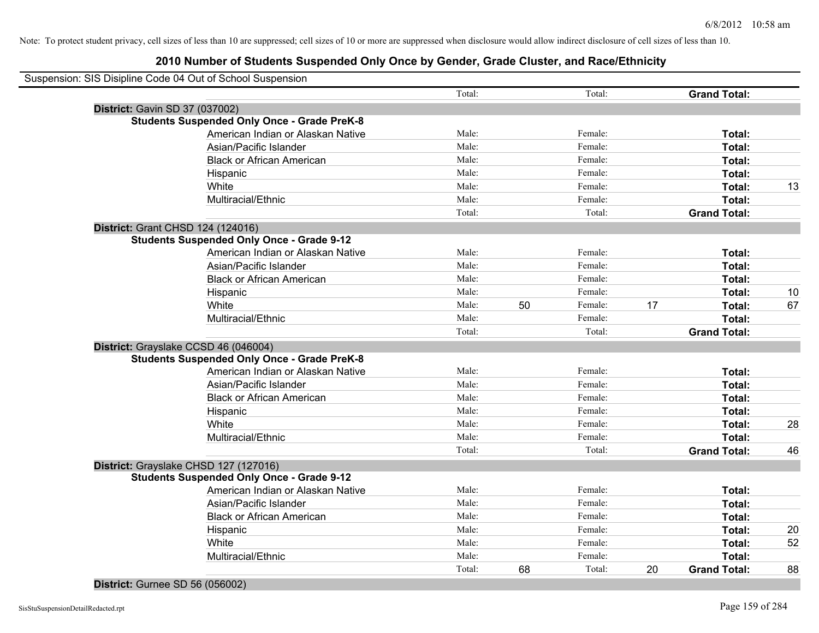### **2010 Number of Students Suspended Only Once by Gender, Grade Cluster, and Race/Ethnicity**

|                                | Suspension: SIS Disipline Code 04 Out of School Suspension |        |    |         |    |                     |    |
|--------------------------------|------------------------------------------------------------|--------|----|---------|----|---------------------|----|
|                                |                                                            | Total: |    | Total:  |    | <b>Grand Total:</b> |    |
| District: Gavin SD 37 (037002) |                                                            |        |    |         |    |                     |    |
|                                | <b>Students Suspended Only Once - Grade PreK-8</b>         |        |    |         |    |                     |    |
|                                | American Indian or Alaskan Native                          | Male:  |    | Female: |    | Total:              |    |
|                                | Asian/Pacific Islander                                     | Male:  |    | Female: |    | Total:              |    |
|                                | <b>Black or African American</b>                           | Male:  |    | Female: |    | Total:              |    |
|                                | Hispanic                                                   | Male:  |    | Female: |    | Total:              |    |
|                                | White                                                      | Male:  |    | Female: |    | Total:              | 13 |
|                                | Multiracial/Ethnic                                         | Male:  |    | Female: |    | Total:              |    |
|                                |                                                            | Total: |    | Total:  |    | <b>Grand Total:</b> |    |
|                                | District: Grant CHSD 124 (124016)                          |        |    |         |    |                     |    |
|                                | <b>Students Suspended Only Once - Grade 9-12</b>           |        |    |         |    |                     |    |
|                                | American Indian or Alaskan Native                          | Male:  |    | Female: |    | <b>Total:</b>       |    |
|                                | Asian/Pacific Islander                                     | Male:  |    | Female: |    | Total:              |    |
|                                | <b>Black or African American</b>                           | Male:  |    | Female: |    | Total:              |    |
|                                | Hispanic                                                   | Male:  |    | Female: |    | Total:              | 10 |
|                                | White                                                      | Male:  | 50 | Female: | 17 | Total:              | 67 |
|                                | Multiracial/Ethnic                                         | Male:  |    | Female: |    | Total:              |    |
|                                |                                                            | Total: |    | Total:  |    | <b>Grand Total:</b> |    |
|                                | District: Grayslake CCSD 46 (046004)                       |        |    |         |    |                     |    |
|                                | <b>Students Suspended Only Once - Grade PreK-8</b>         |        |    |         |    |                     |    |
|                                | American Indian or Alaskan Native                          | Male:  |    | Female: |    | Total:              |    |
|                                | Asian/Pacific Islander                                     | Male:  |    | Female: |    | Total:              |    |
|                                | <b>Black or African American</b>                           | Male:  |    | Female: |    | Total:              |    |
|                                | Hispanic                                                   | Male:  |    | Female: |    | Total:              |    |
|                                | White                                                      | Male:  |    | Female: |    | Total:              | 28 |
|                                | Multiracial/Ethnic                                         | Male:  |    | Female: |    | Total:              |    |
|                                |                                                            | Total: |    | Total:  |    | <b>Grand Total:</b> | 46 |
|                                | District: Grayslake CHSD 127 (127016)                      |        |    |         |    |                     |    |
|                                | <b>Students Suspended Only Once - Grade 9-12</b>           |        |    |         |    |                     |    |
|                                | American Indian or Alaskan Native                          | Male:  |    | Female: |    | Total:              |    |
|                                | Asian/Pacific Islander                                     | Male:  |    | Female: |    | Total:              |    |
|                                | <b>Black or African American</b>                           | Male:  |    | Female: |    | Total:              |    |
|                                | Hispanic                                                   | Male:  |    | Female: |    | Total:              | 20 |
|                                | White                                                      | Male:  |    | Female: |    | Total:              | 52 |
|                                | Multiracial/Ethnic                                         | Male:  |    | Female: |    | Total:              |    |
|                                |                                                            | Total: | 68 | Total:  | 20 | <b>Grand Total:</b> | 88 |
|                                |                                                            |        |    |         |    |                     |    |

#### **District:** Gurnee SD 56 (056002)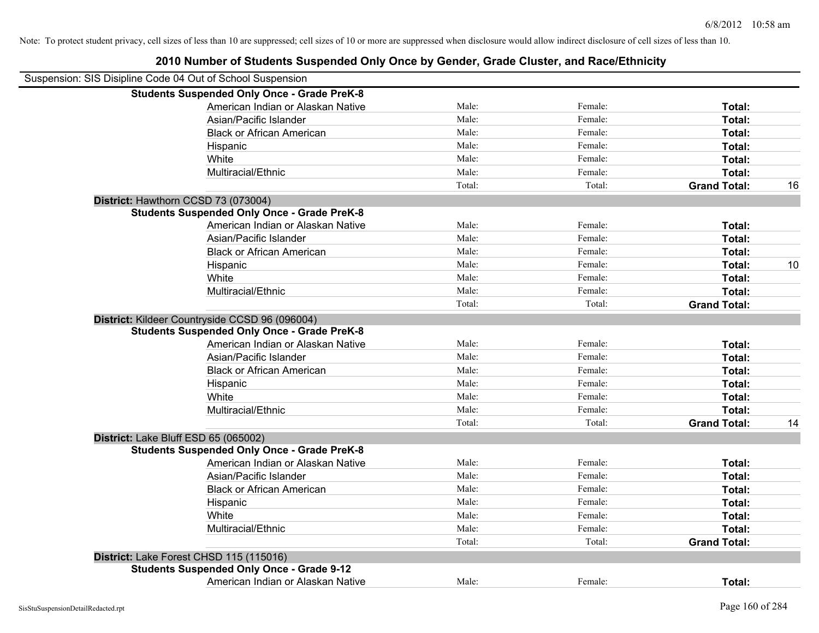| Suspension: SIS Disipline Code 04 Out of School Suspension |                                                    |        |         |                     |    |
|------------------------------------------------------------|----------------------------------------------------|--------|---------|---------------------|----|
|                                                            | <b>Students Suspended Only Once - Grade PreK-8</b> |        |         |                     |    |
|                                                            | American Indian or Alaskan Native                  | Male:  | Female: | Total:              |    |
|                                                            | Asian/Pacific Islander                             | Male:  | Female: | Total:              |    |
|                                                            | <b>Black or African American</b>                   | Male:  | Female: | Total:              |    |
|                                                            | Hispanic                                           | Male:  | Female: | Total:              |    |
|                                                            | White                                              | Male:  | Female: | Total:              |    |
|                                                            | Multiracial/Ethnic                                 | Male:  | Female: | Total:              |    |
|                                                            |                                                    | Total: | Total:  | <b>Grand Total:</b> | 16 |
|                                                            | District: Hawthorn CCSD 73 (073004)                |        |         |                     |    |
|                                                            | <b>Students Suspended Only Once - Grade PreK-8</b> |        |         |                     |    |
|                                                            | American Indian or Alaskan Native                  | Male:  | Female: | Total:              |    |
|                                                            | Asian/Pacific Islander                             | Male:  | Female: | Total:              |    |
|                                                            | <b>Black or African American</b>                   | Male:  | Female: | Total:              |    |
|                                                            | Hispanic                                           | Male:  | Female: | Total:              | 10 |
|                                                            | White                                              | Male:  | Female: | Total:              |    |
|                                                            | Multiracial/Ethnic                                 | Male:  | Female: | Total:              |    |
|                                                            |                                                    | Total: | Total:  | <b>Grand Total:</b> |    |
|                                                            | District: Kildeer Countryside CCSD 96 (096004)     |        |         |                     |    |
|                                                            | <b>Students Suspended Only Once - Grade PreK-8</b> |        |         |                     |    |
|                                                            | American Indian or Alaskan Native                  | Male:  | Female: | Total:              |    |
|                                                            | Asian/Pacific Islander                             | Male:  | Female: | Total:              |    |
|                                                            | <b>Black or African American</b>                   | Male:  | Female: | Total:              |    |
|                                                            | Hispanic                                           | Male:  | Female: | Total:              |    |
|                                                            | White                                              | Male:  | Female: | Total:              |    |
|                                                            | Multiracial/Ethnic                                 | Male:  | Female: | Total:              |    |
|                                                            |                                                    | Total: | Total:  | <b>Grand Total:</b> | 14 |
| District: Lake Bluff ESD 65 (065002)                       |                                                    |        |         |                     |    |
|                                                            | <b>Students Suspended Only Once - Grade PreK-8</b> |        |         |                     |    |
|                                                            | American Indian or Alaskan Native                  | Male:  | Female: | Total:              |    |
|                                                            | Asian/Pacific Islander                             | Male:  | Female: | Total:              |    |
|                                                            | <b>Black or African American</b>                   | Male:  | Female: | Total:              |    |
|                                                            | Hispanic                                           | Male:  | Female: | Total:              |    |
|                                                            | White                                              | Male:  | Female: | Total:              |    |
|                                                            | Multiracial/Ethnic                                 | Male:  | Female: | Total:              |    |
|                                                            |                                                    | Total: | Total:  | <b>Grand Total:</b> |    |
|                                                            | District: Lake Forest CHSD 115 (115016)            |        |         |                     |    |
|                                                            | <b>Students Suspended Only Once - Grade 9-12</b>   |        |         |                     |    |
|                                                            | American Indian or Alaskan Native                  | Male:  | Female: | Total:              |    |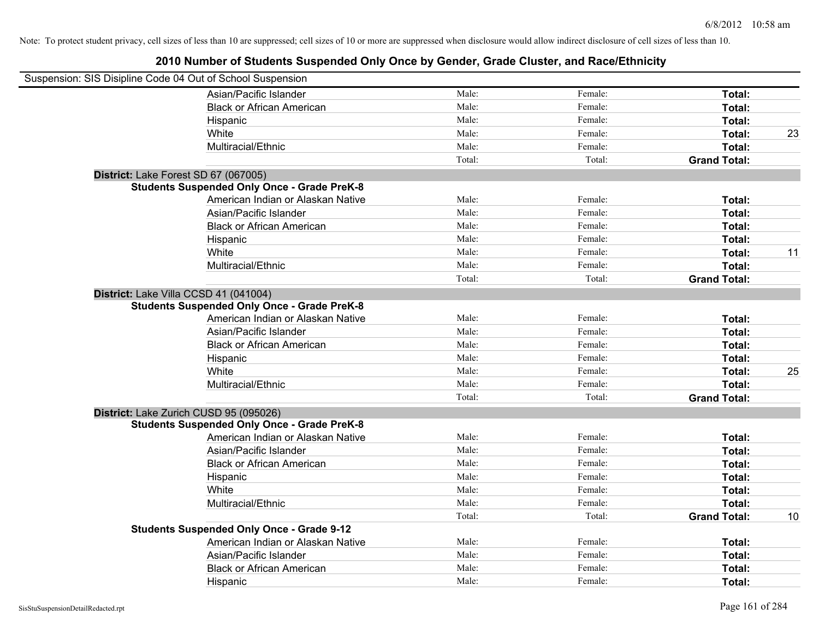| Suspension: SIS Disipline Code 04 Out of School Suspension |                                                    |        |         |                     |    |
|------------------------------------------------------------|----------------------------------------------------|--------|---------|---------------------|----|
|                                                            | Asian/Pacific Islander                             | Male:  | Female: | Total:              |    |
|                                                            | <b>Black or African American</b>                   | Male:  | Female: | Total:              |    |
|                                                            | Hispanic                                           | Male:  | Female: | Total:              |    |
|                                                            | White                                              | Male:  | Female: | Total:              | 23 |
|                                                            | Multiracial/Ethnic                                 | Male:  | Female: | Total:              |    |
|                                                            |                                                    | Total: | Total:  | <b>Grand Total:</b> |    |
| District: Lake Forest SD 67 (067005)                       |                                                    |        |         |                     |    |
|                                                            | <b>Students Suspended Only Once - Grade PreK-8</b> |        |         |                     |    |
|                                                            | American Indian or Alaskan Native                  | Male:  | Female: | Total:              |    |
|                                                            | Asian/Pacific Islander                             | Male:  | Female: | Total:              |    |
|                                                            | <b>Black or African American</b>                   | Male:  | Female: | Total:              |    |
|                                                            | Hispanic                                           | Male:  | Female: | Total:              |    |
|                                                            | White                                              | Male:  | Female: | Total:              | 11 |
|                                                            | Multiracial/Ethnic                                 | Male:  | Female: | Total:              |    |
|                                                            |                                                    | Total: | Total:  | <b>Grand Total:</b> |    |
| District: Lake Villa CCSD 41 (041004)                      |                                                    |        |         |                     |    |
|                                                            | <b>Students Suspended Only Once - Grade PreK-8</b> |        |         |                     |    |
|                                                            | American Indian or Alaskan Native                  | Male:  | Female: | Total:              |    |
|                                                            | Asian/Pacific Islander                             | Male:  | Female: | Total:              |    |
|                                                            | <b>Black or African American</b>                   | Male:  | Female: | Total:              |    |
|                                                            | Hispanic                                           | Male:  | Female: | Total:              |    |
|                                                            | White                                              | Male:  | Female: | Total:              | 25 |
|                                                            | Multiracial/Ethnic                                 | Male:  | Female: | Total:              |    |
|                                                            |                                                    | Total: | Total:  | <b>Grand Total:</b> |    |
| District: Lake Zurich CUSD 95 (095026)                     |                                                    |        |         |                     |    |
|                                                            | <b>Students Suspended Only Once - Grade PreK-8</b> |        |         |                     |    |
|                                                            | American Indian or Alaskan Native                  | Male:  | Female: | Total:              |    |
|                                                            | Asian/Pacific Islander                             | Male:  | Female: | Total:              |    |
|                                                            | <b>Black or African American</b>                   | Male:  | Female: | Total:              |    |
|                                                            | Hispanic                                           | Male:  | Female: | Total:              |    |
|                                                            | White                                              | Male:  | Female: | Total:              |    |
|                                                            | Multiracial/Ethnic                                 | Male:  | Female: | Total:              |    |
|                                                            |                                                    | Total: | Total:  | <b>Grand Total:</b> | 10 |
|                                                            | <b>Students Suspended Only Once - Grade 9-12</b>   |        |         |                     |    |
|                                                            | American Indian or Alaskan Native                  | Male:  | Female: | Total:              |    |
|                                                            | Asian/Pacific Islander                             | Male:  | Female: | Total:              |    |
|                                                            | <b>Black or African American</b>                   | Male:  | Female: | Total:              |    |
|                                                            | Hispanic                                           | Male:  | Female: | Total:              |    |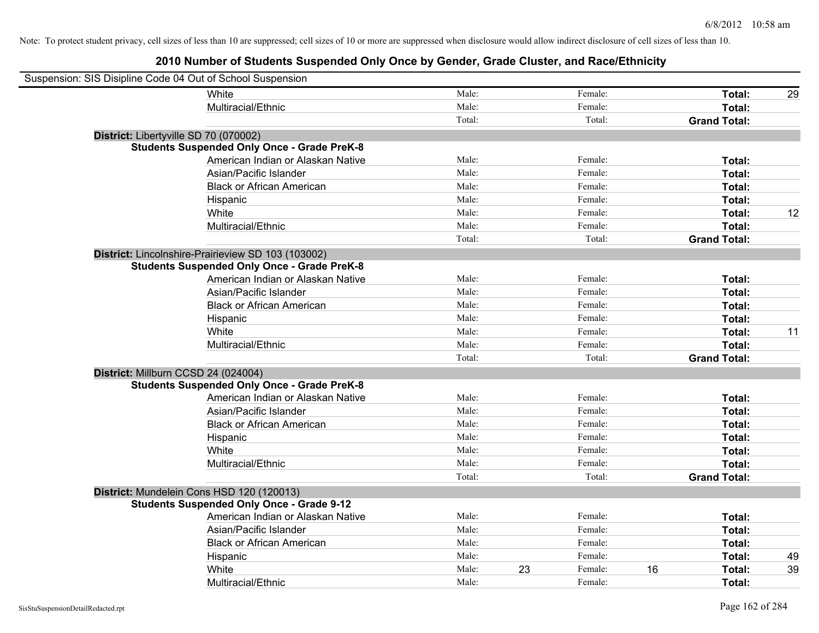| Suspension: SIS Disipline Code 04 Out of School Suspension |        |    |         |    |                     |    |
|------------------------------------------------------------|--------|----|---------|----|---------------------|----|
| <b>White</b>                                               | Male:  |    | Female: |    | Total:              | 29 |
| Multiracial/Ethnic                                         | Male:  |    | Female: |    | Total:              |    |
|                                                            | Total: |    | Total:  |    | <b>Grand Total:</b> |    |
| District: Libertyville SD 70 (070002)                      |        |    |         |    |                     |    |
| <b>Students Suspended Only Once - Grade PreK-8</b>         |        |    |         |    |                     |    |
| American Indian or Alaskan Native                          | Male:  |    | Female: |    | Total:              |    |
| Asian/Pacific Islander                                     | Male:  |    | Female: |    | Total:              |    |
| <b>Black or African American</b>                           | Male:  |    | Female: |    | Total:              |    |
| Hispanic                                                   | Male:  |    | Female: |    | Total:              |    |
| White                                                      | Male:  |    | Female: |    | Total:              | 12 |
| Multiracial/Ethnic                                         | Male:  |    | Female: |    | Total:              |    |
|                                                            | Total: |    | Total:  |    | <b>Grand Total:</b> |    |
| District: Lincolnshire-Prairieview SD 103 (103002)         |        |    |         |    |                     |    |
| <b>Students Suspended Only Once - Grade PreK-8</b>         |        |    |         |    |                     |    |
| American Indian or Alaskan Native                          | Male:  |    | Female: |    | Total:              |    |
| Asian/Pacific Islander                                     | Male:  |    | Female: |    | Total:              |    |
| <b>Black or African American</b>                           | Male:  |    | Female: |    | Total:              |    |
| Hispanic                                                   | Male:  |    | Female: |    | Total:              |    |
| White                                                      | Male:  |    | Female: |    | Total:              | 11 |
| Multiracial/Ethnic                                         | Male:  |    | Female: |    | Total:              |    |
|                                                            | Total: |    | Total:  |    | <b>Grand Total:</b> |    |
| District: Millburn CCSD 24 (024004)                        |        |    |         |    |                     |    |
| <b>Students Suspended Only Once - Grade PreK-8</b>         |        |    |         |    |                     |    |
| American Indian or Alaskan Native                          | Male:  |    | Female: |    | Total:              |    |
| Asian/Pacific Islander                                     | Male:  |    | Female: |    | Total:              |    |
| <b>Black or African American</b>                           | Male:  |    | Female: |    | Total:              |    |
| Hispanic                                                   | Male:  |    | Female: |    | Total:              |    |
| White                                                      | Male:  |    | Female: |    | Total:              |    |
| Multiracial/Ethnic                                         | Male:  |    | Female: |    | Total:              |    |
|                                                            | Total: |    | Total:  |    | <b>Grand Total:</b> |    |
| District: Mundelein Cons HSD 120 (120013)                  |        |    |         |    |                     |    |
| <b>Students Suspended Only Once - Grade 9-12</b>           |        |    |         |    |                     |    |
| American Indian or Alaskan Native                          | Male:  |    | Female: |    | Total:              |    |
| Asian/Pacific Islander                                     | Male:  |    | Female: |    | Total:              |    |
| <b>Black or African American</b>                           | Male:  |    | Female: |    | Total:              |    |
| Hispanic                                                   | Male:  |    | Female: |    | Total:              | 49 |
| White                                                      | Male:  | 23 | Female: | 16 | Total:              | 39 |
| Multiracial/Ethnic                                         | Male:  |    | Female: |    | Total:              |    |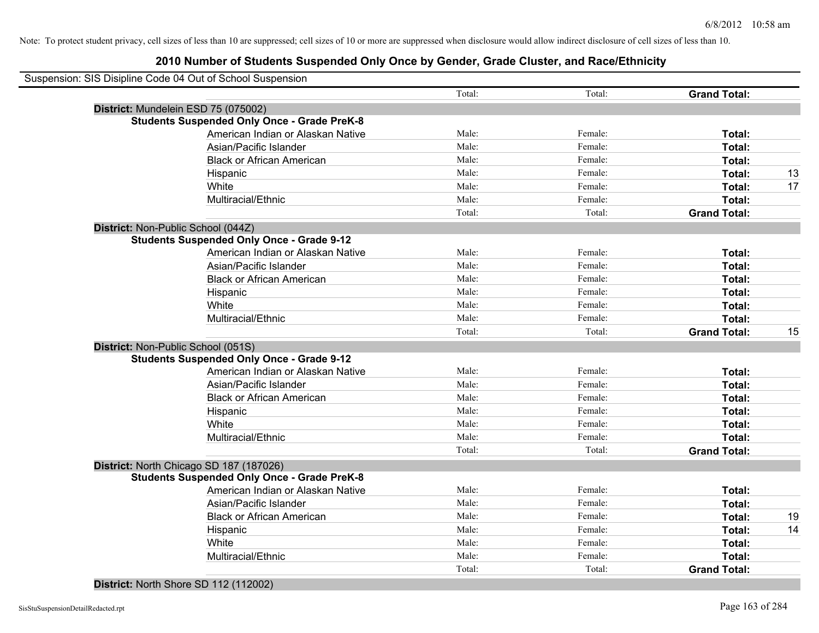| Suspension: SIS Disipline Code 04 Out of School Suspension |        |         |                     |    |
|------------------------------------------------------------|--------|---------|---------------------|----|
|                                                            | Total: | Total:  | <b>Grand Total:</b> |    |
| District: Mundelein ESD 75 (075002)                        |        |         |                     |    |
| <b>Students Suspended Only Once - Grade PreK-8</b>         |        |         |                     |    |
| American Indian or Alaskan Native                          | Male:  | Female: | Total:              |    |
| Asian/Pacific Islander                                     | Male:  | Female: | Total:              |    |
| <b>Black or African American</b>                           | Male:  | Female: | Total:              |    |
| Hispanic                                                   | Male:  | Female: | Total:              | 13 |
| White                                                      | Male:  | Female: | Total:              | 17 |
| Multiracial/Ethnic                                         | Male:  | Female: | Total:              |    |
|                                                            | Total: | Total:  | <b>Grand Total:</b> |    |
| District: Non-Public School (044Z)                         |        |         |                     |    |
| <b>Students Suspended Only Once - Grade 9-12</b>           |        |         |                     |    |
| American Indian or Alaskan Native                          | Male:  | Female: | <b>Total:</b>       |    |
| Asian/Pacific Islander                                     | Male:  | Female: | Total:              |    |
| <b>Black or African American</b>                           | Male:  | Female: | Total:              |    |
| Hispanic                                                   | Male:  | Female: | Total:              |    |
| White                                                      | Male:  | Female: | Total:              |    |
| Multiracial/Ethnic                                         | Male:  | Female: | Total:              |    |
|                                                            | Total: | Total:  | <b>Grand Total:</b> | 15 |
| District: Non-Public School (051S)                         |        |         |                     |    |
| <b>Students Suspended Only Once - Grade 9-12</b>           |        |         |                     |    |
| American Indian or Alaskan Native                          | Male:  | Female: | Total:              |    |
| Asian/Pacific Islander                                     | Male:  | Female: | Total:              |    |
| <b>Black or African American</b>                           | Male:  | Female: | Total:              |    |
| Hispanic                                                   | Male:  | Female: | Total:              |    |
| White                                                      | Male:  | Female: | Total:              |    |
| Multiracial/Ethnic                                         | Male:  | Female: | Total:              |    |
|                                                            | Total: | Total:  | <b>Grand Total:</b> |    |
| District: North Chicago SD 187 (187026)                    |        |         |                     |    |
| <b>Students Suspended Only Once - Grade PreK-8</b>         |        |         |                     |    |
| American Indian or Alaskan Native                          | Male:  | Female: | Total:              |    |
| Asian/Pacific Islander                                     | Male:  | Female: | Total:              |    |
| <b>Black or African American</b>                           | Male:  | Female: | Total:              | 19 |
| Hispanic                                                   | Male:  | Female: | Total:              | 14 |
| White                                                      | Male:  | Female: | Total:              |    |
| Multiracial/Ethnic                                         | Male:  | Female: | <b>Total:</b>       |    |
|                                                            | Total: | Total:  | <b>Grand Total:</b> |    |
|                                                            |        |         |                     |    |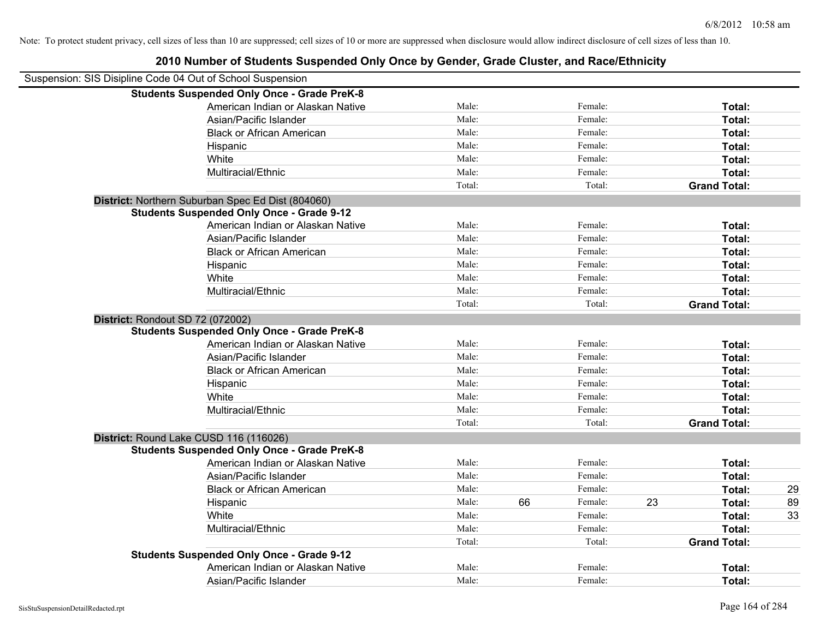|                                                            | 2010 Number of Students Suspended Only Once by Gender, Grade Cluster, and Race/Ethnicity |        |    |         |    |                     |    |
|------------------------------------------------------------|------------------------------------------------------------------------------------------|--------|----|---------|----|---------------------|----|
| Suspension: SIS Disipline Code 04 Out of School Suspension |                                                                                          |        |    |         |    |                     |    |
|                                                            | <b>Students Suspended Only Once - Grade PreK-8</b>                                       |        |    |         |    |                     |    |
|                                                            | American Indian or Alaskan Native                                                        | Male:  |    | Female: |    | Total:              |    |
|                                                            | Asian/Pacific Islander                                                                   | Male:  |    | Female: |    | Total:              |    |
|                                                            | <b>Black or African American</b>                                                         | Male:  |    | Female: |    | Total:              |    |
|                                                            | Hispanic                                                                                 | Male:  |    | Female: |    | Total:              |    |
|                                                            | White                                                                                    | Male:  |    | Female: |    | Total:              |    |
|                                                            | Multiracial/Ethnic                                                                       | Male:  |    | Female: |    | Total:              |    |
|                                                            |                                                                                          | Total: |    | Total:  |    | <b>Grand Total:</b> |    |
|                                                            | District: Northern Suburban Spec Ed Dist (804060)                                        |        |    |         |    |                     |    |
|                                                            | <b>Students Suspended Only Once - Grade 9-12</b>                                         |        |    |         |    |                     |    |
|                                                            | American Indian or Alaskan Native                                                        | Male:  |    | Female: |    | Total:              |    |
|                                                            | Asian/Pacific Islander                                                                   | Male:  |    | Female: |    | Total:              |    |
|                                                            | <b>Black or African American</b>                                                         | Male:  |    | Female: |    | Total:              |    |
|                                                            | Hispanic                                                                                 | Male:  |    | Female: |    | Total:              |    |
|                                                            | White                                                                                    | Male:  |    | Female: |    | Total:              |    |
|                                                            | Multiracial/Ethnic                                                                       | Male:  |    | Female: |    | Total:              |    |
|                                                            |                                                                                          | Total: |    | Total:  |    | <b>Grand Total:</b> |    |
| District: Rondout SD 72 (072002)                           |                                                                                          |        |    |         |    |                     |    |
|                                                            | <b>Students Suspended Only Once - Grade PreK-8</b>                                       |        |    |         |    |                     |    |
|                                                            | American Indian or Alaskan Native                                                        | Male:  |    | Female: |    | Total:              |    |
|                                                            | Asian/Pacific Islander                                                                   | Male:  |    | Female: |    | Total:              |    |
|                                                            | <b>Black or African American</b>                                                         | Male:  |    | Female: |    | Total:              |    |
|                                                            | Hispanic                                                                                 | Male:  |    | Female: |    | Total:              |    |
|                                                            | White                                                                                    | Male:  |    | Female: |    | Total:              |    |
|                                                            | Multiracial/Ethnic                                                                       | Male:  |    | Female: |    | Total:              |    |
|                                                            |                                                                                          | Total: |    | Total:  |    | <b>Grand Total:</b> |    |
| District: Round Lake CUSD 116 (116026)                     |                                                                                          |        |    |         |    |                     |    |
|                                                            | <b>Students Suspended Only Once - Grade PreK-8</b>                                       |        |    |         |    |                     |    |
|                                                            | American Indian or Alaskan Native                                                        | Male:  |    | Female: |    | Total:              |    |
|                                                            | Asian/Pacific Islander                                                                   | Male:  |    | Female: |    | Total:              |    |
|                                                            | <b>Black or African American</b>                                                         | Male:  |    | Female: |    | Total:              | 29 |
|                                                            | Hispanic                                                                                 | Male:  | 66 | Female: | 23 | Total:              | 89 |
|                                                            | White                                                                                    | Male:  |    | Female: |    | Total:              | 33 |
|                                                            | Multiracial/Ethnic                                                                       | Male:  |    | Female: |    | Total:              |    |
|                                                            |                                                                                          | Total: |    | Total:  |    | <b>Grand Total:</b> |    |
|                                                            | <b>Students Suspended Only Once - Grade 9-12</b>                                         |        |    |         |    |                     |    |
|                                                            | American Indian or Alaskan Native                                                        | Male:  |    | Female: |    | Total:              |    |
|                                                            | Asian/Pacific Islander                                                                   | Male:  |    | Female: |    | Total:              |    |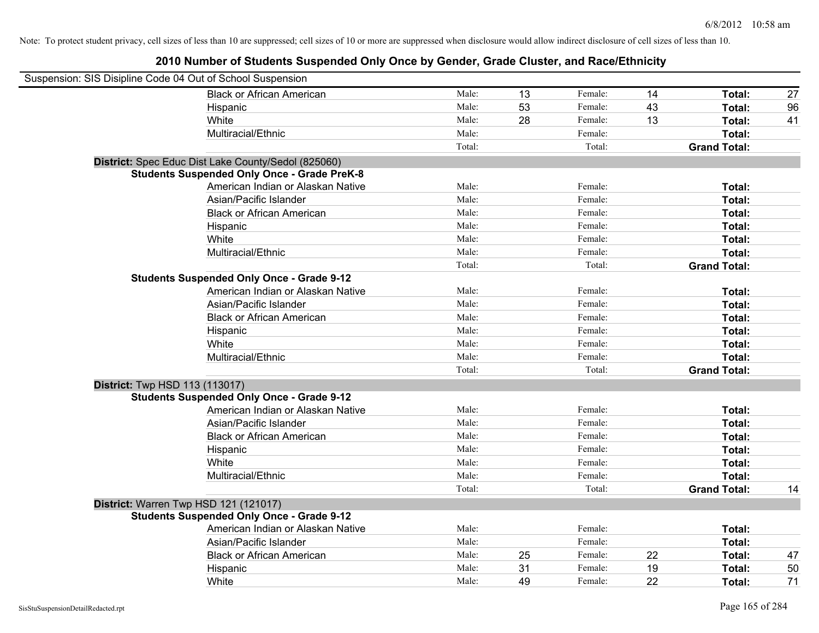| Suspension: SIS Disipline Code 04 Out of School Suspension |                                                     |        |    |         |    |                     |    |
|------------------------------------------------------------|-----------------------------------------------------|--------|----|---------|----|---------------------|----|
|                                                            | <b>Black or African American</b>                    | Male:  | 13 | Female: | 14 | Total:              | 27 |
|                                                            | Hispanic                                            | Male:  | 53 | Female: | 43 | Total:              | 96 |
|                                                            | White                                               | Male:  | 28 | Female: | 13 | <b>Total:</b>       | 41 |
|                                                            | Multiracial/Ethnic                                  | Male:  |    | Female: |    | Total:              |    |
|                                                            |                                                     | Total: |    | Total:  |    | <b>Grand Total:</b> |    |
|                                                            | District: Spec Educ Dist Lake County/Sedol (825060) |        |    |         |    |                     |    |
|                                                            | <b>Students Suspended Only Once - Grade PreK-8</b>  |        |    |         |    |                     |    |
|                                                            | American Indian or Alaskan Native                   | Male:  |    | Female: |    | Total:              |    |
|                                                            | Asian/Pacific Islander                              | Male:  |    | Female: |    | Total:              |    |
|                                                            | <b>Black or African American</b>                    | Male:  |    | Female: |    | Total:              |    |
|                                                            | Hispanic                                            | Male:  |    | Female: |    | Total:              |    |
|                                                            | White                                               | Male:  |    | Female: |    | Total:              |    |
|                                                            | Multiracial/Ethnic                                  | Male:  |    | Female: |    | Total:              |    |
|                                                            |                                                     | Total: |    | Total:  |    | <b>Grand Total:</b> |    |
|                                                            | <b>Students Suspended Only Once - Grade 9-12</b>    |        |    |         |    |                     |    |
|                                                            | American Indian or Alaskan Native                   | Male:  |    | Female: |    | Total:              |    |
|                                                            | Asian/Pacific Islander                              | Male:  |    | Female: |    | Total:              |    |
|                                                            | <b>Black or African American</b>                    | Male:  |    | Female: |    | Total:              |    |
|                                                            | Hispanic                                            | Male:  |    | Female: |    | Total:              |    |
|                                                            | White                                               | Male:  |    | Female: |    | Total:              |    |
|                                                            | Multiracial/Ethnic                                  | Male:  |    | Female: |    | Total:              |    |
|                                                            |                                                     | Total: |    | Total:  |    | <b>Grand Total:</b> |    |
| District: Twp HSD 113 (113017)                             |                                                     |        |    |         |    |                     |    |
|                                                            | <b>Students Suspended Only Once - Grade 9-12</b>    |        |    |         |    |                     |    |
|                                                            | American Indian or Alaskan Native                   | Male:  |    | Female: |    | Total:              |    |
|                                                            | Asian/Pacific Islander                              | Male:  |    | Female: |    | Total:              |    |
|                                                            | <b>Black or African American</b>                    | Male:  |    | Female: |    | Total:              |    |
|                                                            | Hispanic                                            | Male:  |    | Female: |    | Total:              |    |
|                                                            | White                                               | Male:  |    | Female: |    | Total:              |    |
|                                                            | Multiracial/Ethnic                                  | Male:  |    | Female: |    | Total:              |    |
|                                                            |                                                     | Total: |    | Total:  |    | <b>Grand Total:</b> | 14 |
|                                                            | District: Warren Twp HSD 121 (121017)               |        |    |         |    |                     |    |
|                                                            | <b>Students Suspended Only Once - Grade 9-12</b>    |        |    |         |    |                     |    |
|                                                            | American Indian or Alaskan Native                   | Male:  |    | Female: |    | Total:              |    |
|                                                            | Asian/Pacific Islander                              | Male:  |    | Female: |    | Total:              |    |
|                                                            | <b>Black or African American</b>                    | Male:  | 25 | Female: | 22 | Total:              | 47 |
|                                                            | Hispanic                                            | Male:  | 31 | Female: | 19 | Total:              | 50 |
|                                                            | White                                               | Male:  | 49 | Female: | 22 | Total:              | 71 |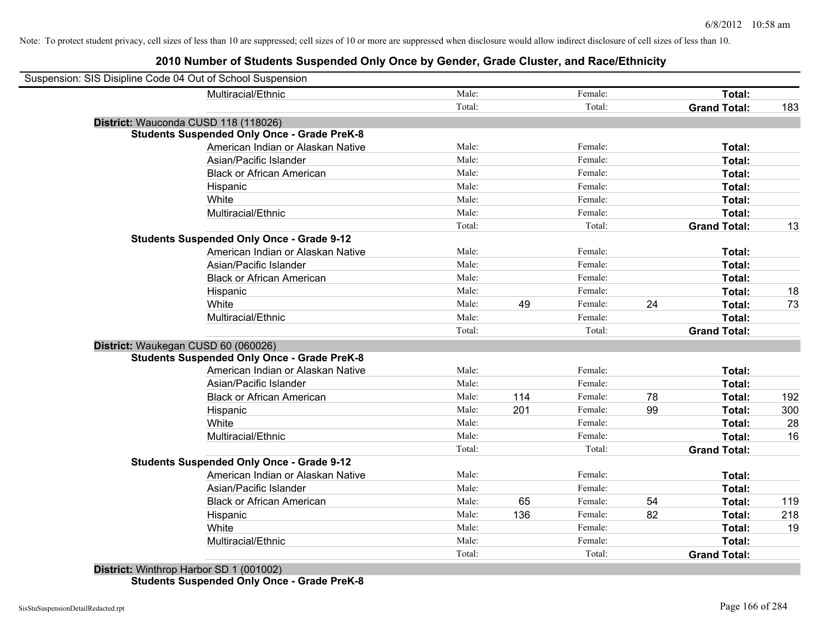| Suspension: SIS Disipline Code 04 Out of School Suspension |                                                    |        |     |         |    |                     |     |
|------------------------------------------------------------|----------------------------------------------------|--------|-----|---------|----|---------------------|-----|
|                                                            | Multiracial/Ethnic                                 | Male:  |     | Female: |    | Total:              |     |
|                                                            |                                                    | Total: |     | Total:  |    | <b>Grand Total:</b> | 183 |
| District: Wauconda CUSD 118 (118026)                       |                                                    |        |     |         |    |                     |     |
|                                                            | <b>Students Suspended Only Once - Grade PreK-8</b> |        |     |         |    |                     |     |
|                                                            | American Indian or Alaskan Native                  | Male:  |     | Female: |    | Total:              |     |
|                                                            | Asian/Pacific Islander                             | Male:  |     | Female: |    | Total:              |     |
|                                                            | <b>Black or African American</b>                   | Male:  |     | Female: |    | Total:              |     |
|                                                            | Hispanic                                           | Male:  |     | Female: |    | Total:              |     |
|                                                            | White                                              | Male:  |     | Female: |    | Total:              |     |
|                                                            | Multiracial/Ethnic                                 | Male:  |     | Female: |    | Total:              |     |
|                                                            |                                                    | Total: |     | Total:  |    | <b>Grand Total:</b> | 13  |
|                                                            | <b>Students Suspended Only Once - Grade 9-12</b>   |        |     |         |    |                     |     |
|                                                            | American Indian or Alaskan Native                  | Male:  |     | Female: |    | Total:              |     |
|                                                            | Asian/Pacific Islander                             | Male:  |     | Female: |    | Total:              |     |
|                                                            | <b>Black or African American</b>                   | Male:  |     | Female: |    | Total:              |     |
|                                                            | Hispanic                                           | Male:  |     | Female: |    | Total:              | 18  |
|                                                            | White                                              | Male:  | 49  | Female: | 24 | Total:              | 73  |
|                                                            | Multiracial/Ethnic                                 | Male:  |     | Female: |    | Total:              |     |
|                                                            |                                                    | Total: |     | Total:  |    | <b>Grand Total:</b> |     |
| District: Waukegan CUSD 60 (060026)                        |                                                    |        |     |         |    |                     |     |
|                                                            | <b>Students Suspended Only Once - Grade PreK-8</b> |        |     |         |    |                     |     |
|                                                            | American Indian or Alaskan Native                  | Male:  |     | Female: |    | Total:              |     |
|                                                            | Asian/Pacific Islander                             | Male:  |     | Female: |    | Total:              |     |
|                                                            | <b>Black or African American</b>                   | Male:  | 114 | Female: | 78 | Total:              | 192 |
|                                                            | Hispanic                                           | Male:  | 201 | Female: | 99 | Total:              | 300 |
|                                                            | White                                              | Male:  |     | Female: |    | Total:              | 28  |
|                                                            | Multiracial/Ethnic                                 | Male:  |     | Female: |    | Total:              | 16  |
|                                                            |                                                    | Total: |     | Total:  |    | <b>Grand Total:</b> |     |
|                                                            | <b>Students Suspended Only Once - Grade 9-12</b>   |        |     |         |    |                     |     |
|                                                            | American Indian or Alaskan Native                  | Male:  |     | Female: |    | Total:              |     |
|                                                            | Asian/Pacific Islander                             | Male:  |     | Female: |    | Total:              |     |
|                                                            | <b>Black or African American</b>                   | Male:  | 65  | Female: | 54 | Total:              | 119 |
|                                                            | Hispanic                                           | Male:  | 136 | Female: | 82 | Total:              | 218 |
|                                                            | White                                              | Male:  |     | Female: |    | Total:              | 19  |
|                                                            | Multiracial/Ethnic                                 | Male:  |     | Female: |    | Total:              |     |
|                                                            |                                                    | Total: |     | Total:  |    | <b>Grand Total:</b> |     |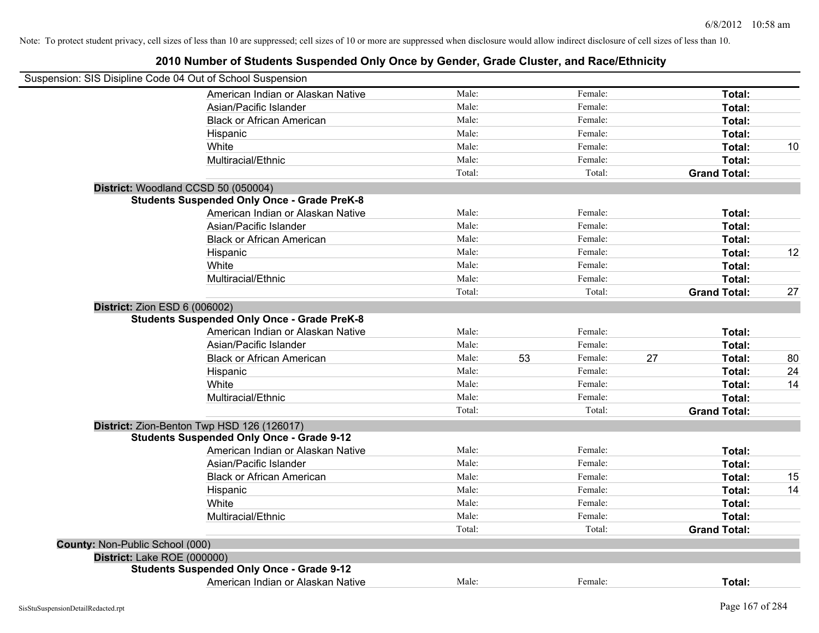|                                      | Suspension: SIS Disipline Code 04 Out of School Suspension |        |    |         |    |                     |                 |
|--------------------------------------|------------------------------------------------------------|--------|----|---------|----|---------------------|-----------------|
|                                      | American Indian or Alaskan Native                          | Male:  |    | Female: |    | Total:              |                 |
|                                      | Asian/Pacific Islander                                     | Male:  |    | Female: |    | Total:              |                 |
|                                      | <b>Black or African American</b>                           | Male:  |    | Female: |    | Total:              |                 |
|                                      | Hispanic                                                   | Male:  |    | Female: |    | Total:              |                 |
|                                      | White                                                      | Male:  |    | Female: |    | Total:              | 10 <sup>°</sup> |
|                                      | Multiracial/Ethnic                                         | Male:  |    | Female: |    | Total:              |                 |
|                                      |                                                            | Total: |    | Total:  |    | <b>Grand Total:</b> |                 |
|                                      | District: Woodland CCSD 50 (050004)                        |        |    |         |    |                     |                 |
|                                      | <b>Students Suspended Only Once - Grade PreK-8</b>         |        |    |         |    |                     |                 |
|                                      | American Indian or Alaskan Native                          | Male:  |    | Female: |    | Total:              |                 |
|                                      | Asian/Pacific Islander                                     | Male:  |    | Female: |    | Total:              |                 |
|                                      | <b>Black or African American</b>                           | Male:  |    | Female: |    | Total:              |                 |
|                                      | Hispanic                                                   | Male:  |    | Female: |    | Total:              | 12              |
|                                      | White                                                      | Male:  |    | Female: |    | Total:              |                 |
|                                      | Multiracial/Ethnic                                         | Male:  |    | Female: |    | Total:              |                 |
|                                      |                                                            | Total: |    | Total:  |    | <b>Grand Total:</b> | 27              |
| <b>District: Zion ESD 6 (006002)</b> | <b>Students Suspended Only Once - Grade PreK-8</b>         |        |    |         |    |                     |                 |
|                                      | American Indian or Alaskan Native                          | Male:  |    | Female: |    | Total:              |                 |
|                                      | Asian/Pacific Islander                                     | Male:  |    | Female: |    | Total:              |                 |
|                                      | <b>Black or African American</b>                           | Male:  | 53 | Female: | 27 | Total:              | 80              |
|                                      | Hispanic                                                   | Male:  |    | Female: |    | Total:              | 24              |
|                                      | White                                                      | Male:  |    | Female: |    | Total:              | 14              |
|                                      | Multiracial/Ethnic                                         | Male:  |    | Female: |    | Total:              |                 |
|                                      |                                                            | Total: |    | Total:  |    | <b>Grand Total:</b> |                 |
|                                      | District: Zion-Benton Twp HSD 126 (126017)                 |        |    |         |    |                     |                 |
|                                      | <b>Students Suspended Only Once - Grade 9-12</b>           |        |    |         |    |                     |                 |
|                                      | American Indian or Alaskan Native                          | Male:  |    | Female: |    | Total:              |                 |
|                                      | Asian/Pacific Islander                                     | Male:  |    | Female: |    | Total:              |                 |
|                                      | <b>Black or African American</b>                           | Male:  |    | Female: |    | Total:              | 15              |
|                                      | Hispanic                                                   | Male:  |    | Female: |    | Total:              | 14              |
|                                      | White                                                      | Male:  |    | Female: |    | Total:              |                 |
|                                      | Multiracial/Ethnic                                         | Male:  |    | Female: |    | Total:              |                 |
|                                      |                                                            | Total: |    | Total:  |    | <b>Grand Total:</b> |                 |
| County: Non-Public School (000)      |                                                            |        |    |         |    |                     |                 |
| District: Lake ROE (000000)          |                                                            |        |    |         |    |                     |                 |
|                                      | <b>Students Suspended Only Once - Grade 9-12</b>           |        |    |         |    |                     |                 |
|                                      | American Indian or Alaskan Native                          | Male:  |    | Female: |    | Total:              |                 |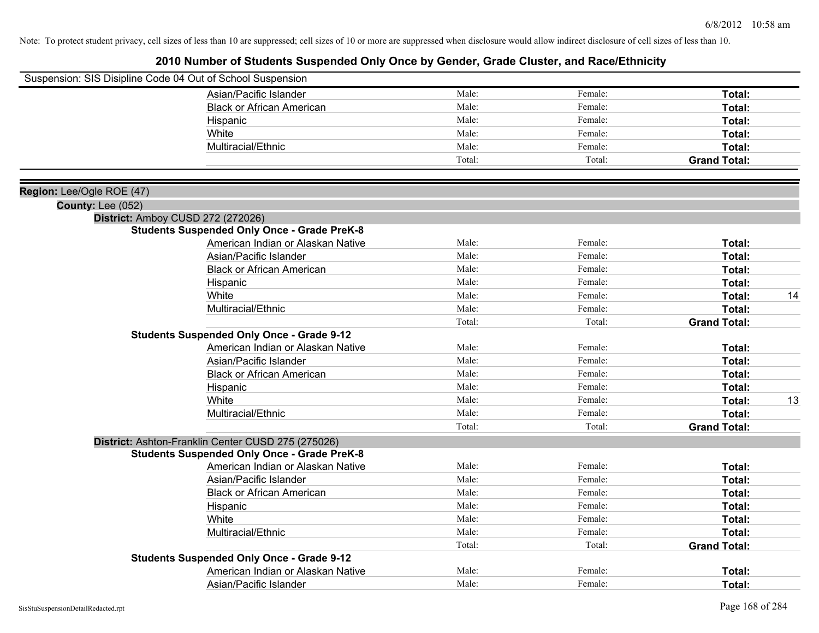|                                                       | Suspension: SIS Disipline Code 04 Out of School Suspension |        |         |                     |    |
|-------------------------------------------------------|------------------------------------------------------------|--------|---------|---------------------|----|
|                                                       | Asian/Pacific Islander                                     | Male:  | Female: | Total:              |    |
|                                                       | <b>Black or African American</b>                           | Male:  | Female: | Total:              |    |
|                                                       | Hispanic                                                   | Male:  | Female: | Total:              |    |
|                                                       | White                                                      | Male:  | Female: | Total:              |    |
|                                                       | Multiracial/Ethnic                                         | Male:  | Female: | Total:              |    |
|                                                       |                                                            | Total: | Total:  | <b>Grand Total:</b> |    |
|                                                       |                                                            |        |         |                     |    |
| Region: Lee/Ogle ROE (47)<br><b>County: Lee (052)</b> |                                                            |        |         |                     |    |
|                                                       | District: Amboy CUSD 272 (272026)                          |        |         |                     |    |
|                                                       | <b>Students Suspended Only Once - Grade PreK-8</b>         |        |         |                     |    |
|                                                       | American Indian or Alaskan Native                          | Male:  | Female: | Total:              |    |
|                                                       | Asian/Pacific Islander                                     | Male:  | Female: | Total:              |    |
|                                                       | <b>Black or African American</b>                           | Male:  | Female: | Total:              |    |
|                                                       | Hispanic                                                   | Male:  | Female: | Total:              |    |
|                                                       | White                                                      | Male:  | Female: | Total:              | 14 |
|                                                       | Multiracial/Ethnic                                         | Male:  | Female: | Total:              |    |
|                                                       |                                                            | Total: | Total:  | <b>Grand Total:</b> |    |
|                                                       | <b>Students Suspended Only Once - Grade 9-12</b>           |        |         |                     |    |
|                                                       | American Indian or Alaskan Native                          | Male:  | Female: | Total:              |    |
|                                                       | Asian/Pacific Islander                                     | Male:  | Female: | Total:              |    |
|                                                       | <b>Black or African American</b>                           | Male:  | Female: | Total:              |    |
|                                                       | Hispanic                                                   | Male:  | Female: | Total:              |    |
|                                                       | White                                                      | Male:  | Female: | Total:              | 13 |
|                                                       | Multiracial/Ethnic                                         | Male:  | Female: | Total:              |    |
|                                                       |                                                            | Total: | Total:  | <b>Grand Total:</b> |    |
|                                                       | District: Ashton-Franklin Center CUSD 275 (275026)         |        |         |                     |    |
|                                                       | <b>Students Suspended Only Once - Grade PreK-8</b>         |        |         |                     |    |
|                                                       | American Indian or Alaskan Native                          | Male:  | Female: | Total:              |    |
|                                                       | Asian/Pacific Islander                                     | Male:  | Female: | Total:              |    |
|                                                       | <b>Black or African American</b>                           | Male:  | Female: | Total:              |    |
|                                                       | Hispanic                                                   | Male:  | Female: | Total:              |    |
|                                                       | White                                                      | Male:  | Female: | Total:              |    |
|                                                       | Multiracial/Ethnic                                         | Male:  | Female: | Total:              |    |
|                                                       |                                                            | Total: | Total:  | <b>Grand Total:</b> |    |
|                                                       | <b>Students Suspended Only Once - Grade 9-12</b>           |        |         |                     |    |
|                                                       | American Indian or Alaskan Native                          | Male:  | Female: | Total:              |    |
|                                                       | Asian/Pacific Islander                                     | Male:  | Female: | Total:              |    |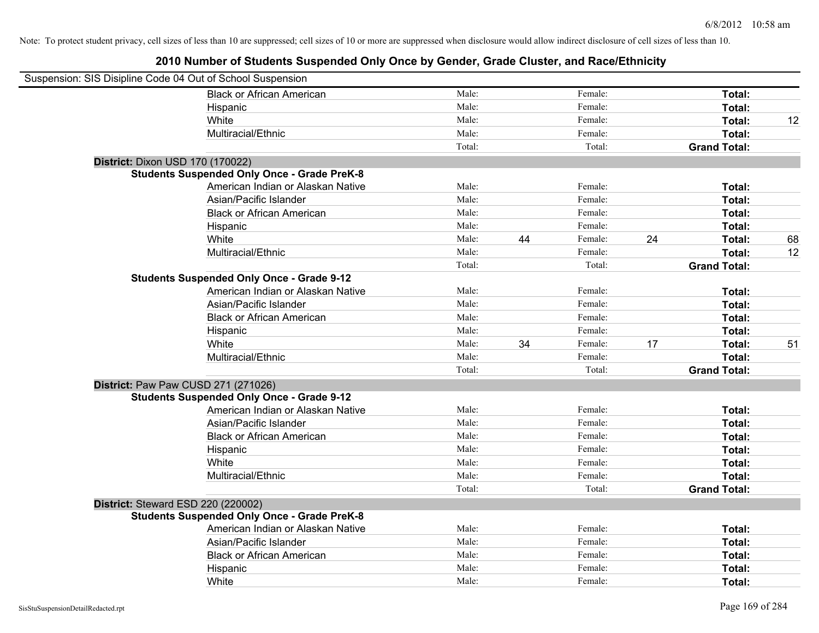| Suspension: SIS Disipline Code 04 Out of School Suspension |                                                    |        |    |         |    |                     |    |
|------------------------------------------------------------|----------------------------------------------------|--------|----|---------|----|---------------------|----|
|                                                            | <b>Black or African American</b>                   | Male:  |    | Female: |    | Total:              |    |
|                                                            | Hispanic                                           | Male:  |    | Female: |    | Total:              |    |
|                                                            | White                                              | Male:  |    | Female: |    | Total:              | 12 |
|                                                            | Multiracial/Ethnic                                 | Male:  |    | Female: |    | Total:              |    |
|                                                            |                                                    | Total: |    | Total:  |    | <b>Grand Total:</b> |    |
| District: Dixon USD 170 (170022)                           |                                                    |        |    |         |    |                     |    |
|                                                            | <b>Students Suspended Only Once - Grade PreK-8</b> |        |    |         |    |                     |    |
|                                                            | American Indian or Alaskan Native                  | Male:  |    | Female: |    | Total:              |    |
|                                                            | Asian/Pacific Islander                             | Male:  |    | Female: |    | Total:              |    |
|                                                            | <b>Black or African American</b>                   | Male:  |    | Female: |    | Total:              |    |
|                                                            | Hispanic                                           | Male:  |    | Female: |    | Total:              |    |
|                                                            | White                                              | Male:  | 44 | Female: | 24 | Total:              | 68 |
|                                                            | Multiracial/Ethnic                                 | Male:  |    | Female: |    | Total:              | 12 |
|                                                            |                                                    | Total: |    | Total:  |    | <b>Grand Total:</b> |    |
|                                                            | <b>Students Suspended Only Once - Grade 9-12</b>   |        |    |         |    |                     |    |
|                                                            | American Indian or Alaskan Native                  | Male:  |    | Female: |    | Total:              |    |
|                                                            | Asian/Pacific Islander                             | Male:  |    | Female: |    | Total:              |    |
|                                                            | <b>Black or African American</b>                   | Male:  |    | Female: |    | Total:              |    |
|                                                            | Hispanic                                           | Male:  |    | Female: |    | Total:              |    |
|                                                            | White                                              | Male:  | 34 | Female: | 17 | Total:              | 51 |
|                                                            | Multiracial/Ethnic                                 | Male:  |    | Female: |    | Total:              |    |
|                                                            |                                                    | Total: |    | Total:  |    | <b>Grand Total:</b> |    |
| District: Paw Paw CUSD 271 (271026)                        |                                                    |        |    |         |    |                     |    |
|                                                            | <b>Students Suspended Only Once - Grade 9-12</b>   |        |    |         |    |                     |    |
|                                                            | American Indian or Alaskan Native                  | Male:  |    | Female: |    | Total:              |    |
|                                                            | Asian/Pacific Islander                             | Male:  |    | Female: |    | Total:              |    |
|                                                            | <b>Black or African American</b>                   | Male:  |    | Female: |    | Total:              |    |
|                                                            | Hispanic                                           | Male:  |    | Female: |    | Total:              |    |
|                                                            | White                                              | Male:  |    | Female: |    | Total:              |    |
|                                                            | Multiracial/Ethnic                                 | Male:  |    | Female: |    | Total:              |    |
|                                                            |                                                    | Total: |    | Total:  |    | <b>Grand Total:</b> |    |
| District: Steward ESD 220 (220002)                         |                                                    |        |    |         |    |                     |    |
|                                                            | <b>Students Suspended Only Once - Grade PreK-8</b> |        |    |         |    |                     |    |
|                                                            | American Indian or Alaskan Native                  | Male:  |    | Female: |    | Total:              |    |
|                                                            | Asian/Pacific Islander                             | Male:  |    | Female: |    | Total:              |    |
|                                                            | <b>Black or African American</b>                   | Male:  |    | Female: |    | Total:              |    |
|                                                            | Hispanic                                           | Male:  |    | Female: |    | Total:              |    |
|                                                            | White                                              | Male:  |    | Female: |    | Total:              |    |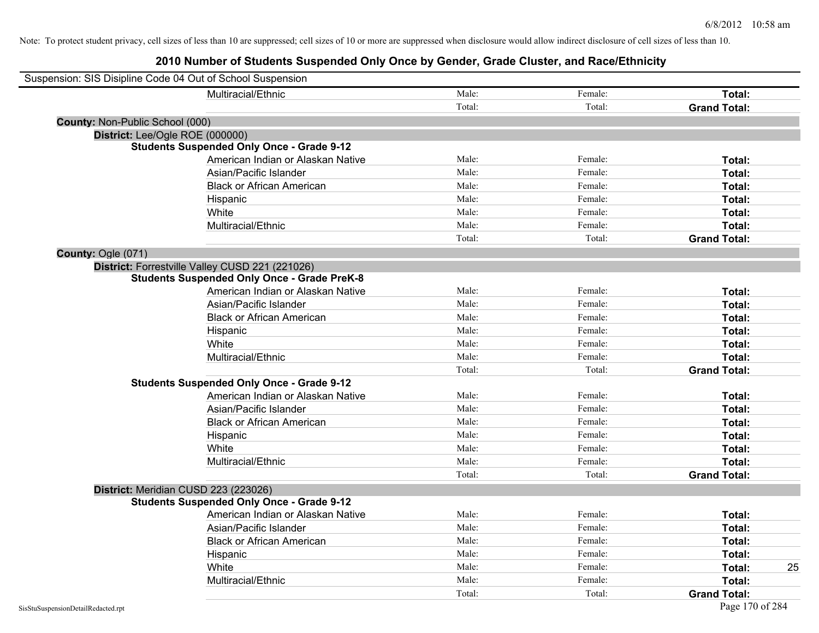| Suspension: SIS Disipline Code 04 Out of School Suspension |        |         |                     |    |
|------------------------------------------------------------|--------|---------|---------------------|----|
| Multiracial/Ethnic                                         | Male:  | Female: | Total:              |    |
|                                                            | Total: | Total:  | <b>Grand Total:</b> |    |
| County: Non-Public School (000)                            |        |         |                     |    |
| District: Lee/Ogle ROE (000000)                            |        |         |                     |    |
| <b>Students Suspended Only Once - Grade 9-12</b>           |        |         |                     |    |
| American Indian or Alaskan Native                          | Male:  | Female: | Total:              |    |
| Asian/Pacific Islander                                     | Male:  | Female: | Total:              |    |
| <b>Black or African American</b>                           | Male:  | Female: | Total:              |    |
| Hispanic                                                   | Male:  | Female: | Total:              |    |
| White                                                      | Male:  | Female: | Total:              |    |
| Multiracial/Ethnic                                         | Male:  | Female: | Total:              |    |
|                                                            | Total: | Total:  | <b>Grand Total:</b> |    |
| County: Ogle (071)                                         |        |         |                     |    |
| District: Forrestville Valley CUSD 221 (221026)            |        |         |                     |    |
| <b>Students Suspended Only Once - Grade PreK-8</b>         |        |         |                     |    |
| American Indian or Alaskan Native                          | Male:  | Female: | Total:              |    |
| Asian/Pacific Islander                                     | Male:  | Female: | Total:              |    |
| <b>Black or African American</b>                           | Male:  | Female: | Total:              |    |
| Hispanic                                                   | Male:  | Female: | Total:              |    |
| White                                                      | Male:  | Female: | Total:              |    |
| Multiracial/Ethnic                                         | Male:  | Female: | Total:              |    |
|                                                            | Total: | Total:  | <b>Grand Total:</b> |    |
| <b>Students Suspended Only Once - Grade 9-12</b>           |        |         |                     |    |
| American Indian or Alaskan Native                          | Male:  | Female: | Total:              |    |
| Asian/Pacific Islander                                     | Male:  | Female: | Total:              |    |
| <b>Black or African American</b>                           | Male:  | Female: | Total:              |    |
| Hispanic                                                   | Male:  | Female: | Total:              |    |
| White                                                      | Male:  | Female: | Total:              |    |
| Multiracial/Ethnic                                         | Male:  | Female: | Total:              |    |
|                                                            | Total: | Total:  | <b>Grand Total:</b> |    |
| District: Meridian CUSD 223 (223026)                       |        |         |                     |    |
| <b>Students Suspended Only Once - Grade 9-12</b>           |        |         |                     |    |
| American Indian or Alaskan Native                          | Male:  | Female: | Total:              |    |
| Asian/Pacific Islander                                     | Male:  | Female: | Total:              |    |
| <b>Black or African American</b>                           | Male:  | Female: | Total:              |    |
| Hispanic                                                   | Male:  | Female: | Total:              |    |
| White                                                      | Male:  | Female: | Total:              | 25 |
| Multiracial/Ethnic                                         | Male:  | Female: | Total:              |    |
|                                                            | Total: | Total:  | <b>Grand Total:</b> |    |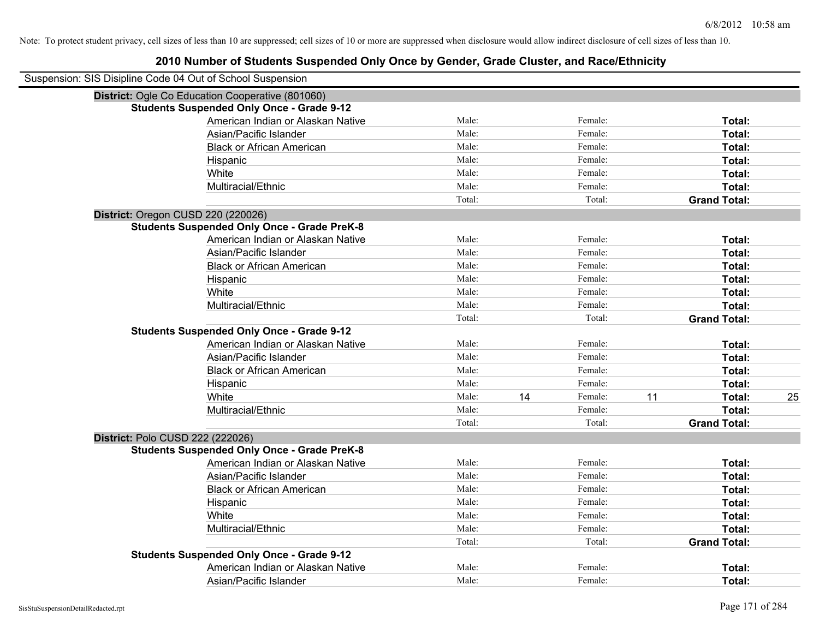| Suspension: SIS Disipline Code 04 Out of School Suspension |        |    |         |    |                     |    |
|------------------------------------------------------------|--------|----|---------|----|---------------------|----|
| District: Ogle Co Education Cooperative (801060)           |        |    |         |    |                     |    |
| <b>Students Suspended Only Once - Grade 9-12</b>           |        |    |         |    |                     |    |
| American Indian or Alaskan Native                          | Male:  |    | Female: |    | Total:              |    |
| Asian/Pacific Islander                                     | Male:  |    | Female: |    | Total:              |    |
| <b>Black or African American</b>                           | Male:  |    | Female: |    | Total:              |    |
| Hispanic                                                   | Male:  |    | Female: |    | Total:              |    |
| White                                                      | Male:  |    | Female: |    | Total:              |    |
| Multiracial/Ethnic                                         | Male:  |    | Female: |    | Total:              |    |
|                                                            | Total: |    | Total:  |    | <b>Grand Total:</b> |    |
| District: Oregon CUSD 220 (220026)                         |        |    |         |    |                     |    |
| <b>Students Suspended Only Once - Grade PreK-8</b>         |        |    |         |    |                     |    |
| American Indian or Alaskan Native                          | Male:  |    | Female: |    | Total:              |    |
| Asian/Pacific Islander                                     | Male:  |    | Female: |    | Total:              |    |
| <b>Black or African American</b>                           | Male:  |    | Female: |    | Total:              |    |
| Hispanic                                                   | Male:  |    | Female: |    | Total:              |    |
| White                                                      | Male:  |    | Female: |    | Total:              |    |
| Multiracial/Ethnic                                         | Male:  |    | Female: |    | Total:              |    |
|                                                            | Total: |    | Total:  |    | <b>Grand Total:</b> |    |
| <b>Students Suspended Only Once - Grade 9-12</b>           |        |    |         |    |                     |    |
| American Indian or Alaskan Native                          | Male:  |    | Female: |    | Total:              |    |
| Asian/Pacific Islander                                     | Male:  |    | Female: |    | Total:              |    |
| <b>Black or African American</b>                           | Male:  |    | Female: |    | Total:              |    |
| Hispanic                                                   | Male:  |    | Female: |    | Total:              |    |
| White                                                      | Male:  | 14 | Female: | 11 | <b>Total:</b>       | 25 |
| Multiracial/Ethnic                                         | Male:  |    | Female: |    | Total:              |    |
|                                                            | Total: |    | Total:  |    | <b>Grand Total:</b> |    |
| District: Polo CUSD 222 (222026)                           |        |    |         |    |                     |    |
| <b>Students Suspended Only Once - Grade PreK-8</b>         |        |    |         |    |                     |    |
| American Indian or Alaskan Native                          | Male:  |    | Female: |    | Total:              |    |
| Asian/Pacific Islander                                     | Male:  |    | Female: |    | Total:              |    |
| <b>Black or African American</b>                           | Male:  |    | Female: |    | Total:              |    |
| Hispanic                                                   | Male:  |    | Female: |    | Total:              |    |
| White                                                      | Male:  |    | Female: |    | Total:              |    |
| Multiracial/Ethnic                                         | Male:  |    | Female: |    | Total:              |    |
|                                                            | Total: |    | Total:  |    | <b>Grand Total:</b> |    |
| <b>Students Suspended Only Once - Grade 9-12</b>           |        |    |         |    |                     |    |
| American Indian or Alaskan Native                          | Male:  |    | Female: |    | Total:              |    |
| Asian/Pacific Islander                                     | Male:  |    | Female: |    | Total:              |    |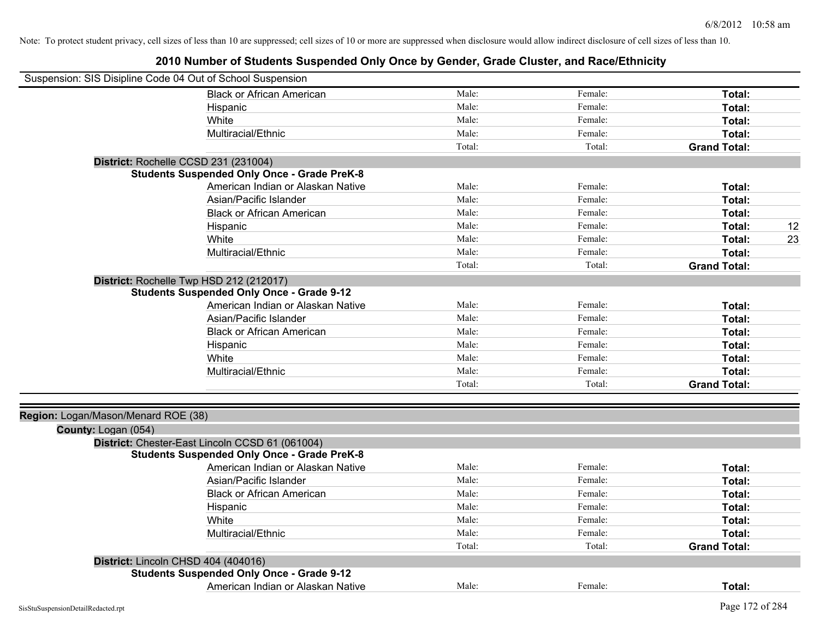| Suspension: SIS Disipline Code 04 Out of School Suspension |                                                    |        |         |                     |    |
|------------------------------------------------------------|----------------------------------------------------|--------|---------|---------------------|----|
|                                                            | <b>Black or African American</b>                   | Male:  | Female: | Total:              |    |
|                                                            | Hispanic                                           | Male:  | Female: | Total:              |    |
|                                                            | White                                              | Male:  | Female: | Total:              |    |
|                                                            | Multiracial/Ethnic                                 | Male:  | Female: | Total:              |    |
|                                                            |                                                    | Total: | Total:  | <b>Grand Total:</b> |    |
|                                                            | District: Rochelle CCSD 231 (231004)               |        |         |                     |    |
|                                                            | <b>Students Suspended Only Once - Grade PreK-8</b> |        |         |                     |    |
|                                                            | American Indian or Alaskan Native                  | Male:  | Female: | Total:              |    |
|                                                            | Asian/Pacific Islander                             | Male:  | Female: | Total:              |    |
|                                                            | <b>Black or African American</b>                   | Male:  | Female: | Total:              |    |
|                                                            | Hispanic                                           | Male:  | Female: | Total:              | 12 |
|                                                            | White                                              | Male:  | Female: | Total:              | 23 |
|                                                            | Multiracial/Ethnic                                 | Male:  | Female: | Total:              |    |
|                                                            |                                                    | Total: | Total:  | <b>Grand Total:</b> |    |
|                                                            | District: Rochelle Twp HSD 212 (212017)            |        |         |                     |    |
|                                                            | <b>Students Suspended Only Once - Grade 9-12</b>   |        |         |                     |    |
|                                                            | American Indian or Alaskan Native                  | Male:  | Female: | Total:              |    |
|                                                            | Asian/Pacific Islander                             | Male:  | Female: | Total:              |    |
|                                                            | <b>Black or African American</b>                   | Male:  | Female: | Total:              |    |
|                                                            | Hispanic                                           | Male:  | Female: | Total:              |    |
|                                                            | White                                              | Male:  | Female: | Total:              |    |
|                                                            | Multiracial/Ethnic                                 | Male:  | Female: | Total:              |    |
|                                                            |                                                    | Total: | Total:  | <b>Grand Total:</b> |    |
|                                                            |                                                    |        |         |                     |    |
| Region: Logan/Mason/Menard ROE (38)                        |                                                    |        |         |                     |    |
| County: Logan (054)                                        |                                                    |        |         |                     |    |
|                                                            | District: Chester-East Lincoln CCSD 61 (061004)    |        |         |                     |    |
|                                                            | <b>Students Suspended Only Once - Grade PreK-8</b> |        |         |                     |    |
|                                                            | American Indian or Alaskan Native                  | Male:  | Female: | Total:              |    |
|                                                            | Asian/Pacific Islander                             | Male:  | Female: | Total:              |    |
|                                                            | <b>Black or African American</b>                   | Male:  | Female: | Total:              |    |
|                                                            | Hispanic                                           | Male:  | Female: | Total:              |    |
|                                                            | White                                              | Male:  | Female: | Total:              |    |
|                                                            | Multiracial/Ethnic                                 | Male:  | Female: | Total:              |    |
|                                                            |                                                    | Total: | Total:  | <b>Grand Total:</b> |    |
|                                                            | District: Lincoln CHSD 404 (404016)                |        |         |                     |    |
|                                                            | <b>Students Suspended Only Once - Grade 9-12</b>   |        |         |                     |    |
|                                                            | American Indian or Alaskan Native                  | Male:  | Female: | Total:              |    |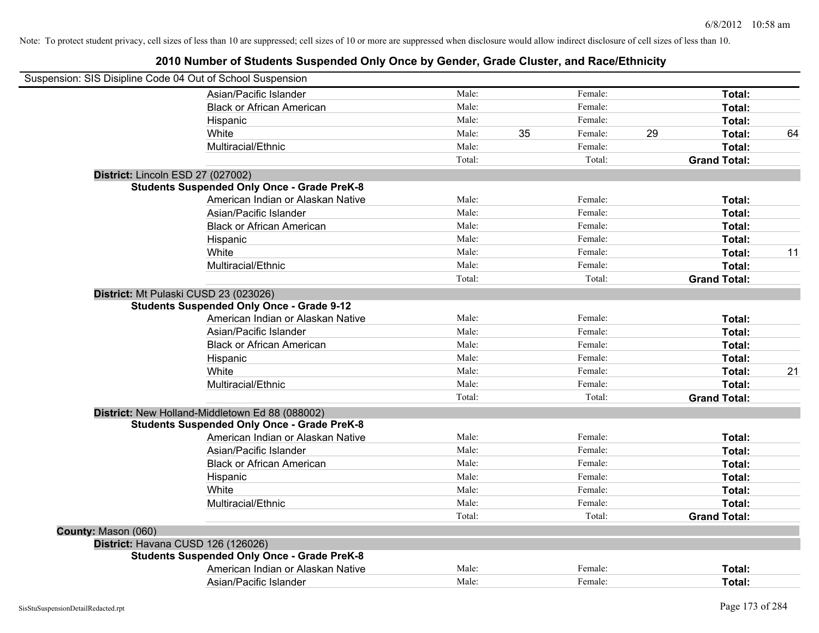| Suspension: SIS Disipline Code 04 Out of School Suspension |                                                    |        |    |         |    |                     |    |
|------------------------------------------------------------|----------------------------------------------------|--------|----|---------|----|---------------------|----|
|                                                            | Asian/Pacific Islander                             | Male:  |    | Female: |    | Total:              |    |
|                                                            | <b>Black or African American</b>                   | Male:  |    | Female: |    | Total:              |    |
|                                                            | Hispanic                                           | Male:  |    | Female: |    | Total:              |    |
|                                                            | White                                              | Male:  | 35 | Female: | 29 | Total:              | 64 |
|                                                            | Multiracial/Ethnic                                 | Male:  |    | Female: |    | Total:              |    |
|                                                            |                                                    | Total: |    | Total:  |    | <b>Grand Total:</b> |    |
| District: Lincoln ESD 27 (027002)                          |                                                    |        |    |         |    |                     |    |
|                                                            | <b>Students Suspended Only Once - Grade PreK-8</b> |        |    |         |    |                     |    |
|                                                            | American Indian or Alaskan Native                  | Male:  |    | Female: |    | Total:              |    |
|                                                            | Asian/Pacific Islander                             | Male:  |    | Female: |    | Total:              |    |
|                                                            | <b>Black or African American</b>                   | Male:  |    | Female: |    | Total:              |    |
|                                                            | Hispanic                                           | Male:  |    | Female: |    | Total:              |    |
|                                                            | White                                              | Male:  |    | Female: |    | Total:              | 11 |
|                                                            | Multiracial/Ethnic                                 | Male:  |    | Female: |    | Total:              |    |
|                                                            |                                                    | Total: |    | Total:  |    | <b>Grand Total:</b> |    |
| District: Mt Pulaski CUSD 23 (023026)                      |                                                    |        |    |         |    |                     |    |
|                                                            | <b>Students Suspended Only Once - Grade 9-12</b>   |        |    |         |    |                     |    |
|                                                            | American Indian or Alaskan Native                  | Male:  |    | Female: |    | Total:              |    |
|                                                            | Asian/Pacific Islander                             | Male:  |    | Female: |    | Total:              |    |
|                                                            | <b>Black or African American</b>                   | Male:  |    | Female: |    | Total:              |    |
|                                                            | Hispanic                                           | Male:  |    | Female: |    | Total:              |    |
|                                                            | White                                              | Male:  |    | Female: |    | Total:              | 21 |
|                                                            | Multiracial/Ethnic                                 | Male:  |    | Female: |    | Total:              |    |
|                                                            |                                                    | Total: |    | Total:  |    | <b>Grand Total:</b> |    |
|                                                            | District: New Holland-Middletown Ed 88 (088002)    |        |    |         |    |                     |    |
|                                                            | <b>Students Suspended Only Once - Grade PreK-8</b> |        |    |         |    |                     |    |
|                                                            | American Indian or Alaskan Native                  | Male:  |    | Female: |    | Total:              |    |
|                                                            | Asian/Pacific Islander                             | Male:  |    | Female: |    | Total:              |    |
|                                                            | <b>Black or African American</b>                   | Male:  |    | Female: |    | Total:              |    |
|                                                            | Hispanic                                           | Male:  |    | Female: |    | Total:              |    |
|                                                            | White                                              | Male:  |    | Female: |    | Total:              |    |
|                                                            | Multiracial/Ethnic                                 | Male:  |    | Female: |    | Total:              |    |
|                                                            |                                                    | Total: |    | Total:  |    | <b>Grand Total:</b> |    |
| County: Mason (060)                                        |                                                    |        |    |         |    |                     |    |
| District: Havana CUSD 126 (126026)                         |                                                    |        |    |         |    |                     |    |
|                                                            | <b>Students Suspended Only Once - Grade PreK-8</b> |        |    |         |    |                     |    |
|                                                            | American Indian or Alaskan Native                  | Male:  |    | Female: |    | Total:              |    |
|                                                            | Asian/Pacific Islander                             | Male:  |    | Female: |    | Total:              |    |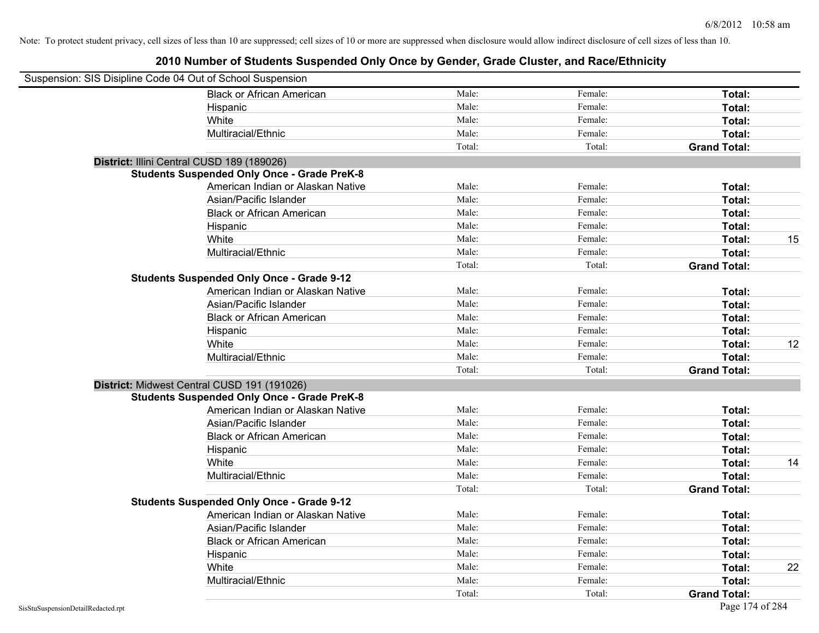| Suspension: SIS Disipline Code 04 Out of School Suspension |                                                    |        |         |                     |    |
|------------------------------------------------------------|----------------------------------------------------|--------|---------|---------------------|----|
|                                                            | <b>Black or African American</b>                   | Male:  | Female: | Total:              |    |
|                                                            | Hispanic                                           | Male:  | Female: | Total:              |    |
|                                                            | White                                              | Male:  | Female: | Total:              |    |
|                                                            | Multiracial/Ethnic                                 | Male:  | Female: | Total:              |    |
|                                                            |                                                    | Total: | Total:  | <b>Grand Total:</b> |    |
| District: Illini Central CUSD 189 (189026)                 |                                                    |        |         |                     |    |
|                                                            | <b>Students Suspended Only Once - Grade PreK-8</b> |        |         |                     |    |
|                                                            | American Indian or Alaskan Native                  | Male:  | Female: | Total:              |    |
|                                                            | Asian/Pacific Islander                             | Male:  | Female: | Total:              |    |
|                                                            | <b>Black or African American</b>                   | Male:  | Female: | Total:              |    |
|                                                            | Hispanic                                           | Male:  | Female: | Total:              |    |
|                                                            | White                                              | Male:  | Female: | Total:              | 15 |
|                                                            | Multiracial/Ethnic                                 | Male:  | Female: | Total:              |    |
|                                                            |                                                    | Total: | Total:  | <b>Grand Total:</b> |    |
|                                                            | <b>Students Suspended Only Once - Grade 9-12</b>   |        |         |                     |    |
|                                                            | American Indian or Alaskan Native                  | Male:  | Female: | Total:              |    |
|                                                            | Asian/Pacific Islander                             | Male:  | Female: | Total:              |    |
|                                                            | <b>Black or African American</b>                   | Male:  | Female: | Total:              |    |
|                                                            | Hispanic                                           | Male:  | Female: | Total:              |    |
|                                                            | White                                              | Male:  | Female: | Total:              | 12 |
|                                                            | Multiracial/Ethnic                                 | Male:  | Female: | Total:              |    |
|                                                            |                                                    | Total: | Total:  | <b>Grand Total:</b> |    |
|                                                            | District: Midwest Central CUSD 191 (191026)        |        |         |                     |    |
|                                                            | <b>Students Suspended Only Once - Grade PreK-8</b> |        |         |                     |    |
|                                                            | American Indian or Alaskan Native                  | Male:  | Female: | Total:              |    |
|                                                            | Asian/Pacific Islander                             | Male:  | Female: | Total:              |    |
|                                                            | <b>Black or African American</b>                   | Male:  | Female: | Total:              |    |
|                                                            | Hispanic                                           | Male:  | Female: | Total:              |    |
|                                                            | White                                              | Male:  | Female: | Total:              | 14 |
|                                                            | Multiracial/Ethnic                                 | Male:  | Female: | Total:              |    |
|                                                            |                                                    | Total: | Total:  | <b>Grand Total:</b> |    |
|                                                            | <b>Students Suspended Only Once - Grade 9-12</b>   |        |         |                     |    |
|                                                            | American Indian or Alaskan Native                  | Male:  | Female: | Total:              |    |
|                                                            | Asian/Pacific Islander                             | Male:  | Female: | Total:              |    |
|                                                            | <b>Black or African American</b>                   | Male:  | Female: | Total:              |    |
|                                                            | Hispanic                                           | Male:  | Female: | Total:              |    |
|                                                            | White                                              | Male:  | Female: | Total:              | 22 |
|                                                            | Multiracial/Ethnic                                 | Male:  | Female: | Total:              |    |
|                                                            |                                                    | Total: | Total:  | <b>Grand Total:</b> |    |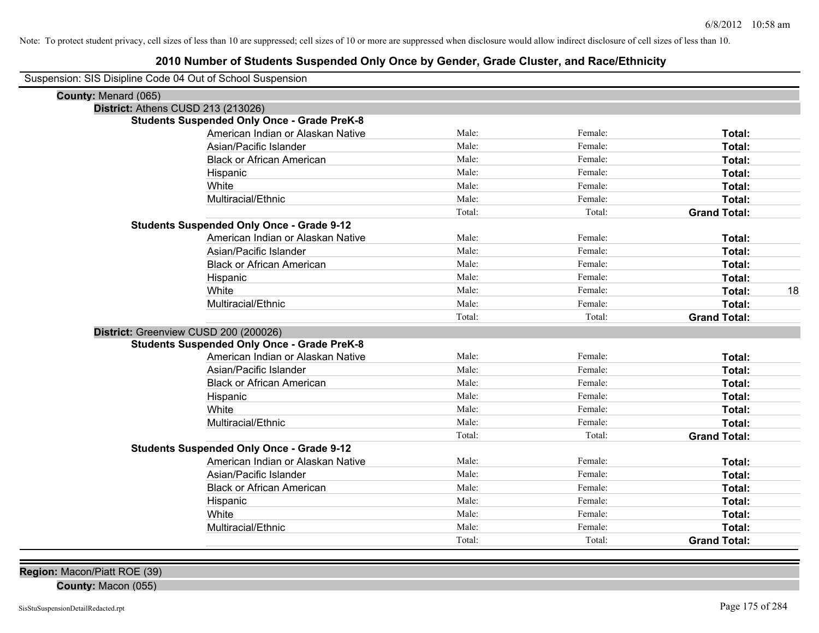### **2010 Number of Students Suspended Only Once by Gender, Grade Cluster, and Race/Ethnicity**

| Suspension: SIS Disipline Code 04 Out of School Suspension |
|------------------------------------------------------------|
|------------------------------------------------------------|

| $\frac{1}{2}$               |                                                    |        |         |                     |    |
|-----------------------------|----------------------------------------------------|--------|---------|---------------------|----|
| <b>County: Menard (065)</b> |                                                    |        |         |                     |    |
|                             | <b>District: Athens CUSD 213 (213026)</b>          |        |         |                     |    |
|                             | <b>Students Suspended Only Once - Grade PreK-8</b> |        |         |                     |    |
|                             | American Indian or Alaskan Native                  | Male:  | Female: | Total:              |    |
|                             | Asian/Pacific Islander                             | Male:  | Female: | <b>Total:</b>       |    |
|                             | <b>Black or African American</b>                   | Male:  | Female: | Total:              |    |
|                             | Hispanic                                           | Male:  | Female: | Total:              |    |
|                             | White                                              | Male:  | Female: | Total:              |    |
|                             | Multiracial/Ethnic                                 | Male:  | Female: | Total:              |    |
|                             |                                                    | Total: | Total:  | <b>Grand Total:</b> |    |
|                             | <b>Students Suspended Only Once - Grade 9-12</b>   |        |         |                     |    |
|                             | American Indian or Alaskan Native                  | Male:  | Female: | Total:              |    |
|                             | Asian/Pacific Islander                             | Male:  | Female: | Total:              |    |
|                             | <b>Black or African American</b>                   | Male:  | Female: | Total:              |    |
|                             | Hispanic                                           | Male:  | Female: | Total:              |    |
|                             | White                                              | Male:  | Female: | Total:              | 18 |
|                             | Multiracial/Ethnic                                 | Male:  | Female: | Total:              |    |
|                             |                                                    | Total: | Total:  | <b>Grand Total:</b> |    |
|                             | District: Greenview CUSD 200 (200026)              |        |         |                     |    |
|                             | <b>Students Suspended Only Once - Grade PreK-8</b> |        |         |                     |    |
|                             | American Indian or Alaskan Native                  | Male:  | Female: | Total:              |    |
|                             | Asian/Pacific Islander                             | Male:  | Female: | Total:              |    |
|                             | <b>Black or African American</b>                   | Male:  | Female: | Total:              |    |
|                             | Hispanic                                           | Male:  | Female: | Total:              |    |
|                             | White                                              | Male:  | Female: | Total:              |    |
|                             | Multiracial/Ethnic                                 | Male:  | Female: | Total:              |    |
|                             |                                                    | Total: | Total:  | <b>Grand Total:</b> |    |
|                             | <b>Students Suspended Only Once - Grade 9-12</b>   |        |         |                     |    |
|                             | American Indian or Alaskan Native                  | Male:  | Female: | Total:              |    |
|                             | Asian/Pacific Islander                             | Male:  | Female: | Total:              |    |
|                             | <b>Black or African American</b>                   | Male:  | Female: | Total:              |    |
|                             | Hispanic                                           | Male:  | Female: | Total:              |    |
|                             | White                                              | Male:  | Female: | Total:              |    |
|                             | Multiracial/Ethnic                                 | Male:  | Female: | Total:              |    |
|                             |                                                    | Total: | Total:  | <b>Grand Total:</b> |    |
|                             |                                                    |        |         |                     |    |

**County:** Macon (055)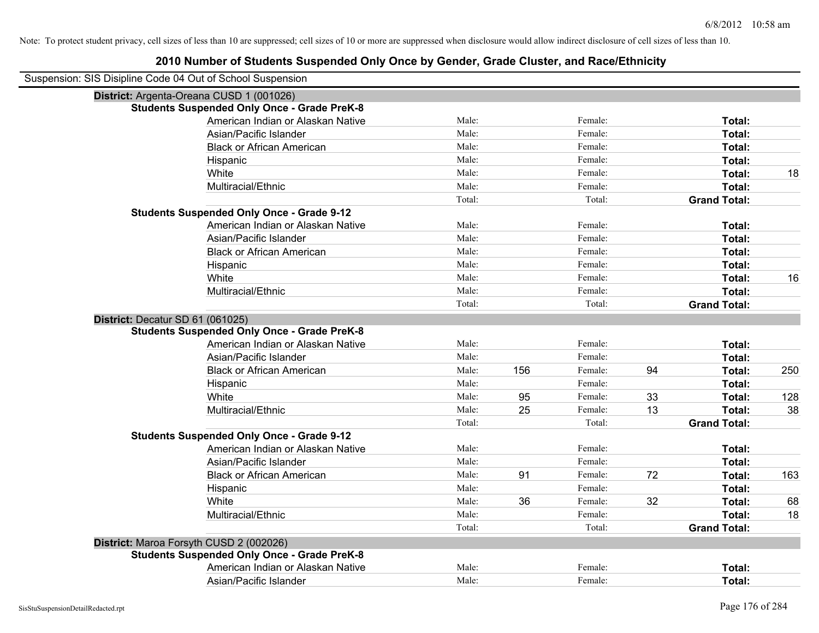| Suspension: SIS Disipline Code 04 Out of School Suspension |                                                    |        |     |         |    |                     |     |
|------------------------------------------------------------|----------------------------------------------------|--------|-----|---------|----|---------------------|-----|
|                                                            | District: Argenta-Oreana CUSD 1 (001026)           |        |     |         |    |                     |     |
|                                                            | <b>Students Suspended Only Once - Grade PreK-8</b> |        |     |         |    |                     |     |
|                                                            | American Indian or Alaskan Native                  | Male:  |     | Female: |    | Total:              |     |
|                                                            | Asian/Pacific Islander                             | Male:  |     | Female: |    | Total:              |     |
|                                                            | <b>Black or African American</b>                   | Male:  |     | Female: |    | Total:              |     |
|                                                            | Hispanic                                           | Male:  |     | Female: |    | Total:              |     |
|                                                            | White                                              | Male:  |     | Female: |    | Total:              | 18  |
|                                                            | Multiracial/Ethnic                                 | Male:  |     | Female: |    | Total:              |     |
|                                                            |                                                    | Total: |     | Total:  |    | <b>Grand Total:</b> |     |
|                                                            | <b>Students Suspended Only Once - Grade 9-12</b>   |        |     |         |    |                     |     |
|                                                            | American Indian or Alaskan Native                  | Male:  |     | Female: |    | Total:              |     |
|                                                            | Asian/Pacific Islander                             | Male:  |     | Female: |    | Total:              |     |
|                                                            | <b>Black or African American</b>                   | Male:  |     | Female: |    | Total:              |     |
|                                                            | Hispanic                                           | Male:  |     | Female: |    | Total:              |     |
|                                                            | White                                              | Male:  |     | Female: |    | Total:              | 16  |
|                                                            | Multiracial/Ethnic                                 | Male:  |     | Female: |    | Total:              |     |
|                                                            |                                                    | Total: |     | Total:  |    | <b>Grand Total:</b> |     |
| District: Decatur SD 61 (061025)                           |                                                    |        |     |         |    |                     |     |
|                                                            | <b>Students Suspended Only Once - Grade PreK-8</b> |        |     |         |    |                     |     |
|                                                            | American Indian or Alaskan Native                  | Male:  |     | Female: |    | Total:              |     |
|                                                            | Asian/Pacific Islander                             | Male:  |     | Female: |    | Total:              |     |
|                                                            | <b>Black or African American</b>                   | Male:  | 156 | Female: | 94 | Total:              | 250 |
|                                                            | Hispanic                                           | Male:  |     | Female: |    | Total:              |     |
|                                                            | White                                              | Male:  | 95  | Female: | 33 | Total:              | 128 |
|                                                            | Multiracial/Ethnic                                 | Male:  | 25  | Female: | 13 | Total:              | 38  |
|                                                            |                                                    | Total: |     | Total:  |    | <b>Grand Total:</b> |     |
|                                                            | <b>Students Suspended Only Once - Grade 9-12</b>   |        |     |         |    |                     |     |
|                                                            | American Indian or Alaskan Native                  | Male:  |     | Female: |    | Total:              |     |
|                                                            | Asian/Pacific Islander                             | Male:  |     | Female: |    | Total:              |     |
|                                                            | <b>Black or African American</b>                   | Male:  | 91  | Female: | 72 | Total:              | 163 |
|                                                            | Hispanic                                           | Male:  |     | Female: |    | Total:              |     |
|                                                            | White                                              | Male:  | 36  | Female: | 32 | Total:              | 68  |
|                                                            | Multiracial/Ethnic                                 | Male:  |     | Female: |    | Total:              | 18  |
|                                                            |                                                    | Total: |     | Total:  |    | <b>Grand Total:</b> |     |
|                                                            | District: Maroa Forsyth CUSD 2 (002026)            |        |     |         |    |                     |     |
|                                                            | <b>Students Suspended Only Once - Grade PreK-8</b> |        |     |         |    |                     |     |
|                                                            | American Indian or Alaskan Native                  | Male:  |     | Female: |    | Total:              |     |
|                                                            | Asian/Pacific Islander                             | Male:  |     | Female: |    | Total:              |     |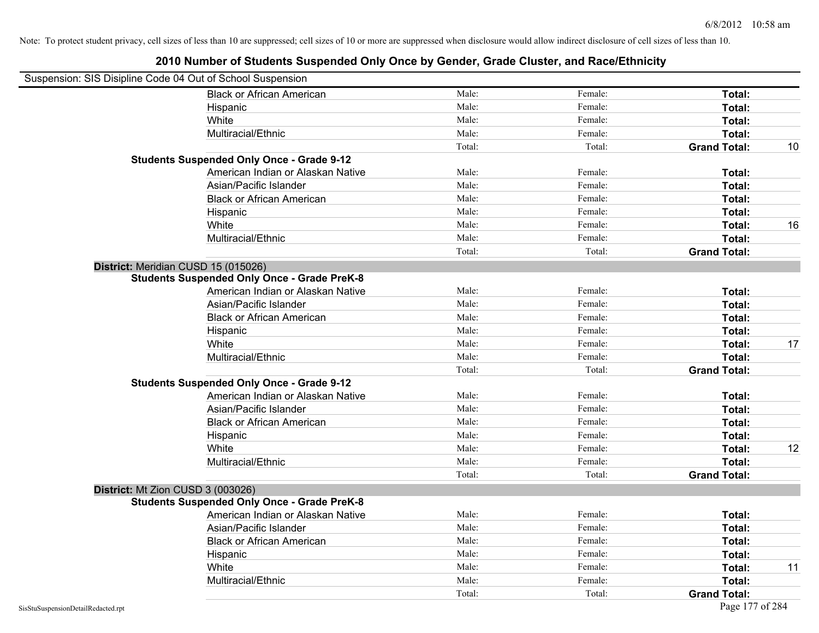| Suspension: SIS Disipline Code 04 Out of School Suspension |                                                    |        |         |                     |    |
|------------------------------------------------------------|----------------------------------------------------|--------|---------|---------------------|----|
|                                                            | <b>Black or African American</b>                   | Male:  | Female: | Total:              |    |
| Hispanic                                                   |                                                    | Male:  | Female: | Total:              |    |
| White                                                      |                                                    | Male:  | Female: | Total:              |    |
|                                                            | Multiracial/Ethnic                                 | Male:  | Female: | Total:              |    |
|                                                            |                                                    | Total: | Total:  | <b>Grand Total:</b> | 10 |
| <b>Students Suspended Only Once - Grade 9-12</b>           |                                                    |        |         |                     |    |
|                                                            | American Indian or Alaskan Native                  | Male:  | Female: | Total:              |    |
|                                                            | Asian/Pacific Islander                             | Male:  | Female: | Total:              |    |
|                                                            | <b>Black or African American</b>                   | Male:  | Female: | Total:              |    |
| Hispanic                                                   |                                                    | Male:  | Female: | Total:              |    |
| White                                                      |                                                    | Male:  | Female: | Total:              | 16 |
|                                                            | Multiracial/Ethnic                                 | Male:  | Female: | Total:              |    |
|                                                            |                                                    | Total: | Total:  | <b>Grand Total:</b> |    |
| District: Meridian CUSD 15 (015026)                        |                                                    |        |         |                     |    |
|                                                            | <b>Students Suspended Only Once - Grade PreK-8</b> |        |         |                     |    |
|                                                            | American Indian or Alaskan Native                  | Male:  | Female: | Total:              |    |
|                                                            | Asian/Pacific Islander                             | Male:  | Female: | Total:              |    |
|                                                            | <b>Black or African American</b>                   | Male:  | Female: | Total:              |    |
| Hispanic                                                   |                                                    | Male:  | Female: | Total:              |    |
| White                                                      |                                                    | Male:  | Female: | Total:              | 17 |
|                                                            | Multiracial/Ethnic                                 | Male:  | Female: | Total:              |    |
|                                                            |                                                    | Total: | Total:  | <b>Grand Total:</b> |    |
| <b>Students Suspended Only Once - Grade 9-12</b>           |                                                    |        |         |                     |    |
|                                                            | American Indian or Alaskan Native                  | Male:  | Female: | Total:              |    |
|                                                            | Asian/Pacific Islander                             | Male:  | Female: | Total:              |    |
|                                                            | <b>Black or African American</b>                   | Male:  | Female: | Total:              |    |
| Hispanic                                                   |                                                    | Male:  | Female: | Total:              |    |
| White                                                      |                                                    | Male:  | Female: | Total:              | 12 |
|                                                            | Multiracial/Ethnic                                 | Male:  | Female: | Total:              |    |
|                                                            |                                                    | Total: | Total:  | <b>Grand Total:</b> |    |
| District: Mt Zion CUSD 3 (003026)                          |                                                    |        |         |                     |    |
|                                                            | <b>Students Suspended Only Once - Grade PreK-8</b> |        |         |                     |    |
|                                                            | American Indian or Alaskan Native                  | Male:  | Female: | Total:              |    |
|                                                            | Asian/Pacific Islander                             | Male:  | Female: | Total:              |    |
|                                                            | <b>Black or African American</b>                   | Male:  | Female: | Total:              |    |
| Hispanic                                                   |                                                    | Male:  | Female: | Total:              |    |
| White                                                      |                                                    | Male:  | Female: | <b>Total:</b>       | 11 |
|                                                            | Multiracial/Ethnic                                 | Male:  | Female: | Total:              |    |
|                                                            |                                                    | Total: | Total:  | <b>Grand Total:</b> |    |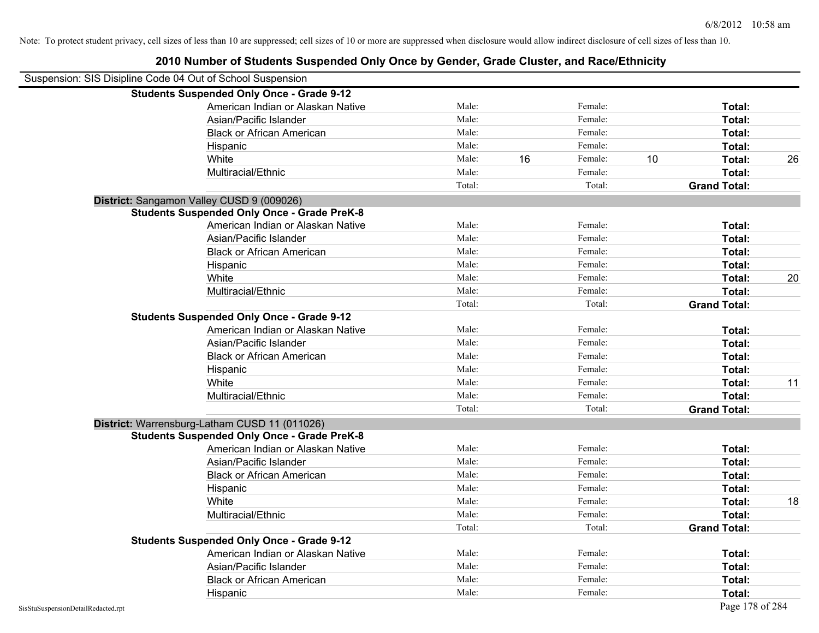| Suspension: SIS Disipline Code 04 Out of School Suspension |                                                    |        |    |         |    |                     |    |
|------------------------------------------------------------|----------------------------------------------------|--------|----|---------|----|---------------------|----|
|                                                            | <b>Students Suspended Only Once - Grade 9-12</b>   |        |    |         |    |                     |    |
|                                                            | American Indian or Alaskan Native                  | Male:  |    | Female: |    | Total:              |    |
|                                                            | Asian/Pacific Islander                             | Male:  |    | Female: |    | Total:              |    |
|                                                            | <b>Black or African American</b>                   | Male:  |    | Female: |    | Total:              |    |
|                                                            | Hispanic                                           | Male:  |    | Female: |    | Total:              |    |
|                                                            | White                                              | Male:  | 16 | Female: | 10 | Total:              | 26 |
|                                                            | Multiracial/Ethnic                                 | Male:  |    | Female: |    | Total:              |    |
|                                                            |                                                    | Total: |    | Total:  |    | <b>Grand Total:</b> |    |
|                                                            | District: Sangamon Valley CUSD 9 (009026)          |        |    |         |    |                     |    |
|                                                            | <b>Students Suspended Only Once - Grade PreK-8</b> |        |    |         |    |                     |    |
|                                                            | American Indian or Alaskan Native                  | Male:  |    | Female: |    | Total:              |    |
|                                                            | Asian/Pacific Islander                             | Male:  |    | Female: |    | Total:              |    |
|                                                            | <b>Black or African American</b>                   | Male:  |    | Female: |    | Total:              |    |
|                                                            | Hispanic                                           | Male:  |    | Female: |    | Total:              |    |
|                                                            | White                                              | Male:  |    | Female: |    | Total:              | 20 |
|                                                            | Multiracial/Ethnic                                 | Male:  |    | Female: |    | Total:              |    |
|                                                            |                                                    | Total: |    | Total:  |    | <b>Grand Total:</b> |    |
|                                                            | <b>Students Suspended Only Once - Grade 9-12</b>   |        |    |         |    |                     |    |
|                                                            | American Indian or Alaskan Native                  | Male:  |    | Female: |    | Total:              |    |
|                                                            | Asian/Pacific Islander                             | Male:  |    | Female: |    | Total:              |    |
|                                                            | <b>Black or African American</b>                   | Male:  |    | Female: |    | Total:              |    |
|                                                            | Hispanic                                           | Male:  |    | Female: |    | Total:              |    |
|                                                            | White                                              | Male:  |    | Female: |    | Total:              | 11 |
|                                                            | Multiracial/Ethnic                                 | Male:  |    | Female: |    | Total:              |    |
|                                                            |                                                    | Total: |    | Total:  |    | <b>Grand Total:</b> |    |
|                                                            | District: Warrensburg-Latham CUSD 11 (011026)      |        |    |         |    |                     |    |
|                                                            | <b>Students Suspended Only Once - Grade PreK-8</b> |        |    |         |    |                     |    |
|                                                            | American Indian or Alaskan Native                  | Male:  |    | Female: |    | Total:              |    |
|                                                            | Asian/Pacific Islander                             | Male:  |    | Female: |    | Total:              |    |
|                                                            | <b>Black or African American</b>                   | Male:  |    | Female: |    | Total:              |    |
|                                                            | Hispanic                                           | Male:  |    | Female: |    | Total:              |    |
|                                                            | White                                              | Male:  |    | Female: |    | Total:              | 18 |
|                                                            | Multiracial/Ethnic                                 | Male:  |    | Female: |    | Total:              |    |
|                                                            |                                                    | Total: |    | Total:  |    | <b>Grand Total:</b> |    |
|                                                            | <b>Students Suspended Only Once - Grade 9-12</b>   |        |    |         |    |                     |    |
|                                                            | American Indian or Alaskan Native                  | Male:  |    | Female: |    | Total:              |    |
|                                                            | Asian/Pacific Islander                             | Male:  |    | Female: |    | Total:              |    |
|                                                            | <b>Black or African American</b>                   | Male:  |    | Female: |    | Total:              |    |
|                                                            | Hispanic                                           | Male:  |    | Female: |    | Total:              |    |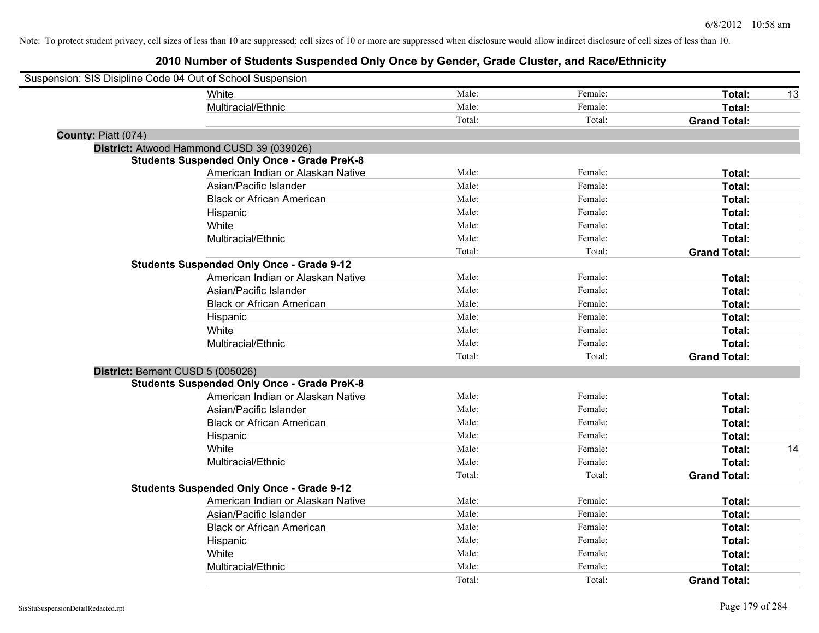| Suspension: SIS Disipline Code 04 Out of School Suspension |                                                    |        |         |                     |    |
|------------------------------------------------------------|----------------------------------------------------|--------|---------|---------------------|----|
|                                                            | White                                              | Male:  | Female: | Total:              | 13 |
|                                                            | Multiracial/Ethnic                                 | Male:  | Female: | Total:              |    |
|                                                            |                                                    | Total: | Total:  | <b>Grand Total:</b> |    |
| County: Piatt (074)                                        |                                                    |        |         |                     |    |
|                                                            | District: Atwood Hammond CUSD 39 (039026)          |        |         |                     |    |
|                                                            | <b>Students Suspended Only Once - Grade PreK-8</b> |        |         |                     |    |
|                                                            | American Indian or Alaskan Native                  | Male:  | Female: | Total:              |    |
|                                                            | Asian/Pacific Islander                             | Male:  | Female: | Total:              |    |
|                                                            | <b>Black or African American</b>                   | Male:  | Female: | Total:              |    |
|                                                            | Hispanic                                           | Male:  | Female: | Total:              |    |
|                                                            | White                                              | Male:  | Female: | Total:              |    |
|                                                            | Multiracial/Ethnic                                 | Male:  | Female: | Total:              |    |
|                                                            |                                                    | Total: | Total:  | <b>Grand Total:</b> |    |
|                                                            | <b>Students Suspended Only Once - Grade 9-12</b>   |        |         |                     |    |
|                                                            | American Indian or Alaskan Native                  | Male:  | Female: | Total:              |    |
|                                                            | Asian/Pacific Islander                             | Male:  | Female: | Total:              |    |
|                                                            | <b>Black or African American</b>                   | Male:  | Female: | Total:              |    |
|                                                            | Hispanic                                           | Male:  | Female: | Total:              |    |
|                                                            | White                                              | Male:  | Female: | Total:              |    |
|                                                            | Multiracial/Ethnic                                 | Male:  | Female: | Total:              |    |
|                                                            |                                                    | Total: | Total:  | <b>Grand Total:</b> |    |
| District: Bement CUSD 5 (005026)                           |                                                    |        |         |                     |    |
|                                                            | <b>Students Suspended Only Once - Grade PreK-8</b> |        |         |                     |    |
|                                                            | American Indian or Alaskan Native                  | Male:  | Female: | Total:              |    |
|                                                            | Asian/Pacific Islander                             | Male:  | Female: | Total:              |    |
|                                                            | <b>Black or African American</b>                   | Male:  | Female: | Total:              |    |
|                                                            | Hispanic                                           | Male:  | Female: | Total:              |    |
|                                                            | White                                              | Male:  | Female: | Total:              | 14 |
|                                                            | Multiracial/Ethnic                                 | Male:  | Female: | Total:              |    |
|                                                            |                                                    | Total: | Total:  | <b>Grand Total:</b> |    |
|                                                            | <b>Students Suspended Only Once - Grade 9-12</b>   |        |         |                     |    |
|                                                            | American Indian or Alaskan Native                  | Male:  | Female: | Total:              |    |
|                                                            | Asian/Pacific Islander                             | Male:  | Female: | Total:              |    |
|                                                            | <b>Black or African American</b>                   | Male:  | Female: | Total:              |    |
|                                                            | Hispanic                                           | Male:  | Female: | Total:              |    |
|                                                            | White                                              | Male:  | Female: | Total:              |    |
|                                                            | Multiracial/Ethnic                                 | Male:  | Female: | Total:              |    |
|                                                            |                                                    | Total: | Total:  | <b>Grand Total:</b> |    |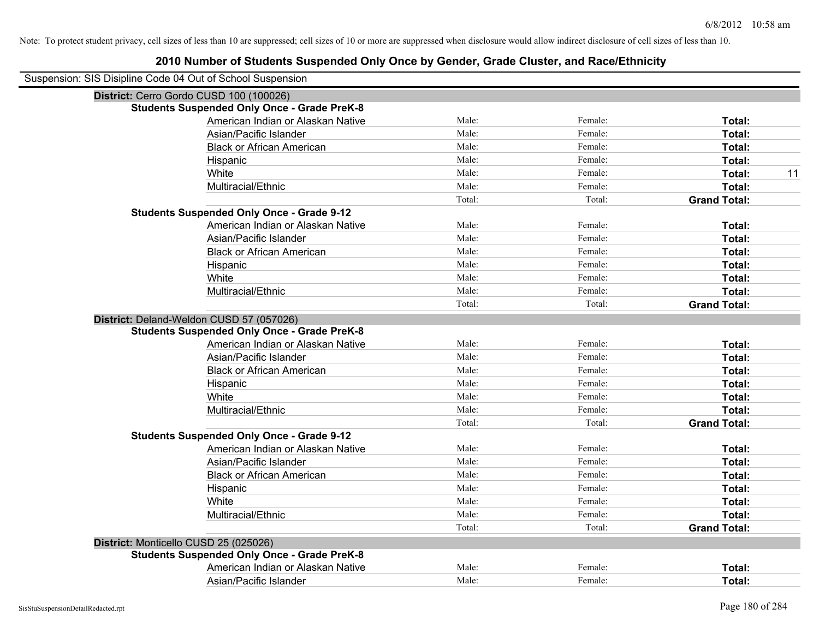| Suspension: SIS Disipline Code 04 Out of School Suspension |                                                    |        |         |                     |
|------------------------------------------------------------|----------------------------------------------------|--------|---------|---------------------|
| District: Cerro Gordo CUSD 100 (100026)                    |                                                    |        |         |                     |
| <b>Students Suspended Only Once - Grade PreK-8</b>         |                                                    |        |         |                     |
|                                                            | American Indian or Alaskan Native                  | Male:  | Female: | Total:              |
|                                                            | Asian/Pacific Islander                             | Male:  | Female: | Total:              |
|                                                            | <b>Black or African American</b>                   | Male:  | Female: | Total:              |
|                                                            | Hispanic                                           | Male:  | Female: | Total:              |
|                                                            | White                                              | Male:  | Female: | 11<br>Total:        |
|                                                            | Multiracial/Ethnic                                 | Male:  | Female: | Total:              |
|                                                            |                                                    | Total: | Total:  | <b>Grand Total:</b> |
|                                                            | <b>Students Suspended Only Once - Grade 9-12</b>   |        |         |                     |
|                                                            | American Indian or Alaskan Native                  | Male:  | Female: | Total:              |
|                                                            | Asian/Pacific Islander                             | Male:  | Female: | Total:              |
|                                                            | <b>Black or African American</b>                   | Male:  | Female: | Total:              |
|                                                            | Hispanic                                           | Male:  | Female: | Total:              |
|                                                            | White                                              | Male:  | Female: | Total:              |
|                                                            | Multiracial/Ethnic                                 | Male:  | Female: | Total:              |
|                                                            |                                                    | Total: | Total:  | <b>Grand Total:</b> |
|                                                            | District: Deland-Weldon CUSD 57 (057026)           |        |         |                     |
|                                                            | <b>Students Suspended Only Once - Grade PreK-8</b> |        |         |                     |
|                                                            | American Indian or Alaskan Native                  | Male:  | Female: | Total:              |
|                                                            | Asian/Pacific Islander                             | Male:  | Female: | Total:              |
|                                                            | <b>Black or African American</b>                   | Male:  | Female: | Total:              |
|                                                            | Hispanic                                           | Male:  | Female: | Total:              |
|                                                            | White                                              | Male:  | Female: | Total:              |
|                                                            | Multiracial/Ethnic                                 | Male:  | Female: | Total:              |
|                                                            |                                                    | Total: | Total:  | <b>Grand Total:</b> |
| <b>Students Suspended Only Once - Grade 9-12</b>           |                                                    |        |         |                     |
|                                                            | American Indian or Alaskan Native                  | Male:  | Female: | Total:              |
|                                                            | Asian/Pacific Islander                             | Male:  | Female: | Total:              |
|                                                            | <b>Black or African American</b>                   | Male:  | Female: | Total:              |
|                                                            | Hispanic                                           | Male:  | Female: | Total:              |
|                                                            | White                                              | Male:  | Female: | Total:              |
|                                                            | Multiracial/Ethnic                                 | Male:  | Female: | Total:              |
|                                                            |                                                    | Total: | Total:  | <b>Grand Total:</b> |
| District: Monticello CUSD 25 (025026)                      |                                                    |        |         |                     |
|                                                            | <b>Students Suspended Only Once - Grade PreK-8</b> |        |         |                     |
|                                                            | American Indian or Alaskan Native                  | Male:  | Female: | Total:              |
|                                                            | Asian/Pacific Islander                             | Male:  | Female: | Total:              |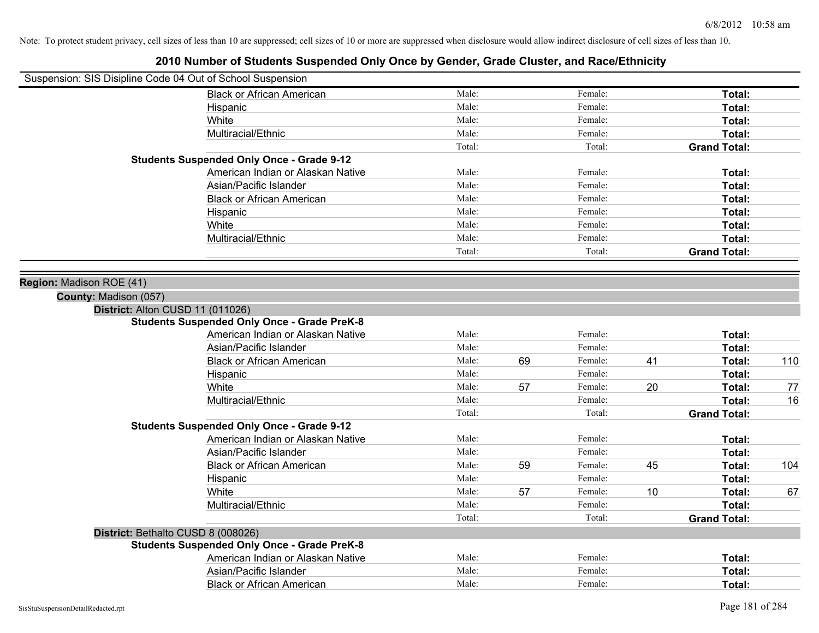| Suspension: SIS Disipline Code 04 Out of School Suspension |                                                    |        |    |         |    |                     |     |
|------------------------------------------------------------|----------------------------------------------------|--------|----|---------|----|---------------------|-----|
|                                                            | <b>Black or African American</b>                   | Male:  |    | Female: |    | Total:              |     |
|                                                            | Hispanic                                           | Male:  |    | Female: |    | Total:              |     |
|                                                            | White                                              | Male:  |    | Female: |    | Total:              |     |
|                                                            | Multiracial/Ethnic                                 | Male:  |    | Female: |    | Total:              |     |
|                                                            |                                                    | Total: |    | Total:  |    | <b>Grand Total:</b> |     |
|                                                            | <b>Students Suspended Only Once - Grade 9-12</b>   |        |    |         |    |                     |     |
|                                                            | American Indian or Alaskan Native                  | Male:  |    | Female: |    | Total:              |     |
|                                                            | Asian/Pacific Islander                             | Male:  |    | Female: |    | Total:              |     |
|                                                            | <b>Black or African American</b>                   | Male:  |    | Female: |    | Total:              |     |
|                                                            | Hispanic                                           | Male:  |    | Female: |    | Total:              |     |
|                                                            | White                                              | Male:  |    | Female: |    | Total:              |     |
|                                                            | Multiracial/Ethnic                                 | Male:  |    | Female: |    | Total:              |     |
|                                                            |                                                    | Total: |    | Total:  |    | <b>Grand Total:</b> |     |
|                                                            |                                                    |        |    |         |    |                     |     |
| Region: Madison ROE (41)                                   |                                                    |        |    |         |    |                     |     |
| County: Madison (057)                                      |                                                    |        |    |         |    |                     |     |
| District: Alton CUSD 11 (011026)                           |                                                    |        |    |         |    |                     |     |
|                                                            | <b>Students Suspended Only Once - Grade PreK-8</b> |        |    |         |    |                     |     |
|                                                            | American Indian or Alaskan Native                  | Male:  |    | Female: |    | Total:              |     |
|                                                            | Asian/Pacific Islander                             | Male:  |    | Female: |    | Total:              |     |
|                                                            | <b>Black or African American</b>                   | Male:  | 69 | Female: | 41 | Total:              | 110 |
|                                                            | Hispanic                                           | Male:  |    | Female: |    | Total:              |     |
|                                                            | White                                              | Male:  | 57 | Female: | 20 | Total:              | 77  |
|                                                            | Multiracial/Ethnic                                 | Male:  |    | Female: |    | Total:              | 16  |
|                                                            |                                                    | Total: |    | Total:  |    | <b>Grand Total:</b> |     |
|                                                            | <b>Students Suspended Only Once - Grade 9-12</b>   |        |    |         |    |                     |     |
|                                                            | American Indian or Alaskan Native                  | Male:  |    | Female: |    | Total:              |     |
|                                                            | Asian/Pacific Islander                             | Male:  |    | Female: |    | Total:              |     |
|                                                            | <b>Black or African American</b>                   | Male:  | 59 | Female: | 45 | Total:              | 104 |
|                                                            | Hispanic                                           | Male:  |    | Female: |    | Total:              |     |
|                                                            | White                                              | Male:  | 57 | Female: | 10 | Total:              | 67  |
|                                                            | Multiracial/Ethnic                                 | Male:  |    | Female: |    | Total:              |     |
|                                                            |                                                    | Total: |    | Total:  |    | <b>Grand Total:</b> |     |
|                                                            | District: Bethalto CUSD 8 (008026)                 |        |    |         |    |                     |     |
|                                                            | <b>Students Suspended Only Once - Grade PreK-8</b> |        |    |         |    |                     |     |
|                                                            | American Indian or Alaskan Native                  | Male:  |    | Female: |    | Total:              |     |
|                                                            | Asian/Pacific Islander                             | Male:  |    | Female: |    | Total:              |     |
|                                                            | <b>Black or African American</b>                   | Male:  |    | Female: |    | Total:              |     |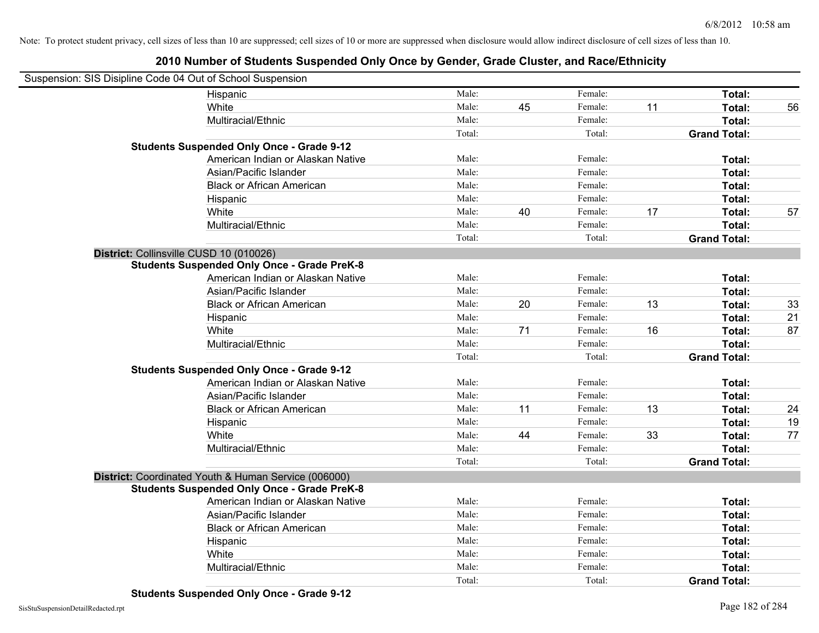| Suspension: SIS Disipline Code 04 Out of School Suspension |        |    |         |    |                     |  |
|------------------------------------------------------------|--------|----|---------|----|---------------------|--|
| Hispanic                                                   | Male:  |    | Female: |    | Total:              |  |
| White                                                      | Male:  | 45 | Female: | 11 | Total:              |  |
| Multiracial/Ethnic                                         | Male:  |    | Female: |    | Total:              |  |
|                                                            | Total: |    | Total:  |    | <b>Grand Total:</b> |  |
| <b>Students Suspended Only Once - Grade 9-12</b>           |        |    |         |    |                     |  |
| American Indian or Alaskan Native                          | Male:  |    | Female: |    | Total:              |  |
| Asian/Pacific Islander                                     | Male:  |    | Female: |    | Total:              |  |
| <b>Black or African American</b>                           | Male:  |    | Female: |    | Total:              |  |
| Hispanic                                                   | Male:  |    | Female: |    | Total:              |  |
| White                                                      | Male:  | 40 | Female: | 17 | Total:              |  |
| Multiracial/Ethnic                                         | Male:  |    | Female: |    | Total:              |  |
|                                                            | Total: |    | Total:  |    | <b>Grand Total:</b> |  |
| District: Collinsville CUSD 10 (010026)                    |        |    |         |    |                     |  |
| <b>Students Suspended Only Once - Grade PreK-8</b>         |        |    |         |    |                     |  |
| American Indian or Alaskan Native                          | Male:  |    | Female: |    | Total:              |  |
| Asian/Pacific Islander                                     | Male:  |    | Female: |    | Total:              |  |
| <b>Black or African American</b>                           | Male:  | 20 | Female: | 13 | Total:              |  |
| Hispanic                                                   | Male:  |    | Female: |    | Total:              |  |
| White                                                      | Male:  | 71 | Female: | 16 | Total:              |  |
| Multiracial/Ethnic                                         | Male:  |    | Female: |    | Total:              |  |
|                                                            | Total: |    | Total:  |    | <b>Grand Total:</b> |  |
| <b>Students Suspended Only Once - Grade 9-12</b>           |        |    |         |    |                     |  |
| American Indian or Alaskan Native                          | Male:  |    | Female: |    | Total:              |  |
| Asian/Pacific Islander                                     | Male:  |    | Female: |    | Total:              |  |
| <b>Black or African American</b>                           | Male:  | 11 | Female: | 13 | Total:              |  |
| Hispanic                                                   | Male:  |    | Female: |    | Total:              |  |
| White                                                      | Male:  | 44 | Female: | 33 | Total:              |  |
| Multiracial/Ethnic                                         | Male:  |    | Female: |    | Total:              |  |
|                                                            | Total: |    | Total:  |    | <b>Grand Total:</b> |  |
| District: Coordinated Youth & Human Service (006000)       |        |    |         |    |                     |  |
| <b>Students Suspended Only Once - Grade PreK-8</b>         |        |    |         |    |                     |  |
| American Indian or Alaskan Native                          | Male:  |    | Female: |    | Total:              |  |
| Asian/Pacific Islander                                     | Male:  |    | Female: |    | Total:              |  |
| <b>Black or African American</b>                           | Male:  |    | Female: |    | Total:              |  |
| Hispanic                                                   | Male:  |    | Female: |    | Total:              |  |
| White                                                      | Male:  |    | Female: |    | Total:              |  |
| Multiracial/Ethnic                                         | Male:  |    | Female: |    | Total:              |  |
|                                                            | Total: |    | Total:  |    | <b>Grand Total:</b> |  |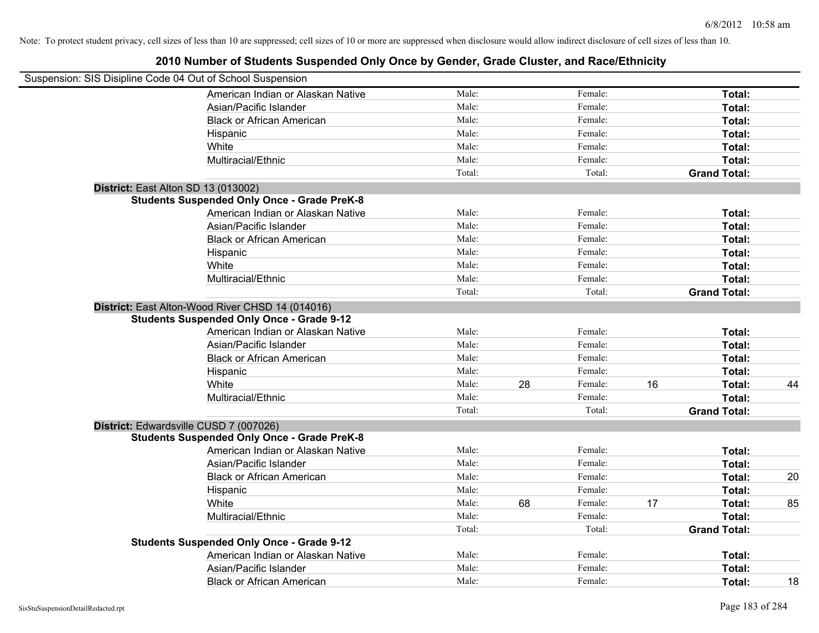| Suspension: SIS Disipline Code 04 Out of School Suspension |        |    |         |    |                     |    |
|------------------------------------------------------------|--------|----|---------|----|---------------------|----|
| American Indian or Alaskan Native                          | Male:  |    | Female: |    | Total:              |    |
| Asian/Pacific Islander                                     | Male:  |    | Female: |    | Total:              |    |
| <b>Black or African American</b>                           | Male:  |    | Female: |    | Total:              |    |
| Hispanic                                                   | Male:  |    | Female: |    | Total:              |    |
| White                                                      | Male:  |    | Female: |    | Total:              |    |
| Multiracial/Ethnic                                         | Male:  |    | Female: |    | Total:              |    |
|                                                            | Total: |    | Total:  |    | <b>Grand Total:</b> |    |
| District: East Alton SD 13 (013002)                        |        |    |         |    |                     |    |
| <b>Students Suspended Only Once - Grade PreK-8</b>         |        |    |         |    |                     |    |
| American Indian or Alaskan Native                          | Male:  |    | Female: |    | Total:              |    |
| Asian/Pacific Islander                                     | Male:  |    | Female: |    | Total:              |    |
| <b>Black or African American</b>                           | Male:  |    | Female: |    | Total:              |    |
| Hispanic                                                   | Male:  |    | Female: |    | Total:              |    |
| White                                                      | Male:  |    | Female: |    | Total:              |    |
| Multiracial/Ethnic                                         | Male:  |    | Female: |    | Total:              |    |
|                                                            | Total: |    | Total:  |    | <b>Grand Total:</b> |    |
| District: East Alton-Wood River CHSD 14 (014016)           |        |    |         |    |                     |    |
| <b>Students Suspended Only Once - Grade 9-12</b>           |        |    |         |    |                     |    |
| American Indian or Alaskan Native                          | Male:  |    | Female: |    | Total:              |    |
| Asian/Pacific Islander                                     | Male:  |    | Female: |    | Total:              |    |
| <b>Black or African American</b>                           | Male:  |    | Female: |    | Total:              |    |
| Hispanic                                                   | Male:  |    | Female: |    | Total:              |    |
| White                                                      | Male:  | 28 | Female: | 16 | Total:              | 44 |
| Multiracial/Ethnic                                         | Male:  |    | Female: |    | Total:              |    |
|                                                            | Total: |    | Total:  |    | <b>Grand Total:</b> |    |
| District: Edwardsville CUSD 7 (007026)                     |        |    |         |    |                     |    |
| <b>Students Suspended Only Once - Grade PreK-8</b>         |        |    |         |    |                     |    |
| American Indian or Alaskan Native                          | Male:  |    | Female: |    | Total:              |    |
| Asian/Pacific Islander                                     | Male:  |    | Female: |    | Total:              |    |
| <b>Black or African American</b>                           | Male:  |    | Female: |    | Total:              | 20 |
| Hispanic                                                   | Male:  |    | Female: |    | Total:              |    |
| White                                                      | Male:  | 68 | Female: | 17 | Total:              | 85 |
| Multiracial/Ethnic                                         | Male:  |    | Female: |    | Total:              |    |
|                                                            | Total: |    | Total:  |    | <b>Grand Total:</b> |    |
| <b>Students Suspended Only Once - Grade 9-12</b>           |        |    |         |    |                     |    |
| American Indian or Alaskan Native                          | Male:  |    | Female: |    | Total:              |    |
| Asian/Pacific Islander                                     | Male:  |    | Female: |    | Total:              |    |
| <b>Black or African American</b>                           | Male:  |    | Female: |    | Total:              | 18 |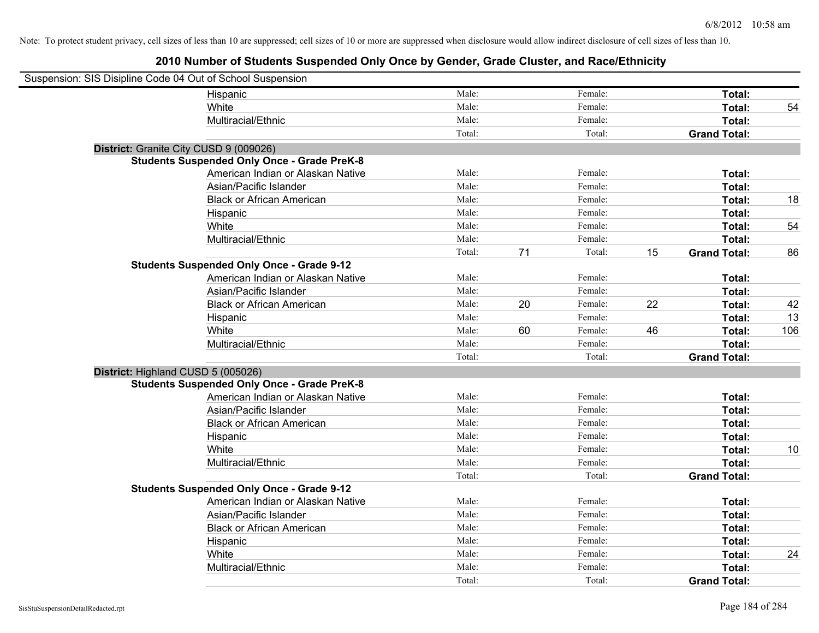| Suspension: SIS Disipline Code 04 Out of School Suspension |                                                    |        |    |         |    |                     |     |
|------------------------------------------------------------|----------------------------------------------------|--------|----|---------|----|---------------------|-----|
|                                                            | Hispanic                                           | Male:  |    | Female: |    | Total:              |     |
|                                                            | White                                              | Male:  |    | Female: |    | Total:              | 54  |
|                                                            | Multiracial/Ethnic                                 | Male:  |    | Female: |    | Total:              |     |
|                                                            |                                                    | Total: |    | Total:  |    | <b>Grand Total:</b> |     |
| District: Granite City CUSD 9 (009026)                     |                                                    |        |    |         |    |                     |     |
|                                                            | <b>Students Suspended Only Once - Grade PreK-8</b> |        |    |         |    |                     |     |
|                                                            | American Indian or Alaskan Native                  | Male:  |    | Female: |    | Total:              |     |
|                                                            | Asian/Pacific Islander                             | Male:  |    | Female: |    | Total:              |     |
|                                                            | <b>Black or African American</b>                   | Male:  |    | Female: |    | Total:              | 18  |
|                                                            | Hispanic                                           | Male:  |    | Female: |    | Total:              |     |
|                                                            | White                                              | Male:  |    | Female: |    | Total:              | 54  |
|                                                            | Multiracial/Ethnic                                 | Male:  |    | Female: |    | Total:              |     |
|                                                            |                                                    | Total: | 71 | Total:  | 15 | <b>Grand Total:</b> | 86  |
|                                                            | <b>Students Suspended Only Once - Grade 9-12</b>   |        |    |         |    |                     |     |
|                                                            | American Indian or Alaskan Native                  | Male:  |    | Female: |    | Total:              |     |
|                                                            | Asian/Pacific Islander                             | Male:  |    | Female: |    | Total:              |     |
|                                                            | <b>Black or African American</b>                   | Male:  | 20 | Female: | 22 | Total:              | 42  |
|                                                            | Hispanic                                           | Male:  |    | Female: |    | Total:              | 13  |
|                                                            | White                                              | Male:  | 60 | Female: | 46 | Total:              | 106 |
|                                                            | Multiracial/Ethnic                                 | Male:  |    | Female: |    | Total:              |     |
|                                                            |                                                    | Total: |    | Total:  |    | <b>Grand Total:</b> |     |
| District: Highland CUSD 5 (005026)                         |                                                    |        |    |         |    |                     |     |
|                                                            | <b>Students Suspended Only Once - Grade PreK-8</b> |        |    |         |    |                     |     |
|                                                            | American Indian or Alaskan Native                  | Male:  |    | Female: |    | Total:              |     |
|                                                            | Asian/Pacific Islander                             | Male:  |    | Female: |    | Total:              |     |
|                                                            | <b>Black or African American</b>                   | Male:  |    | Female: |    | Total:              |     |
|                                                            | Hispanic                                           | Male:  |    | Female: |    | Total:              |     |
|                                                            | White                                              | Male:  |    | Female: |    | Total:              | 10  |
|                                                            | Multiracial/Ethnic                                 | Male:  |    | Female: |    | Total:              |     |
|                                                            |                                                    | Total: |    | Total:  |    | <b>Grand Total:</b> |     |
|                                                            | <b>Students Suspended Only Once - Grade 9-12</b>   |        |    |         |    |                     |     |
|                                                            | American Indian or Alaskan Native                  | Male:  |    | Female: |    | Total:              |     |
|                                                            | Asian/Pacific Islander                             | Male:  |    | Female: |    | Total:              |     |
|                                                            | <b>Black or African American</b>                   | Male:  |    | Female: |    | Total:              |     |
|                                                            | Hispanic                                           | Male:  |    | Female: |    | Total:              |     |
|                                                            | White                                              | Male:  |    | Female: |    | Total:              | 24  |
|                                                            | Multiracial/Ethnic                                 | Male:  |    | Female: |    | Total:              |     |
|                                                            |                                                    | Total: |    | Total:  |    | <b>Grand Total:</b> |     |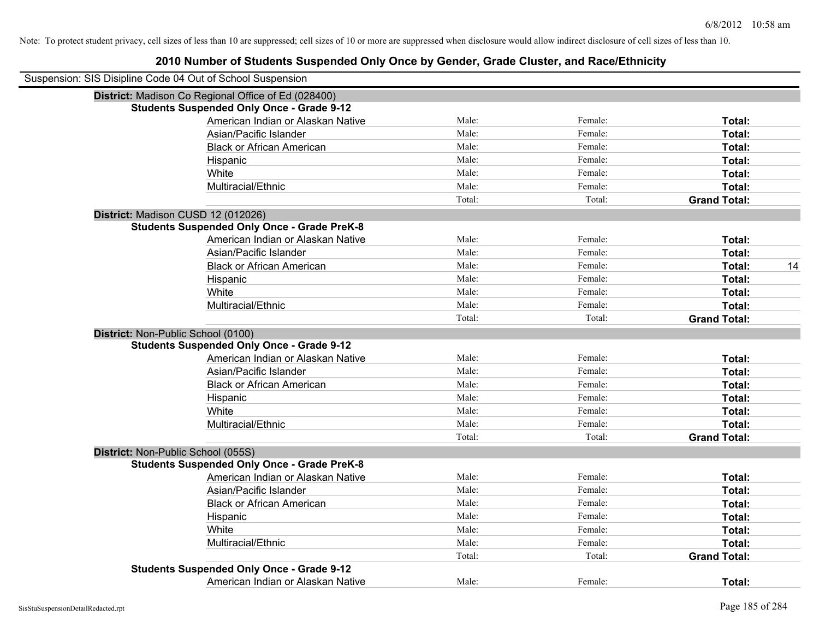|                                    | Suspension: SIS Disipline Code 04 Out of School Suspension |        |         |                     |    |
|------------------------------------|------------------------------------------------------------|--------|---------|---------------------|----|
|                                    | District: Madison Co Regional Office of Ed (028400)        |        |         |                     |    |
|                                    | <b>Students Suspended Only Once - Grade 9-12</b>           |        |         |                     |    |
|                                    | American Indian or Alaskan Native                          | Male:  | Female: | Total:              |    |
|                                    | Asian/Pacific Islander                                     | Male:  | Female: | Total:              |    |
|                                    | <b>Black or African American</b>                           | Male:  | Female: | Total:              |    |
|                                    | Hispanic                                                   | Male:  | Female: | Total:              |    |
|                                    | White                                                      | Male:  | Female: | Total:              |    |
|                                    | Multiracial/Ethnic                                         | Male:  | Female: | Total:              |    |
|                                    |                                                            | Total: | Total:  | <b>Grand Total:</b> |    |
|                                    | District: Madison CUSD 12 (012026)                         |        |         |                     |    |
|                                    | <b>Students Suspended Only Once - Grade PreK-8</b>         |        |         |                     |    |
|                                    | American Indian or Alaskan Native                          | Male:  | Female: | Total:              |    |
|                                    | Asian/Pacific Islander                                     | Male:  | Female: | Total:              |    |
|                                    | <b>Black or African American</b>                           | Male:  | Female: | Total:              | 14 |
|                                    | Hispanic                                                   | Male:  | Female: | Total:              |    |
|                                    | White                                                      | Male:  | Female: | Total:              |    |
|                                    | Multiracial/Ethnic                                         | Male:  | Female: | Total:              |    |
|                                    |                                                            | Total: | Total:  | <b>Grand Total:</b> |    |
| District: Non-Public School (0100) |                                                            |        |         |                     |    |
|                                    | <b>Students Suspended Only Once - Grade 9-12</b>           |        |         |                     |    |
|                                    | American Indian or Alaskan Native                          | Male:  | Female: | Total:              |    |
|                                    | Asian/Pacific Islander                                     | Male:  | Female: | Total:              |    |
|                                    | <b>Black or African American</b>                           | Male:  | Female: | Total:              |    |
|                                    | Hispanic                                                   | Male:  | Female: | Total:              |    |
|                                    | White                                                      | Male:  | Female: | Total:              |    |
|                                    | Multiracial/Ethnic                                         | Male:  | Female: | Total:              |    |
|                                    |                                                            | Total: | Total:  | <b>Grand Total:</b> |    |
| District: Non-Public School (055S) |                                                            |        |         |                     |    |
|                                    | <b>Students Suspended Only Once - Grade PreK-8</b>         |        |         |                     |    |
|                                    | American Indian or Alaskan Native                          | Male:  | Female: | Total:              |    |
|                                    | Asian/Pacific Islander                                     | Male:  | Female: | Total:              |    |
|                                    | <b>Black or African American</b>                           | Male:  | Female: | Total:              |    |
|                                    | Hispanic                                                   | Male:  | Female: | Total:              |    |
|                                    | White                                                      | Male:  | Female: | Total:              |    |
|                                    | Multiracial/Ethnic                                         | Male:  | Female: | Total:              |    |
|                                    |                                                            | Total: | Total:  | <b>Grand Total:</b> |    |
|                                    | <b>Students Suspended Only Once - Grade 9-12</b>           |        |         |                     |    |
|                                    | American Indian or Alaskan Native                          | Male:  | Female: | Total:              |    |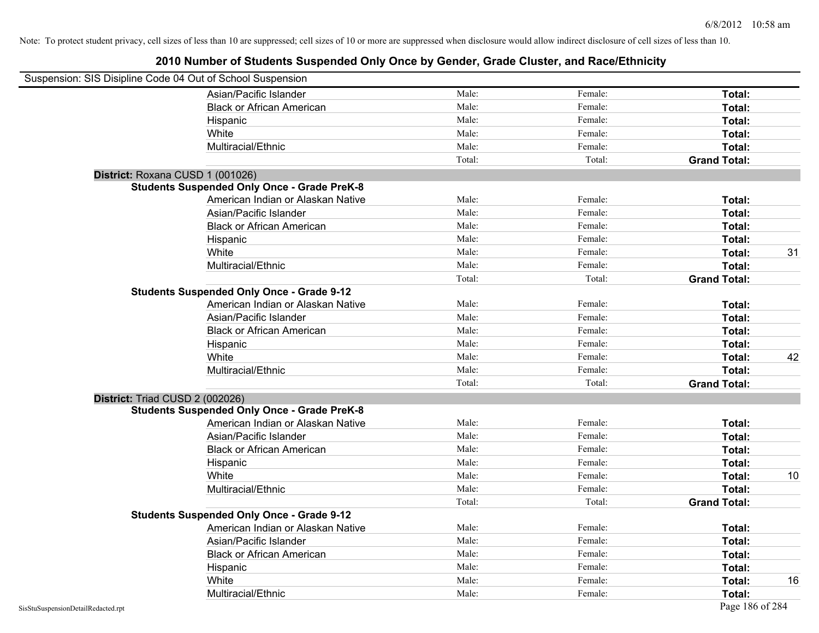| Suspension: SIS Disipline Code 04 Out of School Suspension |                                                    |        |         |                     |    |
|------------------------------------------------------------|----------------------------------------------------|--------|---------|---------------------|----|
|                                                            | Asian/Pacific Islander                             | Male:  | Female: | Total:              |    |
|                                                            | <b>Black or African American</b>                   | Male:  | Female: | Total:              |    |
|                                                            | Hispanic                                           | Male:  | Female: | Total:              |    |
|                                                            | White                                              | Male:  | Female: | Total:              |    |
|                                                            | Multiracial/Ethnic                                 | Male:  | Female: | Total:              |    |
|                                                            |                                                    | Total: | Total:  | <b>Grand Total:</b> |    |
| District: Roxana CUSD 1 (001026)                           |                                                    |        |         |                     |    |
|                                                            | <b>Students Suspended Only Once - Grade PreK-8</b> |        |         |                     |    |
|                                                            | American Indian or Alaskan Native                  | Male:  | Female: | Total:              |    |
|                                                            | Asian/Pacific Islander                             | Male:  | Female: | Total:              |    |
|                                                            | <b>Black or African American</b>                   | Male:  | Female: | Total:              |    |
|                                                            | Hispanic                                           | Male:  | Female: | Total:              |    |
|                                                            | White                                              | Male:  | Female: | Total:              | 31 |
|                                                            | Multiracial/Ethnic                                 | Male:  | Female: | Total:              |    |
|                                                            |                                                    | Total: | Total:  | <b>Grand Total:</b> |    |
|                                                            | <b>Students Suspended Only Once - Grade 9-12</b>   |        |         |                     |    |
|                                                            | American Indian or Alaskan Native                  | Male:  | Female: | Total:              |    |
|                                                            | Asian/Pacific Islander                             | Male:  | Female: | Total:              |    |
|                                                            | <b>Black or African American</b>                   | Male:  | Female: | Total:              |    |
|                                                            | Hispanic                                           | Male:  | Female: | Total:              |    |
|                                                            | White                                              | Male:  | Female: | Total:              | 42 |
|                                                            | Multiracial/Ethnic                                 | Male:  | Female: | Total:              |    |
|                                                            |                                                    | Total: | Total:  | <b>Grand Total:</b> |    |
| District: Triad CUSD 2 (002026)                            |                                                    |        |         |                     |    |
|                                                            | <b>Students Suspended Only Once - Grade PreK-8</b> |        |         |                     |    |
|                                                            | American Indian or Alaskan Native                  | Male:  | Female: | Total:              |    |
|                                                            | Asian/Pacific Islander                             | Male:  | Female: | Total:              |    |
|                                                            | <b>Black or African American</b>                   | Male:  | Female: | Total:              |    |
|                                                            | Hispanic                                           | Male:  | Female: | Total:              |    |
|                                                            | White                                              | Male:  | Female: | Total:              | 10 |
|                                                            | Multiracial/Ethnic                                 | Male:  | Female: | Total:              |    |
|                                                            |                                                    | Total: | Total:  | <b>Grand Total:</b> |    |
|                                                            | <b>Students Suspended Only Once - Grade 9-12</b>   |        |         |                     |    |
|                                                            | American Indian or Alaskan Native                  | Male:  | Female: | Total:              |    |
|                                                            | Asian/Pacific Islander                             | Male:  | Female: | Total:              |    |
|                                                            | <b>Black or African American</b>                   | Male:  | Female: | Total:              |    |
|                                                            | Hispanic                                           | Male:  | Female: | Total:              |    |
|                                                            | White                                              | Male:  | Female: | Total:              | 16 |
|                                                            | Multiracial/Ethnic                                 | Male:  | Female: | Total:              |    |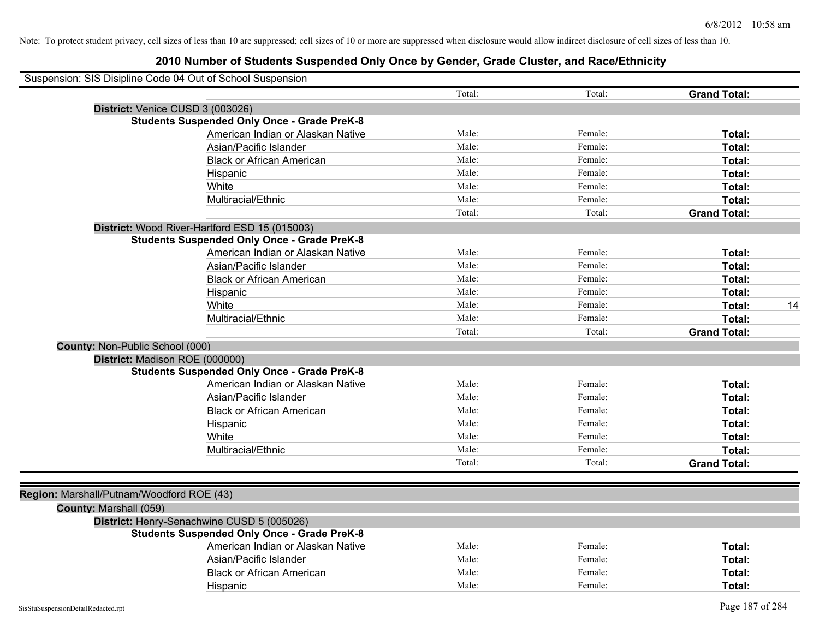|                                           | Suspension: SIS Disipline Code 04 Out of School Suspension |        |         |                     |    |
|-------------------------------------------|------------------------------------------------------------|--------|---------|---------------------|----|
|                                           |                                                            | Total: | Total:  | <b>Grand Total:</b> |    |
|                                           | District: Venice CUSD 3 (003026)                           |        |         |                     |    |
|                                           | <b>Students Suspended Only Once - Grade PreK-8</b>         |        |         |                     |    |
|                                           | American Indian or Alaskan Native                          | Male:  | Female: | Total:              |    |
|                                           | Asian/Pacific Islander                                     | Male:  | Female: | Total:              |    |
|                                           | <b>Black or African American</b>                           | Male:  | Female: | Total:              |    |
|                                           | Hispanic                                                   | Male:  | Female: | Total:              |    |
|                                           | White                                                      | Male:  | Female: | Total:              |    |
|                                           | Multiracial/Ethnic                                         | Male:  | Female: | Total:              |    |
|                                           |                                                            | Total: | Total:  | <b>Grand Total:</b> |    |
|                                           | District: Wood River-Hartford ESD 15 (015003)              |        |         |                     |    |
|                                           | <b>Students Suspended Only Once - Grade PreK-8</b>         |        |         |                     |    |
|                                           | American Indian or Alaskan Native                          | Male:  | Female: | Total:              |    |
|                                           | Asian/Pacific Islander                                     | Male:  | Female: | Total:              |    |
|                                           | <b>Black or African American</b>                           | Male:  | Female: | Total:              |    |
|                                           | Hispanic                                                   | Male:  | Female: | Total:              |    |
|                                           | White                                                      | Male:  | Female: | Total:              | 14 |
|                                           | Multiracial/Ethnic                                         | Male:  | Female: | Total:              |    |
|                                           |                                                            | Total: | Total:  | <b>Grand Total:</b> |    |
| County: Non-Public School (000)           |                                                            |        |         |                     |    |
|                                           | District: Madison ROE (000000)                             |        |         |                     |    |
|                                           | <b>Students Suspended Only Once - Grade PreK-8</b>         |        |         |                     |    |
|                                           | American Indian or Alaskan Native                          | Male:  | Female: | Total:              |    |
|                                           | Asian/Pacific Islander                                     | Male:  | Female: | Total:              |    |
|                                           | <b>Black or African American</b>                           | Male:  | Female: | Total:              |    |
|                                           | Hispanic                                                   | Male:  | Female: | Total:              |    |
|                                           | White                                                      | Male:  | Female: | Total:              |    |
|                                           | Multiracial/Ethnic                                         | Male:  | Female: | Total:              |    |
|                                           |                                                            | Total: | Total:  | <b>Grand Total:</b> |    |
|                                           |                                                            |        |         |                     |    |
| Region: Marshall/Putnam/Woodford ROE (43) |                                                            |        |         |                     |    |
| County: Marshall (059)                    |                                                            |        |         |                     |    |
|                                           | District: Henry-Senachwine CUSD 5 (005026)                 |        |         |                     |    |
|                                           | <b>Students Suspended Only Once - Grade PreK-8</b>         |        |         |                     |    |
|                                           | American Indian or Alaskan Native                          | Male:  | Female: | Total:              |    |
|                                           | Asian/Pacific Islander                                     | Male:  | Female: | Total:              |    |
|                                           | <b>Black or African American</b>                           | Male:  | Female: | Total:              |    |
|                                           | Hispanic                                                   | Male:  | Female: | Total:              |    |
|                                           |                                                            |        |         |                     |    |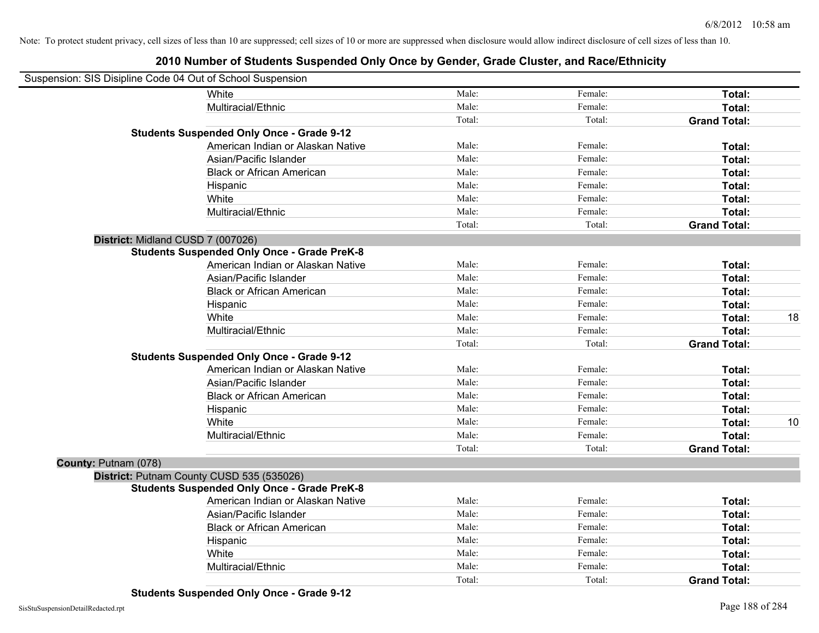| Suspension: SIS Disipline Code 04 Out of School Suspension |        |         |                     |    |
|------------------------------------------------------------|--------|---------|---------------------|----|
| White                                                      | Male:  | Female: | Total:              |    |
| Multiracial/Ethnic                                         | Male:  | Female: | Total:              |    |
|                                                            | Total: | Total:  | <b>Grand Total:</b> |    |
| <b>Students Suspended Only Once - Grade 9-12</b>           |        |         |                     |    |
| American Indian or Alaskan Native                          | Male:  | Female: | Total:              |    |
| Asian/Pacific Islander                                     | Male:  | Female: | Total:              |    |
| <b>Black or African American</b>                           | Male:  | Female: | Total:              |    |
| Hispanic                                                   | Male:  | Female: | Total:              |    |
| White                                                      | Male:  | Female: | Total:              |    |
| Multiracial/Ethnic                                         | Male:  | Female: | Total:              |    |
|                                                            | Total: | Total:  | <b>Grand Total:</b> |    |
| District: Midland CUSD 7 (007026)                          |        |         |                     |    |
| <b>Students Suspended Only Once - Grade PreK-8</b>         |        |         |                     |    |
| American Indian or Alaskan Native                          | Male:  | Female: | Total:              |    |
| Asian/Pacific Islander                                     | Male:  | Female: | Total:              |    |
| <b>Black or African American</b>                           | Male:  | Female: | Total:              |    |
| Hispanic                                                   | Male:  | Female: | Total:              |    |
| White                                                      | Male:  | Female: | Total:              | 18 |
| Multiracial/Ethnic                                         | Male:  | Female: | Total:              |    |
|                                                            | Total: | Total:  | <b>Grand Total:</b> |    |
| <b>Students Suspended Only Once - Grade 9-12</b>           |        |         |                     |    |
| American Indian or Alaskan Native                          | Male:  | Female: | Total:              |    |
| Asian/Pacific Islander                                     | Male:  | Female: | Total:              |    |
| <b>Black or African American</b>                           | Male:  | Female: | Total:              |    |
| Hispanic                                                   | Male:  | Female: | Total:              |    |
| White                                                      | Male:  | Female: | Total:              | 10 |
| Multiracial/Ethnic                                         | Male:  | Female: | Total:              |    |
|                                                            | Total: | Total:  | <b>Grand Total:</b> |    |
| County: Putnam (078)                                       |        |         |                     |    |
| District: Putnam County CUSD 535 (535026)                  |        |         |                     |    |
| <b>Students Suspended Only Once - Grade PreK-8</b>         |        |         |                     |    |
| American Indian or Alaskan Native                          | Male:  | Female: | Total:              |    |
| Asian/Pacific Islander                                     | Male:  | Female: | Total:              |    |
| <b>Black or African American</b>                           | Male:  | Female: | Total:              |    |
| Hispanic                                                   | Male:  | Female: | Total:              |    |
| White                                                      | Male:  | Female: | Total:              |    |
| Multiracial/Ethnic                                         | Male:  | Female: | Total:              |    |
|                                                            | Total: | Total:  | <b>Grand Total:</b> |    |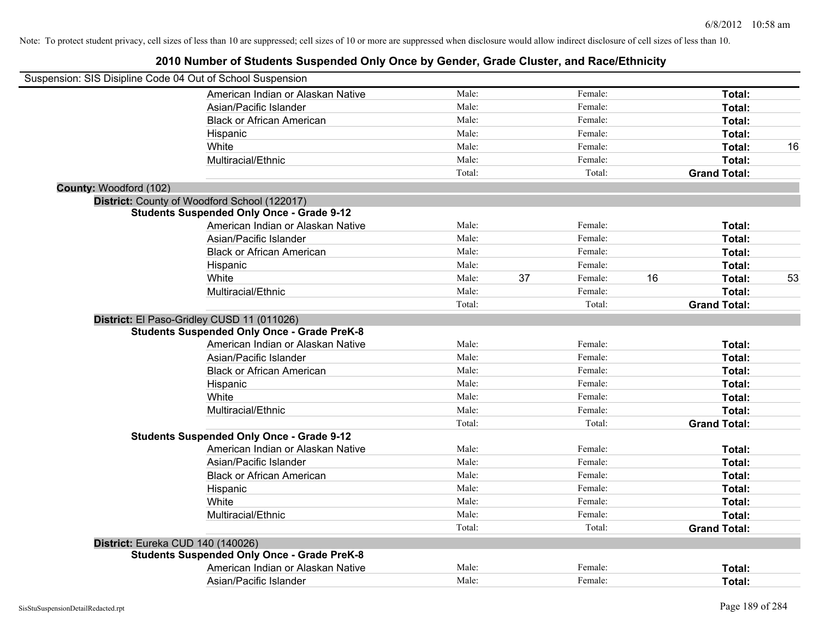|                        | Suspension: SIS Disipline Code 04 Out of School Suspension |        |    |         |    |                     |    |
|------------------------|------------------------------------------------------------|--------|----|---------|----|---------------------|----|
|                        | American Indian or Alaskan Native                          | Male:  |    | Female: |    | Total:              |    |
|                        | Asian/Pacific Islander                                     | Male:  |    | Female: |    | Total:              |    |
|                        | <b>Black or African American</b>                           | Male:  |    | Female: |    | Total:              |    |
|                        | Hispanic                                                   | Male:  |    | Female: |    | Total:              |    |
|                        | White                                                      | Male:  |    | Female: |    | Total:              | 16 |
|                        | Multiracial/Ethnic                                         | Male:  |    | Female: |    | Total:              |    |
|                        |                                                            | Total: |    | Total:  |    | <b>Grand Total:</b> |    |
| County: Woodford (102) |                                                            |        |    |         |    |                     |    |
|                        | District: County of Woodford School (122017)               |        |    |         |    |                     |    |
|                        | <b>Students Suspended Only Once - Grade 9-12</b>           |        |    |         |    |                     |    |
|                        | American Indian or Alaskan Native                          | Male:  |    | Female: |    | Total:              |    |
|                        | Asian/Pacific Islander                                     | Male:  |    | Female: |    | Total:              |    |
|                        | <b>Black or African American</b>                           | Male:  |    | Female: |    | Total:              |    |
|                        | Hispanic                                                   | Male:  |    | Female: |    | Total:              |    |
|                        | White                                                      | Male:  | 37 | Female: | 16 | Total:              | 53 |
|                        | Multiracial/Ethnic                                         | Male:  |    | Female: |    | Total:              |    |
|                        |                                                            | Total: |    | Total:  |    | <b>Grand Total:</b> |    |
|                        | District: El Paso-Gridley CUSD 11 (011026)                 |        |    |         |    |                     |    |
|                        | <b>Students Suspended Only Once - Grade PreK-8</b>         |        |    |         |    |                     |    |
|                        | American Indian or Alaskan Native                          | Male:  |    | Female: |    | Total:              |    |
|                        | Asian/Pacific Islander                                     | Male:  |    | Female: |    | Total:              |    |
|                        | <b>Black or African American</b>                           | Male:  |    | Female: |    | Total:              |    |
|                        | Hispanic                                                   | Male:  |    | Female: |    | Total:              |    |
|                        | White                                                      | Male:  |    | Female: |    | Total:              |    |
|                        | Multiracial/Ethnic                                         | Male:  |    | Female: |    | Total:              |    |
|                        |                                                            | Total: |    | Total:  |    | <b>Grand Total:</b> |    |
|                        | <b>Students Suspended Only Once - Grade 9-12</b>           |        |    |         |    |                     |    |
|                        | American Indian or Alaskan Native                          | Male:  |    | Female: |    | Total:              |    |
|                        | Asian/Pacific Islander                                     | Male:  |    | Female: |    | Total:              |    |
|                        | <b>Black or African American</b>                           | Male:  |    | Female: |    | Total:              |    |
|                        | Hispanic                                                   | Male:  |    | Female: |    | Total:              |    |
|                        | White                                                      | Male:  |    | Female: |    | Total:              |    |
|                        | Multiracial/Ethnic                                         | Male:  |    | Female: |    | Total:              |    |
|                        |                                                            | Total: |    | Total:  |    | <b>Grand Total:</b> |    |
|                        | District: Eureka CUD 140 (140026)                          |        |    |         |    |                     |    |
|                        | <b>Students Suspended Only Once - Grade PreK-8</b>         |        |    |         |    |                     |    |
|                        | American Indian or Alaskan Native                          | Male:  |    | Female: |    | Total:              |    |
|                        | Asian/Pacific Islander                                     | Male:  |    | Female: |    | Total:              |    |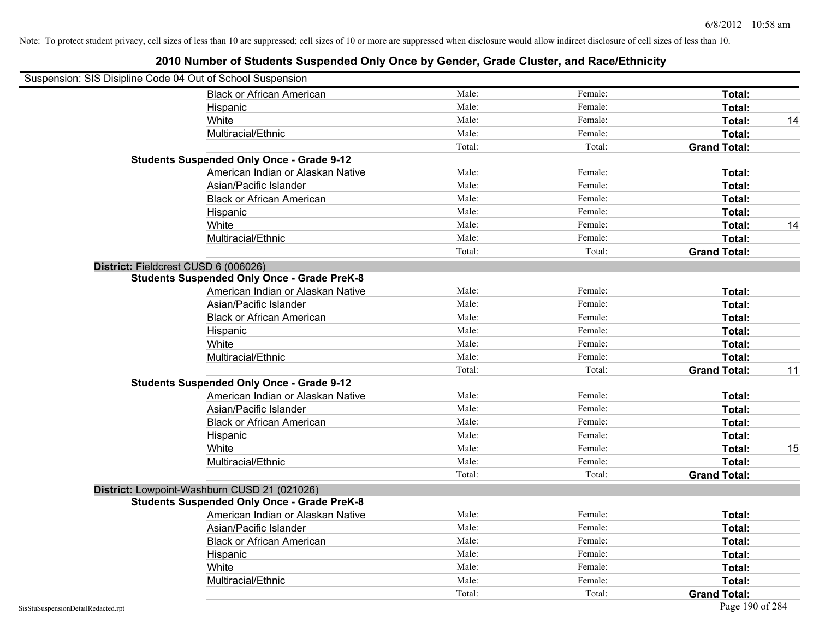| Suspension: SIS Disipline Code 04 Out of School Suspension |                                                    |        |         |                     |    |
|------------------------------------------------------------|----------------------------------------------------|--------|---------|---------------------|----|
|                                                            | <b>Black or African American</b>                   | Male:  | Female: | Total:              |    |
|                                                            | Hispanic                                           | Male:  | Female: | Total:              |    |
|                                                            | White                                              | Male:  | Female: | Total:              | 14 |
|                                                            | Multiracial/Ethnic                                 | Male:  | Female: | Total:              |    |
|                                                            |                                                    | Total: | Total:  | <b>Grand Total:</b> |    |
|                                                            | <b>Students Suspended Only Once - Grade 9-12</b>   |        |         |                     |    |
|                                                            | American Indian or Alaskan Native                  | Male:  | Female: | Total:              |    |
|                                                            | Asian/Pacific Islander                             | Male:  | Female: | Total:              |    |
|                                                            | <b>Black or African American</b>                   | Male:  | Female: | Total:              |    |
|                                                            | Hispanic                                           | Male:  | Female: | Total:              |    |
|                                                            | White                                              | Male:  | Female: | Total:              | 14 |
|                                                            | Multiracial/Ethnic                                 | Male:  | Female: | Total:              |    |
|                                                            |                                                    | Total: | Total:  | <b>Grand Total:</b> |    |
| District: Fieldcrest CUSD 6 (006026)                       |                                                    |        |         |                     |    |
|                                                            | <b>Students Suspended Only Once - Grade PreK-8</b> |        |         |                     |    |
|                                                            | American Indian or Alaskan Native                  | Male:  | Female: | Total:              |    |
|                                                            | Asian/Pacific Islander                             | Male:  | Female: | Total:              |    |
|                                                            | <b>Black or African American</b>                   | Male:  | Female: | Total:              |    |
|                                                            | Hispanic                                           | Male:  | Female: | Total:              |    |
|                                                            | White                                              | Male:  | Female: | Total:              |    |
|                                                            | Multiracial/Ethnic                                 | Male:  | Female: | Total:              |    |
|                                                            |                                                    | Total: | Total:  | <b>Grand Total:</b> | 11 |
|                                                            | <b>Students Suspended Only Once - Grade 9-12</b>   |        |         |                     |    |
|                                                            | American Indian or Alaskan Native                  | Male:  | Female: | Total:              |    |
|                                                            | Asian/Pacific Islander                             | Male:  | Female: | Total:              |    |
|                                                            | <b>Black or African American</b>                   | Male:  | Female: | Total:              |    |
|                                                            | Hispanic                                           | Male:  | Female: | Total:              |    |
|                                                            | White                                              | Male:  | Female: | Total:              | 15 |
|                                                            | Multiracial/Ethnic                                 | Male:  | Female: | Total:              |    |
|                                                            |                                                    | Total: | Total:  | <b>Grand Total:</b> |    |
|                                                            | District: Lowpoint-Washburn CUSD 21 (021026)       |        |         |                     |    |
|                                                            | <b>Students Suspended Only Once - Grade PreK-8</b> |        |         |                     |    |
|                                                            | American Indian or Alaskan Native                  | Male:  | Female: | Total:              |    |
|                                                            | Asian/Pacific Islander                             | Male:  | Female: | Total:              |    |
|                                                            | <b>Black or African American</b>                   | Male:  | Female: | Total:              |    |
|                                                            | Hispanic                                           | Male:  | Female: | Total:              |    |
|                                                            | White                                              | Male:  | Female: | Total:              |    |
|                                                            | Multiracial/Ethnic                                 | Male:  | Female: | Total:              |    |
|                                                            |                                                    | Total: | Total:  | <b>Grand Total:</b> |    |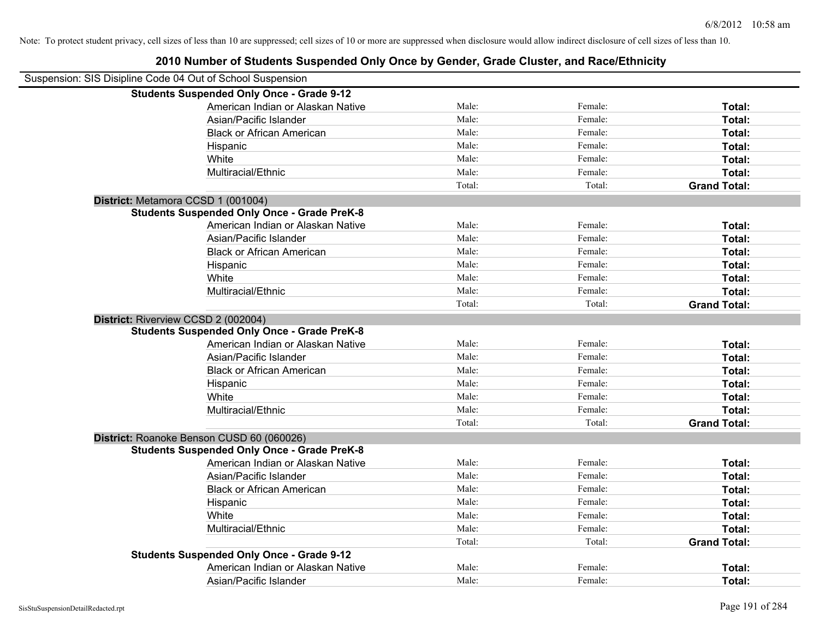| Suspension: SIS Disipline Code 04 Out of School Suspension |                                                    |        |         |                     |
|------------------------------------------------------------|----------------------------------------------------|--------|---------|---------------------|
|                                                            | <b>Students Suspended Only Once - Grade 9-12</b>   |        |         |                     |
|                                                            | American Indian or Alaskan Native                  | Male:  | Female: | Total:              |
|                                                            | Asian/Pacific Islander                             | Male:  | Female: | Total:              |
|                                                            | <b>Black or African American</b>                   | Male:  | Female: | Total:              |
|                                                            | Hispanic                                           | Male:  | Female: | Total:              |
|                                                            | White                                              | Male:  | Female: | Total:              |
|                                                            | Multiracial/Ethnic                                 | Male:  | Female: | Total:              |
|                                                            |                                                    | Total: | Total:  | <b>Grand Total:</b> |
| District: Metamora CCSD 1 (001004)                         |                                                    |        |         |                     |
|                                                            | <b>Students Suspended Only Once - Grade PreK-8</b> |        |         |                     |
|                                                            | American Indian or Alaskan Native                  | Male:  | Female: | Total:              |
|                                                            | Asian/Pacific Islander                             | Male:  | Female: | Total:              |
|                                                            | <b>Black or African American</b>                   | Male:  | Female: | Total:              |
|                                                            | Hispanic                                           | Male:  | Female: | Total:              |
|                                                            | White                                              | Male:  | Female: | Total:              |
|                                                            | Multiracial/Ethnic                                 | Male:  | Female: | Total:              |
|                                                            |                                                    | Total: | Total:  | <b>Grand Total:</b> |
| District: Riverview CCSD 2 (002004)                        |                                                    |        |         |                     |
|                                                            | <b>Students Suspended Only Once - Grade PreK-8</b> |        |         |                     |
|                                                            | American Indian or Alaskan Native                  | Male:  | Female: | Total:              |
|                                                            | Asian/Pacific Islander                             | Male:  | Female: | Total:              |
|                                                            | <b>Black or African American</b>                   | Male:  | Female: | Total:              |
|                                                            | Hispanic                                           | Male:  | Female: | Total:              |
|                                                            | White                                              | Male:  | Female: | Total:              |
|                                                            | Multiracial/Ethnic                                 | Male:  | Female: | Total:              |
|                                                            |                                                    | Total: | Total:  | <b>Grand Total:</b> |
|                                                            | District: Roanoke Benson CUSD 60 (060026)          |        |         |                     |
|                                                            | <b>Students Suspended Only Once - Grade PreK-8</b> |        |         |                     |
|                                                            | American Indian or Alaskan Native                  | Male:  | Female: | Total:              |
|                                                            | Asian/Pacific Islander                             | Male:  | Female: | Total:              |
|                                                            | <b>Black or African American</b>                   | Male:  | Female: | Total:              |
|                                                            | Hispanic                                           | Male:  | Female: | Total:              |
|                                                            | White                                              | Male:  | Female: | Total:              |
|                                                            | Multiracial/Ethnic                                 | Male:  | Female: | Total:              |
|                                                            |                                                    | Total: | Total:  | <b>Grand Total:</b> |
|                                                            | <b>Students Suspended Only Once - Grade 9-12</b>   |        |         |                     |
|                                                            | American Indian or Alaskan Native                  | Male:  | Female: | Total:              |
|                                                            | Asian/Pacific Islander                             | Male:  | Female: | Total:              |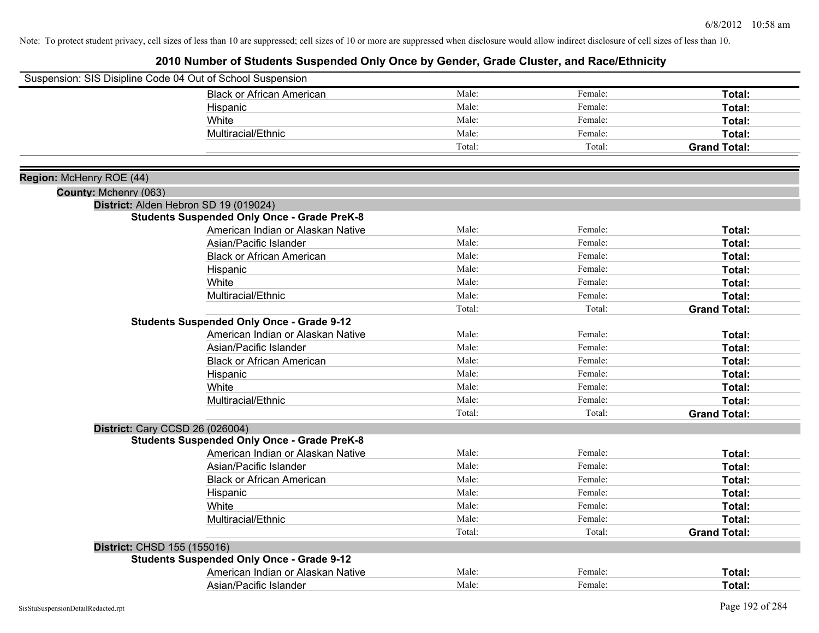| Suspension: SIS Disipline Code 04 Out of School Suspension |                                                    |        |         |                     |
|------------------------------------------------------------|----------------------------------------------------|--------|---------|---------------------|
|                                                            | <b>Black or African American</b>                   | Male:  | Female: | Total:              |
|                                                            | Hispanic                                           | Male:  | Female: | Total:              |
|                                                            | White                                              | Male:  | Female: | Total:              |
|                                                            | Multiracial/Ethnic                                 | Male:  | Female: | Total:              |
|                                                            |                                                    | Total: | Total:  | <b>Grand Total:</b> |
|                                                            |                                                    |        |         |                     |
| Region: McHenry ROE (44)                                   |                                                    |        |         |                     |
| County: Mchenry (063)                                      |                                                    |        |         |                     |
|                                                            | District: Alden Hebron SD 19 (019024)              |        |         |                     |
|                                                            | <b>Students Suspended Only Once - Grade PreK-8</b> |        |         |                     |
|                                                            | American Indian or Alaskan Native                  | Male:  | Female: | Total:              |
|                                                            | Asian/Pacific Islander                             | Male:  | Female: | Total:              |
|                                                            | <b>Black or African American</b>                   | Male:  | Female: | Total:              |
|                                                            | Hispanic                                           | Male:  | Female: | Total:              |
|                                                            | White                                              | Male:  | Female: | <b>Total:</b>       |
|                                                            | Multiracial/Ethnic                                 | Male:  | Female: | Total:              |
|                                                            |                                                    | Total: | Total:  | <b>Grand Total:</b> |
|                                                            | <b>Students Suspended Only Once - Grade 9-12</b>   |        |         |                     |
|                                                            | American Indian or Alaskan Native                  | Male:  | Female: | Total:              |
|                                                            | Asian/Pacific Islander                             | Male:  | Female: | Total:              |
|                                                            | <b>Black or African American</b>                   | Male:  | Female: | Total:              |
|                                                            | Hispanic                                           | Male:  | Female: | Total:              |
|                                                            | White                                              | Male:  | Female: | Total:              |
|                                                            | Multiracial/Ethnic                                 | Male:  | Female: | Total:              |
|                                                            |                                                    | Total: | Total:  | <b>Grand Total:</b> |
| District: Cary CCSD 26 (026004)                            |                                                    |        |         |                     |
|                                                            | <b>Students Suspended Only Once - Grade PreK-8</b> |        |         |                     |
|                                                            | American Indian or Alaskan Native                  | Male:  | Female: | Total:              |
|                                                            | Asian/Pacific Islander                             | Male:  | Female: | Total:              |
|                                                            | <b>Black or African American</b>                   | Male:  | Female: | Total:              |
|                                                            | Hispanic                                           | Male:  | Female: | Total:              |
|                                                            | White                                              | Male:  | Female: | Total:              |
|                                                            | Multiracial/Ethnic                                 | Male:  | Female: | Total:              |
|                                                            |                                                    | Total: | Total:  | <b>Grand Total:</b> |
| District: CHSD 155 (155016)                                |                                                    |        |         |                     |
|                                                            | <b>Students Suspended Only Once - Grade 9-12</b>   |        |         |                     |
|                                                            | American Indian or Alaskan Native                  | Male:  | Female: | Total:              |
|                                                            | Asian/Pacific Islander                             | Male:  | Female: | Total:              |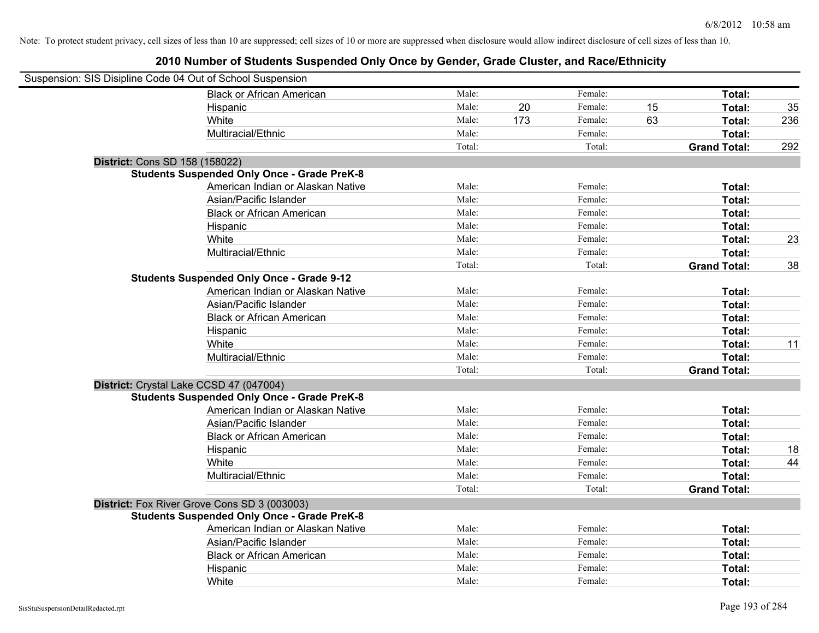| Suspension: SIS Disipline Code 04 Out of School Suspension |                                                    |        |     |         |    |                     |     |
|------------------------------------------------------------|----------------------------------------------------|--------|-----|---------|----|---------------------|-----|
|                                                            | <b>Black or African American</b>                   | Male:  |     | Female: |    | Total:              |     |
|                                                            | Hispanic                                           | Male:  | 20  | Female: | 15 | Total:              | 35  |
|                                                            | White                                              | Male:  | 173 | Female: | 63 | Total:              | 236 |
|                                                            | Multiracial/Ethnic                                 | Male:  |     | Female: |    | Total:              |     |
|                                                            |                                                    | Total: |     | Total:  |    | <b>Grand Total:</b> | 292 |
| District: Cons SD 158 (158022)                             |                                                    |        |     |         |    |                     |     |
|                                                            | <b>Students Suspended Only Once - Grade PreK-8</b> |        |     |         |    |                     |     |
|                                                            | American Indian or Alaskan Native                  | Male:  |     | Female: |    | Total:              |     |
|                                                            | Asian/Pacific Islander                             | Male:  |     | Female: |    | Total:              |     |
|                                                            | <b>Black or African American</b>                   | Male:  |     | Female: |    | Total:              |     |
|                                                            | Hispanic                                           | Male:  |     | Female: |    | Total:              |     |
|                                                            | White                                              | Male:  |     | Female: |    | Total:              | 23  |
|                                                            | Multiracial/Ethnic                                 | Male:  |     | Female: |    | Total:              |     |
|                                                            |                                                    | Total: |     | Total:  |    | <b>Grand Total:</b> | 38  |
|                                                            | <b>Students Suspended Only Once - Grade 9-12</b>   |        |     |         |    |                     |     |
|                                                            | American Indian or Alaskan Native                  | Male:  |     | Female: |    | Total:              |     |
|                                                            | Asian/Pacific Islander                             | Male:  |     | Female: |    | Total:              |     |
|                                                            | <b>Black or African American</b>                   | Male:  |     | Female: |    | Total:              |     |
|                                                            | Hispanic                                           | Male:  |     | Female: |    | Total:              |     |
|                                                            | White                                              | Male:  |     | Female: |    | Total:              | 11  |
|                                                            | Multiracial/Ethnic                                 | Male:  |     | Female: |    | Total:              |     |
|                                                            |                                                    | Total: |     | Total:  |    | <b>Grand Total:</b> |     |
| District: Crystal Lake CCSD 47 (047004)                    |                                                    |        |     |         |    |                     |     |
|                                                            | <b>Students Suspended Only Once - Grade PreK-8</b> |        |     |         |    |                     |     |
|                                                            | American Indian or Alaskan Native                  | Male:  |     | Female: |    | Total:              |     |
|                                                            | Asian/Pacific Islander                             | Male:  |     | Female: |    | Total:              |     |
|                                                            | <b>Black or African American</b>                   | Male:  |     | Female: |    | Total:              |     |
|                                                            | Hispanic                                           | Male:  |     | Female: |    | Total:              | 18  |
|                                                            | White                                              | Male:  |     | Female: |    | Total:              | 44  |
|                                                            | Multiracial/Ethnic                                 | Male:  |     | Female: |    | Total:              |     |
|                                                            |                                                    | Total: |     | Total:  |    | <b>Grand Total:</b> |     |
|                                                            | District: Fox River Grove Cons SD 3 (003003)       |        |     |         |    |                     |     |
|                                                            | <b>Students Suspended Only Once - Grade PreK-8</b> |        |     |         |    |                     |     |
|                                                            | American Indian or Alaskan Native                  | Male:  |     | Female: |    | Total:              |     |
|                                                            | Asian/Pacific Islander                             | Male:  |     | Female: |    | Total:              |     |
|                                                            | <b>Black or African American</b>                   | Male:  |     | Female: |    | Total:              |     |
|                                                            | Hispanic                                           | Male:  |     | Female: |    | Total:              |     |
|                                                            | White                                              | Male:  |     | Female: |    | Total:              |     |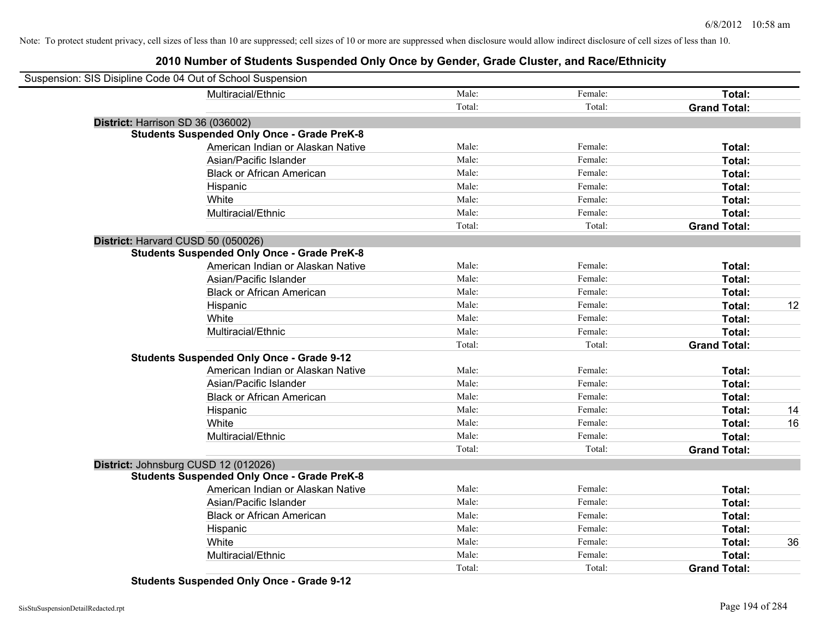## **2010 Number of Students Suspended Only Once by Gender, Grade Cluster, and Race/Ethnicity**

| Suspension: SIS Disipline Code 04 Out of School Suspension |                                                    |        |         |                     |    |
|------------------------------------------------------------|----------------------------------------------------|--------|---------|---------------------|----|
|                                                            | Multiracial/Ethnic                                 | Male:  | Female: | Total:              |    |
|                                                            |                                                    | Total: | Total:  | <b>Grand Total:</b> |    |
| District: Harrison SD 36 (036002)                          |                                                    |        |         |                     |    |
|                                                            | <b>Students Suspended Only Once - Grade PreK-8</b> |        |         |                     |    |
|                                                            | American Indian or Alaskan Native                  | Male:  | Female: | Total:              |    |
|                                                            | Asian/Pacific Islander                             | Male:  | Female: | Total:              |    |
|                                                            | <b>Black or African American</b>                   | Male:  | Female: | Total:              |    |
|                                                            | Hispanic                                           | Male:  | Female: | Total:              |    |
|                                                            | White                                              | Male:  | Female: | Total:              |    |
|                                                            | Multiracial/Ethnic                                 | Male:  | Female: | Total:              |    |
|                                                            |                                                    | Total: | Total:  | <b>Grand Total:</b> |    |
| District: Harvard CUSD 50 (050026)                         |                                                    |        |         |                     |    |
|                                                            | <b>Students Suspended Only Once - Grade PreK-8</b> |        |         |                     |    |
|                                                            | American Indian or Alaskan Native                  | Male:  | Female: | Total:              |    |
|                                                            | Asian/Pacific Islander                             | Male:  | Female: | Total:              |    |
|                                                            | <b>Black or African American</b>                   | Male:  | Female: | Total:              |    |
|                                                            | Hispanic                                           | Male:  | Female: | Total:              | 12 |
|                                                            | White                                              | Male:  | Female: | Total:              |    |
|                                                            | Multiracial/Ethnic                                 | Male:  | Female: | Total:              |    |
|                                                            |                                                    | Total: | Total:  | <b>Grand Total:</b> |    |
|                                                            | <b>Students Suspended Only Once - Grade 9-12</b>   |        |         |                     |    |
|                                                            | American Indian or Alaskan Native                  | Male:  | Female: | Total:              |    |
|                                                            | Asian/Pacific Islander                             | Male:  | Female: | Total:              |    |
|                                                            | <b>Black or African American</b>                   | Male:  | Female: | Total:              |    |
|                                                            | Hispanic                                           | Male:  | Female: | Total:              | 14 |
|                                                            | White                                              | Male:  | Female: | Total:              | 16 |
|                                                            | Multiracial/Ethnic                                 | Male:  | Female: | Total:              |    |
|                                                            |                                                    | Total: | Total:  | <b>Grand Total:</b> |    |
| District: Johnsburg CUSD 12 (012026)                       |                                                    |        |         |                     |    |
|                                                            | <b>Students Suspended Only Once - Grade PreK-8</b> |        |         |                     |    |
|                                                            | American Indian or Alaskan Native                  | Male:  | Female: | Total:              |    |
|                                                            | Asian/Pacific Islander                             | Male:  | Female: | Total:              |    |
|                                                            | <b>Black or African American</b>                   | Male:  | Female: | Total:              |    |
|                                                            | Hispanic                                           | Male:  | Female: | Total:              |    |
|                                                            | White                                              | Male:  | Female: | Total:              | 36 |
|                                                            | Multiracial/Ethnic                                 | Male:  | Female: | Total:              |    |
|                                                            |                                                    | Total: | Total:  | <b>Grand Total:</b> |    |

**Students Suspended Only Once - Grade 9-12**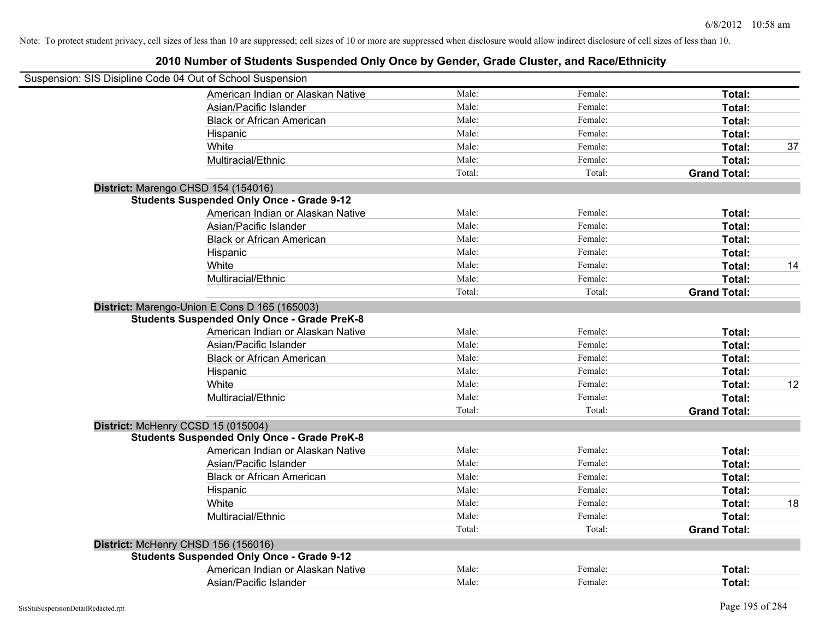| Suspension: SIS Disipline Code 04 Out of School Suspension                                                                               |        |         |                     |    |
|------------------------------------------------------------------------------------------------------------------------------------------|--------|---------|---------------------|----|
| American Indian or Alaskan Native                                                                                                        | Male:  | Female: | Total:              |    |
| Asian/Pacific Islander                                                                                                                   | Male:  | Female: | Total:              |    |
| <b>Black or African American</b>                                                                                                         | Male:  | Female: | Total:              |    |
| Hispanic                                                                                                                                 | Male:  | Female: | Total:              |    |
| White                                                                                                                                    | Male:  | Female: | Total:              | 37 |
| Multiracial/Ethnic                                                                                                                       | Male:  | Female: | Total:              |    |
|                                                                                                                                          | Total: | Total:  | <b>Grand Total:</b> |    |
| District: Marengo CHSD 154 (154016)                                                                                                      |        |         |                     |    |
| <b>Students Suspended Only Once - Grade 9-12</b>                                                                                         |        |         |                     |    |
| American Indian or Alaskan Native                                                                                                        | Male:  | Female: | Total:              |    |
| Asian/Pacific Islander                                                                                                                   | Male:  | Female: | Total:              |    |
| <b>Black or African American</b>                                                                                                         | Male:  | Female: | Total:              |    |
| Hispanic                                                                                                                                 | Male:  | Female: | Total:              |    |
| White                                                                                                                                    | Male:  | Female: | Total:              | 14 |
| Multiracial/Ethnic                                                                                                                       | Male:  | Female: | Total:              |    |
|                                                                                                                                          | Total: | Total:  | <b>Grand Total:</b> |    |
| District: Marengo-Union E Cons D 165 (165003)<br><b>Students Suspended Only Once - Grade PreK-8</b><br>American Indian or Alaskan Native | Male:  | Female: | Total:              |    |
| Asian/Pacific Islander                                                                                                                   | Male:  | Female: | Total:              |    |
| <b>Black or African American</b>                                                                                                         | Male:  | Female: | Total:              |    |
| Hispanic                                                                                                                                 | Male:  | Female: | Total:              |    |
| White                                                                                                                                    | Male:  | Female: | Total:              | 12 |
| Multiracial/Ethnic                                                                                                                       | Male:  | Female: | Total:              |    |
|                                                                                                                                          | Total: | Total:  | <b>Grand Total:</b> |    |
| District: McHenry CCSD 15 (015004)                                                                                                       |        |         |                     |    |
| <b>Students Suspended Only Once - Grade PreK-8</b>                                                                                       |        |         |                     |    |
| American Indian or Alaskan Native                                                                                                        | Male:  | Female: | Total:              |    |
| Asian/Pacific Islander                                                                                                                   | Male:  | Female: | Total:              |    |
| <b>Black or African American</b>                                                                                                         | Male:  | Female: | Total:              |    |
| Hispanic                                                                                                                                 | Male:  | Female: | Total:              |    |
| White                                                                                                                                    | Male:  | Female: | Total:              | 18 |
| Multiracial/Ethnic                                                                                                                       | Male:  | Female: | Total:              |    |
|                                                                                                                                          | Total: | Total:  | <b>Grand Total:</b> |    |
| District: McHenry CHSD 156 (156016)                                                                                                      |        |         |                     |    |
| <b>Students Suspended Only Once - Grade 9-12</b>                                                                                         |        |         |                     |    |
| American Indian or Alaskan Native                                                                                                        | Male:  | Female: | Total:              |    |
| Asian/Pacific Islander                                                                                                                   | Male:  | Female: | Total:              |    |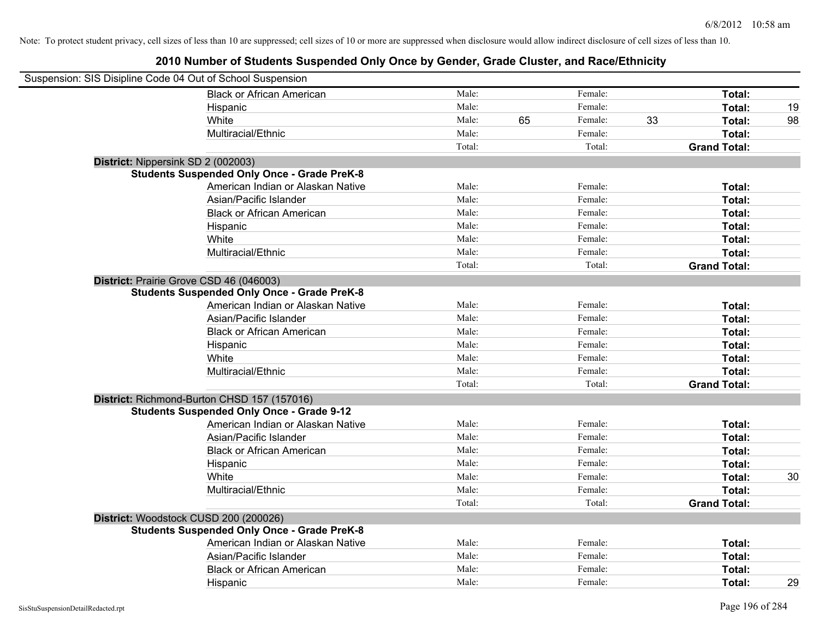| Suspension: SIS Disipline Code 04 Out of School Suspension |                                                    |        |    |         |    |                     |    |
|------------------------------------------------------------|----------------------------------------------------|--------|----|---------|----|---------------------|----|
|                                                            | <b>Black or African American</b>                   | Male:  |    | Female: |    | Total:              |    |
|                                                            | Hispanic                                           | Male:  |    | Female: |    | Total:              | 19 |
|                                                            | White                                              | Male:  | 65 | Female: | 33 | Total:              | 98 |
|                                                            | Multiracial/Ethnic                                 | Male:  |    | Female: |    | Total:              |    |
|                                                            |                                                    | Total: |    | Total:  |    | <b>Grand Total:</b> |    |
|                                                            | District: Nippersink SD 2 (002003)                 |        |    |         |    |                     |    |
|                                                            | <b>Students Suspended Only Once - Grade PreK-8</b> |        |    |         |    |                     |    |
|                                                            | American Indian or Alaskan Native                  | Male:  |    | Female: |    | Total:              |    |
|                                                            | Asian/Pacific Islander                             | Male:  |    | Female: |    | Total:              |    |
|                                                            | <b>Black or African American</b>                   | Male:  |    | Female: |    | Total:              |    |
|                                                            | Hispanic                                           | Male:  |    | Female: |    | Total:              |    |
|                                                            | White                                              | Male:  |    | Female: |    | Total:              |    |
|                                                            | Multiracial/Ethnic                                 | Male:  |    | Female: |    | Total:              |    |
|                                                            |                                                    | Total: |    | Total:  |    | <b>Grand Total:</b> |    |
|                                                            | District: Prairie Grove CSD 46 (046003)            |        |    |         |    |                     |    |
|                                                            | <b>Students Suspended Only Once - Grade PreK-8</b> |        |    |         |    |                     |    |
|                                                            | American Indian or Alaskan Native                  | Male:  |    | Female: |    | Total:              |    |
|                                                            | Asian/Pacific Islander                             | Male:  |    | Female: |    | Total:              |    |
|                                                            | <b>Black or African American</b>                   | Male:  |    | Female: |    | Total:              |    |
|                                                            | Hispanic                                           | Male:  |    | Female: |    | Total:              |    |
|                                                            | White                                              | Male:  |    | Female: |    | Total:              |    |
|                                                            | Multiracial/Ethnic                                 | Male:  |    | Female: |    | Total:              |    |
|                                                            |                                                    | Total: |    | Total:  |    | <b>Grand Total:</b> |    |
|                                                            | District: Richmond-Burton CHSD 157 (157016)        |        |    |         |    |                     |    |
|                                                            | <b>Students Suspended Only Once - Grade 9-12</b>   |        |    |         |    |                     |    |
|                                                            | American Indian or Alaskan Native                  | Male:  |    | Female: |    | Total:              |    |
|                                                            | Asian/Pacific Islander                             | Male:  |    | Female: |    | Total:              |    |
|                                                            | <b>Black or African American</b>                   | Male:  |    | Female: |    | Total:              |    |
|                                                            | Hispanic                                           | Male:  |    | Female: |    | Total:              |    |
|                                                            | White                                              | Male:  |    | Female: |    | Total:              | 30 |
|                                                            | Multiracial/Ethnic                                 | Male:  |    | Female: |    | Total:              |    |
|                                                            |                                                    | Total: |    | Total:  |    | <b>Grand Total:</b> |    |
|                                                            | District: Woodstock CUSD 200 (200026)              |        |    |         |    |                     |    |
|                                                            | <b>Students Suspended Only Once - Grade PreK-8</b> |        |    |         |    |                     |    |
|                                                            | American Indian or Alaskan Native                  | Male:  |    | Female: |    | Total:              |    |
|                                                            | Asian/Pacific Islander                             | Male:  |    | Female: |    | Total:              |    |
|                                                            | <b>Black or African American</b>                   | Male:  |    | Female: |    | Total:              |    |
|                                                            | Hispanic                                           | Male:  |    | Female: |    | Total:              | 29 |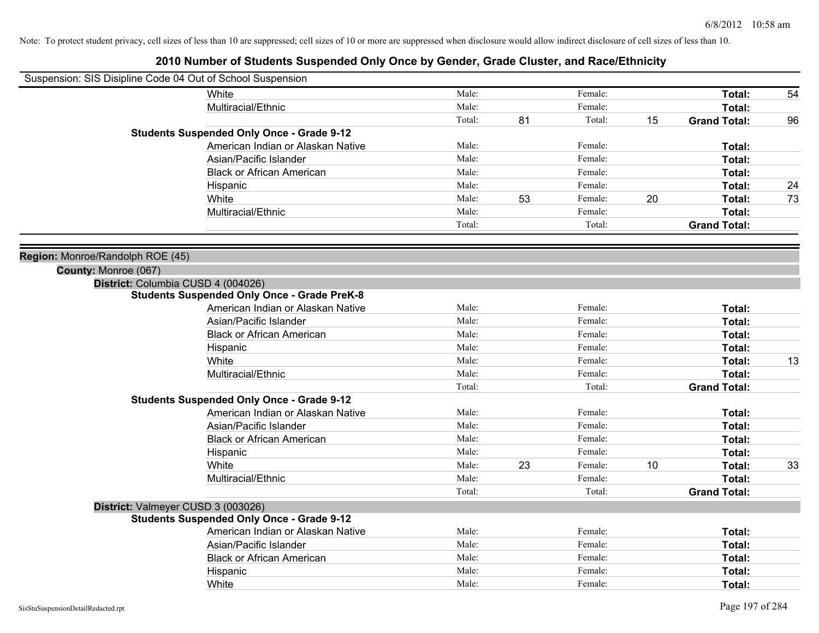|                                  | Suspension: SIS Disipline Code 04 Out of School Suspension |        |    |         |    |                     |    |
|----------------------------------|------------------------------------------------------------|--------|----|---------|----|---------------------|----|
|                                  | White                                                      | Male:  |    | Female: |    | Total:              | 54 |
|                                  | Multiracial/Ethnic                                         | Male:  |    | Female: |    | Total:              |    |
|                                  |                                                            | Total: | 81 | Total:  | 15 | <b>Grand Total:</b> | 96 |
|                                  | <b>Students Suspended Only Once - Grade 9-12</b>           |        |    |         |    |                     |    |
|                                  | American Indian or Alaskan Native                          | Male:  |    | Female: |    | Total:              |    |
|                                  | Asian/Pacific Islander                                     | Male:  |    | Female: |    | Total:              |    |
|                                  | <b>Black or African American</b>                           | Male:  |    | Female: |    | Total:              |    |
|                                  | Hispanic                                                   | Male:  |    | Female: |    | Total:              | 24 |
|                                  | White                                                      | Male:  | 53 | Female: | 20 | Total:              | 73 |
|                                  | Multiracial/Ethnic                                         | Male:  |    | Female: |    | Total:              |    |
|                                  |                                                            | Total: |    | Total:  |    | <b>Grand Total:</b> |    |
| Region: Monroe/Randolph ROE (45) |                                                            |        |    |         |    |                     |    |
| County: Monroe (067)             |                                                            |        |    |         |    |                     |    |
|                                  | District: Columbia CUSD 4 (004026)                         |        |    |         |    |                     |    |
|                                  | <b>Students Suspended Only Once - Grade PreK-8</b>         |        |    |         |    |                     |    |
|                                  | American Indian or Alaskan Native                          | Male:  |    | Female: |    | Total:              |    |
|                                  | Asian/Pacific Islander                                     | Male:  |    | Female: |    | Total:              |    |
|                                  | <b>Black or African American</b>                           | Male:  |    | Female: |    | Total:              |    |
|                                  | Hispanic                                                   | Male:  |    | Female: |    | Total:              |    |
|                                  | White                                                      | Male:  |    | Female: |    | Total:              | 13 |
|                                  | Multiracial/Ethnic                                         | Male:  |    | Female: |    | Total:              |    |
|                                  |                                                            | Total: |    | Total:  |    | <b>Grand Total:</b> |    |
|                                  | <b>Students Suspended Only Once - Grade 9-12</b>           |        |    |         |    |                     |    |
|                                  | American Indian or Alaskan Native                          | Male:  |    | Female: |    | Total:              |    |
|                                  | Asian/Pacific Islander                                     | Male:  |    | Female: |    | Total:              |    |
|                                  | <b>Black or African American</b>                           | Male:  |    | Female: |    | Total:              |    |
|                                  | Hispanic                                                   | Male:  |    | Female: |    | Total:              |    |
|                                  | White                                                      | Male:  | 23 | Female: | 10 | Total:              | 33 |
|                                  | Multiracial/Ethnic                                         | Male:  |    | Female: |    | Total:              |    |
|                                  |                                                            | Total: |    | Total:  |    | <b>Grand Total:</b> |    |
|                                  | District: Valmeyer CUSD 3 (003026)                         |        |    |         |    |                     |    |
|                                  | <b>Students Suspended Only Once - Grade 9-12</b>           |        |    |         |    |                     |    |
|                                  | American Indian or Alaskan Native                          | Male:  |    | Female: |    | Total:              |    |
|                                  | Asian/Pacific Islander                                     | Male:  |    | Female: |    | Total:              |    |
|                                  | <b>Black or African American</b>                           | Male:  |    | Female: |    | Total:              |    |
|                                  | Hispanic                                                   | Male:  |    | Female: |    | Total:              |    |
|                                  | White                                                      | Male:  |    | Female: |    | Total:              |    |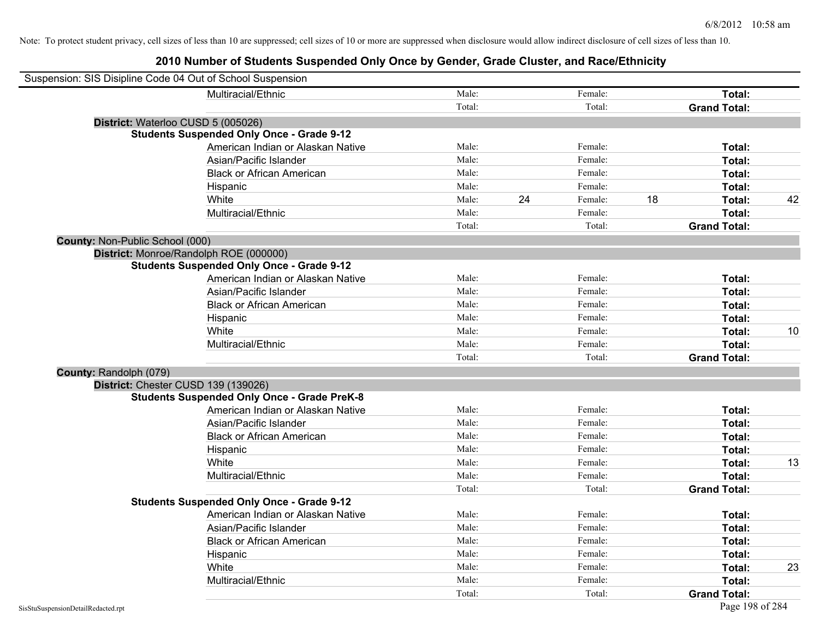| Suspension: SIS Disipline Code 04 Out of School Suspension |                                                    |        |    |         |    |                     |    |
|------------------------------------------------------------|----------------------------------------------------|--------|----|---------|----|---------------------|----|
|                                                            | Multiracial/Ethnic                                 | Male:  |    | Female: |    | Total:              |    |
|                                                            |                                                    | Total: |    | Total:  |    | <b>Grand Total:</b> |    |
| District: Waterloo CUSD 5 (005026)                         |                                                    |        |    |         |    |                     |    |
|                                                            | <b>Students Suspended Only Once - Grade 9-12</b>   |        |    |         |    |                     |    |
|                                                            | American Indian or Alaskan Native                  | Male:  |    | Female: |    | Total:              |    |
|                                                            | Asian/Pacific Islander                             | Male:  |    | Female: |    | Total:              |    |
|                                                            | <b>Black or African American</b>                   | Male:  |    | Female: |    | Total:              |    |
|                                                            | Hispanic                                           | Male:  |    | Female: |    | Total:              |    |
|                                                            | White                                              | Male:  | 24 | Female: | 18 | Total:              | 42 |
|                                                            | Multiracial/Ethnic                                 | Male:  |    | Female: |    | Total:              |    |
|                                                            |                                                    | Total: |    | Total:  |    | <b>Grand Total:</b> |    |
| County: Non-Public School (000)                            |                                                    |        |    |         |    |                     |    |
|                                                            | District: Monroe/Randolph ROE (000000)             |        |    |         |    |                     |    |
|                                                            | <b>Students Suspended Only Once - Grade 9-12</b>   |        |    |         |    |                     |    |
|                                                            | American Indian or Alaskan Native                  | Male:  |    | Female: |    | Total:              |    |
|                                                            | Asian/Pacific Islander                             | Male:  |    | Female: |    | Total:              |    |
|                                                            | <b>Black or African American</b>                   | Male:  |    | Female: |    | Total:              |    |
|                                                            | Hispanic                                           | Male:  |    | Female: |    | Total:              |    |
|                                                            | White                                              | Male:  |    | Female: |    | Total:              | 10 |
|                                                            | Multiracial/Ethnic                                 | Male:  |    | Female: |    | Total:              |    |
|                                                            |                                                    | Total: |    | Total:  |    | <b>Grand Total:</b> |    |
| County: Randolph (079)                                     |                                                    |        |    |         |    |                     |    |
| District: Chester CUSD 139 (139026)                        |                                                    |        |    |         |    |                     |    |
|                                                            | <b>Students Suspended Only Once - Grade PreK-8</b> |        |    |         |    |                     |    |
|                                                            | American Indian or Alaskan Native                  | Male:  |    | Female: |    | Total:              |    |
|                                                            | Asian/Pacific Islander                             | Male:  |    | Female: |    | Total:              |    |
|                                                            | <b>Black or African American</b>                   | Male:  |    | Female: |    | Total:              |    |
|                                                            | Hispanic                                           | Male:  |    | Female: |    | Total:              |    |
|                                                            | White                                              | Male:  |    | Female: |    | Total:              | 13 |
|                                                            | Multiracial/Ethnic                                 | Male:  |    | Female: |    | Total:              |    |
|                                                            |                                                    | Total: |    | Total:  |    | <b>Grand Total:</b> |    |
|                                                            | <b>Students Suspended Only Once - Grade 9-12</b>   |        |    |         |    |                     |    |
|                                                            | American Indian or Alaskan Native                  | Male:  |    | Female: |    | Total:              |    |
|                                                            | Asian/Pacific Islander                             | Male:  |    | Female: |    | Total:              |    |
|                                                            | <b>Black or African American</b>                   | Male:  |    | Female: |    | Total:              |    |
|                                                            | Hispanic                                           | Male:  |    | Female: |    | Total:              |    |
|                                                            | White                                              | Male:  |    | Female: |    | Total:              | 23 |
|                                                            | Multiracial/Ethnic                                 | Male:  |    | Female: |    | Total:              |    |
|                                                            |                                                    | Total: |    | Total:  |    | <b>Grand Total:</b> |    |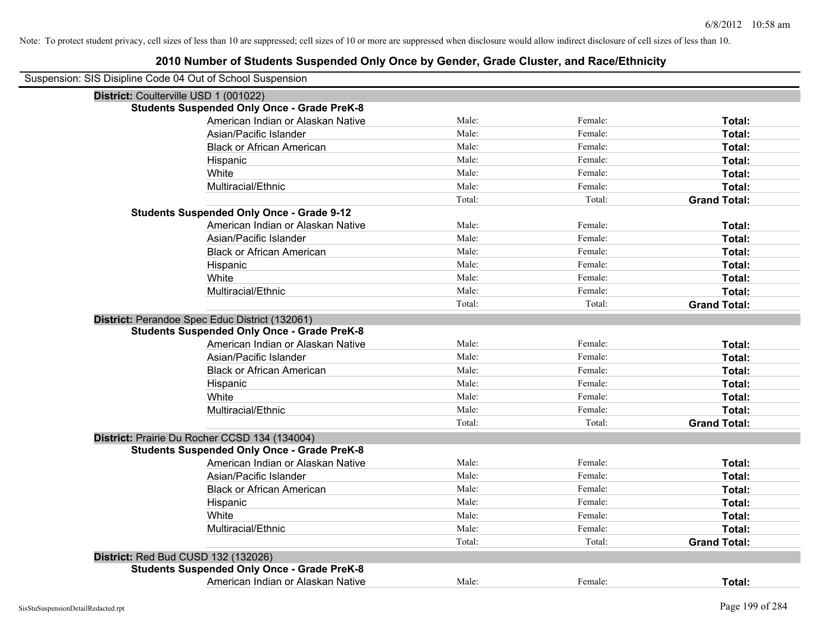| Suspension: SIS Disipline Code 04 Out of School Suspension |                                                    |        |         |                     |
|------------------------------------------------------------|----------------------------------------------------|--------|---------|---------------------|
| District: Coulterville USD 1 (001022)                      |                                                    |        |         |                     |
|                                                            | <b>Students Suspended Only Once - Grade PreK-8</b> |        |         |                     |
|                                                            | American Indian or Alaskan Native                  | Male:  | Female: | Total:              |
|                                                            | Asian/Pacific Islander                             | Male:  | Female: | Total:              |
|                                                            | <b>Black or African American</b>                   | Male:  | Female: | Total:              |
|                                                            | Hispanic                                           | Male:  | Female: | Total:              |
|                                                            | White                                              | Male:  | Female: | Total:              |
|                                                            | Multiracial/Ethnic                                 | Male:  | Female: | Total:              |
|                                                            |                                                    | Total: | Total:  | <b>Grand Total:</b> |
|                                                            | <b>Students Suspended Only Once - Grade 9-12</b>   |        |         |                     |
|                                                            | American Indian or Alaskan Native                  | Male:  | Female: | Total:              |
|                                                            | Asian/Pacific Islander                             | Male:  | Female: | Total:              |
|                                                            | <b>Black or African American</b>                   | Male:  | Female: | Total:              |
|                                                            | Hispanic                                           | Male:  | Female: | Total:              |
|                                                            | White                                              | Male:  | Female: | Total:              |
|                                                            | Multiracial/Ethnic                                 | Male:  | Female: | Total:              |
|                                                            |                                                    | Total: | Total:  | <b>Grand Total:</b> |
|                                                            | District: Perandoe Spec Educ District (132061)     |        |         |                     |
|                                                            | <b>Students Suspended Only Once - Grade PreK-8</b> |        |         |                     |
|                                                            | American Indian or Alaskan Native                  | Male:  | Female: | Total:              |
|                                                            | Asian/Pacific Islander                             | Male:  | Female: | Total:              |
|                                                            | <b>Black or African American</b>                   | Male:  | Female: | Total:              |
|                                                            | Hispanic                                           | Male:  | Female: | Total:              |
|                                                            | White                                              | Male:  | Female: | Total:              |
|                                                            | Multiracial/Ethnic                                 | Male:  | Female: | Total:              |
|                                                            |                                                    | Total: | Total:  | <b>Grand Total:</b> |
|                                                            | District: Prairie Du Rocher CCSD 134 (134004)      |        |         |                     |
|                                                            | <b>Students Suspended Only Once - Grade PreK-8</b> |        |         |                     |
|                                                            | American Indian or Alaskan Native                  | Male:  | Female: | Total:              |
|                                                            | Asian/Pacific Islander                             | Male:  | Female: | Total:              |
|                                                            | <b>Black or African American</b>                   | Male:  | Female: | Total:              |
|                                                            | Hispanic                                           | Male:  | Female: | Total:              |
|                                                            | White                                              | Male:  | Female: | Total:              |
|                                                            | Multiracial/Ethnic                                 | Male:  | Female: | Total:              |
|                                                            |                                                    | Total: | Total:  | <b>Grand Total:</b> |
| <b>District: Red Bud CUSD 132 (132026)</b>                 |                                                    |        |         |                     |
|                                                            | <b>Students Suspended Only Once - Grade PreK-8</b> |        |         |                     |
|                                                            | American Indian or Alaskan Native                  | Male:  | Female: | Total:              |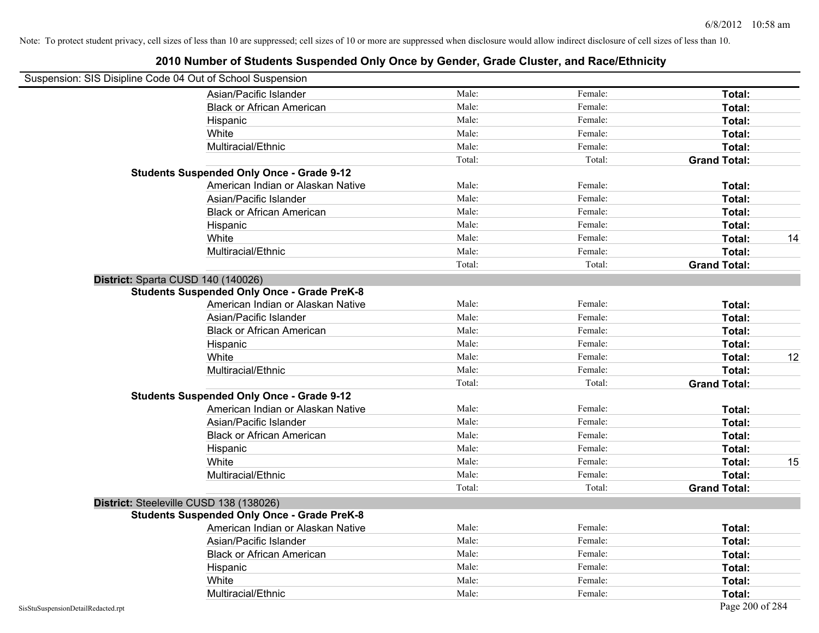| Suspension: SIS Disipline Code 04 Out of School Suspension |                                                    |        |         |                     |    |
|------------------------------------------------------------|----------------------------------------------------|--------|---------|---------------------|----|
|                                                            | Asian/Pacific Islander                             | Male:  | Female: | Total:              |    |
|                                                            | <b>Black or African American</b>                   | Male:  | Female: | Total:              |    |
|                                                            | Hispanic                                           | Male:  | Female: | Total:              |    |
|                                                            | White                                              | Male:  | Female: | Total:              |    |
|                                                            | Multiracial/Ethnic                                 | Male:  | Female: | Total:              |    |
|                                                            |                                                    | Total: | Total:  | <b>Grand Total:</b> |    |
|                                                            | <b>Students Suspended Only Once - Grade 9-12</b>   |        |         |                     |    |
|                                                            | American Indian or Alaskan Native                  | Male:  | Female: | Total:              |    |
|                                                            | Asian/Pacific Islander                             | Male:  | Female: | Total:              |    |
|                                                            | <b>Black or African American</b>                   | Male:  | Female: | Total:              |    |
|                                                            | Hispanic                                           | Male:  | Female: | Total:              |    |
|                                                            | White                                              | Male:  | Female: | Total:              | 14 |
|                                                            | Multiracial/Ethnic                                 | Male:  | Female: | Total:              |    |
|                                                            |                                                    | Total: | Total:  | <b>Grand Total:</b> |    |
| District: Sparta CUSD 140 (140026)                         |                                                    |        |         |                     |    |
|                                                            | <b>Students Suspended Only Once - Grade PreK-8</b> |        |         |                     |    |
|                                                            | American Indian or Alaskan Native                  | Male:  | Female: | Total:              |    |
|                                                            | Asian/Pacific Islander                             | Male:  | Female: | Total:              |    |
|                                                            | <b>Black or African American</b>                   | Male:  | Female: | Total:              |    |
|                                                            | Hispanic                                           | Male:  | Female: | Total:              |    |
|                                                            | White                                              | Male:  | Female: | Total:              | 12 |
|                                                            | Multiracial/Ethnic                                 | Male:  | Female: | Total:              |    |
|                                                            |                                                    | Total: | Total:  | <b>Grand Total:</b> |    |
|                                                            | <b>Students Suspended Only Once - Grade 9-12</b>   |        |         |                     |    |
|                                                            | American Indian or Alaskan Native                  | Male:  | Female: | Total:              |    |
|                                                            | Asian/Pacific Islander                             | Male:  | Female: | Total:              |    |
|                                                            | <b>Black or African American</b>                   | Male:  | Female: | Total:              |    |
|                                                            | Hispanic                                           | Male:  | Female: | Total:              |    |
|                                                            | White                                              | Male:  | Female: | Total:              | 15 |
|                                                            | Multiracial/Ethnic                                 | Male:  | Female: | Total:              |    |
|                                                            |                                                    | Total: | Total:  | <b>Grand Total:</b> |    |
|                                                            | District: Steeleville CUSD 138 (138026)            |        |         |                     |    |
|                                                            | <b>Students Suspended Only Once - Grade PreK-8</b> |        |         |                     |    |
|                                                            | American Indian or Alaskan Native                  | Male:  | Female: | Total:              |    |
|                                                            | Asian/Pacific Islander                             | Male:  | Female: | Total:              |    |
|                                                            | <b>Black or African American</b>                   | Male:  | Female: | Total:              |    |
|                                                            | Hispanic                                           | Male:  | Female: | Total:              |    |
|                                                            | White                                              | Male:  | Female: | Total:              |    |
|                                                            | Multiracial/Ethnic                                 | Male:  | Female: | Total:              |    |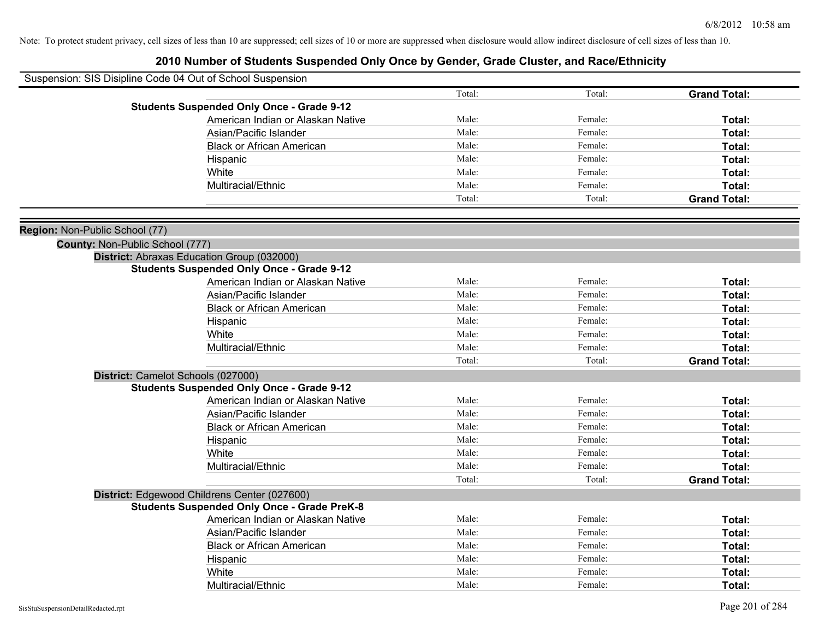|                                 | Suspension: SIS Disipline Code 04 Out of School Suspension |        |         |                     |
|---------------------------------|------------------------------------------------------------|--------|---------|---------------------|
|                                 |                                                            | Total: | Total:  | <b>Grand Total:</b> |
|                                 | <b>Students Suspended Only Once - Grade 9-12</b>           |        |         |                     |
|                                 | American Indian or Alaskan Native                          | Male:  | Female: | Total:              |
|                                 | Asian/Pacific Islander                                     | Male:  | Female: | Total:              |
|                                 | <b>Black or African American</b>                           | Male:  | Female: | Total:              |
|                                 | Hispanic                                                   | Male:  | Female: | Total:              |
|                                 | White                                                      | Male:  | Female: | Total:              |
|                                 | Multiracial/Ethnic                                         | Male:  | Female: | Total:              |
|                                 |                                                            | Total: | Total:  | <b>Grand Total:</b> |
|                                 |                                                            |        |         |                     |
| Region: Non-Public School (77)  |                                                            |        |         |                     |
| County: Non-Public School (777) |                                                            |        |         |                     |
|                                 | District: Abraxas Education Group (032000)                 |        |         |                     |
|                                 | <b>Students Suspended Only Once - Grade 9-12</b>           |        |         |                     |
|                                 | American Indian or Alaskan Native                          | Male:  | Female: | Total:              |
|                                 | Asian/Pacific Islander                                     | Male:  | Female: | Total:              |
|                                 | <b>Black or African American</b>                           | Male:  | Female: | Total:              |
|                                 | Hispanic                                                   | Male:  | Female: | Total:              |
|                                 | White                                                      | Male:  | Female: | Total:              |
|                                 | Multiracial/Ethnic                                         | Male:  | Female: | Total:              |
|                                 |                                                            | Total: | Total:  | <b>Grand Total:</b> |
|                                 | District: Camelot Schools (027000)                         |        |         |                     |
|                                 | <b>Students Suspended Only Once - Grade 9-12</b>           |        |         |                     |
|                                 | American Indian or Alaskan Native                          | Male:  | Female: | Total:              |
|                                 | Asian/Pacific Islander                                     | Male:  | Female: | Total:              |
|                                 | <b>Black or African American</b>                           | Male:  | Female: | Total:              |
|                                 | Hispanic                                                   | Male:  | Female: | Total:              |
|                                 | White                                                      | Male:  | Female: | Total:              |
|                                 | Multiracial/Ethnic                                         | Male:  | Female: | Total:              |
|                                 |                                                            | Total: | Total:  | <b>Grand Total:</b> |
|                                 | District: Edgewood Childrens Center (027600)               |        |         |                     |
|                                 | <b>Students Suspended Only Once - Grade PreK-8</b>         |        |         |                     |
|                                 | American Indian or Alaskan Native                          | Male:  | Female: | Total:              |
|                                 | Asian/Pacific Islander                                     | Male:  | Female: | Total:              |
|                                 | <b>Black or African American</b>                           | Male:  | Female: | Total:              |
|                                 | Hispanic                                                   | Male:  | Female: | Total:              |
|                                 | White                                                      | Male:  | Female: | Total:              |
|                                 | Multiracial/Ethnic                                         | Male:  | Female: | Total:              |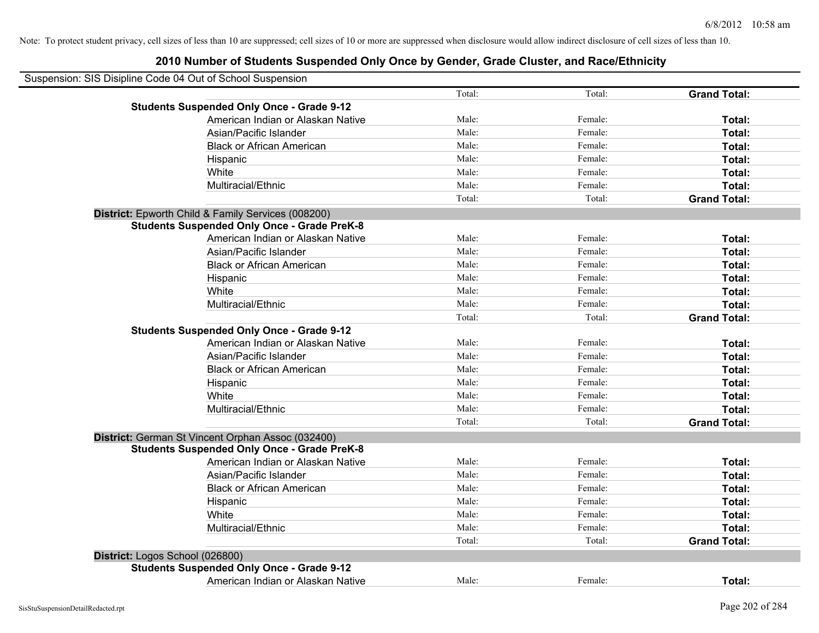| Suspension: SIS Disipline Code 04 Out of School Suspension |                                   |        |         |                     |
|------------------------------------------------------------|-----------------------------------|--------|---------|---------------------|
|                                                            |                                   | Total: | Total:  | <b>Grand Total:</b> |
| <b>Students Suspended Only Once - Grade 9-12</b>           |                                   |        |         |                     |
|                                                            | American Indian or Alaskan Native | Male:  | Female: | Total:              |
|                                                            | Asian/Pacific Islander            | Male:  | Female: | Total:              |
|                                                            | <b>Black or African American</b>  | Male:  | Female: | Total:              |
| Hispanic                                                   |                                   | Male:  | Female: | Total:              |
| White                                                      |                                   | Male:  | Female: | Total:              |
| Multiracial/Ethnic                                         |                                   | Male:  | Female: | Total:              |
|                                                            |                                   | Total: | Total:  | <b>Grand Total:</b> |
| District: Epworth Child & Family Services (008200)         |                                   |        |         |                     |
| <b>Students Suspended Only Once - Grade PreK-8</b>         |                                   |        |         |                     |
|                                                            | American Indian or Alaskan Native | Male:  | Female: | Total:              |
|                                                            | Asian/Pacific Islander            | Male:  | Female: | Total:              |
|                                                            | <b>Black or African American</b>  | Male:  | Female: | Total:              |
| Hispanic                                                   |                                   | Male:  | Female: | Total:              |
| White                                                      |                                   | Male:  | Female: | Total:              |
| Multiracial/Ethnic                                         |                                   | Male:  | Female: | Total:              |
|                                                            |                                   | Total: | Total:  | <b>Grand Total:</b> |
| <b>Students Suspended Only Once - Grade 9-12</b>           |                                   |        |         |                     |
|                                                            | American Indian or Alaskan Native | Male:  | Female: | Total:              |
|                                                            | Asian/Pacific Islander            | Male:  | Female: | Total:              |
|                                                            | <b>Black or African American</b>  | Male:  | Female: | Total:              |
| Hispanic                                                   |                                   | Male:  | Female: | Total:              |
| White                                                      |                                   | Male:  | Female: | Total:              |
| Multiracial/Ethnic                                         |                                   | Male:  | Female: | Total:              |
|                                                            |                                   | Total: | Total:  | <b>Grand Total:</b> |
| District: German St Vincent Orphan Assoc (032400)          |                                   |        |         |                     |
| <b>Students Suspended Only Once - Grade PreK-8</b>         |                                   |        |         |                     |
|                                                            | American Indian or Alaskan Native | Male:  | Female: | Total:              |
|                                                            | Asian/Pacific Islander            | Male:  | Female: | Total:              |
|                                                            | <b>Black or African American</b>  | Male:  | Female: | Total:              |
| Hispanic                                                   |                                   | Male:  | Female: | Total:              |
| White                                                      |                                   | Male:  | Female: | Total:              |
| Multiracial/Ethnic                                         |                                   | Male:  | Female: | Total:              |
|                                                            |                                   | Total: | Total:  | <b>Grand Total:</b> |
| District: Logos School (026800)                            |                                   |        |         |                     |
| <b>Students Suspended Only Once - Grade 9-12</b>           |                                   |        |         |                     |
|                                                            | American Indian or Alaskan Native | Male:  | Female: | Total:              |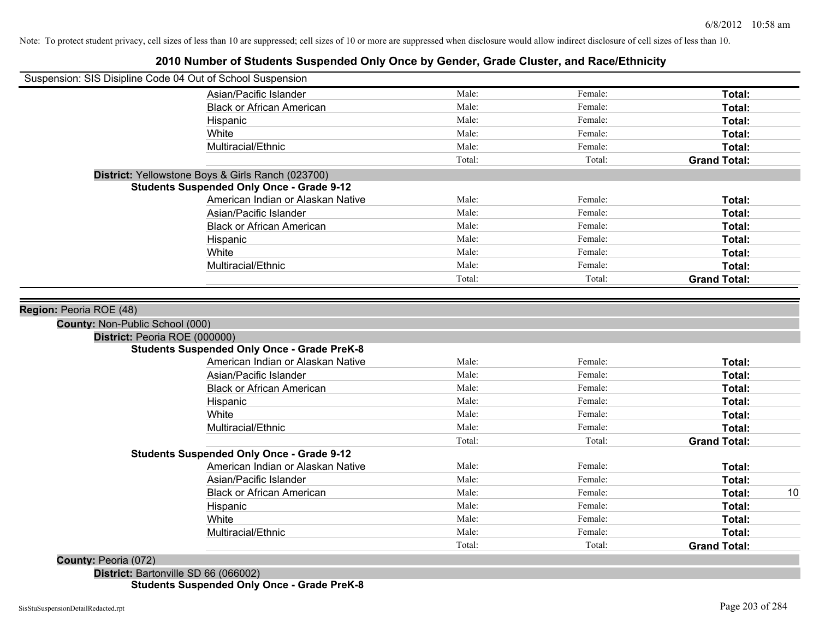## **2010 Number of Students Suspended Only Once by Gender, Grade Cluster, and Race/Ethnicity**

| Suspension: SIS Disipline Code 04 Out of School Suspension |                                                    |        |         |                     |
|------------------------------------------------------------|----------------------------------------------------|--------|---------|---------------------|
|                                                            | Asian/Pacific Islander                             | Male:  | Female: | Total:              |
|                                                            | <b>Black or African American</b>                   | Male:  | Female: | Total:              |
|                                                            | Hispanic                                           | Male:  | Female: | Total:              |
|                                                            | White                                              | Male:  | Female: | Total:              |
|                                                            | Multiracial/Ethnic                                 | Male:  | Female: | <b>Total:</b>       |
|                                                            |                                                    | Total: | Total:  | <b>Grand Total:</b> |
|                                                            | District: Yellowstone Boys & Girls Ranch (023700)  |        |         |                     |
|                                                            | <b>Students Suspended Only Once - Grade 9-12</b>   |        |         |                     |
|                                                            | American Indian or Alaskan Native                  | Male:  | Female: | Total:              |
|                                                            | Asian/Pacific Islander                             | Male:  | Female: | Total:              |
|                                                            | <b>Black or African American</b>                   | Male:  | Female: | Total:              |
|                                                            | Hispanic                                           | Male:  | Female: | Total:              |
|                                                            | White                                              | Male:  | Female: | Total:              |
|                                                            | Multiracial/Ethnic                                 | Male:  | Female: | Total:              |
|                                                            |                                                    | Total: | Total:  | <b>Grand Total:</b> |
|                                                            |                                                    |        |         |                     |
| Region: Peoria ROE (48)                                    |                                                    |        |         |                     |
| County: Non-Public School (000)                            |                                                    |        |         |                     |
| District: Peoria ROE (000000)                              |                                                    |        |         |                     |
|                                                            | <b>Students Suspended Only Once - Grade PreK-8</b> |        |         |                     |
|                                                            | American Indian or Alaskan Native                  | Male:  | Female: | Total:              |
|                                                            | Asian/Pacific Islander                             | Male:  | Female: | Total:              |
|                                                            | <b>Black or African American</b>                   | Male:  | Female: | Total:              |
|                                                            | Hispanic                                           | Male:  | Female: | Total:              |
|                                                            | White                                              | Male:  | Female: | Total:              |
|                                                            | Multiracial/Ethnic                                 | Male:  | Female: | Total:              |
|                                                            |                                                    | Total: | Total:  | <b>Grand Total:</b> |
|                                                            | <b>Students Suspended Only Once - Grade 9-12</b>   |        |         |                     |
|                                                            | American Indian or Alaskan Native                  | Male:  | Female: | Total:              |
|                                                            | Asian/Pacific Islander                             | Male:  | Female: | Total:              |
|                                                            | <b>Black or African American</b>                   | Male:  | Female: | 10<br>Total:        |
|                                                            | Hispanic                                           | Male:  | Female: | Total:              |
|                                                            | White                                              | Male:  | Female: | Total:              |
|                                                            | Multiracial/Ethnic                                 | Male:  | Female: | Total:              |
|                                                            |                                                    | Total: | Total:  | <b>Grand Total:</b> |
|                                                            |                                                    |        |         |                     |

**County:** Peoria (072)

**District:** Bartonville SD 66 (066002) **Students Suspended Only Once - Grade PreK-8**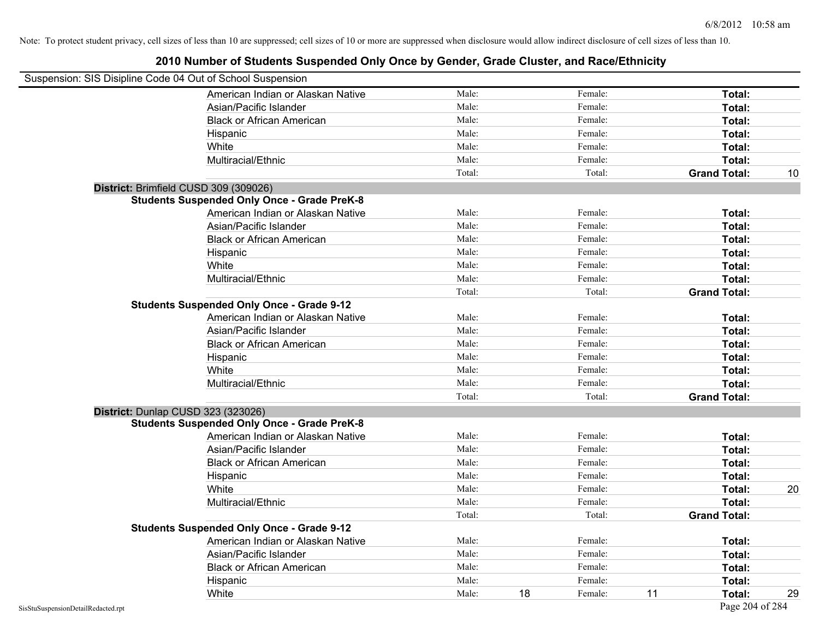| Suspension: SIS Disipline Code 04 Out of School Suspension |        |               |                     |    |
|------------------------------------------------------------|--------|---------------|---------------------|----|
| American Indian or Alaskan Native                          | Male:  | Female:       | Total:              |    |
| Asian/Pacific Islander                                     | Male:  | Female:       | Total:              |    |
| <b>Black or African American</b>                           | Male:  | Female:       | Total:              |    |
| Hispanic                                                   | Male:  | Female:       | Total:              |    |
| White                                                      | Male:  | Female:       | Total:              |    |
| Multiracial/Ethnic                                         | Male:  | Female:       | Total:              |    |
|                                                            | Total: | Total:        | <b>Grand Total:</b> | 10 |
| District: Brimfield CUSD 309 (309026)                      |        |               |                     |    |
| <b>Students Suspended Only Once - Grade PreK-8</b>         |        |               |                     |    |
| American Indian or Alaskan Native                          | Male:  | Female:       | Total:              |    |
| Asian/Pacific Islander                                     | Male:  | Female:       | Total:              |    |
| <b>Black or African American</b>                           | Male:  | Female:       | Total:              |    |
| Hispanic                                                   | Male:  | Female:       | Total:              |    |
| White                                                      | Male:  | Female:       | Total:              |    |
| Multiracial/Ethnic                                         | Male:  | Female:       | Total:              |    |
|                                                            | Total: | Total:        | <b>Grand Total:</b> |    |
| <b>Students Suspended Only Once - Grade 9-12</b>           |        |               |                     |    |
| American Indian or Alaskan Native                          | Male:  | Female:       | Total:              |    |
| Asian/Pacific Islander                                     | Male:  | Female:       | Total:              |    |
| <b>Black or African American</b>                           | Male:  | Female:       | Total:              |    |
| Hispanic                                                   | Male:  | Female:       | Total:              |    |
| White                                                      | Male:  | Female:       | Total:              |    |
| Multiracial/Ethnic                                         | Male:  | Female:       | Total:              |    |
|                                                            | Total: | Total:        | <b>Grand Total:</b> |    |
| District: Dunlap CUSD 323 (323026)                         |        |               |                     |    |
| <b>Students Suspended Only Once - Grade PreK-8</b>         |        |               |                     |    |
| American Indian or Alaskan Native                          | Male:  | Female:       | Total:              |    |
| Asian/Pacific Islander                                     | Male:  | Female:       | Total:              |    |
| <b>Black or African American</b>                           | Male:  | Female:       | Total:              |    |
| Hispanic                                                   | Male:  | Female:       | Total:              |    |
| White                                                      | Male:  | Female:       | Total:              | 20 |
| Multiracial/Ethnic                                         | Male:  | Female:       | Total:              |    |
|                                                            | Total: | Total:        | <b>Grand Total:</b> |    |
| <b>Students Suspended Only Once - Grade 9-12</b>           |        |               |                     |    |
| American Indian or Alaskan Native                          | Male:  | Female:       | Total:              |    |
| Asian/Pacific Islander                                     | Male:  | Female:       | Total:              |    |
| <b>Black or African American</b>                           | Male:  | Female:       | Total:              |    |
| Hispanic                                                   | Male:  | Female:       | Total:              |    |
| White                                                      | Male:  | 18<br>Female: | 11<br>Total:        | 29 |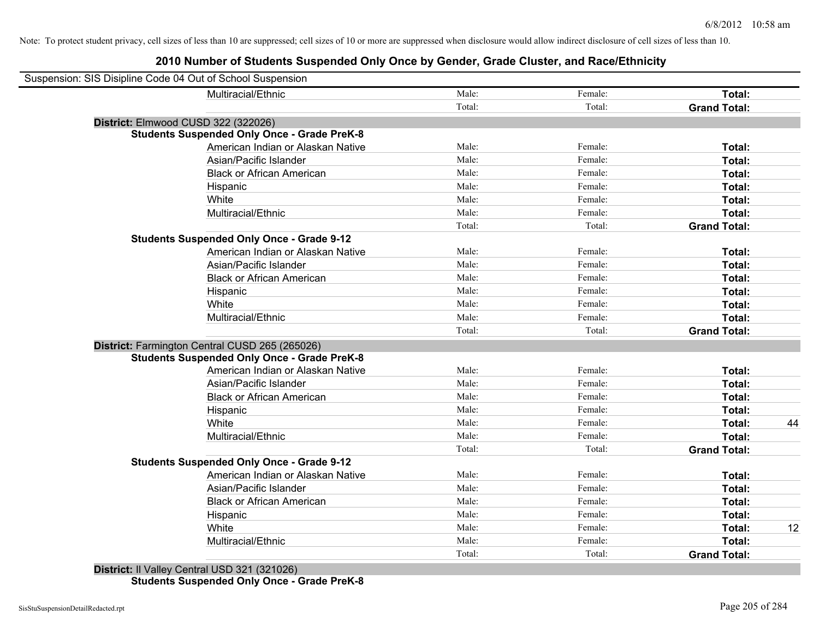| Male:<br>Female:<br>Multiracial/Ethnic<br>Total:<br>Total:<br>Total:<br><b>Grand Total:</b><br>District: Elmwood CUSD 322 (322026)<br><b>Students Suspended Only Once - Grade PreK-8</b><br>American Indian or Alaskan Native<br>Male:<br>Female:<br>Total:<br>Asian/Pacific Islander<br>Male:<br>Female:<br>Total:<br>Male:<br>Female:<br><b>Black or African American</b><br>Total:<br>Male:<br>Female:<br>Hispanic<br>Total:<br>White<br>Male:<br>Female:<br>Total:<br>Multiracial/Ethnic<br>Male:<br>Female:<br>Total:<br>Total:<br>Total:<br><b>Grand Total:</b><br><b>Students Suspended Only Once - Grade 9-12</b><br>American Indian or Alaskan Native<br>Male:<br>Female:<br>Total:<br>Asian/Pacific Islander<br>Male:<br>Female:<br>Total:<br>Male:<br><b>Black or African American</b><br>Female:<br>Total:<br>Male:<br>Female:<br>Hispanic<br>Total:<br>Male:<br>Female:<br>White<br>Total:<br>Multiracial/Ethnic<br>Male:<br>Female:<br><b>Total:</b><br>Total:<br><b>Grand Total:</b><br>Total:<br>District: Farmington Central CUSD 265 (265026)<br><b>Students Suspended Only Once - Grade PreK-8</b><br>Male:<br>American Indian or Alaskan Native<br>Female:<br><b>Total:</b><br>Male:<br>Female:<br>Asian/Pacific Islander<br>Total:<br>Male:<br>Female:<br><b>Black or African American</b><br>Total:<br>Male:<br>Female:<br>Total:<br>Hispanic<br>Male:<br>White<br>Female:<br>Total:<br>Male:<br>Multiracial/Ethnic<br>Female:<br><b>Total:</b><br>Total:<br>Total:<br><b>Grand Total:</b><br><b>Students Suspended Only Once - Grade 9-12</b><br>American Indian or Alaskan Native<br>Male:<br>Female:<br>Total:<br>Male:<br>Female:<br>Asian/Pacific Islander<br>Total:<br>Male:<br>Female:<br><b>Black or African American</b><br>Total:<br>Male:<br>Female:<br>Total:<br>Hispanic<br>Male:<br>Female:<br>White<br>Total:<br>Male:<br>Multiracial/Ethnic<br>Female:<br><b>Total:</b><br>Total:<br>Total:<br><b>Grand Total:</b> | Suspension: SIS Disipline Code 04 Out of School Suspension |  |    |
|----------------------------------------------------------------------------------------------------------------------------------------------------------------------------------------------------------------------------------------------------------------------------------------------------------------------------------------------------------------------------------------------------------------------------------------------------------------------------------------------------------------------------------------------------------------------------------------------------------------------------------------------------------------------------------------------------------------------------------------------------------------------------------------------------------------------------------------------------------------------------------------------------------------------------------------------------------------------------------------------------------------------------------------------------------------------------------------------------------------------------------------------------------------------------------------------------------------------------------------------------------------------------------------------------------------------------------------------------------------------------------------------------------------------------------------------------------------------------------------------------------------------------------------------------------------------------------------------------------------------------------------------------------------------------------------------------------------------------------------------------------------------------------------------------------------------------------------------------------------------------------------------------------------------------------------------------------|------------------------------------------------------------|--|----|
|                                                                                                                                                                                                                                                                                                                                                                                                                                                                                                                                                                                                                                                                                                                                                                                                                                                                                                                                                                                                                                                                                                                                                                                                                                                                                                                                                                                                                                                                                                                                                                                                                                                                                                                                                                                                                                                                                                                                                          |                                                            |  |    |
|                                                                                                                                                                                                                                                                                                                                                                                                                                                                                                                                                                                                                                                                                                                                                                                                                                                                                                                                                                                                                                                                                                                                                                                                                                                                                                                                                                                                                                                                                                                                                                                                                                                                                                                                                                                                                                                                                                                                                          |                                                            |  |    |
|                                                                                                                                                                                                                                                                                                                                                                                                                                                                                                                                                                                                                                                                                                                                                                                                                                                                                                                                                                                                                                                                                                                                                                                                                                                                                                                                                                                                                                                                                                                                                                                                                                                                                                                                                                                                                                                                                                                                                          |                                                            |  |    |
|                                                                                                                                                                                                                                                                                                                                                                                                                                                                                                                                                                                                                                                                                                                                                                                                                                                                                                                                                                                                                                                                                                                                                                                                                                                                                                                                                                                                                                                                                                                                                                                                                                                                                                                                                                                                                                                                                                                                                          |                                                            |  |    |
|                                                                                                                                                                                                                                                                                                                                                                                                                                                                                                                                                                                                                                                                                                                                                                                                                                                                                                                                                                                                                                                                                                                                                                                                                                                                                                                                                                                                                                                                                                                                                                                                                                                                                                                                                                                                                                                                                                                                                          |                                                            |  |    |
|                                                                                                                                                                                                                                                                                                                                                                                                                                                                                                                                                                                                                                                                                                                                                                                                                                                                                                                                                                                                                                                                                                                                                                                                                                                                                                                                                                                                                                                                                                                                                                                                                                                                                                                                                                                                                                                                                                                                                          |                                                            |  |    |
|                                                                                                                                                                                                                                                                                                                                                                                                                                                                                                                                                                                                                                                                                                                                                                                                                                                                                                                                                                                                                                                                                                                                                                                                                                                                                                                                                                                                                                                                                                                                                                                                                                                                                                                                                                                                                                                                                                                                                          |                                                            |  |    |
|                                                                                                                                                                                                                                                                                                                                                                                                                                                                                                                                                                                                                                                                                                                                                                                                                                                                                                                                                                                                                                                                                                                                                                                                                                                                                                                                                                                                                                                                                                                                                                                                                                                                                                                                                                                                                                                                                                                                                          |                                                            |  |    |
|                                                                                                                                                                                                                                                                                                                                                                                                                                                                                                                                                                                                                                                                                                                                                                                                                                                                                                                                                                                                                                                                                                                                                                                                                                                                                                                                                                                                                                                                                                                                                                                                                                                                                                                                                                                                                                                                                                                                                          |                                                            |  |    |
|                                                                                                                                                                                                                                                                                                                                                                                                                                                                                                                                                                                                                                                                                                                                                                                                                                                                                                                                                                                                                                                                                                                                                                                                                                                                                                                                                                                                                                                                                                                                                                                                                                                                                                                                                                                                                                                                                                                                                          |                                                            |  |    |
|                                                                                                                                                                                                                                                                                                                                                                                                                                                                                                                                                                                                                                                                                                                                                                                                                                                                                                                                                                                                                                                                                                                                                                                                                                                                                                                                                                                                                                                                                                                                                                                                                                                                                                                                                                                                                                                                                                                                                          |                                                            |  |    |
|                                                                                                                                                                                                                                                                                                                                                                                                                                                                                                                                                                                                                                                                                                                                                                                                                                                                                                                                                                                                                                                                                                                                                                                                                                                                                                                                                                                                                                                                                                                                                                                                                                                                                                                                                                                                                                                                                                                                                          |                                                            |  |    |
|                                                                                                                                                                                                                                                                                                                                                                                                                                                                                                                                                                                                                                                                                                                                                                                                                                                                                                                                                                                                                                                                                                                                                                                                                                                                                                                                                                                                                                                                                                                                                                                                                                                                                                                                                                                                                                                                                                                                                          |                                                            |  |    |
|                                                                                                                                                                                                                                                                                                                                                                                                                                                                                                                                                                                                                                                                                                                                                                                                                                                                                                                                                                                                                                                                                                                                                                                                                                                                                                                                                                                                                                                                                                                                                                                                                                                                                                                                                                                                                                                                                                                                                          |                                                            |  |    |
|                                                                                                                                                                                                                                                                                                                                                                                                                                                                                                                                                                                                                                                                                                                                                                                                                                                                                                                                                                                                                                                                                                                                                                                                                                                                                                                                                                                                                                                                                                                                                                                                                                                                                                                                                                                                                                                                                                                                                          |                                                            |  |    |
|                                                                                                                                                                                                                                                                                                                                                                                                                                                                                                                                                                                                                                                                                                                                                                                                                                                                                                                                                                                                                                                                                                                                                                                                                                                                                                                                                                                                                                                                                                                                                                                                                                                                                                                                                                                                                                                                                                                                                          |                                                            |  |    |
|                                                                                                                                                                                                                                                                                                                                                                                                                                                                                                                                                                                                                                                                                                                                                                                                                                                                                                                                                                                                                                                                                                                                                                                                                                                                                                                                                                                                                                                                                                                                                                                                                                                                                                                                                                                                                                                                                                                                                          |                                                            |  |    |
|                                                                                                                                                                                                                                                                                                                                                                                                                                                                                                                                                                                                                                                                                                                                                                                                                                                                                                                                                                                                                                                                                                                                                                                                                                                                                                                                                                                                                                                                                                                                                                                                                                                                                                                                                                                                                                                                                                                                                          |                                                            |  |    |
|                                                                                                                                                                                                                                                                                                                                                                                                                                                                                                                                                                                                                                                                                                                                                                                                                                                                                                                                                                                                                                                                                                                                                                                                                                                                                                                                                                                                                                                                                                                                                                                                                                                                                                                                                                                                                                                                                                                                                          |                                                            |  |    |
|                                                                                                                                                                                                                                                                                                                                                                                                                                                                                                                                                                                                                                                                                                                                                                                                                                                                                                                                                                                                                                                                                                                                                                                                                                                                                                                                                                                                                                                                                                                                                                                                                                                                                                                                                                                                                                                                                                                                                          |                                                            |  |    |
|                                                                                                                                                                                                                                                                                                                                                                                                                                                                                                                                                                                                                                                                                                                                                                                                                                                                                                                                                                                                                                                                                                                                                                                                                                                                                                                                                                                                                                                                                                                                                                                                                                                                                                                                                                                                                                                                                                                                                          |                                                            |  |    |
|                                                                                                                                                                                                                                                                                                                                                                                                                                                                                                                                                                                                                                                                                                                                                                                                                                                                                                                                                                                                                                                                                                                                                                                                                                                                                                                                                                                                                                                                                                                                                                                                                                                                                                                                                                                                                                                                                                                                                          |                                                            |  |    |
|                                                                                                                                                                                                                                                                                                                                                                                                                                                                                                                                                                                                                                                                                                                                                                                                                                                                                                                                                                                                                                                                                                                                                                                                                                                                                                                                                                                                                                                                                                                                                                                                                                                                                                                                                                                                                                                                                                                                                          |                                                            |  |    |
|                                                                                                                                                                                                                                                                                                                                                                                                                                                                                                                                                                                                                                                                                                                                                                                                                                                                                                                                                                                                                                                                                                                                                                                                                                                                                                                                                                                                                                                                                                                                                                                                                                                                                                                                                                                                                                                                                                                                                          |                                                            |  |    |
|                                                                                                                                                                                                                                                                                                                                                                                                                                                                                                                                                                                                                                                                                                                                                                                                                                                                                                                                                                                                                                                                                                                                                                                                                                                                                                                                                                                                                                                                                                                                                                                                                                                                                                                                                                                                                                                                                                                                                          |                                                            |  |    |
|                                                                                                                                                                                                                                                                                                                                                                                                                                                                                                                                                                                                                                                                                                                                                                                                                                                                                                                                                                                                                                                                                                                                                                                                                                                                                                                                                                                                                                                                                                                                                                                                                                                                                                                                                                                                                                                                                                                                                          |                                                            |  | 44 |
|                                                                                                                                                                                                                                                                                                                                                                                                                                                                                                                                                                                                                                                                                                                                                                                                                                                                                                                                                                                                                                                                                                                                                                                                                                                                                                                                                                                                                                                                                                                                                                                                                                                                                                                                                                                                                                                                                                                                                          |                                                            |  |    |
|                                                                                                                                                                                                                                                                                                                                                                                                                                                                                                                                                                                                                                                                                                                                                                                                                                                                                                                                                                                                                                                                                                                                                                                                                                                                                                                                                                                                                                                                                                                                                                                                                                                                                                                                                                                                                                                                                                                                                          |                                                            |  |    |
|                                                                                                                                                                                                                                                                                                                                                                                                                                                                                                                                                                                                                                                                                                                                                                                                                                                                                                                                                                                                                                                                                                                                                                                                                                                                                                                                                                                                                                                                                                                                                                                                                                                                                                                                                                                                                                                                                                                                                          |                                                            |  |    |
|                                                                                                                                                                                                                                                                                                                                                                                                                                                                                                                                                                                                                                                                                                                                                                                                                                                                                                                                                                                                                                                                                                                                                                                                                                                                                                                                                                                                                                                                                                                                                                                                                                                                                                                                                                                                                                                                                                                                                          |                                                            |  |    |
|                                                                                                                                                                                                                                                                                                                                                                                                                                                                                                                                                                                                                                                                                                                                                                                                                                                                                                                                                                                                                                                                                                                                                                                                                                                                                                                                                                                                                                                                                                                                                                                                                                                                                                                                                                                                                                                                                                                                                          |                                                            |  |    |
|                                                                                                                                                                                                                                                                                                                                                                                                                                                                                                                                                                                                                                                                                                                                                                                                                                                                                                                                                                                                                                                                                                                                                                                                                                                                                                                                                                                                                                                                                                                                                                                                                                                                                                                                                                                                                                                                                                                                                          |                                                            |  |    |
|                                                                                                                                                                                                                                                                                                                                                                                                                                                                                                                                                                                                                                                                                                                                                                                                                                                                                                                                                                                                                                                                                                                                                                                                                                                                                                                                                                                                                                                                                                                                                                                                                                                                                                                                                                                                                                                                                                                                                          |                                                            |  |    |
|                                                                                                                                                                                                                                                                                                                                                                                                                                                                                                                                                                                                                                                                                                                                                                                                                                                                                                                                                                                                                                                                                                                                                                                                                                                                                                                                                                                                                                                                                                                                                                                                                                                                                                                                                                                                                                                                                                                                                          |                                                            |  | 12 |
|                                                                                                                                                                                                                                                                                                                                                                                                                                                                                                                                                                                                                                                                                                                                                                                                                                                                                                                                                                                                                                                                                                                                                                                                                                                                                                                                                                                                                                                                                                                                                                                                                                                                                                                                                                                                                                                                                                                                                          |                                                            |  |    |
|                                                                                                                                                                                                                                                                                                                                                                                                                                                                                                                                                                                                                                                                                                                                                                                                                                                                                                                                                                                                                                                                                                                                                                                                                                                                                                                                                                                                                                                                                                                                                                                                                                                                                                                                                                                                                                                                                                                                                          |                                                            |  |    |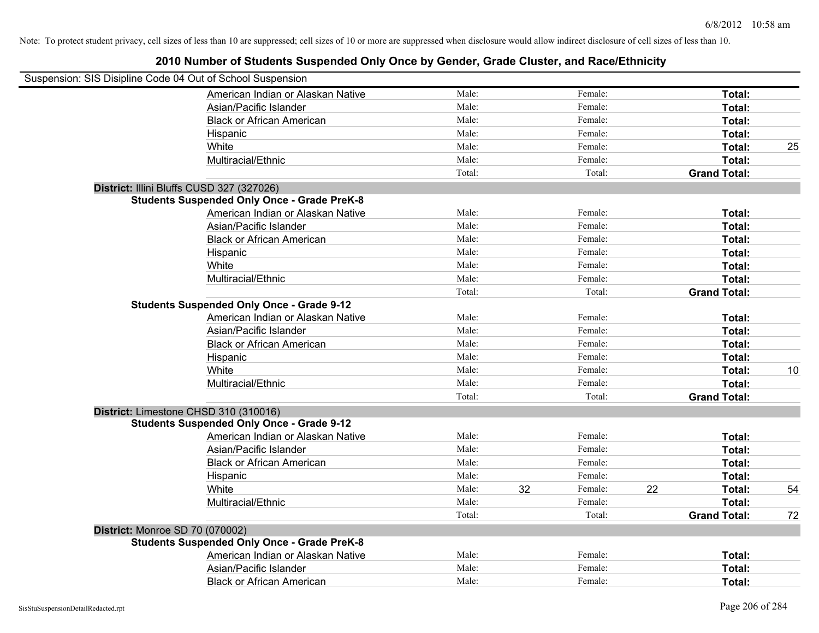| Suspension: SIS Disipline Code 04 Out of School Suspension                                |                           |
|-------------------------------------------------------------------------------------------|---------------------------|
| Male:<br>American Indian or Alaskan Native<br>Female:                                     | Total:                    |
| Male:<br>Female:<br>Asian/Pacific Islander                                                | Total:                    |
| Male:<br>Female:<br><b>Black or African American</b>                                      | Total:                    |
| Male:<br>Female:<br>Hispanic                                                              | Total:                    |
| Male:<br>Female:<br>White                                                                 | Total:<br>25              |
| Male:<br>Female:<br>Multiracial/Ethnic                                                    | Total:                    |
| Total:<br>Total:                                                                          | <b>Grand Total:</b>       |
| District: Illini Bluffs CUSD 327 (327026)                                                 |                           |
| <b>Students Suspended Only Once - Grade PreK-8</b>                                        |                           |
| American Indian or Alaskan Native<br>Male:<br>Female:                                     | Total:                    |
| Asian/Pacific Islander<br>Male:<br>Female:                                                | Total:                    |
| <b>Black or African American</b><br>Male:<br>Female:                                      | Total:                    |
| Male:<br>Female:<br>Hispanic                                                              | Total:                    |
| White<br>Male:<br>Female:                                                                 | Total:                    |
| Male:<br>Multiracial/Ethnic<br>Female:                                                    | Total:                    |
| Total:<br>Total:                                                                          | <b>Grand Total:</b>       |
| <b>Students Suspended Only Once - Grade 9-12</b>                                          |                           |
| American Indian or Alaskan Native<br>Male:<br>Female:                                     | Total:                    |
| Asian/Pacific Islander<br>Male:<br>Female:                                                | Total:                    |
| <b>Black or African American</b><br>Male:<br>Female:                                      | Total:                    |
| Male:<br>Female:<br>Hispanic                                                              | Total:                    |
| White<br>Male:<br>Female:                                                                 | 10<br>Total:              |
| Multiracial/Ethnic<br>Male:<br>Female:                                                    | Total:                    |
| Total:<br>Total:                                                                          | <b>Grand Total:</b>       |
| District: Limestone CHSD 310 (310016)<br><b>Students Suspended Only Once - Grade 9-12</b> |                           |
| Male:<br>Female:<br>American Indian or Alaskan Native                                     | Total:                    |
| Male:<br>Female:<br>Asian/Pacific Islander                                                | Total:                    |
| Male:<br>Female:<br><b>Black or African American</b>                                      | Total:                    |
| Male:<br>Female:<br>Hispanic                                                              | Total:                    |
| White<br>Male:<br>32<br>Female:<br>22                                                     | Total:<br>54              |
| Multiracial/Ethnic<br>Male:<br>Female:                                                    | Total:                    |
| Total:<br>Total:                                                                          | <b>Grand Total:</b><br>72 |
| District: Monroe SD 70 (070002)                                                           |                           |
| <b>Students Suspended Only Once - Grade PreK-8</b>                                        |                           |
| American Indian or Alaskan Native<br>Male:<br>Female:                                     | Total:                    |
| Male:<br>Asian/Pacific Islander<br>Female:                                                | Total:                    |
| Male:<br>Female:<br><b>Black or African American</b>                                      | Total:                    |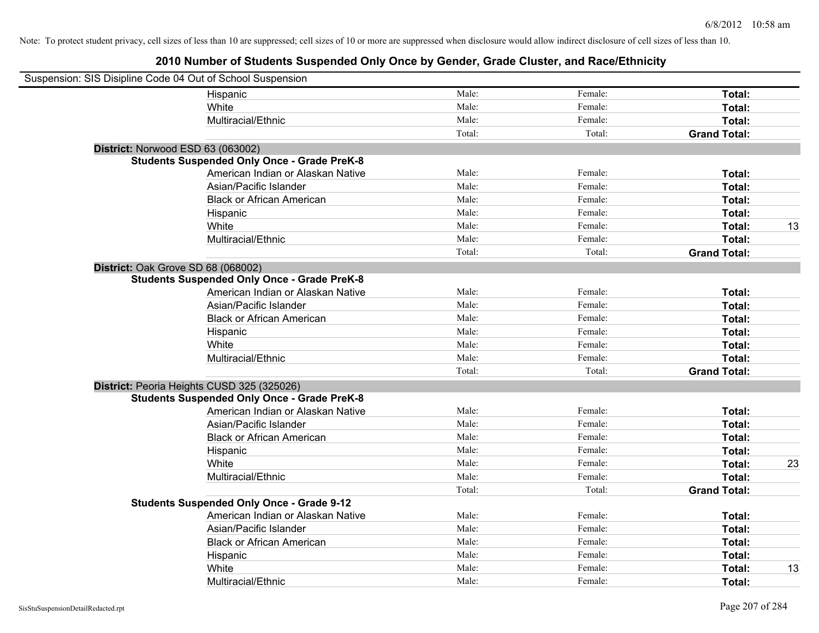| Suspension: SIS Disipline Code 04 Out of School Suspension |                                                    |        |         |                     |    |
|------------------------------------------------------------|----------------------------------------------------|--------|---------|---------------------|----|
|                                                            | Hispanic                                           | Male:  | Female: | Total:              |    |
|                                                            | White                                              | Male:  | Female: | Total:              |    |
|                                                            | Multiracial/Ethnic                                 | Male:  | Female: | Total:              |    |
|                                                            |                                                    | Total: | Total:  | <b>Grand Total:</b> |    |
| District: Norwood ESD 63 (063002)                          |                                                    |        |         |                     |    |
|                                                            | <b>Students Suspended Only Once - Grade PreK-8</b> |        |         |                     |    |
|                                                            | American Indian or Alaskan Native                  | Male:  | Female: | Total:              |    |
|                                                            | Asian/Pacific Islander                             | Male:  | Female: | Total:              |    |
|                                                            | <b>Black or African American</b>                   | Male:  | Female: | Total:              |    |
|                                                            | Hispanic                                           | Male:  | Female: | Total:              |    |
|                                                            | White                                              | Male:  | Female: | Total:              | 13 |
|                                                            | Multiracial/Ethnic                                 | Male:  | Female: | Total:              |    |
|                                                            |                                                    | Total: | Total:  | <b>Grand Total:</b> |    |
| District: Oak Grove SD 68 (068002)                         |                                                    |        |         |                     |    |
|                                                            | <b>Students Suspended Only Once - Grade PreK-8</b> |        |         |                     |    |
|                                                            | American Indian or Alaskan Native                  | Male:  | Female: | Total:              |    |
|                                                            | Asian/Pacific Islander                             | Male:  | Female: | Total:              |    |
|                                                            | <b>Black or African American</b>                   | Male:  | Female: | Total:              |    |
|                                                            | Hispanic                                           | Male:  | Female: | Total:              |    |
|                                                            | White                                              | Male:  | Female: | Total:              |    |
|                                                            | Multiracial/Ethnic                                 | Male:  | Female: | Total:              |    |
|                                                            |                                                    | Total: | Total:  | <b>Grand Total:</b> |    |
|                                                            | District: Peoria Heights CUSD 325 (325026)         |        |         |                     |    |
|                                                            | <b>Students Suspended Only Once - Grade PreK-8</b> |        |         |                     |    |
|                                                            | American Indian or Alaskan Native                  | Male:  | Female: | Total:              |    |
|                                                            | Asian/Pacific Islander                             | Male:  | Female: | Total:              |    |
|                                                            | <b>Black or African American</b>                   | Male:  | Female: | Total:              |    |
|                                                            | Hispanic                                           | Male:  | Female: | Total:              |    |
|                                                            | White                                              | Male:  | Female: | Total:              | 23 |
|                                                            | Multiracial/Ethnic                                 | Male:  | Female: | Total:              |    |
|                                                            |                                                    | Total: | Total:  | <b>Grand Total:</b> |    |
|                                                            | <b>Students Suspended Only Once - Grade 9-12</b>   |        |         |                     |    |
|                                                            | American Indian or Alaskan Native                  | Male:  | Female: | Total:              |    |
|                                                            | Asian/Pacific Islander                             | Male:  | Female: | Total:              |    |
|                                                            | <b>Black or African American</b>                   | Male:  | Female: | Total:              |    |
|                                                            | Hispanic                                           | Male:  | Female: | Total:              |    |
|                                                            | White                                              | Male:  | Female: | Total:              | 13 |
|                                                            | Multiracial/Ethnic                                 | Male:  | Female: | Total:              |    |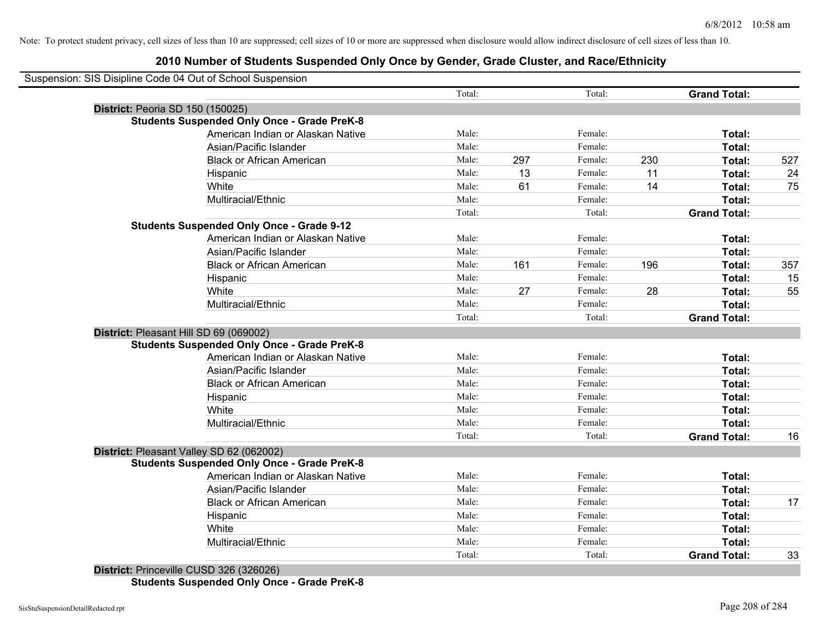## **2010 Number of Students Suspended Only Once by Gender, Grade Cluster, and Race/Ethnicity**

| Suspension: SIS Disipline Code 04 Out of School Suspension |                                                    |        |     |         |     |                     |     |
|------------------------------------------------------------|----------------------------------------------------|--------|-----|---------|-----|---------------------|-----|
|                                                            |                                                    | Total: |     | Total:  |     | <b>Grand Total:</b> |     |
| District: Peoria SD 150 (150025)                           |                                                    |        |     |         |     |                     |     |
|                                                            | <b>Students Suspended Only Once - Grade PreK-8</b> |        |     |         |     |                     |     |
|                                                            | American Indian or Alaskan Native                  | Male:  |     | Female: |     | Total:              |     |
|                                                            | Asian/Pacific Islander                             | Male:  |     | Female: |     | Total:              |     |
|                                                            | <b>Black or African American</b>                   | Male:  | 297 | Female: | 230 | Total:              | 527 |
|                                                            | Hispanic                                           | Male:  | 13  | Female: | 11  | Total:              | 24  |
|                                                            | White                                              | Male:  | 61  | Female: | 14  | Total:              | 75  |
|                                                            | Multiracial/Ethnic                                 | Male:  |     | Female: |     | Total:              |     |
|                                                            |                                                    | Total: |     | Total:  |     | <b>Grand Total:</b> |     |
|                                                            | <b>Students Suspended Only Once - Grade 9-12</b>   |        |     |         |     |                     |     |
|                                                            | American Indian or Alaskan Native                  | Male:  |     | Female: |     | Total:              |     |
|                                                            | Asian/Pacific Islander                             | Male:  |     | Female: |     | Total:              |     |
|                                                            | <b>Black or African American</b>                   | Male:  | 161 | Female: | 196 | Total:              | 357 |
|                                                            | Hispanic                                           | Male:  |     | Female: |     | Total:              | 15  |
|                                                            | White                                              | Male:  | 27  | Female: | 28  | Total:              | 55  |
|                                                            | Multiracial/Ethnic                                 | Male:  |     | Female: |     | Total:              |     |
|                                                            |                                                    | Total: |     | Total:  |     | <b>Grand Total:</b> |     |
| District: Pleasant Hill SD 69 (069002)                     |                                                    |        |     |         |     |                     |     |
|                                                            | <b>Students Suspended Only Once - Grade PreK-8</b> |        |     |         |     |                     |     |
|                                                            | American Indian or Alaskan Native                  | Male:  |     | Female: |     | Total:              |     |
|                                                            | Asian/Pacific Islander                             | Male:  |     | Female: |     | Total:              |     |
|                                                            | <b>Black or African American</b>                   | Male:  |     | Female: |     | Total:              |     |
|                                                            | Hispanic                                           | Male:  |     | Female: |     | Total:              |     |
|                                                            | White                                              | Male:  |     | Female: |     | Total:              |     |
|                                                            | Multiracial/Ethnic                                 | Male:  |     | Female: |     | <b>Total:</b>       |     |
|                                                            |                                                    | Total: |     | Total:  |     | <b>Grand Total:</b> | 16  |
| District: Pleasant Valley SD 62 (062002)                   |                                                    |        |     |         |     |                     |     |
|                                                            | <b>Students Suspended Only Once - Grade PreK-8</b> |        |     |         |     |                     |     |
|                                                            | American Indian or Alaskan Native                  | Male:  |     | Female: |     | Total:              |     |
|                                                            | Asian/Pacific Islander                             | Male:  |     | Female: |     | Total:              |     |
|                                                            | <b>Black or African American</b>                   | Male:  |     | Female: |     | Total:              | 17  |
|                                                            | Hispanic                                           | Male:  |     | Female: |     | Total:              |     |
|                                                            | White                                              | Male:  |     | Female: |     | Total:              |     |
|                                                            | Multiracial/Ethnic                                 | Male:  |     | Female: |     | <b>Total:</b>       |     |
|                                                            |                                                    | Total: |     | Total:  |     | <b>Grand Total:</b> | 33  |

**District:** Princeville CUSD 326 (326026) **Students Suspended Only Once - Grade PreK-8**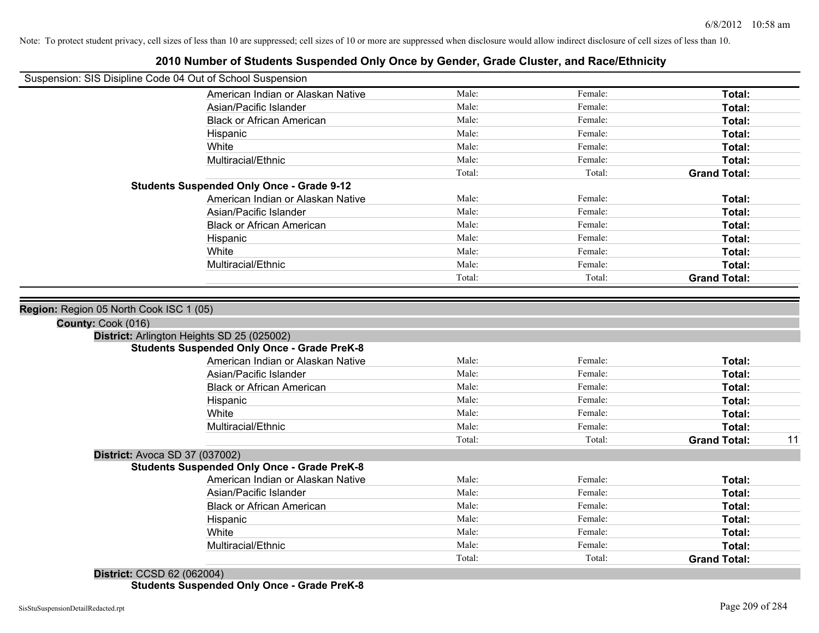| Suspension: SIS Disipline Code 04 Out of School Suspension |                                                                                         |        |         |                     |    |
|------------------------------------------------------------|-----------------------------------------------------------------------------------------|--------|---------|---------------------|----|
|                                                            | American Indian or Alaskan Native                                                       | Male:  | Female: | Total:              |    |
|                                                            | Asian/Pacific Islander                                                                  | Male:  | Female: | Total:              |    |
|                                                            | <b>Black or African American</b>                                                        | Male:  | Female: | Total:              |    |
|                                                            | Hispanic                                                                                | Male:  | Female: | <b>Total:</b>       |    |
|                                                            | White                                                                                   | Male:  | Female: | Total:              |    |
|                                                            | Multiracial/Ethnic                                                                      | Male:  | Female: | <b>Total:</b>       |    |
|                                                            |                                                                                         | Total: | Total:  | <b>Grand Total:</b> |    |
|                                                            | <b>Students Suspended Only Once - Grade 9-12</b>                                        |        |         |                     |    |
|                                                            | American Indian or Alaskan Native                                                       | Male:  | Female: | Total:              |    |
|                                                            | Asian/Pacific Islander                                                                  | Male:  | Female: | Total:              |    |
|                                                            | <b>Black or African American</b>                                                        | Male:  | Female: | Total:              |    |
|                                                            | Hispanic                                                                                | Male:  | Female: | Total:              |    |
|                                                            | White                                                                                   | Male:  | Female: | Total:              |    |
|                                                            | Multiracial/Ethnic                                                                      | Male:  | Female: | <b>Total:</b>       |    |
|                                                            |                                                                                         | Total: | Total:  | <b>Grand Total:</b> |    |
|                                                            |                                                                                         |        |         |                     |    |
| Region: Region 05 North Cook ISC 1 (05)                    |                                                                                         |        |         |                     |    |
| County: Cook (016)                                         |                                                                                         |        |         |                     |    |
|                                                            | District: Arlington Heights SD 25 (025002)                                              |        |         |                     |    |
|                                                            | <b>Students Suspended Only Once - Grade PreK-8</b><br>American Indian or Alaskan Native | Male:  | Female: | Total:              |    |
|                                                            |                                                                                         | Male:  | Female: |                     |    |
|                                                            | Asian/Pacific Islander                                                                  | Male:  | Female: | Total:              |    |
|                                                            | <b>Black or African American</b>                                                        | Male:  | Female: | Total:<br>Total:    |    |
|                                                            | Hispanic<br>White                                                                       | Male:  | Female: | <b>Total:</b>       |    |
|                                                            | Multiracial/Ethnic                                                                      | Male:  | Female: | Total:              |    |
|                                                            |                                                                                         | Total: | Total:  | <b>Grand Total:</b> |    |
|                                                            | District: Avoca SD 37 (037002)                                                          |        |         |                     |    |
|                                                            | <b>Students Suspended Only Once - Grade PreK-8</b>                                      |        |         |                     |    |
|                                                            | American Indian or Alaskan Native                                                       | Male:  | Female: | <b>Total:</b>       |    |
|                                                            | Asian/Pacific Islander                                                                  | Male:  | Female: | Total:              |    |
|                                                            | <b>Black or African American</b>                                                        | Male:  | Female: | Total:              |    |
|                                                            | Hispanic                                                                                | Male:  | Female: | Total:              |    |
|                                                            | White                                                                                   | Male:  | Female: | Total:              |    |
|                                                            | Multiracial/Ethnic                                                                      | Male:  | Female: | Total:              | 11 |

## **2010 Number of Students Suspended Only Once by Gender, Grade Cluster, and Race/Ethnicity**

**District:** CCSD 62 (062004) **Students Suspended Only Once - Grade PreK-8**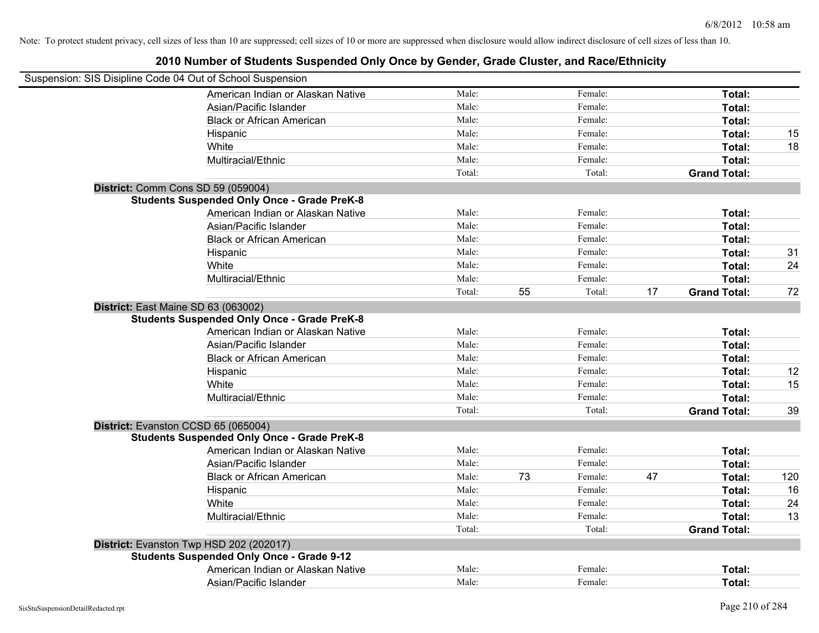| Suspension: SIS Disipline Code 04 Out of School Suspension |        |    |         |    |                     |     |
|------------------------------------------------------------|--------|----|---------|----|---------------------|-----|
| American Indian or Alaskan Native                          | Male:  |    | Female: |    | Total:              |     |
| Asian/Pacific Islander                                     | Male:  |    | Female: |    | Total:              |     |
| <b>Black or African American</b>                           | Male:  |    | Female: |    | Total:              |     |
| Hispanic                                                   | Male:  |    | Female: |    | Total:              | 15  |
| White                                                      | Male:  |    | Female: |    | Total:              | 18  |
| Multiracial/Ethnic                                         | Male:  |    | Female: |    | Total:              |     |
|                                                            | Total: |    | Total:  |    | <b>Grand Total:</b> |     |
| District: Comm Cons SD 59 (059004)                         |        |    |         |    |                     |     |
| <b>Students Suspended Only Once - Grade PreK-8</b>         |        |    |         |    |                     |     |
| American Indian or Alaskan Native                          | Male:  |    | Female: |    | Total:              |     |
| Asian/Pacific Islander                                     | Male:  |    | Female: |    | Total:              |     |
| <b>Black or African American</b>                           | Male:  |    | Female: |    | Total:              |     |
| Hispanic                                                   | Male:  |    | Female: |    | Total:              | 31  |
| White                                                      | Male:  |    | Female: |    | Total:              | 24  |
| Multiracial/Ethnic                                         | Male:  |    | Female: |    | Total:              |     |
|                                                            | Total: | 55 | Total:  | 17 | <b>Grand Total:</b> | 72  |
| District: East Maine SD 63 (063002)                        |        |    |         |    |                     |     |
| <b>Students Suspended Only Once - Grade PreK-8</b>         |        |    |         |    |                     |     |
| American Indian or Alaskan Native                          | Male:  |    | Female: |    | Total:              |     |
| Asian/Pacific Islander                                     | Male:  |    | Female: |    | Total:              |     |
| <b>Black or African American</b>                           | Male:  |    | Female: |    | Total:              |     |
| Hispanic                                                   | Male:  |    | Female: |    | Total:              | 12  |
| White                                                      | Male:  |    | Female: |    | Total:              | 15  |
| Multiracial/Ethnic                                         | Male:  |    | Female: |    | Total:              |     |
|                                                            | Total: |    | Total:  |    | <b>Grand Total:</b> | 39  |
| District: Evanston CCSD 65 (065004)                        |        |    |         |    |                     |     |
| <b>Students Suspended Only Once - Grade PreK-8</b>         |        |    |         |    |                     |     |
| American Indian or Alaskan Native                          | Male:  |    | Female: |    | Total:              |     |
| Asian/Pacific Islander                                     | Male:  |    | Female: |    | Total:              |     |
| <b>Black or African American</b>                           | Male:  | 73 | Female: | 47 | Total:              | 120 |
| Hispanic                                                   | Male:  |    | Female: |    | Total:              | 16  |
| White                                                      | Male:  |    | Female: |    | Total:              | 24  |
| Multiracial/Ethnic                                         | Male:  |    | Female: |    | Total:              | 13  |
|                                                            | Total: |    | Total:  |    | <b>Grand Total:</b> |     |
| District: Evanston Twp HSD 202 (202017)                    |        |    |         |    |                     |     |
| <b>Students Suspended Only Once - Grade 9-12</b>           |        |    |         |    |                     |     |
| American Indian or Alaskan Native                          | Male:  |    | Female: |    | Total:              |     |
| Asian/Pacific Islander                                     | Male:  |    | Female: |    | Total:              |     |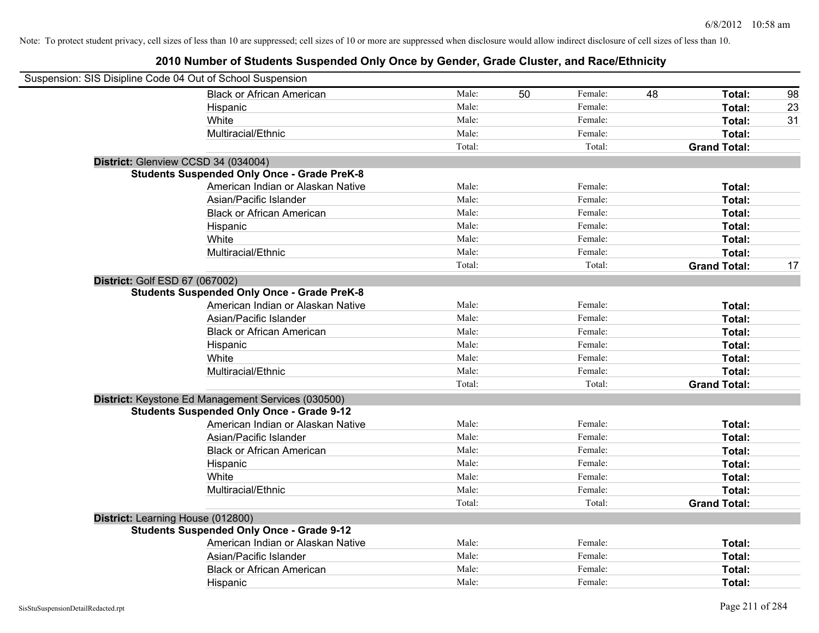| Suspension: SIS Disipline Code 04 Out of School Suspension |        |    |         |    |                     |    |
|------------------------------------------------------------|--------|----|---------|----|---------------------|----|
| <b>Black or African American</b>                           | Male:  | 50 | Female: | 48 | Total:              | 98 |
| Hispanic                                                   | Male:  |    | Female: |    | <b>Total:</b>       | 23 |
| White                                                      | Male:  |    | Female: |    | Total:              | 31 |
| Multiracial/Ethnic                                         | Male:  |    | Female: |    | Total:              |    |
|                                                            | Total: |    | Total:  |    | <b>Grand Total:</b> |    |
| District: Glenview CCSD 34 (034004)                        |        |    |         |    |                     |    |
| <b>Students Suspended Only Once - Grade PreK-8</b>         |        |    |         |    |                     |    |
| American Indian or Alaskan Native                          | Male:  |    | Female: |    | Total:              |    |
| Asian/Pacific Islander                                     | Male:  |    | Female: |    | Total:              |    |
| <b>Black or African American</b>                           | Male:  |    | Female: |    | Total:              |    |
| Hispanic                                                   | Male:  |    | Female: |    | Total:              |    |
| White                                                      | Male:  |    | Female: |    | Total:              |    |
| Multiracial/Ethnic                                         | Male:  |    | Female: |    | Total:              |    |
|                                                            | Total: |    | Total:  |    | <b>Grand Total:</b> | 17 |
| District: Golf ESD 67 (067002)                             |        |    |         |    |                     |    |
| <b>Students Suspended Only Once - Grade PreK-8</b>         |        |    |         |    |                     |    |
| American Indian or Alaskan Native                          | Male:  |    | Female: |    | Total:              |    |
| Asian/Pacific Islander                                     | Male:  |    | Female: |    | Total:              |    |
| <b>Black or African American</b>                           | Male:  |    | Female: |    | Total:              |    |
| Hispanic                                                   | Male:  |    | Female: |    | Total:              |    |
| White                                                      | Male:  |    | Female: |    | Total:              |    |
| Multiracial/Ethnic                                         | Male:  |    | Female: |    | Total:              |    |
|                                                            | Total: |    | Total:  |    | <b>Grand Total:</b> |    |
| District: Keystone Ed Management Services (030500)         |        |    |         |    |                     |    |
| <b>Students Suspended Only Once - Grade 9-12</b>           |        |    |         |    |                     |    |
| American Indian or Alaskan Native                          | Male:  |    | Female: |    | Total:              |    |
| Asian/Pacific Islander                                     | Male:  |    | Female: |    | Total:              |    |
| <b>Black or African American</b>                           | Male:  |    | Female: |    | Total:              |    |
| Hispanic                                                   | Male:  |    | Female: |    | Total:              |    |
| White                                                      | Male:  |    | Female: |    | Total:              |    |
| Multiracial/Ethnic                                         | Male:  |    | Female: |    | Total:              |    |
|                                                            | Total: |    | Total:  |    | <b>Grand Total:</b> |    |
| District: Learning House (012800)                          |        |    |         |    |                     |    |
| <b>Students Suspended Only Once - Grade 9-12</b>           |        |    |         |    |                     |    |
| American Indian or Alaskan Native                          | Male:  |    | Female: |    | Total:              |    |
| Asian/Pacific Islander                                     | Male:  |    | Female: |    | Total:              |    |
| <b>Black or African American</b>                           | Male:  |    | Female: |    | Total:              |    |
| Hispanic                                                   | Male:  |    | Female: |    | Total:              |    |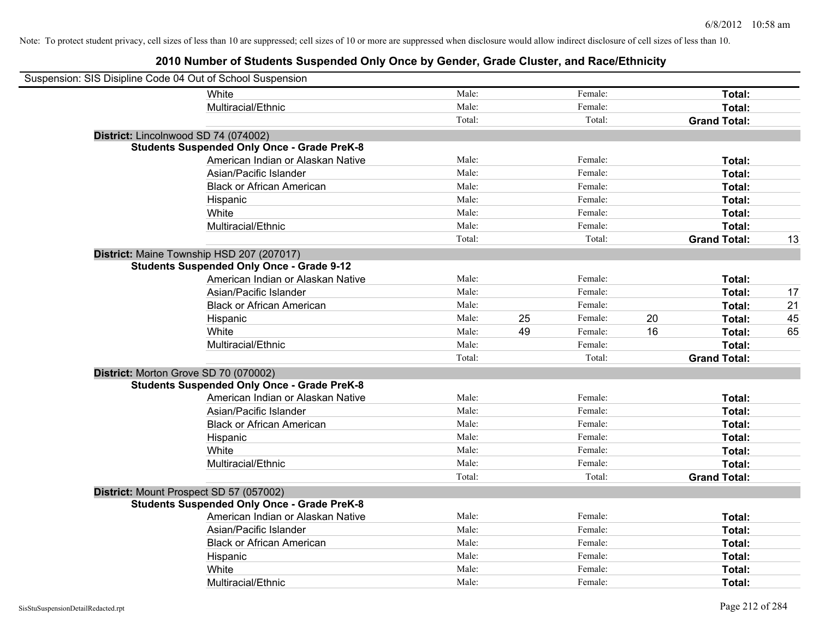| Suspension: SIS Disipline Code 04 Out of School Suspension |                                                    |        |    |         |    |                     |    |
|------------------------------------------------------------|----------------------------------------------------|--------|----|---------|----|---------------------|----|
|                                                            | <b>White</b>                                       | Male:  |    | Female: |    | Total:              |    |
|                                                            | Multiracial/Ethnic                                 | Male:  |    | Female: |    | Total:              |    |
|                                                            |                                                    | Total: |    | Total:  |    | <b>Grand Total:</b> |    |
| District: Lincolnwood SD 74 (074002)                       |                                                    |        |    |         |    |                     |    |
|                                                            | <b>Students Suspended Only Once - Grade PreK-8</b> |        |    |         |    |                     |    |
|                                                            | American Indian or Alaskan Native                  | Male:  |    | Female: |    | Total:              |    |
|                                                            | Asian/Pacific Islander                             | Male:  |    | Female: |    | Total:              |    |
|                                                            | <b>Black or African American</b>                   | Male:  |    | Female: |    | Total:              |    |
|                                                            | Hispanic                                           | Male:  |    | Female: |    | Total:              |    |
|                                                            | White                                              | Male:  |    | Female: |    | Total:              |    |
|                                                            | Multiracial/Ethnic                                 | Male:  |    | Female: |    | Total:              |    |
|                                                            |                                                    | Total: |    | Total:  |    | <b>Grand Total:</b> | 13 |
|                                                            | District: Maine Township HSD 207 (207017)          |        |    |         |    |                     |    |
|                                                            | <b>Students Suspended Only Once - Grade 9-12</b>   |        |    |         |    |                     |    |
|                                                            | American Indian or Alaskan Native                  | Male:  |    | Female: |    | Total:              |    |
|                                                            | Asian/Pacific Islander                             | Male:  |    | Female: |    | Total:              | 17 |
|                                                            | <b>Black or African American</b>                   | Male:  |    | Female: |    | Total:              | 21 |
|                                                            | Hispanic                                           | Male:  | 25 | Female: | 20 | Total:              | 45 |
|                                                            | White                                              | Male:  | 49 | Female: | 16 | Total:              | 65 |
|                                                            | Multiracial/Ethnic                                 | Male:  |    | Female: |    | Total:              |    |
|                                                            |                                                    | Total: |    | Total:  |    | <b>Grand Total:</b> |    |
| District: Morton Grove SD 70 (070002)                      |                                                    |        |    |         |    |                     |    |
|                                                            | <b>Students Suspended Only Once - Grade PreK-8</b> |        |    |         |    |                     |    |
|                                                            | American Indian or Alaskan Native                  | Male:  |    | Female: |    | Total:              |    |
|                                                            | Asian/Pacific Islander                             | Male:  |    | Female: |    | Total:              |    |
|                                                            | <b>Black or African American</b>                   | Male:  |    | Female: |    | Total:              |    |
|                                                            | Hispanic                                           | Male:  |    | Female: |    | Total:              |    |
|                                                            | White                                              | Male:  |    | Female: |    | Total:              |    |
|                                                            | Multiracial/Ethnic                                 | Male:  |    | Female: |    | Total:              |    |
|                                                            |                                                    | Total: |    | Total:  |    | <b>Grand Total:</b> |    |
| District: Mount Prospect SD 57 (057002)                    |                                                    |        |    |         |    |                     |    |
|                                                            | <b>Students Suspended Only Once - Grade PreK-8</b> |        |    |         |    |                     |    |
|                                                            | American Indian or Alaskan Native                  | Male:  |    | Female: |    | Total:              |    |
|                                                            | Asian/Pacific Islander                             | Male:  |    | Female: |    | Total:              |    |
|                                                            | <b>Black or African American</b>                   | Male:  |    | Female: |    | Total:              |    |
|                                                            | Hispanic                                           | Male:  |    | Female: |    | Total:              |    |
|                                                            | White                                              | Male:  |    | Female: |    | Total:              |    |
|                                                            | Multiracial/Ethnic                                 | Male:  |    | Female: |    | Total:              |    |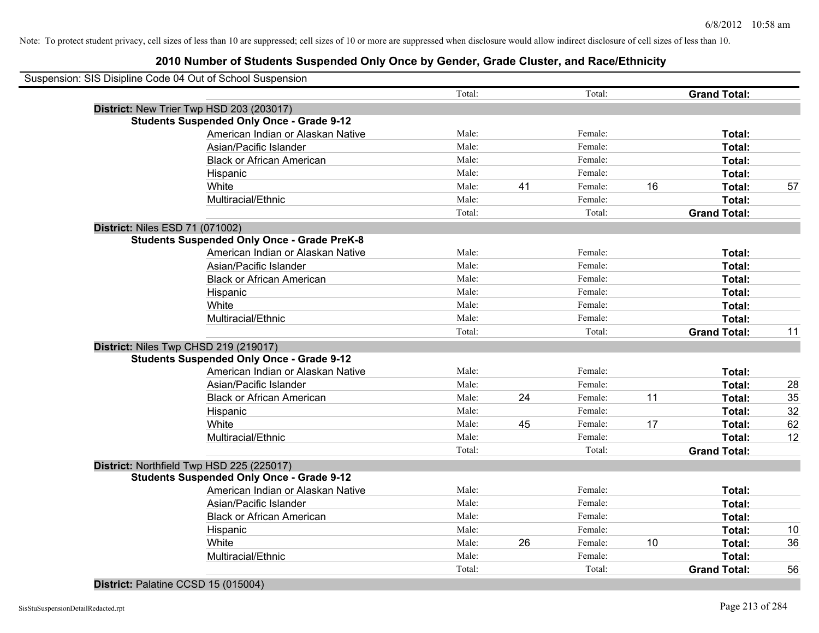## **2010 Number of Students Suspended Only Once by Gender, Grade Cluster, and Race/Ethnicity**

|                                        | Suspension: SIS Disipline Code 04 Out of School Suspension |        |    |         |    |                     |    |
|----------------------------------------|------------------------------------------------------------|--------|----|---------|----|---------------------|----|
|                                        |                                                            | Total: |    | Total:  |    | <b>Grand Total:</b> |    |
|                                        | District: New Trier Twp HSD 203 (203017)                   |        |    |         |    |                     |    |
|                                        | <b>Students Suspended Only Once - Grade 9-12</b>           |        |    |         |    |                     |    |
|                                        | American Indian or Alaskan Native                          | Male:  |    | Female: |    | Total:              |    |
|                                        | Asian/Pacific Islander                                     | Male:  |    | Female: |    | Total:              |    |
|                                        | <b>Black or African American</b>                           | Male:  |    | Female: |    | Total:              |    |
|                                        | Hispanic                                                   | Male:  |    | Female: |    | Total:              |    |
|                                        | White                                                      | Male:  | 41 | Female: | 16 | Total:              | 57 |
|                                        | Multiracial/Ethnic                                         | Male:  |    | Female: |    | Total:              |    |
|                                        |                                                            | Total: |    | Total:  |    | <b>Grand Total:</b> |    |
| <b>District: Niles ESD 71 (071002)</b> |                                                            |        |    |         |    |                     |    |
|                                        | <b>Students Suspended Only Once - Grade PreK-8</b>         |        |    |         |    |                     |    |
|                                        | American Indian or Alaskan Native                          | Male:  |    | Female: |    | Total:              |    |
|                                        | Asian/Pacific Islander                                     | Male:  |    | Female: |    | Total:              |    |
|                                        | <b>Black or African American</b>                           | Male:  |    | Female: |    | Total:              |    |
|                                        | Hispanic                                                   | Male:  |    | Female: |    | Total:              |    |
|                                        | White                                                      | Male:  |    | Female: |    | Total:              |    |
|                                        | Multiracial/Ethnic                                         | Male:  |    | Female: |    | Total:              |    |
|                                        |                                                            | Total: |    | Total:  |    | <b>Grand Total:</b> | 11 |
|                                        | District: Niles Twp CHSD 219 (219017)                      |        |    |         |    |                     |    |
|                                        | <b>Students Suspended Only Once - Grade 9-12</b>           |        |    |         |    |                     |    |
|                                        | American Indian or Alaskan Native                          | Male:  |    | Female: |    | Total:              |    |
|                                        | Asian/Pacific Islander                                     | Male:  |    | Female: |    | Total:              | 28 |
|                                        | <b>Black or African American</b>                           | Male:  | 24 | Female: | 11 | Total:              | 35 |
|                                        | Hispanic                                                   | Male:  |    | Female: |    | Total:              | 32 |
|                                        | White                                                      | Male:  | 45 | Female: | 17 | Total:              | 62 |
|                                        | Multiracial/Ethnic                                         | Male:  |    | Female: |    | Total:              | 12 |
|                                        |                                                            | Total: |    | Total:  |    | <b>Grand Total:</b> |    |
|                                        | District: Northfield Twp HSD 225 (225017)                  |        |    |         |    |                     |    |
|                                        | <b>Students Suspended Only Once - Grade 9-12</b>           |        |    |         |    |                     |    |
|                                        | American Indian or Alaskan Native                          | Male:  |    | Female: |    | Total:              |    |
|                                        | Asian/Pacific Islander                                     | Male:  |    | Female: |    | Total:              |    |
|                                        | <b>Black or African American</b>                           | Male:  |    | Female: |    | Total:              |    |
|                                        | Hispanic                                                   | Male:  |    | Female: |    | Total:              | 10 |
|                                        | White                                                      | Male:  | 26 | Female: | 10 | Total:              | 36 |
|                                        | Multiracial/Ethnic                                         | Male:  |    | Female: |    | <b>Total:</b>       |    |
|                                        |                                                            | Total: |    | Total:  |    | <b>Grand Total:</b> | 56 |
|                                        |                                                            |        |    |         |    |                     |    |

#### **District:** Palatine CCSD 15 (015004)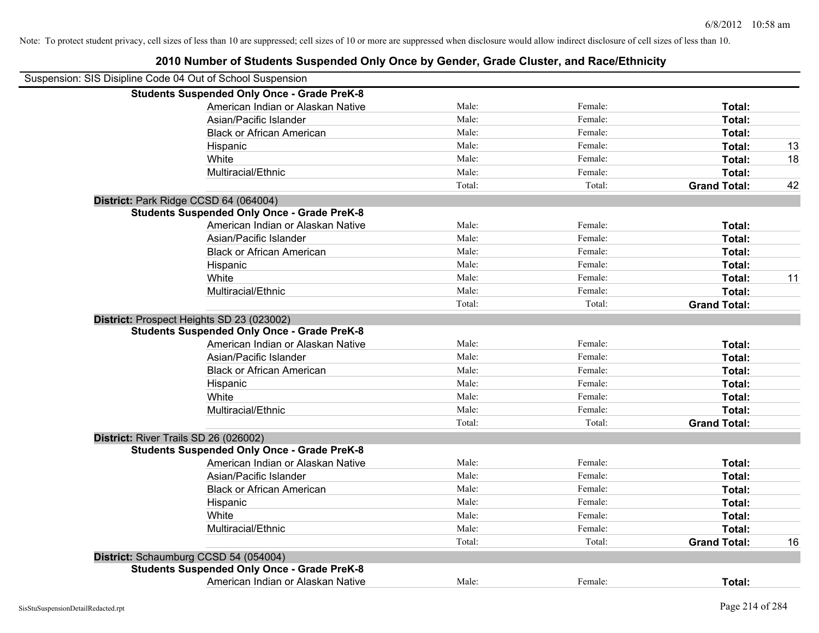| Suspension: SIS Disipline Code 04 Out of School Suspension |                                                    |        |         |                     |    |
|------------------------------------------------------------|----------------------------------------------------|--------|---------|---------------------|----|
|                                                            | <b>Students Suspended Only Once - Grade PreK-8</b> |        |         |                     |    |
|                                                            | American Indian or Alaskan Native                  | Male:  | Female: | Total:              |    |
|                                                            | Asian/Pacific Islander                             | Male:  | Female: | Total:              |    |
|                                                            | <b>Black or African American</b>                   | Male:  | Female: | Total:              |    |
|                                                            | Hispanic                                           | Male:  | Female: | Total:              | 13 |
|                                                            | White                                              | Male:  | Female: | Total:              | 18 |
|                                                            | Multiracial/Ethnic                                 | Male:  | Female: | Total:              |    |
|                                                            |                                                    | Total: | Total:  | <b>Grand Total:</b> | 42 |
|                                                            | District: Park Ridge CCSD 64 (064004)              |        |         |                     |    |
|                                                            | <b>Students Suspended Only Once - Grade PreK-8</b> |        |         |                     |    |
|                                                            | American Indian or Alaskan Native                  | Male:  | Female: | Total:              |    |
|                                                            | Asian/Pacific Islander                             | Male:  | Female: | Total:              |    |
|                                                            | <b>Black or African American</b>                   | Male:  | Female: | Total:              |    |
|                                                            | Hispanic                                           | Male:  | Female: | Total:              |    |
|                                                            | White                                              | Male:  | Female: | Total:              | 11 |
|                                                            | Multiracial/Ethnic                                 | Male:  | Female: | Total:              |    |
|                                                            |                                                    | Total: | Total:  | <b>Grand Total:</b> |    |
|                                                            | District: Prospect Heights SD 23 (023002)          |        |         |                     |    |
|                                                            | <b>Students Suspended Only Once - Grade PreK-8</b> |        |         |                     |    |
|                                                            | American Indian or Alaskan Native                  | Male:  | Female: | Total:              |    |
|                                                            | Asian/Pacific Islander                             | Male:  | Female: | Total:              |    |
|                                                            | <b>Black or African American</b>                   | Male:  | Female: | Total:              |    |
|                                                            | Hispanic                                           | Male:  | Female: | Total:              |    |
|                                                            | White                                              | Male:  | Female: | Total:              |    |
|                                                            | Multiracial/Ethnic                                 | Male:  | Female: | Total:              |    |
|                                                            |                                                    | Total: | Total:  | <b>Grand Total:</b> |    |
|                                                            | District: River Trails SD 26 (026002)              |        |         |                     |    |
|                                                            | <b>Students Suspended Only Once - Grade PreK-8</b> |        |         |                     |    |
|                                                            | American Indian or Alaskan Native                  | Male:  | Female: | Total:              |    |
|                                                            | Asian/Pacific Islander                             | Male:  | Female: | Total:              |    |
|                                                            | <b>Black or African American</b>                   | Male:  | Female: | Total:              |    |
|                                                            | Hispanic                                           | Male:  | Female: | Total:              |    |
|                                                            | White                                              | Male:  | Female: | Total:              |    |
|                                                            | Multiracial/Ethnic                                 | Male:  | Female: | Total:              |    |
|                                                            |                                                    | Total: | Total:  | <b>Grand Total:</b> | 16 |
|                                                            | District: Schaumburg CCSD 54 (054004)              |        |         |                     |    |
|                                                            | <b>Students Suspended Only Once - Grade PreK-8</b> |        |         |                     |    |
|                                                            | American Indian or Alaskan Native                  | Male:  | Female: | Total:              |    |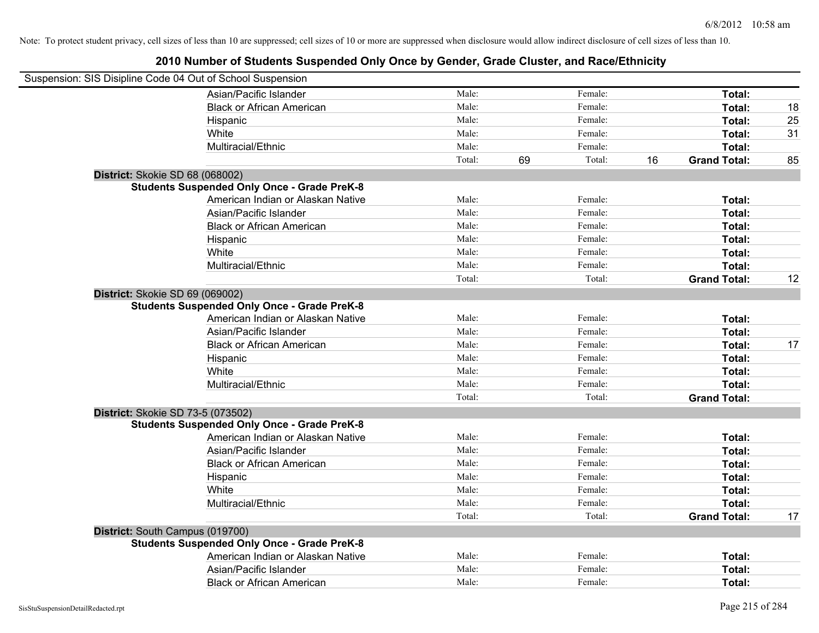| Suspension: SIS Disipline Code 04 Out of School Suspension |                                                    |        |              |                           |    |
|------------------------------------------------------------|----------------------------------------------------|--------|--------------|---------------------------|----|
|                                                            | Asian/Pacific Islander                             | Male:  | Female:      | Total:                    |    |
|                                                            | <b>Black or African American</b>                   | Male:  | Female:      | Total:                    | 18 |
|                                                            | Hispanic                                           | Male:  | Female:      | Total:                    | 25 |
|                                                            | White                                              | Male:  | Female:      | Total:                    | 31 |
|                                                            | Multiracial/Ethnic                                 | Male:  | Female:      | Total:                    |    |
|                                                            |                                                    | Total: | 69<br>Total: | 16<br><b>Grand Total:</b> | 85 |
| District: Skokie SD 68 (068002)                            |                                                    |        |              |                           |    |
|                                                            | <b>Students Suspended Only Once - Grade PreK-8</b> |        |              |                           |    |
|                                                            | American Indian or Alaskan Native                  | Male:  | Female:      | Total:                    |    |
|                                                            | Asian/Pacific Islander                             | Male:  | Female:      | Total:                    |    |
|                                                            | <b>Black or African American</b>                   | Male:  | Female:      | Total:                    |    |
|                                                            | Hispanic                                           | Male:  | Female:      | Total:                    |    |
|                                                            | White                                              | Male:  | Female:      | Total:                    |    |
|                                                            | Multiracial/Ethnic                                 | Male:  | Female:      | Total:                    |    |
|                                                            |                                                    | Total: | Total:       | <b>Grand Total:</b>       | 12 |
| District: Skokie SD 69 (069002)                            |                                                    |        |              |                           |    |
|                                                            | <b>Students Suspended Only Once - Grade PreK-8</b> |        |              |                           |    |
|                                                            | American Indian or Alaskan Native                  | Male:  | Female:      | Total:                    |    |
|                                                            | Asian/Pacific Islander                             | Male:  | Female:      | Total:                    |    |
|                                                            | <b>Black or African American</b>                   | Male:  | Female:      | Total:                    | 17 |
|                                                            | Hispanic                                           | Male:  | Female:      | Total:                    |    |
|                                                            | White                                              | Male:  | Female:      | Total:                    |    |
|                                                            | Multiracial/Ethnic                                 | Male:  | Female:      | Total:                    |    |
|                                                            |                                                    | Total: | Total:       | <b>Grand Total:</b>       |    |
| District: Skokie SD 73-5 (073502)                          |                                                    |        |              |                           |    |
|                                                            | <b>Students Suspended Only Once - Grade PreK-8</b> |        |              |                           |    |
|                                                            | American Indian or Alaskan Native                  | Male:  | Female:      | Total:                    |    |
|                                                            | Asian/Pacific Islander                             | Male:  | Female:      | Total:                    |    |
|                                                            | <b>Black or African American</b>                   | Male:  | Female:      | Total:                    |    |
|                                                            | Hispanic                                           | Male:  | Female:      | Total:                    |    |
|                                                            | White                                              | Male:  | Female:      | Total:                    |    |
|                                                            | Multiracial/Ethnic                                 | Male:  | Female:      | Total:                    |    |
|                                                            |                                                    | Total: | Total:       | <b>Grand Total:</b>       | 17 |
| District: South Campus (019700)                            |                                                    |        |              |                           |    |
|                                                            | <b>Students Suspended Only Once - Grade PreK-8</b> |        |              |                           |    |
|                                                            | American Indian or Alaskan Native                  | Male:  | Female:      | Total:                    |    |
|                                                            | Asian/Pacific Islander                             | Male:  | Female:      | Total:                    |    |
|                                                            | <b>Black or African American</b>                   | Male:  | Female:      | Total:                    |    |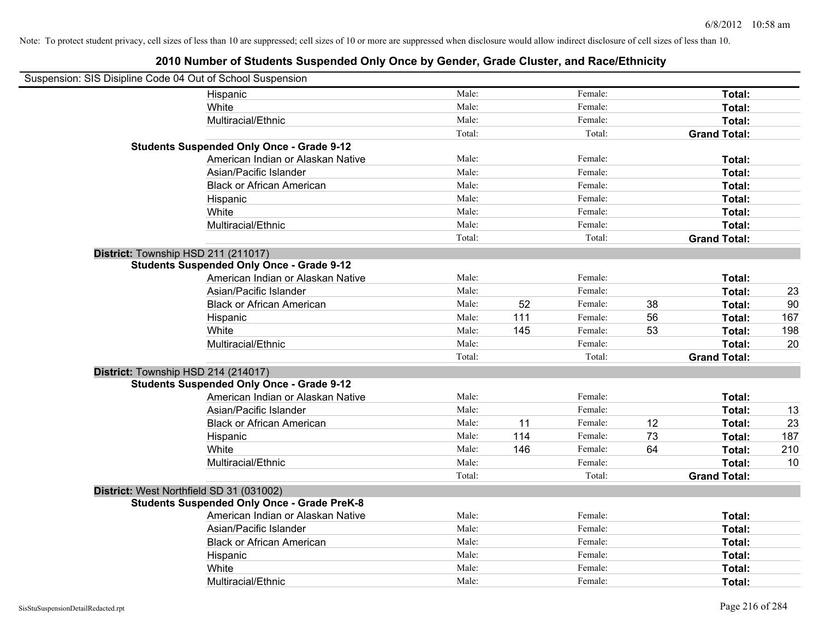| Suspension: SIS Disipline Code 04 Out of School Suspension |        |     |         |    |                     |     |
|------------------------------------------------------------|--------|-----|---------|----|---------------------|-----|
| Hispanic                                                   | Male:  |     | Female: |    | Total:              |     |
| White                                                      | Male:  |     | Female: |    | Total:              |     |
| Multiracial/Ethnic                                         | Male:  |     | Female: |    | Total:              |     |
|                                                            | Total: |     | Total:  |    | <b>Grand Total:</b> |     |
| <b>Students Suspended Only Once - Grade 9-12</b>           |        |     |         |    |                     |     |
| American Indian or Alaskan Native                          | Male:  |     | Female: |    | Total:              |     |
| Asian/Pacific Islander                                     | Male:  |     | Female: |    | Total:              |     |
| <b>Black or African American</b>                           | Male:  |     | Female: |    | Total:              |     |
| Hispanic                                                   | Male:  |     | Female: |    | Total:              |     |
| White                                                      | Male:  |     | Female: |    | Total:              |     |
| Multiracial/Ethnic                                         | Male:  |     | Female: |    | Total:              |     |
|                                                            | Total: |     | Total:  |    | <b>Grand Total:</b> |     |
| District: Township HSD 211 (211017)                        |        |     |         |    |                     |     |
| <b>Students Suspended Only Once - Grade 9-12</b>           |        |     |         |    |                     |     |
| American Indian or Alaskan Native                          | Male:  |     | Female: |    | Total:              |     |
| Asian/Pacific Islander                                     | Male:  |     | Female: |    | Total:              | 23  |
| <b>Black or African American</b>                           | Male:  | 52  | Female: | 38 | Total:              | 90  |
| Hispanic                                                   | Male:  | 111 | Female: | 56 | Total:              | 167 |
| White                                                      | Male:  | 145 | Female: | 53 | Total:              | 198 |
| Multiracial/Ethnic                                         | Male:  |     | Female: |    | Total:              | 20  |
|                                                            | Total: |     | Total:  |    | <b>Grand Total:</b> |     |
| District: Township HSD 214 (214017)                        |        |     |         |    |                     |     |
| <b>Students Suspended Only Once - Grade 9-12</b>           |        |     |         |    |                     |     |
| American Indian or Alaskan Native                          | Male:  |     | Female: |    | Total:              |     |
| Asian/Pacific Islander                                     | Male:  |     | Female: |    | Total:              | 13  |
| <b>Black or African American</b>                           | Male:  | 11  | Female: | 12 | Total:              | 23  |
| Hispanic                                                   | Male:  | 114 | Female: | 73 | Total:              | 187 |
| White                                                      | Male:  | 146 | Female: | 64 | Total:              | 210 |
| Multiracial/Ethnic                                         | Male:  |     | Female: |    | Total:              | 10  |
|                                                            | Total: |     | Total:  |    | <b>Grand Total:</b> |     |
| District: West Northfield SD 31 (031002)                   |        |     |         |    |                     |     |
| <b>Students Suspended Only Once - Grade PreK-8</b>         |        |     |         |    |                     |     |
| American Indian or Alaskan Native                          | Male:  |     | Female: |    | Total:              |     |
| Asian/Pacific Islander                                     | Male:  |     | Female: |    | Total:              |     |
| <b>Black or African American</b>                           | Male:  |     | Female: |    | Total:              |     |
| Hispanic                                                   | Male:  |     | Female: |    | Total:              |     |
| White                                                      | Male:  |     | Female: |    | Total:              |     |
| Multiracial/Ethnic                                         | Male:  |     | Female: |    | Total:              |     |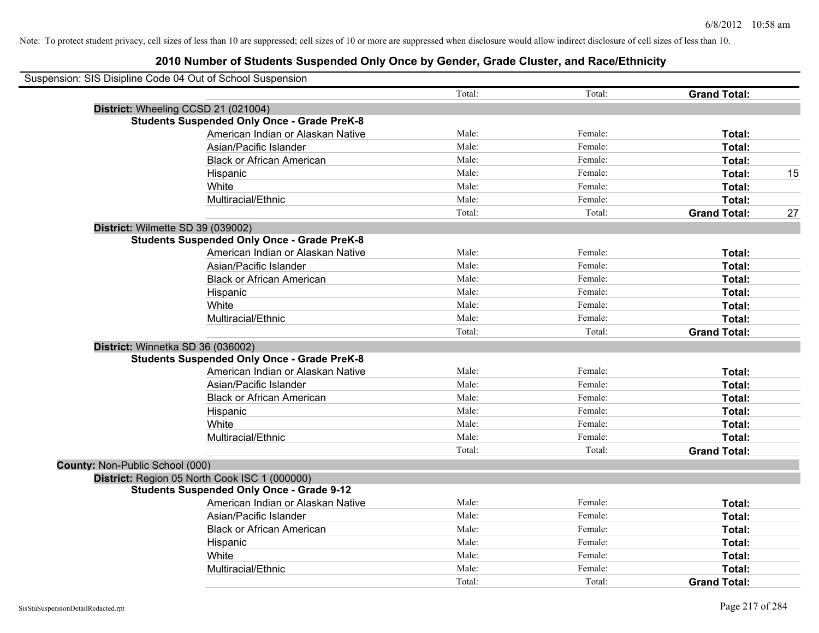| Suspension: SIS Disipline Code 04 Out of School Suspension |        |         |                     |    |
|------------------------------------------------------------|--------|---------|---------------------|----|
|                                                            | Total: | Total:  | <b>Grand Total:</b> |    |
| District: Wheeling CCSD 21 (021004)                        |        |         |                     |    |
| <b>Students Suspended Only Once - Grade PreK-8</b>         |        |         |                     |    |
| American Indian or Alaskan Native                          | Male:  | Female: | Total:              |    |
| Asian/Pacific Islander                                     | Male:  | Female: | Total:              |    |
| <b>Black or African American</b>                           | Male:  | Female: | Total:              |    |
| Hispanic                                                   | Male:  | Female: | Total:              | 15 |
| White                                                      | Male:  | Female: | Total:              |    |
| Multiracial/Ethnic                                         | Male:  | Female: | Total:              |    |
|                                                            | Total: | Total:  | <b>Grand Total:</b> | 27 |
| District: Wilmette SD 39 (039002)                          |        |         |                     |    |
| <b>Students Suspended Only Once - Grade PreK-8</b>         |        |         |                     |    |
| American Indian or Alaskan Native                          | Male:  | Female: | Total:              |    |
| Asian/Pacific Islander                                     | Male:  | Female: | Total:              |    |
| <b>Black or African American</b>                           | Male:  | Female: | Total:              |    |
| Hispanic                                                   | Male:  | Female: | Total:              |    |
| White                                                      | Male:  | Female: | Total:              |    |
| Multiracial/Ethnic                                         | Male:  | Female: | Total:              |    |
|                                                            | Total: | Total:  | <b>Grand Total:</b> |    |
| District: Winnetka SD 36 (036002)                          |        |         |                     |    |
| <b>Students Suspended Only Once - Grade PreK-8</b>         |        |         |                     |    |
| American Indian or Alaskan Native                          | Male:  | Female: | Total:              |    |
| Asian/Pacific Islander                                     | Male:  | Female: | Total:              |    |
| <b>Black or African American</b>                           | Male:  | Female: | Total:              |    |
| Hispanic                                                   | Male:  | Female: | Total:              |    |
| White                                                      | Male:  | Female: | Total:              |    |
| Multiracial/Ethnic                                         | Male:  | Female: | Total:              |    |
|                                                            | Total: | Total:  | <b>Grand Total:</b> |    |
| County: Non-Public School (000)                            |        |         |                     |    |
| District: Region 05 North Cook ISC 1 (000000)              |        |         |                     |    |
| <b>Students Suspended Only Once - Grade 9-12</b>           |        |         |                     |    |
| American Indian or Alaskan Native                          | Male:  | Female: | Total:              |    |
| Asian/Pacific Islander                                     | Male:  | Female: | Total:              |    |
| <b>Black or African American</b>                           | Male:  | Female: | Total:              |    |
| Hispanic                                                   | Male:  | Female: | Total:              |    |
| White                                                      | Male:  | Female: | Total:              |    |
| Multiracial/Ethnic                                         | Male:  | Female: | Total:              |    |
|                                                            | Total: | Total:  | <b>Grand Total:</b> |    |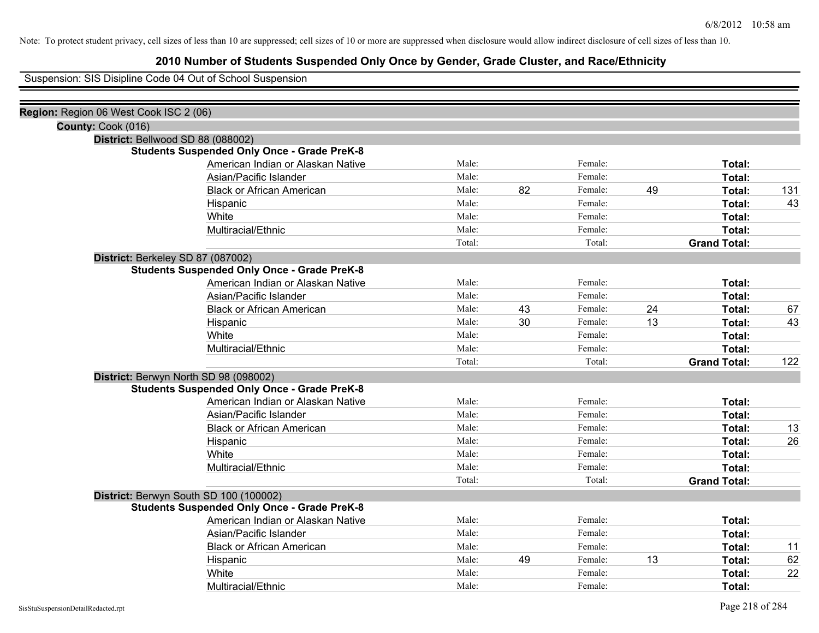## **2010 Number of Students Suspended Only Once by Gender, Grade Cluster, and Race/Ethnicity**

Suspension: SIS Disipline Code 04 Out of School Suspension

| Region: Region 06 West Cook ISC 2 (06) |                                                    |        |    |         |    |                     |     |
|----------------------------------------|----------------------------------------------------|--------|----|---------|----|---------------------|-----|
| County: Cook (016)                     |                                                    |        |    |         |    |                     |     |
|                                        | District: Bellwood SD 88 (088002)                  |        |    |         |    |                     |     |
|                                        | <b>Students Suspended Only Once - Grade PreK-8</b> |        |    |         |    |                     |     |
|                                        | American Indian or Alaskan Native                  | Male:  |    | Female: |    | Total:              |     |
|                                        | Asian/Pacific Islander                             | Male:  |    | Female: |    | Total:              |     |
|                                        | <b>Black or African American</b>                   | Male:  | 82 | Female: | 49 | Total:              | 131 |
|                                        | Hispanic                                           | Male:  |    | Female: |    | Total:              | 43  |
|                                        | White                                              | Male:  |    | Female: |    | Total:              |     |
|                                        | Multiracial/Ethnic                                 | Male:  |    | Female: |    | Total:              |     |
|                                        |                                                    | Total: |    | Total:  |    | <b>Grand Total:</b> |     |
|                                        | District: Berkeley SD 87 (087002)                  |        |    |         |    |                     |     |
|                                        | <b>Students Suspended Only Once - Grade PreK-8</b> |        |    |         |    |                     |     |
|                                        | American Indian or Alaskan Native                  | Male:  |    | Female: |    | Total:              |     |
|                                        | Asian/Pacific Islander                             | Male:  |    | Female: |    | Total:              |     |
|                                        | <b>Black or African American</b>                   | Male:  | 43 | Female: | 24 | Total:              | 67  |
|                                        | Hispanic                                           | Male:  | 30 | Female: | 13 | Total:              | 43  |
|                                        | White                                              | Male:  |    | Female: |    | Total:              |     |
|                                        | Multiracial/Ethnic                                 | Male:  |    | Female: |    | Total:              |     |
|                                        |                                                    | Total: |    | Total:  |    | <b>Grand Total:</b> | 122 |
|                                        | District: Berwyn North SD 98 (098002)              |        |    |         |    |                     |     |
|                                        | <b>Students Suspended Only Once - Grade PreK-8</b> |        |    |         |    |                     |     |
|                                        | American Indian or Alaskan Native                  | Male:  |    | Female: |    | Total:              |     |
|                                        | Asian/Pacific Islander                             | Male:  |    | Female: |    | Total:              |     |
|                                        | <b>Black or African American</b>                   | Male:  |    | Female: |    | Total:              | 13  |
|                                        | Hispanic                                           | Male:  |    | Female: |    | Total:              | 26  |
|                                        | White                                              | Male:  |    | Female: |    | Total:              |     |
|                                        | Multiracial/Ethnic                                 | Male:  |    | Female: |    | Total:              |     |
|                                        |                                                    | Total: |    | Total:  |    | <b>Grand Total:</b> |     |
|                                        | District: Berwyn South SD 100 (100002)             |        |    |         |    |                     |     |
|                                        | <b>Students Suspended Only Once - Grade PreK-8</b> |        |    |         |    |                     |     |
|                                        | American Indian or Alaskan Native                  | Male:  |    | Female: |    | Total:              |     |
|                                        | Asian/Pacific Islander                             | Male:  |    | Female: |    | Total:              |     |
|                                        | <b>Black or African American</b>                   | Male:  |    | Female: |    | Total:              | 11  |
|                                        | Hispanic                                           | Male:  | 49 | Female: | 13 | Total:              | 62  |
|                                        | White                                              | Male:  |    | Female: |    | Total:              | 22  |
|                                        | Multiracial/Ethnic                                 | Male:  |    | Female: |    | Total:              |     |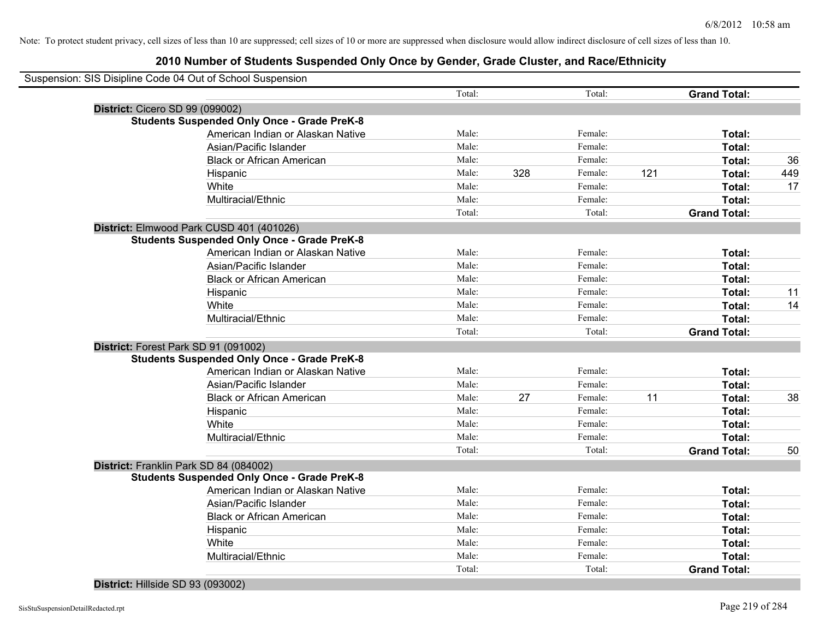## **2010 Number of Students Suspended Only Once by Gender, Grade Cluster, and Race/Ethnicity**

|                                 | Suspension: SIS Disipline Code 04 Out of School Suspension |        |     |         |     |                     |     |
|---------------------------------|------------------------------------------------------------|--------|-----|---------|-----|---------------------|-----|
|                                 |                                                            | Total: |     | Total:  |     | <b>Grand Total:</b> |     |
| District: Cicero SD 99 (099002) |                                                            |        |     |         |     |                     |     |
|                                 | <b>Students Suspended Only Once - Grade PreK-8</b>         |        |     |         |     |                     |     |
|                                 | American Indian or Alaskan Native                          | Male:  |     | Female: |     | Total:              |     |
|                                 | Asian/Pacific Islander                                     | Male:  |     | Female: |     | Total:              |     |
|                                 | <b>Black or African American</b>                           | Male:  |     | Female: |     | Total:              | 36  |
|                                 | Hispanic                                                   | Male:  | 328 | Female: | 121 | Total:              | 449 |
|                                 | White                                                      | Male:  |     | Female: |     | Total:              | 17  |
|                                 | Multiracial/Ethnic                                         | Male:  |     | Female: |     | Total:              |     |
|                                 |                                                            | Total: |     | Total:  |     | <b>Grand Total:</b> |     |
|                                 | District: Elmwood Park CUSD 401 (401026)                   |        |     |         |     |                     |     |
|                                 | <b>Students Suspended Only Once - Grade PreK-8</b>         |        |     |         |     |                     |     |
|                                 | American Indian or Alaskan Native                          | Male:  |     | Female: |     | Total:              |     |
|                                 | Asian/Pacific Islander                                     | Male:  |     | Female: |     | Total:              |     |
|                                 | <b>Black or African American</b>                           | Male:  |     | Female: |     | Total:              |     |
|                                 | Hispanic                                                   | Male:  |     | Female: |     | Total:              | 11  |
|                                 | White                                                      | Male:  |     | Female: |     | Total:              | 14  |
|                                 | Multiracial/Ethnic                                         | Male:  |     | Female: |     | Total:              |     |
|                                 |                                                            | Total: |     | Total:  |     | <b>Grand Total:</b> |     |
|                                 | District: Forest Park SD 91 (091002)                       |        |     |         |     |                     |     |
|                                 | <b>Students Suspended Only Once - Grade PreK-8</b>         |        |     |         |     |                     |     |
|                                 | American Indian or Alaskan Native                          | Male:  |     | Female: |     | Total:              |     |
|                                 | Asian/Pacific Islander                                     | Male:  |     | Female: |     | Total:              |     |
|                                 | <b>Black or African American</b>                           | Male:  | 27  | Female: | 11  | Total:              | 38  |
|                                 | Hispanic                                                   | Male:  |     | Female: |     | Total:              |     |
|                                 | White                                                      | Male:  |     | Female: |     | Total:              |     |
|                                 | Multiracial/Ethnic                                         | Male:  |     | Female: |     | Total:              |     |
|                                 |                                                            | Total: |     | Total:  |     | <b>Grand Total:</b> | 50  |
|                                 | District: Franklin Park SD 84 (084002)                     |        |     |         |     |                     |     |
|                                 | <b>Students Suspended Only Once - Grade PreK-8</b>         |        |     |         |     |                     |     |
|                                 | American Indian or Alaskan Native                          | Male:  |     | Female: |     | Total:              |     |
|                                 | Asian/Pacific Islander                                     | Male:  |     | Female: |     | Total:              |     |
|                                 | <b>Black or African American</b>                           | Male:  |     | Female: |     | Total:              |     |
|                                 | Hispanic                                                   | Male:  |     | Female: |     | Total:              |     |
|                                 | White                                                      | Male:  |     | Female: |     | Total:              |     |
|                                 | Multiracial/Ethnic                                         | Male:  |     | Female: |     | Total:              |     |
|                                 |                                                            | Total: |     | Total:  |     | <b>Grand Total:</b> |     |
|                                 |                                                            |        |     |         |     |                     |     |

### **District:** Hillside SD 93 (093002)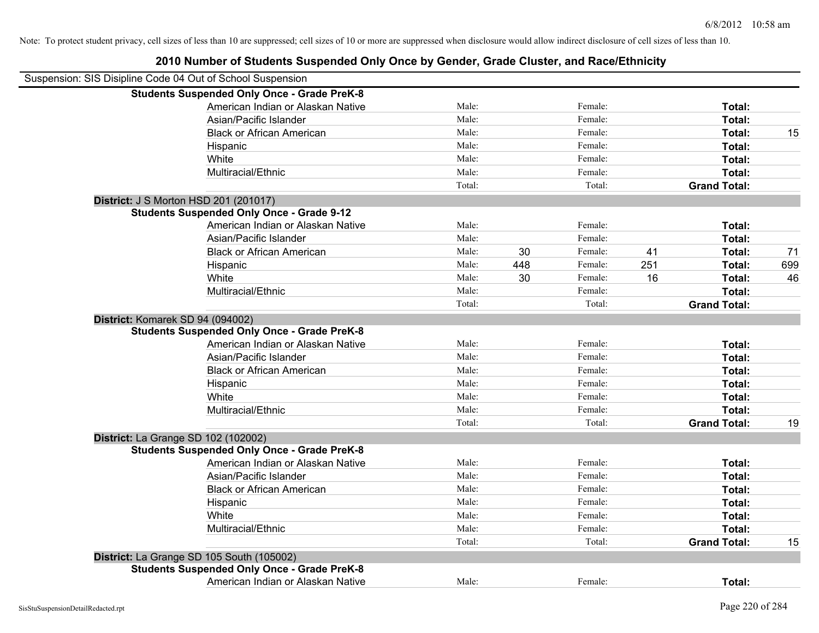| Suspension: SIS Disipline Code 04 Out of School Suspension |                                                    |        |     |         |     |                     |     |
|------------------------------------------------------------|----------------------------------------------------|--------|-----|---------|-----|---------------------|-----|
|                                                            | <b>Students Suspended Only Once - Grade PreK-8</b> |        |     |         |     |                     |     |
|                                                            | American Indian or Alaskan Native                  | Male:  |     | Female: |     | Total:              |     |
|                                                            | Asian/Pacific Islander                             | Male:  |     | Female: |     | Total:              |     |
|                                                            | <b>Black or African American</b>                   | Male:  |     | Female: |     | Total:              | 15  |
|                                                            | Hispanic                                           | Male:  |     | Female: |     | Total:              |     |
|                                                            | White                                              | Male:  |     | Female: |     | Total:              |     |
|                                                            | Multiracial/Ethnic                                 | Male:  |     | Female: |     | Total:              |     |
|                                                            |                                                    | Total: |     | Total:  |     | <b>Grand Total:</b> |     |
|                                                            | District: J S Morton HSD 201 (201017)              |        |     |         |     |                     |     |
|                                                            | <b>Students Suspended Only Once - Grade 9-12</b>   |        |     |         |     |                     |     |
|                                                            | American Indian or Alaskan Native                  | Male:  |     | Female: |     | Total:              |     |
|                                                            | Asian/Pacific Islander                             | Male:  |     | Female: |     | Total:              |     |
|                                                            | <b>Black or African American</b>                   | Male:  | 30  | Female: | 41  | Total:              | 71  |
|                                                            | Hispanic                                           | Male:  | 448 | Female: | 251 | Total:              | 699 |
|                                                            | White                                              | Male:  | 30  | Female: | 16  | Total:              | 46  |
|                                                            | Multiracial/Ethnic                                 | Male:  |     | Female: |     | Total:              |     |
|                                                            |                                                    | Total: |     | Total:  |     | <b>Grand Total:</b> |     |
|                                                            | District: Komarek SD 94 (094002)                   |        |     |         |     |                     |     |
|                                                            | <b>Students Suspended Only Once - Grade PreK-8</b> |        |     |         |     |                     |     |
|                                                            | American Indian or Alaskan Native                  | Male:  |     | Female: |     | Total:              |     |
|                                                            | Asian/Pacific Islander                             | Male:  |     | Female: |     | Total:              |     |
|                                                            | <b>Black or African American</b>                   | Male:  |     | Female: |     | Total:              |     |
|                                                            | Hispanic                                           | Male:  |     | Female: |     | Total:              |     |
|                                                            | White                                              | Male:  |     | Female: |     | Total:              |     |
|                                                            | Multiracial/Ethnic                                 | Male:  |     | Female: |     | Total:              |     |
|                                                            |                                                    | Total: |     | Total:  |     | <b>Grand Total:</b> | 19  |
|                                                            | District: La Grange SD 102 (102002)                |        |     |         |     |                     |     |
|                                                            | <b>Students Suspended Only Once - Grade PreK-8</b> |        |     |         |     |                     |     |
|                                                            | American Indian or Alaskan Native                  | Male:  |     | Female: |     | Total:              |     |
|                                                            | Asian/Pacific Islander                             | Male:  |     | Female: |     | Total:              |     |
|                                                            | <b>Black or African American</b>                   | Male:  |     | Female: |     | Total:              |     |
|                                                            | Hispanic                                           | Male:  |     | Female: |     | Total:              |     |
|                                                            | White                                              | Male:  |     | Female: |     | Total:              |     |
|                                                            | Multiracial/Ethnic                                 | Male:  |     | Female: |     | Total:              |     |
|                                                            |                                                    | Total: |     | Total:  |     | <b>Grand Total:</b> | 15  |
|                                                            | District: La Grange SD 105 South (105002)          |        |     |         |     |                     |     |
|                                                            | <b>Students Suspended Only Once - Grade PreK-8</b> |        |     |         |     |                     |     |
|                                                            | American Indian or Alaskan Native                  | Male:  |     | Female: |     | Total:              |     |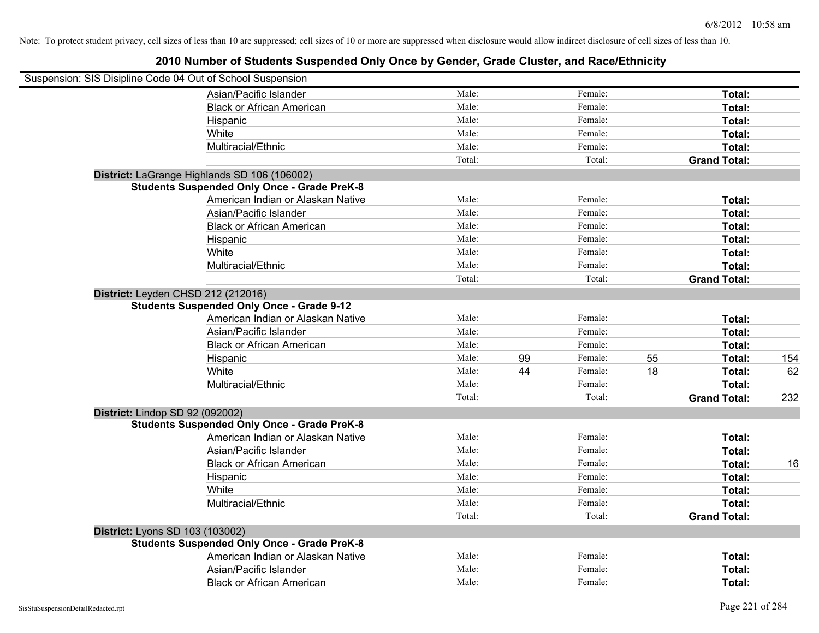| Suspension: SIS Disipline Code 04 Out of School Suspension |                                                    |        |    |         |    |                     |     |
|------------------------------------------------------------|----------------------------------------------------|--------|----|---------|----|---------------------|-----|
|                                                            | Asian/Pacific Islander                             | Male:  |    | Female: |    | Total:              |     |
|                                                            | <b>Black or African American</b>                   | Male:  |    | Female: |    | Total:              |     |
|                                                            | Hispanic                                           | Male:  |    | Female: |    | Total:              |     |
|                                                            | White                                              | Male:  |    | Female: |    | Total:              |     |
|                                                            | Multiracial/Ethnic                                 | Male:  |    | Female: |    | Total:              |     |
|                                                            |                                                    | Total: |    | Total:  |    | <b>Grand Total:</b> |     |
|                                                            | District: LaGrange Highlands SD 106 (106002)       |        |    |         |    |                     |     |
|                                                            | <b>Students Suspended Only Once - Grade PreK-8</b> |        |    |         |    |                     |     |
|                                                            | American Indian or Alaskan Native                  | Male:  |    | Female: |    | Total:              |     |
|                                                            | Asian/Pacific Islander                             | Male:  |    | Female: |    | Total:              |     |
|                                                            | <b>Black or African American</b>                   | Male:  |    | Female: |    | Total:              |     |
|                                                            | Hispanic                                           | Male:  |    | Female: |    | Total:              |     |
|                                                            | White                                              | Male:  |    | Female: |    | Total:              |     |
|                                                            | Multiracial/Ethnic                                 | Male:  |    | Female: |    | Total:              |     |
|                                                            |                                                    | Total: |    | Total:  |    | <b>Grand Total:</b> |     |
| District: Leyden CHSD 212 (212016)                         | <b>Students Suspended Only Once - Grade 9-12</b>   |        |    |         |    |                     |     |
|                                                            | American Indian or Alaskan Native                  | Male:  |    | Female: |    | Total:              |     |
|                                                            | Asian/Pacific Islander                             | Male:  |    | Female: |    | Total:              |     |
|                                                            | <b>Black or African American</b>                   | Male:  |    | Female: |    | Total:              |     |
|                                                            | Hispanic                                           | Male:  | 99 | Female: | 55 | Total:              | 154 |
|                                                            | White                                              | Male:  | 44 | Female: | 18 | Total:              | 62  |
|                                                            | Multiracial/Ethnic                                 | Male:  |    | Female: |    | Total:              |     |
|                                                            |                                                    | Total: |    | Total:  |    | <b>Grand Total:</b> | 232 |
| District: Lindop SD 92 (092002)                            |                                                    |        |    |         |    |                     |     |
|                                                            | <b>Students Suspended Only Once - Grade PreK-8</b> |        |    |         |    |                     |     |
|                                                            | American Indian or Alaskan Native                  | Male:  |    | Female: |    | Total:              |     |
|                                                            | Asian/Pacific Islander                             | Male:  |    | Female: |    | Total:              |     |
|                                                            | <b>Black or African American</b>                   | Male:  |    | Female: |    | Total:              | 16  |
|                                                            | Hispanic                                           | Male:  |    | Female: |    | Total:              |     |
|                                                            | White                                              | Male:  |    | Female: |    | Total:              |     |
|                                                            | Multiracial/Ethnic                                 | Male:  |    | Female: |    | Total:              |     |
|                                                            |                                                    | Total: |    | Total:  |    | <b>Grand Total:</b> |     |
| <b>District: Lyons SD 103 (103002)</b>                     |                                                    |        |    |         |    |                     |     |
|                                                            | <b>Students Suspended Only Once - Grade PreK-8</b> |        |    |         |    |                     |     |
|                                                            | American Indian or Alaskan Native                  | Male:  |    | Female: |    | Total:              |     |
|                                                            | Asian/Pacific Islander                             | Male:  |    | Female: |    | Total:              |     |
|                                                            | <b>Black or African American</b>                   | Male:  |    | Female: |    | Total:              |     |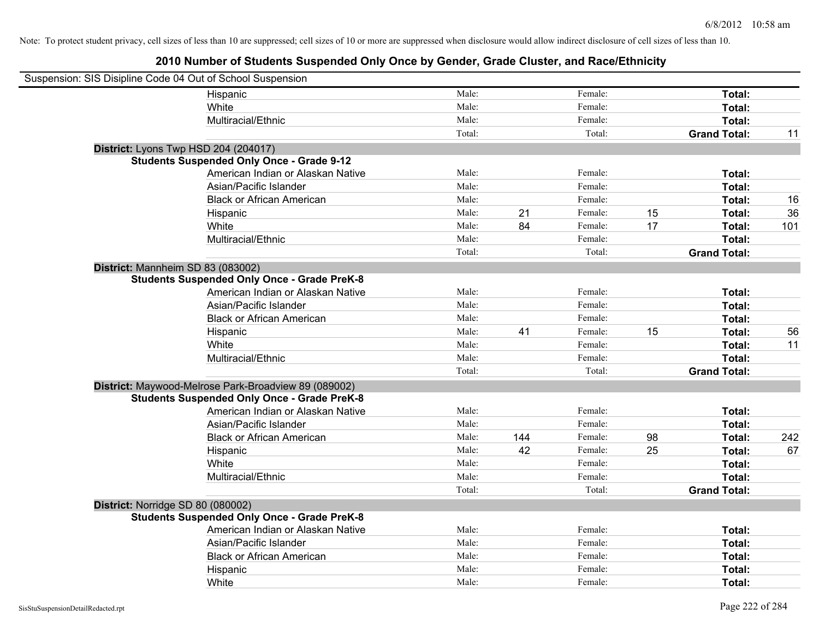| Suspension: SIS Disipline Code 04 Out of School Suspension |                                                      |        |     |         |    |                     |     |
|------------------------------------------------------------|------------------------------------------------------|--------|-----|---------|----|---------------------|-----|
|                                                            | Hispanic                                             | Male:  |     | Female: |    | Total:              |     |
|                                                            | White                                                | Male:  |     | Female: |    | Total:              |     |
|                                                            | Multiracial/Ethnic                                   | Male:  |     | Female: |    | Total:              |     |
|                                                            |                                                      | Total: |     | Total:  |    | <b>Grand Total:</b> | 11  |
| District: Lyons Twp HSD 204 (204017)                       |                                                      |        |     |         |    |                     |     |
|                                                            | <b>Students Suspended Only Once - Grade 9-12</b>     |        |     |         |    |                     |     |
|                                                            | American Indian or Alaskan Native                    | Male:  |     | Female: |    | Total:              |     |
|                                                            | Asian/Pacific Islander                               | Male:  |     | Female: |    | Total:              |     |
|                                                            | <b>Black or African American</b>                     | Male:  |     | Female: |    | Total:              | 16  |
|                                                            | Hispanic                                             | Male:  | 21  | Female: | 15 | Total:              | 36  |
|                                                            | White                                                | Male:  | 84  | Female: | 17 | Total:              | 101 |
|                                                            | Multiracial/Ethnic                                   | Male:  |     | Female: |    | Total:              |     |
|                                                            |                                                      | Total: |     | Total:  |    | <b>Grand Total:</b> |     |
| District: Mannheim SD 83 (083002)                          |                                                      |        |     |         |    |                     |     |
|                                                            | <b>Students Suspended Only Once - Grade PreK-8</b>   |        |     |         |    |                     |     |
|                                                            | American Indian or Alaskan Native                    | Male:  |     | Female: |    | Total:              |     |
|                                                            | Asian/Pacific Islander                               | Male:  |     | Female: |    | Total:              |     |
|                                                            | <b>Black or African American</b>                     | Male:  |     | Female: |    | Total:              |     |
|                                                            | Hispanic                                             | Male:  | 41  | Female: | 15 | Total:              | 56  |
|                                                            | White                                                | Male:  |     | Female: |    | Total:              | 11  |
|                                                            | Multiracial/Ethnic                                   | Male:  |     | Female: |    | Total:              |     |
|                                                            |                                                      | Total: |     | Total:  |    | <b>Grand Total:</b> |     |
|                                                            | District: Maywood-Melrose Park-Broadview 89 (089002) |        |     |         |    |                     |     |
|                                                            | <b>Students Suspended Only Once - Grade PreK-8</b>   |        |     |         |    |                     |     |
|                                                            | American Indian or Alaskan Native                    | Male:  |     | Female: |    | Total:              |     |
|                                                            | Asian/Pacific Islander                               | Male:  |     | Female: |    | Total:              |     |
|                                                            | <b>Black or African American</b>                     | Male:  | 144 | Female: | 98 | Total:              | 242 |
|                                                            | Hispanic                                             | Male:  | 42  | Female: | 25 | Total:              | 67  |
|                                                            | White                                                | Male:  |     | Female: |    | Total:              |     |
|                                                            | Multiracial/Ethnic                                   | Male:  |     | Female: |    | Total:              |     |
|                                                            |                                                      | Total: |     | Total:  |    | <b>Grand Total:</b> |     |
| District: Norridge SD 80 (080002)                          |                                                      |        |     |         |    |                     |     |
|                                                            | <b>Students Suspended Only Once - Grade PreK-8</b>   |        |     |         |    |                     |     |
|                                                            | American Indian or Alaskan Native                    | Male:  |     | Female: |    | Total:              |     |
|                                                            | Asian/Pacific Islander                               | Male:  |     | Female: |    | Total:              |     |
|                                                            | <b>Black or African American</b>                     | Male:  |     | Female: |    | Total:              |     |
|                                                            | Hispanic                                             | Male:  |     | Female: |    | Total:              |     |
|                                                            | White                                                | Male:  |     | Female: |    | Total:              |     |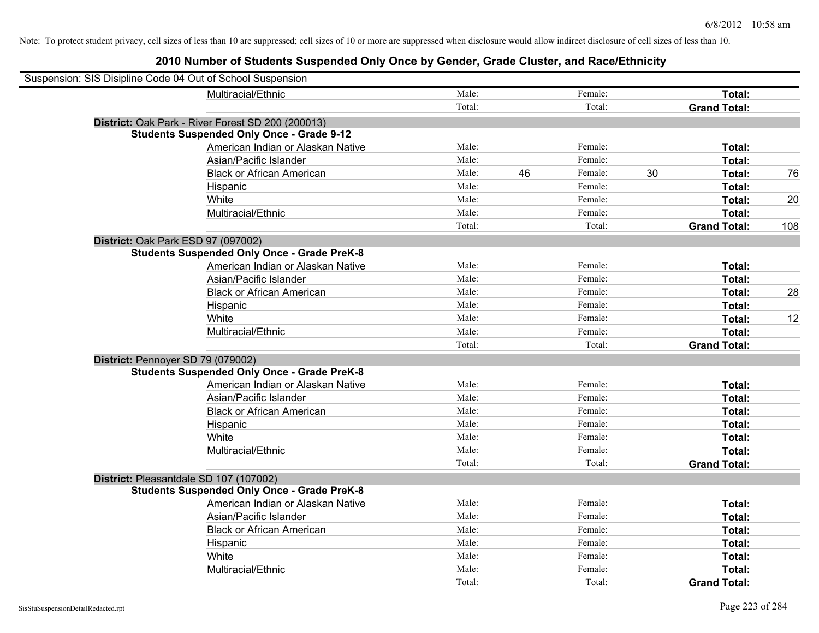| Suspension: SIS Disipline Code 04 Out of School Suspension |                                                    |        |    |         |    |                     |     |
|------------------------------------------------------------|----------------------------------------------------|--------|----|---------|----|---------------------|-----|
|                                                            | Multiracial/Ethnic                                 | Male:  |    | Female: |    | Total:              |     |
|                                                            |                                                    | Total: |    | Total:  |    | <b>Grand Total:</b> |     |
|                                                            | District: Oak Park - River Forest SD 200 (200013)  |        |    |         |    |                     |     |
|                                                            | <b>Students Suspended Only Once - Grade 9-12</b>   |        |    |         |    |                     |     |
|                                                            | American Indian or Alaskan Native                  | Male:  |    | Female: |    | Total:              |     |
|                                                            | Asian/Pacific Islander                             | Male:  |    | Female: |    | Total:              |     |
|                                                            | <b>Black or African American</b>                   | Male:  | 46 | Female: | 30 | Total:              | 76  |
|                                                            | Hispanic                                           | Male:  |    | Female: |    | Total:              |     |
|                                                            | White                                              | Male:  |    | Female: |    | Total:              | 20  |
|                                                            | Multiracial/Ethnic                                 | Male:  |    | Female: |    | Total:              |     |
|                                                            |                                                    | Total: |    | Total:  |    | <b>Grand Total:</b> | 108 |
| District: Oak Park ESD 97 (097002)                         |                                                    |        |    |         |    |                     |     |
|                                                            | <b>Students Suspended Only Once - Grade PreK-8</b> |        |    |         |    |                     |     |
|                                                            | American Indian or Alaskan Native                  | Male:  |    | Female: |    | Total:              |     |
|                                                            | Asian/Pacific Islander                             | Male:  |    | Female: |    | Total:              |     |
|                                                            | <b>Black or African American</b>                   | Male:  |    | Female: |    | Total:              | 28  |
|                                                            | Hispanic                                           | Male:  |    | Female: |    | Total:              |     |
|                                                            | White                                              | Male:  |    | Female: |    | Total:              | 12  |
|                                                            | Multiracial/Ethnic                                 | Male:  |    | Female: |    | Total:              |     |
|                                                            |                                                    | Total: |    | Total:  |    | <b>Grand Total:</b> |     |
| District: Pennoyer SD 79 (079002)                          |                                                    |        |    |         |    |                     |     |
|                                                            | <b>Students Suspended Only Once - Grade PreK-8</b> |        |    |         |    |                     |     |
|                                                            | American Indian or Alaskan Native                  | Male:  |    | Female: |    | Total:              |     |
|                                                            | Asian/Pacific Islander                             | Male:  |    | Female: |    | Total:              |     |
|                                                            | <b>Black or African American</b>                   | Male:  |    | Female: |    | Total:              |     |
|                                                            | Hispanic                                           | Male:  |    | Female: |    | Total:              |     |
|                                                            | White                                              | Male:  |    | Female: |    | Total:              |     |
|                                                            | Multiracial/Ethnic                                 | Male:  |    | Female: |    | Total:              |     |
|                                                            |                                                    | Total: |    | Total:  |    | <b>Grand Total:</b> |     |
| District: Pleasantdale SD 107 (107002)                     |                                                    |        |    |         |    |                     |     |
|                                                            | <b>Students Suspended Only Once - Grade PreK-8</b> |        |    |         |    |                     |     |
|                                                            | American Indian or Alaskan Native                  | Male:  |    | Female: |    | Total:              |     |
|                                                            | Asian/Pacific Islander                             | Male:  |    | Female: |    | Total:              |     |
|                                                            | <b>Black or African American</b>                   | Male:  |    | Female: |    | Total:              |     |
|                                                            | Hispanic                                           | Male:  |    | Female: |    | Total:              |     |
|                                                            | White                                              | Male:  |    | Female: |    | Total:              |     |
|                                                            | Multiracial/Ethnic                                 | Male:  |    | Female: |    | Total:              |     |
|                                                            |                                                    | Total: |    | Total:  |    | <b>Grand Total:</b> |     |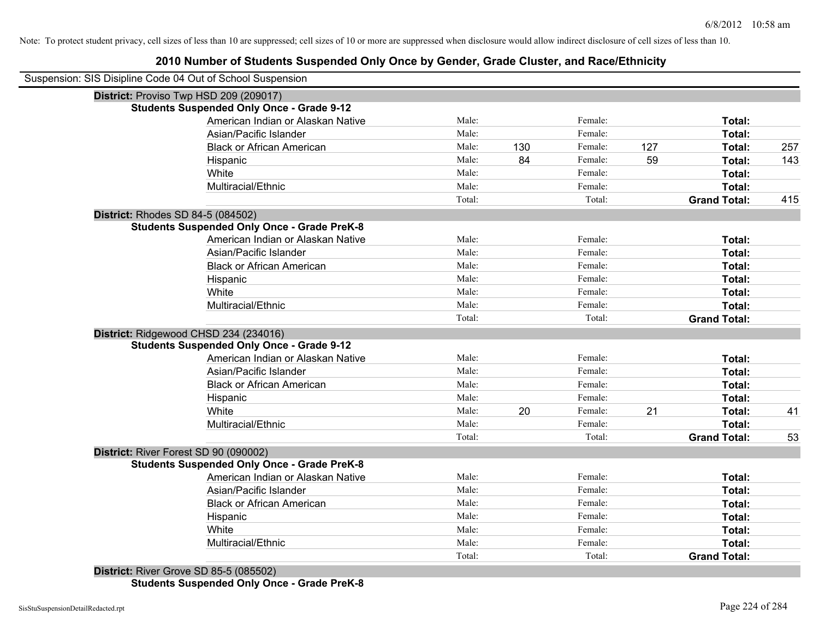## **2010 Number of Students Suspended Only Once by Gender, Grade Cluster, and Race/Ethnicity**

| Male:  |                                                                                                                                                                                                                                                                                                                                                                                        | Female: |                    | Total:              |        |
|--------|----------------------------------------------------------------------------------------------------------------------------------------------------------------------------------------------------------------------------------------------------------------------------------------------------------------------------------------------------------------------------------------|---------|--------------------|---------------------|--------|
| Male:  |                                                                                                                                                                                                                                                                                                                                                                                        | Female: |                    | Total:              |        |
| Male:  | 130                                                                                                                                                                                                                                                                                                                                                                                    | Female: | 127                | Total:              | 257    |
| Male:  | 84                                                                                                                                                                                                                                                                                                                                                                                     | Female: | 59                 | Total:              | 143    |
| Male:  |                                                                                                                                                                                                                                                                                                                                                                                        | Female: |                    | Total:              |        |
| Male:  |                                                                                                                                                                                                                                                                                                                                                                                        | Female: |                    | Total:              |        |
| Total: |                                                                                                                                                                                                                                                                                                                                                                                        | Total:  |                    | <b>Grand Total:</b> | 415    |
|        |                                                                                                                                                                                                                                                                                                                                                                                        |         |                    |                     |        |
|        |                                                                                                                                                                                                                                                                                                                                                                                        |         |                    |                     |        |
|        |                                                                                                                                                                                                                                                                                                                                                                                        | Female: |                    | Total:              |        |
|        |                                                                                                                                                                                                                                                                                                                                                                                        |         |                    |                     |        |
| Male:  |                                                                                                                                                                                                                                                                                                                                                                                        | Female: |                    | Total:              |        |
| Male:  |                                                                                                                                                                                                                                                                                                                                                                                        | Female: |                    | Total:              |        |
| Male:  |                                                                                                                                                                                                                                                                                                                                                                                        | Female: |                    | Total:              |        |
| Male:  |                                                                                                                                                                                                                                                                                                                                                                                        | Female: |                    | Total:              |        |
| Total: |                                                                                                                                                                                                                                                                                                                                                                                        | Total:  |                    | <b>Grand Total:</b> |        |
|        |                                                                                                                                                                                                                                                                                                                                                                                        |         |                    |                     |        |
|        |                                                                                                                                                                                                                                                                                                                                                                                        |         |                    |                     |        |
| Male:  |                                                                                                                                                                                                                                                                                                                                                                                        | Female: |                    | Total:              |        |
| Male:  |                                                                                                                                                                                                                                                                                                                                                                                        |         |                    | Total:              |        |
| Male:  |                                                                                                                                                                                                                                                                                                                                                                                        | Female: |                    | Total:              |        |
| Male:  |                                                                                                                                                                                                                                                                                                                                                                                        | Female: |                    | Total:              |        |
| Male:  | 20                                                                                                                                                                                                                                                                                                                                                                                     | Female: | 21                 | Total:              | 41     |
| Male:  |                                                                                                                                                                                                                                                                                                                                                                                        | Female: |                    | Total:              |        |
| Total: |                                                                                                                                                                                                                                                                                                                                                                                        | Total:  |                    | <b>Grand Total:</b> | 53     |
|        |                                                                                                                                                                                                                                                                                                                                                                                        |         |                    |                     |        |
|        |                                                                                                                                                                                                                                                                                                                                                                                        |         |                    |                     |        |
| Male:  |                                                                                                                                                                                                                                                                                                                                                                                        | Female: |                    | Total:              |        |
| Male:  |                                                                                                                                                                                                                                                                                                                                                                                        | Female: |                    | Total:              |        |
| Male:  |                                                                                                                                                                                                                                                                                                                                                                                        | Female: |                    | Total:              |        |
| Male:  |                                                                                                                                                                                                                                                                                                                                                                                        | Female: |                    | Total:              |        |
| Male:  |                                                                                                                                                                                                                                                                                                                                                                                        | Female: |                    | Total:              |        |
| Male:  |                                                                                                                                                                                                                                                                                                                                                                                        | Female: |                    | Total:              |        |
| Total: |                                                                                                                                                                                                                                                                                                                                                                                        | Total:  |                    | <b>Grand Total:</b> |        |
|        | <b>Students Suspended Only Once - Grade 9-12</b><br>American Indian or Alaskan Native<br><b>Students Suspended Only Once - Grade PreK-8</b><br>Male:<br>American Indian or Alaskan Native<br>Male:<br><b>Students Suspended Only Once - Grade 9-12</b><br>American Indian or Alaskan Native<br><b>Students Suspended Only Once - Grade PreK-8</b><br>American Indian or Alaskan Native |         | Female:<br>Female: |                     | Total: |

**Students Suspended Only Once - Grade PreK-8**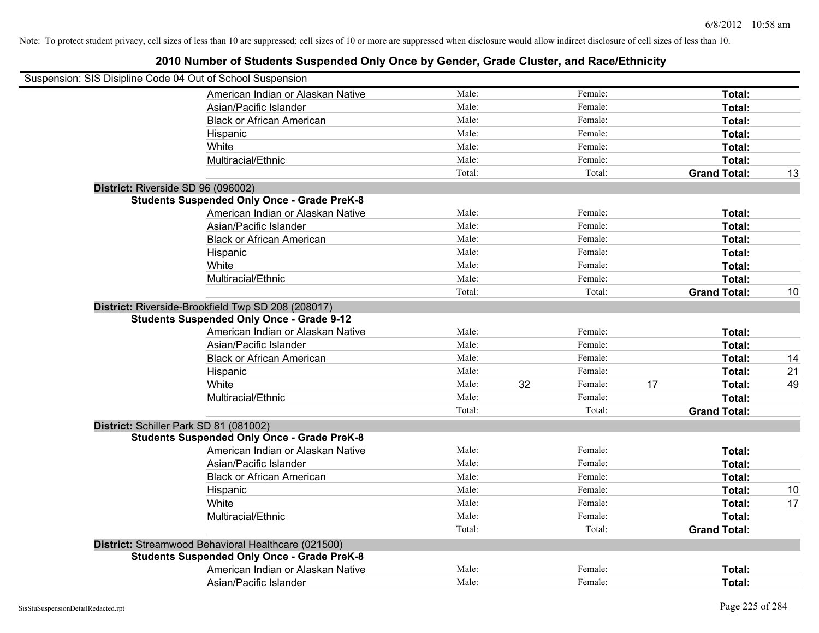| Suspension: SIS Disipline Code 04 Out of School Suspension |        |               |    |                     |    |
|------------------------------------------------------------|--------|---------------|----|---------------------|----|
| American Indian or Alaskan Native                          | Male:  | Female:       |    | Total:              |    |
| Asian/Pacific Islander                                     | Male:  | Female:       |    | Total:              |    |
| <b>Black or African American</b>                           | Male:  | Female:       |    | Total:              |    |
| Hispanic                                                   | Male:  | Female:       |    | Total:              |    |
| White                                                      | Male:  | Female:       |    | Total:              |    |
| Multiracial/Ethnic                                         | Male:  | Female:       |    | Total:              |    |
|                                                            | Total: | Total:        |    | <b>Grand Total:</b> | 13 |
| District: Riverside SD 96 (096002)                         |        |               |    |                     |    |
| <b>Students Suspended Only Once - Grade PreK-8</b>         |        |               |    |                     |    |
| American Indian or Alaskan Native                          | Male:  | Female:       |    | Total:              |    |
| Asian/Pacific Islander                                     | Male:  | Female:       |    | Total:              |    |
| <b>Black or African American</b>                           | Male:  | Female:       |    | Total:              |    |
| Hispanic                                                   | Male:  | Female:       |    | Total:              |    |
| White                                                      | Male:  | Female:       |    | Total:              |    |
| Multiracial/Ethnic                                         | Male:  | Female:       |    | Total:              |    |
|                                                            | Total: | Total:        |    | <b>Grand Total:</b> | 10 |
| District: Riverside-Brookfield Twp SD 208 (208017)         |        |               |    |                     |    |
| <b>Students Suspended Only Once - Grade 9-12</b>           |        |               |    |                     |    |
| American Indian or Alaskan Native                          | Male:  | Female:       |    | Total:              |    |
| Asian/Pacific Islander                                     | Male:  | Female:       |    | Total:              |    |
| <b>Black or African American</b>                           | Male:  | Female:       |    | Total:              | 14 |
| Hispanic                                                   | Male:  | Female:       |    | Total:              | 21 |
| White                                                      | Male:  | 32<br>Female: | 17 | Total:              | 49 |
| Multiracial/Ethnic                                         | Male:  | Female:       |    | Total:              |    |
|                                                            | Total: | Total:        |    | <b>Grand Total:</b> |    |
| District: Schiller Park SD 81 (081002)                     |        |               |    |                     |    |
| <b>Students Suspended Only Once - Grade PreK-8</b>         |        |               |    |                     |    |
| American Indian or Alaskan Native                          | Male:  | Female:       |    | Total:              |    |
| Asian/Pacific Islander                                     | Male:  | Female:       |    | Total:              |    |
| <b>Black or African American</b>                           | Male:  | Female:       |    | Total:              |    |
| Hispanic                                                   | Male:  | Female:       |    | Total:              | 10 |
| White                                                      | Male:  | Female:       |    | Total:              | 17 |
| Multiracial/Ethnic                                         | Male:  | Female:       |    | Total:              |    |
|                                                            | Total: | Total:        |    | <b>Grand Total:</b> |    |
| District: Streamwood Behavioral Healthcare (021500)        |        |               |    |                     |    |
| <b>Students Suspended Only Once - Grade PreK-8</b>         |        |               |    |                     |    |
| American Indian or Alaskan Native                          | Male:  | Female:       |    | Total:              |    |
| Asian/Pacific Islander                                     | Male:  | Female:       |    | Total:              |    |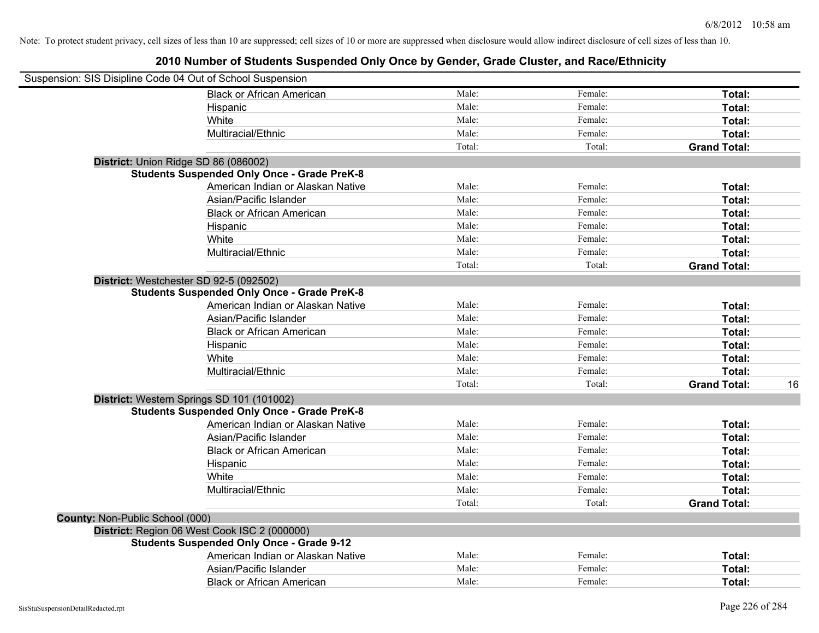| Suspension: SIS Disipline Code 04 Out of School Suspension |                                                    |        |         |                     |    |
|------------------------------------------------------------|----------------------------------------------------|--------|---------|---------------------|----|
|                                                            | <b>Black or African American</b>                   | Male:  | Female: | Total:              |    |
|                                                            | Hispanic                                           | Male:  | Female: | Total:              |    |
|                                                            | White                                              | Male:  | Female: | Total:              |    |
|                                                            | Multiracial/Ethnic                                 | Male:  | Female: | Total:              |    |
|                                                            |                                                    | Total: | Total:  | <b>Grand Total:</b> |    |
| District: Union Ridge SD 86 (086002)                       |                                                    |        |         |                     |    |
|                                                            | <b>Students Suspended Only Once - Grade PreK-8</b> |        |         |                     |    |
|                                                            | American Indian or Alaskan Native                  | Male:  | Female: | Total:              |    |
|                                                            | Asian/Pacific Islander                             | Male:  | Female: | Total:              |    |
|                                                            | <b>Black or African American</b>                   | Male:  | Female: | Total:              |    |
|                                                            | Hispanic                                           | Male:  | Female: | Total:              |    |
|                                                            | White                                              | Male:  | Female: | Total:              |    |
|                                                            | Multiracial/Ethnic                                 | Male:  | Female: | Total:              |    |
|                                                            |                                                    | Total: | Total:  | <b>Grand Total:</b> |    |
| District: Westchester SD 92-5 (092502)                     |                                                    |        |         |                     |    |
|                                                            | <b>Students Suspended Only Once - Grade PreK-8</b> |        |         |                     |    |
|                                                            | American Indian or Alaskan Native                  | Male:  | Female: | Total:              |    |
|                                                            | Asian/Pacific Islander                             | Male:  | Female: | Total:              |    |
|                                                            | <b>Black or African American</b>                   | Male:  | Female: | Total:              |    |
|                                                            | Hispanic                                           | Male:  | Female: | Total:              |    |
|                                                            | White                                              | Male:  | Female: | Total:              |    |
|                                                            | Multiracial/Ethnic                                 | Male:  | Female: | Total:              |    |
|                                                            |                                                    | Total: | Total:  | <b>Grand Total:</b> | 16 |
| District: Western Springs SD 101 (101002)                  |                                                    |        |         |                     |    |
|                                                            | <b>Students Suspended Only Once - Grade PreK-8</b> |        |         |                     |    |
|                                                            | American Indian or Alaskan Native                  | Male:  | Female: | Total:              |    |
|                                                            | Asian/Pacific Islander                             | Male:  | Female: | Total:              |    |
|                                                            | <b>Black or African American</b>                   | Male:  | Female: | Total:              |    |
|                                                            | Hispanic                                           | Male:  | Female: | Total:              |    |
|                                                            | White                                              | Male:  | Female: | Total:              |    |
|                                                            | Multiracial/Ethnic                                 | Male:  | Female: | Total:              |    |
|                                                            |                                                    | Total: | Total:  | <b>Grand Total:</b> |    |
| County: Non-Public School (000)                            |                                                    |        |         |                     |    |
|                                                            | District: Region 06 West Cook ISC 2 (000000)       |        |         |                     |    |
|                                                            | <b>Students Suspended Only Once - Grade 9-12</b>   |        |         |                     |    |
|                                                            | American Indian or Alaskan Native                  | Male:  | Female: | Total:              |    |
|                                                            | Asian/Pacific Islander                             | Male:  | Female: | Total:              |    |
|                                                            | <b>Black or African American</b>                   | Male:  | Female: | Total:              |    |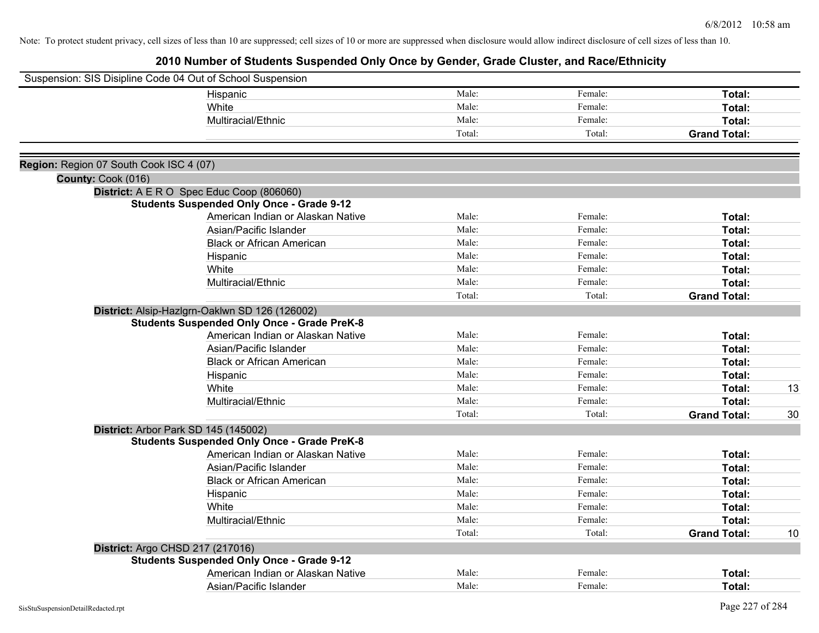|                                         | Suspension: SIS Disipline Code 04 Out of School Suspension |        |         |                     |    |
|-----------------------------------------|------------------------------------------------------------|--------|---------|---------------------|----|
|                                         | Hispanic                                                   | Male:  | Female: | Total:              |    |
|                                         | White                                                      | Male:  | Female: | Total:              |    |
|                                         | Multiracial/Ethnic                                         | Male:  | Female: | Total:              |    |
|                                         |                                                            | Total: | Total:  | <b>Grand Total:</b> |    |
|                                         |                                                            |        |         |                     |    |
| Region: Region 07 South Cook ISC 4 (07) |                                                            |        |         |                     |    |
| County: Cook (016)                      |                                                            |        |         |                     |    |
|                                         | District: A E R O Spec Educ Coop (806060)                  |        |         |                     |    |
|                                         | <b>Students Suspended Only Once - Grade 9-12</b>           |        |         |                     |    |
|                                         | American Indian or Alaskan Native                          | Male:  | Female: | Total:              |    |
|                                         | Asian/Pacific Islander                                     | Male:  | Female: | Total:              |    |
|                                         | <b>Black or African American</b>                           | Male:  | Female: | Total:              |    |
|                                         | Hispanic                                                   | Male:  | Female: | Total:              |    |
|                                         | White                                                      | Male:  | Female: | Total:              |    |
|                                         | Multiracial/Ethnic                                         | Male:  | Female: | Total:              |    |
|                                         |                                                            | Total: | Total:  | <b>Grand Total:</b> |    |
|                                         | District: Alsip-Hazlgrn-Oaklwn SD 126 (126002)             |        |         |                     |    |
|                                         | <b>Students Suspended Only Once - Grade PreK-8</b>         |        |         |                     |    |
|                                         | American Indian or Alaskan Native                          | Male:  | Female: | Total:              |    |
|                                         | Asian/Pacific Islander                                     | Male:  | Female: | Total:              |    |
|                                         | <b>Black or African American</b>                           | Male:  | Female: | Total:              |    |
|                                         | Hispanic                                                   | Male:  | Female: | Total:              |    |
|                                         | White                                                      | Male:  | Female: | Total:              | 13 |
|                                         | Multiracial/Ethnic                                         | Male:  | Female: | Total:              |    |
|                                         |                                                            | Total: | Total:  | <b>Grand Total:</b> | 30 |
|                                         | District: Arbor Park SD 145 (145002)                       |        |         |                     |    |
|                                         | <b>Students Suspended Only Once - Grade PreK-8</b>         |        |         |                     |    |
|                                         | American Indian or Alaskan Native                          | Male:  | Female: | Total:              |    |
|                                         | Asian/Pacific Islander                                     | Male:  | Female: | Total:              |    |
|                                         | <b>Black or African American</b>                           | Male:  | Female: | Total:              |    |
|                                         | Hispanic                                                   | Male:  | Female: | Total:              |    |
|                                         | White                                                      | Male:  | Female: | Total:              |    |
|                                         | Multiracial/Ethnic                                         | Male:  | Female: | Total:              |    |
|                                         |                                                            | Total: | Total:  | <b>Grand Total:</b> | 10 |
|                                         | District: Argo CHSD 217 (217016)                           |        |         |                     |    |
|                                         | <b>Students Suspended Only Once - Grade 9-12</b>           |        |         |                     |    |
|                                         | American Indian or Alaskan Native                          | Male:  | Female: | Total:              |    |
|                                         | Asian/Pacific Islander                                     | Male:  | Female: | Total:              |    |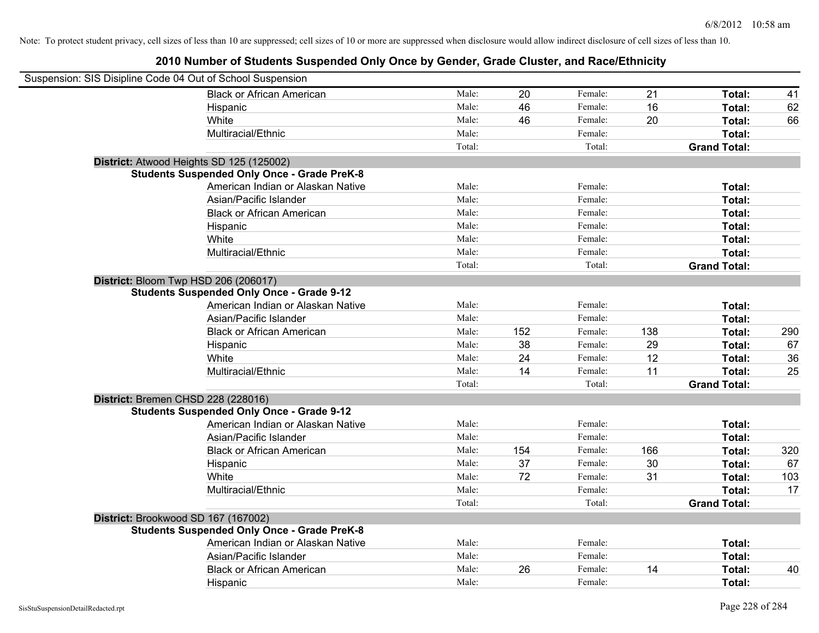| Suspension: SIS Disipline Code 04 Out of School Suspension |        |     |         |     |                     |     |
|------------------------------------------------------------|--------|-----|---------|-----|---------------------|-----|
| <b>Black or African American</b>                           | Male:  | 20  | Female: | 21  | Total:              | 41  |
| Hispanic                                                   | Male:  | 46  | Female: | 16  | Total:              | 62  |
| White                                                      | Male:  | 46  | Female: | 20  | Total:              | 66  |
| Multiracial/Ethnic                                         | Male:  |     | Female: |     | Total:              |     |
|                                                            | Total: |     | Total:  |     | <b>Grand Total:</b> |     |
| District: Atwood Heights SD 125 (125002)                   |        |     |         |     |                     |     |
| <b>Students Suspended Only Once - Grade PreK-8</b>         |        |     |         |     |                     |     |
| American Indian or Alaskan Native                          | Male:  |     | Female: |     | Total:              |     |
| Asian/Pacific Islander                                     | Male:  |     | Female: |     | Total:              |     |
| <b>Black or African American</b>                           | Male:  |     | Female: |     | Total:              |     |
| Hispanic                                                   | Male:  |     | Female: |     | Total:              |     |
| White                                                      | Male:  |     | Female: |     | Total:              |     |
| Multiracial/Ethnic                                         | Male:  |     | Female: |     | Total:              |     |
|                                                            | Total: |     | Total:  |     | <b>Grand Total:</b> |     |
| District: Bloom Twp HSD 206 (206017)                       |        |     |         |     |                     |     |
| <b>Students Suspended Only Once - Grade 9-12</b>           |        |     |         |     |                     |     |
| American Indian or Alaskan Native                          | Male:  |     | Female: |     | Total:              |     |
| Asian/Pacific Islander                                     | Male:  |     | Female: |     | Total:              |     |
| <b>Black or African American</b>                           | Male:  | 152 | Female: | 138 | Total:              | 290 |
| Hispanic                                                   | Male:  | 38  | Female: | 29  | Total:              | 67  |
| White                                                      | Male:  | 24  | Female: | 12  | Total:              | 36  |
| Multiracial/Ethnic                                         | Male:  | 14  | Female: | 11  | Total:              | 25  |
|                                                            | Total: |     | Total:  |     | <b>Grand Total:</b> |     |
| District: Bremen CHSD 228 (228016)                         |        |     |         |     |                     |     |
| <b>Students Suspended Only Once - Grade 9-12</b>           |        |     |         |     |                     |     |
| American Indian or Alaskan Native                          | Male:  |     | Female: |     | Total:              |     |
| Asian/Pacific Islander                                     | Male:  |     | Female: |     | Total:              |     |
| <b>Black or African American</b>                           | Male:  | 154 | Female: | 166 | Total:              | 320 |
| Hispanic                                                   | Male:  | 37  | Female: | 30  | Total:              | 67  |
| White                                                      | Male:  | 72  | Female: | 31  | Total:              | 103 |
| Multiracial/Ethnic                                         | Male:  |     | Female: |     | Total:              | 17  |
|                                                            | Total: |     | Total:  |     | <b>Grand Total:</b> |     |
| District: Brookwood SD 167 (167002)                        |        |     |         |     |                     |     |
| <b>Students Suspended Only Once - Grade PreK-8</b>         |        |     |         |     |                     |     |
| American Indian or Alaskan Native                          | Male:  |     | Female: |     | Total:              |     |
| Asian/Pacific Islander                                     | Male:  |     | Female: |     | Total:              |     |
| <b>Black or African American</b>                           | Male:  | 26  | Female: | 14  | Total:              | 40  |
| Hispanic                                                   | Male:  |     | Female: |     | Total:              |     |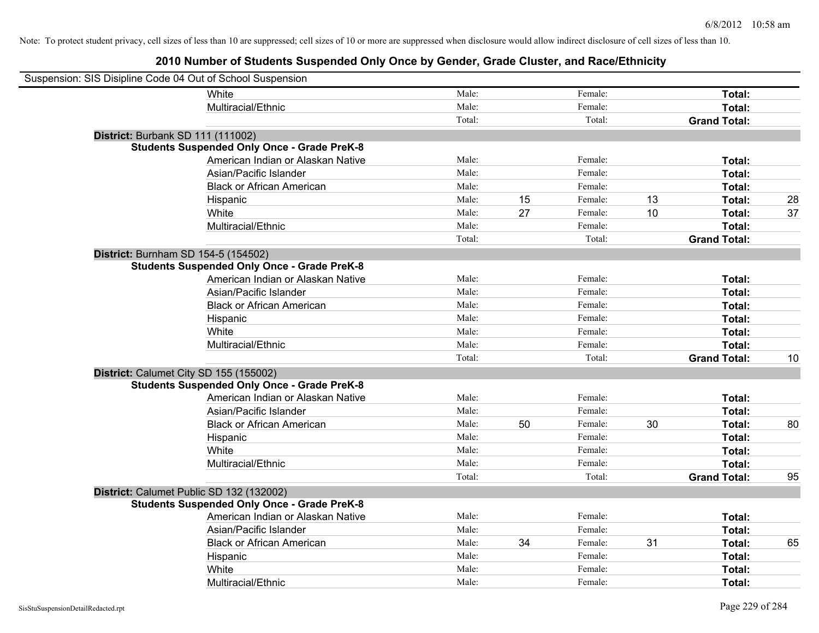| Suspension: SIS Disipline Code 04 Out of School Suspension |                                                    |        |    |         |    |                     |    |
|------------------------------------------------------------|----------------------------------------------------|--------|----|---------|----|---------------------|----|
|                                                            | White                                              | Male:  |    | Female: |    | Total:              |    |
|                                                            | Multiracial/Ethnic                                 | Male:  |    | Female: |    | Total:              |    |
|                                                            |                                                    | Total: |    | Total:  |    | <b>Grand Total:</b> |    |
| District: Burbank SD 111 (111002)                          |                                                    |        |    |         |    |                     |    |
|                                                            | <b>Students Suspended Only Once - Grade PreK-8</b> |        |    |         |    |                     |    |
|                                                            | American Indian or Alaskan Native                  | Male:  |    | Female: |    | Total:              |    |
|                                                            | Asian/Pacific Islander                             | Male:  |    | Female: |    | Total:              |    |
|                                                            | <b>Black or African American</b>                   | Male:  |    | Female: |    | Total:              |    |
|                                                            | Hispanic                                           | Male:  | 15 | Female: | 13 | Total:              | 28 |
|                                                            | White                                              | Male:  | 27 | Female: | 10 | Total:              | 37 |
|                                                            | Multiracial/Ethnic                                 | Male:  |    | Female: |    | Total:              |    |
|                                                            |                                                    | Total: |    | Total:  |    | <b>Grand Total:</b> |    |
| District: Burnham SD 154-5 (154502)                        |                                                    |        |    |         |    |                     |    |
|                                                            | <b>Students Suspended Only Once - Grade PreK-8</b> |        |    |         |    |                     |    |
|                                                            | American Indian or Alaskan Native                  | Male:  |    | Female: |    | Total:              |    |
|                                                            | Asian/Pacific Islander                             | Male:  |    | Female: |    | Total:              |    |
|                                                            | <b>Black or African American</b>                   | Male:  |    | Female: |    | Total:              |    |
|                                                            | Hispanic                                           | Male:  |    | Female: |    | Total:              |    |
|                                                            | White                                              | Male:  |    | Female: |    | Total:              |    |
|                                                            | Multiracial/Ethnic                                 | Male:  |    | Female: |    | Total:              |    |
|                                                            |                                                    | Total: |    | Total:  |    | <b>Grand Total:</b> | 10 |
| District: Calumet City SD 155 (155002)                     |                                                    |        |    |         |    |                     |    |
|                                                            | <b>Students Suspended Only Once - Grade PreK-8</b> |        |    |         |    |                     |    |
|                                                            | American Indian or Alaskan Native                  | Male:  |    | Female: |    | Total:              |    |
|                                                            | Asian/Pacific Islander                             | Male:  |    | Female: |    | Total:              |    |
|                                                            | <b>Black or African American</b>                   | Male:  | 50 | Female: | 30 | Total:              | 80 |
|                                                            | Hispanic                                           | Male:  |    | Female: |    | Total:              |    |
|                                                            | White                                              | Male:  |    | Female: |    | Total:              |    |
|                                                            | Multiracial/Ethnic                                 | Male:  |    | Female: |    | Total:              |    |
|                                                            |                                                    | Total: |    | Total:  |    | <b>Grand Total:</b> | 95 |
|                                                            | District: Calumet Public SD 132 (132002)           |        |    |         |    |                     |    |
|                                                            | <b>Students Suspended Only Once - Grade PreK-8</b> |        |    |         |    |                     |    |
|                                                            | American Indian or Alaskan Native                  | Male:  |    | Female: |    | Total:              |    |
|                                                            | Asian/Pacific Islander                             | Male:  |    | Female: |    | Total:              |    |
|                                                            | <b>Black or African American</b>                   | Male:  | 34 | Female: | 31 | Total:              | 65 |
|                                                            | Hispanic                                           | Male:  |    | Female: |    | Total:              |    |
|                                                            | White                                              | Male:  |    | Female: |    | Total:              |    |
|                                                            | Multiracial/Ethnic                                 | Male:  |    | Female: |    | Total:              |    |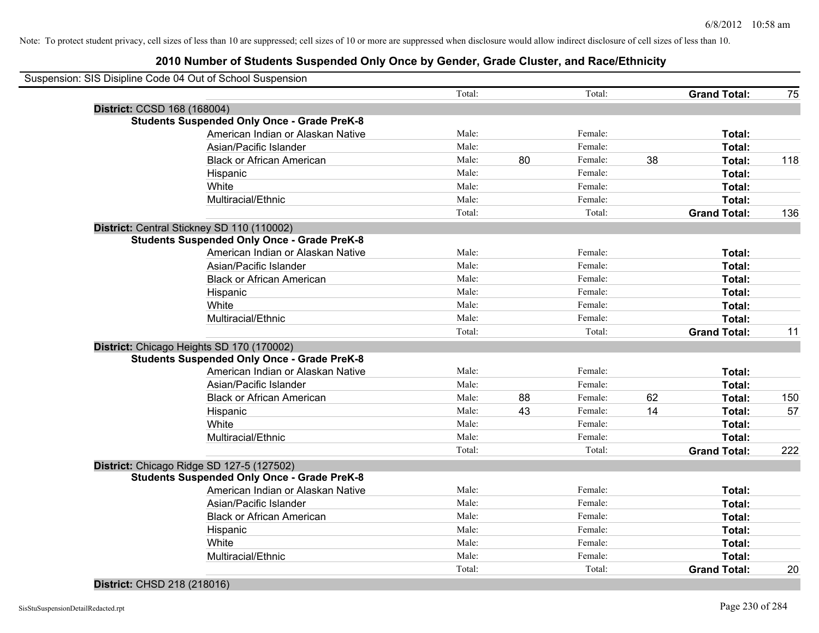|                             | Suspension: SIS Disipline Code 04 Out of School Suspension |        |    |         |    |                     |     |
|-----------------------------|------------------------------------------------------------|--------|----|---------|----|---------------------|-----|
|                             |                                                            | Total: |    | Total:  |    | <b>Grand Total:</b> | 75  |
| District: CCSD 168 (168004) |                                                            |        |    |         |    |                     |     |
|                             | <b>Students Suspended Only Once - Grade PreK-8</b>         |        |    |         |    |                     |     |
|                             | American Indian or Alaskan Native                          | Male:  |    | Female: |    | Total:              |     |
|                             | Asian/Pacific Islander                                     | Male:  |    | Female: |    | Total:              |     |
|                             | <b>Black or African American</b>                           | Male:  | 80 | Female: | 38 | Total:              | 118 |
|                             | Hispanic                                                   | Male:  |    | Female: |    | Total:              |     |
|                             | White                                                      | Male:  |    | Female: |    | Total:              |     |
|                             | Multiracial/Ethnic                                         | Male:  |    | Female: |    | Total:              |     |
|                             |                                                            | Total: |    | Total:  |    | <b>Grand Total:</b> | 136 |
|                             | District: Central Stickney SD 110 (110002)                 |        |    |         |    |                     |     |
|                             | <b>Students Suspended Only Once - Grade PreK-8</b>         |        |    |         |    |                     |     |
|                             | American Indian or Alaskan Native                          | Male:  |    | Female: |    | Total:              |     |
|                             | Asian/Pacific Islander                                     | Male:  |    | Female: |    | Total:              |     |
|                             | <b>Black or African American</b>                           | Male:  |    | Female: |    | Total:              |     |
|                             | Hispanic                                                   | Male:  |    | Female: |    | Total:              |     |
|                             | White                                                      | Male:  |    | Female: |    | Total:              |     |
|                             | Multiracial/Ethnic                                         | Male:  |    | Female: |    | Total:              |     |
|                             |                                                            | Total: |    | Total:  |    | <b>Grand Total:</b> | 11  |
|                             | District: Chicago Heights SD 170 (170002)                  |        |    |         |    |                     |     |
|                             | <b>Students Suspended Only Once - Grade PreK-8</b>         |        |    |         |    |                     |     |
|                             | American Indian or Alaskan Native                          | Male:  |    | Female: |    | Total:              |     |
|                             | Asian/Pacific Islander                                     | Male:  |    | Female: |    | Total:              |     |
|                             | <b>Black or African American</b>                           | Male:  | 88 | Female: | 62 | Total:              | 150 |
|                             | Hispanic                                                   | Male:  | 43 | Female: | 14 | Total:              | 57  |
|                             | White                                                      | Male:  |    | Female: |    | Total:              |     |
|                             | Multiracial/Ethnic                                         | Male:  |    | Female: |    | Total:              |     |
|                             |                                                            | Total: |    | Total:  |    | <b>Grand Total:</b> | 222 |
|                             | District: Chicago Ridge SD 127-5 (127502)                  |        |    |         |    |                     |     |
|                             | <b>Students Suspended Only Once - Grade PreK-8</b>         |        |    |         |    |                     |     |
|                             | American Indian or Alaskan Native                          | Male:  |    | Female: |    | Total:              |     |
|                             | Asian/Pacific Islander                                     | Male:  |    | Female: |    | Total:              |     |
|                             | <b>Black or African American</b>                           | Male:  |    | Female: |    | Total:              |     |
|                             | Hispanic                                                   | Male:  |    | Female: |    | Total:              |     |
|                             | White                                                      | Male:  |    | Female: |    | Total:              |     |
|                             | Multiracial/Ethnic                                         | Male:  |    | Female: |    | Total:              |     |
|                             |                                                            | Total: |    | Total:  |    | <b>Grand Total:</b> | 20  |
|                             |                                                            |        |    |         |    |                     |     |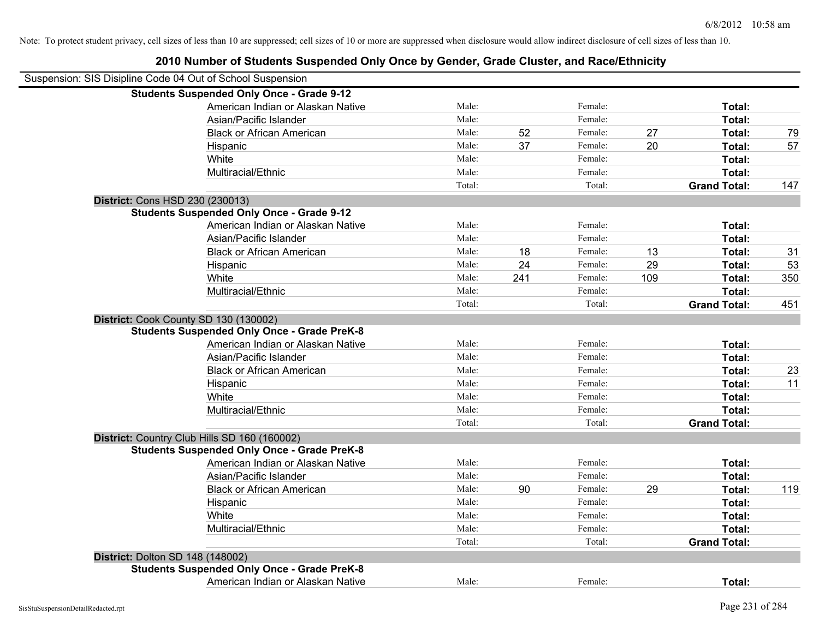| 2010 Number of Students Suspended Only Once by Gender, Grade Cluster, and Race/Ethnicity |  |
|------------------------------------------------------------------------------------------|--|
|------------------------------------------------------------------------------------------|--|

| Suspension: SIS Disipline Code 04 Out of School Suspension |                                                    |        |     |         |     |                     |     |
|------------------------------------------------------------|----------------------------------------------------|--------|-----|---------|-----|---------------------|-----|
|                                                            | <b>Students Suspended Only Once - Grade 9-12</b>   |        |     |         |     |                     |     |
|                                                            | American Indian or Alaskan Native                  | Male:  |     | Female: |     | Total:              |     |
|                                                            | Asian/Pacific Islander                             | Male:  |     | Female: |     | Total:              |     |
|                                                            | <b>Black or African American</b>                   | Male:  | 52  | Female: | 27  | Total:              | 79  |
|                                                            | Hispanic                                           | Male:  | 37  | Female: | 20  | Total:              | 57  |
|                                                            | White                                              | Male:  |     | Female: |     | Total:              |     |
|                                                            | Multiracial/Ethnic                                 | Male:  |     | Female: |     | Total:              |     |
|                                                            |                                                    | Total: |     | Total:  |     | <b>Grand Total:</b> | 147 |
| <b>District: Cons HSD 230 (230013)</b>                     |                                                    |        |     |         |     |                     |     |
|                                                            | <b>Students Suspended Only Once - Grade 9-12</b>   |        |     |         |     |                     |     |
|                                                            | American Indian or Alaskan Native                  | Male:  |     | Female: |     | Total:              |     |
|                                                            | Asian/Pacific Islander                             | Male:  |     | Female: |     | Total:              |     |
|                                                            | <b>Black or African American</b>                   | Male:  | 18  | Female: | 13  | Total:              | 31  |
|                                                            | Hispanic                                           | Male:  | 24  | Female: | 29  | Total:              | 53  |
|                                                            | White                                              | Male:  | 241 | Female: | 109 | Total:              | 350 |
|                                                            | Multiracial/Ethnic                                 | Male:  |     | Female: |     | Total:              |     |
|                                                            |                                                    | Total: |     | Total:  |     | <b>Grand Total:</b> | 451 |
| District: Cook County SD 130 (130002)                      |                                                    |        |     |         |     |                     |     |
|                                                            | <b>Students Suspended Only Once - Grade PreK-8</b> |        |     |         |     |                     |     |
|                                                            | American Indian or Alaskan Native                  | Male:  |     | Female: |     | Total:              |     |
|                                                            | Asian/Pacific Islander                             | Male:  |     | Female: |     | Total:              |     |
|                                                            | <b>Black or African American</b>                   | Male:  |     | Female: |     | Total:              | 23  |
|                                                            | Hispanic                                           | Male:  |     | Female: |     | Total:              | 11  |
|                                                            | White                                              | Male:  |     | Female: |     | Total:              |     |
|                                                            | Multiracial/Ethnic                                 | Male:  |     | Female: |     | Total:              |     |
|                                                            |                                                    | Total: |     | Total:  |     | <b>Grand Total:</b> |     |
|                                                            | District: Country Club Hills SD 160 (160002)       |        |     |         |     |                     |     |
|                                                            | <b>Students Suspended Only Once - Grade PreK-8</b> |        |     |         |     |                     |     |
|                                                            | American Indian or Alaskan Native                  | Male:  |     | Female: |     | Total:              |     |
|                                                            | Asian/Pacific Islander                             | Male:  |     | Female: |     | Total:              |     |
|                                                            | <b>Black or African American</b>                   | Male:  | 90  | Female: | 29  | Total:              | 119 |
|                                                            | Hispanic                                           | Male:  |     | Female: |     | Total:              |     |
|                                                            | White                                              | Male:  |     | Female: |     | Total:              |     |
|                                                            | Multiracial/Ethnic                                 | Male:  |     | Female: |     | Total:              |     |
|                                                            |                                                    | Total: |     | Total:  |     | <b>Grand Total:</b> |     |
| <b>District: Dolton SD 148 (148002)</b>                    |                                                    |        |     |         |     |                     |     |
|                                                            | <b>Students Suspended Only Once - Grade PreK-8</b> |        |     |         |     |                     |     |
|                                                            | American Indian or Alaskan Native                  | Male:  |     | Female: |     | Total:              |     |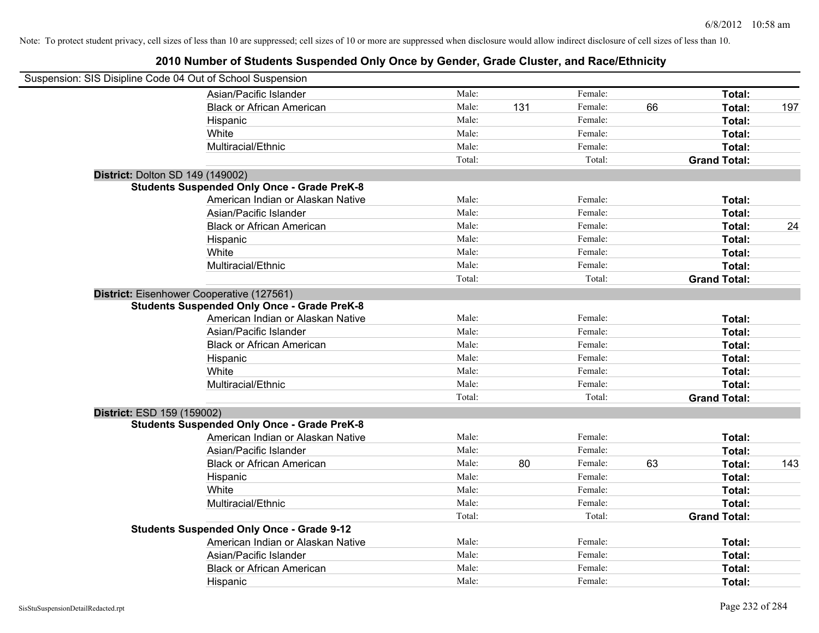| Suspension: SIS Disipline Code 04 Out of School Suspension |                                                    |        |     |         |    |                     |     |
|------------------------------------------------------------|----------------------------------------------------|--------|-----|---------|----|---------------------|-----|
|                                                            | Asian/Pacific Islander                             | Male:  |     | Female: |    | Total:              |     |
|                                                            | <b>Black or African American</b>                   | Male:  | 131 | Female: | 66 | Total:              | 197 |
|                                                            | Hispanic                                           | Male:  |     | Female: |    | Total:              |     |
|                                                            | White                                              | Male:  |     | Female: |    | Total:              |     |
|                                                            | Multiracial/Ethnic                                 | Male:  |     | Female: |    | Total:              |     |
|                                                            |                                                    | Total: |     | Total:  |    | <b>Grand Total:</b> |     |
| District: Dolton SD 149 (149002)                           |                                                    |        |     |         |    |                     |     |
|                                                            | <b>Students Suspended Only Once - Grade PreK-8</b> |        |     |         |    |                     |     |
|                                                            | American Indian or Alaskan Native                  | Male:  |     | Female: |    | Total:              |     |
|                                                            | Asian/Pacific Islander                             | Male:  |     | Female: |    | Total:              |     |
|                                                            | <b>Black or African American</b>                   | Male:  |     | Female: |    | Total:              | 24  |
|                                                            | Hispanic                                           | Male:  |     | Female: |    | Total:              |     |
|                                                            | White                                              | Male:  |     | Female: |    | Total:              |     |
|                                                            | Multiracial/Ethnic                                 | Male:  |     | Female: |    | Total:              |     |
|                                                            |                                                    | Total: |     | Total:  |    | <b>Grand Total:</b> |     |
|                                                            | District: Eisenhower Cooperative (127561)          |        |     |         |    |                     |     |
|                                                            | <b>Students Suspended Only Once - Grade PreK-8</b> |        |     |         |    |                     |     |
|                                                            | American Indian or Alaskan Native                  | Male:  |     | Female: |    | Total:              |     |
|                                                            | Asian/Pacific Islander                             | Male:  |     | Female: |    | Total:              |     |
|                                                            | <b>Black or African American</b>                   | Male:  |     | Female: |    | Total:              |     |
|                                                            | Hispanic                                           | Male:  |     | Female: |    | Total:              |     |
|                                                            | White                                              | Male:  |     | Female: |    | Total:              |     |
|                                                            | Multiracial/Ethnic                                 | Male:  |     | Female: |    | Total:              |     |
|                                                            |                                                    | Total: |     | Total:  |    | <b>Grand Total:</b> |     |
| District: ESD 159 (159002)                                 |                                                    |        |     |         |    |                     |     |
|                                                            | <b>Students Suspended Only Once - Grade PreK-8</b> |        |     |         |    |                     |     |
|                                                            | American Indian or Alaskan Native                  | Male:  |     | Female: |    | Total:              |     |
|                                                            | Asian/Pacific Islander                             | Male:  |     | Female: |    | Total:              |     |
|                                                            | <b>Black or African American</b>                   | Male:  | 80  | Female: | 63 | Total:              | 143 |
|                                                            | Hispanic                                           | Male:  |     | Female: |    | Total:              |     |
|                                                            | White                                              | Male:  |     | Female: |    | Total:              |     |
|                                                            | Multiracial/Ethnic                                 | Male:  |     | Female: |    | Total:              |     |
|                                                            |                                                    | Total: |     | Total:  |    | <b>Grand Total:</b> |     |
|                                                            | <b>Students Suspended Only Once - Grade 9-12</b>   |        |     |         |    |                     |     |
|                                                            | American Indian or Alaskan Native                  | Male:  |     | Female: |    | Total:              |     |
|                                                            | Asian/Pacific Islander                             | Male:  |     | Female: |    | Total:              |     |
|                                                            | <b>Black or African American</b>                   | Male:  |     | Female: |    | Total:              |     |
|                                                            | Hispanic                                           | Male:  |     | Female: |    | Total:              |     |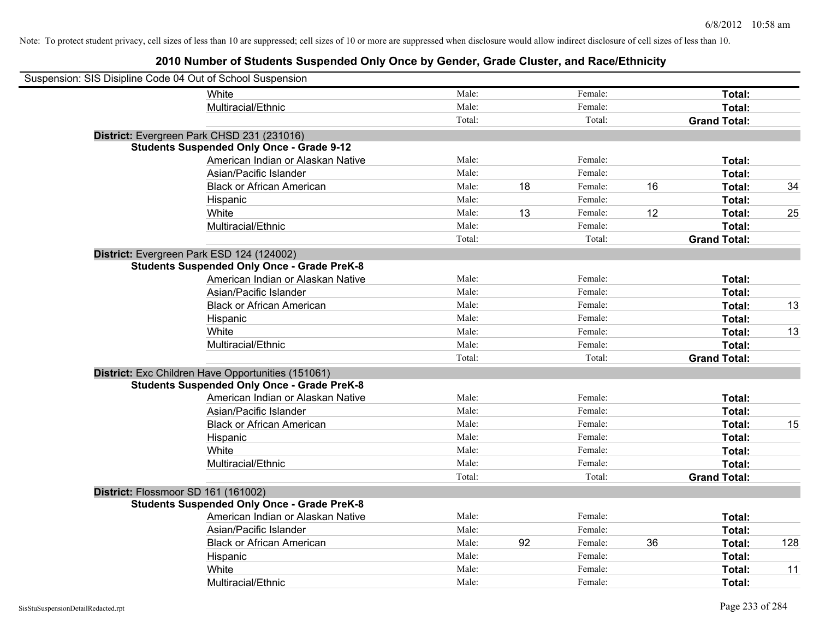| Suspension: SIS Disipline Code 04 Out of School Suspension |                                                    |        |    |         |    |                     |     |
|------------------------------------------------------------|----------------------------------------------------|--------|----|---------|----|---------------------|-----|
|                                                            | <b>White</b>                                       | Male:  |    | Female: |    | Total:              |     |
|                                                            | Multiracial/Ethnic                                 | Male:  |    | Female: |    | Total:              |     |
|                                                            |                                                    | Total: |    | Total:  |    | <b>Grand Total:</b> |     |
|                                                            | District: Evergreen Park CHSD 231 (231016)         |        |    |         |    |                     |     |
|                                                            | <b>Students Suspended Only Once - Grade 9-12</b>   |        |    |         |    |                     |     |
|                                                            | American Indian or Alaskan Native                  | Male:  |    | Female: |    | Total:              |     |
|                                                            | Asian/Pacific Islander                             | Male:  |    | Female: |    | Total:              |     |
|                                                            | <b>Black or African American</b>                   | Male:  | 18 | Female: | 16 | Total:              | 34  |
|                                                            | Hispanic                                           | Male:  |    | Female: |    | Total:              |     |
|                                                            | White                                              | Male:  | 13 | Female: | 12 | Total:              | 25  |
|                                                            | Multiracial/Ethnic                                 | Male:  |    | Female: |    | Total:              |     |
|                                                            |                                                    | Total: |    | Total:  |    | <b>Grand Total:</b> |     |
|                                                            | District: Evergreen Park ESD 124 (124002)          |        |    |         |    |                     |     |
|                                                            | <b>Students Suspended Only Once - Grade PreK-8</b> |        |    |         |    |                     |     |
|                                                            | American Indian or Alaskan Native                  | Male:  |    | Female: |    | Total:              |     |
|                                                            | Asian/Pacific Islander                             | Male:  |    | Female: |    | Total:              |     |
|                                                            | <b>Black or African American</b>                   | Male:  |    | Female: |    | Total:              | 13  |
|                                                            | Hispanic                                           | Male:  |    | Female: |    | Total:              |     |
|                                                            | White                                              | Male:  |    | Female: |    | Total:              | 13  |
|                                                            | Multiracial/Ethnic                                 | Male:  |    | Female: |    | Total:              |     |
|                                                            |                                                    | Total: |    | Total:  |    | <b>Grand Total:</b> |     |
|                                                            | District: Exc Children Have Opportunities (151061) |        |    |         |    |                     |     |
|                                                            | <b>Students Suspended Only Once - Grade PreK-8</b> |        |    |         |    |                     |     |
|                                                            | American Indian or Alaskan Native                  | Male:  |    | Female: |    | Total:              |     |
|                                                            | Asian/Pacific Islander                             | Male:  |    | Female: |    | Total:              |     |
|                                                            | <b>Black or African American</b>                   | Male:  |    | Female: |    | Total:              | 15  |
|                                                            | Hispanic                                           | Male:  |    | Female: |    | Total:              |     |
|                                                            | White                                              | Male:  |    | Female: |    | Total:              |     |
|                                                            | Multiracial/Ethnic                                 | Male:  |    | Female: |    | Total:              |     |
|                                                            |                                                    | Total: |    | Total:  |    | <b>Grand Total:</b> |     |
| District: Flossmoor SD 161 (161002)                        |                                                    |        |    |         |    |                     |     |
|                                                            | <b>Students Suspended Only Once - Grade PreK-8</b> |        |    |         |    |                     |     |
|                                                            | American Indian or Alaskan Native                  | Male:  |    | Female: |    | Total:              |     |
|                                                            | Asian/Pacific Islander                             | Male:  |    | Female: |    | Total:              |     |
|                                                            | <b>Black or African American</b>                   | Male:  | 92 | Female: | 36 | Total:              | 128 |
|                                                            | Hispanic                                           | Male:  |    | Female: |    | Total:              |     |
|                                                            | White                                              | Male:  |    | Female: |    | Total:              | 11  |
|                                                            | Multiracial/Ethnic                                 | Male:  |    | Female: |    | Total:              |     |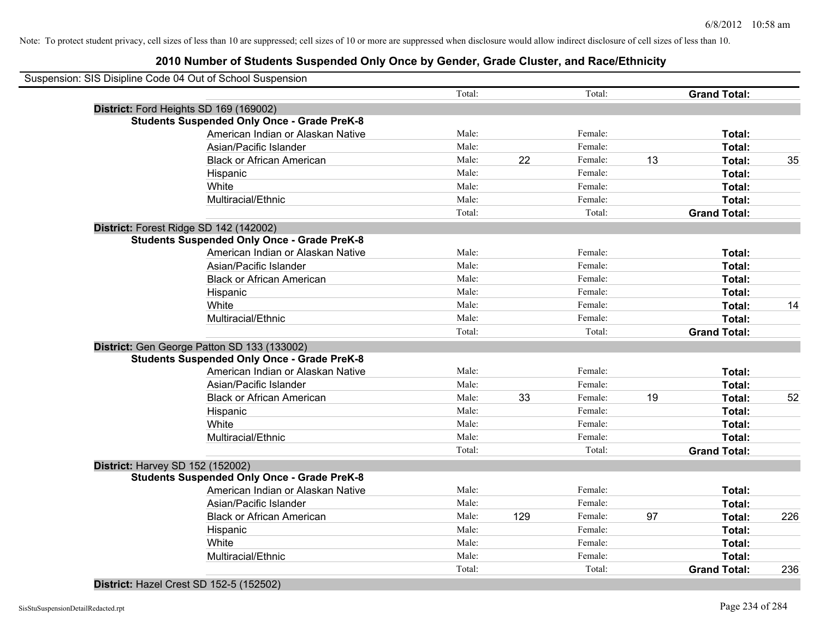| Suspension: SIS Disipline Code 04 Out of School Suspension |        |     |         |    |                     |     |
|------------------------------------------------------------|--------|-----|---------|----|---------------------|-----|
|                                                            | Total: |     | Total:  |    | <b>Grand Total:</b> |     |
| District: Ford Heights SD 169 (169002)                     |        |     |         |    |                     |     |
| <b>Students Suspended Only Once - Grade PreK-8</b>         |        |     |         |    |                     |     |
| American Indian or Alaskan Native                          | Male:  |     | Female: |    | Total:              |     |
| Asian/Pacific Islander                                     | Male:  |     | Female: |    | Total:              |     |
| <b>Black or African American</b>                           | Male:  | 22  | Female: | 13 | Total:              | 35  |
| Hispanic                                                   | Male:  |     | Female: |    | Total:              |     |
| White                                                      | Male:  |     | Female: |    | Total:              |     |
| Multiracial/Ethnic                                         | Male:  |     | Female: |    | Total:              |     |
|                                                            | Total: |     | Total:  |    | <b>Grand Total:</b> |     |
| District: Forest Ridge SD 142 (142002)                     |        |     |         |    |                     |     |
| <b>Students Suspended Only Once - Grade PreK-8</b>         |        |     |         |    |                     |     |
| American Indian or Alaskan Native                          | Male:  |     | Female: |    | Total:              |     |
| Asian/Pacific Islander                                     | Male:  |     | Female: |    | Total:              |     |
| <b>Black or African American</b>                           | Male:  |     | Female: |    | Total:              |     |
| Hispanic                                                   | Male:  |     | Female: |    | Total:              |     |
| White                                                      | Male:  |     | Female: |    | Total:              | 14  |
| Multiracial/Ethnic                                         | Male:  |     | Female: |    | Total:              |     |
|                                                            | Total: |     | Total:  |    | <b>Grand Total:</b> |     |
| District: Gen George Patton SD 133 (133002)                |        |     |         |    |                     |     |
| <b>Students Suspended Only Once - Grade PreK-8</b>         |        |     |         |    |                     |     |
| American Indian or Alaskan Native                          | Male:  |     | Female: |    | Total:              |     |
| Asian/Pacific Islander                                     | Male:  |     | Female: |    | Total:              |     |
| <b>Black or African American</b>                           | Male:  | 33  | Female: | 19 | Total:              | 52  |
| Hispanic                                                   | Male:  |     | Female: |    | Total:              |     |
| White                                                      | Male:  |     | Female: |    | Total:              |     |
| Multiracial/Ethnic                                         | Male:  |     | Female: |    | Total:              |     |
|                                                            | Total: |     | Total:  |    | <b>Grand Total:</b> |     |
| District: Harvey SD 152 (152002)                           |        |     |         |    |                     |     |
| <b>Students Suspended Only Once - Grade PreK-8</b>         |        |     |         |    |                     |     |
| American Indian or Alaskan Native                          | Male:  |     | Female: |    | Total:              |     |
| Asian/Pacific Islander                                     | Male:  |     | Female: |    | Total:              |     |
| <b>Black or African American</b>                           | Male:  | 129 | Female: | 97 | Total:              | 226 |
| Hispanic                                                   | Male:  |     | Female: |    | Total:              |     |
| White                                                      | Male:  |     | Female: |    | Total:              |     |
| Multiracial/Ethnic                                         | Male:  |     | Female: |    | Total:              |     |
|                                                            | Total: |     | Total:  |    | <b>Grand Total:</b> | 236 |
|                                                            |        |     |         |    |                     |     |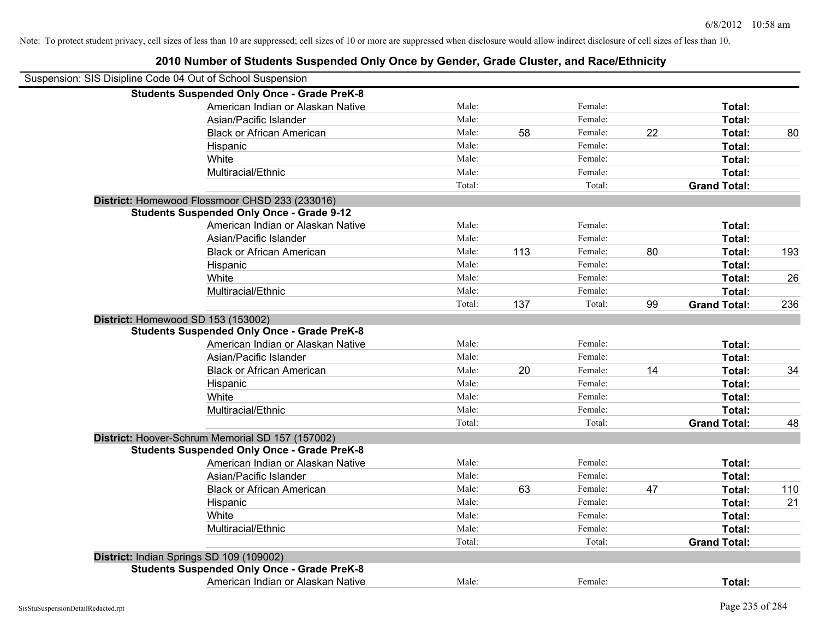| 2010 Number of Students Suspended Only Once by Gender, Grade Cluster, and Race/Ethnicity |        |     |         |    |                     |     |
|------------------------------------------------------------------------------------------|--------|-----|---------|----|---------------------|-----|
| Suspension: SIS Disipline Code 04 Out of School Suspension                               |        |     |         |    |                     |     |
| <b>Students Suspended Only Once - Grade PreK-8</b>                                       |        |     |         |    |                     |     |
| American Indian or Alaskan Native                                                        | Male:  |     | Female: |    | Total:              |     |
| Asian/Pacific Islander                                                                   | Male:  |     | Female: |    | Total:              |     |
| <b>Black or African American</b>                                                         | Male:  | 58  | Female: | 22 | Total:              | 80  |
| Hispanic                                                                                 | Male:  |     | Female: |    | Total:              |     |
| White                                                                                    | Male:  |     | Female: |    | Total:              |     |
| Multiracial/Ethnic                                                                       | Male:  |     | Female: |    | Total:              |     |
|                                                                                          | Total: |     | Total:  |    | <b>Grand Total:</b> |     |
| District: Homewood Flossmoor CHSD 233 (233016)                                           |        |     |         |    |                     |     |
| <b>Students Suspended Only Once - Grade 9-12</b>                                         |        |     |         |    |                     |     |
| American Indian or Alaskan Native                                                        | Male:  |     | Female: |    | Total:              |     |
| Asian/Pacific Islander                                                                   | Male:  |     | Female: |    | Total:              |     |
| <b>Black or African American</b>                                                         | Male:  | 113 | Female: | 80 | Total:              | 193 |
| Hispanic                                                                                 | Male:  |     | Female: |    | Total:              |     |
| White                                                                                    | Male:  |     | Female: |    | Total:              | 26  |
| Multiracial/Ethnic                                                                       | Male:  |     | Female: |    | Total:              |     |
|                                                                                          | Total: | 137 | Total:  | 99 | <b>Grand Total:</b> | 236 |
| District: Homewood SD 153 (153002)                                                       |        |     |         |    |                     |     |
| <b>Students Suspended Only Once - Grade PreK-8</b>                                       |        |     |         |    |                     |     |
| American Indian or Alaskan Native                                                        | Male:  |     | Female: |    | Total:              |     |
| Asian/Pacific Islander                                                                   | Male:  |     | Female: |    | Total:              |     |
| <b>Black or African American</b>                                                         | Male:  | 20  | Female: | 14 | Total:              | 34  |
| Hispanic                                                                                 | Male:  |     | Female: |    | Total:              |     |
| White                                                                                    | Male:  |     | Female: |    | Total:              |     |
| Multiracial/Ethnic                                                                       | Male:  |     | Female: |    | Total:              |     |
|                                                                                          | Total: |     | Total:  |    | <b>Grand Total:</b> | 48  |
| District: Hoover-Schrum Memorial SD 157 (157002)                                         |        |     |         |    |                     |     |
| <b>Students Suspended Only Once - Grade PreK-8</b>                                       |        |     |         |    |                     |     |
| American Indian or Alaskan Native                                                        | Male:  |     | Female: |    | Total:              |     |
| Asian/Pacific Islander                                                                   | Male:  |     | Female: |    | Total:              |     |
| <b>Black or African American</b>                                                         | Male:  | 63  | Female: | 47 | Total:              | 110 |
| Hispanic                                                                                 | Male:  |     | Female: |    | Total:              | 21  |
| White                                                                                    | Male:  |     | Female: |    | Total:              |     |
| Multiracial/Ethnic                                                                       | Male:  |     | Female: |    | Total:              |     |
|                                                                                          | Total: |     | Total:  |    | <b>Grand Total:</b> |     |
| District: Indian Springs SD 109 (109002)                                                 |        |     |         |    |                     |     |
| <b>Students Suspended Only Once - Grade PreK-8</b>                                       |        |     |         |    |                     |     |
| American Indian or Alaskan Native                                                        | Male:  |     | Female: |    | Total:              |     |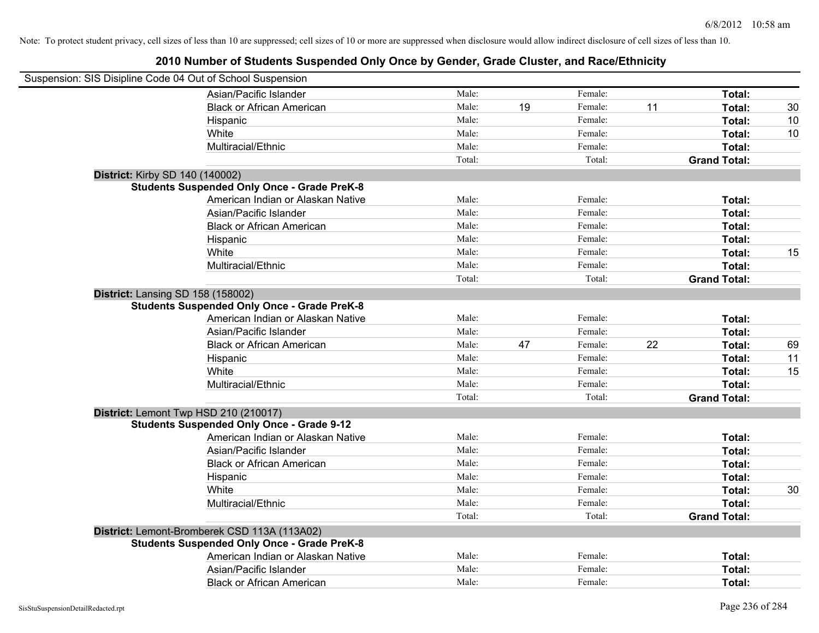| Suspension: SIS Disipline Code 04 Out of School Suspension |                                                    |        |    |         |    |                     |    |
|------------------------------------------------------------|----------------------------------------------------|--------|----|---------|----|---------------------|----|
|                                                            | Asian/Pacific Islander                             | Male:  |    | Female: |    | Total:              |    |
|                                                            | <b>Black or African American</b>                   | Male:  | 19 | Female: | 11 | Total:              | 30 |
|                                                            | Hispanic                                           | Male:  |    | Female: |    | Total:              | 10 |
|                                                            | White                                              | Male:  |    | Female: |    | Total:              | 10 |
|                                                            | Multiracial/Ethnic                                 | Male:  |    | Female: |    | Total:              |    |
|                                                            |                                                    | Total: |    | Total:  |    | <b>Grand Total:</b> |    |
| <b>District: Kirby SD 140 (140002)</b>                     |                                                    |        |    |         |    |                     |    |
|                                                            | <b>Students Suspended Only Once - Grade PreK-8</b> |        |    |         |    |                     |    |
|                                                            | American Indian or Alaskan Native                  | Male:  |    | Female: |    | Total:              |    |
|                                                            | Asian/Pacific Islander                             | Male:  |    | Female: |    | Total:              |    |
|                                                            | <b>Black or African American</b>                   | Male:  |    | Female: |    | Total:              |    |
|                                                            | Hispanic                                           | Male:  |    | Female: |    | Total:              |    |
|                                                            | White                                              | Male:  |    | Female: |    | Total:              | 15 |
|                                                            | Multiracial/Ethnic                                 | Male:  |    | Female: |    | Total:              |    |
|                                                            |                                                    | Total: |    | Total:  |    | <b>Grand Total:</b> |    |
| District: Lansing SD 158 (158002)                          |                                                    |        |    |         |    |                     |    |
|                                                            | <b>Students Suspended Only Once - Grade PreK-8</b> |        |    |         |    |                     |    |
|                                                            | American Indian or Alaskan Native                  | Male:  |    | Female: |    | Total:              |    |
|                                                            | Asian/Pacific Islander                             | Male:  |    | Female: |    | Total:              |    |
|                                                            | <b>Black or African American</b>                   | Male:  | 47 | Female: | 22 | Total:              | 69 |
|                                                            | Hispanic                                           | Male:  |    | Female: |    | Total:              | 11 |
|                                                            | White                                              | Male:  |    | Female: |    | Total:              | 15 |
|                                                            | Multiracial/Ethnic                                 | Male:  |    | Female: |    | Total:              |    |
|                                                            |                                                    | Total: |    | Total:  |    | <b>Grand Total:</b> |    |
|                                                            | District: Lemont Twp HSD 210 (210017)              |        |    |         |    |                     |    |
|                                                            | <b>Students Suspended Only Once - Grade 9-12</b>   |        |    |         |    |                     |    |
|                                                            | American Indian or Alaskan Native                  | Male:  |    | Female: |    | Total:              |    |
|                                                            | Asian/Pacific Islander                             | Male:  |    | Female: |    | Total:              |    |
|                                                            | <b>Black or African American</b>                   | Male:  |    | Female: |    | Total:              |    |
|                                                            | Hispanic                                           | Male:  |    | Female: |    | Total:              |    |
|                                                            | White                                              | Male:  |    | Female: |    | Total:              | 30 |
|                                                            | Multiracial/Ethnic                                 | Male:  |    | Female: |    | Total:              |    |
|                                                            |                                                    | Total: |    | Total:  |    | <b>Grand Total:</b> |    |
|                                                            | District: Lemont-Bromberek CSD 113A (113A02)       |        |    |         |    |                     |    |
|                                                            | <b>Students Suspended Only Once - Grade PreK-8</b> |        |    |         |    |                     |    |
|                                                            | American Indian or Alaskan Native                  | Male:  |    | Female: |    | Total:              |    |
|                                                            | Asian/Pacific Islander                             | Male:  |    | Female: |    | Total:              |    |
|                                                            | <b>Black or African American</b>                   | Male:  |    | Female: |    | Total:              |    |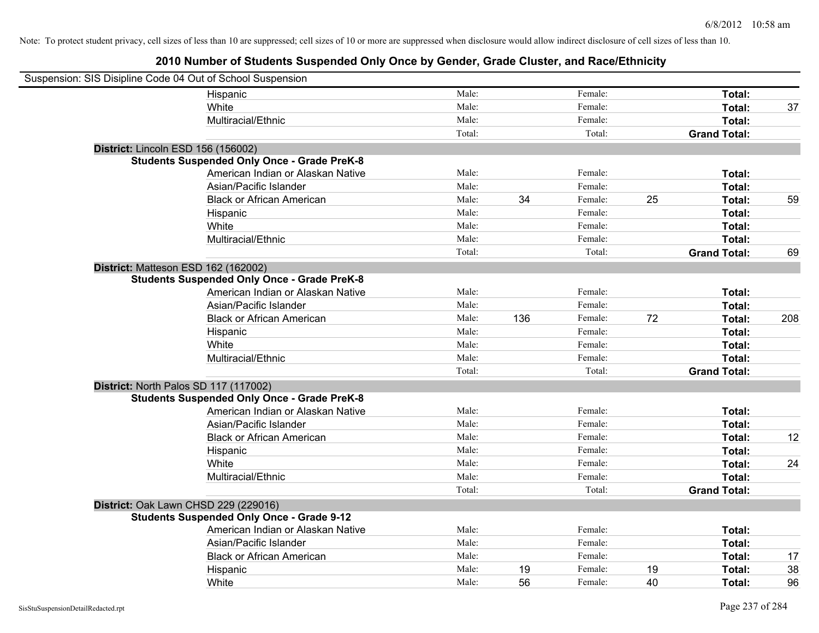| Suspension: SIS Disipline Code 04 Out of School Suspension |                                                    |        |     |         |    |                     |     |
|------------------------------------------------------------|----------------------------------------------------|--------|-----|---------|----|---------------------|-----|
|                                                            | Hispanic                                           | Male:  |     | Female: |    | Total:              |     |
|                                                            | White                                              | Male:  |     | Female: |    | Total:              | 37  |
|                                                            | Multiracial/Ethnic                                 | Male:  |     | Female: |    | Total:              |     |
|                                                            |                                                    | Total: |     | Total:  |    | <b>Grand Total:</b> |     |
| District: Lincoln ESD 156 (156002)                         |                                                    |        |     |         |    |                     |     |
|                                                            | <b>Students Suspended Only Once - Grade PreK-8</b> |        |     |         |    |                     |     |
|                                                            | American Indian or Alaskan Native                  | Male:  |     | Female: |    | Total:              |     |
|                                                            | Asian/Pacific Islander                             | Male:  |     | Female: |    | Total:              |     |
|                                                            | <b>Black or African American</b>                   | Male:  | 34  | Female: | 25 | Total:              | 59  |
|                                                            | Hispanic                                           | Male:  |     | Female: |    | Total:              |     |
|                                                            | White                                              | Male:  |     | Female: |    | Total:              |     |
|                                                            | Multiracial/Ethnic                                 | Male:  |     | Female: |    | Total:              |     |
|                                                            |                                                    | Total: |     | Total:  |    | <b>Grand Total:</b> | 69  |
| District: Matteson ESD 162 (162002)                        |                                                    |        |     |         |    |                     |     |
|                                                            | <b>Students Suspended Only Once - Grade PreK-8</b> |        |     |         |    |                     |     |
|                                                            | American Indian or Alaskan Native                  | Male:  |     | Female: |    | Total:              |     |
|                                                            | Asian/Pacific Islander                             | Male:  |     | Female: |    | Total:              |     |
|                                                            | <b>Black or African American</b>                   | Male:  | 136 | Female: | 72 | Total:              | 208 |
|                                                            | Hispanic                                           | Male:  |     | Female: |    | Total:              |     |
|                                                            | White                                              | Male:  |     | Female: |    | Total:              |     |
|                                                            | Multiracial/Ethnic                                 | Male:  |     | Female: |    | Total:              |     |
|                                                            |                                                    | Total: |     | Total:  |    | <b>Grand Total:</b> |     |
| District: North Palos SD 117 (117002)                      |                                                    |        |     |         |    |                     |     |
|                                                            | <b>Students Suspended Only Once - Grade PreK-8</b> |        |     |         |    |                     |     |
|                                                            | American Indian or Alaskan Native                  | Male:  |     | Female: |    | Total:              |     |
|                                                            | Asian/Pacific Islander                             | Male:  |     | Female: |    | Total:              |     |
|                                                            | <b>Black or African American</b>                   | Male:  |     | Female: |    | Total:              | 12  |
|                                                            | Hispanic                                           | Male:  |     | Female: |    | Total:              |     |
|                                                            | White                                              | Male:  |     | Female: |    | Total:              | 24  |
|                                                            | Multiracial/Ethnic                                 | Male:  |     | Female: |    | Total:              |     |
|                                                            |                                                    | Total: |     | Total:  |    | <b>Grand Total:</b> |     |
| District: Oak Lawn CHSD 229 (229016)                       |                                                    |        |     |         |    |                     |     |
|                                                            | <b>Students Suspended Only Once - Grade 9-12</b>   |        |     |         |    |                     |     |
|                                                            | American Indian or Alaskan Native                  | Male:  |     | Female: |    | Total:              |     |
|                                                            | Asian/Pacific Islander                             | Male:  |     | Female: |    | Total:              |     |
|                                                            | <b>Black or African American</b>                   | Male:  |     | Female: |    | Total:              | 17  |
|                                                            | Hispanic                                           | Male:  | 19  | Female: | 19 | Total:              | 38  |
|                                                            | White                                              | Male:  | 56  | Female: | 40 | Total:              | 96  |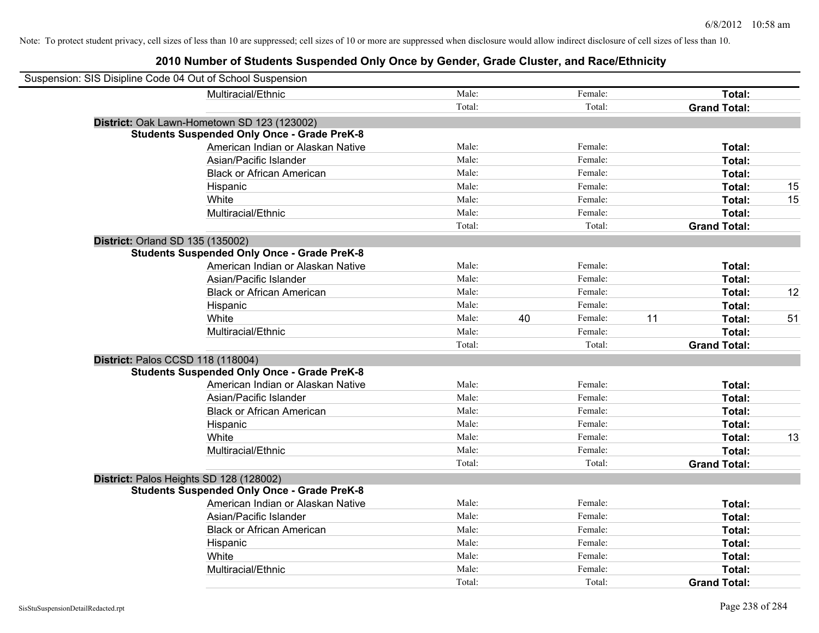| Suspension: SIS Disipline Code 04 Out of School Suspension |                                                    |        |    |         |    |                     |    |
|------------------------------------------------------------|----------------------------------------------------|--------|----|---------|----|---------------------|----|
|                                                            | Multiracial/Ethnic                                 | Male:  |    | Female: |    | Total:              |    |
|                                                            |                                                    | Total: |    | Total:  |    | <b>Grand Total:</b> |    |
|                                                            | District: Oak Lawn-Hometown SD 123 (123002)        |        |    |         |    |                     |    |
|                                                            | <b>Students Suspended Only Once - Grade PreK-8</b> |        |    |         |    |                     |    |
|                                                            | American Indian or Alaskan Native                  | Male:  |    | Female: |    | Total:              |    |
|                                                            | Asian/Pacific Islander                             | Male:  |    | Female: |    | Total:              |    |
|                                                            | <b>Black or African American</b>                   | Male:  |    | Female: |    | Total:              |    |
|                                                            | Hispanic                                           | Male:  |    | Female: |    | Total:              | 15 |
|                                                            | White                                              | Male:  |    | Female: |    | Total:              | 15 |
|                                                            | Multiracial/Ethnic                                 | Male:  |    | Female: |    | Total:              |    |
|                                                            |                                                    | Total: |    | Total:  |    | <b>Grand Total:</b> |    |
| District: Orland SD 135 (135002)                           |                                                    |        |    |         |    |                     |    |
|                                                            | <b>Students Suspended Only Once - Grade PreK-8</b> |        |    |         |    |                     |    |
|                                                            | American Indian or Alaskan Native                  | Male:  |    | Female: |    | Total:              |    |
|                                                            | Asian/Pacific Islander                             | Male:  |    | Female: |    | Total:              |    |
|                                                            | <b>Black or African American</b>                   | Male:  |    | Female: |    | Total:              | 12 |
|                                                            | Hispanic                                           | Male:  |    | Female: |    | Total:              |    |
|                                                            | White                                              | Male:  | 40 | Female: | 11 | Total:              | 51 |
|                                                            | Multiracial/Ethnic                                 | Male:  |    | Female: |    | Total:              |    |
|                                                            |                                                    | Total: |    | Total:  |    | <b>Grand Total:</b> |    |
| District: Palos CCSD 118 (118004)                          |                                                    |        |    |         |    |                     |    |
|                                                            | <b>Students Suspended Only Once - Grade PreK-8</b> |        |    |         |    |                     |    |
|                                                            | American Indian or Alaskan Native                  | Male:  |    | Female: |    | Total:              |    |
|                                                            | Asian/Pacific Islander                             | Male:  |    | Female: |    | Total:              |    |
|                                                            | <b>Black or African American</b>                   | Male:  |    | Female: |    | Total:              |    |
|                                                            | Hispanic                                           | Male:  |    | Female: |    | Total:              |    |
|                                                            | White                                              | Male:  |    | Female: |    | Total:              | 13 |
|                                                            | Multiracial/Ethnic                                 | Male:  |    | Female: |    | Total:              |    |
|                                                            |                                                    | Total: |    | Total:  |    | <b>Grand Total:</b> |    |
| District: Palos Heights SD 128 (128002)                    |                                                    |        |    |         |    |                     |    |
|                                                            | <b>Students Suspended Only Once - Grade PreK-8</b> |        |    |         |    |                     |    |
|                                                            | American Indian or Alaskan Native                  | Male:  |    | Female: |    | Total:              |    |
|                                                            | Asian/Pacific Islander                             | Male:  |    | Female: |    | Total:              |    |
|                                                            | <b>Black or African American</b>                   | Male:  |    | Female: |    | Total:              |    |
|                                                            | Hispanic                                           | Male:  |    | Female: |    | Total:              |    |
|                                                            | White                                              | Male:  |    | Female: |    | Total:              |    |
|                                                            | Multiracial/Ethnic                                 | Male:  |    | Female: |    | Total:              |    |
|                                                            |                                                    | Total: |    | Total:  |    | <b>Grand Total:</b> |    |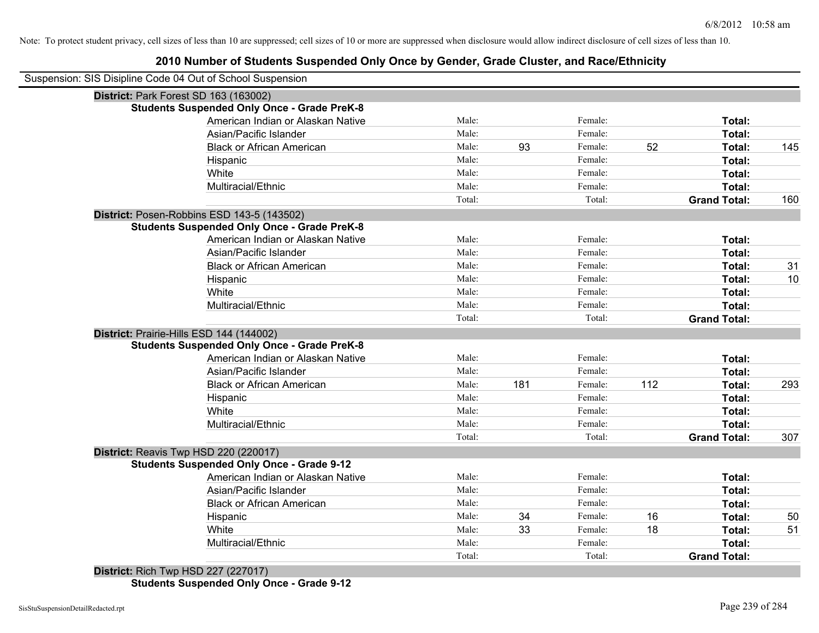# **2010 Number of Students Suspended Only Once by Gender, Grade Cluster, and Race/Ethnicity**

| Suspension: SIS Disipline Code 04 Out of School Suspension |        |     |         |     |                     |     |
|------------------------------------------------------------|--------|-----|---------|-----|---------------------|-----|
| District: Park Forest SD 163 (163002)                      |        |     |         |     |                     |     |
| <b>Students Suspended Only Once - Grade PreK-8</b>         |        |     |         |     |                     |     |
| American Indian or Alaskan Native                          | Male:  |     | Female: |     | Total:              |     |
| Asian/Pacific Islander                                     | Male:  |     | Female: |     | Total:              |     |
| <b>Black or African American</b>                           | Male:  | 93  | Female: | 52  | Total:              | 145 |
| Hispanic                                                   | Male:  |     | Female: |     | Total:              |     |
| White                                                      | Male:  |     | Female: |     | Total:              |     |
| Multiracial/Ethnic                                         | Male:  |     | Female: |     | Total:              |     |
|                                                            | Total: |     | Total:  |     | <b>Grand Total:</b> | 160 |
| District: Posen-Robbins ESD 143-5 (143502)                 |        |     |         |     |                     |     |
| <b>Students Suspended Only Once - Grade PreK-8</b>         |        |     |         |     |                     |     |
| American Indian or Alaskan Native                          | Male:  |     | Female: |     | Total:              |     |
| Asian/Pacific Islander                                     | Male:  |     | Female: |     | Total:              |     |
| <b>Black or African American</b>                           | Male:  |     | Female: |     | Total:              | 31  |
| Hispanic                                                   | Male:  |     | Female: |     | Total:              | 10  |
| White                                                      | Male:  |     | Female: |     | Total:              |     |
| Multiracial/Ethnic                                         | Male:  |     | Female: |     | Total:              |     |
|                                                            | Total: |     | Total:  |     | <b>Grand Total:</b> |     |
| District: Prairie-Hills ESD 144 (144002)                   |        |     |         |     |                     |     |
| <b>Students Suspended Only Once - Grade PreK-8</b>         |        |     |         |     |                     |     |
| American Indian or Alaskan Native                          | Male:  |     | Female: |     | Total:              |     |
| Asian/Pacific Islander                                     | Male:  |     | Female: |     | Total:              |     |
| <b>Black or African American</b>                           | Male:  | 181 | Female: | 112 | Total:              | 293 |
| Hispanic                                                   | Male:  |     | Female: |     | Total:              |     |
| White                                                      | Male:  |     | Female: |     | Total:              |     |
| Multiracial/Ethnic                                         | Male:  |     | Female: |     | Total:              |     |
|                                                            | Total: |     | Total:  |     | <b>Grand Total:</b> | 307 |
| District: Reavis Twp HSD 220 (220017)                      |        |     |         |     |                     |     |
| <b>Students Suspended Only Once - Grade 9-12</b>           |        |     |         |     |                     |     |
| American Indian or Alaskan Native                          | Male:  |     | Female: |     | Total:              |     |
| Asian/Pacific Islander                                     | Male:  |     | Female: |     | Total:              |     |
| <b>Black or African American</b>                           | Male:  |     | Female: |     | Total:              |     |
| Hispanic                                                   | Male:  | 34  | Female: | 16  | Total:              | 50  |
| White                                                      | Male:  | 33  | Female: | 18  | Total:              | 51  |
| Multiracial/Ethnic                                         | Male:  |     | Female: |     | Total:              |     |
|                                                            | Total: |     | Total:  |     | <b>Grand Total:</b> |     |
| <b>District: Rich Twp HSD 227 (227017)</b>                 |        |     |         |     |                     |     |

**Students Suspended Only Once - Grade 9-12**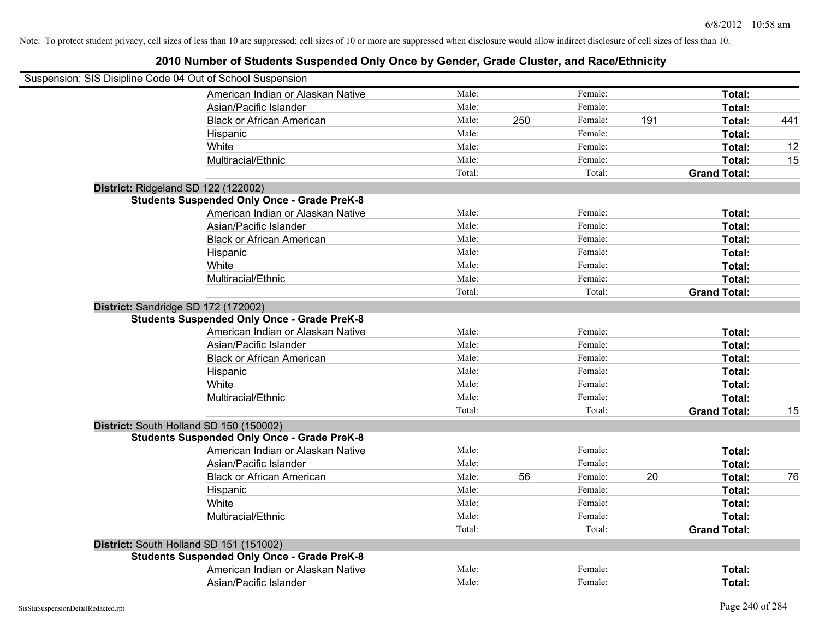| Suspension: SIS Disipline Code 04 Out of School Suspension                                                                     |        |     |         |     |                     |     |
|--------------------------------------------------------------------------------------------------------------------------------|--------|-----|---------|-----|---------------------|-----|
| American Indian or Alaskan Native                                                                                              | Male:  |     | Female: |     | Total:              |     |
| Asian/Pacific Islander                                                                                                         | Male:  |     | Female: |     | Total:              |     |
| <b>Black or African American</b>                                                                                               | Male:  | 250 | Female: | 191 | Total:              | 441 |
| Hispanic                                                                                                                       | Male:  |     | Female: |     | Total:              |     |
| White                                                                                                                          | Male:  |     | Female: |     | Total:              | 12  |
| Multiracial/Ethnic                                                                                                             | Male:  |     | Female: |     | Total:              | 15  |
|                                                                                                                                | Total: |     | Total:  |     | <b>Grand Total:</b> |     |
| District: Ridgeland SD 122 (122002)                                                                                            |        |     |         |     |                     |     |
| <b>Students Suspended Only Once - Grade PreK-8</b>                                                                             |        |     |         |     |                     |     |
| American Indian or Alaskan Native                                                                                              | Male:  |     | Female: |     | Total:              |     |
| Asian/Pacific Islander                                                                                                         | Male:  |     | Female: |     | Total:              |     |
| <b>Black or African American</b>                                                                                               | Male:  |     | Female: |     | Total:              |     |
| Hispanic                                                                                                                       | Male:  |     | Female: |     | Total:              |     |
| White                                                                                                                          | Male:  |     | Female: |     | Total:              |     |
| Multiracial/Ethnic                                                                                                             | Male:  |     | Female: |     | Total:              |     |
|                                                                                                                                | Total: |     | Total:  |     | <b>Grand Total:</b> |     |
| District: Sandridge SD 172 (172002)<br><b>Students Suspended Only Once - Grade PreK-8</b><br>American Indian or Alaskan Native | Male:  |     | Female: |     | Total:              |     |
|                                                                                                                                | Male:  |     | Female: |     |                     |     |
| Asian/Pacific Islander<br><b>Black or African American</b>                                                                     | Male:  |     | Female: |     | Total:<br>Total:    |     |
|                                                                                                                                | Male:  |     | Female: |     |                     |     |
| Hispanic<br>White                                                                                                              | Male:  |     | Female: |     | Total:              |     |
| Multiracial/Ethnic                                                                                                             | Male:  |     | Female: |     | Total:<br>Total:    |     |
|                                                                                                                                | Total: |     | Total:  |     | <b>Grand Total:</b> |     |
|                                                                                                                                |        |     |         |     |                     | 15  |
| District: South Holland SD 150 (150002)<br><b>Students Suspended Only Once - Grade PreK-8</b>                                  |        |     |         |     |                     |     |
| American Indian or Alaskan Native                                                                                              | Male:  |     | Female: |     | Total:              |     |
| Asian/Pacific Islander                                                                                                         | Male:  |     | Female: |     | Total:              |     |
| <b>Black or African American</b>                                                                                               | Male:  | 56  | Female: | 20  | Total:              | 76  |
| Hispanic                                                                                                                       | Male:  |     | Female: |     | Total:              |     |
| White                                                                                                                          | Male:  |     | Female: |     | Total:              |     |
| Multiracial/Ethnic                                                                                                             | Male:  |     | Female: |     | Total:              |     |
|                                                                                                                                | Total: |     | Total:  |     | <b>Grand Total:</b> |     |
|                                                                                                                                |        |     |         |     |                     |     |
| District: South Holland SD 151 (151002)<br><b>Students Suspended Only Once - Grade PreK-8</b>                                  |        |     |         |     |                     |     |
| American Indian or Alaskan Native                                                                                              | Male:  |     | Female: |     | Total:              |     |
| Asian/Pacific Islander                                                                                                         | Male:  |     | Female: |     | Total:              |     |
|                                                                                                                                |        |     |         |     |                     |     |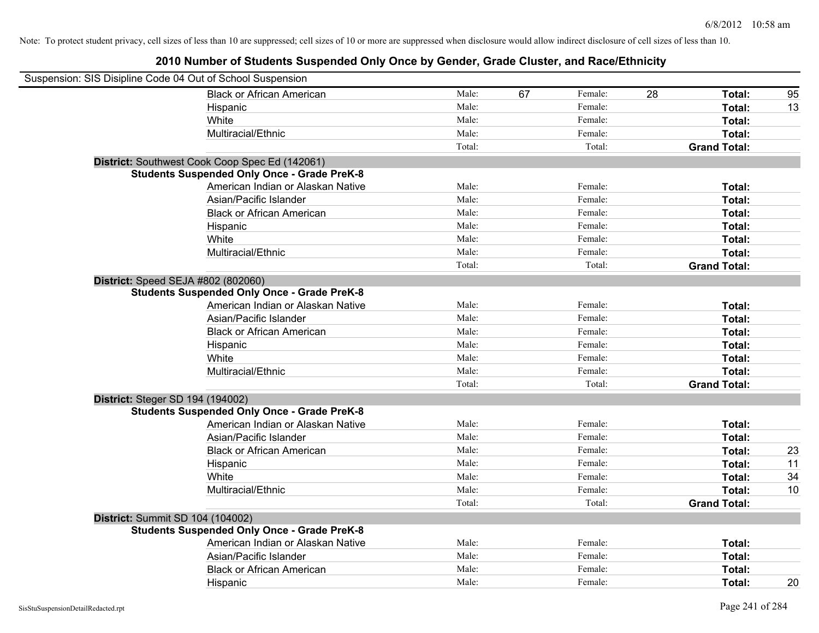| Suspension: SIS Disipline Code 04 Out of School Suspension |        |    |         |    |                     |    |
|------------------------------------------------------------|--------|----|---------|----|---------------------|----|
| <b>Black or African American</b>                           | Male:  | 67 | Female: | 28 | Total:              | 95 |
| Hispanic                                                   | Male:  |    | Female: |    | Total:              | 13 |
| White                                                      | Male:  |    | Female: |    | Total:              |    |
| Multiracial/Ethnic                                         | Male:  |    | Female: |    | Total:              |    |
|                                                            | Total: |    | Total:  |    | <b>Grand Total:</b> |    |
| District: Southwest Cook Coop Spec Ed (142061)             |        |    |         |    |                     |    |
| <b>Students Suspended Only Once - Grade PreK-8</b>         |        |    |         |    |                     |    |
| American Indian or Alaskan Native                          | Male:  |    | Female: |    | Total:              |    |
| Asian/Pacific Islander                                     | Male:  |    | Female: |    | Total:              |    |
| <b>Black or African American</b>                           | Male:  |    | Female: |    | Total:              |    |
| Hispanic                                                   | Male:  |    | Female: |    | Total:              |    |
| White                                                      | Male:  |    | Female: |    | Total:              |    |
| Multiracial/Ethnic                                         | Male:  |    | Female: |    | Total:              |    |
|                                                            | Total: |    | Total:  |    | <b>Grand Total:</b> |    |
| District: Speed SEJA #802 (802060)                         |        |    |         |    |                     |    |
| <b>Students Suspended Only Once - Grade PreK-8</b>         |        |    |         |    |                     |    |
| American Indian or Alaskan Native                          | Male:  |    | Female: |    | Total:              |    |
| Asian/Pacific Islander                                     | Male:  |    | Female: |    | Total:              |    |
| <b>Black or African American</b>                           | Male:  |    | Female: |    | Total:              |    |
| Hispanic                                                   | Male:  |    | Female: |    | Total:              |    |
| White                                                      | Male:  |    | Female: |    | Total:              |    |
| Multiracial/Ethnic                                         | Male:  |    | Female: |    | Total:              |    |
|                                                            | Total: |    | Total:  |    | <b>Grand Total:</b> |    |
| District: Steger SD 194 (194002)                           |        |    |         |    |                     |    |
| <b>Students Suspended Only Once - Grade PreK-8</b>         |        |    |         |    |                     |    |
| American Indian or Alaskan Native                          | Male:  |    | Female: |    | Total:              |    |
| Asian/Pacific Islander                                     | Male:  |    | Female: |    | Total:              |    |
| <b>Black or African American</b>                           | Male:  |    | Female: |    | Total:              | 23 |
| Hispanic                                                   | Male:  |    | Female: |    | Total:              | 11 |
| White                                                      | Male:  |    | Female: |    | Total:              | 34 |
| Multiracial/Ethnic                                         | Male:  |    | Female: |    | Total:              | 10 |
|                                                            | Total: |    | Total:  |    | <b>Grand Total:</b> |    |
| <b>District: Summit SD 104 (104002)</b>                    |        |    |         |    |                     |    |
| <b>Students Suspended Only Once - Grade PreK-8</b>         |        |    |         |    |                     |    |
| American Indian or Alaskan Native                          | Male:  |    | Female: |    | Total:              |    |
| Asian/Pacific Islander                                     | Male:  |    | Female: |    | Total:              |    |
| <b>Black or African American</b>                           | Male:  |    | Female: |    | Total:              |    |
| Hispanic                                                   | Male:  |    | Female: |    | Total:              | 20 |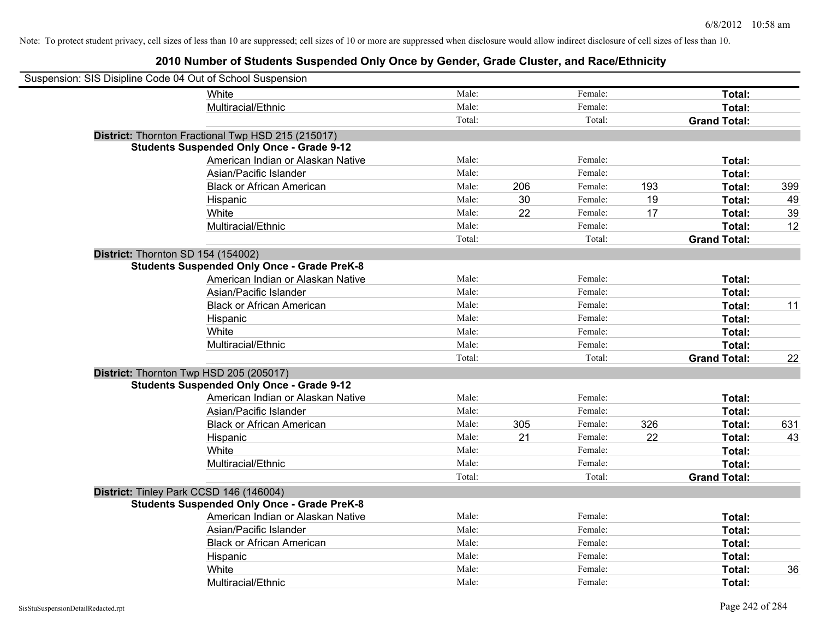| Suspension: SIS Disipline Code 04 Out of School Suspension |                                                    |        |     |         |     |                     |     |
|------------------------------------------------------------|----------------------------------------------------|--------|-----|---------|-----|---------------------|-----|
|                                                            | White                                              | Male:  |     | Female: |     | Total:              |     |
|                                                            | Multiracial/Ethnic                                 | Male:  |     | Female: |     | Total:              |     |
|                                                            |                                                    | Total: |     | Total:  |     | <b>Grand Total:</b> |     |
|                                                            | District: Thornton Fractional Twp HSD 215 (215017) |        |     |         |     |                     |     |
|                                                            | <b>Students Suspended Only Once - Grade 9-12</b>   |        |     |         |     |                     |     |
|                                                            | American Indian or Alaskan Native                  | Male:  |     | Female: |     | Total:              |     |
|                                                            | Asian/Pacific Islander                             | Male:  |     | Female: |     | Total:              |     |
|                                                            | <b>Black or African American</b>                   | Male:  | 206 | Female: | 193 | Total:              | 399 |
|                                                            | Hispanic                                           | Male:  | 30  | Female: | 19  | Total:              | 49  |
|                                                            | White                                              | Male:  | 22  | Female: | 17  | Total:              | 39  |
|                                                            | Multiracial/Ethnic                                 | Male:  |     | Female: |     | Total:              | 12  |
|                                                            |                                                    | Total: |     | Total:  |     | <b>Grand Total:</b> |     |
| District: Thornton SD 154 (154002)                         |                                                    |        |     |         |     |                     |     |
|                                                            | <b>Students Suspended Only Once - Grade PreK-8</b> |        |     |         |     |                     |     |
|                                                            | American Indian or Alaskan Native                  | Male:  |     | Female: |     | Total:              |     |
|                                                            | Asian/Pacific Islander                             | Male:  |     | Female: |     | Total:              |     |
|                                                            | <b>Black or African American</b>                   | Male:  |     | Female: |     | Total:              | 11  |
|                                                            | Hispanic                                           | Male:  |     | Female: |     | Total:              |     |
|                                                            | White                                              | Male:  |     | Female: |     | Total:              |     |
|                                                            | Multiracial/Ethnic                                 | Male:  |     | Female: |     | Total:              |     |
|                                                            |                                                    | Total: |     | Total:  |     | <b>Grand Total:</b> | 22  |
| District: Thornton Twp HSD 205 (205017)                    |                                                    |        |     |         |     |                     |     |
|                                                            | <b>Students Suspended Only Once - Grade 9-12</b>   |        |     |         |     |                     |     |
|                                                            | American Indian or Alaskan Native                  | Male:  |     | Female: |     | Total:              |     |
|                                                            | Asian/Pacific Islander                             | Male:  |     | Female: |     | Total:              |     |
|                                                            | <b>Black or African American</b>                   | Male:  | 305 | Female: | 326 | Total:              | 631 |
|                                                            | Hispanic                                           | Male:  | 21  | Female: | 22  | Total:              | 43  |
|                                                            | White                                              | Male:  |     | Female: |     | Total:              |     |
|                                                            | Multiracial/Ethnic                                 | Male:  |     | Female: |     | Total:              |     |
|                                                            |                                                    | Total: |     | Total:  |     | <b>Grand Total:</b> |     |
| District: Tinley Park CCSD 146 (146004)                    |                                                    |        |     |         |     |                     |     |
|                                                            | <b>Students Suspended Only Once - Grade PreK-8</b> |        |     |         |     |                     |     |
|                                                            | American Indian or Alaskan Native                  | Male:  |     | Female: |     | Total:              |     |
|                                                            | Asian/Pacific Islander                             | Male:  |     | Female: |     | Total:              |     |
|                                                            | <b>Black or African American</b>                   | Male:  |     | Female: |     | Total:              |     |
|                                                            | Hispanic                                           | Male:  |     | Female: |     | Total:              |     |
|                                                            | White                                              | Male:  |     | Female: |     | Total:              | 36  |
|                                                            | Multiracial/Ethnic                                 | Male:  |     | Female: |     | Total:              |     |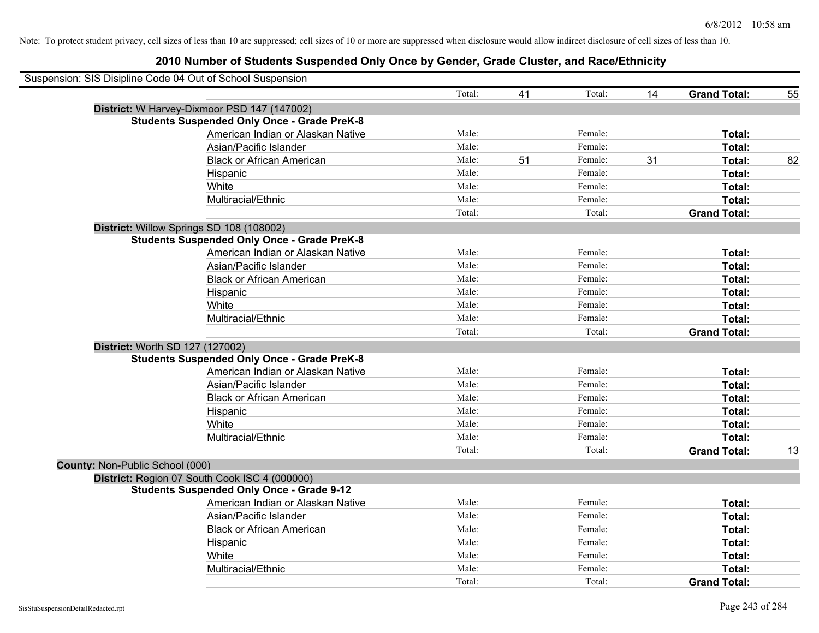| Suspension: SIS Disipline Code 04 Out of School Suspension |        |    |         |    |                     |    |
|------------------------------------------------------------|--------|----|---------|----|---------------------|----|
|                                                            | Total: | 41 | Total:  | 14 | <b>Grand Total:</b> | 55 |
| District: W Harvey-Dixmoor PSD 147 (147002)                |        |    |         |    |                     |    |
| <b>Students Suspended Only Once - Grade PreK-8</b>         |        |    |         |    |                     |    |
| American Indian or Alaskan Native                          | Male:  |    | Female: |    | Total:              |    |
| Asian/Pacific Islander                                     | Male:  |    | Female: |    | <b>Total:</b>       |    |
| <b>Black or African American</b>                           | Male:  | 51 | Female: | 31 | Total:              | 82 |
| Hispanic                                                   | Male:  |    | Female: |    | Total:              |    |
| White                                                      | Male:  |    | Female: |    | Total:              |    |
| Multiracial/Ethnic                                         | Male:  |    | Female: |    | Total:              |    |
|                                                            | Total: |    | Total:  |    | <b>Grand Total:</b> |    |
| District: Willow Springs SD 108 (108002)                   |        |    |         |    |                     |    |
| <b>Students Suspended Only Once - Grade PreK-8</b>         |        |    |         |    |                     |    |
| American Indian or Alaskan Native                          | Male:  |    | Female: |    | Total:              |    |
| Asian/Pacific Islander                                     | Male:  |    | Female: |    | Total:              |    |
| <b>Black or African American</b>                           | Male:  |    | Female: |    | Total:              |    |
| Hispanic                                                   | Male:  |    | Female: |    | Total:              |    |
| White                                                      | Male:  |    | Female: |    | Total:              |    |
| Multiracial/Ethnic                                         | Male:  |    | Female: |    | Total:              |    |
|                                                            | Total: |    | Total:  |    | <b>Grand Total:</b> |    |
| District: Worth SD 127 (127002)                            |        |    |         |    |                     |    |
| <b>Students Suspended Only Once - Grade PreK-8</b>         |        |    |         |    |                     |    |
| American Indian or Alaskan Native                          | Male:  |    | Female: |    | Total:              |    |
| Asian/Pacific Islander                                     | Male:  |    | Female: |    | Total:              |    |
| <b>Black or African American</b>                           | Male:  |    | Female: |    | Total:              |    |
| Hispanic                                                   | Male:  |    | Female: |    | Total:              |    |
| White                                                      | Male:  |    | Female: |    | Total:              |    |
| Multiracial/Ethnic                                         | Male:  |    | Female: |    | Total:              |    |
|                                                            | Total: |    | Total:  |    | <b>Grand Total:</b> | 13 |
| County: Non-Public School (000)                            |        |    |         |    |                     |    |
| District: Region 07 South Cook ISC 4 (000000)              |        |    |         |    |                     |    |
| <b>Students Suspended Only Once - Grade 9-12</b>           |        |    |         |    |                     |    |
| American Indian or Alaskan Native                          | Male:  |    | Female: |    | Total:              |    |
| Asian/Pacific Islander                                     | Male:  |    | Female: |    | Total:              |    |
| <b>Black or African American</b>                           | Male:  |    | Female: |    | Total:              |    |
| Hispanic                                                   | Male:  |    | Female: |    | Total:              |    |
| White                                                      | Male:  |    | Female: |    | Total:              |    |
| Multiracial/Ethnic                                         | Male:  |    | Female: |    | Total:              |    |
|                                                            | Total: |    | Total:  |    | <b>Grand Total:</b> |    |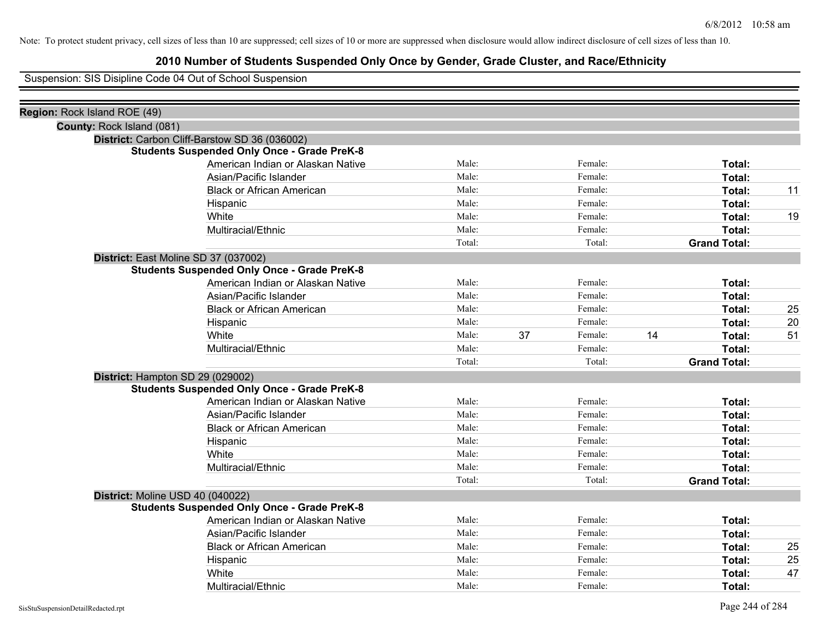## **2010 Number of Students Suspended Only Once by Gender, Grade Cluster, and Race/Ethnicity**

Suspension: SIS Disipline Code 04 Out of School Suspension

| Region: Rock Island ROE (49) |                                                    |        |    |         |    |                     |    |
|------------------------------|----------------------------------------------------|--------|----|---------|----|---------------------|----|
| County: Rock Island (081)    |                                                    |        |    |         |    |                     |    |
|                              | District: Carbon Cliff-Barstow SD 36 (036002)      |        |    |         |    |                     |    |
|                              | <b>Students Suspended Only Once - Grade PreK-8</b> |        |    |         |    |                     |    |
|                              | American Indian or Alaskan Native                  | Male:  |    | Female: |    | Total:              |    |
|                              | Asian/Pacific Islander                             | Male:  |    | Female: |    | Total:              |    |
|                              | <b>Black or African American</b>                   | Male:  |    | Female: |    | Total:              | 11 |
|                              | Hispanic                                           | Male:  |    | Female: |    | Total:              |    |
|                              | White                                              | Male:  |    | Female: |    | Total:              | 19 |
|                              | Multiracial/Ethnic                                 | Male:  |    | Female: |    | Total:              |    |
|                              |                                                    | Total: |    | Total:  |    | <b>Grand Total:</b> |    |
|                              | District: East Moline SD 37 (037002)               |        |    |         |    |                     |    |
|                              | <b>Students Suspended Only Once - Grade PreK-8</b> |        |    |         |    |                     |    |
|                              | American Indian or Alaskan Native                  | Male:  |    | Female: |    | Total:              |    |
|                              | Asian/Pacific Islander                             | Male:  |    | Female: |    | Total:              |    |
|                              | <b>Black or African American</b>                   | Male:  |    | Female: |    | Total:              | 25 |
|                              | Hispanic                                           | Male:  |    | Female: |    | Total:              | 20 |
|                              | White                                              | Male:  | 37 | Female: | 14 | Total:              | 51 |
|                              | Multiracial/Ethnic                                 | Male:  |    | Female: |    | Total:              |    |
|                              |                                                    | Total: |    | Total:  |    | <b>Grand Total:</b> |    |
|                              | District: Hampton SD 29 (029002)                   |        |    |         |    |                     |    |
|                              | <b>Students Suspended Only Once - Grade PreK-8</b> |        |    |         |    |                     |    |
|                              | American Indian or Alaskan Native                  | Male:  |    | Female: |    | Total:              |    |
|                              | Asian/Pacific Islander                             | Male:  |    | Female: |    | Total:              |    |
|                              | <b>Black or African American</b>                   | Male:  |    | Female: |    | Total:              |    |
|                              | Hispanic                                           | Male:  |    | Female: |    | Total:              |    |
|                              | White                                              | Male:  |    | Female: |    | Total:              |    |
|                              | Multiracial/Ethnic                                 | Male:  |    | Female: |    | Total:              |    |
|                              |                                                    | Total: |    | Total:  |    | <b>Grand Total:</b> |    |
|                              | District: Moline USD 40 (040022)                   |        |    |         |    |                     |    |
|                              | <b>Students Suspended Only Once - Grade PreK-8</b> |        |    |         |    |                     |    |
|                              | American Indian or Alaskan Native                  | Male:  |    | Female: |    | Total:              |    |
|                              | Asian/Pacific Islander                             | Male:  |    | Female: |    | Total:              |    |
|                              | <b>Black or African American</b>                   | Male:  |    | Female: |    | Total:              | 25 |
|                              | Hispanic                                           | Male:  |    | Female: |    | Total:              | 25 |
|                              | White                                              | Male:  |    | Female: |    | Total:              | 47 |
|                              | Multiracial/Ethnic                                 | Male:  |    | Female: |    | Total:              |    |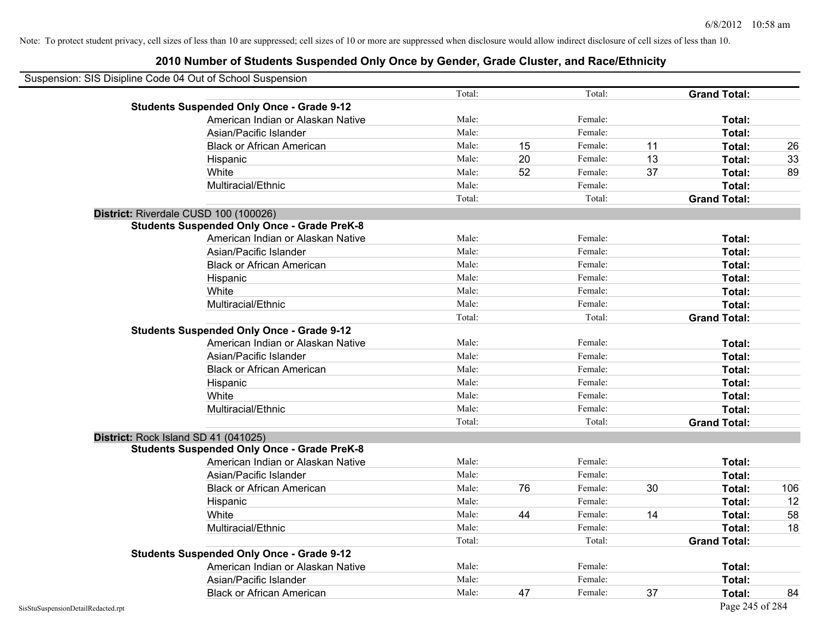| Suspension: SIS Disipline Code 04 Out of School Suspension |                                                    |        |    |         |    |                     |     |
|------------------------------------------------------------|----------------------------------------------------|--------|----|---------|----|---------------------|-----|
|                                                            |                                                    | Total: |    | Total:  |    | <b>Grand Total:</b> |     |
|                                                            | <b>Students Suspended Only Once - Grade 9-12</b>   |        |    |         |    |                     |     |
|                                                            | American Indian or Alaskan Native                  | Male:  |    | Female: |    | Total:              |     |
|                                                            | Asian/Pacific Islander                             | Male:  |    | Female: |    | Total:              |     |
|                                                            | <b>Black or African American</b>                   | Male:  | 15 | Female: | 11 | Total:              | 26  |
|                                                            | Hispanic                                           | Male:  | 20 | Female: | 13 | Total:              | 33  |
|                                                            | White                                              | Male:  | 52 | Female: | 37 | Total:              | 89  |
|                                                            | Multiracial/Ethnic                                 | Male:  |    | Female: |    | Total:              |     |
|                                                            |                                                    | Total: |    | Total:  |    | <b>Grand Total:</b> |     |
|                                                            | District: Riverdale CUSD 100 (100026)              |        |    |         |    |                     |     |
|                                                            | <b>Students Suspended Only Once - Grade PreK-8</b> |        |    |         |    |                     |     |
|                                                            | American Indian or Alaskan Native                  | Male:  |    | Female: |    | Total:              |     |
|                                                            | Asian/Pacific Islander                             | Male:  |    | Female: |    | Total:              |     |
|                                                            | <b>Black or African American</b>                   | Male:  |    | Female: |    | Total:              |     |
|                                                            | Hispanic                                           | Male:  |    | Female: |    | Total:              |     |
|                                                            | White                                              | Male:  |    | Female: |    | Total:              |     |
|                                                            | Multiracial/Ethnic                                 | Male:  |    | Female: |    | Total:              |     |
|                                                            |                                                    | Total: |    | Total:  |    | <b>Grand Total:</b> |     |
|                                                            | <b>Students Suspended Only Once - Grade 9-12</b>   |        |    |         |    |                     |     |
|                                                            | American Indian or Alaskan Native                  | Male:  |    | Female: |    | Total:              |     |
|                                                            | Asian/Pacific Islander                             | Male:  |    | Female: |    | Total:              |     |
|                                                            | <b>Black or African American</b>                   | Male:  |    | Female: |    | Total:              |     |
|                                                            | Hispanic                                           | Male:  |    | Female: |    | Total:              |     |
|                                                            | White                                              | Male:  |    | Female: |    | Total:              |     |
|                                                            | Multiracial/Ethnic                                 | Male:  |    | Female: |    | Total:              |     |
|                                                            |                                                    | Total: |    | Total:  |    | <b>Grand Total:</b> |     |
|                                                            | District: Rock Island SD 41 (041025)               |        |    |         |    |                     |     |
|                                                            | <b>Students Suspended Only Once - Grade PreK-8</b> |        |    |         |    |                     |     |
|                                                            | American Indian or Alaskan Native                  | Male:  |    | Female: |    | Total:              |     |
|                                                            | Asian/Pacific Islander                             | Male:  |    | Female: |    | Total:              |     |
|                                                            | <b>Black or African American</b>                   | Male:  | 76 | Female: | 30 | Total:              | 106 |
|                                                            | Hispanic                                           | Male:  |    | Female: |    | Total:              | 12  |
|                                                            | White                                              | Male:  | 44 | Female: | 14 | Total:              | 58  |
|                                                            | Multiracial/Ethnic                                 | Male:  |    | Female: |    | Total:              | 18  |
|                                                            |                                                    | Total: |    | Total:  |    | <b>Grand Total:</b> |     |
|                                                            | <b>Students Suspended Only Once - Grade 9-12</b>   |        |    |         |    |                     |     |
|                                                            | American Indian or Alaskan Native                  | Male:  |    | Female: |    | Total:              |     |
|                                                            | Asian/Pacific Islander                             | Male:  |    | Female: |    | Total:              |     |
|                                                            | <b>Black or African American</b>                   | Male:  | 47 | Female: | 37 | Total:              | 84  |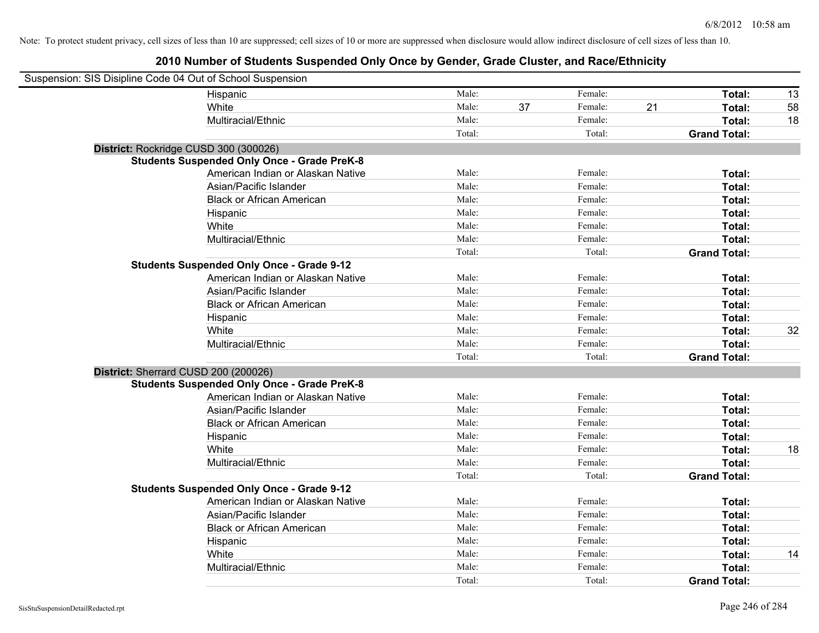| Suspension: SIS Disipline Code 04 Out of School Suspension |                                                    |        |    |         |    |                     |    |
|------------------------------------------------------------|----------------------------------------------------|--------|----|---------|----|---------------------|----|
|                                                            | Hispanic                                           | Male:  |    | Female: |    | Total:              | 13 |
|                                                            | White                                              | Male:  | 37 | Female: | 21 | Total:              | 58 |
|                                                            | Multiracial/Ethnic                                 | Male:  |    | Female: |    | Total:              | 18 |
|                                                            |                                                    | Total: |    | Total:  |    | <b>Grand Total:</b> |    |
| District: Rockridge CUSD 300 (300026)                      |                                                    |        |    |         |    |                     |    |
|                                                            | <b>Students Suspended Only Once - Grade PreK-8</b> |        |    |         |    |                     |    |
|                                                            | American Indian or Alaskan Native                  | Male:  |    | Female: |    | Total:              |    |
|                                                            | Asian/Pacific Islander                             | Male:  |    | Female: |    | Total:              |    |
|                                                            | <b>Black or African American</b>                   | Male:  |    | Female: |    | Total:              |    |
|                                                            | Hispanic                                           | Male:  |    | Female: |    | Total:              |    |
|                                                            | White                                              | Male:  |    | Female: |    | Total:              |    |
|                                                            | Multiracial/Ethnic                                 | Male:  |    | Female: |    | Total:              |    |
|                                                            |                                                    | Total: |    | Total:  |    | <b>Grand Total:</b> |    |
|                                                            | <b>Students Suspended Only Once - Grade 9-12</b>   |        |    |         |    |                     |    |
|                                                            | American Indian or Alaskan Native                  | Male:  |    | Female: |    | Total:              |    |
|                                                            | Asian/Pacific Islander                             | Male:  |    | Female: |    | Total:              |    |
|                                                            | <b>Black or African American</b>                   | Male:  |    | Female: |    | Total:              |    |
|                                                            | Hispanic                                           | Male:  |    | Female: |    | Total:              |    |
|                                                            | White                                              | Male:  |    | Female: |    | Total:              | 32 |
|                                                            | Multiracial/Ethnic                                 | Male:  |    | Female: |    | Total:              |    |
|                                                            |                                                    | Total: |    | Total:  |    | <b>Grand Total:</b> |    |
| District: Sherrard CUSD 200 (200026)                       |                                                    |        |    |         |    |                     |    |
|                                                            | <b>Students Suspended Only Once - Grade PreK-8</b> |        |    |         |    |                     |    |
|                                                            | American Indian or Alaskan Native                  | Male:  |    | Female: |    | Total:              |    |
|                                                            | Asian/Pacific Islander                             | Male:  |    | Female: |    | Total:              |    |
|                                                            | <b>Black or African American</b>                   | Male:  |    | Female: |    | Total:              |    |
|                                                            | Hispanic                                           | Male:  |    | Female: |    | Total:              |    |
|                                                            | White                                              | Male:  |    | Female: |    | Total:              | 18 |
|                                                            | Multiracial/Ethnic                                 | Male:  |    | Female: |    | Total:              |    |
|                                                            |                                                    | Total: |    | Total:  |    | <b>Grand Total:</b> |    |
|                                                            | <b>Students Suspended Only Once - Grade 9-12</b>   |        |    |         |    |                     |    |
|                                                            | American Indian or Alaskan Native                  | Male:  |    | Female: |    | Total:              |    |
|                                                            | Asian/Pacific Islander                             | Male:  |    | Female: |    | Total:              |    |
|                                                            | <b>Black or African American</b>                   | Male:  |    | Female: |    | Total:              |    |
|                                                            | Hispanic                                           | Male:  |    | Female: |    | Total:              |    |
|                                                            | White                                              | Male:  |    | Female: |    | Total:              | 14 |
|                                                            | Multiracial/Ethnic                                 | Male:  |    | Female: |    | Total:              |    |
|                                                            |                                                    | Total: |    | Total:  |    | <b>Grand Total:</b> |    |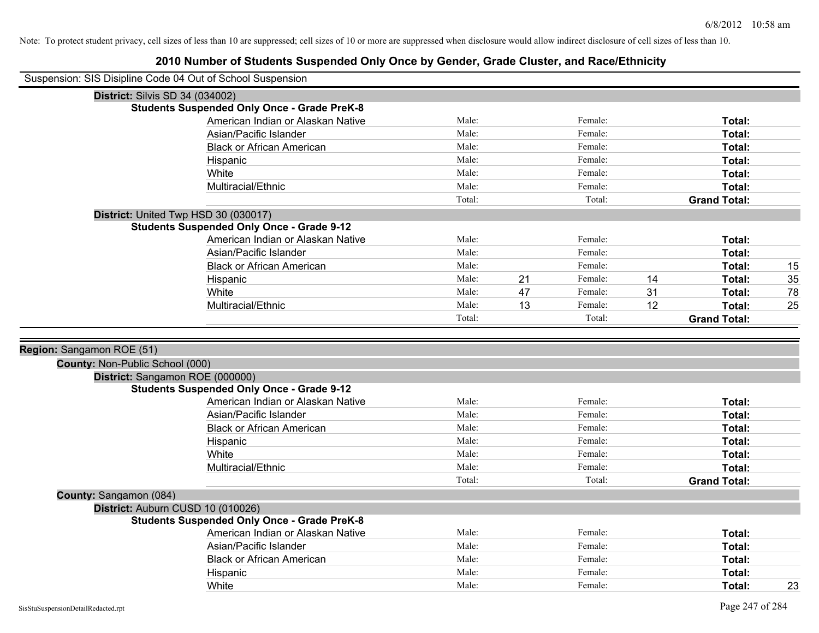|                                 | Suspension: SIS Disipline Code 04 Out of School Suspension |        |    |         |    |                     |    |
|---------------------------------|------------------------------------------------------------|--------|----|---------|----|---------------------|----|
|                                 | <b>District: Silvis SD 34 (034002)</b>                     |        |    |         |    |                     |    |
|                                 | <b>Students Suspended Only Once - Grade PreK-8</b>         |        |    |         |    |                     |    |
|                                 | American Indian or Alaskan Native                          | Male:  |    | Female: |    | Total:              |    |
|                                 | Asian/Pacific Islander                                     | Male:  |    | Female: |    | Total:              |    |
|                                 | <b>Black or African American</b>                           | Male:  |    | Female: |    | Total:              |    |
|                                 | Hispanic                                                   | Male:  |    | Female: |    | Total:              |    |
|                                 | White                                                      | Male:  |    | Female: |    | Total:              |    |
|                                 | Multiracial/Ethnic                                         | Male:  |    | Female: |    | Total:              |    |
|                                 |                                                            | Total: |    | Total:  |    | <b>Grand Total:</b> |    |
|                                 | District: United Twp HSD 30 (030017)                       |        |    |         |    |                     |    |
|                                 | <b>Students Suspended Only Once - Grade 9-12</b>           |        |    |         |    |                     |    |
|                                 | American Indian or Alaskan Native                          | Male:  |    | Female: |    | Total:              |    |
|                                 | Asian/Pacific Islander                                     | Male:  |    | Female: |    | Total:              |    |
|                                 | <b>Black or African American</b>                           | Male:  |    | Female: |    | Total:              | 15 |
|                                 | Hispanic                                                   | Male:  | 21 | Female: | 14 | Total:              | 35 |
|                                 | White                                                      | Male:  | 47 | Female: | 31 | Total:              | 78 |
|                                 | Multiracial/Ethnic                                         | Male:  | 13 | Female: | 12 | Total:              | 25 |
|                                 |                                                            | Total: |    | Total:  |    | <b>Grand Total:</b> |    |
|                                 |                                                            |        |    |         |    |                     |    |
| Region: Sangamon ROE (51)       |                                                            |        |    |         |    |                     |    |
| County: Non-Public School (000) |                                                            |        |    |         |    |                     |    |
|                                 | District: Sangamon ROE (000000)                            |        |    |         |    |                     |    |
|                                 | <b>Students Suspended Only Once - Grade 9-12</b>           |        |    |         |    |                     |    |
|                                 | American Indian or Alaskan Native                          | Male:  |    | Female: |    | Total:              |    |
|                                 | Asian/Pacific Islander                                     | Male:  |    | Female: |    | Total:              |    |
|                                 | <b>Black or African American</b>                           | Male:  |    | Female: |    | Total:              |    |
|                                 | Hispanic                                                   | Male:  |    | Female: |    | Total:              |    |
|                                 | White                                                      | Male:  |    | Female: |    | Total:              |    |
|                                 | Multiracial/Ethnic                                         | Male:  |    | Female: |    | Total:              |    |
|                                 |                                                            | Total: |    | Total:  |    | <b>Grand Total:</b> |    |
| County: Sangamon (084)          |                                                            |        |    |         |    |                     |    |
|                                 | District: Auburn CUSD 10 (010026)                          |        |    |         |    |                     |    |
|                                 | <b>Students Suspended Only Once - Grade PreK-8</b>         |        |    |         |    |                     |    |
|                                 | American Indian or Alaskan Native                          | Male:  |    | Female: |    | Total:              |    |
|                                 | Asian/Pacific Islander                                     | Male:  |    | Female: |    | Total:              |    |
|                                 | <b>Black or African American</b>                           | Male:  |    | Female: |    | Total:              |    |
|                                 | Hispanic                                                   | Male:  |    | Female: |    | Total:              |    |
|                                 | White                                                      | Male:  |    | Female: |    | Total:              | 23 |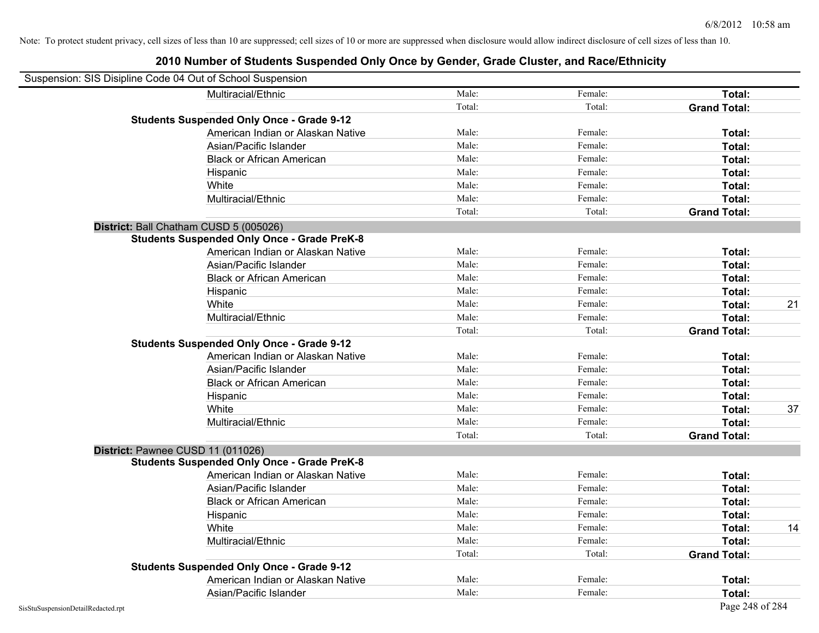| Suspension: SIS Disipline Code 04 Out of School Suspension |                                                    |        |         |                     |    |
|------------------------------------------------------------|----------------------------------------------------|--------|---------|---------------------|----|
|                                                            | Multiracial/Ethnic                                 | Male:  | Female: | Total:              |    |
|                                                            |                                                    | Total: | Total:  | <b>Grand Total:</b> |    |
|                                                            | <b>Students Suspended Only Once - Grade 9-12</b>   |        |         |                     |    |
|                                                            | American Indian or Alaskan Native                  | Male:  | Female: | Total:              |    |
|                                                            | Asian/Pacific Islander                             | Male:  | Female: | Total:              |    |
|                                                            | <b>Black or African American</b>                   | Male:  | Female: | Total:              |    |
|                                                            | Hispanic                                           | Male:  | Female: | Total:              |    |
|                                                            | White                                              | Male:  | Female: | Total:              |    |
|                                                            | Multiracial/Ethnic                                 | Male:  | Female: | Total:              |    |
|                                                            |                                                    | Total: | Total:  | <b>Grand Total:</b> |    |
| District: Ball Chatham CUSD 5 (005026)                     |                                                    |        |         |                     |    |
|                                                            | <b>Students Suspended Only Once - Grade PreK-8</b> |        |         |                     |    |
|                                                            | American Indian or Alaskan Native                  | Male:  | Female: | Total:              |    |
|                                                            | Asian/Pacific Islander                             | Male:  | Female: | Total:              |    |
|                                                            | <b>Black or African American</b>                   | Male:  | Female: | Total:              |    |
|                                                            | Hispanic                                           | Male:  | Female: | Total:              |    |
|                                                            | White                                              | Male:  | Female: | Total:              | 21 |
|                                                            | Multiracial/Ethnic                                 | Male:  | Female: | Total:              |    |
|                                                            |                                                    | Total: | Total:  | <b>Grand Total:</b> |    |
|                                                            | <b>Students Suspended Only Once - Grade 9-12</b>   |        |         |                     |    |
|                                                            | American Indian or Alaskan Native                  | Male:  | Female: | Total:              |    |
|                                                            | Asian/Pacific Islander                             | Male:  | Female: | Total:              |    |
|                                                            | <b>Black or African American</b>                   | Male:  | Female: | Total:              |    |
|                                                            | Hispanic                                           | Male:  | Female: | Total:              |    |
|                                                            | White                                              | Male:  | Female: | Total:              | 37 |
|                                                            | Multiracial/Ethnic                                 | Male:  | Female: | Total:              |    |
|                                                            |                                                    | Total: | Total:  | <b>Grand Total:</b> |    |
| District: Pawnee CUSD 11 (011026)                          |                                                    |        |         |                     |    |
|                                                            | <b>Students Suspended Only Once - Grade PreK-8</b> |        |         |                     |    |
|                                                            | American Indian or Alaskan Native                  | Male:  | Female: | Total:              |    |
|                                                            | Asian/Pacific Islander                             | Male:  | Female: | Total:              |    |
|                                                            | <b>Black or African American</b>                   | Male:  | Female: | Total:              |    |
|                                                            | Hispanic                                           | Male:  | Female: | Total:              |    |
|                                                            | White                                              | Male:  | Female: | Total:              | 14 |
|                                                            | Multiracial/Ethnic                                 | Male:  | Female: | Total:              |    |
|                                                            |                                                    | Total: | Total:  | <b>Grand Total:</b> |    |
|                                                            | <b>Students Suspended Only Once - Grade 9-12</b>   |        |         |                     |    |
|                                                            | American Indian or Alaskan Native                  | Male:  | Female: | Total:              |    |
|                                                            | Asian/Pacific Islander                             | Male:  | Female: | Total:              |    |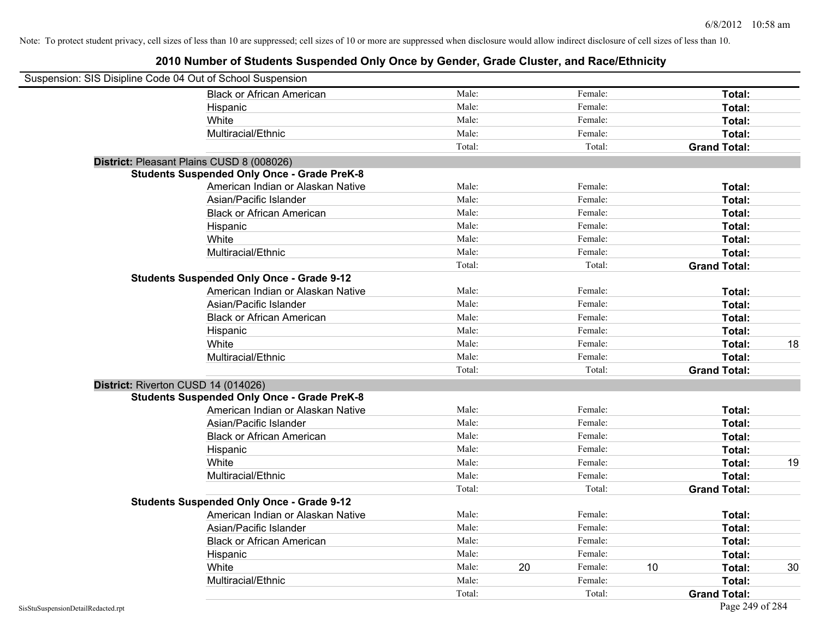| Suspension: SIS Disipline Code 04 Out of School Suspension |                                                    |        |    |         |    |                     |    |
|------------------------------------------------------------|----------------------------------------------------|--------|----|---------|----|---------------------|----|
|                                                            | <b>Black or African American</b>                   | Male:  |    | Female: |    | Total:              |    |
|                                                            | Hispanic                                           | Male:  |    | Female: |    | Total:              |    |
|                                                            | White                                              | Male:  |    | Female: |    | Total:              |    |
|                                                            | Multiracial/Ethnic                                 | Male:  |    | Female: |    | Total:              |    |
|                                                            |                                                    | Total: |    | Total:  |    | <b>Grand Total:</b> |    |
| District: Pleasant Plains CUSD 8 (008026)                  |                                                    |        |    |         |    |                     |    |
|                                                            | <b>Students Suspended Only Once - Grade PreK-8</b> |        |    |         |    |                     |    |
|                                                            | American Indian or Alaskan Native                  | Male:  |    | Female: |    | Total:              |    |
|                                                            | Asian/Pacific Islander                             | Male:  |    | Female: |    | Total:              |    |
|                                                            | <b>Black or African American</b>                   | Male:  |    | Female: |    | Total:              |    |
|                                                            | Hispanic                                           | Male:  |    | Female: |    | Total:              |    |
|                                                            | White                                              | Male:  |    | Female: |    | Total:              |    |
|                                                            | Multiracial/Ethnic                                 | Male:  |    | Female: |    | Total:              |    |
|                                                            |                                                    | Total: |    | Total:  |    | <b>Grand Total:</b> |    |
|                                                            | <b>Students Suspended Only Once - Grade 9-12</b>   |        |    |         |    |                     |    |
|                                                            | American Indian or Alaskan Native                  | Male:  |    | Female: |    | Total:              |    |
|                                                            | Asian/Pacific Islander                             | Male:  |    | Female: |    | Total:              |    |
|                                                            | <b>Black or African American</b>                   | Male:  |    | Female: |    | Total:              |    |
|                                                            | Hispanic                                           | Male:  |    | Female: |    | Total:              |    |
|                                                            | White                                              | Male:  |    | Female: |    | Total:              | 18 |
|                                                            | Multiracial/Ethnic                                 | Male:  |    | Female: |    | Total:              |    |
|                                                            |                                                    | Total: |    | Total:  |    | <b>Grand Total:</b> |    |
| District: Riverton CUSD 14 (014026)                        |                                                    |        |    |         |    |                     |    |
|                                                            | <b>Students Suspended Only Once - Grade PreK-8</b> |        |    |         |    |                     |    |
|                                                            | American Indian or Alaskan Native                  | Male:  |    | Female: |    | Total:              |    |
|                                                            | Asian/Pacific Islander                             | Male:  |    | Female: |    | Total:              |    |
|                                                            | <b>Black or African American</b>                   | Male:  |    | Female: |    | Total:              |    |
|                                                            | Hispanic                                           | Male:  |    | Female: |    | Total:              |    |
|                                                            | White                                              | Male:  |    | Female: |    | Total:              | 19 |
|                                                            | Multiracial/Ethnic                                 | Male:  |    | Female: |    | Total:              |    |
|                                                            |                                                    | Total: |    | Total:  |    | <b>Grand Total:</b> |    |
|                                                            | <b>Students Suspended Only Once - Grade 9-12</b>   |        |    |         |    |                     |    |
|                                                            | American Indian or Alaskan Native                  | Male:  |    | Female: |    | Total:              |    |
|                                                            | Asian/Pacific Islander                             | Male:  |    | Female: |    | Total:              |    |
|                                                            | <b>Black or African American</b>                   | Male:  |    | Female: |    | Total:              |    |
|                                                            | Hispanic                                           | Male:  |    | Female: |    | Total:              |    |
|                                                            | White                                              | Male:  | 20 | Female: | 10 | Total:              | 30 |
|                                                            | Multiracial/Ethnic                                 | Male:  |    | Female: |    | Total:              |    |
|                                                            |                                                    | Total: |    | Total:  |    | <b>Grand Total:</b> |    |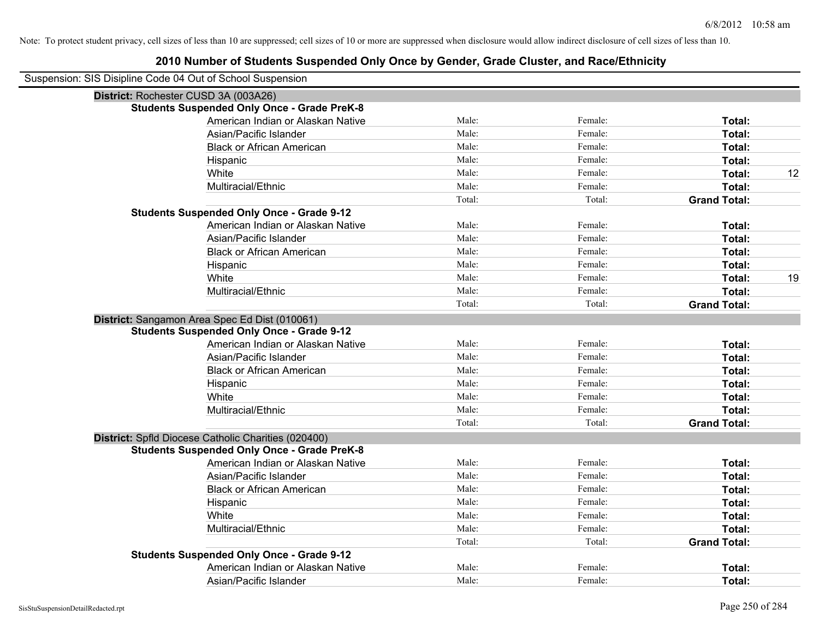| Suspension: SIS Disipline Code 04 Out of School Suspension |        |         |                     |    |
|------------------------------------------------------------|--------|---------|---------------------|----|
| District: Rochester CUSD 3A (003A26)                       |        |         |                     |    |
| <b>Students Suspended Only Once - Grade PreK-8</b>         |        |         |                     |    |
| American Indian or Alaskan Native                          | Male:  | Female: | Total:              |    |
| Asian/Pacific Islander                                     | Male:  | Female: | Total:              |    |
| <b>Black or African American</b>                           | Male:  | Female: | Total:              |    |
| Hispanic                                                   | Male:  | Female: | Total:              |    |
| White                                                      | Male:  | Female: | Total:              | 12 |
| Multiracial/Ethnic                                         | Male:  | Female: | Total:              |    |
|                                                            | Total: | Total:  | <b>Grand Total:</b> |    |
| <b>Students Suspended Only Once - Grade 9-12</b>           |        |         |                     |    |
| American Indian or Alaskan Native                          | Male:  | Female: | Total:              |    |
| Asian/Pacific Islander                                     | Male:  | Female: | Total:              |    |
| <b>Black or African American</b>                           | Male:  | Female: | Total:              |    |
| Hispanic                                                   | Male:  | Female: | Total:              |    |
| White                                                      | Male:  | Female: | Total:              | 19 |
| Multiracial/Ethnic                                         | Male:  | Female: | Total:              |    |
|                                                            | Total: | Total:  | <b>Grand Total:</b> |    |
| District: Sangamon Area Spec Ed Dist (010061)              |        |         |                     |    |
| <b>Students Suspended Only Once - Grade 9-12</b>           |        |         |                     |    |
| American Indian or Alaskan Native                          | Male:  | Female: | Total:              |    |
| Asian/Pacific Islander                                     | Male:  | Female: | Total:              |    |
| <b>Black or African American</b>                           | Male:  | Female: | Total:              |    |
| Hispanic                                                   | Male:  | Female: | Total:              |    |
| White                                                      | Male:  | Female: | Total:              |    |
| Multiracial/Ethnic                                         | Male:  | Female: | Total:              |    |
|                                                            | Total: | Total:  | <b>Grand Total:</b> |    |
| District: Spfld Diocese Catholic Charities (020400)        |        |         |                     |    |
| <b>Students Suspended Only Once - Grade PreK-8</b>         |        |         |                     |    |
| American Indian or Alaskan Native                          | Male:  | Female: | Total:              |    |
| Asian/Pacific Islander                                     | Male:  | Female: | Total:              |    |
| <b>Black or African American</b>                           | Male:  | Female: | Total:              |    |
| Hispanic                                                   | Male:  | Female: | Total:              |    |
| White                                                      | Male:  | Female: | Total:              |    |
| Multiracial/Ethnic                                         | Male:  | Female: | Total:              |    |
|                                                            | Total: | Total:  | <b>Grand Total:</b> |    |
| <b>Students Suspended Only Once - Grade 9-12</b>           |        |         |                     |    |
| American Indian or Alaskan Native                          | Male:  | Female: | Total:              |    |
| Asian/Pacific Islander                                     | Male:  | Female: | Total:              |    |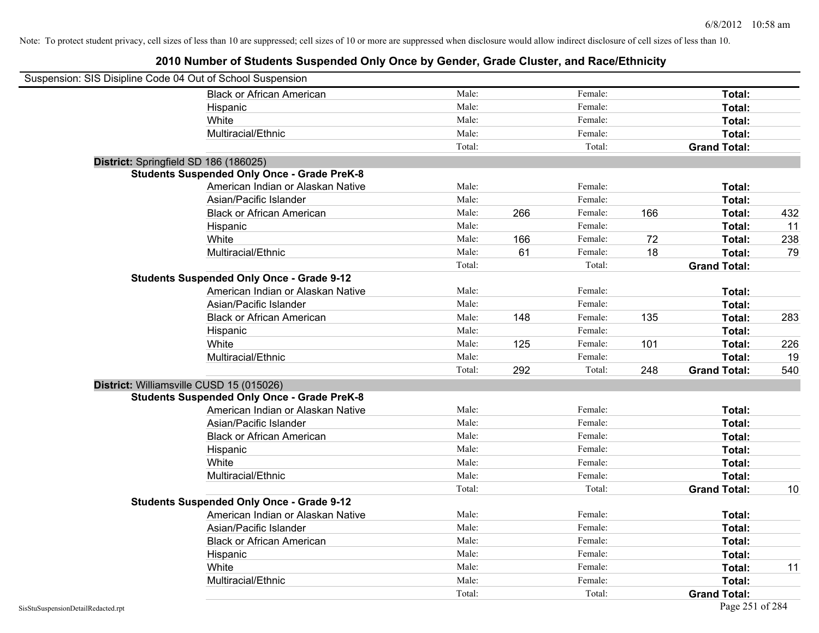| Suspension: SIS Disipline Code 04 Out of School Suspension |                                                    |        |     |         |     |                     |     |
|------------------------------------------------------------|----------------------------------------------------|--------|-----|---------|-----|---------------------|-----|
|                                                            | <b>Black or African American</b>                   | Male:  |     | Female: |     | Total:              |     |
|                                                            | Hispanic                                           | Male:  |     | Female: |     | Total:              |     |
|                                                            | White                                              | Male:  |     | Female: |     | Total:              |     |
|                                                            | Multiracial/Ethnic                                 | Male:  |     | Female: |     | Total:              |     |
|                                                            |                                                    | Total: |     | Total:  |     | <b>Grand Total:</b> |     |
| District: Springfield SD 186 (186025)                      |                                                    |        |     |         |     |                     |     |
|                                                            | <b>Students Suspended Only Once - Grade PreK-8</b> |        |     |         |     |                     |     |
|                                                            | American Indian or Alaskan Native                  | Male:  |     | Female: |     | Total:              |     |
|                                                            | Asian/Pacific Islander                             | Male:  |     | Female: |     | Total:              |     |
|                                                            | <b>Black or African American</b>                   | Male:  | 266 | Female: | 166 | Total:              | 432 |
|                                                            | Hispanic                                           | Male:  |     | Female: |     | Total:              | 11  |
|                                                            | White                                              | Male:  | 166 | Female: | 72  | Total:              | 238 |
|                                                            | Multiracial/Ethnic                                 | Male:  | 61  | Female: | 18  | Total:              | 79  |
|                                                            |                                                    | Total: |     | Total:  |     | <b>Grand Total:</b> |     |
|                                                            | <b>Students Suspended Only Once - Grade 9-12</b>   |        |     |         |     |                     |     |
|                                                            | American Indian or Alaskan Native                  | Male:  |     | Female: |     | Total:              |     |
|                                                            | Asian/Pacific Islander                             | Male:  |     | Female: |     | Total:              |     |
|                                                            | <b>Black or African American</b>                   | Male:  | 148 | Female: | 135 | Total:              | 283 |
|                                                            | Hispanic                                           | Male:  |     | Female: |     | Total:              |     |
|                                                            | White                                              | Male:  | 125 | Female: | 101 | Total:              | 226 |
|                                                            | Multiracial/Ethnic                                 | Male:  |     | Female: |     | Total:              | 19  |
|                                                            |                                                    | Total: | 292 | Total:  | 248 | <b>Grand Total:</b> | 540 |
| District: Williamsville CUSD 15 (015026)                   |                                                    |        |     |         |     |                     |     |
|                                                            | <b>Students Suspended Only Once - Grade PreK-8</b> |        |     |         |     |                     |     |
|                                                            | American Indian or Alaskan Native                  | Male:  |     | Female: |     | Total:              |     |
|                                                            | Asian/Pacific Islander                             | Male:  |     | Female: |     | Total:              |     |
|                                                            | <b>Black or African American</b>                   | Male:  |     | Female: |     | Total:              |     |
|                                                            | Hispanic                                           | Male:  |     | Female: |     | Total:              |     |
|                                                            | White                                              | Male:  |     | Female: |     | Total:              |     |
|                                                            | Multiracial/Ethnic                                 | Male:  |     | Female: |     | Total:              |     |
|                                                            |                                                    | Total: |     | Total:  |     | <b>Grand Total:</b> | 10  |
|                                                            | <b>Students Suspended Only Once - Grade 9-12</b>   |        |     |         |     |                     |     |
|                                                            | American Indian or Alaskan Native                  | Male:  |     | Female: |     | Total:              |     |
|                                                            | Asian/Pacific Islander                             | Male:  |     | Female: |     | Total:              |     |
|                                                            | <b>Black or African American</b>                   | Male:  |     | Female: |     | Total:              |     |
|                                                            | Hispanic                                           | Male:  |     | Female: |     | Total:              |     |
|                                                            | White                                              | Male:  |     | Female: |     | Total:              | 11  |
|                                                            | Multiracial/Ethnic                                 | Male:  |     | Female: |     | Total:              |     |
|                                                            |                                                    | Total: |     | Total:  |     | <b>Grand Total:</b> |     |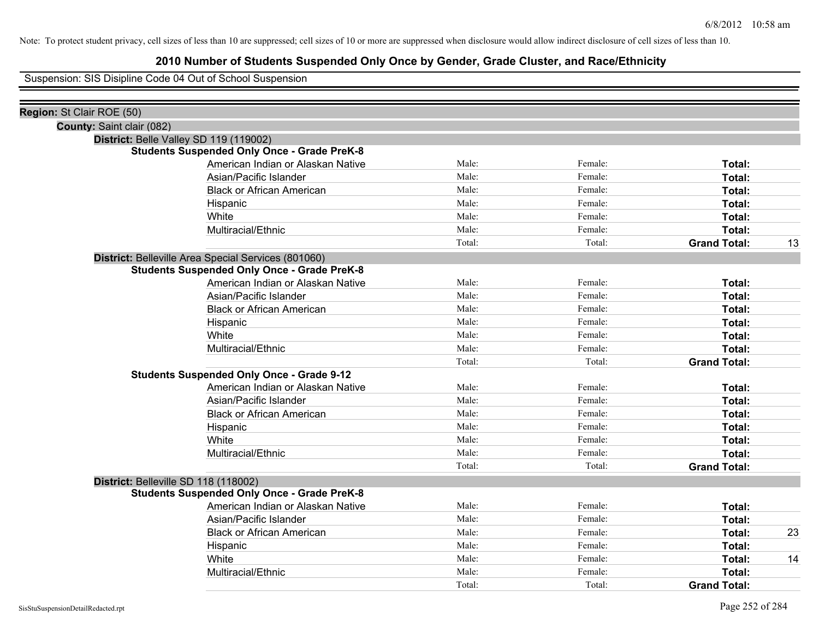## **2010 Number of Students Suspended Only Once by Gender, Grade Cluster, and Race/Ethnicity**

Suspension: SIS Disipline Code 04 Out of School Suspension

| Region: St Clair ROE (50)                           |        |         |                     |    |
|-----------------------------------------------------|--------|---------|---------------------|----|
| County: Saint clair (082)                           |        |         |                     |    |
| District: Belle Valley SD 119 (119002)              |        |         |                     |    |
| <b>Students Suspended Only Once - Grade PreK-8</b>  |        |         |                     |    |
| American Indian or Alaskan Native                   | Male:  | Female: | Total:              |    |
| Asian/Pacific Islander                              | Male:  | Female: | Total:              |    |
| <b>Black or African American</b>                    | Male:  | Female: | Total:              |    |
| Hispanic                                            | Male:  | Female: | Total:              |    |
| White                                               | Male:  | Female: | Total:              |    |
| Multiracial/Ethnic                                  | Male:  | Female: | Total:              |    |
|                                                     | Total: | Total:  | <b>Grand Total:</b> | 13 |
| District: Belleville Area Special Services (801060) |        |         |                     |    |
| <b>Students Suspended Only Once - Grade PreK-8</b>  |        |         |                     |    |
| American Indian or Alaskan Native                   | Male:  | Female: | Total:              |    |
| Asian/Pacific Islander                              | Male:  | Female: | Total:              |    |
| <b>Black or African American</b>                    | Male:  | Female: | Total:              |    |
| Hispanic                                            | Male:  | Female: | Total:              |    |
| White                                               | Male:  | Female: | Total:              |    |
| Multiracial/Ethnic                                  | Male:  | Female: | Total:              |    |
|                                                     | Total: | Total:  | <b>Grand Total:</b> |    |
| <b>Students Suspended Only Once - Grade 9-12</b>    |        |         |                     |    |
| American Indian or Alaskan Native                   | Male:  | Female: | Total:              |    |
| Asian/Pacific Islander                              | Male:  | Female: | Total:              |    |
| <b>Black or African American</b>                    | Male:  | Female: | Total:              |    |
| Hispanic                                            | Male:  | Female: | Total:              |    |
| White                                               | Male:  | Female: | Total:              |    |
| Multiracial/Ethnic                                  | Male:  | Female: | Total:              |    |
|                                                     | Total: | Total:  | <b>Grand Total:</b> |    |
| District: Belleville SD 118 (118002)                |        |         |                     |    |
| <b>Students Suspended Only Once - Grade PreK-8</b>  |        |         |                     |    |
| American Indian or Alaskan Native                   | Male:  | Female: | Total:              |    |
| Asian/Pacific Islander                              | Male:  | Female: | Total:              |    |
| <b>Black or African American</b>                    | Male:  | Female: | Total:              | 23 |
| Hispanic                                            | Male:  | Female: | Total:              |    |
| White                                               | Male:  | Female: | Total:              | 14 |
| Multiracial/Ethnic                                  | Male:  | Female: | <b>Total:</b>       |    |
|                                                     | Total: | Total:  | <b>Grand Total:</b> |    |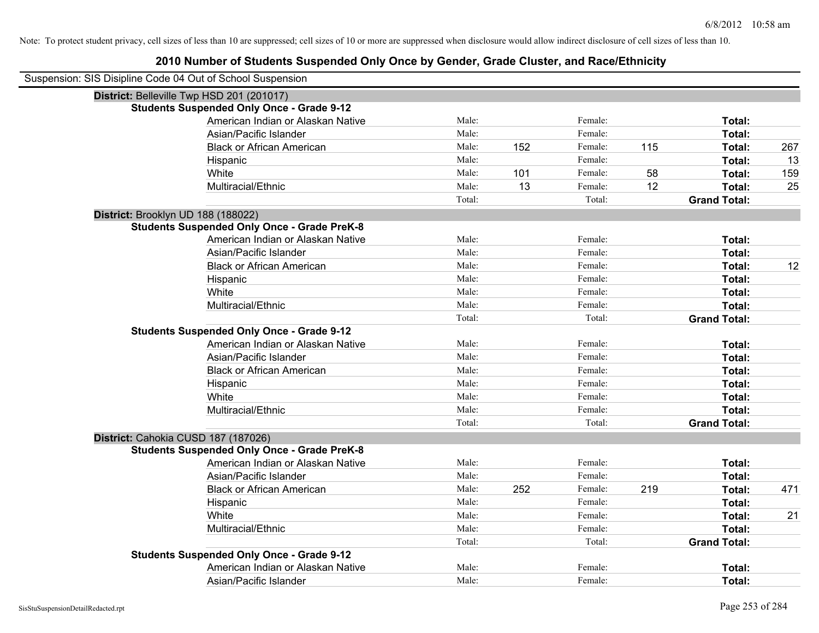| Suspension: SIS Disipline Code 04 Out of School Suspension |                                                    |        |     |         |     |                     |     |
|------------------------------------------------------------|----------------------------------------------------|--------|-----|---------|-----|---------------------|-----|
| District: Belleville Twp HSD 201 (201017)                  |                                                    |        |     |         |     |                     |     |
|                                                            | <b>Students Suspended Only Once - Grade 9-12</b>   |        |     |         |     |                     |     |
|                                                            | American Indian or Alaskan Native                  | Male:  |     | Female: |     | Total:              |     |
|                                                            | Asian/Pacific Islander                             | Male:  |     | Female: |     | Total:              |     |
|                                                            | <b>Black or African American</b>                   | Male:  | 152 | Female: | 115 | Total:              | 267 |
|                                                            | Hispanic                                           | Male:  |     | Female: |     | Total:              | 13  |
|                                                            | White                                              | Male:  | 101 | Female: | 58  | Total:              | 159 |
|                                                            | Multiracial/Ethnic                                 | Male:  | 13  | Female: | 12  | Total:              | 25  |
|                                                            |                                                    | Total: |     | Total:  |     | <b>Grand Total:</b> |     |
| District: Brooklyn UD 188 (188022)                         |                                                    |        |     |         |     |                     |     |
|                                                            | <b>Students Suspended Only Once - Grade PreK-8</b> |        |     |         |     |                     |     |
|                                                            | American Indian or Alaskan Native                  | Male:  |     | Female: |     | Total:              |     |
|                                                            | Asian/Pacific Islander                             | Male:  |     | Female: |     | Total:              |     |
|                                                            | <b>Black or African American</b>                   | Male:  |     | Female: |     | Total:              | 12  |
|                                                            | Hispanic                                           | Male:  |     | Female: |     | Total:              |     |
|                                                            | White                                              | Male:  |     | Female: |     | Total:              |     |
|                                                            | Multiracial/Ethnic                                 | Male:  |     | Female: |     | Total:              |     |
|                                                            |                                                    | Total: |     | Total:  |     | <b>Grand Total:</b> |     |
|                                                            | <b>Students Suspended Only Once - Grade 9-12</b>   |        |     |         |     |                     |     |
|                                                            | American Indian or Alaskan Native                  | Male:  |     | Female: |     | Total:              |     |
|                                                            | Asian/Pacific Islander                             | Male:  |     | Female: |     | Total:              |     |
|                                                            | <b>Black or African American</b>                   | Male:  |     | Female: |     | Total:              |     |
|                                                            | Hispanic                                           | Male:  |     | Female: |     | Total:              |     |
|                                                            | White                                              | Male:  |     | Female: |     | Total:              |     |
|                                                            | Multiracial/Ethnic                                 | Male:  |     | Female: |     | Total:              |     |
|                                                            |                                                    | Total: |     | Total:  |     | <b>Grand Total:</b> |     |
| District: Cahokia CUSD 187 (187026)                        |                                                    |        |     |         |     |                     |     |
|                                                            | <b>Students Suspended Only Once - Grade PreK-8</b> |        |     |         |     |                     |     |
|                                                            | American Indian or Alaskan Native                  | Male:  |     | Female: |     | Total:              |     |
|                                                            | Asian/Pacific Islander                             | Male:  |     | Female: |     | Total:              |     |
|                                                            | <b>Black or African American</b>                   | Male:  | 252 | Female: | 219 | Total:              | 471 |
|                                                            | Hispanic                                           | Male:  |     | Female: |     | Total:              |     |
|                                                            | White                                              | Male:  |     | Female: |     | Total:              | 21  |
|                                                            | Multiracial/Ethnic                                 | Male:  |     | Female: |     | Total:              |     |
|                                                            |                                                    | Total: |     | Total:  |     | <b>Grand Total:</b> |     |
|                                                            | <b>Students Suspended Only Once - Grade 9-12</b>   |        |     |         |     |                     |     |
|                                                            | American Indian or Alaskan Native                  | Male:  |     | Female: |     | Total:              |     |
|                                                            | Asian/Pacific Islander                             | Male:  |     | Female: |     | Total:              |     |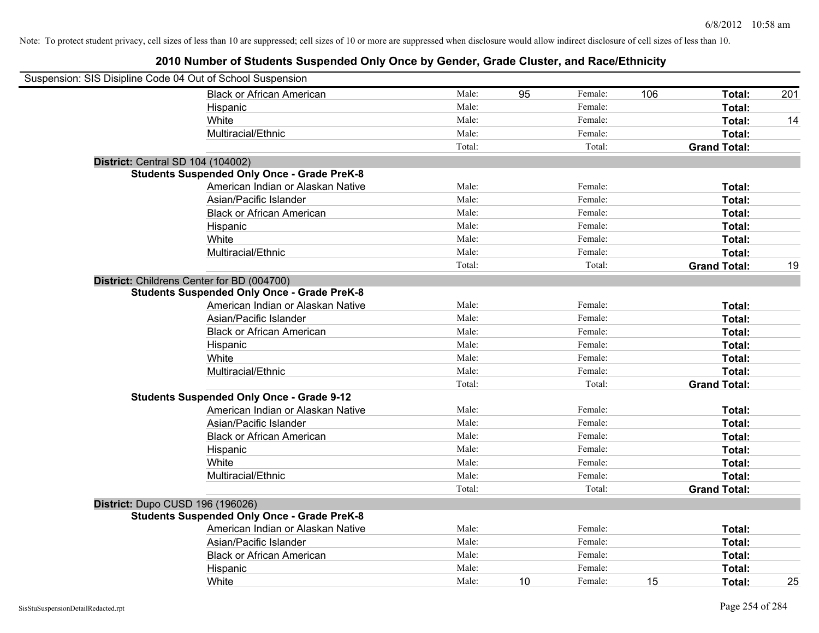| Suspension: SIS Disipline Code 04 Out of School Suspension |                                                    |        |    |         |     |                     |     |
|------------------------------------------------------------|----------------------------------------------------|--------|----|---------|-----|---------------------|-----|
|                                                            | <b>Black or African American</b>                   | Male:  | 95 | Female: | 106 | Total:              | 201 |
|                                                            | Hispanic                                           | Male:  |    | Female: |     | Total:              |     |
|                                                            | White                                              | Male:  |    | Female: |     | Total:              | 14  |
|                                                            | Multiracial/Ethnic                                 | Male:  |    | Female: |     | Total:              |     |
|                                                            |                                                    | Total: |    | Total:  |     | <b>Grand Total:</b> |     |
| <b>District: Central SD 104 (104002)</b>                   |                                                    |        |    |         |     |                     |     |
|                                                            | <b>Students Suspended Only Once - Grade PreK-8</b> |        |    |         |     |                     |     |
|                                                            | American Indian or Alaskan Native                  | Male:  |    | Female: |     | Total:              |     |
|                                                            | Asian/Pacific Islander                             | Male:  |    | Female: |     | Total:              |     |
|                                                            | <b>Black or African American</b>                   | Male:  |    | Female: |     | Total:              |     |
|                                                            | Hispanic                                           | Male:  |    | Female: |     | Total:              |     |
|                                                            | White                                              | Male:  |    | Female: |     | Total:              |     |
|                                                            | Multiracial/Ethnic                                 | Male:  |    | Female: |     | Total:              |     |
|                                                            |                                                    | Total: |    | Total:  |     | <b>Grand Total:</b> | 19  |
| District: Childrens Center for BD (004700)                 |                                                    |        |    |         |     |                     |     |
|                                                            | <b>Students Suspended Only Once - Grade PreK-8</b> |        |    |         |     |                     |     |
|                                                            | American Indian or Alaskan Native                  | Male:  |    | Female: |     | Total:              |     |
|                                                            | Asian/Pacific Islander                             | Male:  |    | Female: |     | Total:              |     |
|                                                            | <b>Black or African American</b>                   | Male:  |    | Female: |     | Total:              |     |
|                                                            | Hispanic                                           | Male:  |    | Female: |     | Total:              |     |
|                                                            | White                                              | Male:  |    | Female: |     | Total:              |     |
|                                                            | Multiracial/Ethnic                                 | Male:  |    | Female: |     | Total:              |     |
|                                                            |                                                    | Total: |    | Total:  |     | <b>Grand Total:</b> |     |
|                                                            | <b>Students Suspended Only Once - Grade 9-12</b>   |        |    |         |     |                     |     |
|                                                            | American Indian or Alaskan Native                  | Male:  |    | Female: |     | Total:              |     |
|                                                            | Asian/Pacific Islander                             | Male:  |    | Female: |     | Total:              |     |
|                                                            | <b>Black or African American</b>                   | Male:  |    | Female: |     | Total:              |     |
|                                                            | Hispanic                                           | Male:  |    | Female: |     | Total:              |     |
|                                                            | White                                              | Male:  |    | Female: |     | Total:              |     |
|                                                            | Multiracial/Ethnic                                 | Male:  |    | Female: |     | Total:              |     |
|                                                            |                                                    | Total: |    | Total:  |     | <b>Grand Total:</b> |     |
| District: Dupo CUSD 196 (196026)                           |                                                    |        |    |         |     |                     |     |
|                                                            | <b>Students Suspended Only Once - Grade PreK-8</b> |        |    |         |     |                     |     |
|                                                            | American Indian or Alaskan Native                  | Male:  |    | Female: |     | Total:              |     |
|                                                            | Asian/Pacific Islander                             | Male:  |    | Female: |     | Total:              |     |
|                                                            | <b>Black or African American</b>                   | Male:  |    | Female: |     | Total:              |     |
|                                                            | Hispanic                                           | Male:  |    | Female: |     | Total:              |     |
|                                                            | White                                              | Male:  | 10 | Female: | 15  | Total:              | 25  |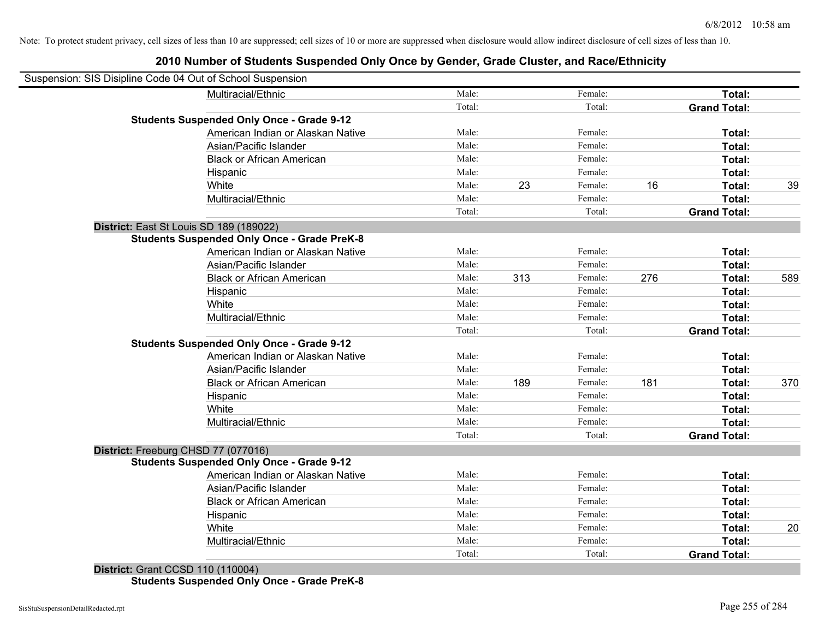|                                         | Suspension: SIS Disipline Code 04 Out of School Suspension |        |     |         |     |                     |     |
|-----------------------------------------|------------------------------------------------------------|--------|-----|---------|-----|---------------------|-----|
|                                         | Multiracial/Ethnic                                         | Male:  |     | Female: |     | Total:              |     |
|                                         |                                                            | Total: |     | Total:  |     | <b>Grand Total:</b> |     |
|                                         | <b>Students Suspended Only Once - Grade 9-12</b>           |        |     |         |     |                     |     |
|                                         | American Indian or Alaskan Native                          | Male:  |     | Female: |     | Total:              |     |
|                                         | Asian/Pacific Islander                                     | Male:  |     | Female: |     | Total:              |     |
|                                         | <b>Black or African American</b>                           | Male:  |     | Female: |     | Total:              |     |
|                                         | Hispanic                                                   | Male:  |     | Female: |     | Total:              |     |
|                                         | White                                                      | Male:  | 23  | Female: | 16  | Total:              | 39  |
|                                         | Multiracial/Ethnic                                         | Male:  |     | Female: |     | Total:              |     |
|                                         |                                                            | Total: |     | Total:  |     | <b>Grand Total:</b> |     |
| District: East St Louis SD 189 (189022) |                                                            |        |     |         |     |                     |     |
|                                         | <b>Students Suspended Only Once - Grade PreK-8</b>         |        |     |         |     |                     |     |
|                                         | American Indian or Alaskan Native                          | Male:  |     | Female: |     | Total:              |     |
|                                         | Asian/Pacific Islander                                     | Male:  |     | Female: |     | Total:              |     |
|                                         | <b>Black or African American</b>                           | Male:  | 313 | Female: | 276 | Total:              | 589 |
|                                         | Hispanic                                                   | Male:  |     | Female: |     | Total:              |     |
|                                         | White                                                      | Male:  |     | Female: |     | Total:              |     |
|                                         | Multiracial/Ethnic                                         | Male:  |     | Female: |     | Total:              |     |
|                                         |                                                            | Total: |     | Total:  |     | <b>Grand Total:</b> |     |
|                                         | <b>Students Suspended Only Once - Grade 9-12</b>           |        |     |         |     |                     |     |
|                                         | American Indian or Alaskan Native                          | Male:  |     | Female: |     | Total:              |     |
|                                         | Asian/Pacific Islander                                     | Male:  |     | Female: |     | Total:              |     |
|                                         | <b>Black or African American</b>                           | Male:  | 189 | Female: | 181 | Total:              | 370 |
|                                         | Hispanic                                                   | Male:  |     | Female: |     | Total:              |     |
|                                         | White                                                      | Male:  |     | Female: |     | Total:              |     |
|                                         | Multiracial/Ethnic                                         | Male:  |     | Female: |     | Total:              |     |
|                                         |                                                            | Total: |     | Total:  |     | <b>Grand Total:</b> |     |
| District: Freeburg CHSD 77 (077016)     |                                                            |        |     |         |     |                     |     |
|                                         | <b>Students Suspended Only Once - Grade 9-12</b>           |        |     |         |     |                     |     |
|                                         | American Indian or Alaskan Native                          | Male:  |     | Female: |     | Total:              |     |
|                                         | Asian/Pacific Islander                                     | Male:  |     | Female: |     | Total:              |     |
|                                         | <b>Black or African American</b>                           | Male:  |     | Female: |     | Total:              |     |
|                                         | Hispanic                                                   | Male:  |     | Female: |     | Total:              |     |
|                                         | White                                                      | Male:  |     | Female: |     | Total:              | 20  |
|                                         | Multiracial/Ethnic                                         | Male:  |     | Female: |     | Total:              |     |
|                                         |                                                            | Total: |     | Total:  |     | <b>Grand Total:</b> |     |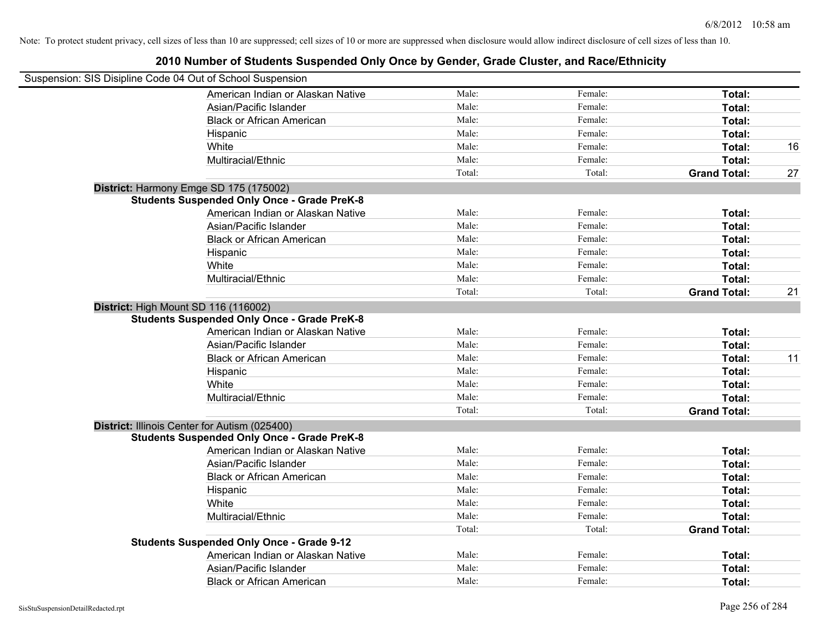| Suspension: SIS Disipline Code 04 Out of School Suspension |        |         |                     |    |
|------------------------------------------------------------|--------|---------|---------------------|----|
| American Indian or Alaskan Native                          | Male:  | Female: | Total:              |    |
| Asian/Pacific Islander                                     | Male:  | Female: | Total:              |    |
| <b>Black or African American</b>                           | Male:  | Female: | Total:              |    |
| Hispanic                                                   | Male:  | Female: | Total:              |    |
| White                                                      | Male:  | Female: | Total:              | 16 |
| Multiracial/Ethnic                                         | Male:  | Female: | Total:              |    |
|                                                            | Total: | Total:  | <b>Grand Total:</b> | 27 |
| District: Harmony Emge SD 175 (175002)                     |        |         |                     |    |
| <b>Students Suspended Only Once - Grade PreK-8</b>         |        |         |                     |    |
| American Indian or Alaskan Native                          | Male:  | Female: | Total:              |    |
| Asian/Pacific Islander                                     | Male:  | Female: | Total:              |    |
| <b>Black or African American</b>                           | Male:  | Female: | Total:              |    |
| Hispanic                                                   | Male:  | Female: | Total:              |    |
| White                                                      | Male:  | Female: | Total:              |    |
| Multiracial/Ethnic                                         | Male:  | Female: | Total:              |    |
|                                                            | Total: | Total:  | <b>Grand Total:</b> | 21 |
| District: High Mount SD 116 (116002)                       |        |         |                     |    |
| <b>Students Suspended Only Once - Grade PreK-8</b>         |        |         |                     |    |
| American Indian or Alaskan Native                          | Male:  | Female: | Total:              |    |
| Asian/Pacific Islander                                     | Male:  | Female: | Total:              |    |
| <b>Black or African American</b>                           | Male:  | Female: | Total:              | 11 |
| Hispanic                                                   | Male:  | Female: | Total:              |    |
| White                                                      | Male:  | Female: | Total:              |    |
| Multiracial/Ethnic                                         | Male:  | Female: | Total:              |    |
|                                                            | Total: | Total:  | <b>Grand Total:</b> |    |
| District: Illinois Center for Autism (025400)              |        |         |                     |    |
| <b>Students Suspended Only Once - Grade PreK-8</b>         |        |         |                     |    |
| American Indian or Alaskan Native                          | Male:  | Female: | Total:              |    |
| Asian/Pacific Islander                                     | Male:  | Female: | Total:              |    |
| <b>Black or African American</b>                           | Male:  | Female: | Total:              |    |
| Hispanic                                                   | Male:  | Female: | Total:              |    |
| White                                                      | Male:  | Female: | Total:              |    |
| Multiracial/Ethnic                                         | Male:  | Female: | Total:              |    |
|                                                            | Total: | Total:  | <b>Grand Total:</b> |    |
| <b>Students Suspended Only Once - Grade 9-12</b>           |        |         |                     |    |
| American Indian or Alaskan Native                          | Male:  | Female: | Total:              |    |
| Asian/Pacific Islander                                     | Male:  | Female: | Total:              |    |
| <b>Black or African American</b>                           | Male:  | Female: | Total:              |    |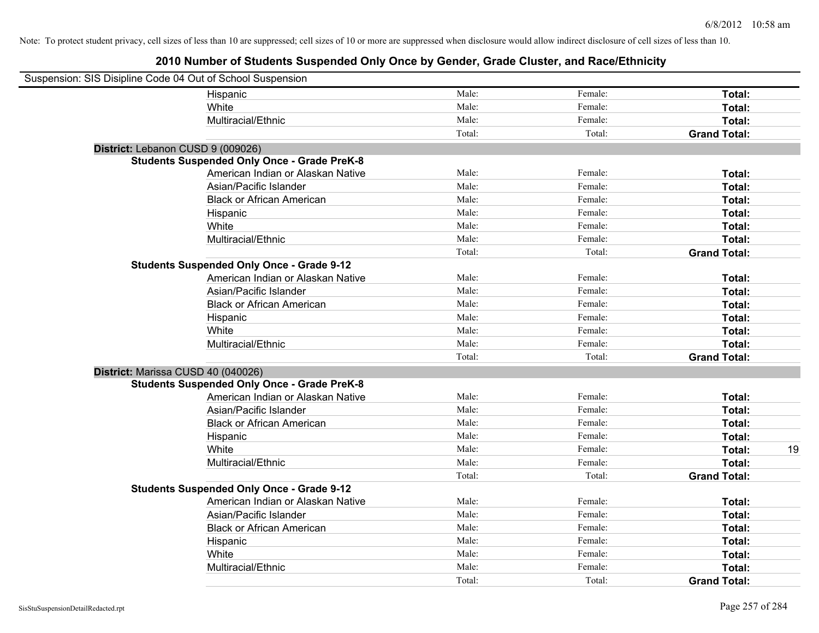| Suspension: SIS Disipline Code 04 Out of School Suspension |                                                    |        |         |                     |
|------------------------------------------------------------|----------------------------------------------------|--------|---------|---------------------|
|                                                            | Hispanic                                           | Male:  | Female: | Total:              |
|                                                            | White                                              | Male:  | Female: | Total:              |
|                                                            | Multiracial/Ethnic                                 | Male:  | Female: | Total:              |
|                                                            |                                                    | Total: | Total:  | <b>Grand Total:</b> |
| District: Lebanon CUSD 9 (009026)                          |                                                    |        |         |                     |
|                                                            | <b>Students Suspended Only Once - Grade PreK-8</b> |        |         |                     |
|                                                            | American Indian or Alaskan Native                  | Male:  | Female: | Total:              |
|                                                            | Asian/Pacific Islander                             | Male:  | Female: | Total:              |
|                                                            | <b>Black or African American</b>                   | Male:  | Female: | Total:              |
|                                                            | Hispanic                                           | Male:  | Female: | Total:              |
|                                                            | White                                              | Male:  | Female: | Total:              |
|                                                            | Multiracial/Ethnic                                 | Male:  | Female: | Total:              |
|                                                            |                                                    | Total: | Total:  | <b>Grand Total:</b> |
|                                                            | <b>Students Suspended Only Once - Grade 9-12</b>   |        |         |                     |
|                                                            | American Indian or Alaskan Native                  | Male:  | Female: | Total:              |
|                                                            | Asian/Pacific Islander                             | Male:  | Female: | Total:              |
|                                                            | <b>Black or African American</b>                   | Male:  | Female: | Total:              |
|                                                            | Hispanic                                           | Male:  | Female: | Total:              |
|                                                            | White                                              | Male:  | Female: | Total:              |
|                                                            | Multiracial/Ethnic                                 | Male:  | Female: | Total:              |
|                                                            |                                                    | Total: | Total:  | <b>Grand Total:</b> |
| District: Marissa CUSD 40 (040026)                         |                                                    |        |         |                     |
|                                                            | <b>Students Suspended Only Once - Grade PreK-8</b> |        |         |                     |
|                                                            | American Indian or Alaskan Native                  | Male:  | Female: | Total:              |
|                                                            | Asian/Pacific Islander                             | Male:  | Female: | Total:              |
|                                                            | <b>Black or African American</b>                   | Male:  | Female: | Total:              |
|                                                            | Hispanic                                           | Male:  | Female: | Total:              |
|                                                            | White                                              | Male:  | Female: | Total:<br>19        |
|                                                            | Multiracial/Ethnic                                 | Male:  | Female: | Total:              |
|                                                            |                                                    | Total: | Total:  | <b>Grand Total:</b> |
|                                                            | <b>Students Suspended Only Once - Grade 9-12</b>   |        |         |                     |
|                                                            | American Indian or Alaskan Native                  | Male:  | Female: | Total:              |
|                                                            | Asian/Pacific Islander                             | Male:  | Female: | Total:              |
|                                                            | <b>Black or African American</b>                   | Male:  | Female: | Total:              |
|                                                            | Hispanic                                           | Male:  | Female: | Total:              |
|                                                            | White                                              | Male:  | Female: | Total:              |
|                                                            | Multiracial/Ethnic                                 | Male:  | Female: | Total:              |
|                                                            |                                                    | Total: | Total:  | <b>Grand Total:</b> |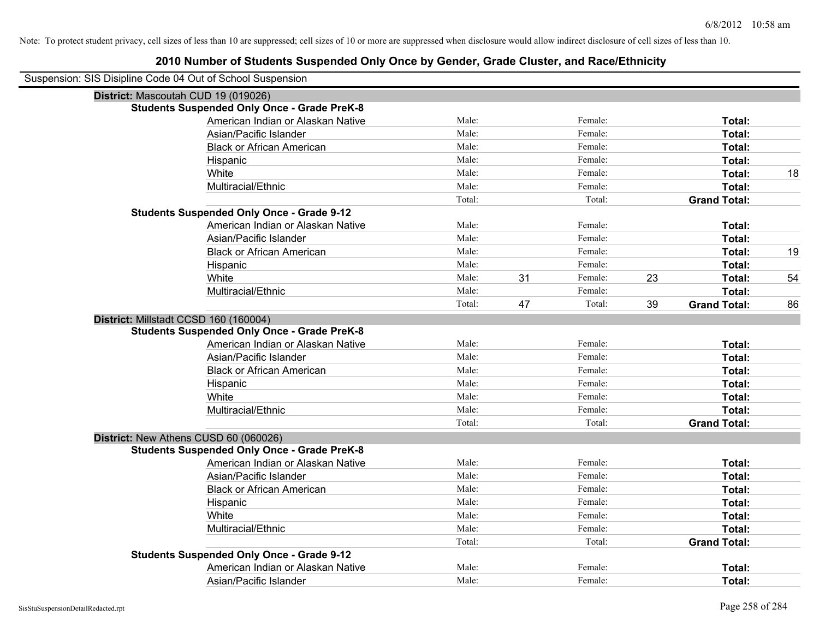| Suspension: SIS Disipline Code 04 Out of School Suspension |                                                    |        |    |         |    |                     |    |
|------------------------------------------------------------|----------------------------------------------------|--------|----|---------|----|---------------------|----|
|                                                            | District: Mascoutah CUD 19 (019026)                |        |    |         |    |                     |    |
|                                                            | <b>Students Suspended Only Once - Grade PreK-8</b> |        |    |         |    |                     |    |
|                                                            | American Indian or Alaskan Native                  | Male:  |    | Female: |    | Total:              |    |
|                                                            | Asian/Pacific Islander                             | Male:  |    | Female: |    | Total:              |    |
|                                                            | <b>Black or African American</b>                   | Male:  |    | Female: |    | Total:              |    |
|                                                            | Hispanic                                           | Male:  |    | Female: |    | Total:              |    |
|                                                            | White                                              | Male:  |    | Female: |    | Total:              | 18 |
|                                                            | Multiracial/Ethnic                                 | Male:  |    | Female: |    | Total:              |    |
|                                                            |                                                    | Total: |    | Total:  |    | <b>Grand Total:</b> |    |
|                                                            | <b>Students Suspended Only Once - Grade 9-12</b>   |        |    |         |    |                     |    |
|                                                            | American Indian or Alaskan Native                  | Male:  |    | Female: |    | Total:              |    |
|                                                            | Asian/Pacific Islander                             | Male:  |    | Female: |    | Total:              |    |
|                                                            | <b>Black or African American</b>                   | Male:  |    | Female: |    | Total:              | 19 |
|                                                            | Hispanic                                           | Male:  |    | Female: |    | Total:              |    |
|                                                            | White                                              | Male:  | 31 | Female: | 23 | Total:              | 54 |
|                                                            | Multiracial/Ethnic                                 | Male:  |    | Female: |    | Total:              |    |
|                                                            |                                                    | Total: | 47 | Total:  | 39 | <b>Grand Total:</b> | 86 |
|                                                            | District: Millstadt CCSD 160 (160004)              |        |    |         |    |                     |    |
|                                                            | <b>Students Suspended Only Once - Grade PreK-8</b> |        |    |         |    |                     |    |
|                                                            | American Indian or Alaskan Native                  | Male:  |    | Female: |    | Total:              |    |
|                                                            | Asian/Pacific Islander                             | Male:  |    | Female: |    | Total:              |    |
|                                                            | <b>Black or African American</b>                   | Male:  |    | Female: |    | Total:              |    |
|                                                            | Hispanic                                           | Male:  |    | Female: |    | Total:              |    |
|                                                            | White                                              | Male:  |    | Female: |    | Total:              |    |
|                                                            | Multiracial/Ethnic                                 | Male:  |    | Female: |    | Total:              |    |
|                                                            |                                                    | Total: |    | Total:  |    | <b>Grand Total:</b> |    |
|                                                            | District: New Athens CUSD 60 (060026)              |        |    |         |    |                     |    |
|                                                            | <b>Students Suspended Only Once - Grade PreK-8</b> |        |    |         |    |                     |    |
|                                                            | American Indian or Alaskan Native                  | Male:  |    | Female: |    | Total:              |    |
|                                                            | Asian/Pacific Islander                             | Male:  |    | Female: |    | Total:              |    |
|                                                            | <b>Black or African American</b>                   | Male:  |    | Female: |    | Total:              |    |
|                                                            | Hispanic                                           | Male:  |    | Female: |    | Total:              |    |
|                                                            | White                                              | Male:  |    | Female: |    | Total:              |    |
|                                                            | Multiracial/Ethnic                                 | Male:  |    | Female: |    | Total:              |    |
|                                                            |                                                    | Total: |    | Total:  |    | <b>Grand Total:</b> |    |
|                                                            | <b>Students Suspended Only Once - Grade 9-12</b>   |        |    |         |    |                     |    |
|                                                            | American Indian or Alaskan Native                  | Male:  |    | Female: |    | <b>Total:</b>       |    |
|                                                            | Asian/Pacific Islander                             | Male:  |    | Female: |    | Total:              |    |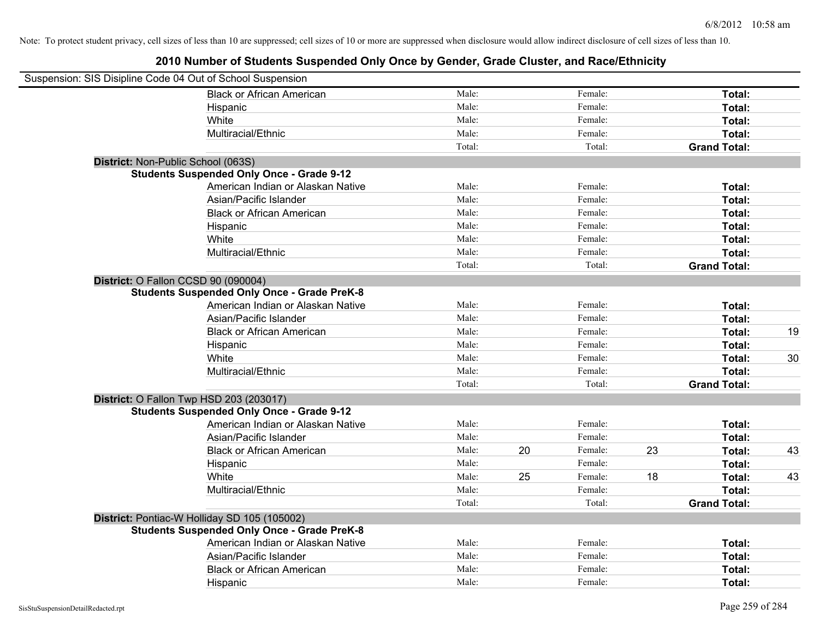| Suspension: SIS Disipline Code 04 Out of School Suspension |        |    |         |    |                     |    |
|------------------------------------------------------------|--------|----|---------|----|---------------------|----|
| <b>Black or African American</b>                           | Male:  |    | Female: |    | Total:              |    |
| Hispanic                                                   | Male:  |    | Female: |    | Total:              |    |
| White                                                      | Male:  |    | Female: |    | Total:              |    |
| Multiracial/Ethnic                                         | Male:  |    | Female: |    | Total:              |    |
|                                                            | Total: |    | Total:  |    | <b>Grand Total:</b> |    |
| District: Non-Public School (063S)                         |        |    |         |    |                     |    |
| <b>Students Suspended Only Once - Grade 9-12</b>           |        |    |         |    |                     |    |
| American Indian or Alaskan Native                          | Male:  |    | Female: |    | Total:              |    |
| Asian/Pacific Islander                                     | Male:  |    | Female: |    | Total:              |    |
| <b>Black or African American</b>                           | Male:  |    | Female: |    | Total:              |    |
| Hispanic                                                   | Male:  |    | Female: |    | Total:              |    |
| White                                                      | Male:  |    | Female: |    | Total:              |    |
| Multiracial/Ethnic                                         | Male:  |    | Female: |    | Total:              |    |
|                                                            | Total: |    | Total:  |    | <b>Grand Total:</b> |    |
| District: O Fallon CCSD 90 (090004)                        |        |    |         |    |                     |    |
| <b>Students Suspended Only Once - Grade PreK-8</b>         |        |    |         |    |                     |    |
| American Indian or Alaskan Native                          | Male:  |    | Female: |    | Total:              |    |
| Asian/Pacific Islander                                     | Male:  |    | Female: |    | Total:              |    |
| <b>Black or African American</b>                           | Male:  |    | Female: |    | Total:              | 19 |
| Hispanic                                                   | Male:  |    | Female: |    | Total:              |    |
| White                                                      | Male:  |    | Female: |    | Total:              | 30 |
| Multiracial/Ethnic                                         | Male:  |    | Female: |    | Total:              |    |
|                                                            | Total: |    | Total:  |    | <b>Grand Total:</b> |    |
| District: O Fallon Twp HSD 203 (203017)                    |        |    |         |    |                     |    |
| <b>Students Suspended Only Once - Grade 9-12</b>           |        |    |         |    |                     |    |
| American Indian or Alaskan Native                          | Male:  |    | Female: |    | Total:              |    |
| Asian/Pacific Islander                                     | Male:  |    | Female: |    | Total:              |    |
| <b>Black or African American</b>                           | Male:  | 20 | Female: | 23 | Total:              | 43 |
| Hispanic                                                   | Male:  |    | Female: |    | Total:              |    |
| White                                                      | Male:  | 25 | Female: | 18 | Total:              | 43 |
| Multiracial/Ethnic                                         | Male:  |    | Female: |    | Total:              |    |
|                                                            | Total: |    | Total:  |    | <b>Grand Total:</b> |    |
| District: Pontiac-W Holliday SD 105 (105002)               |        |    |         |    |                     |    |
| <b>Students Suspended Only Once - Grade PreK-8</b>         |        |    |         |    |                     |    |
| American Indian or Alaskan Native                          | Male:  |    | Female: |    | Total:              |    |
| Asian/Pacific Islander                                     | Male:  |    | Female: |    | Total:              |    |
| <b>Black or African American</b>                           | Male:  |    | Female: |    | Total:              |    |
| Hispanic                                                   | Male:  |    | Female: |    | Total:              |    |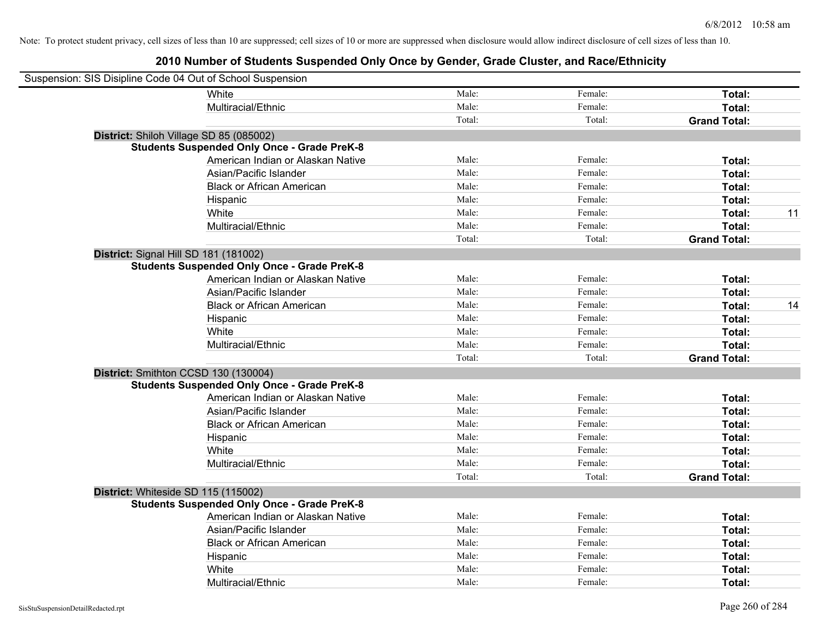| Suspension: SIS Disipline Code 04 Out of School Suspension |                                                    |        |         |                     |    |
|------------------------------------------------------------|----------------------------------------------------|--------|---------|---------------------|----|
|                                                            | White                                              | Male:  | Female: | Total:              |    |
|                                                            | Multiracial/Ethnic                                 | Male:  | Female: | Total:              |    |
|                                                            |                                                    | Total: | Total:  | <b>Grand Total:</b> |    |
| District: Shiloh Village SD 85 (085002)                    |                                                    |        |         |                     |    |
|                                                            | <b>Students Suspended Only Once - Grade PreK-8</b> |        |         |                     |    |
|                                                            | American Indian or Alaskan Native                  | Male:  | Female: | Total:              |    |
|                                                            | Asian/Pacific Islander                             | Male:  | Female: | Total:              |    |
|                                                            | <b>Black or African American</b>                   | Male:  | Female: | Total:              |    |
|                                                            | Hispanic                                           | Male:  | Female: | Total:              |    |
|                                                            | White                                              | Male:  | Female: | Total:              | 11 |
|                                                            | Multiracial/Ethnic                                 | Male:  | Female: | Total:              |    |
|                                                            |                                                    | Total: | Total:  | <b>Grand Total:</b> |    |
| District: Signal Hill SD 181 (181002)                      |                                                    |        |         |                     |    |
|                                                            | <b>Students Suspended Only Once - Grade PreK-8</b> |        |         |                     |    |
|                                                            | American Indian or Alaskan Native                  | Male:  | Female: | Total:              |    |
|                                                            | Asian/Pacific Islander                             | Male:  | Female: | Total:              |    |
|                                                            | <b>Black or African American</b>                   | Male:  | Female: | Total:              | 14 |
|                                                            | Hispanic                                           | Male:  | Female: | Total:              |    |
|                                                            | White                                              | Male:  | Female: | Total:              |    |
|                                                            | Multiracial/Ethnic                                 | Male:  | Female: | Total:              |    |
|                                                            |                                                    | Total: | Total:  | <b>Grand Total:</b> |    |
| District: Smithton CCSD 130 (130004)                       |                                                    |        |         |                     |    |
|                                                            | <b>Students Suspended Only Once - Grade PreK-8</b> |        |         |                     |    |
|                                                            | American Indian or Alaskan Native                  | Male:  | Female: | Total:              |    |
|                                                            | Asian/Pacific Islander                             | Male:  | Female: | Total:              |    |
|                                                            | <b>Black or African American</b>                   | Male:  | Female: | Total:              |    |
|                                                            | Hispanic                                           | Male:  | Female: | Total:              |    |
|                                                            | White                                              | Male:  | Female: | Total:              |    |
|                                                            | Multiracial/Ethnic                                 | Male:  | Female: | Total:              |    |
|                                                            |                                                    | Total: | Total:  | <b>Grand Total:</b> |    |
| District: Whiteside SD 115 (115002)                        |                                                    |        |         |                     |    |
|                                                            | <b>Students Suspended Only Once - Grade PreK-8</b> |        |         |                     |    |
|                                                            | American Indian or Alaskan Native                  | Male:  | Female: | Total:              |    |
|                                                            | Asian/Pacific Islander                             | Male:  | Female: | Total:              |    |
|                                                            | <b>Black or African American</b>                   | Male:  | Female: | Total:              |    |
|                                                            | Hispanic                                           | Male:  | Female: | Total:              |    |
|                                                            | White                                              | Male:  | Female: | Total:              |    |
|                                                            | Multiracial/Ethnic                                 | Male:  | Female: | Total:              |    |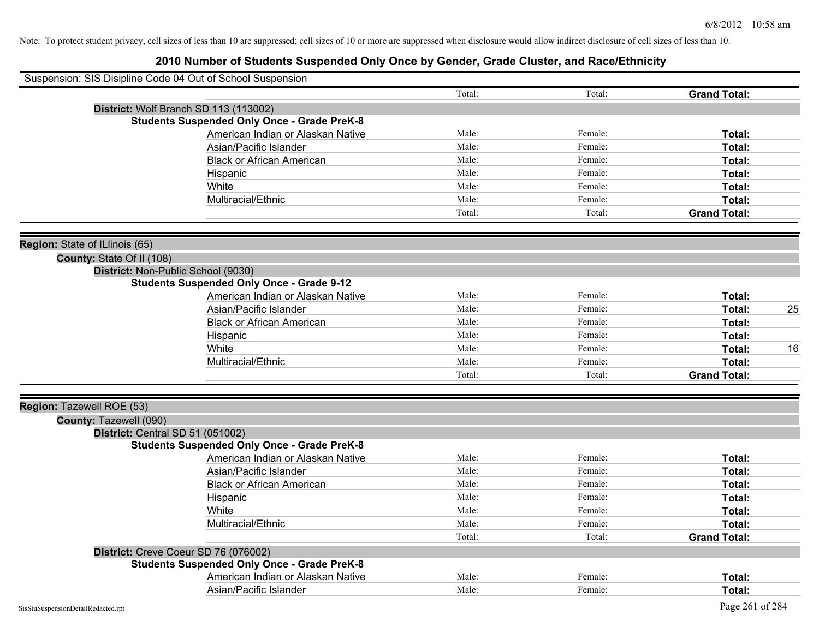| Suspension: SIS Disipline Code 04 Out of School Suspension |                                                    |        |         |                     |    |
|------------------------------------------------------------|----------------------------------------------------|--------|---------|---------------------|----|
|                                                            |                                                    | Total: | Total:  | <b>Grand Total:</b> |    |
|                                                            | District: Wolf Branch SD 113 (113002)              |        |         |                     |    |
|                                                            | <b>Students Suspended Only Once - Grade PreK-8</b> |        |         |                     |    |
|                                                            | American Indian or Alaskan Native                  | Male:  | Female: | Total:              |    |
|                                                            | Asian/Pacific Islander                             | Male:  | Female: | Total:              |    |
|                                                            | <b>Black or African American</b>                   | Male:  | Female: | <b>Total:</b>       |    |
|                                                            | Hispanic                                           | Male:  | Female: | <b>Total:</b>       |    |
|                                                            | White                                              | Male:  | Female: | Total:              |    |
|                                                            | Multiracial/Ethnic                                 | Male:  | Female: | Total:              |    |
|                                                            |                                                    | Total: | Total:  | <b>Grand Total:</b> |    |
| Region: State of ILlinois (65)                             |                                                    |        |         |                     |    |
| County: State Of II (108)                                  |                                                    |        |         |                     |    |
|                                                            | District: Non-Public School (9030)                 |        |         |                     |    |
|                                                            | <b>Students Suspended Only Once - Grade 9-12</b>   |        |         |                     |    |
|                                                            | American Indian or Alaskan Native                  | Male:  | Female: | Total:              |    |
|                                                            | Asian/Pacific Islander                             | Male:  | Female: | <b>Total:</b>       | 25 |
|                                                            | <b>Black or African American</b>                   | Male:  | Female: | <b>Total:</b>       |    |
|                                                            | Hispanic                                           | Male:  | Female: | <b>Total:</b>       |    |
|                                                            | White                                              | Male:  | Female: | <b>Total:</b>       | 16 |
|                                                            | Multiracial/Ethnic                                 | Male:  | Female: | Total:              |    |
|                                                            |                                                    | Total: | Total:  | <b>Grand Total:</b> |    |
| Region: Tazewell ROE (53)                                  |                                                    |        |         |                     |    |
| County: Tazewell (090)                                     |                                                    |        |         |                     |    |
| District: Central SD 51 (051002)                           |                                                    |        |         |                     |    |
|                                                            | <b>Students Suspended Only Once - Grade PreK-8</b> |        |         |                     |    |
|                                                            | American Indian or Alaskan Native                  | Male:  | Female: | <b>Total:</b>       |    |
|                                                            | Asian/Pacific Islander                             | Male:  | Female: | <b>Total:</b>       |    |
|                                                            | <b>Black or African American</b>                   | Male:  | Female: | Total:              |    |
|                                                            | Hispanic                                           | Male:  | Female: | Total:              |    |
|                                                            | White                                              | Male:  | Female: | Total:              |    |
|                                                            | Multiracial/Ethnic                                 | Male:  | Female: | Total:              |    |
|                                                            |                                                    | Total: | Total:  | <b>Grand Total:</b> |    |
|                                                            | District: Creve Coeur SD 76 (076002)               |        |         |                     |    |
|                                                            | <b>Students Suspended Only Once - Grade PreK-8</b> |        |         |                     |    |
|                                                            | American Indian or Alaskan Native                  | Male:  | Female: | <b>Total:</b>       |    |
|                                                            | Asian/Pacific Islander                             | Male:  | Female: | <b>Total:</b>       |    |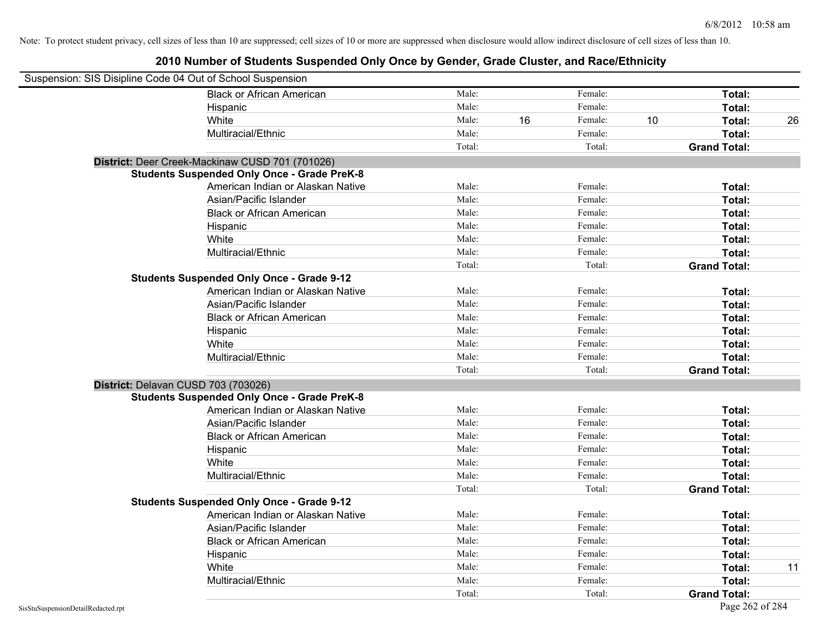| Suspension: SIS Disipline Code 04 Out of School Suspension |                                                    |        |    |         |    |                     |    |
|------------------------------------------------------------|----------------------------------------------------|--------|----|---------|----|---------------------|----|
|                                                            | <b>Black or African American</b>                   | Male:  |    | Female: |    | Total:              |    |
|                                                            | Hispanic                                           | Male:  |    | Female: |    | Total:              |    |
|                                                            | White                                              | Male:  | 16 | Female: | 10 | Total:              | 26 |
|                                                            | Multiracial/Ethnic                                 | Male:  |    | Female: |    | Total:              |    |
|                                                            |                                                    | Total: |    | Total:  |    | <b>Grand Total:</b> |    |
|                                                            | District: Deer Creek-Mackinaw CUSD 701 (701026)    |        |    |         |    |                     |    |
|                                                            | <b>Students Suspended Only Once - Grade PreK-8</b> |        |    |         |    |                     |    |
|                                                            | American Indian or Alaskan Native                  | Male:  |    | Female: |    | Total:              |    |
|                                                            | Asian/Pacific Islander                             | Male:  |    | Female: |    | Total:              |    |
|                                                            | <b>Black or African American</b>                   | Male:  |    | Female: |    | Total:              |    |
|                                                            | Hispanic                                           | Male:  |    | Female: |    | Total:              |    |
|                                                            | White                                              | Male:  |    | Female: |    | Total:              |    |
|                                                            | Multiracial/Ethnic                                 | Male:  |    | Female: |    | Total:              |    |
|                                                            |                                                    | Total: |    | Total:  |    | <b>Grand Total:</b> |    |
|                                                            | <b>Students Suspended Only Once - Grade 9-12</b>   |        |    |         |    |                     |    |
|                                                            | American Indian or Alaskan Native                  | Male:  |    | Female: |    | Total:              |    |
|                                                            | Asian/Pacific Islander                             | Male:  |    | Female: |    | Total:              |    |
|                                                            | <b>Black or African American</b>                   | Male:  |    | Female: |    | Total:              |    |
|                                                            | Hispanic                                           | Male:  |    | Female: |    | Total:              |    |
|                                                            | White                                              | Male:  |    | Female: |    | Total:              |    |
|                                                            | Multiracial/Ethnic                                 | Male:  |    | Female: |    | Total:              |    |
|                                                            |                                                    | Total: |    | Total:  |    | <b>Grand Total:</b> |    |
| District: Delavan CUSD 703 (703026)                        |                                                    |        |    |         |    |                     |    |
|                                                            | <b>Students Suspended Only Once - Grade PreK-8</b> |        |    |         |    |                     |    |
|                                                            | American Indian or Alaskan Native                  | Male:  |    | Female: |    | Total:              |    |
|                                                            | Asian/Pacific Islander                             | Male:  |    | Female: |    | Total:              |    |
|                                                            | <b>Black or African American</b>                   | Male:  |    | Female: |    | Total:              |    |
|                                                            | Hispanic                                           | Male:  |    | Female: |    | Total:              |    |
|                                                            | White                                              | Male:  |    | Female: |    | Total:              |    |
|                                                            | Multiracial/Ethnic                                 | Male:  |    | Female: |    | Total:              |    |
|                                                            |                                                    | Total: |    | Total:  |    | <b>Grand Total:</b> |    |
|                                                            | <b>Students Suspended Only Once - Grade 9-12</b>   |        |    |         |    |                     |    |
|                                                            | American Indian or Alaskan Native                  | Male:  |    | Female: |    | Total:              |    |
|                                                            | Asian/Pacific Islander                             | Male:  |    | Female: |    | Total:              |    |
|                                                            | <b>Black or African American</b>                   | Male:  |    | Female: |    | Total:              |    |
|                                                            | Hispanic                                           | Male:  |    | Female: |    | Total:              |    |
|                                                            | White                                              | Male:  |    | Female: |    | Total:              | 11 |
|                                                            | Multiracial/Ethnic                                 | Male:  |    | Female: |    | Total:              |    |
|                                                            |                                                    | Total: |    | Total:  |    | <b>Grand Total:</b> |    |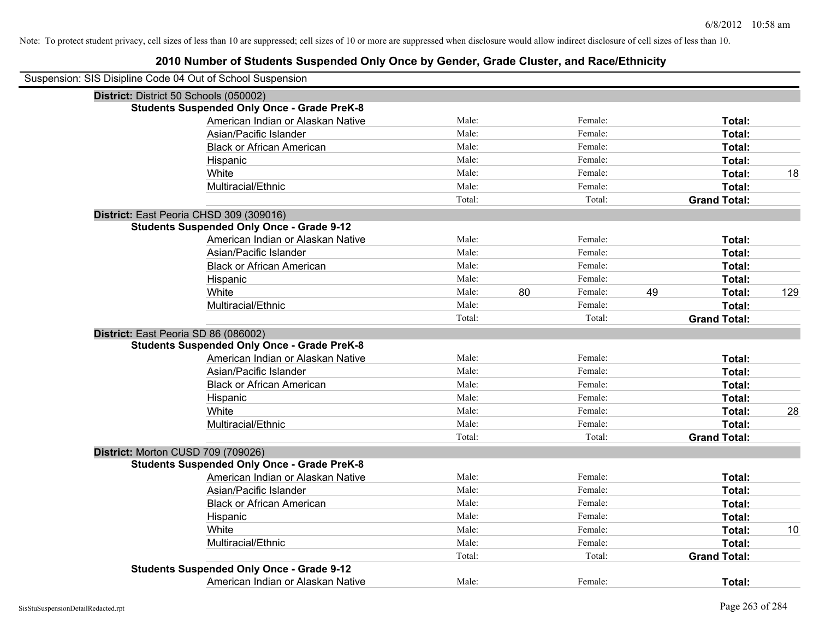| Suspension: SIS Disipline Code 04 Out of School Suspension |        |    |         |    |                     |     |
|------------------------------------------------------------|--------|----|---------|----|---------------------|-----|
| District: District 50 Schools (050002)                     |        |    |         |    |                     |     |
| <b>Students Suspended Only Once - Grade PreK-8</b>         |        |    |         |    |                     |     |
| American Indian or Alaskan Native                          | Male:  |    | Female: |    | Total:              |     |
| Asian/Pacific Islander                                     | Male:  |    | Female: |    | Total:              |     |
| <b>Black or African American</b>                           | Male:  |    | Female: |    | Total:              |     |
| Hispanic                                                   | Male:  |    | Female: |    | Total:              |     |
| White                                                      | Male:  |    | Female: |    | Total:              | 18  |
| Multiracial/Ethnic                                         | Male:  |    | Female: |    | Total:              |     |
|                                                            | Total: |    | Total:  |    | <b>Grand Total:</b> |     |
| District: East Peoria CHSD 309 (309016)                    |        |    |         |    |                     |     |
| <b>Students Suspended Only Once - Grade 9-12</b>           |        |    |         |    |                     |     |
| American Indian or Alaskan Native                          | Male:  |    | Female: |    | Total:              |     |
| Asian/Pacific Islander                                     | Male:  |    | Female: |    | Total:              |     |
| <b>Black or African American</b>                           | Male:  |    | Female: |    | Total:              |     |
| Hispanic                                                   | Male:  |    | Female: |    | Total:              |     |
| White                                                      | Male:  | 80 | Female: | 49 | Total:              | 129 |
| Multiracial/Ethnic                                         | Male:  |    | Female: |    | Total:              |     |
|                                                            | Total: |    | Total:  |    | <b>Grand Total:</b> |     |
| District: East Peoria SD 86 (086002)                       |        |    |         |    |                     |     |
| <b>Students Suspended Only Once - Grade PreK-8</b>         |        |    |         |    |                     |     |
| American Indian or Alaskan Native                          | Male:  |    | Female: |    | Total:              |     |
| Asian/Pacific Islander                                     | Male:  |    | Female: |    | Total:              |     |
| <b>Black or African American</b>                           | Male:  |    | Female: |    | Total:              |     |
| Hispanic                                                   | Male:  |    | Female: |    | Total:              |     |
| White                                                      | Male:  |    | Female: |    | Total:              | 28  |
| Multiracial/Ethnic                                         | Male:  |    | Female: |    | Total:              |     |
|                                                            | Total: |    | Total:  |    | <b>Grand Total:</b> |     |
| District: Morton CUSD 709 (709026)                         |        |    |         |    |                     |     |
| <b>Students Suspended Only Once - Grade PreK-8</b>         |        |    |         |    |                     |     |
| American Indian or Alaskan Native                          | Male:  |    | Female: |    | Total:              |     |
| Asian/Pacific Islander                                     | Male:  |    | Female: |    | Total:              |     |
| <b>Black or African American</b>                           | Male:  |    | Female: |    | Total:              |     |
| Hispanic                                                   | Male:  |    | Female: |    | Total:              |     |
| White                                                      | Male:  |    | Female: |    | Total:              | 10  |
| Multiracial/Ethnic                                         | Male:  |    | Female: |    | Total:              |     |
|                                                            | Total: |    | Total:  |    | <b>Grand Total:</b> |     |
| <b>Students Suspended Only Once - Grade 9-12</b>           |        |    |         |    |                     |     |
| American Indian or Alaskan Native                          | Male:  |    | Female: |    | Total:              |     |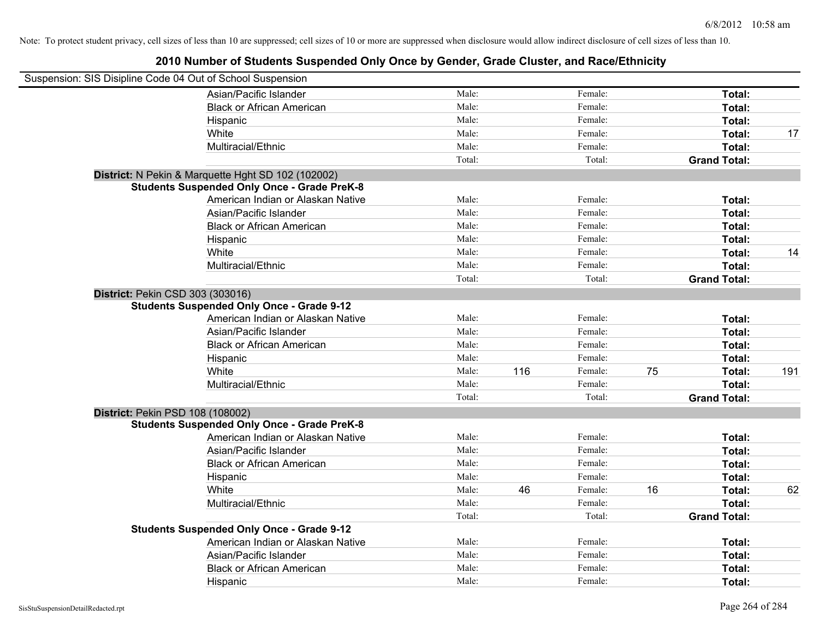| Suspension: SIS Disipline Code 04 Out of School Suspension |                                                    |        |     |         |    |                     |     |
|------------------------------------------------------------|----------------------------------------------------|--------|-----|---------|----|---------------------|-----|
|                                                            | Asian/Pacific Islander                             | Male:  |     | Female: |    | Total:              |     |
|                                                            | <b>Black or African American</b>                   | Male:  |     | Female: |    | Total:              |     |
|                                                            | Hispanic                                           | Male:  |     | Female: |    | Total:              |     |
|                                                            | White                                              | Male:  |     | Female: |    | Total:              | 17  |
|                                                            | Multiracial/Ethnic                                 | Male:  |     | Female: |    | Total:              |     |
|                                                            |                                                    | Total: |     | Total:  |    | <b>Grand Total:</b> |     |
|                                                            | District: N Pekin & Marquette Hght SD 102 (102002) |        |     |         |    |                     |     |
|                                                            | <b>Students Suspended Only Once - Grade PreK-8</b> |        |     |         |    |                     |     |
|                                                            | American Indian or Alaskan Native                  | Male:  |     | Female: |    | Total:              |     |
|                                                            | Asian/Pacific Islander                             | Male:  |     | Female: |    | Total:              |     |
|                                                            | <b>Black or African American</b>                   | Male:  |     | Female: |    | Total:              |     |
|                                                            | Hispanic                                           | Male:  |     | Female: |    | Total:              |     |
|                                                            | White                                              | Male:  |     | Female: |    | Total:              | 14  |
|                                                            | Multiracial/Ethnic                                 | Male:  |     | Female: |    | Total:              |     |
|                                                            |                                                    | Total: |     | Total:  |    | <b>Grand Total:</b> |     |
| District: Pekin CSD 303 (303016)                           |                                                    |        |     |         |    |                     |     |
|                                                            | <b>Students Suspended Only Once - Grade 9-12</b>   |        |     |         |    |                     |     |
|                                                            | American Indian or Alaskan Native                  | Male:  |     | Female: |    | Total:              |     |
|                                                            | Asian/Pacific Islander                             | Male:  |     | Female: |    | Total:              |     |
|                                                            | <b>Black or African American</b>                   | Male:  |     | Female: |    | Total:              |     |
|                                                            | Hispanic                                           | Male:  |     | Female: |    | Total:              |     |
|                                                            | White                                              | Male:  | 116 | Female: | 75 | Total:              | 191 |
|                                                            | Multiracial/Ethnic                                 | Male:  |     | Female: |    | Total:              |     |
|                                                            |                                                    | Total: |     | Total:  |    | <b>Grand Total:</b> |     |
| District: Pekin PSD 108 (108002)                           |                                                    |        |     |         |    |                     |     |
|                                                            | <b>Students Suspended Only Once - Grade PreK-8</b> |        |     |         |    |                     |     |
|                                                            | American Indian or Alaskan Native                  | Male:  |     | Female: |    | Total:              |     |
|                                                            | Asian/Pacific Islander                             | Male:  |     | Female: |    | Total:              |     |
|                                                            | <b>Black or African American</b>                   | Male:  |     | Female: |    | Total:              |     |
|                                                            | Hispanic                                           | Male:  |     | Female: |    | Total:              |     |
|                                                            | White                                              | Male:  | 46  | Female: | 16 | Total:              | 62  |
|                                                            | Multiracial/Ethnic                                 | Male:  |     | Female: |    | Total:              |     |
|                                                            |                                                    | Total: |     | Total:  |    | <b>Grand Total:</b> |     |
|                                                            | <b>Students Suspended Only Once - Grade 9-12</b>   |        |     |         |    |                     |     |
|                                                            | American Indian or Alaskan Native                  | Male:  |     | Female: |    | Total:              |     |
|                                                            | Asian/Pacific Islander                             | Male:  |     | Female: |    | Total:              |     |
|                                                            | <b>Black or African American</b>                   | Male:  |     | Female: |    | Total:              |     |
|                                                            | Hispanic                                           | Male:  |     | Female: |    | Total:              |     |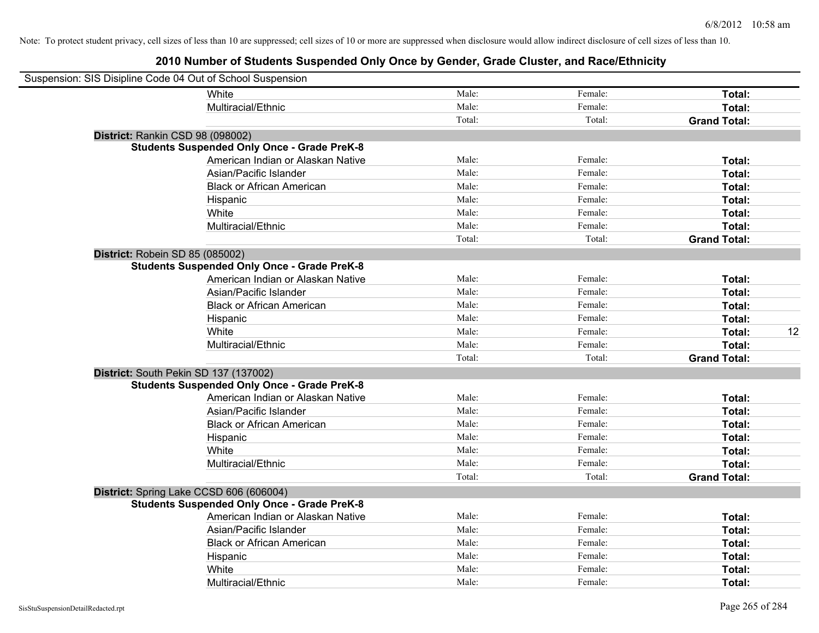| Suspension: SIS Disipline Code 04 Out of School Suspension |                                                    |        |         |                     |    |
|------------------------------------------------------------|----------------------------------------------------|--------|---------|---------------------|----|
|                                                            | White                                              | Male:  | Female: | Total:              |    |
|                                                            | Multiracial/Ethnic                                 | Male:  | Female: | Total:              |    |
|                                                            |                                                    | Total: | Total:  | <b>Grand Total:</b> |    |
|                                                            | District: Rankin CSD 98 (098002)                   |        |         |                     |    |
|                                                            | <b>Students Suspended Only Once - Grade PreK-8</b> |        |         |                     |    |
|                                                            | American Indian or Alaskan Native                  | Male:  | Female: | Total:              |    |
|                                                            | Asian/Pacific Islander                             | Male:  | Female: | Total:              |    |
|                                                            | <b>Black or African American</b>                   | Male:  | Female: | Total:              |    |
|                                                            | Hispanic                                           | Male:  | Female: | Total:              |    |
|                                                            | White                                              | Male:  | Female: | Total:              |    |
|                                                            | Multiracial/Ethnic                                 | Male:  | Female: | Total:              |    |
|                                                            |                                                    | Total: | Total:  | <b>Grand Total:</b> |    |
|                                                            | District: Robein SD 85 (085002)                    |        |         |                     |    |
|                                                            | <b>Students Suspended Only Once - Grade PreK-8</b> |        |         |                     |    |
|                                                            | American Indian or Alaskan Native                  | Male:  | Female: | Total:              |    |
|                                                            | Asian/Pacific Islander                             | Male:  | Female: | Total:              |    |
|                                                            | <b>Black or African American</b>                   | Male:  | Female: | Total:              |    |
|                                                            | Hispanic                                           | Male:  | Female: | Total:              |    |
|                                                            | White                                              | Male:  | Female: | Total:              | 12 |
|                                                            | Multiracial/Ethnic                                 | Male:  | Female: | Total:              |    |
|                                                            |                                                    | Total: | Total:  | <b>Grand Total:</b> |    |
|                                                            | District: South Pekin SD 137 (137002)              |        |         |                     |    |
|                                                            | <b>Students Suspended Only Once - Grade PreK-8</b> |        |         |                     |    |
|                                                            | American Indian or Alaskan Native                  | Male:  | Female: | Total:              |    |
|                                                            | Asian/Pacific Islander                             | Male:  | Female: | Total:              |    |
|                                                            | <b>Black or African American</b>                   | Male:  | Female: | Total:              |    |
|                                                            | Hispanic                                           | Male:  | Female: | Total:              |    |
|                                                            | White                                              | Male:  | Female: | Total:              |    |
|                                                            | Multiracial/Ethnic                                 | Male:  | Female: | Total:              |    |
|                                                            |                                                    | Total: | Total:  | <b>Grand Total:</b> |    |
|                                                            | District: Spring Lake CCSD 606 (606004)            |        |         |                     |    |
|                                                            | <b>Students Suspended Only Once - Grade PreK-8</b> |        |         |                     |    |
|                                                            | American Indian or Alaskan Native                  | Male:  | Female: | Total:              |    |
|                                                            | Asian/Pacific Islander                             | Male:  | Female: | Total:              |    |
|                                                            | <b>Black or African American</b>                   | Male:  | Female: | Total:              |    |
|                                                            | Hispanic                                           | Male:  | Female: | Total:              |    |
|                                                            | White                                              | Male:  | Female: | Total:              |    |
|                                                            | Multiracial/Ethnic                                 | Male:  | Female: | Total:              |    |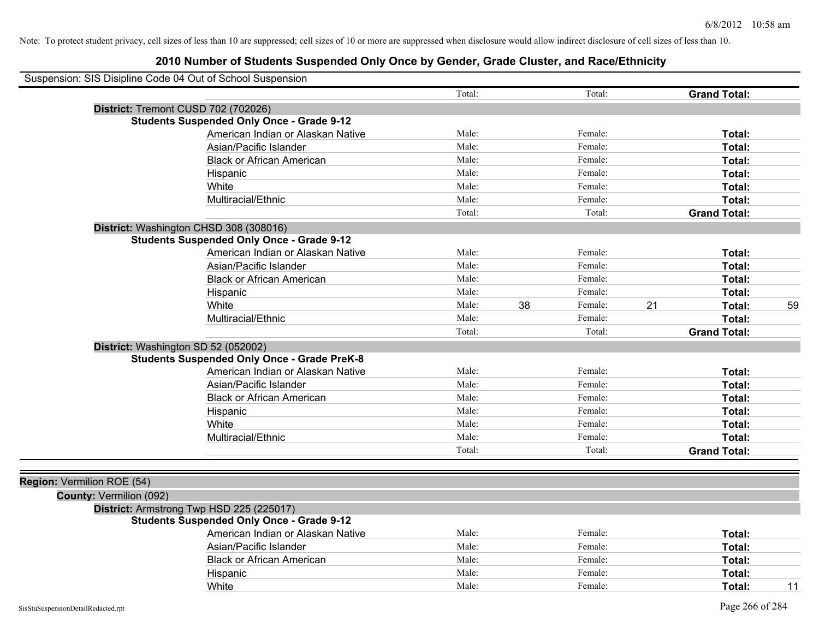| Suspension: SIS Disipline Code 04 Out of School Suspension |                                                    |        |    |         |    |                     |    |
|------------------------------------------------------------|----------------------------------------------------|--------|----|---------|----|---------------------|----|
|                                                            |                                                    | Total: |    | Total:  |    | <b>Grand Total:</b> |    |
|                                                            | District: Tremont CUSD 702 (702026)                |        |    |         |    |                     |    |
|                                                            | <b>Students Suspended Only Once - Grade 9-12</b>   |        |    |         |    |                     |    |
|                                                            | American Indian or Alaskan Native                  | Male:  |    | Female: |    | Total:              |    |
|                                                            | Asian/Pacific Islander                             | Male:  |    | Female: |    | Total:              |    |
|                                                            | <b>Black or African American</b>                   | Male:  |    | Female: |    | Total:              |    |
|                                                            | Hispanic                                           | Male:  |    | Female: |    | Total:              |    |
|                                                            | White                                              | Male:  |    | Female: |    | Total:              |    |
|                                                            | Multiracial/Ethnic                                 | Male:  |    | Female: |    | Total:              |    |
|                                                            |                                                    | Total: |    | Total:  |    | <b>Grand Total:</b> |    |
|                                                            | District: Washington CHSD 308 (308016)             |        |    |         |    |                     |    |
|                                                            | <b>Students Suspended Only Once - Grade 9-12</b>   |        |    |         |    |                     |    |
|                                                            | American Indian or Alaskan Native                  | Male:  |    | Female: |    | Total:              |    |
|                                                            | Asian/Pacific Islander                             | Male:  |    | Female: |    | Total:              |    |
|                                                            | <b>Black or African American</b>                   | Male:  |    | Female: |    | Total:              |    |
|                                                            | Hispanic                                           | Male:  |    | Female: |    | Total:              |    |
|                                                            | White                                              | Male:  | 38 | Female: | 21 | Total:              | 59 |
|                                                            | Multiracial/Ethnic                                 | Male:  |    | Female: |    | Total:              |    |
|                                                            |                                                    | Total: |    | Total:  |    | <b>Grand Total:</b> |    |
|                                                            | District: Washington SD 52 (052002)                |        |    |         |    |                     |    |
|                                                            | <b>Students Suspended Only Once - Grade PreK-8</b> |        |    |         |    |                     |    |
|                                                            | American Indian or Alaskan Native                  | Male:  |    | Female: |    | Total:              |    |
|                                                            | Asian/Pacific Islander                             | Male:  |    | Female: |    | Total:              |    |
|                                                            | <b>Black or African American</b>                   | Male:  |    | Female: |    | Total:              |    |
|                                                            | Hispanic                                           | Male:  |    | Female: |    | Total:              |    |
|                                                            | White                                              | Male:  |    | Female: |    | Total:              |    |
|                                                            | Multiracial/Ethnic                                 | Male:  |    | Female: |    | Total:              |    |
|                                                            |                                                    | Total: |    | Total:  |    | <b>Grand Total:</b> |    |
|                                                            |                                                    |        |    |         |    |                     |    |
| Region: Vermilion ROE (54)                                 |                                                    |        |    |         |    |                     |    |
| County: Vermilion (092)                                    |                                                    |        |    |         |    |                     |    |
|                                                            | District: Armstrong Twp HSD 225 (225017)           |        |    |         |    |                     |    |
|                                                            | <b>Students Suspended Only Once - Grade 9-12</b>   |        |    |         |    |                     |    |
|                                                            | American Indian or Alaskan Native                  | Male:  |    | Female: |    | Total:              |    |
|                                                            | Asian/Pacific Islander                             | Male:  |    | Female: |    | Total:              |    |
|                                                            | <b>Black or African American</b>                   | Male:  |    | Female: |    | Total:              |    |
|                                                            | Hispanic                                           | Male:  |    | Female: |    | Total:              |    |
|                                                            | White                                              | Male:  |    | Female: |    | Total:              | 11 |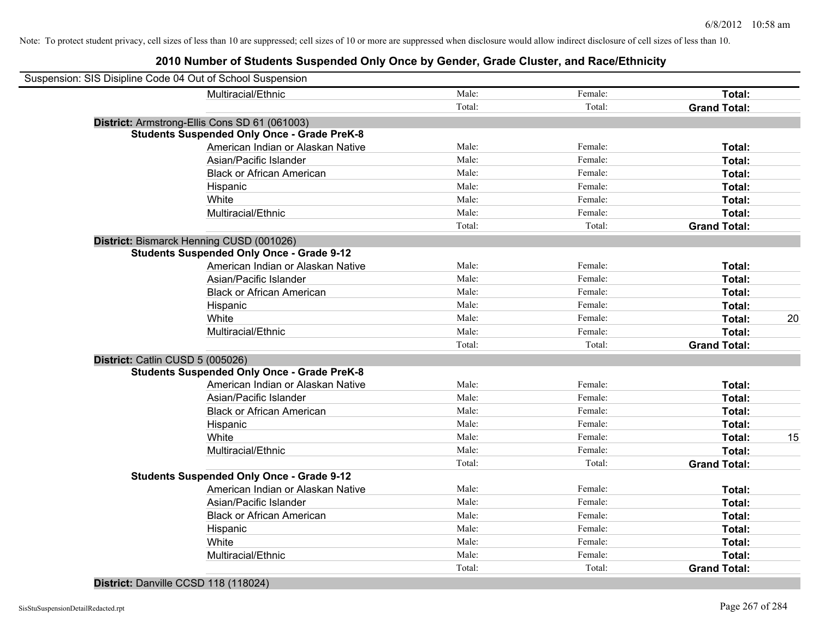## **2010 Number of Students Suspended Only Once by Gender, Grade Cluster, and Race/Ethnicity**

| Suspension: SIS Disipline Code 04 Out of School Suspension |                                                    |        |         |                     |    |
|------------------------------------------------------------|----------------------------------------------------|--------|---------|---------------------|----|
|                                                            | Multiracial/Ethnic                                 | Male:  | Female: | Total:              |    |
|                                                            |                                                    | Total: | Total:  | <b>Grand Total:</b> |    |
|                                                            | District: Armstrong-Ellis Cons SD 61 (061003)      |        |         |                     |    |
|                                                            | <b>Students Suspended Only Once - Grade PreK-8</b> |        |         |                     |    |
|                                                            | American Indian or Alaskan Native                  | Male:  | Female: | Total:              |    |
|                                                            | Asian/Pacific Islander                             | Male:  | Female: | Total:              |    |
|                                                            | <b>Black or African American</b>                   | Male:  | Female: | Total:              |    |
|                                                            | Hispanic                                           | Male:  | Female: | Total:              |    |
|                                                            | White                                              | Male:  | Female: | Total:              |    |
|                                                            | Multiracial/Ethnic                                 | Male:  | Female: | Total:              |    |
|                                                            |                                                    | Total: | Total:  | <b>Grand Total:</b> |    |
| District: Bismarck Henning CUSD (001026)                   |                                                    |        |         |                     |    |
|                                                            | <b>Students Suspended Only Once - Grade 9-12</b>   |        |         |                     |    |
|                                                            | American Indian or Alaskan Native                  | Male:  | Female: | Total:              |    |
|                                                            | Asian/Pacific Islander                             | Male:  | Female: | Total:              |    |
|                                                            | <b>Black or African American</b>                   | Male:  | Female: | Total:              |    |
|                                                            | Hispanic                                           | Male:  | Female: | Total:              |    |
|                                                            | White                                              | Male:  | Female: | Total:              | 20 |
|                                                            | Multiracial/Ethnic                                 | Male:  | Female: | Total:              |    |
|                                                            |                                                    | Total: | Total:  | <b>Grand Total:</b> |    |
| District: Catlin CUSD 5 (005026)                           |                                                    |        |         |                     |    |
|                                                            | <b>Students Suspended Only Once - Grade PreK-8</b> |        |         |                     |    |
|                                                            | American Indian or Alaskan Native                  | Male:  | Female: | Total:              |    |
|                                                            | Asian/Pacific Islander                             | Male:  | Female: | Total:              |    |
|                                                            | <b>Black or African American</b>                   | Male:  | Female: | Total:              |    |
|                                                            | Hispanic                                           | Male:  | Female: | Total:              |    |
|                                                            | White                                              | Male:  | Female: | Total:              | 15 |
|                                                            | Multiracial/Ethnic                                 | Male:  | Female: | Total:              |    |
|                                                            |                                                    | Total: | Total:  | <b>Grand Total:</b> |    |
|                                                            | <b>Students Suspended Only Once - Grade 9-12</b>   |        |         |                     |    |
|                                                            | American Indian or Alaskan Native                  | Male:  | Female: | Total:              |    |
|                                                            | Asian/Pacific Islander                             | Male:  | Female: | Total:              |    |
|                                                            | <b>Black or African American</b>                   | Male:  | Female: | Total:              |    |
|                                                            | Hispanic                                           | Male:  | Female: | Total:              |    |
|                                                            | White                                              | Male:  | Female: | Total:              |    |
|                                                            | Multiracial/Ethnic                                 | Male:  | Female: | Total:              |    |
|                                                            |                                                    | Total: | Total:  | <b>Grand Total:</b> |    |

### **District:** Danville CCSD 118 (118024)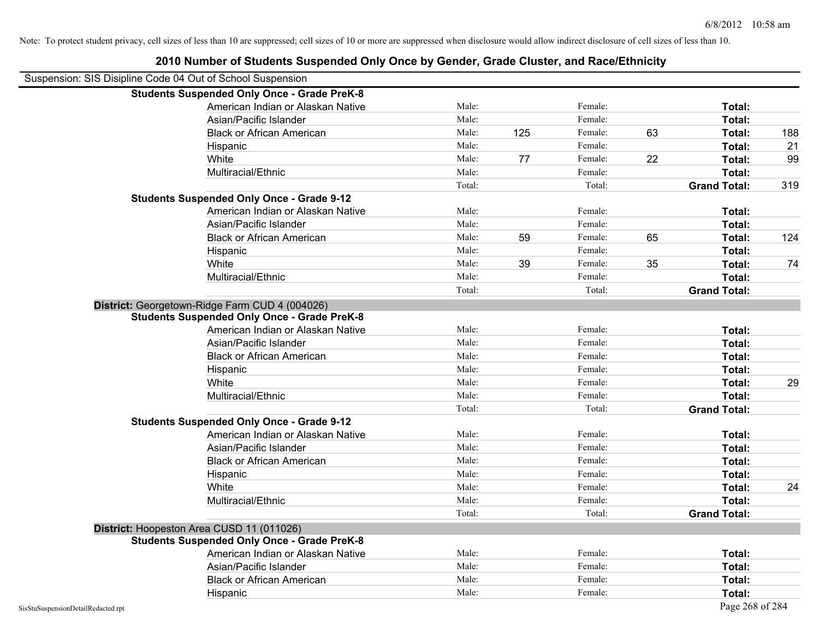|                                    | 2010 Number of Students Suspended Only Once by Gender, Grade Cluster, and Race/Ethnicity |        |     |         |    |                     |     |
|------------------------------------|------------------------------------------------------------------------------------------|--------|-----|---------|----|---------------------|-----|
|                                    | Suspension: SIS Disipline Code 04 Out of School Suspension                               |        |     |         |    |                     |     |
|                                    | <b>Students Suspended Only Once - Grade PreK-8</b>                                       |        |     |         |    |                     |     |
|                                    | American Indian or Alaskan Native                                                        | Male:  |     | Female: |    | Total:              |     |
|                                    | Asian/Pacific Islander                                                                   | Male:  |     | Female: |    | Total:              |     |
|                                    | <b>Black or African American</b>                                                         | Male:  | 125 | Female: | 63 | Total:              | 188 |
|                                    | Hispanic                                                                                 | Male:  |     | Female: |    | Total:              | 21  |
|                                    | White                                                                                    | Male:  | 77  | Female: | 22 | Total:              | 99  |
|                                    | Multiracial/Ethnic                                                                       | Male:  |     | Female: |    | Total:              |     |
|                                    |                                                                                          | Total: |     | Total:  |    | <b>Grand Total:</b> | 319 |
|                                    | <b>Students Suspended Only Once - Grade 9-12</b>                                         |        |     |         |    |                     |     |
|                                    | American Indian or Alaskan Native                                                        | Male:  |     | Female: |    | Total:              |     |
|                                    | Asian/Pacific Islander                                                                   | Male:  |     | Female: |    | Total:              |     |
|                                    | <b>Black or African American</b>                                                         | Male:  | 59  | Female: | 65 | Total:              | 124 |
|                                    | Hispanic                                                                                 | Male:  |     | Female: |    | Total:              |     |
|                                    | White                                                                                    | Male:  | 39  | Female: | 35 | Total:              | 74  |
|                                    | Multiracial/Ethnic                                                                       | Male:  |     | Female: |    | Total:              |     |
|                                    |                                                                                          | Total: |     | Total:  |    | <b>Grand Total:</b> |     |
|                                    | District: Georgetown-Ridge Farm CUD 4 (004026)                                           |        |     |         |    |                     |     |
|                                    | <b>Students Suspended Only Once - Grade PreK-8</b>                                       |        |     |         |    |                     |     |
|                                    | American Indian or Alaskan Native                                                        | Male:  |     | Female: |    | Total:              |     |
|                                    | Asian/Pacific Islander                                                                   | Male:  |     | Female: |    | Total:              |     |
|                                    | <b>Black or African American</b>                                                         | Male:  |     | Female: |    | Total:              |     |
|                                    | Hispanic                                                                                 | Male:  |     | Female: |    | Total:              |     |
|                                    | White                                                                                    | Male:  |     | Female: |    | Total:              | 29  |
|                                    | Multiracial/Ethnic                                                                       | Male:  |     | Female: |    | Total:              |     |
|                                    |                                                                                          | Total: |     | Total:  |    | <b>Grand Total:</b> |     |
|                                    | <b>Students Suspended Only Once - Grade 9-12</b>                                         |        |     |         |    |                     |     |
|                                    | American Indian or Alaskan Native                                                        | Male:  |     | Female: |    | Total:              |     |
|                                    | Asian/Pacific Islander                                                                   | Male:  |     | Female: |    | Total:              |     |
|                                    | <b>Black or African American</b>                                                         | Male:  |     | Female: |    | Total:              |     |
|                                    | Hispanic                                                                                 | Male:  |     | Female: |    | Total:              |     |
|                                    | White                                                                                    | Male:  |     | Female: |    | Total:              | 24  |
|                                    | Multiracial/Ethnic                                                                       | Male:  |     | Female: |    | Total:              |     |
|                                    |                                                                                          | Total: |     | Total:  |    | <b>Grand Total:</b> |     |
|                                    | District: Hoopeston Area CUSD 11 (011026)                                                |        |     |         |    |                     |     |
|                                    | <b>Students Suspended Only Once - Grade PreK-8</b>                                       |        |     |         |    |                     |     |
|                                    | American Indian or Alaskan Native                                                        | Male:  |     | Female: |    | Total:              |     |
|                                    | Asian/Pacific Islander                                                                   | Male:  |     | Female: |    | Total:              |     |
|                                    | <b>Black or African American</b>                                                         | Male:  |     | Female: |    | Total:              |     |
|                                    | Hispanic                                                                                 | Male:  |     | Female: |    | Total:              |     |
| SisStuSuspensionDetailRedacted.rpt |                                                                                          |        |     |         |    | Page 268 of 284     |     |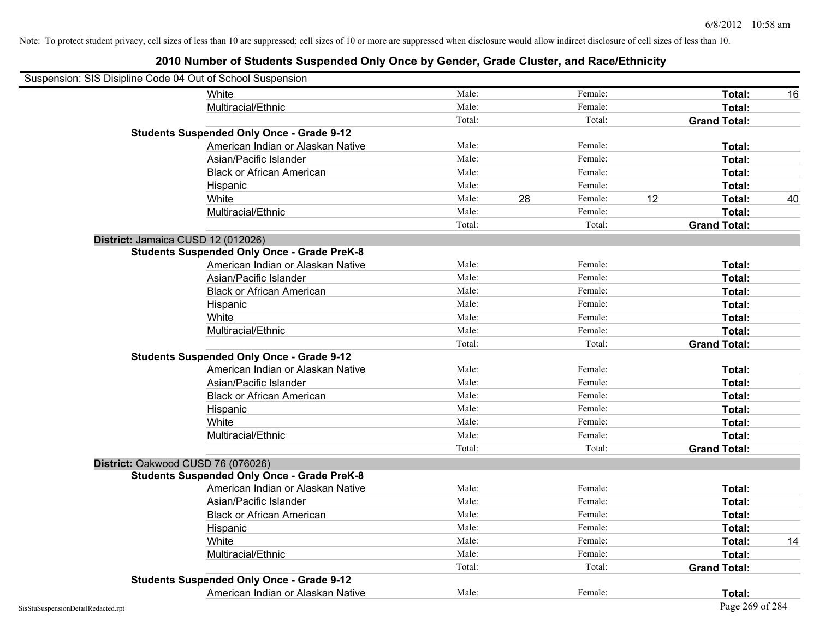| Suspension: SIS Disipline Code 04 Out of School Suspension |                                                    |        |    |         |    |                     |    |
|------------------------------------------------------------|----------------------------------------------------|--------|----|---------|----|---------------------|----|
|                                                            | <b>White</b>                                       | Male:  |    | Female: |    | Total:              | 16 |
|                                                            | Multiracial/Ethnic                                 | Male:  |    | Female: |    | Total:              |    |
|                                                            |                                                    | Total: |    | Total:  |    | <b>Grand Total:</b> |    |
|                                                            | <b>Students Suspended Only Once - Grade 9-12</b>   |        |    |         |    |                     |    |
|                                                            | American Indian or Alaskan Native                  | Male:  |    | Female: |    | Total:              |    |
|                                                            | Asian/Pacific Islander                             | Male:  |    | Female: |    | Total:              |    |
|                                                            | <b>Black or African American</b>                   | Male:  |    | Female: |    | Total:              |    |
|                                                            | Hispanic                                           | Male:  |    | Female: |    | Total:              |    |
|                                                            | White                                              | Male:  | 28 | Female: | 12 | Total:              | 40 |
|                                                            | Multiracial/Ethnic                                 | Male:  |    | Female: |    | Total:              |    |
|                                                            |                                                    | Total: |    | Total:  |    | <b>Grand Total:</b> |    |
| District: Jamaica CUSD 12 (012026)                         |                                                    |        |    |         |    |                     |    |
|                                                            | <b>Students Suspended Only Once - Grade PreK-8</b> |        |    |         |    |                     |    |
|                                                            | American Indian or Alaskan Native                  | Male:  |    | Female: |    | Total:              |    |
|                                                            | Asian/Pacific Islander                             | Male:  |    | Female: |    | Total:              |    |
|                                                            | <b>Black or African American</b>                   | Male:  |    | Female: |    | Total:              |    |
|                                                            | Hispanic                                           | Male:  |    | Female: |    | Total:              |    |
|                                                            | White                                              | Male:  |    | Female: |    | Total:              |    |
|                                                            | Multiracial/Ethnic                                 | Male:  |    | Female: |    | Total:              |    |
|                                                            |                                                    | Total: |    | Total:  |    | <b>Grand Total:</b> |    |
|                                                            | <b>Students Suspended Only Once - Grade 9-12</b>   |        |    |         |    |                     |    |
|                                                            | American Indian or Alaskan Native                  | Male:  |    | Female: |    | Total:              |    |
|                                                            | Asian/Pacific Islander                             | Male:  |    | Female: |    | Total:              |    |
|                                                            | <b>Black or African American</b>                   | Male:  |    | Female: |    | Total:              |    |
|                                                            | Hispanic                                           | Male:  |    | Female: |    | Total:              |    |
|                                                            | White                                              | Male:  |    | Female: |    | Total:              |    |
|                                                            | Multiracial/Ethnic                                 | Male:  |    | Female: |    | Total:              |    |
|                                                            |                                                    | Total: |    | Total:  |    | <b>Grand Total:</b> |    |
|                                                            | District: Oakwood CUSD 76 (076026)                 |        |    |         |    |                     |    |
|                                                            | <b>Students Suspended Only Once - Grade PreK-8</b> |        |    |         |    |                     |    |
|                                                            | American Indian or Alaskan Native                  | Male:  |    | Female: |    | Total:              |    |
|                                                            | Asian/Pacific Islander                             | Male:  |    | Female: |    | Total:              |    |
|                                                            | <b>Black or African American</b>                   | Male:  |    | Female: |    | Total:              |    |
|                                                            | Hispanic                                           | Male:  |    | Female: |    | Total:              |    |
|                                                            | White                                              | Male:  |    | Female: |    | Total:              | 14 |
|                                                            | Multiracial/Ethnic                                 | Male:  |    | Female: |    | Total:              |    |
|                                                            |                                                    | Total: |    | Total:  |    | <b>Grand Total:</b> |    |
|                                                            | <b>Students Suspended Only Once - Grade 9-12</b>   |        |    |         |    |                     |    |
|                                                            | American Indian or Alaskan Native                  | Male:  |    | Female: |    | Total:              |    |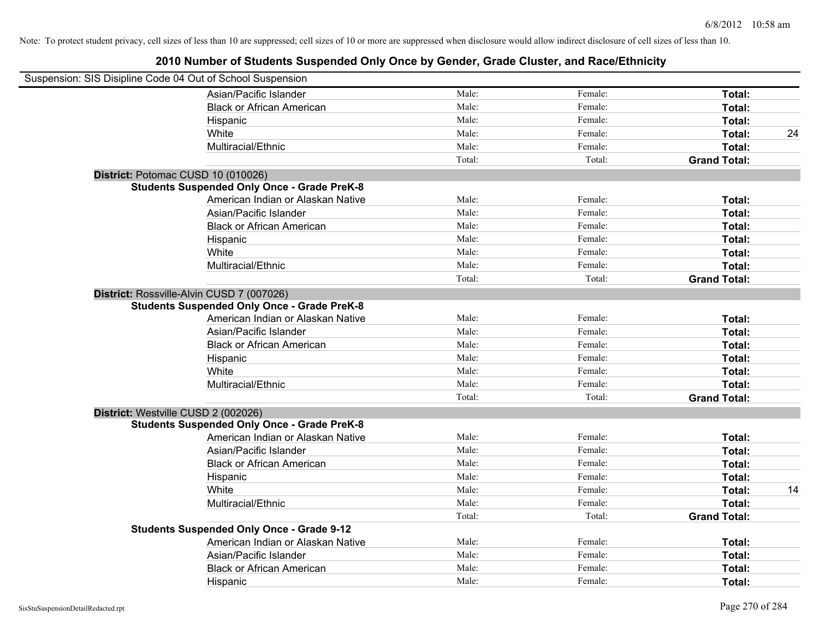| Suspension: SIS Disipline Code 04 Out of School Suspension |                                                    |        |         |                     |    |
|------------------------------------------------------------|----------------------------------------------------|--------|---------|---------------------|----|
|                                                            | Asian/Pacific Islander                             | Male:  | Female: | Total:              |    |
|                                                            | <b>Black or African American</b>                   | Male:  | Female: | Total:              |    |
|                                                            | Hispanic                                           | Male:  | Female: | Total:              |    |
|                                                            | White                                              | Male:  | Female: | Total:              | 24 |
|                                                            | Multiracial/Ethnic                                 | Male:  | Female: | Total:              |    |
|                                                            |                                                    | Total: | Total:  | <b>Grand Total:</b> |    |
| District: Potomac CUSD 10 (010026)                         |                                                    |        |         |                     |    |
|                                                            | <b>Students Suspended Only Once - Grade PreK-8</b> |        |         |                     |    |
|                                                            | American Indian or Alaskan Native                  | Male:  | Female: | Total:              |    |
|                                                            | Asian/Pacific Islander                             | Male:  | Female: | Total:              |    |
|                                                            | <b>Black or African American</b>                   | Male:  | Female: | Total:              |    |
|                                                            | Hispanic                                           | Male:  | Female: | Total:              |    |
|                                                            | White                                              | Male:  | Female: | Total:              |    |
|                                                            | Multiracial/Ethnic                                 | Male:  | Female: | Total:              |    |
|                                                            |                                                    | Total: | Total:  | <b>Grand Total:</b> |    |
| District: Rossville-Alvin CUSD 7 (007026)                  |                                                    |        |         |                     |    |
|                                                            | <b>Students Suspended Only Once - Grade PreK-8</b> |        |         |                     |    |
|                                                            | American Indian or Alaskan Native                  | Male:  | Female: | Total:              |    |
|                                                            | Asian/Pacific Islander                             | Male:  | Female: | Total:              |    |
|                                                            | <b>Black or African American</b>                   | Male:  | Female: | Total:              |    |
|                                                            | Hispanic                                           | Male:  | Female: | Total:              |    |
|                                                            | White                                              | Male:  | Female: | Total:              |    |
|                                                            | Multiracial/Ethnic                                 | Male:  | Female: | Total:              |    |
|                                                            |                                                    | Total: | Total:  | <b>Grand Total:</b> |    |
| District: Westville CUSD 2 (002026)                        |                                                    |        |         |                     |    |
|                                                            | <b>Students Suspended Only Once - Grade PreK-8</b> |        |         |                     |    |
|                                                            | American Indian or Alaskan Native                  | Male:  | Female: | Total:              |    |
|                                                            | Asian/Pacific Islander                             | Male:  | Female: | Total:              |    |
|                                                            | <b>Black or African American</b>                   | Male:  | Female: | Total:              |    |
|                                                            | Hispanic                                           | Male:  | Female: | Total:              |    |
|                                                            | White                                              | Male:  | Female: | Total:              | 14 |
|                                                            | Multiracial/Ethnic                                 | Male:  | Female: | Total:              |    |
|                                                            |                                                    | Total: | Total:  | <b>Grand Total:</b> |    |
|                                                            | <b>Students Suspended Only Once - Grade 9-12</b>   |        |         |                     |    |
|                                                            | American Indian or Alaskan Native                  | Male:  | Female: | Total:              |    |
|                                                            | Asian/Pacific Islander                             | Male:  | Female: | Total:              |    |
|                                                            | <b>Black or African American</b>                   | Male:  | Female: | Total:              |    |
|                                                            | Hispanic                                           | Male:  | Female: | Total:              |    |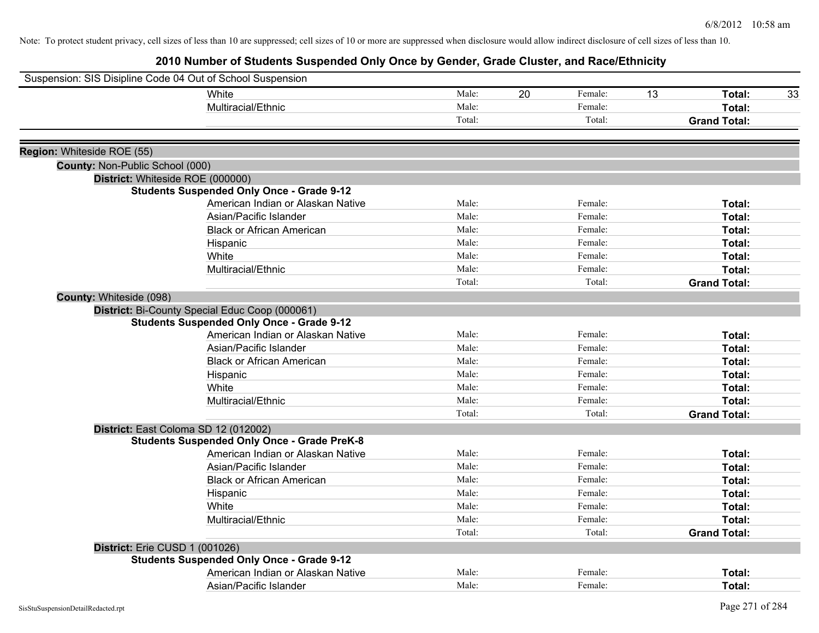| Suspension: SIS Disipline Code 04 Out of School Suspension |                                                                                                    |        |    |         |    |                               |    |
|------------------------------------------------------------|----------------------------------------------------------------------------------------------------|--------|----|---------|----|-------------------------------|----|
|                                                            | <b>White</b>                                                                                       | Male:  | 20 | Female: | 13 | Total:                        | 33 |
|                                                            | Multiracial/Ethnic                                                                                 | Male:  |    | Female: |    | Total:                        |    |
|                                                            |                                                                                                    | Total: |    | Total:  |    | <b>Grand Total:</b>           |    |
|                                                            |                                                                                                    |        |    |         |    |                               |    |
| Region: Whiteside ROE (55)                                 |                                                                                                    |        |    |         |    |                               |    |
| County: Non-Public School (000)                            |                                                                                                    |        |    |         |    |                               |    |
|                                                            | District: Whiteside ROE (000000)<br><b>Students Suspended Only Once - Grade 9-12</b>               |        |    |         |    |                               |    |
|                                                            | American Indian or Alaskan Native                                                                  | Male:  |    | Female: |    | Total:                        |    |
|                                                            | Asian/Pacific Islander                                                                             | Male:  |    | Female: |    | Total:                        |    |
|                                                            | <b>Black or African American</b>                                                                   | Male:  |    | Female: |    | Total:                        |    |
|                                                            |                                                                                                    | Male:  |    | Female: |    | Total:                        |    |
|                                                            | Hispanic<br>White                                                                                  | Male:  |    | Female: |    | Total:                        |    |
|                                                            | Multiracial/Ethnic                                                                                 | Male:  |    | Female: |    | Total:                        |    |
|                                                            |                                                                                                    | Total: |    | Total:  |    | <b>Grand Total:</b>           |    |
|                                                            |                                                                                                    |        |    |         |    |                               |    |
| County: Whiteside (098)                                    |                                                                                                    |        |    |         |    |                               |    |
|                                                            | District: Bi-County Special Educ Coop (000061)<br><b>Students Suspended Only Once - Grade 9-12</b> |        |    |         |    |                               |    |
|                                                            | American Indian or Alaskan Native                                                                  | Male:  |    | Female: |    | Total:                        |    |
|                                                            | Asian/Pacific Islander                                                                             | Male:  |    | Female: |    | Total:                        |    |
|                                                            | <b>Black or African American</b>                                                                   | Male:  |    | Female: |    | Total:                        |    |
|                                                            |                                                                                                    | Male:  |    | Female: |    | Total:                        |    |
|                                                            | Hispanic<br>White                                                                                  | Male:  |    | Female: |    |                               |    |
|                                                            | Multiracial/Ethnic                                                                                 | Male:  |    | Female: |    | Total:                        |    |
|                                                            |                                                                                                    | Total: |    | Total:  |    | Total:<br><b>Grand Total:</b> |    |
|                                                            |                                                                                                    |        |    |         |    |                               |    |
|                                                            | District: East Coloma SD 12 (012002)<br><b>Students Suspended Only Once - Grade PreK-8</b>         |        |    |         |    |                               |    |
|                                                            | American Indian or Alaskan Native                                                                  | Male:  |    | Female: |    | Total:                        |    |
|                                                            | Asian/Pacific Islander                                                                             | Male:  |    | Female: |    | Total:                        |    |
|                                                            | <b>Black or African American</b>                                                                   | Male:  |    | Female: |    | Total:                        |    |
|                                                            |                                                                                                    | Male:  |    | Female: |    | Total:                        |    |
|                                                            | Hispanic<br>White                                                                                  | Male:  |    | Female: |    | Total:                        |    |
|                                                            | Multiracial/Ethnic                                                                                 | Male:  |    | Female: |    | Total:                        |    |
|                                                            |                                                                                                    | Total: |    | Total:  |    | <b>Grand Total:</b>           |    |
|                                                            |                                                                                                    |        |    |         |    |                               |    |
| District: Erie CUSD 1 (001026)                             |                                                                                                    |        |    |         |    |                               |    |
|                                                            | <b>Students Suspended Only Once - Grade 9-12</b><br>American Indian or Alaskan Native              | Male:  |    | Female: |    |                               |    |
|                                                            |                                                                                                    |        |    |         |    | Total:                        |    |
|                                                            | Asian/Pacific Islander                                                                             | Male:  |    | Female: |    | Total:                        |    |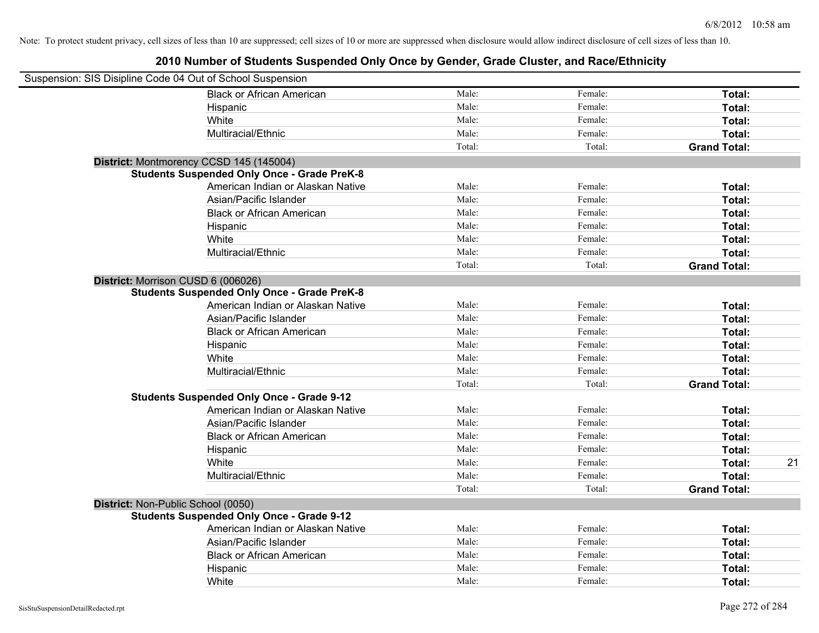| Suspension: SIS Disipline Code 04 Out of School Suspension |                                                    |        |         |                     |
|------------------------------------------------------------|----------------------------------------------------|--------|---------|---------------------|
|                                                            | <b>Black or African American</b>                   | Male:  | Female: | Total:              |
|                                                            | Hispanic                                           | Male:  | Female: | Total:              |
|                                                            | White                                              | Male:  | Female: | Total:              |
|                                                            | Multiracial/Ethnic                                 | Male:  | Female: | Total:              |
|                                                            |                                                    | Total: | Total:  | <b>Grand Total:</b> |
|                                                            | District: Montmorency CCSD 145 (145004)            |        |         |                     |
|                                                            | <b>Students Suspended Only Once - Grade PreK-8</b> |        |         |                     |
|                                                            | American Indian or Alaskan Native                  | Male:  | Female: | Total:              |
|                                                            | Asian/Pacific Islander                             | Male:  | Female: | Total:              |
|                                                            | <b>Black or African American</b>                   | Male:  | Female: | Total:              |
|                                                            | Hispanic                                           | Male:  | Female: | Total:              |
|                                                            | White                                              | Male:  | Female: | Total:              |
|                                                            | Multiracial/Ethnic                                 | Male:  | Female: | Total:              |
|                                                            |                                                    | Total: | Total:  | <b>Grand Total:</b> |
| District: Morrison CUSD 6 (006026)                         |                                                    |        |         |                     |
|                                                            | <b>Students Suspended Only Once - Grade PreK-8</b> |        |         |                     |
|                                                            | American Indian or Alaskan Native                  | Male:  | Female: | Total:              |
|                                                            | Asian/Pacific Islander                             | Male:  | Female: | Total:              |
|                                                            | <b>Black or African American</b>                   | Male:  | Female: | Total:              |
|                                                            | Hispanic                                           | Male:  | Female: | Total:              |
|                                                            | White                                              | Male:  | Female: | Total:              |
|                                                            | Multiracial/Ethnic                                 | Male:  | Female: | Total:              |
|                                                            |                                                    | Total: | Total:  | <b>Grand Total:</b> |
|                                                            | <b>Students Suspended Only Once - Grade 9-12</b>   |        |         |                     |
|                                                            | American Indian or Alaskan Native                  | Male:  | Female: | Total:              |
|                                                            | Asian/Pacific Islander                             | Male:  | Female: | Total:              |
|                                                            | <b>Black or African American</b>                   | Male:  | Female: | Total:              |
|                                                            | Hispanic                                           | Male:  | Female: | Total:              |
|                                                            | White                                              | Male:  | Female: | Total:<br>21        |
|                                                            | Multiracial/Ethnic                                 | Male:  | Female: | Total:              |
|                                                            |                                                    | Total: | Total:  | <b>Grand Total:</b> |
| District: Non-Public School (0050)                         |                                                    |        |         |                     |
|                                                            | <b>Students Suspended Only Once - Grade 9-12</b>   |        |         |                     |
|                                                            | American Indian or Alaskan Native                  | Male:  | Female: | Total:              |
|                                                            | Asian/Pacific Islander                             | Male:  | Female: | Total:              |
|                                                            | <b>Black or African American</b>                   | Male:  | Female: | Total:              |
|                                                            | Hispanic                                           | Male:  | Female: | Total:              |
|                                                            | White                                              | Male:  | Female: | Total:              |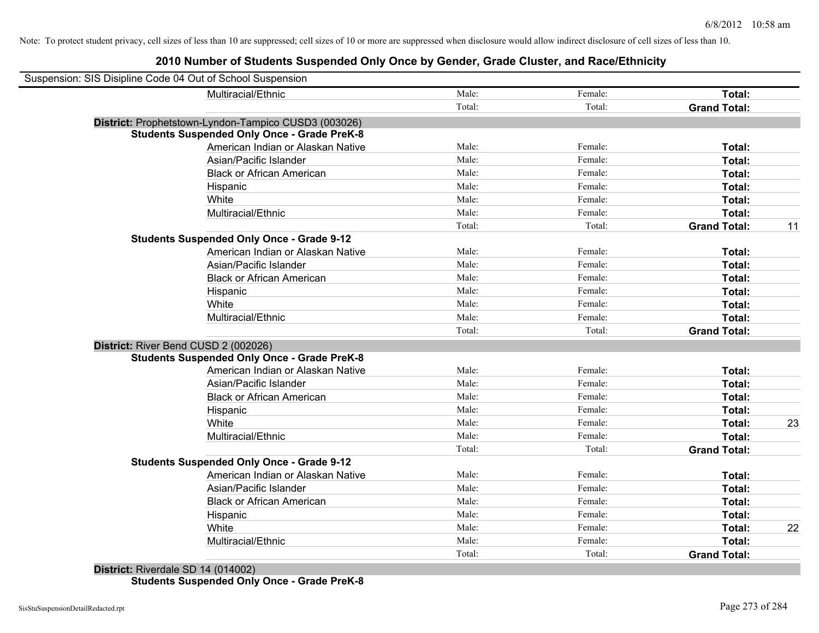| Suspension: SIS Disipline Code 04 Out of School Suspension |                                                      |        |         |                     |    |
|------------------------------------------------------------|------------------------------------------------------|--------|---------|---------------------|----|
|                                                            | Multiracial/Ethnic                                   | Male:  | Female: | Total:              |    |
|                                                            |                                                      | Total: | Total:  | <b>Grand Total:</b> |    |
|                                                            | District: Prophetstown-Lyndon-Tampico CUSD3 (003026) |        |         |                     |    |
|                                                            | <b>Students Suspended Only Once - Grade PreK-8</b>   |        |         |                     |    |
|                                                            | American Indian or Alaskan Native                    | Male:  | Female: | Total:              |    |
|                                                            | Asian/Pacific Islander                               | Male:  | Female: | Total:              |    |
|                                                            | <b>Black or African American</b>                     | Male:  | Female: | Total:              |    |
|                                                            | Hispanic                                             | Male:  | Female: | Total:              |    |
|                                                            | White                                                | Male:  | Female: | Total:              |    |
|                                                            | Multiracial/Ethnic                                   | Male:  | Female: | Total:              |    |
|                                                            |                                                      | Total: | Total:  | <b>Grand Total:</b> | 11 |
|                                                            | <b>Students Suspended Only Once - Grade 9-12</b>     |        |         |                     |    |
|                                                            | American Indian or Alaskan Native                    | Male:  | Female: | Total:              |    |
|                                                            | Asian/Pacific Islander                               | Male:  | Female: | Total:              |    |
|                                                            | <b>Black or African American</b>                     | Male:  | Female: | Total:              |    |
|                                                            | Hispanic                                             | Male:  | Female: | Total:              |    |
|                                                            | White                                                | Male:  | Female: | Total:              |    |
|                                                            | Multiracial/Ethnic                                   | Male:  | Female: | Total:              |    |
|                                                            |                                                      | Total: | Total:  | <b>Grand Total:</b> |    |
| District: River Bend CUSD 2 (002026)                       |                                                      |        |         |                     |    |
|                                                            | <b>Students Suspended Only Once - Grade PreK-8</b>   |        |         |                     |    |
|                                                            | American Indian or Alaskan Native                    | Male:  | Female: | Total:              |    |
|                                                            | Asian/Pacific Islander                               | Male:  | Female: | Total:              |    |
|                                                            | <b>Black or African American</b>                     | Male:  | Female: | Total:              |    |
|                                                            | Hispanic                                             | Male:  | Female: | Total:              |    |
|                                                            | White                                                | Male:  | Female: | Total:              | 23 |
|                                                            | Multiracial/Ethnic                                   | Male:  | Female: | Total:              |    |
|                                                            |                                                      | Total: | Total:  | <b>Grand Total:</b> |    |
|                                                            | <b>Students Suspended Only Once - Grade 9-12</b>     |        |         |                     |    |
|                                                            | American Indian or Alaskan Native                    | Male:  | Female: | Total:              |    |
|                                                            | Asian/Pacific Islander                               | Male:  | Female: | Total:              |    |
|                                                            | <b>Black or African American</b>                     | Male:  | Female: | Total:              |    |
|                                                            | Hispanic                                             | Male:  | Female: | Total:              |    |
|                                                            | White                                                | Male:  | Female: | Total:              | 22 |
|                                                            | Multiracial/Ethnic                                   | Male:  | Female: | Total:              |    |
|                                                            |                                                      | Total: | Total:  | <b>Grand Total:</b> |    |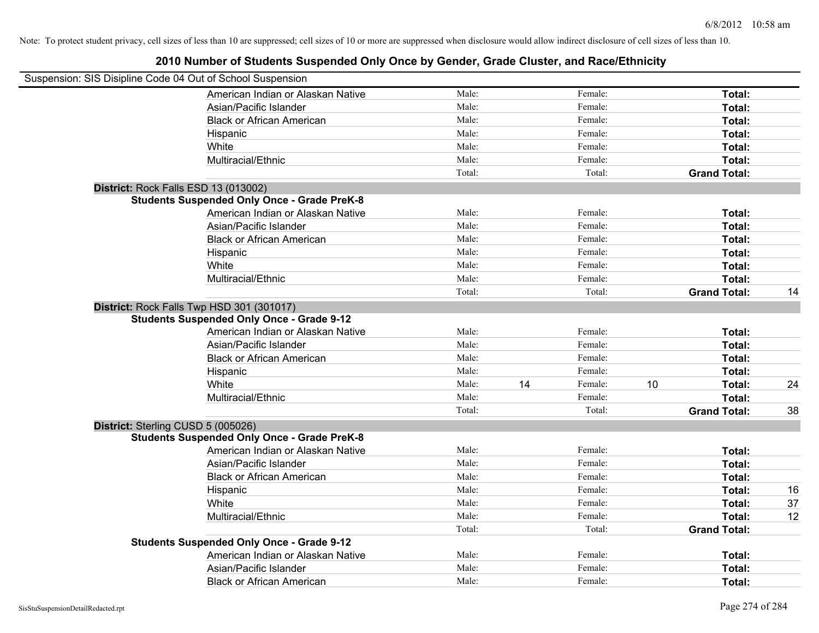| Suspension: SIS Disipline Code 04 Out of School Suspension |        |               |    |                     |    |
|------------------------------------------------------------|--------|---------------|----|---------------------|----|
| American Indian or Alaskan Native                          | Male:  | Female:       |    | Total:              |    |
| Asian/Pacific Islander                                     | Male:  | Female:       |    | Total:              |    |
| <b>Black or African American</b>                           | Male:  | Female:       |    | Total:              |    |
| Hispanic                                                   | Male:  | Female:       |    | Total:              |    |
| White                                                      | Male:  | Female:       |    | Total:              |    |
| Multiracial/Ethnic                                         | Male:  | Female:       |    | Total:              |    |
|                                                            | Total: | Total:        |    | <b>Grand Total:</b> |    |
| District: Rock Falls ESD 13 (013002)                       |        |               |    |                     |    |
| <b>Students Suspended Only Once - Grade PreK-8</b>         |        |               |    |                     |    |
| American Indian or Alaskan Native                          | Male:  | Female:       |    | Total:              |    |
| Asian/Pacific Islander                                     | Male:  | Female:       |    | Total:              |    |
| <b>Black or African American</b>                           | Male:  | Female:       |    | Total:              |    |
| Hispanic                                                   | Male:  | Female:       |    | Total:              |    |
| White                                                      | Male:  | Female:       |    | Total:              |    |
| Multiracial/Ethnic                                         | Male:  | Female:       |    | Total:              |    |
|                                                            | Total: | Total:        |    | <b>Grand Total:</b> | 14 |
| District: Rock Falls Twp HSD 301 (301017)                  |        |               |    |                     |    |
| <b>Students Suspended Only Once - Grade 9-12</b>           |        |               |    |                     |    |
| American Indian or Alaskan Native                          | Male:  | Female:       |    | Total:              |    |
| Asian/Pacific Islander                                     | Male:  | Female:       |    | Total:              |    |
| <b>Black or African American</b>                           | Male:  | Female:       |    | Total:              |    |
| Hispanic                                                   | Male:  | Female:       |    | Total:              |    |
| White                                                      | Male:  | 14<br>Female: | 10 | Total:              | 24 |
| Multiracial/Ethnic                                         | Male:  | Female:       |    | Total:              |    |
|                                                            | Total: | Total:        |    | <b>Grand Total:</b> | 38 |
| District: Sterling CUSD 5 (005026)                         |        |               |    |                     |    |
| <b>Students Suspended Only Once - Grade PreK-8</b>         |        |               |    |                     |    |
| American Indian or Alaskan Native                          | Male:  | Female:       |    | Total:              |    |
| Asian/Pacific Islander                                     | Male:  | Female:       |    | Total:              |    |
| <b>Black or African American</b>                           | Male:  | Female:       |    | Total:              |    |
| Hispanic                                                   | Male:  | Female:       |    | Total:              | 16 |
| White                                                      | Male:  | Female:       |    | Total:              | 37 |
| Multiracial/Ethnic                                         | Male:  | Female:       |    | Total:              | 12 |
|                                                            | Total: | Total:        |    | <b>Grand Total:</b> |    |
| <b>Students Suspended Only Once - Grade 9-12</b>           |        |               |    |                     |    |
| American Indian or Alaskan Native                          | Male:  | Female:       |    | Total:              |    |
| Asian/Pacific Islander                                     | Male:  | Female:       |    | Total:              |    |
| <b>Black or African American</b>                           | Male:  | Female:       |    | Total:              |    |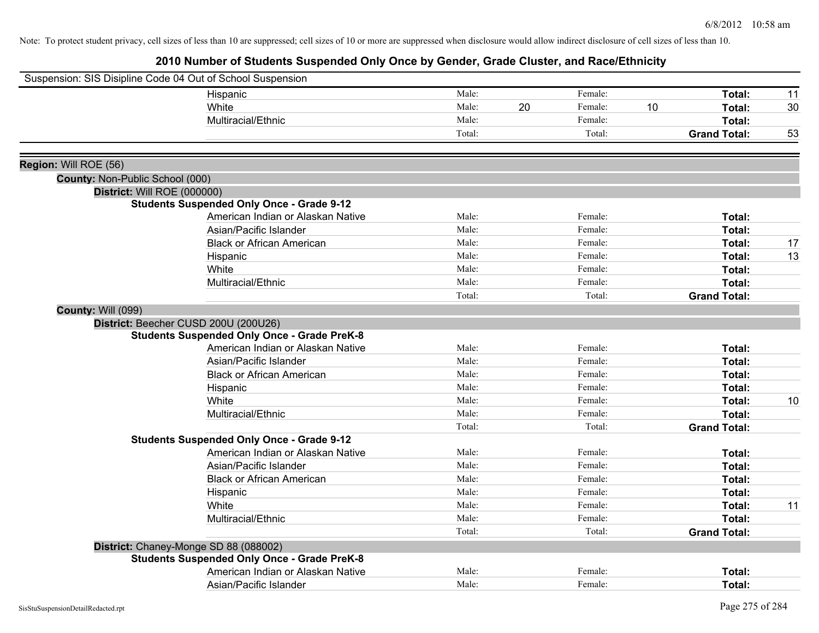|                                 | Suspension: SIS Disipline Code 04 Out of School Suspension |        |    |         |    |                     |    |
|---------------------------------|------------------------------------------------------------|--------|----|---------|----|---------------------|----|
|                                 | Hispanic                                                   | Male:  |    | Female: |    | Total:              | 11 |
|                                 | White                                                      | Male:  | 20 | Female: | 10 | Total:              | 30 |
|                                 | Multiracial/Ethnic                                         | Male:  |    | Female: |    | Total:              |    |
|                                 |                                                            | Total: |    | Total:  |    | <b>Grand Total:</b> | 53 |
|                                 |                                                            |        |    |         |    |                     |    |
| Region: Will ROE (56)           |                                                            |        |    |         |    |                     |    |
| County: Non-Public School (000) |                                                            |        |    |         |    |                     |    |
|                                 | District: Will ROE (000000)                                |        |    |         |    |                     |    |
|                                 | <b>Students Suspended Only Once - Grade 9-12</b>           |        |    |         |    |                     |    |
|                                 | American Indian or Alaskan Native                          | Male:  |    | Female: |    | Total:              |    |
|                                 | Asian/Pacific Islander                                     | Male:  |    | Female: |    | Total:              |    |
|                                 | <b>Black or African American</b>                           | Male:  |    | Female: |    | Total:              | 17 |
|                                 | Hispanic                                                   | Male:  |    | Female: |    | Total:              | 13 |
|                                 | White                                                      | Male:  |    | Female: |    | Total:              |    |
|                                 | Multiracial/Ethnic                                         | Male:  |    | Female: |    | Total:              |    |
|                                 |                                                            | Total: |    | Total:  |    | <b>Grand Total:</b> |    |
| <b>County: Will (099)</b>       |                                                            |        |    |         |    |                     |    |
|                                 | District: Beecher CUSD 200U (200U26)                       |        |    |         |    |                     |    |
|                                 | <b>Students Suspended Only Once - Grade PreK-8</b>         |        |    |         |    |                     |    |
|                                 | American Indian or Alaskan Native                          | Male:  |    | Female: |    | Total:              |    |
|                                 | Asian/Pacific Islander                                     | Male:  |    | Female: |    | Total:              |    |
|                                 | <b>Black or African American</b>                           | Male:  |    | Female: |    | Total:              |    |
|                                 | Hispanic                                                   | Male:  |    | Female: |    | Total:              |    |
|                                 | White                                                      | Male:  |    | Female: |    | Total:              | 10 |
|                                 | Multiracial/Ethnic                                         | Male:  |    | Female: |    | Total:              |    |
|                                 |                                                            | Total: |    | Total:  |    | <b>Grand Total:</b> |    |
|                                 | <b>Students Suspended Only Once - Grade 9-12</b>           |        |    |         |    |                     |    |
|                                 | American Indian or Alaskan Native                          | Male:  |    | Female: |    | Total:              |    |
|                                 | Asian/Pacific Islander                                     | Male:  |    | Female: |    | Total:              |    |
|                                 | <b>Black or African American</b>                           | Male:  |    | Female: |    | Total:              |    |
|                                 | Hispanic                                                   | Male:  |    | Female: |    | Total:              |    |
|                                 | White                                                      | Male:  |    | Female: |    | Total:              | 11 |
|                                 | Multiracial/Ethnic                                         | Male:  |    | Female: |    | Total:              |    |
|                                 |                                                            | Total: |    | Total:  |    | <b>Grand Total:</b> |    |
|                                 | District: Chaney-Monge SD 88 (088002)                      |        |    |         |    |                     |    |
|                                 | <b>Students Suspended Only Once - Grade PreK-8</b>         |        |    |         |    |                     |    |
|                                 | American Indian or Alaskan Native                          | Male:  |    | Female: |    | Total:              |    |
|                                 | Asian/Pacific Islander                                     | Male:  |    | Female: |    | Total:              |    |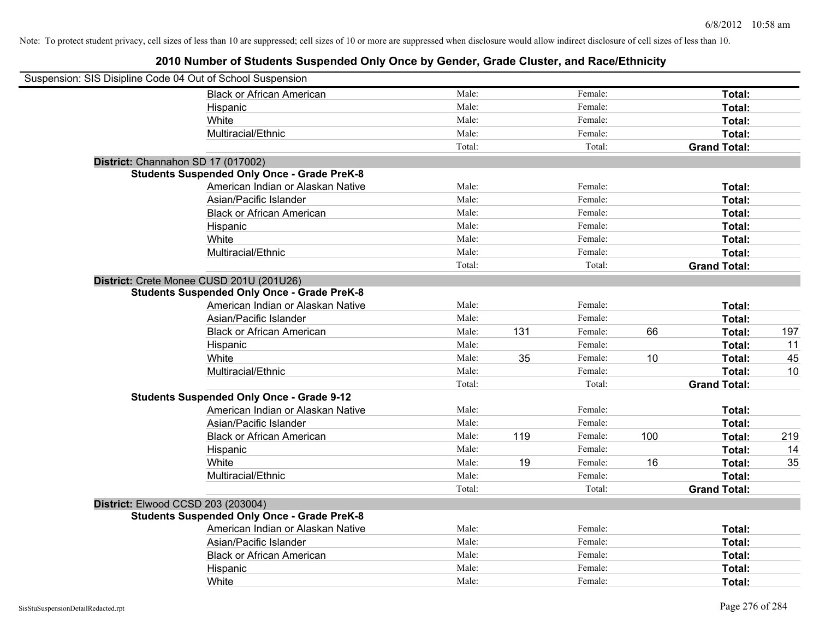| Suspension: SIS Disipline Code 04 Out of School Suspension |                                                    |        |     |         |     |                     |     |
|------------------------------------------------------------|----------------------------------------------------|--------|-----|---------|-----|---------------------|-----|
|                                                            | <b>Black or African American</b>                   | Male:  |     | Female: |     | Total:              |     |
|                                                            | Hispanic                                           | Male:  |     | Female: |     | Total:              |     |
|                                                            | White                                              | Male:  |     | Female: |     | Total:              |     |
|                                                            | Multiracial/Ethnic                                 | Male:  |     | Female: |     | Total:              |     |
|                                                            |                                                    | Total: |     | Total:  |     | <b>Grand Total:</b> |     |
| District: Channahon SD 17 (017002)                         |                                                    |        |     |         |     |                     |     |
|                                                            | <b>Students Suspended Only Once - Grade PreK-8</b> |        |     |         |     |                     |     |
|                                                            | American Indian or Alaskan Native                  | Male:  |     | Female: |     | Total:              |     |
|                                                            | Asian/Pacific Islander                             | Male:  |     | Female: |     | Total:              |     |
|                                                            | <b>Black or African American</b>                   | Male:  |     | Female: |     | Total:              |     |
|                                                            | Hispanic                                           | Male:  |     | Female: |     | Total:              |     |
|                                                            | White                                              | Male:  |     | Female: |     | Total:              |     |
|                                                            | Multiracial/Ethnic                                 | Male:  |     | Female: |     | Total:              |     |
|                                                            |                                                    | Total: |     | Total:  |     | <b>Grand Total:</b> |     |
|                                                            | District: Crete Monee CUSD 201U (201U26)           |        |     |         |     |                     |     |
|                                                            | <b>Students Suspended Only Once - Grade PreK-8</b> |        |     |         |     |                     |     |
|                                                            | American Indian or Alaskan Native                  | Male:  |     | Female: |     | Total:              |     |
|                                                            | Asian/Pacific Islander                             | Male:  |     | Female: |     | Total:              |     |
|                                                            | <b>Black or African American</b>                   | Male:  | 131 | Female: | 66  | Total:              | 197 |
|                                                            | Hispanic                                           | Male:  |     | Female: |     | Total:              | 11  |
|                                                            | White                                              | Male:  | 35  | Female: | 10  | Total:              | 45  |
|                                                            | Multiracial/Ethnic                                 | Male:  |     | Female: |     | Total:              | 10  |
|                                                            |                                                    | Total: |     | Total:  |     | <b>Grand Total:</b> |     |
|                                                            | <b>Students Suspended Only Once - Grade 9-12</b>   |        |     |         |     |                     |     |
|                                                            | American Indian or Alaskan Native                  | Male:  |     | Female: |     | Total:              |     |
|                                                            | Asian/Pacific Islander                             | Male:  |     | Female: |     | Total:              |     |
|                                                            | <b>Black or African American</b>                   | Male:  | 119 | Female: | 100 | Total:              | 219 |
|                                                            | Hispanic                                           | Male:  |     | Female: |     | Total:              | 14  |
|                                                            | White                                              | Male:  | 19  | Female: | 16  | Total:              | 35  |
|                                                            | Multiracial/Ethnic                                 | Male:  |     | Female: |     | Total:              |     |
|                                                            |                                                    | Total: |     | Total:  |     | <b>Grand Total:</b> |     |
| District: Elwood CCSD 203 (203004)                         |                                                    |        |     |         |     |                     |     |
|                                                            | <b>Students Suspended Only Once - Grade PreK-8</b> |        |     |         |     |                     |     |
|                                                            | American Indian or Alaskan Native                  | Male:  |     | Female: |     | Total:              |     |
|                                                            | Asian/Pacific Islander                             | Male:  |     | Female: |     | Total:              |     |
|                                                            | <b>Black or African American</b>                   | Male:  |     | Female: |     | Total:              |     |
|                                                            | Hispanic                                           | Male:  |     | Female: |     | <b>Total:</b>       |     |
|                                                            | White                                              | Male:  |     | Female: |     | Total:              |     |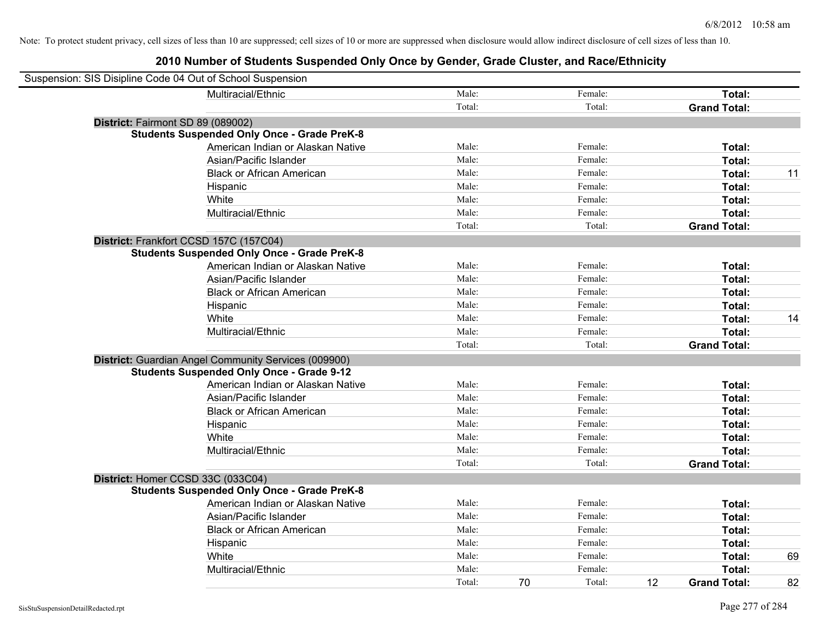| Suspension: SIS Disipline Code 04 Out of School Suspension |                                                      |        |    |         |    |                     |    |
|------------------------------------------------------------|------------------------------------------------------|--------|----|---------|----|---------------------|----|
|                                                            | Multiracial/Ethnic                                   | Male:  |    | Female: |    | Total:              |    |
|                                                            |                                                      | Total: |    | Total:  |    | <b>Grand Total:</b> |    |
| District: Fairmont SD 89 (089002)                          |                                                      |        |    |         |    |                     |    |
|                                                            | <b>Students Suspended Only Once - Grade PreK-8</b>   |        |    |         |    |                     |    |
|                                                            | American Indian or Alaskan Native                    | Male:  |    | Female: |    | Total:              |    |
|                                                            | Asian/Pacific Islander                               | Male:  |    | Female: |    | Total:              |    |
|                                                            | <b>Black or African American</b>                     | Male:  |    | Female: |    | Total:              | 11 |
|                                                            | Hispanic                                             | Male:  |    | Female: |    | Total:              |    |
|                                                            | White                                                | Male:  |    | Female: |    | Total:              |    |
|                                                            | Multiracial/Ethnic                                   | Male:  |    | Female: |    | Total:              |    |
|                                                            |                                                      | Total: |    | Total:  |    | <b>Grand Total:</b> |    |
| District: Frankfort CCSD 157C (157C04)                     |                                                      |        |    |         |    |                     |    |
|                                                            | <b>Students Suspended Only Once - Grade PreK-8</b>   |        |    |         |    |                     |    |
|                                                            | American Indian or Alaskan Native                    | Male:  |    | Female: |    | Total:              |    |
|                                                            | Asian/Pacific Islander                               | Male:  |    | Female: |    | Total:              |    |
|                                                            | <b>Black or African American</b>                     | Male:  |    | Female: |    | Total:              |    |
|                                                            | Hispanic                                             | Male:  |    | Female: |    | Total:              |    |
|                                                            | White                                                | Male:  |    | Female: |    | Total:              | 14 |
|                                                            | Multiracial/Ethnic                                   | Male:  |    | Female: |    | Total:              |    |
|                                                            |                                                      | Total: |    | Total:  |    | <b>Grand Total:</b> |    |
|                                                            | District: Guardian Angel Community Services (009900) |        |    |         |    |                     |    |
|                                                            | <b>Students Suspended Only Once - Grade 9-12</b>     |        |    |         |    |                     |    |
|                                                            | American Indian or Alaskan Native                    | Male:  |    | Female: |    | Total:              |    |
|                                                            | Asian/Pacific Islander                               | Male:  |    | Female: |    | Total:              |    |
|                                                            | <b>Black or African American</b>                     | Male:  |    | Female: |    | Total:              |    |
|                                                            | Hispanic                                             | Male:  |    | Female: |    | Total:              |    |
|                                                            | White                                                | Male:  |    | Female: |    | Total:              |    |
|                                                            | Multiracial/Ethnic                                   | Male:  |    | Female: |    | Total:              |    |
|                                                            |                                                      | Total: |    | Total:  |    | <b>Grand Total:</b> |    |
| District: Homer CCSD 33C (033C04)                          |                                                      |        |    |         |    |                     |    |
|                                                            | <b>Students Suspended Only Once - Grade PreK-8</b>   |        |    |         |    |                     |    |
|                                                            | American Indian or Alaskan Native                    | Male:  |    | Female: |    | Total:              |    |
|                                                            | Asian/Pacific Islander                               | Male:  |    | Female: |    | Total:              |    |
|                                                            | <b>Black or African American</b>                     | Male:  |    | Female: |    | Total:              |    |
|                                                            | Hispanic                                             | Male:  |    | Female: |    | Total:              |    |
|                                                            | White                                                | Male:  |    | Female: |    | Total:              | 69 |
|                                                            | Multiracial/Ethnic                                   | Male:  |    | Female: |    | Total:              |    |
|                                                            |                                                      | Total: | 70 | Total:  | 12 | <b>Grand Total:</b> | 82 |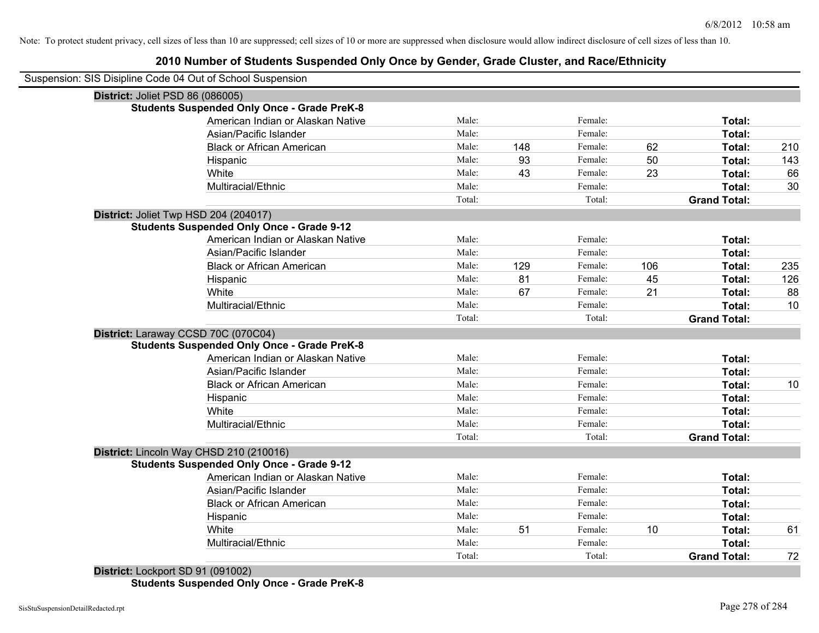## **2010 Number of Students Suspended Only Once by Gender, Grade Cluster, and Race/Ethnicity**

| Suspension: SIS Disipline Code 04 Out of School Suspension |        |     |         |     |                     |     |
|------------------------------------------------------------|--------|-----|---------|-----|---------------------|-----|
| District: Joliet PSD 86 (086005)                           |        |     |         |     |                     |     |
| <b>Students Suspended Only Once - Grade PreK-8</b>         |        |     |         |     |                     |     |
| American Indian or Alaskan Native                          | Male:  |     | Female: |     | Total:              |     |
| Asian/Pacific Islander                                     | Male:  |     | Female: |     | Total:              |     |
| <b>Black or African American</b>                           | Male:  | 148 | Female: | 62  | Total:              | 210 |
| Hispanic                                                   | Male:  | 93  | Female: | 50  | Total:              | 143 |
| White                                                      | Male:  | 43  | Female: | 23  | Total:              | 66  |
| Multiracial/Ethnic                                         | Male:  |     | Female: |     | Total:              | 30  |
|                                                            | Total: |     | Total:  |     | <b>Grand Total:</b> |     |
| District: Joliet Twp HSD 204 (204017)                      |        |     |         |     |                     |     |
| <b>Students Suspended Only Once - Grade 9-12</b>           |        |     |         |     |                     |     |
| American Indian or Alaskan Native                          | Male:  |     | Female: |     | Total:              |     |
| Asian/Pacific Islander                                     | Male:  |     | Female: |     | Total:              |     |
| <b>Black or African American</b>                           | Male:  | 129 | Female: | 106 | Total:              | 235 |
| Hispanic                                                   | Male:  | 81  | Female: | 45  | Total:              | 126 |
| White                                                      | Male:  | 67  | Female: | 21  | Total:              | 88  |
| Multiracial/Ethnic                                         | Male:  |     | Female: |     | Total:              | 10  |
|                                                            | Total: |     | Total:  |     | <b>Grand Total:</b> |     |
| District: Laraway CCSD 70C (070C04)                        |        |     |         |     |                     |     |
| <b>Students Suspended Only Once - Grade PreK-8</b>         |        |     |         |     |                     |     |
| American Indian or Alaskan Native                          | Male:  |     | Female: |     | Total:              |     |
| Asian/Pacific Islander                                     | Male:  |     | Female: |     | Total:              |     |
| <b>Black or African American</b>                           | Male:  |     | Female: |     | Total:              | 10  |
| Hispanic                                                   | Male:  |     | Female: |     | Total:              |     |
| White                                                      | Male:  |     | Female: |     | Total:              |     |
| Multiracial/Ethnic                                         | Male:  |     | Female: |     | Total:              |     |
|                                                            | Total: |     | Total:  |     | <b>Grand Total:</b> |     |
| District: Lincoln Way CHSD 210 (210016)                    |        |     |         |     |                     |     |
| <b>Students Suspended Only Once - Grade 9-12</b>           |        |     |         |     |                     |     |
| American Indian or Alaskan Native                          | Male:  |     | Female: |     | Total:              |     |
| Asian/Pacific Islander                                     | Male:  |     | Female: |     | Total:              |     |
| <b>Black or African American</b>                           | Male:  |     | Female: |     | Total:              |     |
| Hispanic                                                   | Male:  |     | Female: |     | Total:              |     |
| White                                                      | Male:  | 51  | Female: | 10  | Total:              | 61  |
| Multiracial/Ethnic                                         | Male:  |     | Female: |     | Total:              |     |
|                                                            | Total: |     | Total:  |     | <b>Grand Total:</b> | 72  |
| District: Lockport SD 91 (091002)                          |        |     |         |     |                     |     |

**Students Suspended Only Once - Grade PreK-8**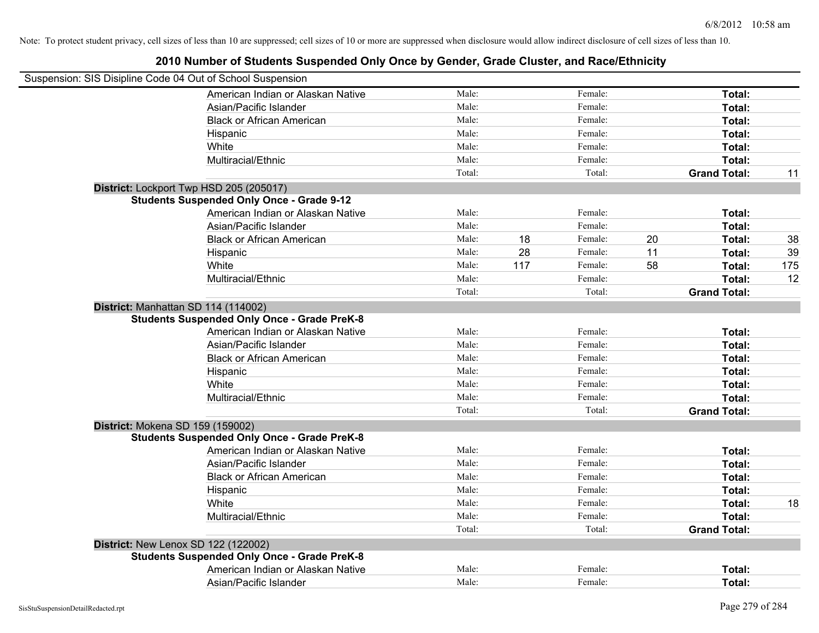| Suspension: SIS Disipline Code 04 Out of School Suspension                                |        |     |         |    |                     |     |
|-------------------------------------------------------------------------------------------|--------|-----|---------|----|---------------------|-----|
| American Indian or Alaskan Native                                                         | Male:  |     | Female: |    | Total:              |     |
| Asian/Pacific Islander                                                                    | Male:  |     | Female: |    | Total:              |     |
| <b>Black or African American</b>                                                          | Male:  |     | Female: |    | Total:              |     |
| Hispanic                                                                                  | Male:  |     | Female: |    | Total:              |     |
| White                                                                                     | Male:  |     | Female: |    | Total:              |     |
| Multiracial/Ethnic                                                                        | Male:  |     | Female: |    | Total:              |     |
|                                                                                           | Total: |     | Total:  |    | <b>Grand Total:</b> | 11  |
| District: Lockport Twp HSD 205 (205017)                                                   |        |     |         |    |                     |     |
| <b>Students Suspended Only Once - Grade 9-12</b>                                          |        |     |         |    |                     |     |
| American Indian or Alaskan Native                                                         | Male:  |     | Female: |    | Total:              |     |
| Asian/Pacific Islander                                                                    | Male:  |     | Female: |    | Total:              |     |
| <b>Black or African American</b>                                                          | Male:  | 18  | Female: | 20 | Total:              | 38  |
| Hispanic                                                                                  | Male:  | 28  | Female: | 11 | Total:              | 39  |
| White                                                                                     | Male:  | 117 | Female: | 58 | Total:              | 175 |
| Multiracial/Ethnic                                                                        | Male:  |     | Female: |    | Total:              | 12  |
|                                                                                           | Total: |     | Total:  |    | <b>Grand Total:</b> |     |
| District: Manhattan SD 114 (114002)<br><b>Students Suspended Only Once - Grade PreK-8</b> |        |     |         |    |                     |     |
| American Indian or Alaskan Native                                                         | Male:  |     | Female: |    | Total:              |     |
| Asian/Pacific Islander                                                                    | Male:  |     | Female: |    | Total:              |     |
| <b>Black or African American</b>                                                          | Male:  |     | Female: |    | Total:              |     |
| Hispanic                                                                                  | Male:  |     | Female: |    | Total:              |     |
| White                                                                                     | Male:  |     | Female: |    | Total:              |     |
| Multiracial/Ethnic                                                                        | Male:  |     | Female: |    | Total:              |     |
|                                                                                           | Total: |     | Total:  |    | <b>Grand Total:</b> |     |
| District: Mokena SD 159 (159002)<br><b>Students Suspended Only Once - Grade PreK-8</b>    |        |     |         |    |                     |     |
| American Indian or Alaskan Native                                                         | Male:  |     | Female: |    | Total:              |     |
| Asian/Pacific Islander                                                                    | Male:  |     | Female: |    | Total:              |     |
| <b>Black or African American</b>                                                          | Male:  |     | Female: |    | Total:              |     |
| Hispanic                                                                                  | Male:  |     | Female: |    | Total:              |     |
| White                                                                                     | Male:  |     | Female: |    | Total:              | 18  |
| Multiracial/Ethnic                                                                        | Male:  |     | Female: |    | Total:              |     |
|                                                                                           | Total: |     | Total:  |    | <b>Grand Total:</b> |     |
| District: New Lenox SD 122 (122002)                                                       |        |     |         |    |                     |     |
| <b>Students Suspended Only Once - Grade PreK-8</b>                                        |        |     |         |    |                     |     |
| American Indian or Alaskan Native                                                         | Male:  |     | Female: |    | <b>Total:</b>       |     |
| Asian/Pacific Islander                                                                    | Male:  |     | Female: |    | Total:              |     |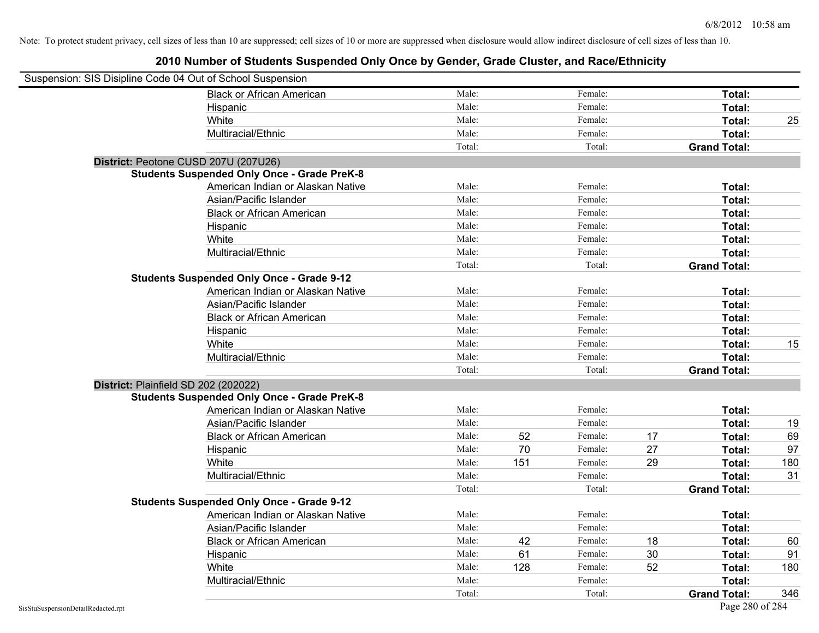| Suspension: SIS Disipline Code 04 Out of School Suspension |                                                    |        |     |         |    |                     |     |
|------------------------------------------------------------|----------------------------------------------------|--------|-----|---------|----|---------------------|-----|
|                                                            | <b>Black or African American</b>                   | Male:  |     | Female: |    | Total:              |     |
|                                                            | Hispanic                                           | Male:  |     | Female: |    | Total:              |     |
|                                                            | White                                              | Male:  |     | Female: |    | Total:              | 25  |
|                                                            | Multiracial/Ethnic                                 | Male:  |     | Female: |    | Total:              |     |
|                                                            |                                                    | Total: |     | Total:  |    | <b>Grand Total:</b> |     |
| District: Peotone CUSD 207U (207U26)                       |                                                    |        |     |         |    |                     |     |
|                                                            | <b>Students Suspended Only Once - Grade PreK-8</b> |        |     |         |    |                     |     |
|                                                            | American Indian or Alaskan Native                  | Male:  |     | Female: |    | Total:              |     |
|                                                            | Asian/Pacific Islander                             | Male:  |     | Female: |    | Total:              |     |
|                                                            | <b>Black or African American</b>                   | Male:  |     | Female: |    | Total:              |     |
|                                                            | Hispanic                                           | Male:  |     | Female: |    | Total:              |     |
|                                                            | White                                              | Male:  |     | Female: |    | Total:              |     |
|                                                            | Multiracial/Ethnic                                 | Male:  |     | Female: |    | Total:              |     |
|                                                            |                                                    | Total: |     | Total:  |    | <b>Grand Total:</b> |     |
|                                                            | <b>Students Suspended Only Once - Grade 9-12</b>   |        |     |         |    |                     |     |
|                                                            | American Indian or Alaskan Native                  | Male:  |     | Female: |    | Total:              |     |
|                                                            | Asian/Pacific Islander                             | Male:  |     | Female: |    | Total:              |     |
|                                                            | <b>Black or African American</b>                   | Male:  |     | Female: |    | Total:              |     |
|                                                            | Hispanic                                           | Male:  |     | Female: |    | Total:              |     |
|                                                            | White                                              | Male:  |     | Female: |    | Total:              | 15  |
|                                                            | Multiracial/Ethnic                                 | Male:  |     | Female: |    | Total:              |     |
|                                                            |                                                    | Total: |     | Total:  |    | <b>Grand Total:</b> |     |
| District: Plainfield SD 202 (202022)                       |                                                    |        |     |         |    |                     |     |
|                                                            | <b>Students Suspended Only Once - Grade PreK-8</b> |        |     |         |    |                     |     |
|                                                            | American Indian or Alaskan Native                  | Male:  |     | Female: |    | Total:              |     |
|                                                            | Asian/Pacific Islander                             | Male:  |     | Female: |    | Total:              | 19  |
|                                                            | <b>Black or African American</b>                   | Male:  | 52  | Female: | 17 | Total:              | 69  |
|                                                            | Hispanic                                           | Male:  | 70  | Female: | 27 | Total:              | 97  |
|                                                            | White                                              | Male:  | 151 | Female: | 29 | Total:              | 180 |
|                                                            | Multiracial/Ethnic                                 | Male:  |     | Female: |    | Total:              | 31  |
|                                                            |                                                    | Total: |     | Total:  |    | <b>Grand Total:</b> |     |
|                                                            | <b>Students Suspended Only Once - Grade 9-12</b>   |        |     |         |    |                     |     |
|                                                            | American Indian or Alaskan Native                  | Male:  |     | Female: |    | Total:              |     |
|                                                            | Asian/Pacific Islander                             | Male:  |     | Female: |    | Total:              |     |
|                                                            | <b>Black or African American</b>                   | Male:  | 42  | Female: | 18 | Total:              | 60  |
|                                                            | Hispanic                                           | Male:  | 61  | Female: | 30 | Total:              | 91  |
|                                                            | White                                              | Male:  | 128 | Female: | 52 | Total:              | 180 |
|                                                            | Multiracial/Ethnic                                 | Male:  |     | Female: |    | Total:              |     |
|                                                            |                                                    | Total: |     | Total:  |    | <b>Grand Total:</b> | 346 |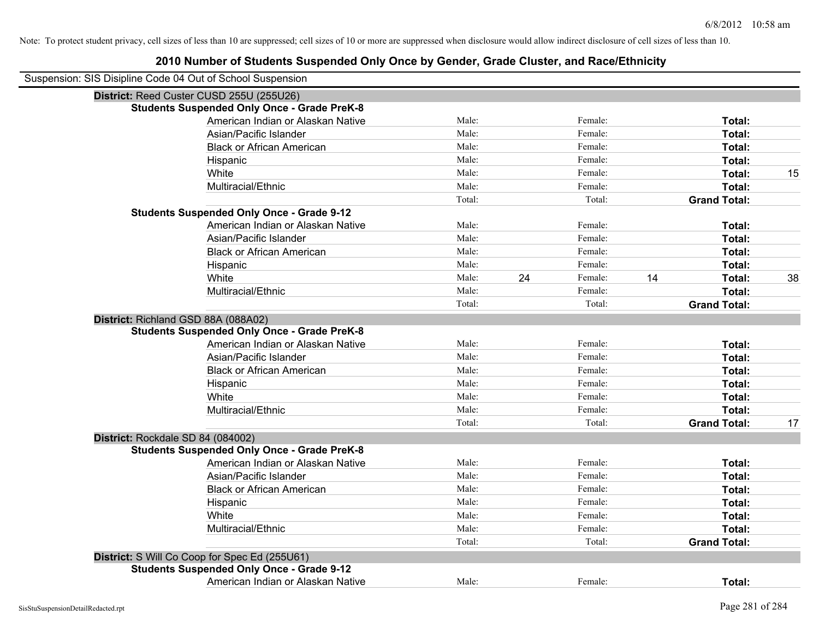| Suspension: SIS Disipline Code 04 Out of School Suspension |                                                    |        |    |         |    |                     |    |
|------------------------------------------------------------|----------------------------------------------------|--------|----|---------|----|---------------------|----|
|                                                            | District: Reed Custer CUSD 255U (255U26)           |        |    |         |    |                     |    |
|                                                            | <b>Students Suspended Only Once - Grade PreK-8</b> |        |    |         |    |                     |    |
|                                                            | American Indian or Alaskan Native                  | Male:  |    | Female: |    | Total:              |    |
|                                                            | Asian/Pacific Islander                             | Male:  |    | Female: |    | Total:              |    |
|                                                            | <b>Black or African American</b>                   | Male:  |    | Female: |    | Total:              |    |
|                                                            | Hispanic                                           | Male:  |    | Female: |    | Total:              |    |
|                                                            | White                                              | Male:  |    | Female: |    | Total:              | 15 |
|                                                            | Multiracial/Ethnic                                 | Male:  |    | Female: |    | Total:              |    |
|                                                            |                                                    | Total: |    | Total:  |    | <b>Grand Total:</b> |    |
|                                                            | <b>Students Suspended Only Once - Grade 9-12</b>   |        |    |         |    |                     |    |
|                                                            | American Indian or Alaskan Native                  | Male:  |    | Female: |    | Total:              |    |
|                                                            | Asian/Pacific Islander                             | Male:  |    | Female: |    | Total:              |    |
|                                                            | <b>Black or African American</b>                   | Male:  |    | Female: |    | Total:              |    |
|                                                            | Hispanic                                           | Male:  |    | Female: |    | Total:              |    |
|                                                            | White                                              | Male:  | 24 | Female: | 14 | Total:              | 38 |
|                                                            | Multiracial/Ethnic                                 | Male:  |    | Female: |    | Total:              |    |
|                                                            |                                                    | Total: |    | Total:  |    | <b>Grand Total:</b> |    |
| District: Richland GSD 88A (088A02)                        |                                                    |        |    |         |    |                     |    |
|                                                            | <b>Students Suspended Only Once - Grade PreK-8</b> |        |    |         |    |                     |    |
|                                                            | American Indian or Alaskan Native                  | Male:  |    | Female: |    | Total:              |    |
|                                                            | Asian/Pacific Islander                             | Male:  |    | Female: |    | Total:              |    |
|                                                            | <b>Black or African American</b>                   | Male:  |    | Female: |    | Total:              |    |
|                                                            | Hispanic                                           | Male:  |    | Female: |    | Total:              |    |
|                                                            | White                                              | Male:  |    | Female: |    | Total:              |    |
|                                                            | Multiracial/Ethnic                                 | Male:  |    | Female: |    | Total:              |    |
|                                                            |                                                    | Total: |    | Total:  |    | <b>Grand Total:</b> | 17 |
| District: Rockdale SD 84 (084002)                          |                                                    |        |    |         |    |                     |    |
|                                                            | <b>Students Suspended Only Once - Grade PreK-8</b> |        |    |         |    |                     |    |
|                                                            | American Indian or Alaskan Native                  | Male:  |    | Female: |    | Total:              |    |
|                                                            | Asian/Pacific Islander                             | Male:  |    | Female: |    | Total:              |    |
|                                                            | <b>Black or African American</b>                   | Male:  |    | Female: |    | Total:              |    |
|                                                            | Hispanic                                           | Male:  |    | Female: |    | Total:              |    |
|                                                            | White                                              | Male:  |    | Female: |    | Total:              |    |
|                                                            | Multiracial/Ethnic                                 | Male:  |    | Female: |    | Total:              |    |
|                                                            |                                                    | Total: |    | Total:  |    | <b>Grand Total:</b> |    |
|                                                            | District: S Will Co Coop for Spec Ed (255U61)      |        |    |         |    |                     |    |
|                                                            | <b>Students Suspended Only Once - Grade 9-12</b>   |        |    |         |    |                     |    |
|                                                            | American Indian or Alaskan Native                  | Male:  |    | Female: |    | Total:              |    |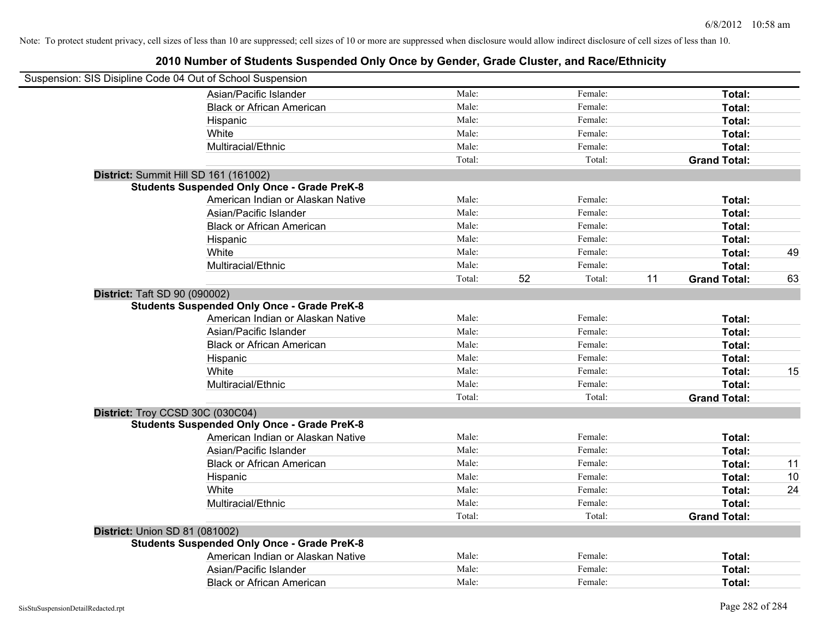| Suspension: SIS Disipline Code 04 Out of School Suspension |                                                    |        |              |                           |    |
|------------------------------------------------------------|----------------------------------------------------|--------|--------------|---------------------------|----|
|                                                            | Asian/Pacific Islander                             | Male:  | Female:      | Total:                    |    |
|                                                            | <b>Black or African American</b>                   | Male:  | Female:      | Total:                    |    |
|                                                            | Hispanic                                           | Male:  | Female:      | Total:                    |    |
|                                                            | White                                              | Male:  | Female:      | Total:                    |    |
|                                                            | Multiracial/Ethnic                                 | Male:  | Female:      | Total:                    |    |
|                                                            |                                                    | Total: | Total:       | <b>Grand Total:</b>       |    |
| District: Summit Hill SD 161 (161002)                      |                                                    |        |              |                           |    |
|                                                            | <b>Students Suspended Only Once - Grade PreK-8</b> |        |              |                           |    |
|                                                            | American Indian or Alaskan Native                  | Male:  | Female:      | Total:                    |    |
|                                                            | Asian/Pacific Islander                             | Male:  | Female:      | Total:                    |    |
|                                                            | <b>Black or African American</b>                   | Male:  | Female:      | Total:                    |    |
|                                                            | Hispanic                                           | Male:  | Female:      | Total:                    |    |
|                                                            | White                                              | Male:  | Female:      | Total:                    | 49 |
|                                                            | Multiracial/Ethnic                                 | Male:  | Female:      | Total:                    |    |
|                                                            |                                                    | Total: | 52<br>Total: | 11<br><b>Grand Total:</b> | 63 |
| District: Taft SD 90 (090002)                              |                                                    |        |              |                           |    |
|                                                            | <b>Students Suspended Only Once - Grade PreK-8</b> |        |              |                           |    |
|                                                            | American Indian or Alaskan Native                  | Male:  | Female:      | Total:                    |    |
|                                                            | Asian/Pacific Islander                             | Male:  | Female:      | Total:                    |    |
|                                                            | <b>Black or African American</b>                   | Male:  | Female:      | Total:                    |    |
|                                                            | Hispanic                                           | Male:  | Female:      | Total:                    |    |
|                                                            | White                                              | Male:  | Female:      | Total:                    | 15 |
|                                                            | Multiracial/Ethnic                                 | Male:  | Female:      | Total:                    |    |
|                                                            |                                                    | Total: | Total:       | <b>Grand Total:</b>       |    |
| District: Troy CCSD 30C (030C04)                           |                                                    |        |              |                           |    |
|                                                            | <b>Students Suspended Only Once - Grade PreK-8</b> |        |              |                           |    |
|                                                            | American Indian or Alaskan Native                  | Male:  | Female:      | Total:                    |    |
|                                                            | Asian/Pacific Islander                             | Male:  | Female:      | Total:                    |    |
|                                                            | <b>Black or African American</b>                   | Male:  | Female:      | Total:                    | 11 |
|                                                            | Hispanic                                           | Male:  | Female:      | Total:                    | 10 |
|                                                            | White                                              | Male:  | Female:      | Total:                    | 24 |
|                                                            | Multiracial/Ethnic                                 | Male:  | Female:      | Total:                    |    |
|                                                            |                                                    | Total: | Total:       | <b>Grand Total:</b>       |    |
| District: Union SD 81 (081002)                             |                                                    |        |              |                           |    |
|                                                            | <b>Students Suspended Only Once - Grade PreK-8</b> |        |              |                           |    |
|                                                            | American Indian or Alaskan Native                  | Male:  | Female:      | Total:                    |    |
|                                                            | Asian/Pacific Islander                             | Male:  | Female:      | Total:                    |    |
|                                                            | <b>Black or African American</b>                   | Male:  | Female:      | Total:                    |    |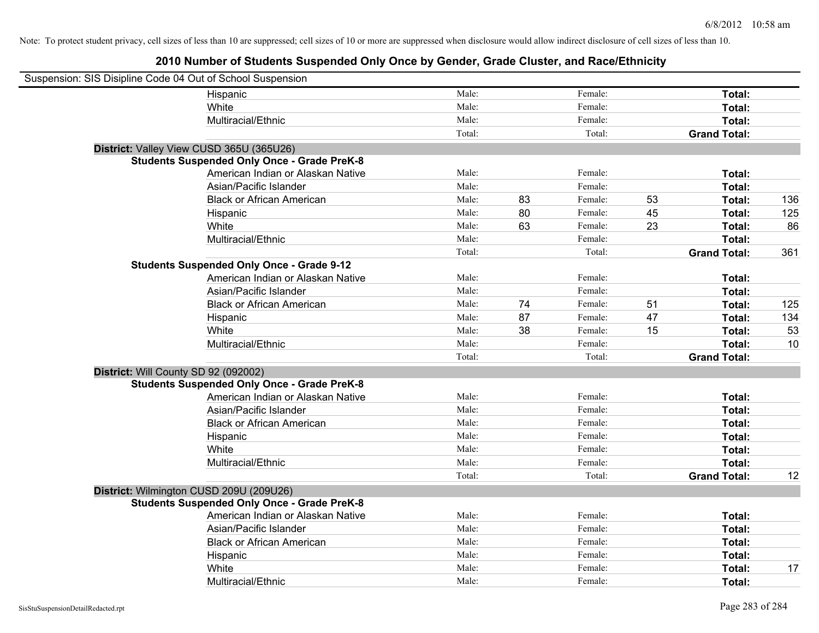| Suspension: SIS Disipline Code 04 Out of School Suspension |                                                    |        |    |         |    |                     |     |
|------------------------------------------------------------|----------------------------------------------------|--------|----|---------|----|---------------------|-----|
|                                                            | Hispanic                                           | Male:  |    | Female: |    | Total:              |     |
|                                                            | White                                              | Male:  |    | Female: |    | Total:              |     |
|                                                            | Multiracial/Ethnic                                 | Male:  |    | Female: |    | Total:              |     |
|                                                            |                                                    | Total: |    | Total:  |    | <b>Grand Total:</b> |     |
|                                                            | District: Valley View CUSD 365U (365U26)           |        |    |         |    |                     |     |
|                                                            | <b>Students Suspended Only Once - Grade PreK-8</b> |        |    |         |    |                     |     |
|                                                            | American Indian or Alaskan Native                  | Male:  |    | Female: |    | Total:              |     |
|                                                            | Asian/Pacific Islander                             | Male:  |    | Female: |    | Total:              |     |
|                                                            | <b>Black or African American</b>                   | Male:  | 83 | Female: | 53 | Total:              | 136 |
|                                                            | Hispanic                                           | Male:  | 80 | Female: | 45 | Total:              | 125 |
|                                                            | White                                              | Male:  | 63 | Female: | 23 | Total:              | 86  |
|                                                            | Multiracial/Ethnic                                 | Male:  |    | Female: |    | Total:              |     |
|                                                            |                                                    | Total: |    | Total:  |    | <b>Grand Total:</b> | 361 |
|                                                            | <b>Students Suspended Only Once - Grade 9-12</b>   |        |    |         |    |                     |     |
|                                                            | American Indian or Alaskan Native                  | Male:  |    | Female: |    | Total:              |     |
|                                                            | Asian/Pacific Islander                             | Male:  |    | Female: |    | Total:              |     |
|                                                            | <b>Black or African American</b>                   | Male:  | 74 | Female: | 51 | Total:              | 125 |
|                                                            | Hispanic                                           | Male:  | 87 | Female: | 47 | Total:              | 134 |
|                                                            | White                                              | Male:  | 38 | Female: | 15 | Total:              | 53  |
|                                                            | Multiracial/Ethnic                                 | Male:  |    | Female: |    | Total:              | 10  |
|                                                            |                                                    | Total: |    | Total:  |    | <b>Grand Total:</b> |     |
| District: Will County SD 92 (092002)                       |                                                    |        |    |         |    |                     |     |
|                                                            | <b>Students Suspended Only Once - Grade PreK-8</b> |        |    |         |    |                     |     |
|                                                            | American Indian or Alaskan Native                  | Male:  |    | Female: |    | Total:              |     |
|                                                            | Asian/Pacific Islander                             | Male:  |    | Female: |    | Total:              |     |
|                                                            | <b>Black or African American</b>                   | Male:  |    | Female: |    | Total:              |     |
|                                                            | Hispanic                                           | Male:  |    | Female: |    | Total:              |     |
|                                                            | White                                              | Male:  |    | Female: |    | Total:              |     |
|                                                            | Multiracial/Ethnic                                 | Male:  |    | Female: |    | Total:              |     |
|                                                            |                                                    | Total: |    | Total:  |    | <b>Grand Total:</b> | 12  |
|                                                            | District: Wilmington CUSD 209U (209U26)            |        |    |         |    |                     |     |
|                                                            | <b>Students Suspended Only Once - Grade PreK-8</b> |        |    |         |    |                     |     |
|                                                            | American Indian or Alaskan Native                  | Male:  |    | Female: |    | Total:              |     |
|                                                            | Asian/Pacific Islander                             | Male:  |    | Female: |    | Total:              |     |
|                                                            | <b>Black or African American</b>                   | Male:  |    | Female: |    | Total:              |     |
|                                                            | Hispanic                                           | Male:  |    | Female: |    | Total:              |     |
|                                                            | White                                              | Male:  |    | Female: |    | <b>Total:</b>       | 17  |
|                                                            | Multiracial/Ethnic                                 | Male:  |    | Female: |    | Total:              |     |